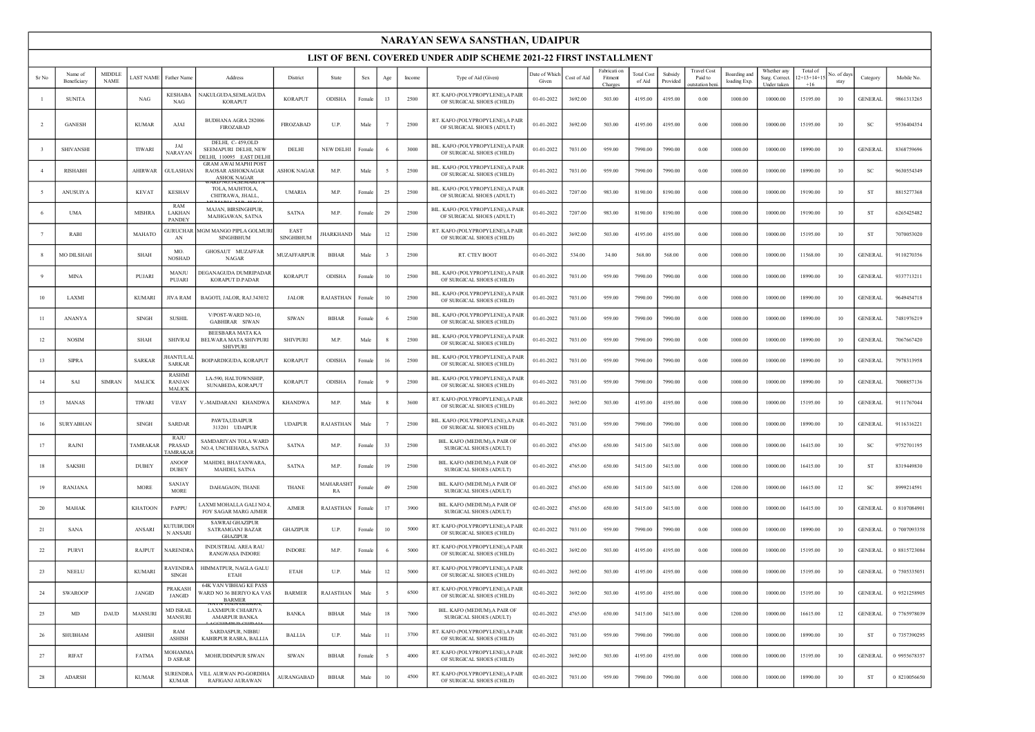|                |                        |                       |                 |                                          |                                                                               |                          |                        |             |              |        | NARAYAN SEWA SANSTHAN, UDAIPUR                                    |                        |             |                                    |                             |                     |                                                 |                              |                                              |                                    |                   |                |              |
|----------------|------------------------|-----------------------|-----------------|------------------------------------------|-------------------------------------------------------------------------------|--------------------------|------------------------|-------------|--------------|--------|-------------------------------------------------------------------|------------------------|-------------|------------------------------------|-----------------------------|---------------------|-------------------------------------------------|------------------------------|----------------------------------------------|------------------------------------|-------------------|----------------|--------------|
|                |                        |                       |                 |                                          |                                                                               |                          |                        |             |              |        | LIST OF BENI. COVERED UNDER ADIP SCHEME 2021-22 FIRST INSTALLMENT |                        |             |                                    |                             |                     |                                                 |                              |                                              |                                    |                   |                |              |
| Sr No          | Name of<br>Beneficiary | MIDDLE<br><b>NAME</b> | <b>AST NAME</b> | Father Name                              | Address                                                                       | District                 | State                  | ${\rm Sex}$ | Age          | Income | Type of Aid (Given)                                               | Date of Which<br>Given | Cost of Aid | Fabricati or<br>Fitment<br>Charges | <b>Total Cost</b><br>of Aid | Subsidy<br>Provided | <b>Travel Cost</b><br>Paid to<br>outstation ber | Boarding and<br>loading Exp. | Whether any<br>Surg. Correct.<br>Under taken | Total of<br>$2+13+14+1$ :<br>$+16$ | o. of day<br>stay | Category       | Mobile No.   |
|                | <b>SUNITA</b>          |                       | NAG             | <b>KESHAB</b><br><b>NAG</b>              | <b>NAKULGUDA, SEMLAGUDA</b><br><b>KORAPUT</b>                                 | <b>KORAPUT</b>           | ODISHA                 | Female      | 13           | 2500   | RT. KAFO (POLYPROPYLENE), A PAIR<br>OF SURGICAL SHOES (CHILD)     | 01-01-2022             | 3692.00     | 503.00                             | 4195.00                     | 4195.00             | 0.00                                            | 1000.00                      | 10000.00                                     | 15195.00                           | 10                | <b>GENERAL</b> | 9861313265   |
| 2              | <b>GANESH</b>          |                       | <b>KUMAR</b>    | AJAI                                     | <b>BUDHANA AGRA 282006</b><br>FIROZABAD                                       | <b>FIROZABAD</b>         | U.P.                   | Male        | 7            | 2500   | RT. KAFO (POLYPROPYLENE), A PAIR<br>OF SURGICAL SHOES (ADULT)     | 01-01-2022             | 3692.00     | 503.00                             | 4195.00                     | 4195.00             | 0.00                                            | 1000.00                      | 10000.00                                     | 15195.00                           | 10                | SC             | 9536404354   |
|                | SHIVANSHI              |                       | TIWARI          | JAI<br>NARAYAN                           | DELHI, C-459,OLD<br>SEEMAPURI DELHI, NEW<br>DELHI, 110095 EAST DELHI          | DELHI                    | NEW DELHI              | Female      | 6            | 3000   | BIL. KAFO (POLYPROPYLENE), A PAIR<br>OF SURGICAL SHOES (CHILD)    | 01-01-2022             | 7031.00     | 959.00                             | 7990.00                     | 7990.00             | 0.00                                            | 1000.00                      | 10000.00                                     | 18990.00                           | 10                | <b>GENERAL</b> | 8368759696   |
| $\overline{4}$ | <b>RISHABH</b>         |                       | <b>AHIRWAR</b>  | <b>GULASHAN</b>                          | <b>GRAM AWAI MAPHI POST</b><br><b>RAOSAR ASHOKNAGAR</b><br><b>ASHOK NAGAR</b> | <b>ASHOK NAGAR</b>       | M.P.                   | Male        | - 5          | 2500   | BIL. KAFO (POLYPROPYLENE), A PAIR<br>OF SURGICAL SHOES (CHILD)    | 01-01-2022             | 7031.00     | 959.00                             | 7990.00                     | 7990.00             | 0.00                                            | 1000.00                      | 10000.00                                     | 18990.00                           | 10                | SC             | 9630554349   |
|                | <b>ANUSUIYA</b>        |                       | <b>KEVAT</b>    | <b>KESHAV</b>                            | TOLA, MAJHTOLA,<br>CHITRAWA, JHALL,                                           | <b>UMARIA</b>            | M.P                    | Female      | 25           | 2500   | BIL. KAFO (POLYPROPYLENE), A PAIR<br>OF SURGICAL SHOES (ADULT)    | 01-01-2022             | 7207.00     | 983.00                             | 8190.00                     | 8190.00             | 0.00                                            | 1000.00                      | 10000.00                                     | 19190.00                           | 10                | ST             | 8815277368   |
| -6             | <b>UMA</b>             |                       | <b>MISHRA</b>   | RAM<br>LAKHAN<br><b>PANDEY</b>           | MAJAN, BIRSINGHPUR,<br>MAJHGAWAN, SATNA                                       | <b>SATNA</b>             | M.P.                   | Female      | 29           | 2500   | BIL. KAFO (POLYPROPYLENE), A PAIR<br>OF SURGICAL SHOES (ADULT)    | 01-01-2022             | 7207.00     | 983.00                             | 8190.00                     | 8190.00             | 0.00                                            | 1000.00                      | 10000.00                                     | 19190.00                           | 10                | ST             | 6265425482   |
|                | RABI                   |                       | MAHATO          | <b>JURUCHAR</b><br>AN                    | <b>MGM MANGO PIPLA GOLMUR</b><br><b>SINGHBHUM</b>                             | EAST<br><b>SINGHBHUM</b> | <b>HARKHAND</b>        | Male        | 12           | 2500   | RT. KAFO (POLYPROPYLENE), A PAIR<br>OF SURGICAL SHOES (CHILD)     | 01-01-2022             | 3692.00     | 503.00                             | 4195.00                     | 4195.00             | 0.00                                            | 1000.00                      | 10000.00                                     | 15195.00                           | 10                | ST             | 7070053020   |
|                | <b>MO DILSHAH</b>      |                       | SHAH            | MO.<br><b>NOSHAD</b>                     | GHOSAUT MUZAFFAR<br><b>NAGAR</b>                                              | <b>MUZAFFARPUR</b>       | <b>BIHAR</b>           | Male        | $\mathbf{3}$ | 2500   | RT. CTEV BOOT                                                     | 01-01-2022             | 534.00      | 34.00                              | 568.00                      | 568.00              | 0.00                                            | 1000.00                      | 10000.00                                     | 11568.00                           | 10                | <b>GENERAL</b> | 9110270356   |
|                | <b>MINA</b>            |                       | PUJARI          | MANJU<br>PUJARI                          | <b>DEGANAGUDA DUMRIPADAR</b><br>KORAPUT D.PADAR                               | <b>KORAPUT</b>           | ODISHA                 | Female      | 10           | 2500   | BIL. KAFO (POLYPROPYLENE), A PAIR<br>OF SURGICAL SHOES (CHILD)    | 01-01-2022             | 7031.00     | 959.00                             | 7990.00                     | 7990.00             | 0.00                                            | 1000.00                      | 10000.00                                     | 18990.00                           | 10                | <b>GENERAL</b> | 9337713211   |
| 10             | LAXMI                  |                       | <b>KUMARI</b>   | <b>JIVA RAM</b>                          | BAGOTI, JALOR, RAJ.343032                                                     | <b>JALOR</b>             | RAJASTHAN              | Female      | 10           | 2500   | BIL. KAFO (POLYPROPYLENE), A PAIR<br>OF SURGICAL SHOES (CHILD)    | 01-01-2022             | 7031.00     | 959.00                             | 7990.00                     | 7990.00             | 0.00                                            | 1000.00                      | 10000.00                                     | 18990.00                           | 10                | <b>GENERAL</b> | 9649454718   |
| $_{11}$        | ANANYA                 |                       | SINGH           | <b>SUSHIL</b>                            | V/POST-WARD NO-10,<br>GABHIRAR SIWAN                                          | <b>SIWAN</b>             | <b>BIHAR</b>           | Female      | 6            | 2500   | BIL. KAFO (POLYPROPYLENE), A PAIR<br>OF SURGICAL SHOES (CHILD)    | 01-01-2022             | 7031.00     | 959.00                             | 7990.00                     | 7990.00             | 0.00                                            | 1000.00                      | 10000.00                                     | 18990.00                           | 10                | <b>GENERAL</b> | 7481976219   |
| 12             | <b>NOSIM</b>           |                       | <b>SHAH</b>     | <b>SHIVRAI</b>                           | BEESBARA MATA KA<br>BELWARA MATA SHIVPURI<br><b>SHIVPURI</b>                  | <b>SHIVPURI</b>          | M.P                    | Male        | 8            | 2500   | BIL. KAFO (POLYPROPYLENE), A PAIR<br>OF SURGICAL SHOES (CHILD)    | 01-01-2022             | 7031.00     | 959.00                             | 7990.00                     | 7990.00             | 0.00                                            | 1000.00                      | 10000.00                                     | 18990.00                           | 10                | <b>GENERAL</b> | 7067667420   |
| 13             | <b>SIPRA</b>           |                       | <b>SARKAR</b>   | HANTULA<br><b>SARKAR</b>                 | BOIPARDIGUDA, KORAPUT                                                         | <b>KORAPUT</b>           | <b>ODISHA</b>          | Female      | 16           | 2500   | BIL. KAFO (POLYPROPYLENE), A PAIR<br>OF SURGICAL SHOES (CHILD)    | 01-01-2022             | 7031.00     | 959.00                             | 7990.00                     | 7990.00             | 0.00                                            | 1000.00                      | 10000.00                                     | 18990.00                           | 10                | <b>GENERAL</b> | 7978313958   |
| 14             | SAI                    | <b>SIMRAN</b>         | MALICK          | <b>RASHMI</b><br>RANJAN<br><b>MALICK</b> | LA-590, HALTOWNSHIP,<br>SUNABEDA, KORAPUT                                     | <b>KORAPUT</b>           | ODISHA                 | Female      | 9            | 2500   | BIL. KAFO (POLYPROPYLENE), A PAIR<br>OF SURGICAL SHOES (CHILD)    | 01-01-2022             | 7031.00     | 959.00                             | 7990.00                     | 7990.00             | 0.00                                            | 1000.00                      | 10000.00                                     | 18990.00                           | 10                | <b>GENERAI</b> | 7008857136   |
| 15             | <b>MANAS</b>           |                       | <b>TIWARI</b>   | <b>VIJAY</b>                             | V.-MAIDARANI KHANDWA                                                          | <b>KHANDWA</b>           | M.P.                   | Male        | $_{\rm 8}$   | 3600   | RT. KAFO (POLYPROPYLENE), A PAIR<br>OF SURGICAL SHOES (CHILD)     | 01-01-2022             | 3692.00     | 503.00                             | 4195.00                     | 4195.00             | 0.00                                            | 1000.00                      | 10000.00                                     | 15195.00                           | 10                | <b>GENERAL</b> | 9111767044   |
| 16             | <b>SURYABHAN</b>       |                       | <b>SINGH</b>    | <b>SARDAR</b>                            | PAWTA, UDAIPUR<br>313201 UDAIPUR                                              | <b>UDAIPUR</b>           | RAJASTHAN              | Male        | 7            | 2500   | BIL. KAFO (POLYPROPYLENE), A PAIR<br>OF SURGICAL SHOES (CHILD)    | 01-01-2022             | 7031.00     | 959.00                             | 7990.00                     | 7990.00             | 0.00                                            | 1000.00                      | 10000.00                                     | 18990.00                           | 10                | <b>GENERAL</b> | 9116316221   |
| 17             | RAJNI                  |                       | <b>TAMRAKAR</b> | RAJU<br><b>PRASAD</b><br>AMRAKA          | SAMDARIYAN TOLA WARD<br>NO.4, UNCHEHARA, SATNA                                | <b>SATNA</b>             | M.P.                   | Female      | 33           | 2500   | BIL. KAFO (MEDIUM), A PAIR OF<br>SURGICAL SHOES (ADULT)           | 01-01-2022             | 4765.00     | 650.00                             | 5415.00                     | 5415.00             | 0.00                                            | 1000.00                      | 10000.00                                     | 16415.00                           | 10                | SC             | 9752701195   |
| 18             | SAKSHI                 |                       | <b>DUBEY</b>    | <b>ANOOF</b><br><b>DUBEY</b>             | MAHDEI, BHATANWARA<br>MAHDEI, SATNA                                           | <b>SATNA</b>             | M.P                    | Female      | 19           | 2500   | BIL. KAFO (MEDIUM), A PAIR OF<br>SURGICAL SHOES (ADULT)           | 01-01-2022             | 4765.00     | 650.00                             | 5415.00                     | 5415.00             | 0.00                                            | 1000.00                      | 10000.00                                     | 16415.00                           | 10                | ST             | 8319449830   |
| 19             | <b>RANJANA</b>         |                       | <b>MORE</b>     | <b>SANJAY</b><br><b>MORE</b>             | DAHAGAON, THANE                                                               | <b>THANE</b>             | <b>MAHARASHT</b><br>RA | Female      | 49           | 2500   | BIL. KAFO (MEDIUM), A PAIR OF<br>SURGICAL SHOES (ADULT)           | 01-01-2022             | 4765.00     | 650.00                             | 5415.00                     | 5415.00             | 0.00                                            | 1200.00                      | 10000.00                                     | 16615.00                           | 12                | <sub>SC</sub>  | 8999214591   |
| 20             | MAHAK                  |                       | <b>KHATOON</b>  | PAPPU                                    | AXMI MOHALLA GALI NO.4,<br><b>FOY SAGAR MARG AJMER</b>                        | <b>AJMER</b>             | RAJASTHAN              | Female      | 17           | 3900   | BIL. KAFO (MEDIUM), A PAIR OF<br>SURGICAL SHOES (ADULT)           | 02-01-2022             | 4765.00     | 650.00                             | 5415.00                     | 5415.00             | 0.00                                            | 1000.00                      | 10000.00                                     | 16415.00                           | 10                | <b>GENERAL</b> | 0 8107084901 |
| 21             | SANA                   |                       | ANSARI          | <b>KUTUBUDDI</b><br>N ANSARI             | <b>SAWRAI GHAZIPUR</b><br><b>SATRAMGANJ BAZAR</b><br>GHAZIPUR                 | <b>GHAZIPUR</b>          | U.P                    | Female      | 10           | 5000   | RT. KAFO (POLYPROPYLENE), A PAIR<br>OF SURGICAL SHOES (CHILD)     | 02-01-2022             | 7031.00     | 959.00                             | 7990.00                     | 7990.00             | 0.00                                            | 1000.00                      | 10000.00                                     | 18990.00                           | 10                | <b>GENERAI</b> | 0 7007093358 |
| 22             | <b>PURVI</b>           |                       | RAJPUT          | <b>JARENDRA</b>                          | <b>INDUSTRIAL AREA RAU</b><br><b>RANGWASA INDORE</b>                          | <b>INDORE</b>            | M.P                    | Female      | - 6          | 5000   | RT. KAFO (POLYPROPYLENE), A PAIR<br>OF SURGICAL SHOES (CHILD)     | 02-01-2022             | 3692.00     | 503.00                             | 4195.00                     | 4195.00             | 0.00                                            | 1000.00                      | 10000.00                                     | 15195.00                           | 10                | <b>GENERAL</b> | 0 8815723084 |
| 23             | <b>NEELU</b>           |                       | <b>KUMARI</b>   | <b>RAVENDR</b><br><b>SINGH</b>           | HIMMATPUR, NAGLA GALU<br>ETAH                                                 | <b>ETAH</b>              | U.P                    | Male        | 12           | 5000   | RT. KAFO (POLYPROPYLENE), A PAIR<br>OF SURGICAL SHOES (CHILD)     | 02-01-2022             | 3692.00     | 503.00                             | 4195.00                     | 4195.00             | 0.00                                            | 1000.00                      | 10000.00                                     | 15195.00                           | 10                | <b>GENERAL</b> | 0 7505335051 |
| 24             | <b>SWAROOP</b>         |                       | JANGID          | <b>PRAKASH</b><br><b>JANGID</b>          | <b>64K VAN VIBHAG KE PASS</b><br>WARD NO 36 BERIYO KA VAS<br><b>BARMER</b>    | <b>BARMER</b>            | RAJASTHAN              | Male        | - 5          | 6500   | RT. KAFO (POLYPROPYLENE), A PAIR<br>OF SURGICAL SHOES (CHILD)     | 02-01-2022             | 3692.00     | 503.00                             | 4195.00                     | 4195.00             | 0.00                                            | 1000.00                      | 10000.00                                     | 15195.00                           | 10                | <b>GENERAL</b> | 0 9521258905 |
| 25             | MD                     | <b>DAUD</b>           | <b>MANSURI</b>  | <b>MD ISRAIL</b><br>MANSURI              | LAXMIPUR CHIARIYA<br><b>AMARPUR BANKA</b>                                     | <b>BANKA</b>             | <b>BIHAR</b>           | Male        | 18           | 7000   | BIL. KAFO (MEDIUM), A PAIR OF<br>SURGICAL SHOES (ADULT)           | 02-01-2022             | 4765.00     | 650.00                             | 5415.00                     | 5415.00             | 0.00                                            | 1200.00                      | 10000.00                                     | 16615.00                           | 12                | <b>GENERAL</b> | 0 7765978039 |
| 26             | <b>SHUBHAM</b>         |                       | ASHISH          | RAM<br>ASHISH                            | SARDASPUR, NIBBU<br>KABIRPUR RASRA, BALLIA                                    | <b>BALLIA</b>            | U.P.                   | Male        | 11           | 3700   | RT. KAFO (POLYPROPYLENE), A PAIR<br>OF SURGICAL SHOES (CHILD)     | 02-01-2022             | 7031.00     | 959.00                             | 7990.00                     | 7990.00             | 0.00                                            | 1000.00                      | 10000.00                                     | 18990.00                           | 10                | <b>ST</b>      | 0 7357390295 |
| 27             | <b>RIFAT</b>           |                       | <b>FATMA</b>    | MOHAMMA<br><b>D ASRAR</b>                | MOHIUDDINPUR SIWAN                                                            | <b>SIWAN</b>             | <b>BIHAR</b>           | Female      | 5            | 4000   | RT. KAFO (POLYPROPYLENE), A PAIR<br>OF SURGICAL SHOES (CHILD)     | 02-01-2022             | 3692.00     | 503.00                             | 4195.00                     | 4195.00             | 0.00                                            | 1000.00                      | 10000.00                                     | 15195.00                           | 10                | <b>GENERAL</b> | 0 9955678357 |
| 28             | ADARSH                 |                       | <b>KUMAR</b>    | <b>SURENDRA</b><br><b>KUMAR</b>          | VILL AURWAN PO-GORDIHA<br>RAFIGANJ AURAWAN                                    | <b>AURANGABAD</b>        | <b>BIHAR</b>           | Male        | 10           | 4500   | RT. KAFO (POLYPROPYLENE), A PAIR<br>OF SURGICAL SHOES (CHILD)     | 02-01-2022             | 7031.00     | 959.00                             | 7990.00                     | 7990.00             | 0.00                                            | 1000.00                      | 10000.00                                     | 18990.00                           | 10                | ST             | 0 8210056650 |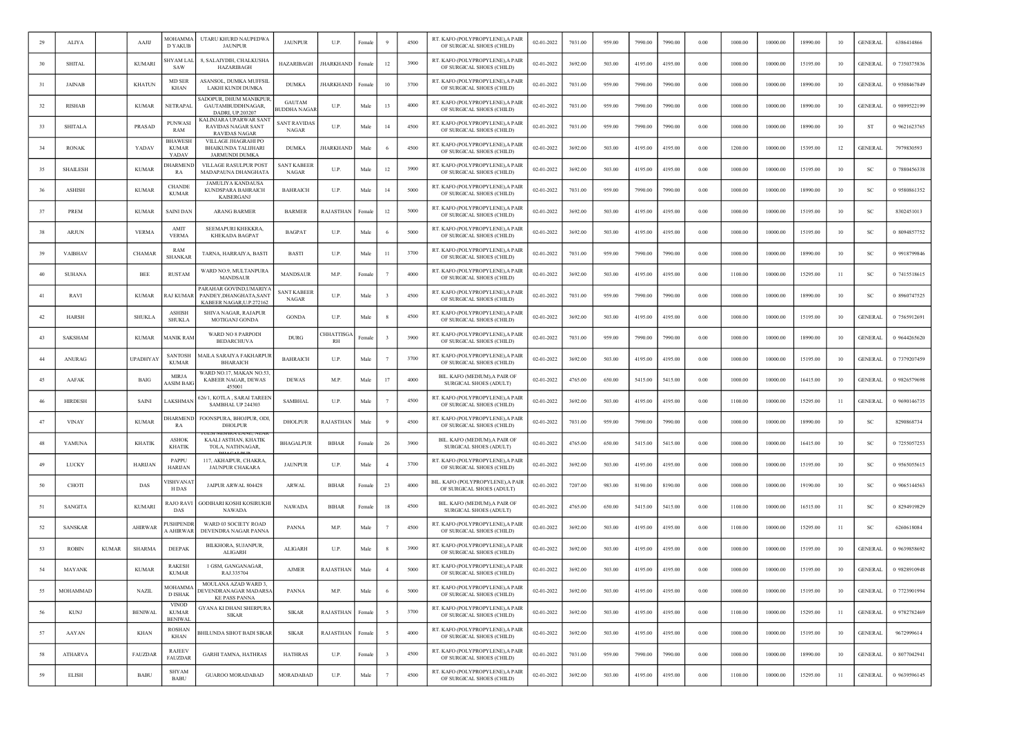| 29  | <b>ALIYA</b>    |              | AAJIJ           | MOHAMMA<br><b>D YAKUB</b>               | UTARU KHURD NAUPEDWA<br><b>JAUNPUR</b>                                         | <b>JAUNPUR</b>                       | U.P.                  | Female            |                         | 4500 | RT. KAFO (POLYPROPYLENE), A PAIR<br>OF SURGICAL SHOES (CHILD)  | 02-01-2022 | 7031.00 | 959.00 | 7990.00 | 7990.00 | 0.00     | 1000.00 | 10000.00 | 18990.00 | 10              | <b>GENERAL</b> | 6386414866   |
|-----|-----------------|--------------|-----------------|-----------------------------------------|--------------------------------------------------------------------------------|--------------------------------------|-----------------------|-------------------|-------------------------|------|----------------------------------------------------------------|------------|---------|--------|---------|---------|----------|---------|----------|----------|-----------------|----------------|--------------|
| 30  | <b>SHITAL</b>   |              | <b>KUMARI</b>   | HYAM LAL<br>SAW                         | 8, SALAIYDIH, CHALKUSHA<br>HAZARIBAGH                                          | <b>HAZARIBAGH</b>                    | JHARKHAND             | Female            | 12                      | 3900 | RT. KAFO (POLYPROPYLENE), A PAIR<br>OF SURGICAL SHOES (CHILD)  | 02-01-2022 | 3692.00 | 503.00 | 4195.00 | 4195.00 | 0.00     | 1000.00 | 10000.00 | 15195.00 | 10              | <b>GENERAL</b> | 0 7350375836 |
| 31  | <b>JAINAB</b>   |              | <b>KHATUN</b>   | <b>MD SER</b><br><b>KHAN</b>            | ASANSOL, DUMKA MUFFSII<br>LAKHI KUNDI DUMKA                                    | <b>DUMKA</b>                         | <b>HARKHAND</b>       | Female            | 10                      | 3700 | RT. KAFO (POLYPROPYLENE),A PAIF<br>OF SURGICAL SHOES (CHILD)   | 02-01-2022 | 7031.00 | 959.00 | 7990.00 | 7990.00 | 0.00     | 1000.00 | 10000.00 | 18990.00 | 10              | <b>GENERAL</b> | 0 9508467849 |
| 32  | <b>RISHAB</b>   |              | <b>KUMAR</b>    | NETRAPAL                                | ADOPUR, DHUM MANIKPUF<br>GAUTAMBUDDHNAGAR,<br>DADRI, UP.203207                 | <b>GAUTAM</b><br><b>BUDDHA NAGAF</b> | U.P.                  | Mak               | 13                      | 4000 | RT. KAFO (POLYPROPYLENE), A PAIF<br>OF SURGICAL SHOES (CHILD)  | 02-01-2022 | 7031.00 | 959.00 | 7990.00 | 7990.00 | 0.00     | 1000.00 | 10000.00 | 18990.00 | 10              | <b>GENERAL</b> | 0 9899522199 |
| 33  | <b>SHITALA</b>  |              | PRASAD          | PUNWASI<br>RAM                          | KALINJARA UPARWAR SANT<br><b>RAVIDAS NAGAR SANT</b><br><b>RAVIDAS NAGAR</b>    | <b>SANT RAVIDAS</b><br><b>NAGAR</b>  | U.P.                  | Male              | 14                      | 4500 | RT. KAFO (POLYPROPYLENE), A PAIR<br>OF SURGICAL SHOES (CHILD)  | 02-01-2022 | 7031.00 | 959.00 | 7990.00 | 7990.00 | 0.00     | 1000.00 | 10000.00 | 18990.00 | 10              | -ST            | 0 9621623765 |
| 34  | <b>RONAK</b>    |              | YADAV           | BHAWESH<br><b>KUMAR</b><br>YADAV        | VILLAGE JHAGRAHI PO<br><b>BHAIKUNDA TALIJHARI</b><br><b>JARMUNDI DUMKA</b>     | <b>DUMKA</b>                         | HARKHAND              | Mak               |                         | 4500 | RT. KAFO (POLYPROPYLENE), A PAIR<br>OF SURGICAL SHOES (CHILD)  | 02-01-2022 | 3692.00 | 503.00 | 4195.00 | 4195.00 | 0.00     | 1200.00 | 10000.00 | 15395.00 | 12              | <b>GENERAL</b> | 7979830593   |
| 35  | SHAILESH        |              | <b>KUMAR</b>    | <b>HARMEND</b><br>RA                    | VILLAGE RASULPUR POST<br>MADAPAUNA DHANGHATA                                   | <b>SANT KABEER</b><br><b>NAGAR</b>   | U.P.                  | Male              | 12                      | 3900 | RT. KAFO (POLYPROPYLENE), A PAIR<br>OF SURGICAL SHOES (CHILD)  | 02-01-2022 | 3692.00 | 503.00 | 4195.00 | 4195.00 | 0.00     | 1000.00 | 10000.00 | 15195.00 | 10              | SC             | 0 7880456338 |
| 36  | <b>ASHISH</b>   |              | <b>KUMAR</b>    | <b>CHANDE</b><br><b>KUMAR</b>           | <b>JAMULIYA KANDAUSA</b><br>KUNDSPARA BAHRAICH<br><b>KAISERGANJ</b>            | <b>BAHRAICH</b>                      | U.P.                  | Male              | 14                      | 5000 | RT. KAFO (POLYPROPYLENE), A PAIF<br>OF SURGICAL SHOES (CHILD)  | 02-01-2022 | 7031.00 | 959.00 | 7990.00 | 7990.00 | 0.00     | 1000.00 | 10000.00 | 18990.00 | 10              | -SC            | 0 9580861352 |
| 37  | PREM            |              | <b>KUMAR</b>    | SAINI DAN                               | ARANG BARMER                                                                   | <b>BARMER</b>                        | RAJASTHAN             | Female            | 12                      | 5000 | RT. KAFO (POLYPROPYLENE), A PAIR<br>OF SURGICAL SHOES (CHILD)  | 02-01-2022 | 3692.00 | 503.00 | 4195.00 | 4195.00 | 0.00     | 1000.00 | 10000.00 | 15195.00 | 10              | SC             | 8302451013   |
| 38  | <b>ARJUN</b>    |              | <b>VERMA</b>    | AMIT<br><b>VERMA</b>                    | <b>SEEMAPURI KHEKKRA</b><br><b>KHEKADA BAGPAT</b>                              | <b>BAGPAT</b>                        | U.P.                  | Male              | -6                      | 5000 | RT. KAFO (POLYPROPYLENE), A PAIF<br>OF SURGICAL SHOES (CHILD)  | 02-01-2022 | 3692.00 | 503.00 | 4195.00 | 4195.00 | 0.00     | 1000.00 | 10000.00 | 15195.00 | 10              | <b>SC</b>      | 0 8094857752 |
| 39  | VAIBHAV         |              | <b>CHAMAR</b>   | RAM<br><b>SHANKAR</b>                   | TARNA, HARRAIYA, BASTI                                                         | <b>BASTI</b>                         | U.P.                  | Mak               | 11                      | 3700 | RT. KAFO (POLYPROPYLENE), A PAIR<br>OF SURGICAL SHOES (CHILD)  | 02-01-2022 | 7031.00 | 959.00 | 7990.00 | 7990.00 | 0.00     | 1000.00 | 10000.00 | 18990.00 | 10              | SC             | 0 9918799846 |
| 40  | <b>SUHANA</b>   |              | <b>BEE</b>      | <b>RUSTAM</b>                           | WARD NO.9, MULTANPURA<br><b>MANDSAUR</b>                                       | <b>MANDSAUR</b>                      | M.P.                  | Female            |                         | 4000 | RT. KAFO (POLYPROPYLENE), A PAIR<br>OF SURGICAL SHOES (CHILD)  | 02-01-2022 | 3692.00 | 503.00 | 4195.00 | 4195.00 | 0.00     | 1100.00 | 10000.00 | 15295.00 | $\overline{11}$ | -SC            | 0 7415518615 |
| 41  | RAVI            |              | <b>KUMAR</b>    | <b>AJ KUMAI</b>                         | PARAHAR GOVIND, UMARIYA<br>PANDEY, DHANGHATA, SANT<br>KAREER NAGAR II P 272162 | <b>SANT KABEER</b><br>NAGAR          | U.P.                  | Male              | 3                       | 4500 | RT. KAFO (POLYPROPYLENE), A PAIR<br>OF SURGICAL SHOES (CHILD)  | 02-01-2022 | 7031.00 | 959.00 | 7990.00 | 7990.00 | 0.00     | 1000.00 | 10000.00 | 18990.00 | 10              | SC             | 0 8960747525 |
| 42  | <b>HARSH</b>    |              | <b>SHUKLA</b>   | <b>ASHISH</b><br><b>SHUKLA</b>          | SHIVA NAGAR, RAJAPUR<br>MOTIGANJ GONDA                                         | <b>GONDA</b>                         | U.P.                  | Male              |                         | 4500 | RT. KAFO (POLYPROPYLENE), A PAIR<br>OF SURGICAL SHOES (CHILD)  | 02-01-2022 | 3692.00 | 503.00 | 4195.00 | 4195.00 | 0.00     | 1000.00 | 10000.00 | 15195.00 | 10              | <b>GENERAL</b> | 0 7565912691 |
| 43  | SAKSHAM         |              | <b>KUMAR</b>    | <b>AANIK RAM</b>                        | WARD NO 8 PARPODI<br><b>BEDARCHUVA</b>                                         | <b>DURG</b>                          | <b>HHATTISG</b><br>RH | <sup>2</sup> emal | 3                       | 3900 | RT. KAFO (POLYPROPYLENE), A PAIF<br>OF SURGICAL SHOES (CHILD)  | 02-01-2022 | 7031.00 | 959.00 | 7990.00 | 7990.00 | 0.00     | 1000.00 | 10000.00 | 18990.00 | 10              | <b>GENERAL</b> | 0 9644265620 |
| 44  | ANURAG          |              | <b>UPADHYAY</b> | <b>SANTOSH</b><br><b>KUMAR</b>          | MAILA SARAIYA FAKHARPUF<br><b>BHARAICH</b>                                     | <b>BAHRAICH</b>                      | U.P.                  | Male              |                         | 3700 | RT. KAFO (POLYPROPYLENE), A PAIR<br>OF SURGICAL SHOES (CHILD)  | 02-01-2022 | 3692.00 | 503.00 | 4195.00 | 4195.00 | 0.00     | 1000.00 | 10000.00 | 15195.00 | 10              | <b>GENERAL</b> | 0 7379207459 |
| 45  | AAFAK           |              | <b>BAIG</b>     | <b>MIRJA</b><br><b>AASIM BAIG</b>       | WARD NO.17, MAKAN NO.53<br>KABEER NAGAR, DEWAS<br>455001                       | <b>DEWAS</b>                         | M.P.                  | Male              | 17                      | 4000 | BIL. KAFO (MEDIUM), A PAIR OI<br>SURGICAL SHOES (ADULT)        | 02-01-2022 | 4765.00 | 650.00 | 5415.00 | 5415.00 | 0.00     | 1000.00 | 10000.00 | 16415.00 | 10              | <b>GENERAL</b> | 0 9826579698 |
| 46  | <b>HIRDESH</b>  |              | SAINI           | <b>AKSHMAN</b>                          | 526/1, KOTLA, SARAI TAREEN<br>SAMBHAL UP 244303                                | <b>SAMBHAL</b>                       | U.P.                  | Male              |                         | 4500 | RT. KAFO (POLYPROPYLENE), A PAIR<br>OF SURGICAL SHOES (CHILD)  | 02-01-2022 | 3692.00 | 503.00 | 4195.00 | 4195.00 | 0.00     | 1100.00 | 10000.00 | 15295.00 | $\overline{11}$ | <b>GENERAL</b> | 0 9690146735 |
| 47  | <b>VINAY</b>    |              | <b>KUMAR</b>    | <b>HARMEND</b><br>RA                    | FOONSPURA, BHOJPUR, ODI,<br><b>DHOLPUR</b>                                     | <b>DHOLPUR</b>                       | RAJASTHAN             | Mak               |                         | 4500 | RT. KAFO (POLYPROPYLENE), A PAIR<br>OF SURGICAL SHOES (CHILD)  | 02-01-2022 | 7031.00 | 959.00 | 7990.00 | 7990.00 | 0.00     | 1000.00 | 10000.00 | 18990.00 | 10              | -SC            | 8290868734   |
| 48  | YAMUNA          |              | <b>KHATIK</b>   | <b>ASHOK</b><br><b>KHATIK</b>           | KAALI ASTHAN, KHATIK<br>TOLA, NATHNAGAR,                                       | <b>BHAGALPUR</b>                     | <b>BIHAR</b>          | Femal             | 26                      | 3900 | BIL. KAFO (MEDIUM), A PAIR OF<br>SURGICAL SHOES (ADULT)        | 02-01-2022 | 4765.00 | 650.00 | 5415.00 | 5415.00 | 0.00     | 1000.00 | 10000.00 | 16415.00 | 10              | SC             | 0 7255057253 |
| 49  | LUCKY           |              | <b>HARIJAN</b>  | PAPPU<br><b>HARIJAN</b>                 | 117. AKHAIPUR, CHAKRA,<br><b>JAUNPUR CHAKARA</b>                               | <b>JAUNPUR</b>                       | U.P.                  | Male              | $\overline{4}$          | 3700 | RT. KAFO (POLYPROPYLENE), A PAIR<br>OF SURGICAL SHOES (CHILD)  | 02-01-2022 | 3692.00 | 503.00 | 4195.00 | 4195.00 | 0.00     | 1000.00 | 10000.00 | 15195.00 | 10              | -SC            | 0 9565055615 |
| 50  | CHOTI           |              | DAS             | /ISHVANA1<br>H DAS                      | JAIPUR ARWAL 804428                                                            | <b>ARWAL</b>                         | <b>BIHAR</b>          | Female            | 23                      | 4000 | BIL. KAFO (POLYPROPYLENE), A PAIR<br>OF SURGICAL SHOES (ADULT) | 02-01-2022 | 7207.00 | 983.00 | 8190.00 | 8190.00 | 0.00     | 1000.00 | 10000.00 | 19190.00 | 10              | <b>SC</b>      | 0 9065144563 |
| -51 | <b>SANGITA</b>  |              | <b>KUMARI</b>   | RAJO RAVI<br>DAS                        | <b>GODIHARI KOSHI KOSIRUKH</b><br><b>NAWADA</b>                                | <b>NAWADA</b>                        | <b>BIHAR</b>          | Female            | 18                      | 4500 | BIL. KAFO (MEDIUM), A PAIR OF<br>SURGICAL SHOES (ADULT)        | 02-01-2022 | 4765.00 | 650.00 | 5415.00 | 5415.00 | 0.00     | 1100.00 | 10000.00 | 16515.00 | -11             | <b>SC</b>      | 0 8294919829 |
| 52  | <b>SANSKAR</b>  |              | <b>AHIRWAR</b>  | USHPENDF<br>\ AHIRWAR                   | WARD 03 SOCIETY ROAD<br>DEVENDRA NAGAR PANNA                                   | <b>PANNA</b>                         | M.P.                  | Male              |                         | 4500 | RT. KAFO (POLYPROPYLENE), A PAIR<br>OF SURGICAL SHOES (CHILD)  | 02-01-2022 | 3692.00 | 503.00 | 4195.00 | 4195.00 | 0.00     | 1100.00 | 10000.00 | 15295.00 | $\overline{11}$ | <b>SC</b>      | 6260618084   |
| 53  | <b>ROBIN</b>    | <b>KUMAR</b> | <b>SHARMA</b>   | <b>DEEPAK</b>                           | BILKHORA, SUJANPUR,<br><b>ALIGARH</b>                                          | ALIGARH                              | U.P.                  | Male              |                         | 3900 | RT. KAFO (POLYPROPYLENE) A PAIR<br>OF SURGICAL SHOES (CHILD)   | 02-01-2022 | 3692.00 | 503.00 | 4195.00 | 4195.00 | 0.00     | 1000.00 | 10000.00 | 15195.00 | 10              | <b>GENERAL</b> | 0 9639858692 |
| 54  | MAYANK          |              | <b>KUMAR</b>    | <b>RAKESE</b><br><b>KUMAR</b>           | 1 GSM, GANGANAGAR,<br>RAJ.335704                                               | <b>AJMER</b>                         | RAJASTHAN             | Male              | $\overline{4}$          | 5000 | RT. KAFO (POLYPROPYLENE), A PAIR<br>OF SURGICAL SHOES (CHILD)  | 02-01-2022 | 3692.00 | 503.00 | 4195.00 | 4195.00 | 0.00     | 1000.00 | 10000.00 | 15195.00 | 10              | <b>GENERAL</b> | 0 9828910948 |
| 55  | <b>MOHAMMAD</b> |              | <b>NAZIL</b>    | <b>MOHAMMA</b><br>D ISHAK               | MOULANA AZAD WARD 3.<br>DEVENDRANAGAR MADARSA<br><b>KE PASS PANNA</b>          | PANNA                                | M.P.                  | Male              | 6                       | 5000 | RT. KAFO (POLYPROPYLENE), A PAIR<br>OF SURGICAL SHOES (CHILD)  | 02-01-2022 | 3692.00 | 503.00 | 4195.00 | 4195.00 | 0.00     | 1000.00 | 10000.00 | 15195.00 | 10              | <b>GENERAL</b> | 0 7723901994 |
| 56  | <b>KUNJ</b>     |              | <b>BENIWAL</b>  | <b>VINOD</b><br>KUMAR<br><b>BENIWAL</b> | GYANA KI DHANI SHERPURA<br><b>SIKAR</b>                                        | <b>SIKAR</b>                         | <b>RAJASTHAN</b>      | Female            | $\sim$                  | 3700 | RT. KAFO (POLYPROPYLENE), A PAIR<br>OF SURGICAL SHOES (CHILD)  | 02-01-2022 | 3692.00 | 503.00 | 4195.00 | 4195.00 | 0.00     | 1100.00 | 10000.00 | 15295.00 | $\overline{11}$ | <b>GENERAL</b> | 0 9782782469 |
| 57  | AAYAN           |              | <b>KHAN</b>     | ROSHAN<br>KHAN                          | <b>BHILUNDA SIHOT BADI SIKAR</b>                                               | <b>SIKAR</b>                         | RAJASTHAN             | Female            | 5                       | 4000 | RT. KAFO (POLYPROPYLENE), A PAIR<br>OF SURGICAL SHOES (CHILD)  | 02-01-2022 | 3692.00 | 503.00 | 4195.00 | 4195.00 | $0.00\,$ | 1000.00 | 10000.00 | 15195.00 | 10              | <b>GENERAL</b> | 9672999614   |
| 58  | <b>ATHARVA</b>  |              | <b>FAUZDAR</b>  | <b>RAJEEV</b><br><b>FAUZDAR</b>         | <b>GARHI TAMNA, HATHRAS</b>                                                    | <b>HATHRAS</b>                       | U.P.                  | Female            | $\overline{\mathbf{3}}$ | 4500 | RT. KAFO (POLYPROPYLENE), A PAIR<br>OF SURGICAL SHOES (CHILD)  | 02-01-2022 | 7031.00 | 959.00 | 7990.00 | 7990.00 | 0.00     | 1000.00 | 10000.00 | 18990.00 | 10              | <b>GENERAL</b> | 0 8077042941 |
| 59  | ELISH           |              | <b>BABU</b>     | <b>SHYAM</b><br><b>BABU</b>             | <b>GUAROO MORADABAD</b>                                                        | MORADABAD                            | U.P.                  | Male              | 7                       | 4500 | RT. KAFO (POLYPROPYLENE), A PAIR<br>OF SURGICAL SHOES (CHILD)  | 02-01-2022 | 3692.00 | 503.00 | 4195.00 | 4195.00 | 0.00     | 1100.00 | 10000.00 | 15295.00 | -11             | <b>GENERAL</b> | 0 9639596145 |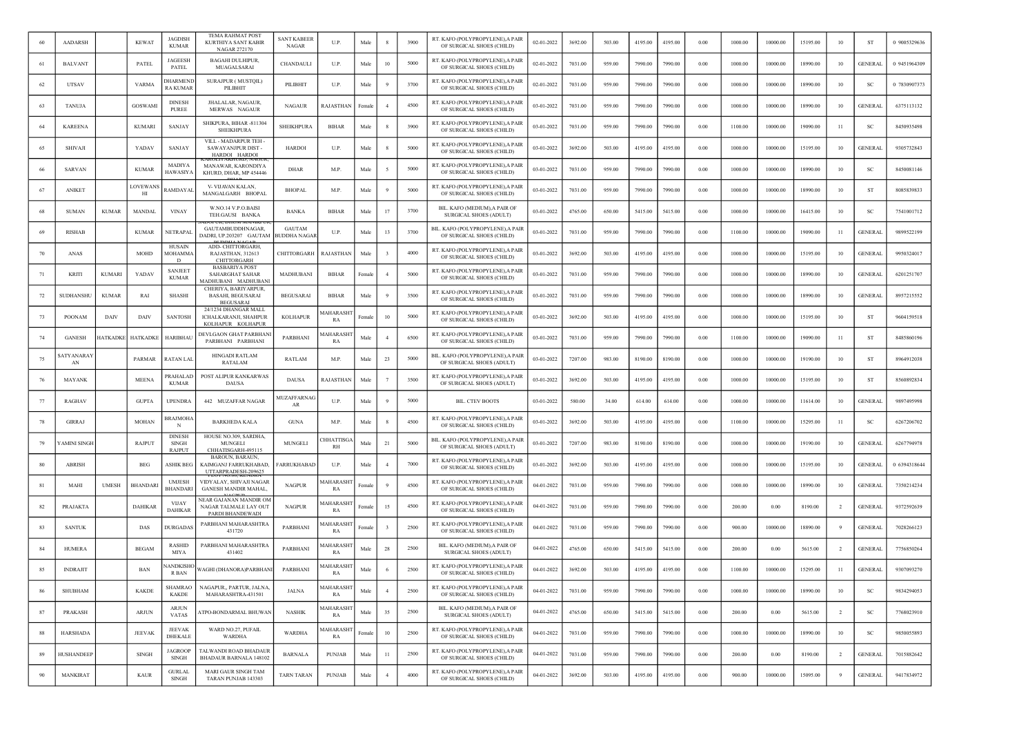| 60 | <b>AADARSH</b>         |                 | <b>KEWAT</b>    | <b>JAGDISH</b><br><b>KUMAR</b>          | TEMA RAHMAT POST<br>KURTHIYA SANT KABIR<br>NAGAR 272170                    | SANT KABEEF<br>NAGAR                 | U.P                   | Male   |                | 3900 | RT. KAFO (POLYPROPYLENE), A PAIR<br>OF SURGICAL SHOES (CHILD)  | 02-01-2022 | 3692.00 | 503.00 | 4195.00 | 4195.00 | 0.00 | 1000.00 | 10000.00 | 15195.00 | 10             | ST             | 0 9005329636 |
|----|------------------------|-----------------|-----------------|-----------------------------------------|----------------------------------------------------------------------------|--------------------------------------|-----------------------|--------|----------------|------|----------------------------------------------------------------|------------|---------|--------|---------|---------|------|---------|----------|----------|----------------|----------------|--------------|
| 61 | <b>BALVANT</b>         |                 | PATEL           | <b>JAGEESH</b><br>PATEL                 | <b>BAGAHI DULHIPUR,</b><br>MUAGALSARAI                                     | CHANDAULI                            | U.P.                  | Male   | 10             | 5000 | RT. KAFO (POLYPROPYLENE), A PAIR<br>OF SURGICAL SHOES (CHILD)  | 02-01-2022 | 7031.00 | 959.00 | 7990.00 | 7990.00 | 0.00 | 1000.00 | 10000.00 | 18990.00 | 10             | <b>GENERAL</b> | 0 9451964309 |
| 62 | <b>UTSAV</b>           |                 | <b>VARMA</b>    | <b>HARMENI</b><br>RA KUMAR              | <b>SURAJPUR (MUSTQIL)</b><br>PILIBHIT                                      | PILIBHIT                             | U.P.                  | Male   |                | 3700 | RT. KAFO (POLYPROPYLENE),A PAII<br>OF SURGICAL SHOES (CHILD)   | 02-01-2022 | 7031.00 | 959.00 | 7990.00 | 7990.00 | 0.00 | 1000.00 | 10000.00 | 18990.00 | 10             | <b>SC</b>      | 0 7830907373 |
| 63 | <b>TANUJA</b>          |                 | <b>GOSWAMI</b>  | <b>DINESH</b><br><b>PUREE</b>           | JHALALAR, NAGAUR<br>MERWAS NAGAUR                                          | <b>NAGAUR</b>                        | RAJASTHAN             | Femal  | $\overline{4}$ | 4500 | RT. KAFO (POLYPROPYLENE), A PAIR<br>OF SURGICAL SHOES (CHILD)  | 03-01-2022 | 7031.00 | 959.00 | 7990.00 | 7990.00 | 0.00 | 1000.00 | 10000.00 | 18990.00 | 10             | <b>GENERAL</b> | 6375113132   |
| 64 | <b>KAREENA</b>         |                 | <b>KUMARI</b>   | <b>SANJAY</b>                           | SHIKPURA, BIHAR -811304<br><b>SHEIKHPURA</b>                               | <b>SHEIKHPURA</b>                    | <b>BIHAR</b>          | Male   |                | 3900 | RT. KAFO (POLYPROPYLENE), A PAIR<br>OF SURGICAL SHOES (CHILD)  | 03-01-2022 | 7031.00 | 959.00 | 7990.00 | 7990.00 | 0.00 | 1100.00 | 10000.00 | 19090.00 | -11            | <b>SC</b>      | 8450935498   |
| 65 | <b>SHIVAJI</b>         |                 | YADAV           | SANJAY                                  | VILL - MADARPUR TEH -<br>SAWAYANJPUR DIST-<br>HARDOI HARDOI                | <b>HARDOI</b>                        | U.P.                  | Male   |                | 5000 | RT. KAFO (POLYPROPYLENE), A PAIR<br>OF SURGICAL SHOES (CHILD)  | 03-01-2022 | 3692.00 | 503.00 | 4195.00 | 4195.00 | 0.00 | 1000.00 | 10000.00 | 15195.00 | 10             | <b>GENERAL</b> | 9305732843   |
| 66 | <b>SARVAN</b>          |                 | <b>KUMAR</b>    | <b>MADIYA</b><br>HAWASIYA               | MANAWAR, KARONDIYA<br>KHURD, DHAR, MP 454446                               | <b>DHAR</b>                          | M.P.                  | Male   |                | 5000 | RT. KAFO (POLYPROPYLENE), A PAIR<br>OF SURGICAL SHOES (CHILD)  | 03-01-2022 | 7031.00 | 959.00 | 7990.00 | 7990.00 | 0.00 | 1000.00 | 10000.00 | 18990.00 | 10             | <sub>SC</sub>  | 8450081146   |
| 67 | <b>ANIKET</b>          |                 | LOVEWANS<br>ΗΙ  | <b>AMDAYAL</b>                          | V- VIJAVAN KALAN.<br>MANGALGARH BHOPAL                                     | <b>BHOPAL</b>                        | M.P.                  | Male   |                | 5000 | RT. KAFO (POLYPROPYLENE), A PAIR<br>OF SURGICAL SHOES (CHILD)  | 03-01-2022 | 7031.00 | 959.00 | 7990.00 | 7990.00 | 0.00 | 1000.00 | 10000.00 | 18990.00 | 10             | ST             | 8085839833   |
| 68 | <b>SUMAN</b>           | <b>KUMAR</b>    | MANDAL          | <b>VINAY</b>                            | W.NO.14 V.P.O.BAISI<br>TEH.GAUSI BANKA                                     | <b>BANKA</b>                         | <b>BIHAR</b>          | Male   | 17             | 3700 | BIL. KAFO (MEDIUM), A PAIR OF<br>SURGICAL SHOES (ADULT)        | 03-01-2022 | 4765.00 | 650.00 | 5415.00 | 5415.00 | 0.00 | 1000.00 | 10000.00 | 16415.00 | 10             | SC             | 7541001712   |
| 69 | <b>RISHAB</b>          |                 | <b>KUMAR</b>    | NETRAPAL                                | GAUTAMBUDDHNAGAR,<br>DADRI, UP.203207 GAUTAM                               | <b>GAUTAM</b><br><b>BUDDHA NAGAR</b> | U.P                   | Male   | 13             | 3700 | BIL. KAFO (POLYPROPYLENE),A PAIF<br>OF SURGICAL SHOES (CHILD)  | 03-01-2022 | 7031.00 | 959.00 | 7990.00 | 7990.00 | 0.00 | 1100.00 | 10000.00 | 19090.00 | -11            | <b>GENERAL</b> | 9899522199   |
| 70 | ANAS                   |                 | MOHD            | <b>HUSAIN</b><br>MOHAMMA<br>D           | ADD- CHITTORGARH,<br>RAJASTHAN, 312613<br><b>CHITTORGARH</b>               | CHITTORGARH                          | RAJASTHAN             | Mak    |                | 4000 | RT. KAFO (POLYPROPYLENE), A PAIR<br>OF SURGICAL SHOES (CHILD)  | 03-01-2022 | 3692.00 | 503.00 | 4195.00 | 4195.00 | 0.00 | 1000.00 | 10000.00 | 15195.00 | 10             | <b>GENERAL</b> | 9950324017   |
| 71 | <b>KRITI</b>           | <b>KUMARI</b>   | YADAV           | <b>SANJEET</b><br><b>KUMAR</b>          | <b>BASBARIYA POST</b><br><b>SAHARGHAT SAHAR</b><br>MADHUBANI MADHUBANI     | MADHUBANI                            | <b>BIHAR</b>          | Female | $\overline{4}$ | 5000 | RT. KAFO (POLYPROPYLENE), A PAIR<br>OF SURGICAL SHOES (CHILD)  | 03-01-2022 | 7031.00 | 959.00 | 7990.00 | 7990.00 | 0.00 | 1000.00 | 10000.00 | 18990.00 | 10             | <b>GENERAL</b> | 6201251707   |
| 72 | SUDHANSHU              | <b>KUMAR</b>    | RAI             | <b>SHASHI</b>                           | CHERIYA, BARIYARPUR,<br><b>BASAHI, BEGUSARAI</b><br><b>BEGUSARAI</b>       | <b>BEGUSARAI</b>                     | <b>BIHAR</b>          | Mak    |                | 3500 | RT. KAFO (POLYPROPYLENE), A PAIR<br>OF SURGICAL SHOES (CHILD)  | 03-01-2022 | 7031.00 | 959.00 | 7990.00 | 7990.00 | 0.00 | 1000.00 | 10000.00 | 18990.00 | 10             | <b>GENERAL</b> | 8957215552   |
| 73 | <b>POONAM</b>          | DAIV            | DAIV            | <b>SANTOSH</b>                          | 24/1234 DHANGAR MALL<br><b>ICHALKARANJI, SHAHPUR</b><br>KOLHAPUR KOLHAPUR  | <b>KOLHAPUR</b>                      | <b>AAHARASH</b><br>RA | ∃emale | 10             | 5000 | RT. KAFO (POLYPROPYLENE), A PAIR<br>OF SURGICAL SHOES (CHILD)  | 03-01-2022 | 3692.00 | 503.00 | 4195.00 | 4195.00 | 0.00 | 1000.00 | 10000.00 | 15195.00 | 10             | <b>ST</b>      | 9604159518   |
| 74 | <b>GANESH</b>          | <b>IATKADKI</b> | <b>HATKADKE</b> | HARIBHAU                                | DEVLGAON GHAT PARBHANI<br>PARBHANI PARBHANI                                | PARBHANI                             | <b>iaharash</b><br>RA | Mak    |                | 6500 | RT. KAFO (POLYPROPYLENE), A PAIR<br>OF SURGICAL SHOES (CHILD)  | 03-01-2022 | 7031.00 | 959.00 | 7990.00 | 7990.00 | 0.00 | 1100.00 | 10000.00 | 19090.00 | $_{11}$        | ST             | 8485860196   |
| 75 | <b>ATYANARAY</b><br>AN |                 | PARMAR          | <b>AATAN LAL</b>                        | <b>HINGADI RATLAM</b><br>RATALAM                                           | RATLAM                               | M.P.                  | Male   | 23             | 5000 | BIL. KAFO (POLYPROPYLENE), A PAIR<br>OF SURGICAL SHOES (ADULT) | 03-01-2022 | 7207.00 | 983.00 | 8190.00 | 8190.00 | 0.00 | 1000.00 | 10000.00 | 19190.00 | 10             | ST             | 8964912038   |
| 76 | <b>MAYANK</b>          |                 | <b>MEENA</b>    | PRAHALAD<br><b>KUMAR</b>                | POST ALIPUR KANKARWAS<br><b>DAUSA</b>                                      | <b>DAUSA</b>                         | RAJASTHAN             | Male   |                | 3500 | RT. KAFO (POLYPROPYLENE), A PAII<br>OF SURGICAL SHOES (ADULT)  | 03-01-2022 | 3692.00 | 503.00 | 4195.00 | 4195.00 | 0.00 | 1000.00 | 10000.00 | 15195.00 | 10             | ST             | 8560892834   |
| 77 | <b>RAGHAV</b>          |                 | <b>GUPTA</b>    | <b>UPENDRA</b>                          | 442 MUZAFFAR NAGAR                                                         | MUZAFFARNAC<br>AR                    | U.P.                  | Male   |                | 5000 | <b>BIL. CTEV BOOTS</b>                                         | 03-01-2022 | 580.00  | 34.00  | 614.00  | 614.00  | 0.00 | 1000.00 | 10000.00 | 11614.00 | 10             | <b>GENERAL</b> | 9897495998   |
| 78 | <b>GIRRAJ</b>          |                 | <b>MOHAN</b>    | 3RAJMOHA<br>N                           | <b>BARKHEDA KALA</b>                                                       | <b>GUNA</b>                          | M.P.                  | Male   |                | 4500 | RT. KAFO (POLYPROPYLENE), A PAIR<br>OF SURGICAL SHOES (CHILD)  | 03-01-2022 | 3692.00 | 503.00 | 4195.00 | 4195.00 | 0.00 | 1100.00 | 10000.00 | 15295.00 | -11            | -SC            | 6267206702   |
| 79 | 'AMINI SINGI           |                 | RAJPUT          | <b>DINESH</b><br><b>SINGH</b><br>RAJPUT | HOUSE NO.309, SARDHA,<br><b>MUNGELI</b><br>CHHATISGARH-495115              | MUNGELI                              | <b>HHATTISG</b><br>RH | Male   | 21             | 5000 | BIL. KAFO (POLYPROPYLENE).A PAIF<br>OF SURGICAL SHOES (ADULT)  | 03-01-2022 | 7207.00 | 983.00 | 8190.00 | 8190.00 | 0.00 | 1000.00 | 10000.00 | 19190.00 | 10             | <b>GENERAL</b> | 6267794978   |
| 80 | <b>ABRISH</b>          |                 | <b>BEG</b>      | <b>ASHIK BEG</b>                        | BAROUN, BARAUN,<br>KAIMGANJ FARRUKHABAD.<br>UTTARPRADESH-209625            | FARRUKHABAD                          | U.P                   | Male   |                | 7000 | RT. KAFO (POLYPROPYLENE), A PAIR<br>OF SURGICAL SHOES (CHILD)  | 03-01-2022 | 3692.00 | 503.00 | 4195.00 | 4195.00 | 0.00 | 1000.00 | 10000.00 | 15195.00 | 10             | <b>GENERAL</b> | 0 6394318644 |
| 81 | MAHI                   | <b>UMESH</b>    | <b>BHANDARI</b> | <b>UMJESH</b><br>BHANDARI               | UAN KENDRA<br>VIDYALAY, SHIVAJI NAGAR<br><b>GANESH MANDIR MAHAL,</b>       | <b>NAGPUR</b>                        | <b>AAHARASH</b><br>RA | emal   |                | 4500 | RT. KAFO (POLYPROPYLENE), A PAIR<br>OF SURGICAL SHOES (CHILD)  | 04-01-2022 | 7031.00 | 959.00 | 7990.00 | 7990.00 | 0.00 | 1000.00 | 10000.00 | 18990.00 | 10             | <b>GENERAL</b> | 7350214234   |
| 82 | PRAJAKTA               |                 | <b>DAHIKAR</b>  | <b>VIJAY</b><br><b>DAHIKAF</b>          | NEAR GAJANAN MANDIR OM<br><b>NAGAR TALMALE LAY OUT</b><br>PARDI BHANDEWADI | <b>NAGPUR</b>                        | MAHARASHT<br>RA       | ∃emale | 15             | 4500 | RT. KAFO (POLYPROPYLENE), A PAIR<br>OF SURGICAL SHOES (CHILD)  | 04-01-2022 | 7031.00 | 959.00 | 7990.00 | 7990.00 | 0.00 | 200.00  | 0.00     | 8190.00  | -2             | <b>GENERAL</b> | 9372592639   |
| 83 | <b>SANTUK</b>          |                 | DAS             | <b>DURGADAS</b>                         | PARBHANI MAHARASHTRA<br>431720                                             | PARBHANI                             | 4AHARASHT<br>RA       | ∃emale |                | 2500 | RT. KAFO (POLYPROPYLENE), A PAIR<br>OF SURGICAL SHOES (CHILD)  | 04-01-2022 | 7031.00 | 959.00 | 7990.00 | 7990.00 | 0.00 | 900.00  | 10000.00 | 18890.00 | -9             | <b>GENERAL</b> | 7028266123   |
| 84 | <b>HUMERA</b>          |                 | <b>BEGAM</b>    | <b>RASHID</b><br>MIYA                   | PARBHANI MAHARASHTRA<br>431402                                             | PARBHANI                             | <b>AAHARASH</b><br>RA | Male   | 28             | 2500 | BIL. KAFO (MEDIUM).A PAIR OI<br>SURGICAL SHOES (ADULT)         | 04-01-2022 | 4765.00 | 650.00 | 5415.00 | 5415.00 | 0.00 | 200.00  | 0.00     | 5615.00  | <sup>2</sup>   | <b>GENERAL</b> | 7756850264   |
| 85 | <b>INDRAJIT</b>        |                 | BAN             | <b>JANDKISHC</b><br>R BAN               | WAGHI (DHANORA)PARBHANI                                                    | PARBHANI                             | <b>MAHARASH</b><br>RA | Male   |                | 2500 | RT. KAFO (POLYPROPYLENE), A PAIR<br>OF SURGICAL SHOES (CHILD)  | 04-01-2022 | 3692.00 | 503.00 | 4195.00 | 4195.00 | 0.00 | 1100.00 | 10000.00 | 15295.00 | -11            | <b>GENERAL</b> | 9307093270   |
| 86 | <b>SHUBHAM</b>         |                 | <b>KAKDE</b>    | <b>SHAMRAO</b><br><b>KAKDE</b>          | NAGAPUR., PARTUR, JALNA,<br>MAHARASHTRA-431501                             | <b>JALNA</b>                         | MAHARASHT<br>RA       | Male   | $\overline{4}$ | 2500 | RT. KAFO (POLYPROPYLENE), A PAIR<br>OF SURGICAL SHOES (CHILD)  | 04-01-2022 | 7031.00 | 959.00 | 7990.00 | 7990.00 | 0.00 | 1000.00 | 10000.00 | 18990.00 | 10             | <b>SC</b>      | 9834294053   |
| 87 | PRAKASH                |                 | ARJUN           | <b>ARJUN</b><br><b>VATAS</b>            | <b>ATPO-BONDARMAL BHUWAN</b>                                               | <b>NASHIK</b>                        | MAHARASHT<br>RA       | Male   | 35             | 2500 | BIL. KAFO (MEDIUM), A PAIR OF<br>SURGICAL SHOES (ADULT)        | 04-01-2022 | 4765.00 | 650.00 | 5415.00 | 5415.00 | 0.00 | 200.00  | 0.00     | 5615.00  | $\overline{2}$ | <b>SC</b>      | 7768023910   |
| 88 | HARSHADA               |                 | <b>JEEVAK</b>   | <b>JEEVAK</b><br>DHEKALE                | WARD NO.27, PUFAIL<br>WARDHA                                               | <b>WARDHA</b>                        | MAHARASHT<br>RA       | Female | 10             | 2500 | RT. KAFO (POLYPROPYLENE), A PAIR<br>OF SURGICAL SHOES (CHILD)  | 04-01-2022 | 7031.00 | 959.00 | 7990.00 | 7990.00 | 0.00 | 1000.00 | 10000.00 | 18990.00 | 10             | SC             | 9850055893   |
| 89 | <b>HUSHANDEEP</b>      |                 | SINGH           | <b>JAGROOP</b><br><b>SINGH</b>          | TALWANDI ROAD BHADAUR<br><b>BHADAUR BARNALA 148102</b>                     | <b>BARNALA</b>                       | <b>PUNJAB</b>         | Male   | 11             | 2500 | RT. KAFO (POLYPROPYLENE), A PAIR<br>OF SURGICAL SHOES (CHILD)  | 04-01-2022 | 7031.00 | 959.00 | 7990.00 | 7990.00 | 0.00 | 200.00  | 0.00     | 8190.00  | <sup>2</sup>   | <b>GENERAL</b> | 7015882642   |
| 90 | MANKIRAT               |                 | <b>KAUR</b>     | <b>GURLAL</b><br><b>SINGH</b>           | MARI GAUR SINGH TAM<br>TARAN PUNJAB 143303                                 | <b>TARN TARAN</b>                    | PUNJAB                | Male   | $\overline{4}$ | 4000 | RT. KAFO (POLYPROPYLENE), A PAIR<br>OF SURGICAL SHOES (CHILD)  | 04-01-2022 | 3692.00 | 503.00 | 4195.00 | 4195.00 | 0.00 | 900.00  | 10000.00 | 15095.00 | -9             | <b>GENERAL</b> | 9417834972   |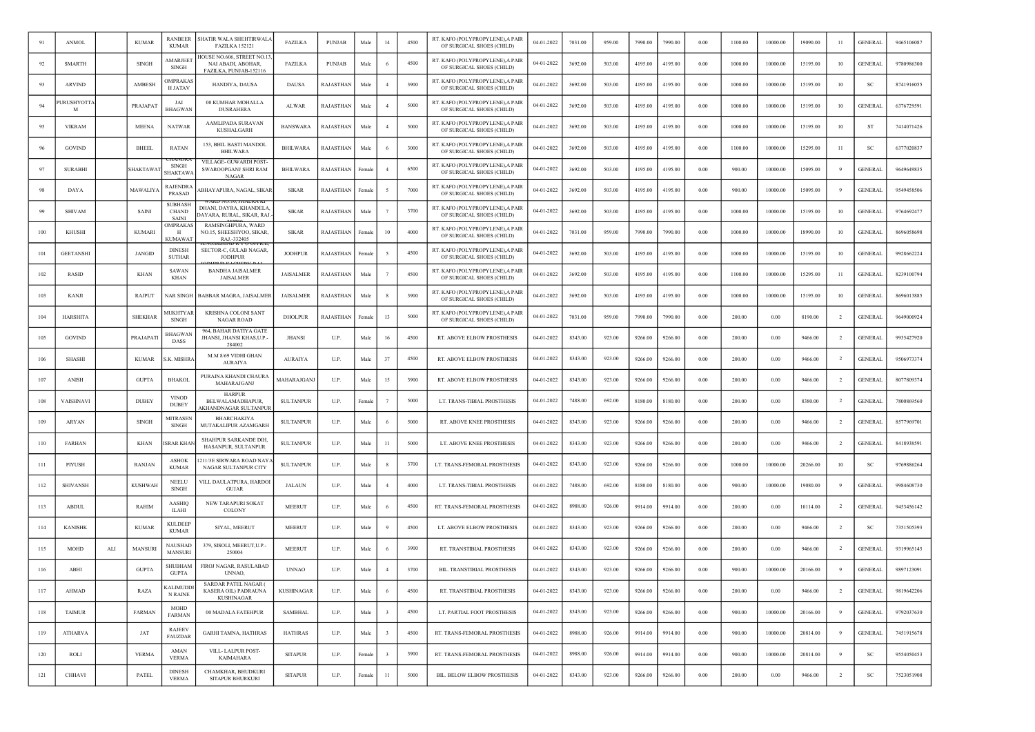| 91   | <b>ANMOL</b>     |     | <b>KUMAR</b>    | <b>RANBEER</b><br><b>KUMAR</b>          | SHATIR WALA SHEHTIRWALA<br><b>FAZILKA 152121</b>                           | <b>FAZILKA</b>    | <b>PUNJAB</b>    | Male   | 14                      | 4500 | RT. KAFO (POLYPROPYLENE), A PAIR<br>OF SURGICAL SHOES (CHILD) | 04-01-2022 | 7031.00 | 959.00 | 7990.00 | 7990.00 | 0.00       | 1100.00 | 10000.00 | 19090.00 | -11            | <b>GENERAL</b> | 9465106087 |
|------|------------------|-----|-----------------|-----------------------------------------|----------------------------------------------------------------------------|-------------------|------------------|--------|-------------------------|------|---------------------------------------------------------------|------------|---------|--------|---------|---------|------------|---------|----------|----------|----------------|----------------|------------|
| 92   | <b>SMARTH</b>    |     | <b>SINGH</b>    | <b>AMARJEE</b><br>SINGH                 | IOUSE NO.606, STREET NO.13<br>NAI ABADI, ABOHAR,<br>FAZILKA, PUNJAB-152116 | FAZILKA           | <b>PUNJAB</b>    | Male   |                         | 4500 | RT. KAFO (POLYPROPYLENE), A PAIR<br>OF SURGICAL SHOES (CHILD) | 04-01-2022 | 3692.00 | 503.00 | 4195.00 | 4195.00 | 0.00       | 1000.00 | 10000.00 | 15195.00 | 10             | <b>GENERAL</b> | 9780986300 |
| 93   | <b>ARVIND</b>    |     | AMBESH          | <b>MPRAKA</b><br><b>H JATAV</b>         | HANDIYA, DAUSA                                                             | <b>DAUSA</b>      | RAJASTHAN        | Male   |                         | 3900 | RT. KAFO (POLYPROPYLENE),A PAIF<br>OF SURGICAL SHOES (CHILD)  | 04-01-2022 | 3692.00 | 503.00 | 4195.00 | 4195.00 | 0.00       | 1000.00 | 10000.00 | 15195.00 | 10             | <b>SC</b>      | 8741916055 |
| 94   | URUSHYOTTA<br>M  |     | PRAJAPAT        | JAI<br><b>BHAGWA</b>                    | 00 KUMHAR MOHALLA<br>DUSRAHERA                                             | <b>ALWAR</b>      | RAJASTHAN        | Male   |                         | 5000 | RT. KAFO (POLYPROPYLENE), A PAIR<br>OF SURGICAL SHOES (CHILD) | 04-01-2022 | 3692.00 | 503.00 | 4195.00 | 4195.00 | 0.00       | 1000.00 | 10000.00 | 15195.00 | 10             | <b>GENERAL</b> | 6376729591 |
| 95   | <b>VIKRAM</b>    |     | <b>MEENA</b>    | <b>NATWAR</b>                           | AAMLIPADA SURAVAN<br><b>KUSHALGARH</b>                                     | <b>BANSWARA</b>   | RAJASTHAN        | Male   |                         | 5000 | RT. KAFO (POLYPROPYLENE), A PAIR<br>OF SURGICAL SHOES (CHILD) | 04-01-2022 | 3692.00 | 503.00 | 4195.00 | 4195.00 | 0.00       | 1000.00 | 10000.00 | 15195.00 | 10             | - ST           | 7414071426 |
| 96   | <b>GOVIND</b>    |     | <b>BHEEL</b>    | <b>RATAN</b>                            | 153, BHIL BASTI MANDOL<br><b>BHILWARA</b>                                  | <b>BHILWARA</b>   | RAJASTHAN        | Male   |                         | 3000 | RT. KAFO (POLYPROPYLENE), A PAIR<br>OF SURGICAL SHOES (CHILD) | 04-01-2022 | 3692.00 | 503.00 | 4195.00 | 4195.00 | 0.00       | 1100.00 | 10000.00 | 15295.00 | 11             | SC             | 6377020837 |
| 97   | <b>SURABHI</b>   |     | <b>SHAKTAWA</b> | SINGH<br><b>SHAKTAW</b>                 | VILLAGE- GUWARDI POST-<br>SWAROOPGANJ SHRI RAM<br>NAGAR                    | <b>BHILWARA</b>   | RAJASTHAN        | Female |                         | 6500 | RT. KAFO (POLYPROPYLENE), A PAIR<br>OF SURGICAL SHOES (CHILD) | 04-01-2022 | 3692.00 | 503.00 | 4195.00 | 4195.00 | 0.00       | 900.00  | 10000.00 | 15095.00 | 9              | <b>GENERAL</b> | 9649649835 |
| 98   | <b>DAYA</b>      |     | <b>MAWALIYA</b> | RAJENDRA<br><b>PRASAD</b>               | ABHAYAPURA, NAGAL, SIKAF                                                   | <b>SIKAR</b>      | RAJASTHAN        | Female |                         | 7000 | RT. KAFO (POLYPROPYLENE),A PAIR<br>OF SURGICAL SHOES (CHILD)  | 04-01-2022 | 3692.00 | 503.00 | 4195.00 | 4195.00 | 0.00       | 900.00  | 10000.00 | 15095.00 | -9             | <b>GENERAL</b> | 9549458506 |
| 99   | <b>SHIVAM</b>    |     | <b>SAINI</b>    | <b>SUBHASH</b><br><b>CHAND</b><br>SAINI | DHANI, DAYRA, KHANDELA<br>DAYARA, RURAL, SIKAR, RAJ                        | <b>SIKAR</b>      | RAJASTHAN        | Male   |                         | 3700 | RT. KAFO (POLYPROPYLENE), A PAIR<br>OF SURGICAL SHOES (CHILD) | 04-01-2022 | 3692.00 | 503.00 | 4195.00 | 4195.00 | 0.00       | 1000.00 | 10000.00 | 15195.00 | 10             | <b>GENERAL</b> | 9764692477 |
| 100  | <b>KHUSHI</b>    |     | <b>KUMARI</b>   | <b>DMPRAKA</b><br>- H<br><b>KUMAWA</b>  | RAMSINGHPURA, WARD<br>NO.15, SHEESHYOO, SIKAR<br>RAJ.-332405               | <b>SIKAR</b>      | RAJASTHAN        | Female | 10                      | 4000 | RT. KAFO (POLYPROPYLENE),A PAIF<br>OF SURGICAL SHOES (CHILD)  | 04-01-2022 | 7031.00 | 959.00 | 7990.00 | 7990.00 | 0.00       | 1000.00 | 10000.00 | 18990.00 | 10             | <b>GENERAL</b> | 8696058698 |
| 101  | <b>GEETANSHI</b> |     | <b>JANGID</b>   | <b>DINESH</b><br><b>SUTHAR</b>          | SECTOR-C, GULAB NAGAR,<br><b>JODHPUR</b>                                   | <b>JODHPUR</b>    | RAJASTHAN        | Femal  |                         | 4500 | RT. KAFO (POLYPROPYLENE), A PAIR<br>OF SURGICAL SHOES (CHILD) | 04-01-2022 | 3692.00 | 503.00 | 4195.00 | 4195.00 | 0.00       | 1000.00 | 10000.00 | 15195.00 | 10             | <b>GENERAL</b> | 9928662224 |
| 102  | RASID            |     | <b>KHAN</b>     | <b>SAWAN</b><br><b>KHAN</b>             | <b>BANDHA JAISALMER</b><br><b>JAISALMER</b>                                | JAISALMER         | RAJASTHAN        | Male   |                         | 4500 | RT. KAFO (POLYPROPYLENE), A PAIR<br>OF SURGICAL SHOES (CHILD) | 04-01-2022 | 3692.00 | 503.00 | 4195.00 | 4195.00 | 0.00       | 1100.00 | 10000.00 | 15295.00 | -11            | <b>GENERAL</b> | 8239100794 |
| 103  | KANJI            |     | RAJPUT          | NAR SINGH                               | BABBAR MAGRA, JAISALMER                                                    | JAISALMER         | RAJASTHAN        | Male   |                         | 3900 | RT. KAFO (POLYPROPYLENE), A PAIR<br>OF SURGICAL SHOES (CHILD) | 04-01-2022 | 3692.00 | 503.00 | 4195.00 | 4195.00 | 0.00       | 1000.00 | 10000.00 | 15195.00 | 10             | <b>GENERAL</b> | 8696013885 |
| 104  | <b>HARSHITA</b>  |     | <b>SHEKHAR</b>  | <b>MUKHTYAF</b><br><b>SINGH</b>         | <b>KRISHNA COLONI SANT</b><br><b>NAGAR ROAD</b>                            | <b>DHOLPUR</b>    | <b>RAJASTHAN</b> | Female | 13                      | 5000 | RT. KAFO (POLYPROPYLENE), A PAIR<br>OF SURGICAL SHOES (CHILD) | 04-01-2022 | 7031.00 | 959.00 | 7990.00 | 7990.00 | 0.00       | 200.00  | 0.00     | 8190.00  | 2              | <b>GENERAL</b> | 9649000924 |
| 105  | <b>GOVIND</b>    |     | PRAJAPATI       | BHAGWAN<br>DASS                         | 964, BAHAR DATIYA GATE<br>JHANSI, JHANSI KHAS, U.P.<br>284002              | <b>JHANSI</b>     | U.P.             | Male   | 16                      | 4500 | RT. ABOVE ELBOW PROSTHESIS                                    | 04-01-2022 | 8343.00 | 923.00 | 9266.00 | 9266.00 | 0.00       | 200.00  | 0.00     | 9466.00  | $\overline{2}$ | <b>GENERAL</b> | 9935427920 |
| 106  | SHASHI           |     | <b>KUMAR</b>    | K. MISHR                                | M.M 8/69 VIDHI GHAN<br>AURAIYA                                             | <b>AURAIYA</b>    | U.P.             | Male   | 37                      | 4500 | RT. ABOVE ELBOW PROSTHESIS                                    | 04-01-2022 | 8343.00 | 923.00 | 9266.00 | 9266.00 | 0.00       | 200.00  | 0.00     | 9466.00  | $\overline{2}$ | <b>GENERAL</b> | 9506973374 |
| 107  | <b>ANISH</b>     |     | <b>GUPTA</b>    | <b>BHAKOI</b>                           | PURAINA KHANDI CHAURA<br>MAHARAJGANJ                                       | MAHARAJGANJ       | U.P.             | Male   | 15                      | 3900 | RT. ABOVE ELBOW PROSTHESIS                                    | 04-01-2022 | 8343.00 | 923.00 | 9266.00 | 9266.00 | 0.00       | 200.00  | 0.00     | 9466.00  | $\overline{2}$ | <b>GENERAL</b> | 8077809374 |
| 108  | VAISHNAVI        |     | <b>DUBEY</b>    | <b>VINOD</b><br><b>DUBEY</b>            | <b>HARPUR</b><br>BELWALAMADHAPUR,<br>KHANDNAGAR SULTANPUR                  | <b>SULTANPUR</b>  | U.P.             | Female |                         | 5000 | LT. TRANS-TIBIAL PROSTHESIS                                   | 04-01-2022 | 7488.00 | 692.00 | 8180.00 | 8180.00 | 0.00       | 200.00  | 0.00     | 8380.00  | $\overline{2}$ | <b>GENERAL</b> | 7800869560 |
| 109  | ARYAN            |     | <b>SINGH</b>    | <b>MITRASEN</b><br><b>SINGH</b>         | BHARCHAKIYA<br>MUTAKALIPUR AZAMGARH                                        | <b>SULTANPUR</b>  | U.P.             | Male   |                         | 5000 | RT. ABOVE KNEE PROSTHESIS                                     | 04-01-2022 | 8343.00 | 923.00 | 9266.00 | 9266.00 | 0.00       | 200.00  | 0.00     | 9466.00  | -2             | GENERAI        | 8577969701 |
| 110  | <b>FARHAN</b>    |     | <b>KHAN</b>     | SRAR KHAN                               | SHAHPUR SARKANDE DIH,<br>HASANPUR, SULTANPUR                               | <b>SULTANPUR</b>  | U.P.             | Male   | 11                      | 5000 | LT. ABOVE KNEE PROSTHESIS                                     | 04-01-2022 | 8343.00 | 923.00 | 9266.00 | 9266.00 | 0.00       | 200.00  | 0.00     | 9466.00  | $\overline{2}$ | <b>GENERAL</b> | 8418938591 |
| -111 | PIYUSH           |     | <b>RANJAN</b>   | <b>ASHOK</b><br><b>KUMAR</b>            | 211/3E SIRWARA ROAD NAY<br>NAGAR SULTANPUR CITY                            | <b>SULTANPUR</b>  | U.P.             | Male   |                         | 3700 | LT. TRANS-FEMORAL PROSTHESIS                                  | 04-01-2022 | 8343.00 | 923.00 | 9266.00 | 9266.00 | 0.00       | 1000.00 | 10000.00 | 20266.00 | 10             | <b>SC</b>      | 9769886264 |
| 112  | <b>SHIVANSH</b>  |     | <b>KUSHWAH</b>  | <b>NEELU</b><br>SINGH                   | VILL DAULATPURA, HARDOI<br><b>GUJAR</b>                                    | <b>JALAUN</b>     | U.P.             | Male   |                         | 4000 | LT. TRANS-TIBIAL PROSTHESIS                                   | 04-01-2022 | 7488.00 | 692.00 | 8180.00 | 8180.00 | 0.00       | 900.00  | 10000.00 | 19080.00 | - 9            | <b>GENERAL</b> | 9984608730 |
| 113  | <b>ABDUL</b>     |     | RAHIM           | <b>AASHIO</b><br><b>ILAHI</b>           | NEW TARAPURI SOKAT<br>COLONY                                               | <b>MEERUT</b>     | U.P.             | Male   |                         | 4500 | RT. TRANS-FEMORAL PROSTHESIS                                  | 04-01-2022 | 8988.00 | 926.00 | 9914.00 | 9914.00 | 0.00       | 200.00  | 0.00     | 10114.00 | $\overline{2}$ | <b>GENERAL</b> | 9453456142 |
| 114  | <b>KANISHK</b>   |     | <b>KUMAR</b>    | <b>KULDEEP</b><br><b>KUMAR</b>          | SIYAL, MEERUT                                                              | <b>MEERUT</b>     | U.P.             | Male   |                         | 4500 | LT. ABOVE ELBOW PROSTHESIS                                    | 04-01-2022 | 8343.00 | 923.00 | 9266.00 | 9266.00 | 0.00       | 200.00  | 0.00     | 9466.00  | $\overline{2}$ | SC             | 7351505393 |
| 115  | MOHD             | ALI | MANSURI         | <b>NAUSHAD</b><br><b>MANSURI</b>        | 379, SISOLI, MEERUT, U.P.<br>250004                                        | <b>MEERUT</b>     | U.P.             | Male   |                         | 3900 | RT. TRANSTIBIAL PROSTHESIS                                    | 04-01-2022 | 8343.00 | 923.00 | 9266.00 | 9266.00 | 0.00       | 200.00  | 0.00     | 9466.00  | $\overline{2}$ | <b>GENERAL</b> | 9319965145 |
| 116  | ABHI             |     | <b>GUPTA</b>    | <b>SHUBHAN</b><br><b>GUPTA</b>          | FIROJ NAGAR, RASULABAD<br>UNNAO.                                           | <b>UNNAO</b>      | U.P.             | Male   | $\overline{4}$          | 3700 | BIL. TRANSTIBIAL PROSTHESIS                                   | 04-01-2022 | 8343.00 | 923.00 | 9266.00 | 9266.00 | 0.00       | 900.00  | 10000.00 | 20166.00 | -9             | <b>GENERAL</b> | 9897123091 |
| 117  | AHMAD            |     | RAZA            | KALIMUDDI<br>N RAINE                    | SARDAR PATEL NAGAR (<br>KASERA OIL) PADRAUNA<br><b>KUSHINAGAR</b>          | <b>KUSHINAGAR</b> | U.P.             | Male   |                         | 4500 | RT. TRANSTIBIAL PROSTHESIS                                    | 04-01-2022 | 8343.00 | 923.00 | 9266.00 | 9266.00 | $\rm 0.00$ | 200.00  | $0.00\,$ | 9466.00  | $\overline{2}$ | <b>GENERAL</b> | 9819642206 |
| 118  | <b>TAIMUR</b>    |     | <b>FARMAN</b>   | <b>MOHD</b><br><b>FARMAN</b>            | 00 MADALA FATEHPUR                                                         | <b>SAMBHAL</b>    | U.P.             | Male   | $\overline{\mathbf{3}}$ | 4500 | LT. PARTIAL FOOT PROSTHESIS                                   | 04-01-2022 | 8343.00 | 923.00 | 9266.00 | 9266.00 | $0.00\,$   | 900.00  | 10000.00 | 20166.00 | 9              | <b>GENERAL</b> | 9792037630 |
| 119  | <b>ATHARVA</b>   |     | JAT             | <b>RAJEEV</b><br><b>FAUZDAR</b>         | <b>GARHI TAMNA, HATHRAS</b>                                                | <b>HATHRAS</b>    | U.P.             | Male   | $\overline{\mathbf{3}}$ | 4500 | RT. TRANS-FEMORAL PROSTHESIS                                  | 04-01-2022 | 8988.00 | 926.00 | 9914.00 | 9914.00 | $0.00\,$   | 900.00  | 10000.00 | 20814.00 | 9              | <b>GENERAL</b> | 7451915678 |
| 120  | ROLI             |     | <b>VERMA</b>    | AMAN<br><b>VERMA</b>                    | VILL-LALPUR POST-<br>KAIMAHARA                                             | <b>SITAPUR</b>    | U.P.             | Female | $\overline{\mathbf{3}}$ | 3900 | RT. TRANS-FEMORAL PROSTHESIS                                  | 04-01-2022 | 8988.00 | 926.00 | 9914.00 | 9914.00 | 0.00       | 900.00  | 10000.00 | 20814.00 | 9              | <b>SC</b>      | 9554050453 |
| 121  | CHHAVI           |     | PATEL           | <b>DINESH</b><br><b>VERMA</b>           | CHAMKHAR, BHUDKURI<br>SITAPUR BHURKURI                                     | <b>SITAPUR</b>    | U.P.             | Female | 11                      | 5000 | BIL. BELOW ELBOW PROSTHESIS                                   | 04-01-2022 | 8343.00 | 923.00 | 9266.00 | 9266.00 | 0.00       | 200.00  | 0.00     | 9466.00  | $\overline{2}$ | SC             | 7523051908 |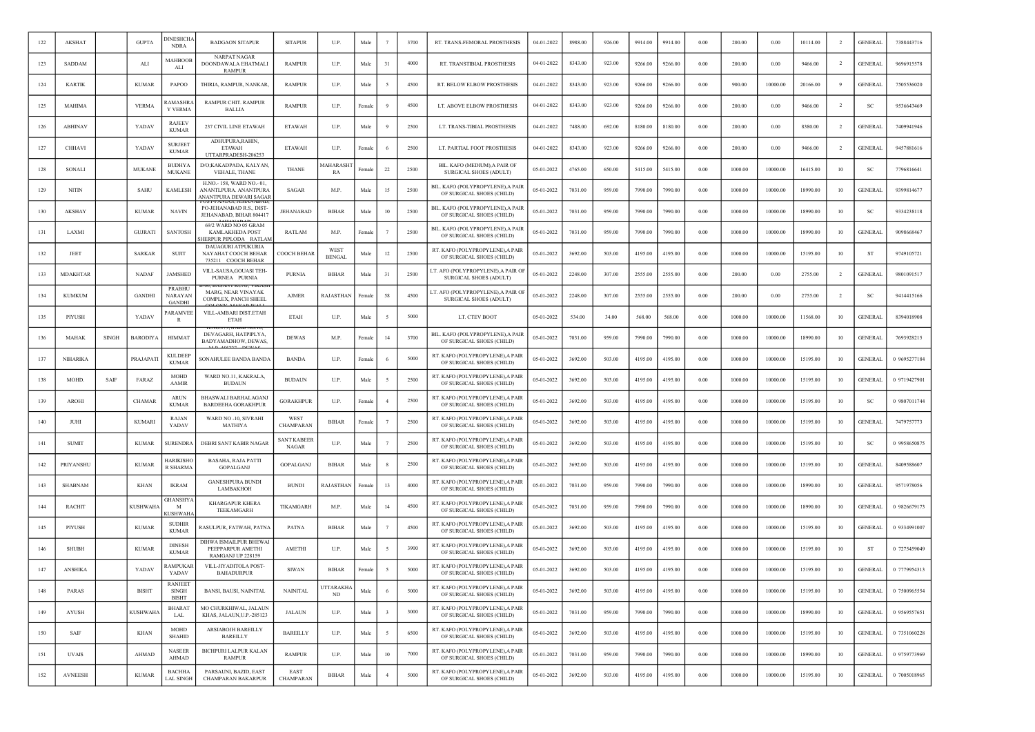| 122 | <b>AKSHAT</b>    |              | <b>GUPTA</b>    | <b>DINESHCH</b><br><b>NDRA</b>         | <b>BADGAON SITAPUR</b>                                                         | <b>SITAPUR</b>                     | U.P.                         | Male   |                | 3700 | RT. TRANS-FEMORAL PROSTHESIS                                       | 04-01-2022 | 8988.00 | 926.00 | 9914.00 | 9914.00 | 0.00 | 200.00  | 0.00     | 10114.00 | $\overline{2}$ | <b>GENERAL</b> | 7388443716   |
|-----|------------------|--------------|-----------------|----------------------------------------|--------------------------------------------------------------------------------|------------------------------------|------------------------------|--------|----------------|------|--------------------------------------------------------------------|------------|---------|--------|---------|---------|------|---------|----------|----------|----------------|----------------|--------------|
| 123 | SADDAM           |              | ALI             | <b>AAHBOOB</b><br>ALI                  | <b>NARPAT NAGAR</b><br>DOONDAWALA EHATMALI<br><b>RAMPUR</b>                    | <b>RAMPUR</b>                      | U.P.                         | Male   | 31             | 4000 | RT. TRANSTIBIAL PROSTHESIS                                         | 04-01-2022 | 8343.00 | 923.00 | 9266.00 | 9266.00 | 0.00 | 200.00  | 0.00     | 9466.00  | $\overline{2}$ | <b>GENERAL</b> | 9696915578   |
| 124 | <b>KARTIK</b>    |              | <b>KUMAR</b>    | PAPOO                                  | THIRIA, RAMPUR, NANKAR                                                         | <b>RAMPUR</b>                      | U.P.                         | Male   |                | 4500 | RT. BELOW ELBOW PROSTHESIS                                         | 04-01-2022 | 8343.00 | 923.00 | 9266.00 | 9266.00 | 0.00 | 900.00  | 10000.00 | 20166.00 |                | <b>GENERAL</b> | 7505536020   |
| 125 | MAHIMA           |              | <b>VERMA</b>    | :AMASHR<br>Y VERMA                     | RAMPUR CHIT. RAMPUR<br>BALLIA                                                  | <b>RAMPUR</b>                      | U.P.                         | Female |                | 4500 | LT. ABOVE ELBOW PROSTHESIS                                         | 04-01-2022 | 8343.00 | 923.00 | 9266.00 | 9266.00 | 0.00 | 200.00  | 0.00     | 9466.00  | $\overline{2}$ | SC             | 9536643469   |
| 126 | <b>ABHINAV</b>   |              | YADAV           | <b>RAJEEV</b><br><b>KUMAR</b>          | 237 CIVIL LINE ETAWAH                                                          | <b>ETAWAH</b>                      | U.P.                         | Male   |                | 2500 | LT. TRANS-TIBIAL PROSTHESIS                                        | 04-01-2022 | 7488.00 | 692.00 | 8180.00 | 8180.00 | 0.00 | 200.00  | 0.00     | 8380.00  |                | <b>GENERAL</b> | 7409941946   |
| 127 | CHHAVI           |              | YADAV           | <b>SURJEET</b><br><b>KUMAR</b>         | ADHUPURA, RAHIN,<br><b>ETAWAH</b><br>UTTARPRADESH-206257                       | <b>ETAWAH</b>                      | U.P.                         | Femal  |                | 2500 | LT. PARTIAL FOOT PROSTHESIS                                        | 04-01-2022 | 8343.00 | 923.00 | 9266.00 | 9266.00 | 0.00 | 200.00  | 0.00     | 9466.00  | <sup>2</sup>   | <b>GENERAL</b> | 9457881616   |
| 128 | SONALI           |              | <b>MUKANE</b>   | <b>BUDHYA</b><br><b>MUKANE</b>         | D/O;KAKADPADA, KALYAN<br><b>VEHALE, THANE</b>                                  | <b>THANE</b>                       | MAHARASH<br>RA               | `emal  | 22             | 2500 | BIL. KAFO (MEDIUM), A PAIR OF<br>SURGICAL SHOES (ADULT)            | 05-01-2022 | 4765.00 | 650.00 | 5415.00 | 5415.00 | 0.00 | 1000.00 | 10000.00 | 16415.00 | 10             | SC             | 7796816641   |
| 129 | <b>NITIN</b>     |              | SAHU            | <b>KAMLESH</b>                         | H.NO.-158, WARD NO.-01<br>ANANTLPURA. ANANTPURA<br>ANANTPURA DEWARI SAGAR      | <b>SAGAR</b>                       | M.P                          | Male   | 15             | 2500 | BIL. KAFO (POLYPROPYLENE).A PAIR<br>OF SURGICAL SHOES (CHILD)      | 05-01-2022 | 7031.00 | 959.00 | 7990.00 | 7990.00 | 0.00 | 1000.00 | 10000.00 | 18990.00 | 10             | <b>GENERAL</b> | 9399814677   |
| 130 | AKSHAY           |              | <b>KUMAR</b>    | <b>NAVIN</b>                           | PO-JEHANABAD R.S., DIST-<br>JEHANABAD, BIHAR 804417                            | JEHANABAD                          | <b>BIHAR</b>                 | Male   | 10             | 2500 | BIL. KAFO (POLYPROPYLENE),A PAIR<br>OF SURGICAL SHOES (CHILD)      | 05-01-2022 | 7031.00 | 959.00 | 7990.00 | 7990.00 | 0.00 | 1000.00 | 10000.00 | 18990.00 | 10             | <sub>SC</sub>  | 9334238118   |
| 131 | LAXMI            |              | <b>GUJRATI</b>  | <b>SANTOSH</b>                         | 69/2 WARD NO 05 GRAM<br><b>KAMLAKHEDA POST</b><br><b>IERPUR PIPLODA RATLAM</b> | RATLAM                             | M.P.                         | Female |                | 2500 | BIL. KAFO (POLYPROPYLENE),A PAIR<br>OF SURGICAL SHOES (CHILD)      | 05-01-2022 | 7031.00 | 959.00 | 7990.00 | 7990.00 | 0.00 | 1000.00 | 10000.00 | 18990.00 | 10             | <b>GENERAL</b> | 9098668467   |
| 132 | JEET             |              | <b>SARKAR</b>   | SUJIT                                  | DAUAGURI ATPUKURIA<br>NAYAHAT COOCH BEHAR<br>735211 COOCH BEHAR                | COOCH BEHAR                        | <b>WEST</b><br><b>BENGAL</b> | Male   | 12             | 2500 | RT. KAFO (POLYPROPYLENE), A PAIR<br>OF SURGICAL SHOES (CHILD)      | 05-01-2022 | 3692.00 | 503.00 | 4195.00 | 4195.00 | 0.00 | 1000.00 | 10000.00 | 15195.00 | 10             | ST             | 9749105721   |
| 133 | <b>MDAKHTAR</b>  |              | <b>NADAF</b>    | <b>JAMSHED</b>                         | VILL-SAUSA, GOUASI TEH-<br>PURNEA PURNIA                                       | <b>PURNIA</b>                      | <b>BIHAR</b>                 | Male   | 31             | 2500 | T. AFO (POLYPROPYLENE), A PAIR OF<br><b>SURGICAL SHOES (ADULT)</b> | 05-01-2022 | 2248.00 | 307.00 | 2555.00 | 2555.00 | 0.00 | 200.00  | 0.00     | 2755.00  | -2             | <b>GENERAL</b> | 9801091517   |
| 134 | <b>KUMKUM</b>    |              | <b>GANDHI</b>   | PRABHU<br>NARAYAN<br><b>GANDHI</b>     | 90. BASAINI KUNJ. VIKAS<br>MARG, NEAR VINAYAK<br>COMPLEX, PANCH SHEEL          | AJMER                              | RAJASTHAN                    | Femal  | 58             | 4500 | LT. AFO (POLYPROPYLENE), A PAIR OI<br>SURGICAL SHOES (ADULT)       | 05-01-2022 | 2248.00 | 307.00 | 2555.00 | 2555.00 | 0.00 | 200.00  | 0.00     | 2755.00  | $\overline{2}$ | SC             | 9414415166   |
| 135 | PIYUSH           |              | YADAV           | <b>PARAMVEE</b><br>R                   | VILL-AMBARI DIST.ETAH<br><b>ETAH</b>                                           | <b>ETAH</b>                        | U.P.                         | Male   |                | 5000 | LT. CTEV BOOT                                                      | 05-01-2022 | 534.00  | 34.00  | 568.00  | 568.00  | 0.00 | 1000.00 | 10000.00 | 11568.00 | 10             | <b>GENERAL</b> | 8394018908   |
| 136 | MAHAK            | <b>SINGH</b> | BARODIYA        | <b>HIMMAT</b>                          | DEVAGARH, HATPIPLYA,<br>BADYAMADHOW, DEWAS                                     | <b>DEWAS</b>                       | M.P.                         | Female | 14             | 3700 | BIL. KAFO (POLYPROPYLENE), A PAIR<br>OF SURGICAL SHOES (CHILD)     | 05-01-2022 | 7031.00 | 959.00 | 7990.00 | 7990.00 | 0.00 | 1000.00 | 10000.00 | 18990.00 | 10             | <b>GENERAL</b> | 7693928215   |
| 137 | <b>NIHARIKA</b>  |              | PRAJAPATI       | <b>KULDEEF</b><br><b>KUMAR</b>         | SONAHULEE BANDA BANDA                                                          | <b>BANDA</b>                       | U.P.                         | Female |                | 5000 | RT. KAFO (POLYPROPYLENE), A PAIR<br>OF SURGICAL SHOES (CHILD)      | 05-01-2022 | 3692.00 | 503.00 | 4195.00 | 4195.00 | 0.00 | 1000.00 | 10000.00 | 15195.00 | 10             | <b>GENERAL</b> | 0 9695277184 |
| 138 | MOHD.            | SAIF         | FARAZ           | <b>MOHD</b><br><b>AAMIR</b>            | WARD NO.11, KAKRALA,<br><b>BUDAUN</b>                                          | <b>BUDAUN</b>                      | U.P.                         | Male   |                | 2500 | RT. KAFO (POLYPROPYLENE),A PAIF<br>OF SURGICAL SHOES (CHILD)       | 05-01-2022 | 3692.00 | 503.00 | 4195.00 | 4195.00 | 0.00 | 1000.00 | 10000.00 | 15195.00 | 10             | <b>GENERAL</b> | 0 9719427901 |
| 139 | <b>AROHI</b>     |              | <b>CHAMAR</b>   | <b>ARUN</b><br><b>KUMAR</b>            | <b>BHASWALI BARHALAGANJ</b><br><b>BARDEEHA GORAKHPUR</b>                       | <b>GORAKHPUR</b>                   | U.P.                         | Female |                | 2500 | RT. KAFO (POLYPROPYLENE), A PAIR<br>OF SURGICAL SHOES (CHILD)      | 05-01-2022 | 3692.00 | 503.00 | 4195.00 | 4195.00 | 0.00 | 1000.00 | 10000.00 | 15195.00 | 10             | <sub>SC</sub>  | 0 9807011744 |
| 140 | JUHI             |              | <b>KUMARI</b>   | RAJAN<br>YADAV                         | WARD NO -10, SIVRAHI<br>MATHIYA                                                | WEST<br>CHAMPARAN                  | <b>BIHAR</b>                 | Female |                | 2500 | RT. KAFO (POLYPROPYLENE), A PAIR<br>OF SURGICAL SHOES (CHILD)      | 05-01-2022 | 3692.00 | 503.00 | 4195.00 | 4195.00 | 0.00 | 1000.00 | 10000.00 | 15195.00 | 10             | GENERAI        | 7479757773   |
| 141 | <b>SUMIT</b>     |              | <b>KUMAR</b>    | SURENDRA                               | DEBRI SANT KABIR NAGAR                                                         | <b>SANT KABEER</b><br><b>NAGAR</b> | U.P.                         | Male   |                | 2500 | RT. KAFO (POLYPROPYLENE), A PAIR<br>OF SURGICAL SHOES (CHILD)      | 05-01-2022 | 3692.00 | 503.00 | 4195.00 | 4195.00 | 0.00 | 1000.00 | 10000.00 | 15195.00 | 10             | SC             | 0 9958650875 |
| 142 | <b>PRIYANSHU</b> |              | <b>KUMAR</b>    | HARIKISHC<br>R SHARMA                  | <b>BASAHA, RAJA PATTI</b><br><b>GOPALGANJ</b>                                  | <b>GOPALGANJ</b>                   | <b>BIHAR</b>                 | Male   |                | 2500 | RT. KAFO (POLYPROPYLENE), A PAIR<br>OF SURGICAL SHOES (CHILD)      | 05-01-2022 | 3692.00 | 503.00 | 4195.00 | 4195.00 | 0.00 | 1000.00 | 10000.00 | 15195.00 | 10             | <b>GENERAL</b> | 8409588607   |
| 143 | SHABNAM          |              | <b>KHAN</b>     | <b>IKRAM</b>                           | <b>GANESHPURA BUNDI</b><br>LAMBAKHOH                                           | <b>BUNDI</b>                       | RAJASTHAN                    | Female | 13             | 4000 | RT. KAFO (POLYPROPYLENE), A PAIR<br>OF SURGICAL SHOES (CHILD)      | 05-01-2022 | 7031.00 | 959.00 | 7990.00 | 7990.00 | 0.00 | 1000.00 | 10000.00 | 18990.00 | 10             | <b>GENERAL</b> | 9571978056   |
| 144 | <b>RACHIT</b>    |              | <b>KUSHWAHA</b> | GHANSHY<br>M<br><b>USHWAH</b>          | <b>KHARGAPUR KHERA</b><br><b>TEEKAMGARH</b>                                    | TIKAMGARH                          | M.P.                         | Male   | 14             | 4500 | RT. KAFO (POLYPROPYLENE), A PAIR<br>OF SURGICAL SHOES (CHILD)      | 05-01-2022 | 7031.00 | 959.00 | 7990.00 | 7990.00 | 0.00 | 1000.00 | 10000.00 | 18990.00 | 10             | <b>GENERAL</b> | 0 9826679173 |
| 145 | PIYUSH           |              | <b>KUMAR</b>    | <b>SUDHIR</b><br><b>KUMAR</b>          | RASULPUR, FATWAH, PATNA                                                        | <b>PATNA</b>                       | <b>BIHAR</b>                 | Male   |                | 4500 | RT. KAFO (POLYPROPYLENE), A PAIR<br>OF SURGICAL SHOES (CHILD)      | 05-01-2022 | 3692.00 | 503.00 | 4195.00 | 4195.00 | 0.00 | 1000.00 | 10000.00 | 15195.00 | 10             | <b>GENERAL</b> | 0 9334991007 |
| 146 | <b>SHUBH</b>     |              | <b>KUMAR</b>    | <b>DINESH</b><br><b>KUMAR</b>          | <b>DIHWA ISMAILPUR BHEWA</b><br>PEEPPARPUR AMETHI<br>RAMGANJ UP 228159         | AMETHI                             | U.P.                         | Male   |                | 3900 | RT. KAFO (POLYPROPYLENE), A PAIR<br>OF SURGICAL SHOES (CHILD)      | 05-01-2022 | 3692.00 | 503.00 | 4195.00 | 4195.00 | 0.00 | 1000.00 | 10000.00 | 15195.00 | 10             | ST             | 0 7275459049 |
| 147 | <b>ANSHIKA</b>   |              | YADAV           | <b>AMPUKAF</b><br>YADAV                | VILL-JIYADITOLA POST-<br><b>BAHADURPUR</b>                                     | <b>SIWAN</b>                       | <b>BIHAR</b>                 | Female |                | 5000 | RT. KAFO (POLYPROPYLENE), A PAIR<br>OF SURGICAL SHOES (CHILD)      | 05-01-2022 | 3692.00 | 503.00 | 4195.00 | 4195.00 | 0.00 | 1000.00 | 10000.00 | 15195.00 | 10             | GENERAL        | 0 7779954313 |
| 148 | PARAS            |              | <b>BISHT</b>    | <b>RANJEE</b><br>SINGH<br><b>BISHT</b> | BANSI, BAUSI, NAINITAL                                                         | <b>NAINITAL</b>                    | UTTARAKHA<br>ND              | Male   |                | 5000 | RT. KAFO (POLYPROPYLENE), A PAIR<br>OF SURGICAL SHOES (CHILD)      | 05-01-2022 | 3692.00 | 503.00 | 4195.00 | 4195.00 | 0.00 | 1000.00 | 10000.00 | 15195.00 | 10             | <b>GENERAL</b> | 0 7500965554 |
| 149 | AYUSH            |              | <b>KUSHWAHA</b> | <b>BHARAT</b><br>LAL                   | MO CHURKHIWAL, JALAUN<br>KHAS, JALAUN, U.P.-285123                             | <b>JALAUN</b>                      | U.P.                         | Male   | $\mathbf{3}$   | 3000 | RT. KAFO (POLYPROPYLENE), A PAIR<br>OF SURGICAL SHOES (CHILD)      | 05-01-2022 | 7031.00 | 959.00 | 7990.00 | 7990.00 | 0.00 | 1000.00 | 10000.00 | 18990.00 | 10             | <b>GENERAL</b> | 0 9569557651 |
| 150 | <b>SAIF</b>      |              | KHAN            | <b>MOHD</b><br><b>SHAHID</b>           | ARSIABOJH BAREILLY<br><b>BAREILLY</b>                                          | <b>BAREILLY</b>                    | U.P.                         | Male   | -5             | 6500 | RT. KAFO (POLYPROPYLENE), A PAIR<br>OF SURGICAL SHOES (CHILD)      | 05-01-2022 | 3692.00 | 503.00 | 4195.00 | 4195.00 | 0.00 | 1000.00 | 10000.00 | 15195.00 | 10             | <b>GENERAL</b> | 0 7351060228 |
| 151 | <b>UVAIS</b>     |              | AHMAD           | <b>NASEER</b><br><b>AHMAD</b>          | <b>BICHPURI LALPUR KALAN</b><br><b>RAMPUR</b>                                  | <b>RAMPUR</b>                      | U.P.                         | Male   | 10             | 7000 | RT. KAFO (POLYPROPYLENE), A PAIR<br>OF SURGICAL SHOES (CHILD)      | 05-01-2022 | 7031.00 | 959.00 | 7990.00 | 7990.00 | 0.00 | 1000.00 | 10000.00 | 18990.00 | 10             | <b>GENERAL</b> | 0 9759773969 |
| 152 | <b>AVNEESH</b>   |              | <b>KUMAR</b>    | <b>BACHHA</b><br><b>LAL SINGH</b>      | PARSAUNI, BAZID, EAST<br>CHAMPARAN BAKARPUR                                    | EAST<br><b>CHAMPARAN</b>           | BIHAR                        | Male   | $\overline{4}$ | 5000 | RT. KAFO (POLYPROPYLENE), A PAIR<br>OF SURGICAL SHOES (CHILD)      | 05-01-2022 | 3692.00 | 503.00 | 4195.00 | 4195.00 | 0.00 | 1000.00 | 10000.00 | 15195.00 | 10             | <b>GENERAL</b> | 0 7005018965 |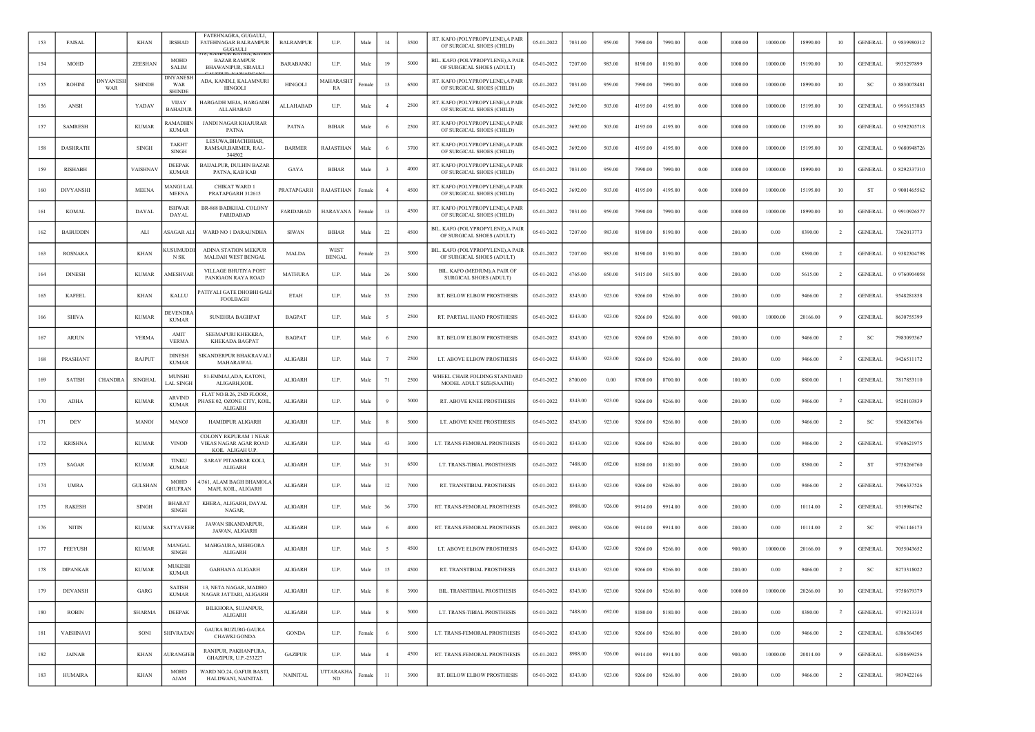| 153 | FAISAL           |                 | <b>KHAN</b>    | <b>IRSHAD</b>                           | FATEHNAGRA, GUGAULI,<br><b>FATEHNAGAR BALRAMPUR</b><br><b>GUGAULI</b> | <b>BALRAMPUR</b> | U.P.                         | Male   | 14             | 3500 | RT. KAFO (POLYPROPYLENE), A PAIR<br>OF SURGICAL SHOES (CHILD) | 05-01-2022 | 7031.00 | 959.00 | 7990.00 | 7990.00 | 0.00     | 1000.00 | 10000.00 | 18990.00 | 10             | <b>GENERAL</b> | 0 9839980312 |
|-----|------------------|-----------------|----------------|-----------------------------------------|-----------------------------------------------------------------------|------------------|------------------------------|--------|----------------|------|---------------------------------------------------------------|------------|---------|--------|---------|---------|----------|---------|----------|----------|----------------|----------------|--------------|
| 154 | MOHD             |                 | ZEESHAN        | MOHD<br><b>SALIM</b>                    | <b>BAZAR RAMPUR</b><br>BHAWANIPUR, SIRAULI                            | <b>BARABANKI</b> | U.P.                         | Male   | 19             | 5000 | BIL. KAFO (POLYPROPYLENE),A PAIR<br>OF SURGICAL SHOES (ADULT) | 05-01-2022 | 7207.00 | 983.00 | 8190.00 | 8190.00 | 0.00     | 1000.00 | 10000.00 | 19190.00 | 10             | <b>GENERAL</b> | 9935297899   |
| 155 | <b>ROHINI</b>    | DNYANESI<br>WAR | <b>SHINDE</b>  | <b>DNYANESI</b><br>WAR<br><b>SHINDI</b> | ADA, KANDLI, KALAMNURI<br><b>HINGOLI</b>                              | <b>HINGOLI</b>   | <b>AAHARASH</b><br>RA        | Female | 13             | 6500 | RT. KAFO (POLYPROPYLENE), A PAIR<br>OF SURGICAL SHOES (CHILD) | 05-01-2022 | 7031.00 | 959.00 | 7990.00 | 7990.00 | 0.00     | 1000.00 | 10000.00 | 18990.00 | 10             | <b>SC</b>      | 0 8830078481 |
| 156 | ANSH             |                 | YADAV          | <b>VIJAY</b><br><b>BAHADUR</b>          | HARGADH MEJA, HARGADH<br>ALLAHABAD                                    | ALLAHABAD        | U.P.                         | Male   | $\overline{4}$ | 2500 | RT. KAFO (POLYPROPYLENE), A PAIR<br>OF SURGICAL SHOES (CHILD) | 05-01-2022 | 3692.00 | 503.00 | 4195.00 | 4195.00 | 0.00     | 1000.00 | 10000.00 | 15195.00 | 10             | <b>GENERAL</b> | 0 9956153883 |
| 157 | <b>SAMRESH</b>   |                 | <b>KUMAR</b>   | RAMADHIN<br><b>KUMAR</b>                | <b>JANDI NAGAR KHAJURAR</b><br>PATNA                                  | <b>PATNA</b>     | <b>BIHAR</b>                 | Male   |                | 2500 | RT. KAFO (POLYPROPYLENE), A PAIR<br>OF SURGICAL SHOES (CHILD) | 05-01-2022 | 3692.00 | 503.00 | 4195.00 | 4195.00 | 0.00     | 1000.00 | 10000.00 | 15195.00 | 10             | <b>GENERAI</b> | 0 9592305718 |
| 158 | <b>DASHRATH</b>  |                 | <b>SINGH</b>   | <b>TAKHT</b><br><b>SINGH</b>            | LESUWA, BHACHBHAR,<br>RAMSAR, BARMER, RAJ.-<br>344502                 | <b>BARMER</b>    | RAJASTHAN                    | Male   |                | 3700 | RT. KAFO (POLYPROPYLENE), A PAIR<br>OF SURGICAL SHOES (CHILD) | 05-01-2022 | 3692.00 | 503.00 | 4195.00 | 4195.00 | 0.00     | 1000.00 | 10000.00 | 15195.00 | 10             | <b>GENERAL</b> | 0 9680948726 |
| 159 | RISHABH          |                 | VAISHNAV       | <b>DEEPAK</b><br><b>KUMAR</b>           | <b>BAIJALPUR, DULHIN BAZAR</b><br>PATNA, KAB KAB                      | GAYA             | <b>BIHAR</b>                 | Male   |                | 4000 | RT. KAFO (POLYPROPYLENE), A PAIR<br>OF SURGICAL SHOES (CHILD) | 05-01-2022 | 7031.00 | 959.00 | 7990.00 | 7990.00 | 0.00     | 1000.00 | 10000.00 | 18990.00 | 10             | <b>GENERAI</b> | 0 8292337310 |
| 160 | <b>DIVYANSHI</b> |                 | <b>MEENA</b>   | (ANGI LA<br><b>MEENA</b>                | CHIKAT WARD 1<br>PRATAPGARH 312615                                    | PRATAPGARH       | RAJASTHAN                    | Female |                | 4500 | RT. KAFO (POLYPROPYLENE), A PAIR<br>OF SURGICAL SHOES (CHILD) | 05-01-2022 | 3692.00 | 503.00 | 4195.00 | 4195.00 | 0.00     | 1000.00 | 10000.00 | 15195.00 | 10             | ST             | 0 9001465562 |
| 161 | <b>KOMAL</b>     |                 | DAYAL          | <b>ISHWAR</b><br>DAYAL                  | BR-868 BADKHAL COLONY<br>FARIDABAD                                    | <b>FARIDABAD</b> | HARAYANA                     | Female | 13             | 4500 | RT. KAFO (POLYPROPYLENE), A PAIR<br>OF SURGICAL SHOES (CHILD) | 05-01-2022 | 7031.00 | 959.00 | 7990.00 | 7990.00 | 0.00     | 1000.00 | 10000.00 | 18990.00 | 10             | <b>GENERAI</b> | 0 9910926577 |
| 162 | <b>BABUDDIN</b>  |                 | ALI            | \SAGAR AL                               | WARD NO 1 DARAUNDHA                                                   | <b>SIWAN</b>     | BIHAR                        | Male   | 22             | 4500 | BIL. KAFO (POLYPROPYLENE),A PAIR<br>OF SURGICAL SHOES (ADULT) | 05-01-2022 | 7207.00 | 983.00 | 8190.00 | 8190.00 | 0.00     | 200.00  | 0.00     | 8390.00  | $\overline{2}$ | <b>GENERAI</b> | 7362013773   |
| 163 | <b>ROSNARA</b>   |                 | KHAN           | <b>USUMUDD</b><br>N SK                  | ADINA STATION MEKPUR<br>MALDAH WEST BENGAL                            | MALDA            | <b>WEST</b><br><b>BENGAL</b> | Female | 23             | 5000 | BIL. KAFO (POLYPROPYLENE),A PAIR<br>OF SURGICAL SHOES (ADULT) | 05-01-2022 | 7207.00 | 983.00 | 8190.00 | 8190.00 | 0.00     | 200.00  | 0.00     | 8390.00  | $\overline{2}$ | <b>GENERAL</b> | 0 9382304798 |
| 164 | <b>DINESH</b>    |                 | <b>KUMAR</b>   | <b>AMESHVAR</b>                         | <b>VILLAGE BHUTIYA POST</b><br>PANIGAON RAYA ROAD                     | <b>MATHURA</b>   | U.P.                         | Male   | 26             | 5000 | BIL. KAFO (MEDIUM), A PAIR OF<br>SURGICAL SHOES (ADULT)       | 05-01-2022 | 4765.00 | 650.00 | 5415.00 | 5415.00 | 0.00     | 200.00  | 0.00     | 5615.00  | 2              | <b>GENERAI</b> | 0 9760904058 |
| 165 | <b>KAFEEL</b>    |                 | KHAN           | KALLU                                   | PATIYALI GATE DHOBHI GALI<br>FOOLBAGH                                 | <b>ETAH</b>      | U.P.                         | Male   | 53             | 2500 | RT. BELOW ELBOW PROSTHESIS                                    | 05-01-2022 | 8343.00 | 923.00 | 9266.00 | 9266.00 | 0.00     | 200.00  | 0.00     | 9466.00  | $\overline{2}$ | <b>GENERAL</b> | 9548281858   |
| 166 | <b>SHIVA</b>     |                 | <b>KUMAR</b>   | <b>DEVENDR</b><br><b>KUMAR</b>          | <b>SUNEHRA BAGHPAT</b>                                                | <b>BAGPAT</b>    | U.P.                         | Male   |                | 2500 | RT. PARTIAL HAND PROSTHESIS                                   | 05-01-2022 | 8343.00 | 923.00 | 9266.00 | 9266.00 | 0.00     | 900.00  | 10000.00 | 20166.00 | 9              | <b>GENERAL</b> | 8630755399   |
| 167 | ARJUN            |                 | <b>VERMA</b>   | AMIT<br><b>VERMA</b>                    | SEEMAPURI KHEKKRA,<br><b>KHEKADA BAGPAT</b>                           | <b>BAGPAT</b>    | U.P.                         | Male   |                | 2500 | RT. BELOW ELBOW PROSTHESIS                                    | 05-01-2022 | 8343.00 | 923.00 | 9266.00 | 9266.00 | 0.00     | 200.00  | 0.00     | 9466.00  | $\overline{2}$ | SC             | 7983093367   |
| 168 | PRASHANT         |                 | RAJPUT         | <b>DINESH</b><br><b>KUMAR</b>           | SIKANDERPUR BHAKRAVALI<br>MAHARAWAL                                   | ALIGARH          | U.P.                         | Male   |                | 2500 | LT. ABOVE ELBOW PROSTHESIS                                    | 05-01-2022 | 8343.00 | 923.00 | 9266.00 | 9266.00 | 0.00     | 200.00  | 0.00     | 9466.00  | $\overline{2}$ | <b>GENERAI</b> | 9426511172   |
| 169 | <b>SATISH</b>    | <b>CHANDRA</b>  | <b>SINGHAL</b> | MUNSHI<br><b>LAL SINGH</b>              | 81-EMMAJ, ADA, KATONI,<br>ALIGARH, KOIL                               | ALIGARH          | U.P.                         | Male   | 71             | 2500 | WHEEL CHAIR FOLDING STANDARD<br>MODEL ADULT SIZE(SAATHI)      | 05-01-2022 | 8700.00 | 0.00   | 8700.00 | 8700.00 | 0.00     | 100.00  | 0.00     | 8800.00  |                | <b>GENERAI</b> | 7817853110   |
| 170 | ADHA             |                 | <b>KUMAR</b>   | <b>ARVIND</b><br><b>KUMAR</b>           | FLAT NO.B.26, 2ND FLOOR<br>PHASE 02, OZONE CITY, KOIL<br>ALIGARH      | ALIGARH          | U.P.                         | Male   |                | 5000 | RT. ABOVE KNEE PROSTHESIS                                     | 05-01-2022 | 8343.00 | 923.00 | 9266.00 | 9266.00 | 0.00     | 200.00  | 0.00     | 9466.00  | $\overline{2}$ | <b>GENERAL</b> | 9528103839   |
| 171 | DEV              |                 | MANOJ          | <b>MANO</b>                             | HAMIDPUR ALIGARH                                                      | <b>ALIGARH</b>   | U.P.                         | Male   |                | 5000 | LT. ABOVE KNEE PROSTHESIS                                     | 05-01-2022 | 8343.00 | 923.00 | 9266.00 | 9266.00 | 0.00     | 200.00  | 0.00     | 9466.00  | <sup>2</sup>   | -SC            | 9368206766   |
| 172 | <b>KRISHNA</b>   |                 | <b>KUMAR</b>   | <b>VINOD</b>                            | COLONY RKPURAM 1 NEAR<br>VIKAS NAGAR AGAR ROAD<br>KOIL ALIGAH U.P.    | ALIGARH          | U.P.                         | Male   | 43             | 3000 | LT. TRANS-FEMORAL PROSTHESIS                                  | 05-01-2022 | 8343.00 | 923.00 | 9266.00 | 9266.00 | 0.00     | 200.00  | 0.00     | 9466.00  | 2              | <b>GENERAL</b> | 9760621975   |
| 173 | <b>SAGAR</b>     |                 | <b>KUMAR</b>   | <b>TINKU</b><br><b>KUMAR</b>            | SARAY PITAMBAR KOLI,<br><b>ALIGARH</b>                                | <b>ALIGARH</b>   | U.P.                         | Male   | 31             | 6500 | LT. TRANS-TIBIAL PROSTHESIS                                   | 05-01-2022 | 7488.00 | 692.00 | 8180.00 | 8180.00 | 0.00     | 200.00  | 0.00     | 8380.00  | $\overline{2}$ | <b>ST</b>      | 9758266760   |
| 174 | <b>UMRA</b>      |                 | <b>GULSHAN</b> | MOHD<br><b>GHUFRAN</b>                  | 4/361, ALAM BAGH BHAMOL/<br>MAFI, KOIL, ALIGARH                       | <b>ALIGARH</b>   | U.P.                         | Male   | 12             | 7000 | RT. TRANSTIBIAL PROSTHESIS                                    | 05-01-2022 | 8343.00 | 923.00 | 9266.00 | 9266.00 | 0.00     | 200.00  | 0.00     | 9466.00  | -2             | <b>GENERAL</b> | 7906337526   |
| 175 | <b>RAKESH</b>    |                 | SINGH          | <b>BHARAT</b><br><b>SINGH</b>           | KHERA, ALIGARH, DAYAL<br>NAGAR,                                       | <b>ALIGARH</b>   | U.P.                         | Male   | 36             | 3700 | RT. TRANS-FEMORAL PROSTHESIS                                  | 05-01-2022 | 8988.00 | 926.00 | 9914.00 | 9914.00 | 0.00     | 200.00  | 0.00     | 10114.00 | $\overline{2}$ | <b>GENERAI</b> | 9319984762   |
| 176 | <b>NITIN</b>     |                 | <b>KUMAR</b>   | <b>ATYAVEEI</b>                         | <b>JAWAN SIKANDARPUR.</b><br><b>JAWAN, ALIGARH</b>                    | ALIGARH          | U.P.                         | Male   |                | 4000 | RT. TRANS-FEMORAL PROSTHESIS                                  | 05-01-2022 | 8988.00 | 926.00 | 9914.00 | 9914.00 | 0.00     | 200.00  | 0.00     | 10114.00 | $\overline{2}$ | <b>SC</b>      | 9761146173   |
| 177 | PEEYUSH          |                 | <b>KUMAR</b>   | MANGAL<br><b>SINGH</b>                  | MAHGAURA, MEHGORA<br>ALIGARH                                          | ALIGARH          | U.P.                         | Male   |                | 4500 | LT. ABOVE ELBOW PROSTHESIS                                    | 05-01-2022 | 8343.00 | 923.00 | 9266.00 | 9266.00 | 0.00     | 900.00  | 10000.00 | 20166.00 |                | <b>GENERAI</b> | 7055043652   |
| 178 | <b>DIPANKAR</b>  |                 | <b>KUMAR</b>   | <b>MUKESH</b><br><b>KUMAR</b>           | <b>GABHANA ALIGARH</b>                                                | <b>ALIGARH</b>   | U.P.                         | Male   | 15             | 4500 | RT. TRANSTIBIAL PROSTHESIS                                    | 05-01-2022 | 8343.00 | 923.00 | 9266.00 | 9266.00 | 0.00     | 200.00  | 0.00     | 9466.00  | $\overline{2}$ | <b>SC</b>      | 8273318022   |
| 179 | <b>DEVANSH</b>   |                 | GARG           | <b>SATISH</b><br><b>KUMAR</b>           | 13, NETA NAGAR, MADHO<br>NAGAR JATTARI, ALIGARH                       | ALIGARH          | U.P.                         | Male   | 8              | 3900 | BIL. TRANSTIBIAL PROSTHESIS                                   | 05-01-2022 | 8343.00 | 923.00 | 9266.00 | 9266.00 | $0.00\,$ | 1000.00 | 10000.00 | 20266.00 | 10             | <b>GENERAL</b> | 9758679379   |
| 180 | <b>ROBIN</b>     |                 | <b>SHARMA</b>  | DEEPAK                                  | BILKHORA, SUJANPUR,<br>ALIGARH                                        | <b>ALIGARH</b>   | U.P.                         | Male   | 8              | 5000 | LT. TRANS-TIBIAL PROSTHESIS                                   | 05-01-2022 | 7488.00 | 692.00 | 8180.00 | 8180.00 | 0.00     | 200.00  | 0.00     | 8380.00  | $\overline{2}$ | <b>GENERAL</b> | 9719213338   |
| 181 | VAISHNAVI        |                 | SONI           | <b>SHIVRATAN</b>                        | <b>GAURA BUZURG GAURA</b><br>CHAWKI GONDA                             | <b>GONDA</b>     | U.P.                         | Female | -6             | 5000 | LT. TRANS-FEMORAL PROSTHESIS                                  | 05-01-2022 | 8343.00 | 923.00 | 9266.00 | 9266.00 | 0.00     | 200.00  | 0.00     | 9466.00  | $\overline{2}$ | <b>GENERAL</b> | 6386364305   |
| 182 | <b>JAINAB</b>    |                 | <b>KHAN</b>    | <b>AURANGJEB</b>                        | RANIPUR, PAKHANPURA,<br>GHAZIPUR, U.P.-233227                         | <b>GAZIPUR</b>   | U.P.                         | Male   | $\overline{4}$ | 4500 | RT. TRANS-FEMORAL PROSTHESIS                                  | 05-01-2022 | 8988.00 | 926.00 | 9914.00 | 9914.00 | 0.00     | 900.00  | 10000.00 | 20814.00 | $\overline{9}$ | <b>GENERAL</b> | 6388699256   |
| 183 | <b>HUMAIRA</b>   |                 | <b>KHAN</b>    | <b>MOHD</b><br>AJAM                     | WARD NO.24, GAFUR BASTI,<br>HALDWANI, NAINITAL                        | <b>NAINITAL</b>  | <b>JTTARAKHA</b><br>ND       | Female | 11             | 3900 | RT. BELOW ELBOW PROSTHESIS                                    | 05-01-2022 | 8343.00 | 923.00 | 9266.00 | 9266.00 | 0.00     | 200.00  | 0.00     | 9466.00  | 2              | <b>GENERAL</b> | 9839422166   |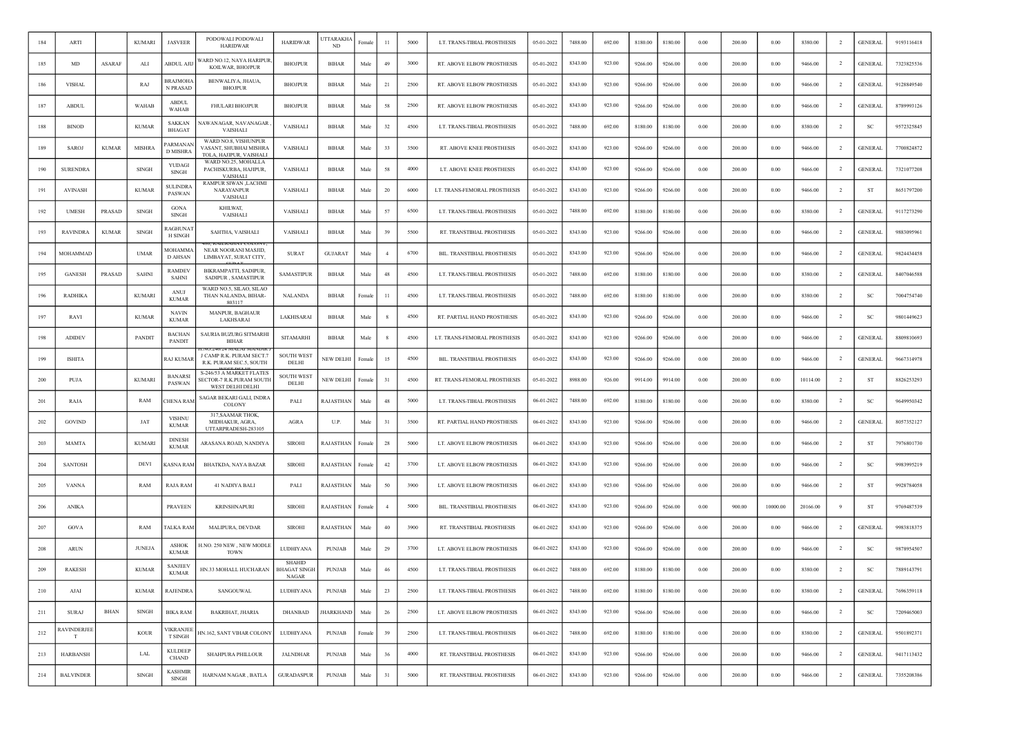| 184 | ARTI                   |              | <b>KUMARI</b>                 | <b>JASVEER</b>                     | PODOWALI PODOWALI<br><b>HARIDWAR</b>                                     | <b>HARIDWAR</b>                                      | JTTARAKH/<br>ND  | Female     | 11             | 5000 | LT. TRANS-TIBIAL PROSTHESIS  | 05-01-2022 | 7488.00 | 692.00 | 8180.00 | 8180.00 | 0.00       | 200.00 | 0.00     | 8380.00  | -2             | <b>GENERAL</b> | 9193116418 |
|-----|------------------------|--------------|-------------------------------|------------------------------------|--------------------------------------------------------------------------|------------------------------------------------------|------------------|------------|----------------|------|------------------------------|------------|---------|--------|---------|---------|------------|--------|----------|----------|----------------|----------------|------------|
| 185 | MD                     | ASARAF       | ALI                           | ABDUL AJIJ                         | VARD NO.12, NAYA HARIPUR,<br>KOILWAR, BHOJPUR                            | <b>BHOJPUR</b>                                       | <b>BIHAR</b>     | Male       | 49             | 3000 | RT. ABOVE ELBOW PROSTHESIS   | 05-01-2022 | 8343.00 | 923.00 | 9266.00 | 9266.00 | $0.00\,$   | 200.00 | 0.00     | 9466.00  | $\overline{2}$ | <b>GENERAL</b> | 7323825536 |
| 186 | <b>VISHAL</b>          |              | RAJ                           | <b>BRAJMOHA</b><br><b>N PRASAD</b> | BENWALIYA, JHAUA,<br><b>BHOJPUR</b>                                      | <b>BHOJPUR</b>                                       | <b>BIHAR</b>     | Male       | 21             | 2500 | RT. ABOVE ELBOW PROSTHESIS   | 05-01-2022 | 8343.00 | 923.00 | 9266.00 | 9266.00 | 0.00       | 200.00 | 0.00     | 9466.00  | $\overline{2}$ | <b>GENERAL</b> | 9128849540 |
| 187 | <b>ABDUL</b>           |              | WAHAB                         | <b>ABDUL</b><br>WAHAB              | <b>FHULARI BHOJPUR</b>                                                   | <b>BHOJPUR</b>                                       | <b>BIHAR</b>     | Male       | 58             | 2500 | RT. ABOVE ELBOW PROSTHESIS   | 05-01-2022 | 8343.00 | 923.00 | 9266.00 | 9266.00 | 0.00       | 200.00 | 0.00     | 9466.00  | $\overline{2}$ | <b>GENERAL</b> | 8789993126 |
| 188 | <b>BINOD</b>           |              | <b>KUMAR</b>                  | <b>SAKKAN</b><br><b>BHAGAT</b>     | NAWANAGAR, NAVANAGAR<br><b>VAISHALI</b>                                  | VAISHALI                                             | <b>BIHAR</b>     | Male       | 32             | 4500 | LT. TRANS-TIBIAL PROSTHESIS  | 05-01-2022 | 7488.00 | 692.00 | 8180.00 | 8180.00 | 0.00       | 200.00 | 0.00     | 8380.00  |                | <b>SC</b>      | 9572325845 |
| 189 | SAROJ                  | <b>KUMAR</b> | <b>MISHRA</b>                 | 'ARMANAN<br><b>D MISHRA</b>        | WARD NO.8, VISHUNPUR<br>VASANT, SHUBHAI MISHRA<br>TOI A HAIDHR VAISHALL  | VAISHALI                                             | <b>BIHAR</b>     | Male       | 33             | 3500 | RT. ABOVE KNEE PROSTHESIS    | 05-01-2022 | 8343.00 | 923.00 | 9266.00 | 9266.00 | 0.00       | 200.00 | 0.00     | 9466.00  | $\overline{2}$ | <b>GENERAL</b> | 7700824872 |
| 190 | <b>SURENDRA</b>        |              | <b>SINGH</b>                  | <b>YUDAGI</b><br><b>SINGH</b>      | WARD NO.25, MOHALLA<br>PACHISKURBA, HAJIPUR,<br>VAISHALI                 | VAISHALI                                             | <b>BIHAR</b>     | Male       | 58             | 4000 | LT. ABOVE KNEE PROSTHESIS    | 05-01-2022 | 8343.00 | 923.00 | 9266.00 | 9266.00 | 0.00       | 200.00 | 0.00     | 9466.00  | <sup>2</sup>   | <b>GENERAL</b> | 7321077208 |
| 191 | <b>AVINASH</b>         |              | <b>KUMAR</b>                  | <b>SULINDRA</b><br>PASWAN          | RAMPUR SIWAN ,LACHMI<br>NARAYANPUR<br><b>VAISHALI</b>                    | VAISHALI                                             | <b>BIHAR</b>     | Male       | 20             | 6000 | LT. TRANS-FEMORAL PROSTHESIS | 05-01-2022 | 8343.00 | 923.00 | 9266.00 | 9266.00 | 0.00       | 200.00 | 0.00     | 9466.00  | $\overline{2}$ | ST             | 8651797200 |
| 192 | <b>UMESH</b>           | PRASAD       | <b>SINGH</b>                  | <b>GONA</b><br>SINGH               | KHILWAT,<br>VAISHALI                                                     | VAISHALI                                             | <b>BIHAR</b>     | Male       | 57             | 6500 | LT. TRANS-TIBIAL PROSTHESIS  | 05-01-2022 | 7488.00 | 692.00 | 8180.00 | 8180.00 | $0.00\,$   | 200.00 | 0.00     | 8380.00  | $\overline{2}$ | <b>GENERAL</b> | 9117273290 |
| 193 | <b>RAVINDRA</b>        | <b>KUMAR</b> | <b>SINGH</b>                  | RAGHUNAT<br><b>H SINGH</b>         | SAHTHA, VAISHALI                                                         | VAISHALI                                             | <b>BIHAR</b>     | Male       | 39             | 5500 | RT. TRANSTIBIAL PROSTHESIS   | 05-01-2022 | 8343.00 | 923.00 | 9266.00 | 9266.00 | 0.00       | 200.00 | 0.00     | 9466.00  | $\overline{2}$ | <b>GENERAL</b> | 9883095961 |
| 194 | MOHAMMAD               |              | <b>UMAR</b>                   | MOHAMMA<br><b>D AHSAN</b>          | NEAR NOORANI MASJID,<br>LIMBAYAT, SURAT CITY,                            | <b>SURAT</b>                                         | <b>GUJARAT</b>   | Male       | $\overline{4}$ | 6700 | BIL. TRANSTIBIAL PROSTHESIS  | 05-01-2022 | 8343.00 | 923.00 | 9266.00 | 9266.00 | 0.00       | 200.00 | 0.00     | 9466.00  | $\overline{2}$ | <b>GENERAL</b> | 9824434458 |
| 195 | <b>GANESH</b>          | PRASAD       | SAHNI                         | <b>RAMDEV</b><br><b>SAHNI</b>      | BIKRAMPATTI, SADIPUR,<br>SADIPUR, SAMASTIPUR                             | <b>SAMASTIPUR</b>                                    | <b>BIHAR</b>     | Male       | 48             | 4500 | LT. TRANS-TIBIAL PROSTHESIS  | 05-01-2022 | 7488.00 | 692.00 | 8180.00 | 8180.00 | 0.00       | 200.00 | 0.00     | 8380.00  | $\overline{2}$ | <b>GENERAL</b> | 8407046588 |
| 196 | <b>RADHIKA</b>         |              | <b>KUMARI</b>                 | ANUJ<br><b>KUMAR</b>               | WARD NO.5, SILAO, SILAO<br>THAN NALANDA, BIHAR-<br>803117                | <b>NALANDA</b>                                       | <b>BIHAR</b>     | Femal      | 11             | 4500 | LT. TRANS-TIBIAL PROSTHESIS  | 05-01-2022 | 7488.00 | 692.00 | 8180.00 | 8180.00 | 0.00       | 200.00 | 0.00     | 8380.00  | $\overline{2}$ | SC             | 7004754740 |
| 197 | RAVI                   |              | <b>KUMAR</b>                  | <b>NAVIN</b><br><b>KUMAR</b>       | <b>MANPUR, BAGHAUR</b><br>LAKHSARAI                                      | LAKHISARAI                                           | <b>BIHAR</b>     | Male       |                | 4500 | RT. PARTIAL HAND PROSTHESIS  | 05-01-2022 | 8343.00 | 923.00 | 9266.00 | 9266.00 | 0.00       | 200.00 | 0.00     | 9466.00  | <sup>2</sup>   | <sub>SC</sub>  | 9801449623 |
| 198 | <b>ADIDEV</b>          |              | <b>PANDIT</b>                 | <b>BACHAN</b><br>PANDIT            | SAURIA BUZURG SITMARHI<br><b>BIHAR</b>                                   | <b>SITAMARHI</b>                                     | <b>BIHAR</b>     | Male       | -8             | 4500 | LT. TRANS-FEMORAL PROSTHESIS | 05-01-2022 | 8343.00 | 923.00 | 9266.00 | 9266.00 | 0.00       | 200.00 | 0.00     | 9466.00  | $\overline{2}$ | <b>GENERAL</b> | 8809810693 |
| 199 | <b>ISHITA</b>          |              |                               | RAJ KUMAF                          | J CAMP R.K. PURAM SECT.7<br>R.K. PURAM SEC.5, SOUTH                      | <b>SOUTH WEST</b><br>DELHI                           | NEW DELHI        | Female     | 15             | 4500 | BIL. TRANSTIBIAL PROSTHESIS  | 05-01-2022 | 8343.00 | 923.00 | 9266.00 | 9266.00 | $0.00\,$   | 200.00 | 0.00     | 9466.00  | $\overline{2}$ | <b>GENERAL</b> | 9667314978 |
| 200 | PUJA                   |              | <b>KUMARI</b>                 | <b>BANARSI</b><br><b>PASWAN</b>    | S-246/53 A MARKET FLATES<br>SECTOR-7 R.K.PURAM SOUTH<br>WEST DELHI DELHI | <b>SOUTH WEST</b><br>DELHI                           | NEW DELHI        | Female     | 31             | 4500 | RT. TRANS-FEMORAL PROSTHESIS | 05-01-2022 | 8988.00 | 926.00 | 9914.00 | 9914.00 | 0.00       | 200.00 | 0.00     | 10114.00 | $\overline{2}$ | ST             | 8826253293 |
| 201 | RAJA                   |              | RAM                           | <b>CHENA RAM</b>                   | SAGAR BEKARI GALI, INDRA<br>COLONY                                       | PALI                                                 | RAJASTHAN        | Male       | 48             | 5000 | LT. TRANS-TIBIAL PROSTHESIS  | 06-01-2022 | 7488.00 | 692.00 | 8180.00 | 8180.00 | 0.00       | 200.00 | 0.00     | 8380.00  | $\overline{2}$ | SC             | 9649950342 |
| 202 | <b>GOVIND</b>          |              | JAT                           | <b>VISHNU</b><br><b>KUMAR</b>      | 317, SAAMAR THOK,<br>MIDHAKUR, AGRA,<br>UTTARPRADESH-283105              | AGRA                                                 | U.P.             | Male       | 31             | 3500 | RT. PARTIAL HAND PROSTHESIS  | 06-01-2022 | 8343.00 | 923.00 | 9266.00 | 9266.00 | 0.00       | 200.00 | 0.00     | 9466.00  | $\overline{2}$ | <b>GENERAL</b> | 8057352127 |
| 203 | MAMTA                  |              | <b>KUMARI</b>                 | <b>DINESH</b><br><b>KUMAR</b>      | ARASANA ROAD, NANDIYA                                                    | <b>SIROHI</b>                                        | RAJASTHAN        | Femal      | 28             | 5000 | LT. ABOVE ELBOW PROSTHESIS   | 06-01-2022 | 8343.00 | 923.00 | 9266.00 | 9266.00 | 0.00       | 200.00 | 0.00     | 9466.00  | $\overline{2}$ | ST             | 7976801730 |
| 204 | <b>SANTOSH</b>         |              | DEVI                          | <b>CASNA RAM</b>                   | <b>BHATKDA, NAYA BAZAR</b>                                               | <b>SIROHI</b>                                        | RAJASTHAN        | Female     | 42             | 3700 | LT. ABOVE ELBOW PROSTHESIS   | 06-01-2022 | 8343.00 | 923.00 | 9266.00 | 9266.00 | 0.00       | 200.00 | 0.00     | 9466.00  | $\overline{2}$ | <b>SC</b>      | 9983995219 |
| 205 | <b>VANNA</b>           |              | RAM                           | RAJA RAM                           | 41 NADIYA BALI                                                           | PALI                                                 | RAJASTHAN        | Male       | 50             | 3900 | LT. ABOVE ELBOW PROSTHESIS   | 06-01-2022 | 8343.00 | 923.00 | 9266.00 | 9266.00 | 0.00       | 200.00 | 0.00     | 9466.00  | $\overline{2}$ | ST             | 9928784058 |
| 206 | <b>ANIKA</b>           |              |                               | <b>PRAVEEN</b>                     | <b>KRINSHNAPURI</b>                                                      | <b>SIROHI</b>                                        | RAJASTHAN        | Female     | $\overline{4}$ | 5000 | BIL. TRANSTIBIAL PROSTHESIS  | 06-01-2022 | 8343.00 | 923.00 | 9266.00 | 9266.00 | 0.00       | 900.00 | 10000.00 | 20166.00 | 9              | <b>ST</b>      | 9769487539 |
| 207 | <b>GOVA</b>            |              | RAM                           | <b>TALKA RAM</b>                   | MALIPURA, DEVDAR                                                         | <b>SIROHI</b>                                        | RAJASTHAN        | Male       | 40             | 3900 | RT. TRANSTIBIAL PROSTHESIS   | 06-01-2022 | 8343.00 | 923.00 | 9266.00 | 9266.00 | 0.00       | 200.00 | 0.00     | 9466.00  | $\overline{2}$ | <b>GENERAL</b> | 9983818375 |
| 208 | <b>ARUN</b>            |              | <b>JUNEJA</b>                 | <b>ASHOK</b><br><b>KUMAR</b>       | H.NO. 250 NEW, NEW MODLI<br><b>TOWN</b>                                  | LUDHIYANA                                            | PUNJAB           | Male       | 29             | 3700 | LT. ABOVE ELBOW PROSTHESIS   | 06-01-2022 | 8343.00 | 923.00 | 9266.00 | 9266.00 | 0.00       | 200.00 | 0.00     | 9466.00  | <sup>2</sup>   | SC             | 9878954507 |
| 209 | <b>RAKESH</b>          |              | <b>KUMAR</b>                  | <b>SANJEEV</b><br><b>KUMAR</b>     | HN.33 MOHALL HUCHARAN                                                    | <b>SHAHID</b><br><b>BHAGAT SINGH</b><br><b>NAGAR</b> | PUNJAB           | Male       | 46             | 4500 | LT. TRANS-TIBIAL PROSTHESIS  | 06-01-2022 | 7488.00 | 692.00 | 8180.00 | 8180.00 | 0.00       | 200.00 | 0.00     | 8380.00  | $\overline{2}$ | <sub>SC</sub>  | 7889143791 |
| 210 | ${\rm AJAI}$           |              | <b>KUMAR</b>                  | <b>RAJENDRA</b>                    | SANGOUWAL                                                                | LUDHIYANA                                            | PUNJAB           | Male       | $23\,$         | 2500 | LT. TRANS-TIBIAL PROSTHESIS  | 06-01-2022 | 7488.00 | 692.00 | 8180.00 | 8180.00 | $\rm 0.00$ | 200.00 | $0.00\,$ | 8380.00  | $\overline{2}$ | <b>GENERAL</b> | 7696359118 |
| 211 | <b>SURAJ</b>           | <b>BHAN</b>  | SINGH                         | <b>BIKA RAM</b>                    | BAKRIHAT, JHARIA                                                         | <b>DHANBAD</b>                                       | <b>JHARKHAND</b> | Male       | $26\,$         | 2500 | LT. ABOVE ELBOW PROSTHESIS   | 06-01-2022 | 8343.00 | 923.00 | 9266.00 | 9266.00 | 0.00       | 200.00 | 0.00     | 9466.00  | $\overline{2}$ | SC             | 7209465003 |
| 212 | <b>AVINDERJEE</b><br>T |              | <b>KOUR</b>                   | VIKRANJEE<br>T SINGH               | HN.162, SANT VIHAR COLONY                                                | LUDHIYANA                                            | PUNJAB           | Female     | 39             | 2500 | LT. TRANS-TIBIAL PROSTHESIS  | 06-01-2022 | 7488.00 | 692.00 | 8180.00 | 8180.00 | $\rm 0.00$ | 200.00 | 0.00     | 8380.00  | $\overline{2}$ | <b>GENERAL</b> | 9501892371 |
| 213 | <b>HARBANSH</b>        |              | LAL                           | <b>KULDEEP</b><br><b>CHAND</b>     | SHAHPURA PHILLOUR                                                        | JALNDHAR                                             | <b>PUNJAB</b>    | Male       | 36             | 4000 | RT. TRANSTIBIAL PROSTHESIS   | 06-01-2022 | 8343.00 | 923.00 | 9266.00 | 9266.00 | $0.00\,$   | 200.00 | $0.00\,$ | 9466.00  | $\overline{2}$ | <b>GENERAL</b> | 9417113432 |
| 214 | <b>BALVINDER</b>       |              | $\mathop{\rm SINGH}\nolimits$ | <b>KASHMIR</b><br>SINGH            | HARNAM NAGAR, BATLA                                                      | <b>GURADASPUR</b>                                    | <b>PUNJAB</b>    | $\rm Male$ | 31             | 5000 | RT. TRANSTIBIAL PROSTHESIS   | 06-01-2022 | 8343.00 | 923.00 | 9266.00 | 9266.00 | $\rm 0.00$ | 200.00 | 0.00     | 9466.00  | $\overline{2}$ | <b>GENERAL</b> | 7355208386 |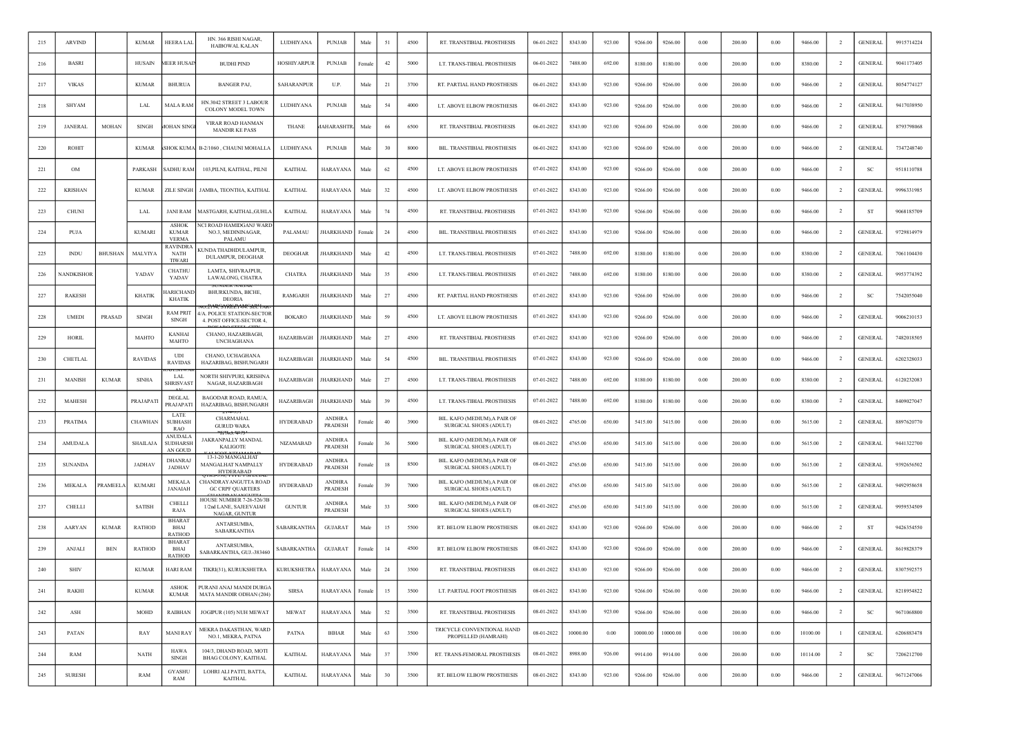| 215 | <b>ARVIND</b>    |                | <b>KUMAR</b>    | HEERA LAI                                    | HN. 366 RISHI NAGAR<br><b>HAIBOWAL KALAN</b>                          | LUDHIYANA          | <b>PUNJAB</b>                   | Male               | 51 | 4500 | RT. TRANSTIBIAL PROSTHESIS                              | 06-01-2022 | 8343.00  | 923.00 | 9266.00  | 9266.00  | 0.00 | 200.00 | 0.00     | 9466.00  |                | <b>GENERAL</b> | 9915714224 |
|-----|------------------|----------------|-----------------|----------------------------------------------|-----------------------------------------------------------------------|--------------------|---------------------------------|--------------------|----|------|---------------------------------------------------------|------------|----------|--------|----------|----------|------|--------|----------|----------|----------------|----------------|------------|
| 216 | <b>BASRI</b>     |                | <b>HUSAIN</b>   | <b>MEER HUSAI</b>                            | <b>BUDHI PIND</b>                                                     | <b>HOSHIYARPUR</b> | <b>PUNJAB</b>                   | Female             | 42 | 5000 | LT. TRANS-TIBIAL PROSTHESIS                             | 06-01-2022 | 7488.00  | 692.00 | 8180.00  | 8180.00  | 0.00 | 200.00 | 0.00     | 8380.00  | -2             | <b>GENERAL</b> | 9041173405 |
| 217 | <b>VIKAS</b>     |                | <b>KUMAR</b>    | <b>BHURUA</b>                                | <b>BANGER PAJ,</b>                                                    | SAHARANPUR         | U.P.                            | Male               | 21 | 3700 | RT. PARTIAL HAND PROSTHESIS                             | 06-01-2022 | 8343.00  | 923.00 | 9266.00  | 9266.00  | 0.00 | 200.00 | 0.00     | 9466.00  | <sup>2</sup>   | <b>GENERAL</b> | 8054774127 |
| 218 | <b>SHYAM</b>     |                | LAL             | MALA RAM                                     | HN.3042 STREET 3 LABOUR<br>COLONY MODEL TOWN                          | LUDHIYANA          | <b>PUNJAB</b>                   | Male               | 54 | 4000 | LT. ABOVE ELBOW PROSTHESIS                              | 06-01-2022 | 8343.00  | 923.00 | 9266.00  | 9266.00  | 0.00 | 200.00 | 0.00     | 9466.00  | $\overline{2}$ | <b>GENERAL</b> | 9417038950 |
| 219 | <b>JANERAL</b>   | MOHAN          | SINGH           | <b>IOHAN SING</b>                            | VIRAR ROAD HANMAN<br><b>MANDIR KE PASS</b>                            | <b>THANE</b>       | AHARASHTI                       | Male               | 66 | 6500 | RT. TRANSTIBIAL PROSTHESIS                              | 06-01-2022 | 8343.00  | 923.00 | 9266.00  | 9266.00  | 0.00 | 200.00 | 0.00     | 9466.00  | $\overline{2}$ | <b>GENERAL</b> | 8793798068 |
| 220 | ROHIT            |                | <b>KUMAR</b>    | <b>SHOK KUMA</b>                             | B-2/1060, CHAUNI MOHALLA                                              | LUDHIYANA          | <b>PUNJAB</b>                   | Male               | 30 | 8000 | BIL. TRANSTIBIAL PROSTHESIS                             | 06-01-2022 | 8343.00  | 923.00 | 9266.00  | 9266.00  | 0.00 | 200.00 | 0.00     | 9466.00  | <sup>2</sup>   | <b>GENERAL</b> | 7347248740 |
| 221 | OM               |                | PARKASH         | SADHU RAM                                    | 103, PILNI, KAITHAL, PILNI                                            | <b>KAITHAL</b>     | HARAYANA                        | Male               | 62 | 4500 | LT. ABOVE ELBOW PROSTHESIS                              | 07-01-2022 | 8343.00  | 923.00 | 9266.00  | 9266.00  | 0.00 | 200.00 | 0.00     | 9466.00  | $\overline{2}$ | SC             | 9518110788 |
| 222 | <b>KRISHAN</b>   |                | <b>KUMAR</b>    | <b>ZILE SINGH</b>                            | JAMBA, TEONTHA, KAITHAL                                               | <b>KAITHAL</b>     | <b>HARAYANA</b>                 | Male               | 32 | 4500 | LT. ABOVE ELBOW PROSTHESIS                              | 07-01-2022 | 8343.00  | 923.00 | 9266.00  | 9266.00  | 0.00 | 200.00 | 0.00     | 9466.00  | $\overline{2}$ | <b>GENERAL</b> | 9996331985 |
| 223 | <b>CHUNI</b>     |                | LAL             | <b>JANI RAM</b>                              | MASTGARH, KAITHAL,GUHL.                                               | <b>KAITHAL</b>     | HARAYANA                        | Male               | 74 | 4500 | RT. TRANSTIBIAL PROSTHESIS                              | 07-01-2022 | 8343.00  | 923.00 | 9266.00  | 9266.00  | 0.00 | 200.00 | 0.00     | 9466.00  | -2             | ST             | 9068185709 |
| 224 | PUJA             |                | <b>KUMARI</b>   | ASHOK<br><b>KUMAR</b><br><b>VERMA</b>        | VCI ROAD HAMIDGANJ WARI<br>NO.3, MEDININAGAR,<br>PALAMU               | PALAMAU            | <b>JHARKHAND</b>                | Female             | 24 | 4500 | BIL. TRANSTIBIAL PROSTHESIS                             | 07-01-2022 | 8343.00  | 923.00 | 9266.00  | 9266.00  | 0.00 | 200.00 | 0.00     | 9466.00  | <sup>2</sup>   | <b>GENERAL</b> | 9729814979 |
| 225 | <b>INDU</b>      | <b>BHUSHAN</b> | <b>MALVIYA</b>  | <b>RAVINDRA</b><br>NATH<br><b>TIWARI</b>     | UNDA THADHDULAMPUR,<br>DULAMPUR, DEOGHAR                              | <b>DEOGHAR</b>     | <b>JHARKHAND</b>                | Male               | 42 | 4500 | LT. TRANS-TIBIAL PROSTHESIS                             | 07-01-2022 | 7488.00  | 692.00 | 8180.00  | 8180.00  | 0.00 | 200.00 | 0.00     | 8380.00  | $\overline{2}$ | <b>GENERAL</b> | 7061104430 |
| 226 | <b>ANDKISHOP</b> |                | YADAV           | <b>CHATHU</b><br>YADAV                       | LAMTA, SHIVRAJPUR,<br>LAWALONG, CHATRA                                | <b>CHATRA</b>      | JHARKHAND                       | Male               | 35 | 4500 | LT. TRANS-TIBIAL PROSTHESIS                             | 07-01-2022 | 7488.00  | 692.00 | 8180.00  | 8180.00  | 0.00 | 200.00 | 0.00     | 8380.00  |                | <b>GENERAL</b> | 9953774392 |
| 227 | <b>RAKESH</b>    |                | <b>KHATIK</b>   | <b>IARICHANI</b><br><b>KHATIK</b>            | UNDER IVAU<br>BHURKUNDA, BICHE,<br><b>DEORIA</b>                      | RAMGARH            | <b>JHARKHAND</b>                | Male               | 27 | 4500 | RT. PARTIAL HAND PROSTHESIS                             | 07-01-2022 | 8343.00  | 923.00 | 9266.00  | 9266.00  | 0.00 | 200.00 | 0.00     | 9466.00  | $\overline{2}$ | SC             | 7542055040 |
| 228 | <b>UMEDI</b>     | PRASAD         | <b>SINGH</b>    | <b>RAM PRIT</b><br><b>SINGH</b>              | VA. POLICE STATION-SECTOR<br>4. POST OFFICE-SECTOR 4,                 | <b>BOKARO</b>      | <b>JHARKHAND</b>                | Male               | 59 | 4500 | LT. ABOVE ELBOW PROSTHESIS                              | 07-01-2022 | 8343.00  | 923.00 | 9266.00  | 9266.00  | 0.00 | 200.00 | 0.00     | 9466.00  | $\overline{2}$ | <b>GENERAL</b> | 9006210153 |
| 229 | <b>HORIL</b>     |                | MAHTO           | <b>KANHAI</b><br><b>MAHTO</b>                | CHANO, HAZARIBAGH,<br><b>INCHAGHANA</b>                               | HAZARIBAGH         | <b>JHARKHAND</b>                | Male               | 27 | 4500 | RT. TRANSTIBIAL PROSTHESIS                              | 07-01-2022 | 8343.00  | 923.00 | 9266.00  | 9266.00  | 0.00 | 200.00 | 0.00     | 9466.00  | $\overline{2}$ | <b>GENERAL</b> | 7482018505 |
| 230 | CHETLAL          |                | <b>RAVIDAS</b>  | UDI<br><b>RAVIDAS</b>                        | CHANO, UCHAGHANA<br>HAZARIBAG, BISHUNGARH                             | HAZARIBAGH         | <b>JHARKHAND</b>                | Male               | 54 | 4500 | BIL. TRANSTIBIAL PROSTHESIS                             | 07-01-2022 | 8343.00  | 923.00 | 9266.00  | 9266.00  | 0.00 | 200.00 | 0.00     | 9466.00  | $\overline{2}$ | <b>GENERAL</b> | 6202328033 |
| 231 | <b>MANISH</b>    | <b>KUMAR</b>   | <b>SINHA</b>    | LAL<br><b>SHRISVAST</b>                      | <b>NORTH SHIVPURI, KRISHNA</b><br>NAGAR, HAZARIBAGH                   | HAZARIBAGH         | <b>JHARKHAND</b>                | Male               | 27 | 4500 | LT. TRANS-TIBIAL PROSTHESIS                             | 07-01-2022 | 7488.00  | 692.00 | 8180.00  | 8180.00  | 0.00 | 200.00 | 0.00     | 8380.00  | <sup>2</sup>   | <b>GENERAL</b> | 6120232083 |
| 232 | MAHESH           |                | PRAJAPAT        | DEGLAL<br>PRAJAPATI                          | BAGODAR ROAD, RAMUA,<br>HAZARIBAG, BISHUNGARH                         | HAZARIBAGH         | <b>JHARKHAND</b>                | Male               | 39 | 4500 | LT. TRANS-TIBIAL PROSTHESIS                             | 07-01-2022 | 7488.00  | 692.00 | 8180.00  | 8180.00  | 0.00 | 200.00 | 0.00     | 8380.00  | $\overline{2}$ | <b>GENERAL</b> | 8409027047 |
| 233 | PRATIMA          |                | CHAWHAN         | LATE<br><b>SUBHASH</b><br>RAO                | CHARMAHAL<br><b>GURUD WARA</b><br>47 <del>1.70.41.73</del>            | <b>HYDERABAD</b>   | <b>ANDHRA</b><br><b>PRADESH</b> | ∃emale             | 40 | 3900 | BIL. KAFO (MEDIUM), A PAIR OF<br>SURGICAL SHOES (ADULT) | 08-01-2022 | 4765.00  | 650.00 | 5415.00  | 5415.00  | 0.00 | 200.00 | 0.00     | 5615.00  | 2              | <b>GENERAL</b> | 8897620770 |
| 234 | <b>AMUDALA</b>   |                | <b>SHAILAJA</b> | <b>ANUDALA</b><br><b>SUDHARSH</b><br>AN GOUD | JAKRANPALLY MANDAL<br><b>KALIGOTE</b>                                 | <b>NIZAMABAD</b>   | <b>ANDHRA</b><br>PRADESH        | <sup>:</sup> emale | 36 | 5000 | BIL. KAFO (MEDIUM), A PAIR OF<br>SURGICAL SHOES (ADULT) | 08-01-2022 | 4765.00  | 650.00 | 5415.00  | 5415.00  | 0.00 | 200.00 | 0.00     | 5615.00  | $\overline{2}$ | <b>GENERAL</b> | 9441322700 |
| 235 | <b>SUNANDA</b>   |                | <b>JADHAV</b>   | <b>DHANRA</b><br><b>JADHAV</b>               | 13-1-20 MANGALHAT<br>MANGALHAT NAMPALLY<br><b>HYDERABAD</b>           | HYDERABAD          | <b>ANDHRA</b><br><b>PRADESH</b> | <sup>2</sup> emal  | 18 | 8500 | BIL. KAFO (MEDIUM), A PAIR OF<br>SURGICAL SHOES (ADULT) | 08-01-2022 | 4765.00  | 650.00 | 5415.00  | 5415.00  | 0.00 | 200.00 | 0.00     | 5615.00  | 2              | <b>GENERAL</b> | 9392656502 |
| 236 | MEKALA           | PRAMEELA       | <b>KUMARI</b>   | MEKALA<br><b>JANAIAH</b>                     | 5-390. TYPE I SPEC<br>CHANDRAYANGUTTA ROAD<br><b>GC CRPF QUARTERS</b> | HYDERABAD          | <b>ANDHRA</b><br>PRADESH        | emale?             | 39 | 7000 | BIL. KAFO (MEDIUM),A PAIR OF<br>SURGICAL SHOES (ADULT)  | 08-01-2022 | 4765.00  | 650.00 | 5415.00  | 5415.00  | 0.00 | 200.00 | 0.00     | 5615.00  | -2             | <b>GENERAL</b> | 9492958658 |
| 237 | CHELLI           |                | <b>SATISH</b>   | <b>CHELLI</b><br>RAJA                        | HOUSE NUMBER 7-26-526/3E<br>1/2nd LANE, SAJEEVAIAH<br>NAGAR, GUNTUR   | <b>GUNTUR</b>      | <b>ANDHRA</b><br>PRADESH        | Male               | 33 | 5000 | BIL. KAFO (MEDIUM), A PAIR OF<br>SURGICAL SHOES (ADULT) | 08-01-2022 | 4765.00  | 650.00 | 5415.00  | 5415.00  | 0.00 | 200.00 | 0.00     | 5615.00  | $\overline{2}$ | <b>GENERAL</b> | 9959534509 |
| 238 | <b>AARYAN</b>    | <b>KUMAR</b>   | <b>RATHOD</b>   | <b>BHARAT</b><br>BHAI<br><b>RATHOD</b>       | ANTARSUMBA.<br>SABARKANTHA                                            | SABARKANTHA        | <b>GUJARAT</b>                  | Male               | 15 | 5500 | RT. BELOW ELBOW PROSTHESIS                              | 08-01-2022 | 8343.00  | 923.00 | 9266.00  | 9266.00  | 0.00 | 200.00 | 0.00     | 9466.00  | $\overline{2}$ | <b>ST</b>      | 9426354550 |
| 239 | ANJALI           | BEN            | <b>RATHOD</b>   | <b>BHARAT</b><br>BHAI<br><b>RATHOD</b>       | ANTARSUMBA,<br>SABARKANTHA, GUJ.-383460                               | SABARKANTHA        | <b>GUJARAT</b>                  | Femal              | 14 | 4500 | RT. BELOW ELBOW PROSTHESIS                              | 08-01-2022 | 8343.00  | 923.00 | 9266.00  | 9266.00  | 0.00 | 200.00 | 0.00     | 9466.00  | -2             | <b>GENERAL</b> | 8619828379 |
| 240 | <b>SHIV</b>      |                | <b>KUMAR</b>    | HARI RAM                                     | TIKRI(31), KURUKSHETRA                                                | <b>KURUKSHETRA</b> | HARAYANA                        | Male               | 24 | 3500 | RT. TRANSTIBIAL PROSTHESIS                              | 08-01-2022 | 8343.00  | 923.00 | 9266.00  | 9266.00  | 0.00 | 200.00 | 0.00     | 9466.00  | $\overline{2}$ | <b>GENERAL</b> | 8307592575 |
| 241 | RAKHI            |                | <b>KUMAR</b>    | <b>ASHOK</b><br><b>KUMAR</b>                 | PURANI ANAJ MANDI DURGA<br>MATA MANDIR ODHAN (204)                    | <b>SIRSA</b>       | <b>HARAYANA</b>                 | Female             | 15 | 3500 | LT. PARTIAL FOOT PROSTHESIS                             | 08-01-2022 | 8343.00  | 923.00 | 9266.00  | 9266.00  | 0.00 | 200.00 | 0.00     | 9466.00  | $\overline{2}$ | <b>GENERAL</b> | 8218954822 |
| 242 | ASH              |                | MOHD            | RAIBHAN                                      | JOGIPUR (105) NUH MEWAT                                               | <b>MEWAT</b>       | <b>HARAYANA</b>                 | Male               | 52 | 3500 | RT. TRANSTIBIAL PROSTHESIS                              | 08-01-2022 | 8343.00  | 923.00 | 9266.00  | 9266.00  | 0.00 | 200.00 | 0.00     | 9466.00  | $\overline{2}$ | <b>SC</b>      | 9671068800 |
| 243 | PATAN            |                | RAY             | <b>MANI RAY</b>                              | MEKRA DAKASTHAN, WARD<br>NO.1, MEKRA, PATNA                           | <b>PATNA</b>       | BIHAR                           | Male               | 63 | 3500 | TRICYCLE CONVENTIONAL HAND<br>PROPELLED (HAMRAHI)       | 08-01-2022 | 10000.00 | 0.00   | 10000.00 | 10000.00 | 0.00 | 100.00 | 0.00     | 10100.00 | $\overline{1}$ | <b>GENERAL</b> | 6206883478 |
| 244 | RAM              |                | <b>NATH</b>     | <b>HAWA</b><br><b>SINGH</b>                  | 104/3, DHAND ROAD, MOTI<br>BHAG COLONY, KAITHAL                       | <b>KAITHAL</b>     | <b>HARAYANA</b>                 | Male               | 37 | 3500 | RT. TRANS-FEMORAL PROSTHESIS                            | 08-01-2022 | 8988.00  | 926.00 | 9914.00  | 9914.00  | 0.00 | 200.00 | $0.00\,$ | 10114.00 | $\overline{2}$ | SC             | 7206212700 |
| 245 | <b>SURESH</b>    |                | RAM             | <b>GYASHU</b><br>RAM                         | LOHRI ALI PATTI, BATTA,<br><b>KAITHAL</b>                             | <b>KAITHAL</b>     | <b>HARAYANA</b>                 | Male               | 30 | 3500 | RT. BELOW ELBOW PROSTHESIS                              | 08-01-2022 | 8343.00  | 923.00 | 9266.00  | 9266.00  | 0.00 | 200.00 | 0.00     | 9466.00  | $\overline{2}$ | <b>GENERAL</b> | 9671247006 |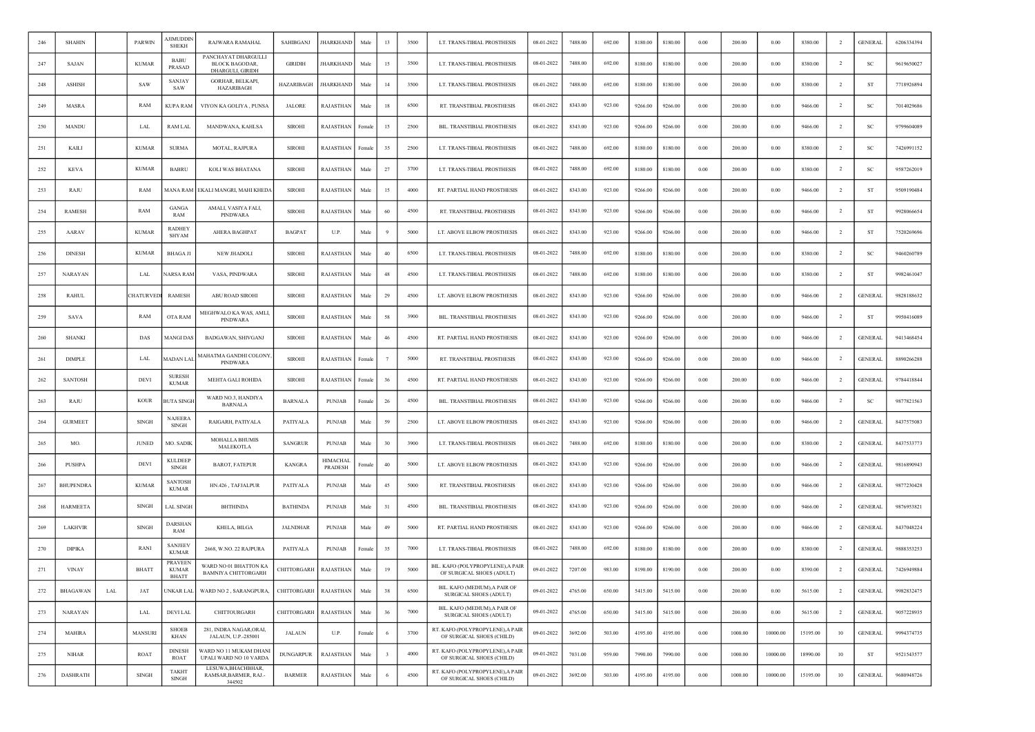| 246 | <b>SHAHIN</b>   |     | <b>PARWIN</b> | JIMUDDIN<br><b>SHEKH</b>                       | RAJWARA RAMAHAL                                                  | SAHIBGANJ        | <b>JHARKHAND</b>           | Male   | 13                      | 3500 | LT. TRANS-TIBIAL PROSTHESIS                                    | 08-01-2022 | 7488.00 | 692.00 | 8180.00 | 8180.00 | 0.00       | 200.00  | 0.00     | 8380.00  | $\overline{2}$ | <b>GENERAL</b> | 6206334394 |
|-----|-----------------|-----|---------------|------------------------------------------------|------------------------------------------------------------------|------------------|----------------------------|--------|-------------------------|------|----------------------------------------------------------------|------------|---------|--------|---------|---------|------------|---------|----------|----------|----------------|----------------|------------|
| 247 | SAJAN           |     | <b>KUMAR</b>  | <b>BABL</b><br>PRASAD                          | PANCHAYAT DHARGULLI<br><b>BLOCK BAGODAR,</b><br>DHARGULI, GIRIDH | <b>GIRIDIH</b>   | <b>HARKHAND</b>            | Male   | 15                      | 3500 | LT. TRANS-TIBIAL PROSTHESIS                                    | 08-01-2022 | 7488.00 | 692.00 | 8180.00 | 8180.00 | $0.00\,$   | 200.00  | 0.00     | 8380.00  | $\overline{2}$ | SC             | 9619650027 |
| 248 | <b>ASHISH</b>   |     | <b>SAW</b>    | SANJAY<br>SAW                                  | GORHAR, BELKAPI,<br>HAZARIBAGH                                   | HAZARIBAGH       | <b>JHARKHAND</b>           | Male   | 14                      | 3500 | LT. TRANS-TIBIAL PROSTHESIS                                    | 08-01-2022 | 7488.00 | 692.00 | 8180.00 | 8180.00 | 0.00       | 200.00  | 0.00     | 8380.00  | $\overline{2}$ | ST             | 7718926894 |
| 249 | <b>MASRA</b>    |     | RAM           | KUPA RAM                                       | VIYON KA GOLIYA, PUNSA                                           | <b>JALORE</b>    | RAJASTHAN                  | Male   | 18                      | 6500 | RT. TRANSTIBIAL PROSTHESIS                                     | 08-01-2022 | 8343.00 | 923.00 | 9266.00 | 9266.00 | 0.00       | 200.00  | 0.00     | 9466.00  | $\overline{2}$ | SC             | 7014029686 |
| 250 | MANDU           |     | LAL           | RAM LAL                                        | MANDWANA, KAHLSA                                                 | <b>SIROHI</b>    | RAJASTHAN                  | Female | 15                      | 2500 | BIL. TRANSTIBIAL PROSTHESIS                                    | 08-01-2022 | 8343.00 | 923.00 | 9266.00 | 9266.00 | 0.00       | 200.00  | 0.00     | 9466.00  |                | <b>SC</b>      | 9799604089 |
| 251 | KAILI           |     | <b>KUMAR</b>  | <b>SURMA</b>                                   | MOTAL, RAJPURA                                                   | <b>SIROHI</b>    | RAJASTHAN                  | Femal  | 35                      | 2500 | LT. TRANS-TIBIAL PROSTHESIS                                    | 08-01-2022 | 7488.00 | 692.00 | 8180.00 | 8180.00 | 0.00       | 200.00  | 0.00     | 8380.00  | $\overline{2}$ | SC             | 7426991152 |
| 252 | <b>KEVA</b>     |     | <b>KUMAR</b>  | <b>BABRU</b>                                   | KOLI WAS BHATANA                                                 | <b>SIROHI</b>    | RAJASTHAN                  | Male   | 27                      | 3700 | LT. TRANS-TIBIAL PROSTHESIS                                    | 08-01-2022 | 7488.00 | 692.00 | 8180.00 | 8180.00 | 0.00       | 200.00  | 0.00     | 8380.00  | <sup>2</sup>   | SC             | 9587262019 |
| 253 | RAJU            |     | RAM           | MANA RAM                                       | EKALI MANGRI, MAHI KHEDA                                         | <b>SIROHI</b>    | RAJASTHAN                  | Male   | 15                      | 4000 | RT. PARTIAL HAND PROSTHESIS                                    | 08-01-2022 | 8343.00 | 923.00 | 9266.00 | 9266.00 | 0.00       | 200.00  | 0.00     | 9466.00  | $\overline{2}$ | ST             | 9509190484 |
| 254 | RAMESH          |     | RAM           | <b>GANGA</b><br>RAM                            | AMALI, VASIYA FALI,<br>PINDWARA                                  | <b>SIROHI</b>    | RAJASTHAN                  | Male   | 60                      | 4500 | RT. TRANSTIBIAL PROSTHESIS                                     | 08-01-2022 | 8343.00 | 923.00 | 9266.00 | 9266.00 | $0.00\,$   | 200.00  | 0.00     | 9466.00  | $\overline{2}$ | ST             | 9928066654 |
| 255 | AARAV           |     | <b>KUMAR</b>  | <b>RADHEY</b><br><b>SHYAM</b>                  | AHERA BAGHPAT                                                    | <b>BAGPAT</b>    | U.P.                       | Male   | - 9                     | 5000 | LT. ABOVE ELBOW PROSTHESIS                                     | 08-01-2022 | 8343.00 | 923.00 | 9266.00 | 9266.00 | 0.00       | 200.00  | 0.00     | 9466.00  | $\overline{2}$ | ST             | 7520269696 |
| 256 | <b>DINESH</b>   |     | <b>KUMAR</b>  | <b>BHAGA JI</b>                                | NEW JHADOLI                                                      | <b>SIROHI</b>    | RAJASTHAN                  | Male   | 40                      | 6500 | LT. TRANS-TIBIAL PROSTHESIS                                    | 08-01-2022 | 7488.00 | 692.00 | 8180.00 | 8180.00 | 0.00       | 200.00  | 0.00     | 8380.00  | $\overline{2}$ | SC             | 9460260789 |
| 257 | <b>NARAYAN</b>  |     | LAL           | <b>VARSA RAM</b>                               | VASA, PINDWARA                                                   | <b>SIROHI</b>    | RAJASTHAN                  | Male   | 48                      | 4500 | LT. TRANS-TIBIAL PROSTHESIS                                    | 08-01-2022 | 7488.00 | 692.00 | 8180.00 | 8180.00 | 0.00       | 200.00  | 0.00     | 8380.00  | $\overline{2}$ | ST             | 9982461047 |
| 258 | <b>RAHUL</b>    |     | CHATURVEL     | RAMESH                                         | ABU ROAD SIROHI                                                  | <b>SIROHI</b>    | RAJASTHAN                  | Male   | 29                      | 4500 | LT. ABOVE ELBOW PROSTHESIS                                     | 08-01-2022 | 8343.00 | 923.00 | 9266.00 | 9266.00 | 0.00       | 200.00  | 0.00     | 9466.00  | $\overline{2}$ | <b>GENERAL</b> | 9828188632 |
| 259 | <b>SAVA</b>     |     | RAM           | OTA RAM                                        | MEGHWALO KA WAS, AMLI,<br>PINDWARA                               | <b>SIROHI</b>    | RAJASTHAN                  | Male   | 58                      | 3900 | BIL. TRANSTIBIAL PROSTHESIS                                    | 08-01-2022 | 8343.00 | 923.00 | 9266.00 | 9266.00 | 0.00       | 200.00  | 0.00     | 9466.00  | <sup>2</sup>   | <b>ST</b>      | 9950416089 |
| 260 | <b>SHANKI</b>   |     | DAS           | MANGI DAS                                      | BADGAWAN, SHIVGANJ                                               | <b>SIROHI</b>    | RAJASTHAN                  | Male   | 46                      | 4500 | RT. PARTIAL HAND PROSTHESIS                                    | 08-01-2022 | 8343.00 | 923.00 | 9266.00 | 9266.00 | $0.00\,$   | 200.00  | 0.00     | 9466.00  | $\overline{2}$ | <b>GENERAL</b> | 9413468454 |
| 261 | <b>DIMPLE</b>   |     | LAL           | MADAN LAI                                      | MAHATMA GANDHI COLONY<br>PINDWARA                                | <b>SIROHI</b>    | RAJASTHAN                  | Female |                         | 5000 | RT. TRANSTIBIAL PROSTHESIS                                     | 08-01-2022 | 8343.00 | 923.00 | 9266.00 | 9266.00 | $0.00\,$   | 200.00  | 0.00     | 9466.00  | $\overline{2}$ | <b>GENERAL</b> | 8890266288 |
| 262 | <b>SANTOSH</b>  |     | <b>DEVI</b>   | <b>SURESE</b><br><b>KUMAR</b>                  | MEHTA GALI ROHIDA                                                | <b>SIROHI</b>    | RAJASTHAN                  | Female | 36                      | 4500 | RT. PARTIAL HAND PROSTHESIS                                    | 08-01-2022 | 8343.00 | 923.00 | 9266.00 | 9266.00 | 0.00       | 200.00  | 0.00     | 9466.00  | $\overline{2}$ | <b>GENERAL</b> | 9784418844 |
| 263 | RAJU            |     | <b>KOUR</b>   | <b>BUTA SINGH</b>                              | WARD NO.3, HANDIYA<br><b>BARNALA</b>                             | <b>BARNALA</b>   | PUNJAB                     | Female | 26                      | 4500 | BIL. TRANSTIBIAL PROSTHESIS                                    | 08-01-2022 | 8343.00 | 923.00 | 9266.00 | 9266.00 | 0.00       | 200.00  | 0.00     | 9466.00  | $\overline{2}$ | SC             | 9877821563 |
| 264 | <b>GURMEET</b>  |     | SINGH         | NAJEER⊅<br><b>SINGH</b>                        | RAIGARH, PATIYALA                                                | PATIYALA         | PUNJAB                     | Male   | 59                      | 2500 | LT. ABOVE ELBOW PROSTHESIS                                     | 08-01-2022 | 8343.00 | 923.00 | 9266.00 | 9266.00 | 0.00       | 200.00  | 0.00     | 9466.00  | -2             | <b>GENERAL</b> | 8437575083 |
| 265 | MO.             |     | <b>JUNED</b>  | MO. SADIK                                      | <b>MOHALLA BHUMIS</b><br>MALEKOTLA                               | <b>SANGRUR</b>   | <b>PUNJAB</b>              | Male   | 30                      | 3900 | LT. TRANS-TIBIAL PROSTHESIS                                    | 08-01-2022 | 7488.00 | 692.00 | 8180.00 | 8180.00 | 0.00       | 200.00  | 0.00     | 8380.00  | $\overline{2}$ | <b>GENERAL</b> | 8437533773 |
| 266 | <b>PUSHPA</b>   |     | <b>DEVI</b>   | <b>KULDEEP</b><br><b>SINGH</b>                 | <b>BAROT, FATEPUR</b>                                            | <b>KANGRA</b>    | <b>HIMACHAI</b><br>PRADESH | Female | 40                      | 5000 | LT. ABOVE ELBOW PROSTHESIS                                     | 08-01-2022 | 8343.00 | 923.00 | 9266.00 | 9266.00 | 0.00       | 200.00  | 0.00     | 9466.00  | -2             | <b>GENERAL</b> | 9816890943 |
| 267 | BHUPENDRA       |     | <b>KUMAR</b>  | <b>SANTOSH</b><br><b>KUMAR</b>                 | HN.426, TAFJALPUR                                                | PATIYALA         | <b>PUNJAB</b>              | Male   | 45                      | 5000 | RT. TRANSTIBIAL PROSTHESIS                                     | 08-01-2022 | 8343.00 | 923.00 | 9266.00 | 9266.00 | $0.00\,$   | 200.00  | 0.00     | 9466.00  | $\overline{2}$ | <b>GENERAL</b> | 9877230428 |
| 268 | <b>HARMEETA</b> |     | <b>SINGH</b>  | <b>LAL SINGH</b>                               | <b>BHTHINDA</b>                                                  | <b>BATHINDA</b>  | PUNJAB                     | Male   | 31                      | 4500 | BIL. TRANSTIBIAL PROSTHESIS                                    | 08-01-2022 | 8343.00 | 923.00 | 9266.00 | 9266.00 | 0.00       | 200.00  | 0.00     | 9466.00  | $\overline{2}$ | <b>GENERAL</b> | 9876953821 |
| 269 | <b>LAKHVIR</b>  |     | <b>SINGH</b>  | DARSHAN<br>RAM                                 | KHELA, BILGA                                                     | <b>JALNDHAR</b>  | <b>PUNJAB</b>              | Male   | 49                      | 5000 | RT. PARTIAL HAND PROSTHESIS                                    | 08-01-2022 | 8343.00 | 923.00 | 9266.00 | 9266.00 | 0.00       | 200.00  | 0.00     | 9466.00  | $\overline{2}$ | <b>GENERAL</b> | 8437048224 |
| 270 | <b>DIPIKA</b>   |     | RANI          | <b>SANJEEV</b><br><b>KUMAR</b>                 | 2668, W.NO. 22 RAJPURA                                           | PATIYALA         | PUNJAB                     | Female | 35                      | 7000 | LT. TRANS-TIBIAL PROSTHESIS                                    | 08-01-2022 | 7488.00 | 692.00 | 8180.00 | 8180.00 | 0.00       | 200.00  | 0.00     | 8380.00  | $\overline{2}$ | <b>GENERAL</b> | 9888353253 |
| 271 | <b>VINAY</b>    |     | <b>BHATT</b>  | <b>PRAVEEN</b><br><b>KUMAR</b><br><b>BHATT</b> | WARD NO 01 BHATTON KA<br><b>BAMNIYA CHITTORGARH</b>              | CHITTORGARH      | RAJASTHAN                  | Male   | 19                      | 5000 | BIL. KAFO (POLYPROPYLENE), A PAIR<br>OF SURGICAL SHOES (ADULT) | 09-01-2022 | 7207.00 | 983.00 | 8190.00 | 8190.00 | 0.00       | 200.00  | 0.00     | 8390.00  | -2             | <b>GENERAL</b> | 7426949884 |
| 272 | <b>BHAGAWAN</b> | LAL | JAT           | UNKAR LAL                                      | WARD NO 2, SARANGPURA,                                           | CHITTORGARH      | RAJASTHAN                  | Male   | 38                      | 6500 | BIL. KAFO (MEDIUM), A PAIR OF<br>SURGICAL SHOES (ADULT)        | 09-01-2022 | 4765.00 | 650.00 | 5415.00 | 5415.00 | $\rm 0.00$ | 200.00  | $0.00\,$ | 5615.00  | $\overline{2}$ | <b>GENERAL</b> | 9982832475 |
| 273 | <b>NARAYAN</b>  |     | <b>LAL</b>    | <b>DEVILAL</b>                                 | CHITTOURGARH                                                     | CHITTORGARH      | <b>RAJASTHAN</b>           | Male   | $36\,$                  | 7000 | BIL. KAFO (MEDIUM), A PAIR OF<br>SURGICAL SHOES (ADULT)        | 09-01-2022 | 4765.00 | 650.00 | 5415.00 | 5415.00 | 0.00       | 200.00  | 0.00     | 5615.00  | $\overline{2}$ | <b>GENERAL</b> | 9057228935 |
| 274 | <b>MAHIRA</b>   |     | MANSURI       | <b>SHOEB</b><br>KHAN                           | 281, INDRA NAGAR, ORAI,<br>JALAUN, U.P.-285001                   | <b>JALAUN</b>    | U.P.                       | Female | -6                      | 3700 | RT. KAFO (POLYPROPYLENE), A PAIR<br>OF SURGICAL SHOES (CHILD)  | 09-01-2022 | 3692.00 | 503.00 | 4195.00 | 4195.00 | 0.00       | 1000.00 | 10000.00 | 15195.00 | 10             | <b>GENERAL</b> | 9994374735 |
| 275 | <b>NIHAR</b>    |     | ROAT          | <b>DINESH</b><br><b>ROAT</b>                   | WARD NO 11 MUKAM DHANI<br>UPALI WARD NO 10 VARDA                 | <b>DUNGARPUR</b> | <b>RAJASTHAN</b>           | Male   | $\overline{\mathbf{3}}$ | 4000 | RT. KAFO (POLYPROPYLENE), A PAIR<br>OF SURGICAL SHOES (CHILD)  | 09-01-2022 | 7031.00 | 959.00 | 7990.00 | 7990.00 | 0.00       | 1000.00 | 10000.00 | 18990.00 | 10             | ST             | 9521543577 |
| 276 | DASHRATH        |     | <b>SINGH</b>  | <b>TAKHT</b><br><b>SINGH</b>                   | LESUWA, BHACHBHAR,<br>RAMSAR, BARMER, RAJ.-<br>344502            | <b>BARMER</b>    | <b>RAJASTHAN</b>           | Male   | 6                       | 4500 | RT. KAFO (POLYPROPYLENE), A PAIR<br>OF SURGICAL SHOES (CHILD)  | 09-01-2022 | 3692.00 | 503.00 | 4195.00 | 4195.00 | 0.00       | 1000.00 | 10000.00 | 15195.00 | 10             | <b>GENERAL</b> | 9680948726 |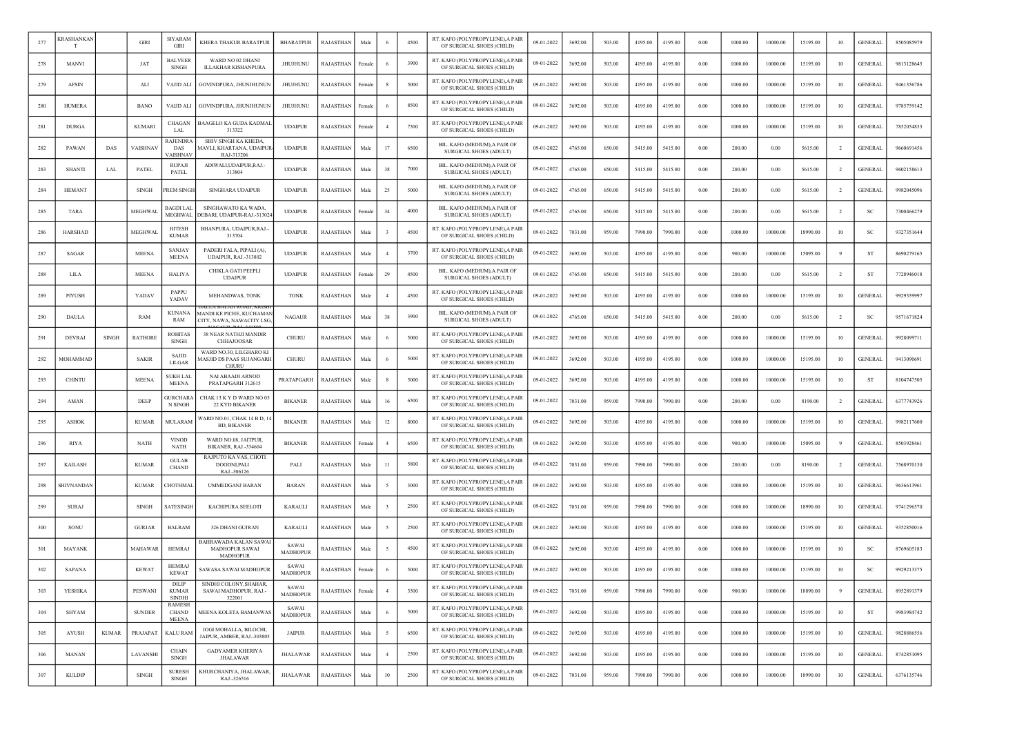| 277 | CRASHANKAN     |              | <b>GIRI</b>    | <b>SIYARAM</b><br>GIRI                        | KHERA THAKUR BARATPUR                                          | <b>BHARATPUR</b>         | <b>RAJASTHAN</b> | Male   |                | 4500 | RT. KAFO (POLYPROPYLENE), A PAIR<br>OF SURGICAL SHOES (CHILD)  | 09-01-2022 | 3692.00 | 503.00 | 4195.00 | 4195.00 | 0.00 | 1000.00 | 10000.00 | 15195.00 | 10             | <b>GENERAL</b> | 8505085979 |
|-----|----------------|--------------|----------------|-----------------------------------------------|----------------------------------------------------------------|--------------------------|------------------|--------|----------------|------|----------------------------------------------------------------|------------|---------|--------|---------|---------|------|---------|----------|----------|----------------|----------------|------------|
| 278 | MANVI          |              | JAT            | <b>BALVEER</b><br>SINGH                       | WARD NO 02 DHANI<br><b>ILLAKHAR KISHANPURA</b>                 | JHUJHUNU                 | RAJASTHAN        | Femal  |                | 3900 | RT. KAFO (POLYPROPYLENE), A PAIR<br>OF SURGICAL SHOES (CHILD)  | 09-01-2022 | 3692.00 | 503.00 | 4195.00 | 4195.00 | 0.00 | 1000.00 | 10000.00 | 15195.00 | 10             | <b>GENERAL</b> | 9813128645 |
| 279 | <b>AFSIN</b>   |              | ALI            | <b>VAJID ALI</b>                              | GOVINDPURA, JHUNJHUNUN                                         | <b>JHUJHUNU</b>          | <b>RAJASTHAN</b> | Female |                | 5000 | RT. KAFO (POLYPROPYLENE),A PAIF<br>OF SURGICAL SHOES (CHILD)   | 09-01-2022 | 3692.00 | 503.00 | 4195.00 | 4195.00 | 0.00 | 1000.00 | 10000.00 | 15195.00 | 10             | <b>GENERAL</b> | 9461356786 |
| 280 | <b>HUMERA</b>  |              | <b>BANO</b>    | VAIJD ALI                                     | GOVINDPURA, JHUNJHUNUN                                         | JHUJHUNU                 | RAJASTHAN        | Femal  |                | 8500 | RT. KAFO (POLYPROPYLENE), A PAIR<br>OF SURGICAL SHOES (CHILD)  | 09-01-2022 | 3692.00 | 503.00 | 4195.00 | 4195.00 | 0.00 | 1000.00 | 10000.00 | 15195.00 | 10             | <b>GENERAL</b> | 9785759142 |
| 281 | <b>DURGA</b>   |              | <b>KUMARI</b>  | <b>CHAGAN</b><br>LAL                          | BAAGELO KA GUDA KADMAI<br>313322                               | <b>UDAIPUR</b>           | RAJASTHAN        | Female |                | 7500 | RT. KAFO (POLYPROPYLENE), A PAIR<br>OF SURGICAL SHOES (CHILD)  | 09-01-2022 | 3692.00 | 503.00 | 4195.00 | 4195.00 | 0.00 | 1000.00 | 10000.00 | 15195.00 | 10             | <b>GENERAL</b> | 7852054833 |
| 282 | PAWAN          | DAS          | VAISHNAV       | <b>RAJENDRA</b><br>DAS<br>AISHNAV             | SHIV SINGH KA KHEDA,<br>AAVLI, KHARTANA, UDAIPUF<br>RAJ-313206 | <b>UDAIPUR</b>           | RAJASTHAN        | Male   | 17             | 6500 | BIL. KAFO (MEDIUM), A PAIR OF<br><b>SURGICAL SHOES (ADULT)</b> | 09-01-2022 | 4765.00 | 650.00 | 5415.00 | 5415.00 | 0.00 | 200.00  | 0.00     | 5615.00  | $\overline{2}$ | <b>GENERAL</b> | 9660691456 |
| 283 | <b>SHANTI</b>  | LAL          | PATEL          | <b>RUPAJI</b><br>PATEL                        | ADIWALLUDAIPUR.RAJ.<br>313804                                  | <b>UDAIPUR</b>           | RAJASTHAN        | Male   | 38             | 7000 | BIL. KAFO (MEDIUM), A PAIR OF<br><b>SURGICAL SHOES (ADULT)</b> | 09-01-2022 | 4765.00 | 650.00 | 5415.00 | 5415.00 | 0.00 | 200.00  | 0.00     | 5615.00  | $\overline{2}$ | <b>GENERAL</b> | 9602158613 |
| 284 | <b>HEMANT</b>  |              | <b>SINGH</b>   | <b>REM SINGH</b>                              | <b>SINGHARA UDAIPUR</b>                                        | <b>UDAIPUR</b>           | RAJASTHAN        | Male   | 25             | 5000 | BIL. KAFO (MEDIUM).A PAIR OF<br><b>SURGICAL SHOES (ADULT)</b>  | 09-01-2022 | 4765.00 | 650.00 | 5415.00 | 5415.00 | 0.00 | 200.00  | 0.00     | 5615.00  | $\overline{2}$ | <b>GENERAL</b> | 9982045096 |
| 285 | <b>TARA</b>    |              | MEGHWAL        | <b>BAGDI LAI</b><br>MEGHWAI                   | SINGHAWATO KA WADA,<br>DEBARI, UDAIPUR-RAJ.-31302-             | <b>UDAIPUR</b>           | RAJASTHAN        | Female | 34             | 4000 | BIL. KAFO (MEDIUM), A PAIR OF<br>SURGICAL SHOES (ADULT)        | 09-01-2022 | 4765.00 | 650.00 | 5415.00 | 5415.00 | 0.00 | 200.00  | 0.00     | 5615.00  | $\overline{2}$ | <sub>SC</sub>  | 7300466279 |
| 286 | <b>HARSHAD</b> |              | <b>MEGHWAL</b> | <b>HITESH</b><br><b>KUMAR</b>                 | BHANPURA, UDAIPUR, RAJ.<br>313704                              | <b>UDAIPUR</b>           | RAJASTHAN        | Male   |                | 4500 | RT. KAFO (POLYPROPYLENE), A PAIR<br>OF SURGICAL SHOES (CHILD)  | 09-01-2022 | 7031.00 | 959.00 | 7990.00 | 7990.00 | 0.00 | 1000.00 | 10000.00 | 18990.00 | 10             | SC             | 9327351644 |
| 287 | SAGAR          |              | <b>MEENA</b>   | <b>SANJAY</b><br><b>MEENA</b>                 | PADERI FALA, PIPALI (A),<br><b>UDAIPUR, RAJ.-313802</b>        | <b>UDAIPUR</b>           | RAJASTHAN        | Male   |                | 3700 | RT. KAFO (POLYPROPYLENE), A PAIR<br>OF SURGICAL SHOES (CHILD)  | 09-01-2022 | 3692.00 | 503.00 | 4195.00 | 4195.00 | 0.00 | 900.00  | 10000.00 | 15095.00 | -9             | <b>ST</b>      | 8690279165 |
| 288 | <b>LILA</b>    |              | <b>MEENA</b>   | <b>HALIYA</b>                                 | CHIKLA GATI PEEPLI<br><b>UDAIPUR</b>                           | <b>UDAIPUR</b>           | RAJASTHAN        | Female | 29             | 4500 | BIL. KAFO (MEDIUM).A PAIR OF<br>SURGICAL SHOES (ADULT)         | 09-01-2022 | 4765.00 | 650.00 | 5415.00 | 5415.00 | 0.00 | 200.00  | 0.00     | 5615.00  | -2             | -ST            | 7728946018 |
| 289 | PIYUSH         |              | YADAV          | PAPPU<br>YADAV                                | MEHANDWAS, TONK                                                | <b>TONK</b>              | RAJASTHAN        | Male   |                | 4500 | RT. KAFO (POLYPROPYLENE), A PAIR<br>OF SURGICAL SHOES (CHILD)  | 09-01-2022 | 3692.00 | 503.00 | 4195.00 | 4195.00 | 0.00 | 1000.00 | 10000.00 | 15195.00 | 10             | <b>GENERAL</b> | 9929359997 |
| 290 | <b>DAULA</b>   |              | RAM            | <b>KUNANA</b><br>RAM                          | MANDI KE PICHE, KUCHAMA<br>CITY, NAWA, NAWACITY LSG            | <b>NAGAUR</b>            | RAJASTHAN        | Male   | 38             | 3900 | BIL. KAFO (MEDIUM).A PAIR OF<br>SURGICAL SHOES (ADULT)         | 09-01-2022 | 4765.00 | 650.00 | 5415.00 | 5415.00 | 0.00 | 200.00  | 0.00     | 5615.00  | <sup>2</sup>   | <b>SC</b>      | 9571671824 |
| 291 | <b>DEVRAJ</b>  | <b>SINGH</b> | <b>RATHORE</b> | <b>ROHITAS</b><br>SINGH                       | 38 NEAR NATHJI MANDIR<br><b>CHHAJOOSAR</b>                     | CHURU                    | RAJASTHAN        | Male   |                | 5000 | RT. KAFO (POLYPROPYLENE), A PAIR<br>OF SURGICAL SHOES (CHILD)  | 09-01-2022 | 3692.00 | 503.00 | 4195.00 | 4195.00 | 0.00 | 1000.00 | 10000.00 | 15195.00 | 10             | <b>GENERAL</b> | 9928099711 |
| 292 | MOHAMMAD       |              | <b>SAKIR</b>   | SAJID<br>LILGAR                               | WARD NO.30, LILGHARO KI<br>AASJID DS PAAS SUJANGARH<br>CHURL   | CHURU                    | RAJASTHAN        | Male   |                | 5000 | RT. KAFO (POLYPROPYLENE), A PAIR<br>OF SURGICAL SHOES (CHILD)  | 09-01-2022 | 3692.00 | 503.00 | 4195.00 | 4195.00 | 0.00 | 1000.00 | 10000.00 | 15195.00 | 10             | <b>GENERAL</b> | 9413090691 |
| 293 | <b>CHINTU</b>  |              | <b>MEENA</b>   | <b>SUKH LAL</b><br><b>MEENA</b>               | <b>NAI ABAADI ARNOD</b><br>PRATAPGARH 312615                   | PRATAPGARH               | RAJASTHAN        | Male   |                | 5000 | RT. KAFO (POLYPROPYLENE),A PAIF<br>OF SURGICAL SHOES (CHILD)   | 09-01-2022 | 3692.00 | 503.00 | 4195.00 | 4195.00 | 0.00 | 1000.00 | 10000.00 | 15195.00 | 10             | <b>ST</b>      | 8104747505 |
| 294 | AMAN           |              | DEEP           | <b>GURCHARA</b><br>N SINGH                    | CHAK 13 K Y D WARD NO 05<br>22 KYD BIKANER                     | <b>BIKANER</b>           | RAJASTHAN        | Male   | 16             | 6500 | RT. KAFO (POLYPROPYLENE), A PAIR<br>OF SURGICAL SHOES (CHILD)  | 09-01-2022 | 7031.00 | 959.00 | 7990.00 | 7990.00 | 0.00 | 200.00  | 0.00     | 8190.00  | <sup>2</sup>   | <b>GENERAL</b> | 6377743926 |
| 295 | ASHOK          |              | <b>KUMAR</b>   | MULARAM                                       | WARD NO.01, CHAK 14 B D, 1<br><b>BD. BIKANER</b>               | <b>BIKANER</b>           | RAJASTHAN        | Male   | 12             | 8000 | RT. KAFO (POLYPROPYLENE), A PAIR<br>OF SURGICAL SHOES (CHILD)  | 09-01-2022 | 3692.00 | 503.00 | 4195.00 | 4195.00 | 0.00 | 1000.00 | 10000.00 | 15195.00 | 10             | GENERAI        | 9982117600 |
| 296 | <b>RIYA</b>    |              | NATH           | <b>VINOD</b><br>NATH                          | WARD NO.08, JAITPUR,<br>BIKANER, RAJ.-334604                   | <b>BIKANER</b>           | RAJASTHAN        | Femal  |                | 6500 | RT. KAFO (POLYPROPYLENE), A PAIR<br>OF SURGICAL SHOES (CHILD)  | 09-01-2022 | 3692.00 | 503.00 | 4195.00 | 4195.00 | 0.00 | 900.00  | 10000.00 | 15095.00 |                | <b>GENERAL</b> | 8503928461 |
| 297 | <b>KAILASH</b> |              | <b>KUMAR</b>   | <b>GULAB</b><br><b>CHAND</b>                  | RAJPUTO KA VAS, CHOTI<br>DOODNLPALI<br>RAJ.-306126             | PALI                     | RAJASTHAN        | Male   | 11             | 5800 | RT. KAFO (POLYPROPYLENE), A PAIR<br>OF SURGICAL SHOES (CHILD)  | 09-01-2022 | 7031.00 | 959.00 | 7990.00 | 7990.00 | 0.00 | 200.00  | 0.00     | 8190.00  | <sup>2</sup>   | <b>GENERAL</b> | 7568970130 |
| 298 | SHIVNANDAN     |              | <b>KUMAR</b>   | CHOTHMAI                                      | <b>UMMEDGANJ BARAN</b>                                         | <b>BARAN</b>             | RAJASTHAN        | Male   |                | 3000 | RT. KAFO (POLYPROPYLENE), A PAIR<br>OF SURGICAL SHOES (CHILD)  | 09-01-2022 | 3692.00 | 503.00 | 4195.00 | 4195.00 | 0.00 | 1000.00 | 10000.00 | 15195.00 | 10             | <b>GENERAL</b> | 9636613961 |
| 299 | <b>SURAJ</b>   |              | <b>SINGH</b>   | SATESINGH                                     | KACHIPURA SEELOTI                                              | <b>KARAULI</b>           | <b>RAJASTHAN</b> | Male   |                | 2500 | RT. KAFO (POLYPROPYLENE), A PAIR<br>OF SURGICAL SHOES (CHILD)  | 09-01-2022 | 7031.00 | 959.00 | 7990.00 | 7990.00 | 0.00 | 1000.00 | 10000.00 | 18990.00 | 10             | <b>GENERAL</b> | 9741296570 |
| 300 | SONU           |              | <b>GURJAR</b>  | <b>BALRAM</b>                                 | 326 DHANI GUJRAN                                               | <b>KARAULI</b>           | <b>RAJASTHAN</b> | Male   |                | 2500 | RT. KAFO (POLYPROPYLENE), A PAIR<br>OF SURGICAL SHOES (CHILD)  | 09-01-2022 | 3692.00 | 503.00 | 4195.00 | 4195.00 | 0.00 | 1000.00 | 10000.00 | 15195.00 | 10             | <b>GENERAL</b> | 9352850016 |
| 301 | MAYANK         |              | MAHAWAR        | <b>HEMRAJ</b>                                 | BAHRAWADA KALAN SAWA<br><b>MADHOPUR SAWAI</b><br>MADHOPUR      | SAWAI<br><b>MADHOPUR</b> | RAJASTHAN        | Male   |                | 4500 | RT. KAFO (POLYPROPYLENE), A PAIR<br>OF SURGICAL SHOES (CHILD)  | 09-01-2022 | 3692.00 | 503.00 | 4195.00 | 4195.00 | 0.00 | 1000.00 | 10000.00 | 15195.00 | 10             | <sub>SC</sub>  | 8769605183 |
| 302 | <b>SAPANA</b>  |              | <b>KEWAT</b>   | <b>HEMRA</b><br><b>KEWAT</b>                  | SAWASA SAWAI MADHOPUR                                          | SAWAI<br><b>MADHOPUR</b> | RAJASTHAN        | Female |                | 5000 | RT. KAFO (POLYPROPYLENE), A PAIR<br>OF SURGICAL SHOES (CHILD)  | 09-01-2022 | 3692.00 | 503.00 | 4195.00 | 4195.00 | 0.00 | 1000.00 | 10000.00 | 15195.00 | 10             | <sub>SC</sub>  | 9929213375 |
| 303 | YESHIKA        |              | PESWANI        | DILIH<br><b>KUMAR</b><br><b>SINDHI</b>        | SINDHI COLONY SHAHAR.<br>SAWAI MADHOPUR, RAJ.-<br>322001       | SAWAI<br><b>MADHOPUR</b> | RAJASTHAN        | Female | $\overline{4}$ | 3500 | RT. KAFO (POLYPROPYLENE), A PAIR<br>OF SURGICAL SHOES (CHILD)  | 09-01-2022 | 7031.00 | 959.00 | 7990.00 | 7990.00 | 0.00 | 900.00  | 10000.00 | 18890.00 |                | <b>GENERAL</b> | 8952891379 |
| 304 | <b>SHYAM</b>   |              | <b>SUNDER</b>  | <b>RAMESH</b><br><b>CHAND</b><br><b>MEENA</b> | MEENA KOLETA BAMANWAS                                          | SAWAI<br><b>MADHOPUR</b> | RAJASTHAN        | Male   | -6             | 5000 | RT. KAFO (POLYPROPYLENE), A PAIR<br>OF SURGICAL SHOES (CHILD)  | 09-01-2022 | 3692.00 | 503.00 | 4195.00 | 4195.00 | 0.00 | 1000.00 | 10000.00 | 15195.00 | 10             | <b>ST</b>      | 9983984742 |
| 305 | AYUSH          | <b>KUMAR</b> | PRAJAPAT       | <b>KALU RAM</b>                               | JOGI MOHALLA, BILOCHI,<br>JAIPUR, AMBER, RAJ.-303805           | <b>JAIPUR</b>            | RAJASTHAN        | Male   | $\sim$         | 6500 | RT. KAFO (POLYPROPYLENE), A PAIR<br>OF SURGICAL SHOES (CHILD)  | 09-01-2022 | 3692.00 | 503.00 | 4195.00 | 4195.00 | 0.00 | 1000.00 | 10000.00 | 15195.00 | 10             | <b>GENERAL</b> | 9828886556 |
| 306 | <b>MANAN</b>   |              | LAVANSHI       | <b>CHAIN</b><br><b>SINGH</b>                  | <b>GADYAMER KHERIYA</b><br><b>JHALAWAR</b>                     | <b>JHALAWAR</b>          | <b>RAJASTHAN</b> | Male   | $\overline{4}$ | 2500 | RT. KAFO (POLYPROPYLENE), A PAIR<br>OF SURGICAL SHOES (CHILD)  | 09-01-2022 | 3692.00 | 503.00 | 4195.00 | 4195.00 | 0.00 | 1000.00 | 10000.00 | 15195.00 | 10             | <b>GENERAL</b> | 8742851095 |
| 307 | <b>KULDIP</b>  |              | SINGH          | <b>SURESH</b><br><b>SINGH</b>                 | KHURCHANIYA, JHALAWAR,<br>RAJ .- 326516                        | JHALAWAR                 | <b>RAJASTHAN</b> | Male   | $10\,$         | 2500 | RT. KAFO (POLYPROPYLENE), A PAIR<br>OF SURGICAL SHOES (CHILD)  | 09-01-2022 | 7031.00 | 959.00 | 7990.00 | 7990.00 | 0.00 | 1000.00 | 10000.00 | 18990.00 | 10             | <b>GENERAL</b> | 6376135746 |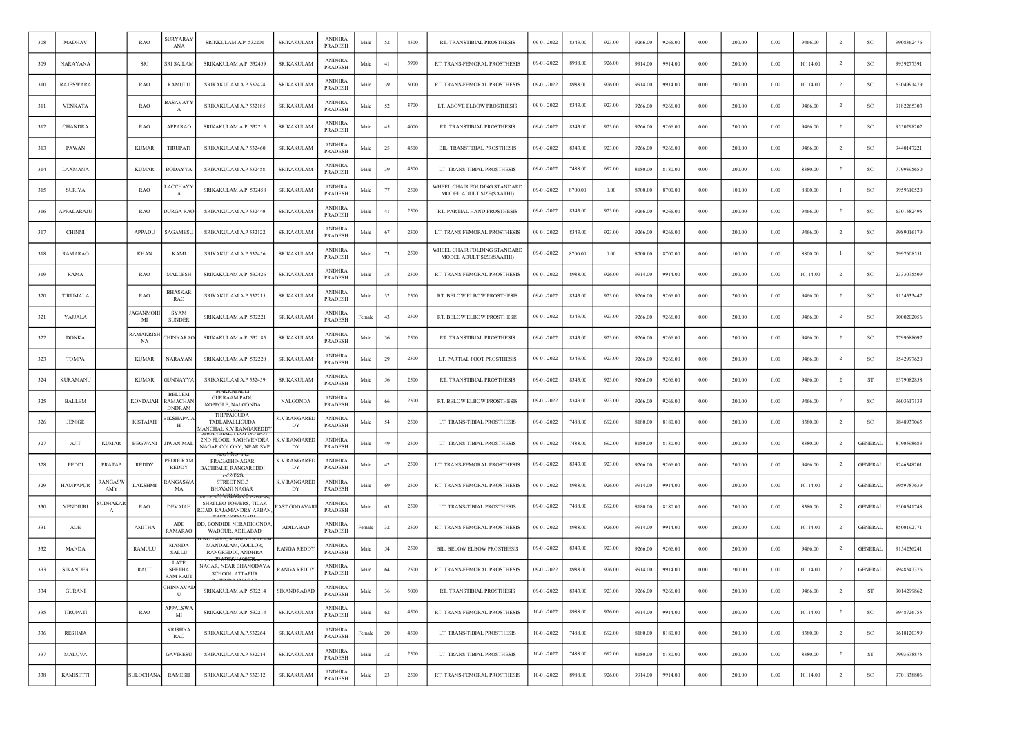| 308 | MADHAV          |                         | <b>RAO</b>           | <b>SURYARAY</b><br>ANA                     | SRIKKULAM A.P. 532201                                             | <b>SRIKAKULAM</b>   | <b>ANDHRA</b><br><b>PRADESH</b> | Male   | 52     | 4500 | RT. TRANSTIBIAL PROSTHESIS                               | 09-01-2022 | 8343.00 | 923.00 | 9266.00 | 9266.00 | 0.00       | 200.00 | 0.00     | 9466.00  | $\overline{2}$ | <b>SC</b>      | 9908362476 |
|-----|-----------------|-------------------------|----------------------|--------------------------------------------|-------------------------------------------------------------------|---------------------|---------------------------------|--------|--------|------|----------------------------------------------------------|------------|---------|--------|---------|---------|------------|--------|----------|----------|----------------|----------------|------------|
| 309 | NARAYANA        |                         | SRI                  | SRI SAILAM                                 | SRIKAKULAM A.P. 532459                                            | SRIKAKULAM          | <b>ANDHRA</b><br>PRADESH        | Male   | 41     | 3900 | RT. TRANS-FEMORAL PROSTHESIS                             | 09-01-2022 | 8988.00 | 926.00 | 9914.00 | 9914.00 | 0.00       | 200.00 | 0.00     | 10114.00 | -2             | <b>SC</b>      | 9959277391 |
| 310 | RAJESWARA       |                         | RAO                  | RAMULU                                     | SRIKAKULAM A.P 532474                                             | <b>SRIKAKULAM</b>   | <b>ANDHRA</b><br>PRADESH        | Male   | 39     | 5000 | RT. TRANS-FEMORAL PROSTHESIS                             | 09-01-2022 | 8988.00 | 926.00 | 9914.00 | 9914.00 | 0.00       | 200.00 | 0.00     | 10114.00 | <sup>2</sup>   | SC             | 6304991479 |
| 311 | <b>VENKATA</b>  |                         | RAO                  | 3ASAVAYY<br>A                              | SRIKAKULAM A.P 532185                                             | SRIKAKULAM          | <b>ANDHRA</b><br>PRADESH        | Male   | 52     | 3700 | LT. ABOVE ELBOW PROSTHESIS                               | 09-01-2022 | 8343.00 | 923.00 | 9266.00 | 9266.00 | 0.00       | 200.00 | 0.00     | 9466.00  | $\overline{2}$ | SC             | 9182265303 |
| 312 | <b>CHANDRA</b>  |                         | RAO                  | APPARAO                                    | SRIKAKULAM A.P. 532215                                            | <b>SRIKAKULAM</b>   | <b>ANDHRA</b><br>PRADESH        | Male   | 45     | 4000 | RT. TRANSTIBIAL PROSTHESIS                               | 09-01-2022 | 8343.00 | 923.00 | 9266.00 | 9266.00 | $0.00\,$   | 200.00 | 0.00     | 9466.00  | $\overline{2}$ | <sub>SC</sub>  | 9550298202 |
| 313 | PAWAN           |                         | <b>KUMAR</b>         | TIRUPATI                                   | SRIKAKULAM A.P 532460                                             | SRIKAKULAM          | <b>ANDHRA</b><br>PRADESH        | Male   | 25     | 4500 | BIL. TRANSTIBIAL PROSTHESIS                              | 09-01-2022 | 8343.00 | 923.00 | 9266.00 | 9266.00 | 0.00       | 200.00 | 0.00     | 9466.00  | -2             | SC             | 9440147221 |
| 314 | LAXMANA         |                         | <b>KUMAR</b>         | <b>BODAYYA</b>                             | SRIKAKULAM A.P 532458                                             | <b>SRIKAKULAM</b>   | <b>ANDHRA</b><br>PRADESH        | Male   | 39     | 4500 | LT. TRANS-TIBIAL PROSTHESIS                              | 09-01-2022 | 7488.00 | 692.00 | 8180.00 | 8180.00 | $0.00\,$   | 200.00 | 0.00     | 8380.00  | $\overline{2}$ | SC             | 7799395650 |
| 315 | <b>SURIYA</b>   |                         | RAO                  | <b>ACCHAYY</b><br>A                        | SRIKAKULAM A.P. 532458                                            | SRIKAKULAM          | <b>ANDHRA</b><br><b>PRADESH</b> | Male   | 77     | 2500 | WHEEL CHAIR FOLDING STANDARD<br>MODEL ADULT SIZE(SAATHI) | 09-01-2022 | 8700.00 | 0.00   | 8700.00 | 8700.00 | 0.00       | 100.00 | 0.00     | 8800.00  | -1             | SC             | 9959610520 |
| 316 | APPALARAJU      |                         | RAO                  | <b>DURGA RAO</b>                           | SRIKAKULAM A.P 532440                                             | SRIKAKULAM          | <b>ANDHRA</b><br>PRADESH        | Male   | 41     | 2500 | RT. PARTIAL HAND PROSTHESIS                              | 09-01-2022 | 8343.00 | 923.00 | 9266.00 | 9266.00 | $0.00\,$   | 200.00 | 0.00     | 9466.00  | $\overline{2}$ | SC             | 6301582495 |
| 317 | <b>CHINNI</b>   |                         | APPADU               | SAGAMESU                                   | SRIKAKULAM A.P 532122                                             | <b>SRIKAKULAM</b>   | <b>ANDHRA</b><br>PRADESH        | Male   | 67     | 2500 | LT. TRANS-FEMORAL PROSTHESIS                             | 09-01-2022 | 8343.00 | 923.00 | 9266.00 | 9266.00 | 0.00       | 200.00 | 0.00     | 9466.00  | <sup>2</sup>   | <sub>SC</sub>  | 9989016179 |
| 318 | <b>RAMARAO</b>  |                         | <b>KHAN</b>          | KAMI                                       | SRIKAKULAM A.P 532456                                             | <b>SRIKAKULAM</b>   | <b>ANDHRA</b><br>PRADESH        | Male   | 73     | 2500 | WHEEL CHAIR FOLDING STANDARD<br>MODEL ADULT SIZE(SAATHI) | 09-01-2022 | 8700.00 | 0.00   | 8700.00 | 8700.00 | 0.00       | 100.00 | 0.00     | 8800.00  |                | SC             | 7997608551 |
| 319 | RAMA            |                         | RAO                  | MALLESH                                    | SRIKAKULAM A.P. 532426                                            | <b>SRIKAKULAM</b>   | <b>ANDHRA</b><br>PRADESH        | Male   | 38     | 2500 | RT. TRANS-FEMORAL PROSTHESIS                             | 09-01-2022 | 8988.00 | 926.00 | 9914.00 | 9914.00 | 0.00       | 200.00 | 0.00     | 10114.00 | $\overline{2}$ | <sub>SC</sub>  | 2333075509 |
| 320 | <b>TIRUMALA</b> |                         | RAO                  | <b>BHASKAR</b><br>RAO                      | SRIKAKULAM A.P 532215                                             | SRIKAKULAM          | <b>ANDHRA</b><br>PRADESH        | Male   | 32     | 2500 | RT. BELOW ELBOW PROSTHESIS                               | 09-01-2022 | 8343.00 | 923.00 | 9266.00 | 9266.00 | 0.00       | 200.00 | 0.00     | 9466.00  | -2             | SC             | 9154533442 |
| 321 | YAJJALA         |                         | AGANMO<br>МI         | SYAM<br><b>SUNDER</b>                      | SRIKAKULAM A.P. 532221                                            | <b>SRIKAKULAM</b>   | <b>ANDHRA</b><br>PRADESH        | Female | 43     | 2500 | RT. BELOW ELBOW PROSTHESIS                               | 09-01-2022 | 8343.00 | 923.00 | 9266.00 | 9266.00 | 0.00       | 200.00 | 0.00     | 9466.00  | $\overline{2}$ | SC             | 9000202056 |
| 322 | <b>DONKA</b>    |                         | <b>AMAKRIS</b><br>NA | <b>HINNARAO</b>                            | SRIKAKULAM A.P. 532185                                            | SRIKAKULAM          | <b>ANDHRA</b><br>PRADESH        | Male   | 36     | 2500 | RT. TRANSTIBIAL PROSTHESIS                               | 09-01-2022 | 8343.00 | 923.00 | 9266.00 | 9266.00 | 0.00       | 200.00 | 0.00     | 9466.00  | $\overline{2}$ | SC             | 7799688097 |
| 323 | <b>TOMPA</b>    |                         | <b>KUMAR</b>         | NARAYAN                                    | SRIKAKULAM A.P. 532220                                            | SRIKAKULAM          | <b>ANDHRA</b><br>PRADESH        | Male   | 29     | 2500 | LT. PARTIAL FOOT PROSTHESIS                              | 09-01-2022 | 8343.00 | 923.00 | 9266.00 | 9266.00 | $0.00\,$   | 200.00 | 0.00     | 9466.00  | $\overline{2}$ | SC             | 9542997620 |
| 324 | <b>KURAMANU</b> |                         | <b>KUMAR</b>         | GUNNAYYA                                   | SRIKAKULAM A.P 532459                                             | SRIKAKULAM          | <b>ANDHRA</b><br>PRADESH        | Male   | 56     | 2500 | RT. TRANSTIBIAL PROSTHESIS                               | 09-01-2022 | 8343.00 | 923.00 | 9266.00 | 9266.00 | 0.00       | 200.00 | 0.00     | 9466.00  | <sup>2</sup>   | ST             | 6379082858 |
| 325 | <b>BALLEM</b>   |                         | <b>KONDAIAH</b>      | <b>BELLEM</b><br>RAMACHAN<br><b>DNDRAM</b> | <b>GURRAAM PADU</b><br>KOPPOLE, NALGONDA                          | NALGONDA            | <b>ANDHRA</b><br>PRADESH        | Male   | 66     | 2500 | RT. BELOW ELBOW PROSTHESIS                               | 09-01-2022 | 8343.00 | 923.00 | 9266.00 | 9266.00 | $0.00\,$   | 200.00 | 0.00     | 9466.00  | $\overline{2}$ | SC             | 9603617133 |
| 326 | <b>JENIGE</b>   |                         | <b>KISTAIAH</b>      | <b>BIKSHAPAIA</b><br>H                     | THIPPAIGUDA<br>TADLAPALLIGUDA<br>MANCHAL K.V RANGAREDDY           | K.V.RANGARED<br>DY  | <b>ANDHRA</b><br>PRADESH        | Male   | 54     | 2500 | LT. TRANS-TIBIAL PROSTHESIS                              | 09-01-2022 | 7488.00 | 692.00 | 8180.00 | 8180.00 | 0.00       | 200.00 | 0.00     | 8380.00  | $\overline{2}$ | <b>SC</b>      | 9848937065 |
| 327 | AJIT            | <b>KUMAR</b>            | <b>BEGWANI</b>       | <b>JIWAN MAL</b>                           | 2ND FLOOR, RAGHVENDRA<br>NAGAR COLONY, NEAR SVF                   | K.V.RANGAREE<br>DY  | ANDHRA<br>PRADESH               | Male   | 49     | 2500 | LT. TRANS-TIBIAL PROSTHESIS                              | 09-01-2022 | 7488.00 | 692.00 | 8180.00 | 8180.00 | 0.00       | 200.00 | 0.00     | 8380.00  | -2             | <b>GENERAL</b> | 8790598683 |
| 328 | PEDDI           | PRATAP                  | REDDY                | PEDDI RAM<br><b>REDDY</b>                  | rlol' <del>No. 1</del> .<br>PRAGATHINAGAR<br>BACHPALE, RANGAREDDI | K.V.RANGARED<br>DY  | <b>ANDHRA</b><br>PRADESH        | Male   | 42     | 2500 | LT. TRANS-FEMORAL PROSTHESIS                             | 09-01-2022 | 8343.00 | 923.00 | 9266.00 | 9266.00 | 0.00       | 200.00 | 0.00     | 9466.00  | -2             | <b>GENERAL</b> | 9246348201 |
| 329 | <b>HAMPAPUR</b> | <b>ANGASW</b><br>AMY    | LAKSHMI              | ANGASWA<br>MA                              | STREET NO.3<br><b>BHAVANI NAGAR</b>                               | K.V.RANGARED<br>DY  | <b>ANDHRA</b><br>PRADESH        | Male   | 69     | 2500 | RT. TRANS-FEMORAL PROSTHESIS                             | 09-01-2022 | 8988.00 | 926.00 | 9914.00 | 9914.00 | 0.00       | 200.00 | 0.00     | 10114.00 | $\overline{2}$ | <b>GENERAL</b> | 9959787639 |
| 330 | YENDIURI        | UDHAKAF<br>$\mathbf{A}$ | RAO                  | <b>DEVAIAH</b>                             | SHRI LEO TOWERS, TILAK<br>ROAD, RAJAMANDRY ARBAN                  | <b>EAST GODAVAR</b> | <b>ANDHRA</b><br>PRADESH        | Male   | 63     | 2500 | LT. TRANS-TIBIAL PROSTHESIS                              | 09-01-2022 | 7488.00 | 692.00 | 8180.00 | 8180.00 | 0.00       | 200.00 | 0.00     | 8380.00  | $\overline{2}$ | <b>GENERAL</b> | 6300541748 |
| 331 | ADE             |                         | <b>AMITHA</b>        | ADE<br><b>RAMARAO</b>                      | DD, BONDIDI, NERADIGONDA,<br>WADOUR, ADILABAD                     | <b>ADILABAD</b>     | <b>ANDHRA</b><br>PRADESH        | Female | 32     | 2500 | RT. TRANS-FEMORAL PROSTHESIS                             | 09-01-2022 | 8988.00 | 926.00 | 9914.00 | 9914.00 | 0.00       | 200.00 | 0.00     | 10114.00 | $\overline{2}$ | <b>GENERAL</b> | 8500192771 |
| 332 | <b>MANDA</b>    |                         | RAMULU               | <b>MANDA</b><br>SALLU                      | MANDALAM, GOLLOR,<br>RANGREDDI, ANDHRA                            | RANGA REDDY         | <b>ANDHRA</b><br>PRADESH        | Male   | 54     | 2500 | BIL. BELOW ELBOW PROSTHESIS                              | 09-01-2022 | 8343.00 | 923.00 | 9266.00 | 9266.00 | 0.00       | 200.00 | 0.00     | 9466.00  | $\overline{2}$ | <b>GENERAL</b> | 9154236241 |
| 333 | <b>SIKANDER</b> |                         | RAUT                 | LATE<br><b>SEETHA</b><br>RAM RAUT          | NAGAR, NEAR BHANODAYA<br><b>SCHOOL ATTAPUR</b>                    | <b>RANGA REDDY</b>  | <b>ANDHRA</b><br>PRADESH        | Male   | $64\,$ | 2500 | RT. TRANS-FEMORAL PROSTHESIS                             | 09-01-2022 | 8988.00 | 926.00 | 9914.00 | 9914.00 | 0.00       | 200.00 | 0.00     | 10114.00 | $\overline{2}$ | <b>GENERAL</b> | 9948547376 |
| 334 | <b>GURANI</b>   |                         |                      | <b>CHINNAVAD</b><br>U                      | SRIKAKULAM A.P. 532214                                            | <b>SIKANDRABAD</b>  | <b>ANDHRA</b><br>PRADESH        | Male   | 36     | 5000 | RT. TRANSTIBIAL PROSTHESIS                               | 09-01-2022 | 8343.00 | 923.00 | 9266.00 | 9266.00 | 0.00       | 200.00 | 0.00     | 9466.00  | $\overline{2}$ | ST             | 9014299862 |
| 335 | <b>TIRUPATI</b> |                         | RAO                  | <b>APPALSWA</b><br>MI                      | SRIKAKULAM A.P. 532214                                            | <b>SRIKAKULAM</b>   | <b>ANDHRA</b><br>PRADESH        | Male   | 62     | 4500 | RT. TRANS-FEMORAL PROSTHESIS                             | 10-01-2022 | 8988.00 | 926.00 | 9914.00 | 9914.00 | 0.00       | 200.00 | $0.00\,$ | 10114.00 | $\overline{2}$ | SC             | 9948726755 |
| 336 | <b>RESHMA</b>   |                         |                      | <b>KRISHNA</b><br><b>RAO</b>               | SRIKAKULAM A.P.532264                                             | <b>SRIKAKULAM</b>   | <b>ANDHRA</b><br>PRADESH        | Female | 20     | 4500 | LT. TRANS-TIBIAL PROSTHESIS                              | 10-01-2022 | 7488.00 | 692.00 | 8180.00 | 8180.00 | $0.00\,$   | 200.00 | $0.00\,$ | 8380.00  | $\overline{2}$ | SC             | 9618120399 |
| 337 | MALUVA          |                         |                      | <b>GAVIRESU</b>                            | SRIKAKULAM A.P 532214                                             | <b>SRIKAKULAM</b>   | <b>ANDHRA</b><br>PRADESH        | Male   | 32     | 2500 | LT. TRANS-TIBIAL PROSTHESIS                              | 10-01-2022 | 7488.00 | 692.00 | 8180.00 | 8180.00 | $\rm 0.00$ | 200.00 | $0.00\,$ | 8380.00  | $\overline{2}$ | ST             | 7993678875 |
| 338 | KAMISETTI       |                         | <b>SULOCHANA</b>     | <b>RAMESH</b>                              | SRIKAKULAM A.P 532312                                             | SRIKAKULAM          | <b>ANDHRA</b><br>PRADESH        | Male   | 23     | 2500 | RT. TRANS-FEMORAL PROSTHESIS                             | 10-01-2022 | 8988.00 | 926.00 | 9914.00 | 9914.00 | $\rm 0.00$ | 200.00 | $0.00\,$ | 10114.00 | $\overline{2}$ | SC             | 9701838806 |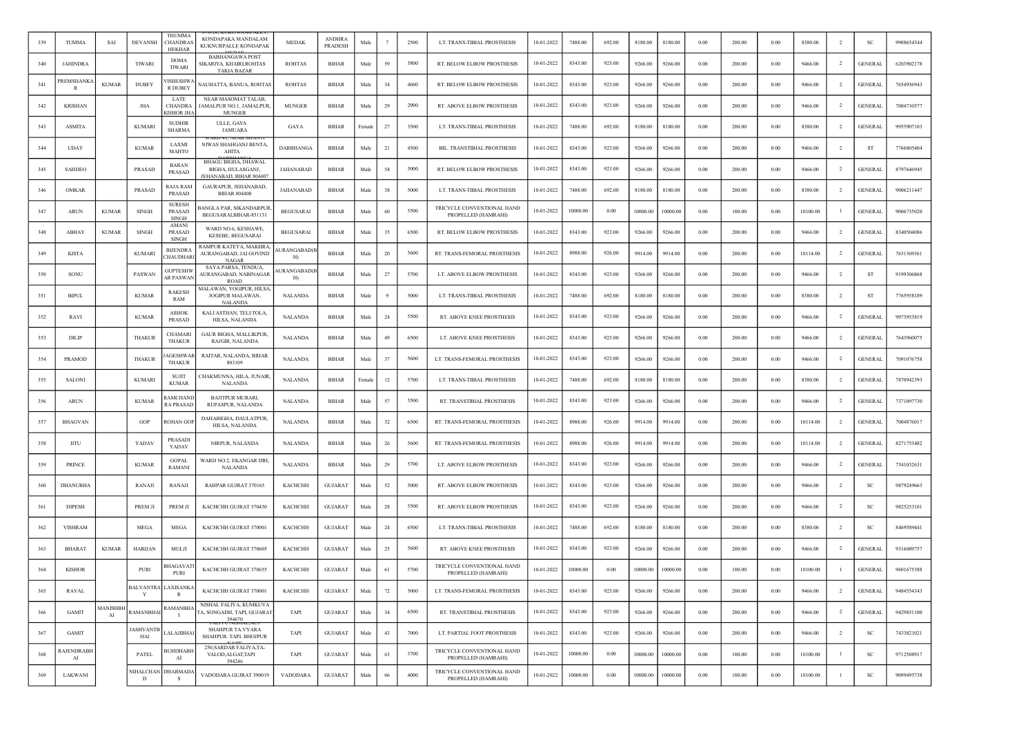| 339 | <b>TUMMA</b>         | SAI                           | <b>DEVANSH</b>         | THUMMA<br><b>CHANDRAS</b><br><b>HEKHAR</b>  | KONDAPAKA MANDALAM<br>KUKNURPALLE KONDAPAK                                 | <b>MEDAK</b>               | <b>ANDHRA</b><br>PRADESH | Mak    |    | 2500 | LT. TRANS-TIBIAL PROSTHESIS                       | 10-01-2022 | 7488.00  | 692.00   | 8180.00  | 8180.00  | 0.00       | 200.00 | 0.00     | 8380.00  | $\overline{2}$ | <b>SC</b>      | 9908654344 |
|-----|----------------------|-------------------------------|------------------------|---------------------------------------------|----------------------------------------------------------------------------|----------------------------|--------------------------|--------|----|------|---------------------------------------------------|------------|----------|----------|----------|----------|------------|--------|----------|----------|----------------|----------------|------------|
| 340 | <b>JAHINDRA</b>      |                               | TIWARI                 | <b>DOMA</b><br>TIWARI                       | <b>BABHANGAWA POST</b><br>SIKARIYA, KHAIRI,ROHTAS<br><b>TAKIA BAZAR</b>    | <b>ROHTAS</b>              | <b>BIHAR</b>             | Male   | 59 | 5800 | RT. BELOW ELBOW PROSTHESIS                        | 10-01-2022 | 8343.00  | 923.00   | 9266.00  | 9266.00  | 0.00       | 200.00 | 0.00     | 9466.00  | $\overline{2}$ | <b>GENERAL</b> | 6203902178 |
| 341 | <b>REMSHANK</b><br>R | <b>KUMAR</b>                  | <b>DUBEY</b>           | /ISHESHW<br>R DUBEY                         | NAUHATTA, BANUA, ROHTAS                                                    | <b>ROHTAS</b>              | <b>BIHAR</b>             | Male   | 34 | 4600 | RT. BELOW ELBOW PROSTHESIS                        | 10-01-2022 | 8343.00  | 923.00   | 9266.00  | 9266.00  | 0.00       | 200.00 | 0.00     | 9466.00  | -2             | <b>GENERAL</b> | 7654936943 |
| 342 | <b>KRISHAN</b>       |                               | <b>JHA</b>             | LATE<br><b>CHANDRA</b><br><b>CISHOR JHA</b> | NEAR MASOMAT TALAB,<br>AMALPUR NO.1, JAMALPUR,<br>MUNGER                   | <b>MUNGER</b>              | <b>BIHAR</b>             | Male   | 29 | 2900 | RT. ABOVE ELBOW PROSTHESIS                        | 10-01-2022 | 8343.00  | 923.00   | 9266.00  | 9266.00  | 0.00       | 200.00 | 0.00     | 9466.00  | $\overline{2}$ | <b>GENERAL</b> | 7004710577 |
| 343 | <b>ASMITA</b>        |                               | <b>KUMARI</b>          | <b>SUDHIR</b><br><b>SHARMA</b>              | ULLE, GAYA<br><b>JAMUARA</b>                                               | GAYA                       | <b>BIHAR</b>             | Female | 27 | 3500 | LT. TRANS-TIBIAL PROSTHESIS                       | 10-01-2022 | 7488.00  | 692.00   | 8180.00  | 8180.00  | 0.00       | 200.00 | 0.00     | 8380.00  | 2              | <b>GENERAL</b> | 9955907103 |
| 344 | <b>UDAY</b>          |                               | <b>KUMAR</b>           | LAXMI<br><b>MAHTO</b>                       | NIWAS SHAHGANJ BENTA,<br>AHITA                                             | DARBHANGA                  | <b>BIHAR</b>             | Male   | 21 | 4500 | BIL. TRANSTIBIAL PROSTHESIS                       | 10-01-2022 | 8343.00  | 923.00   | 9266.00  | 9266.00  | 0.00       | 200.00 | 0.00     | 9466.00  | $\overline{2}$ | ST             | 7766805404 |
| 345 | <b>SAHDEO</b>        |                               | PRASAD                 | <b>BARAN</b><br>PRASAD                      | <b>BHAGU BIGHA, DHAWAL</b><br>BIGHA, HULASGANJ,<br>JEHANABAD, BIHAR 804407 | <b>JAHANABAD</b>           | <b>BIHAR</b>             | Male   | 54 | 5000 | RT. BELOW ELBOW PROSTHESIS                        | 10-01-2022 | 8343.00  | 923.00   | 9266.00  | 9266.00  | 0.00       | 200.00 | 0.00     | 9466.00  | -2             | <b>GENERAL</b> | 8797646945 |
| 346 | OMKAR                |                               | PRASAD                 | RAJA RAM<br>PRASAD                          | GAURAPUR, JEHANABAD,<br><b>BIHAR 804408</b>                                | JAHANABAD                  | <b>BIHAR</b>             | Male   | 38 | 5000 | LT. TRANS-TIBIAL PROSTHESIS                       | 10-01-2022 | 7488.00  | 692.00   | 8180.00  | 8180.00  | 0.00       | 200.00 | 0.00     | 8380.00  | $\overline{2}$ | <b>GENERAL</b> | 9006211447 |
| 347 | <b>ARUN</b>          | <b>KUMAR</b>                  | <b>SINGH</b>           | <b>SURESH</b><br>PRASAD<br>SINGH            | <b>BANGLA PAR, SIKANDARPUR</b><br>BEGUSARAI, BIHAR-851131                  | <b>BEGUSARAI</b>           | <b>BIHAR</b>             | Male   | 60 | 5500 | TRICYCLE CONVENTIONAL HAND<br>PROPELLED (HAMRAHI) | 10-01-2022 | 10000.00 | 0.00     | 10000.00 | 10000.00 | 0.00       | 100.00 | 0.00     | 10100.00 | -1             | GENERAL        | 9006735020 |
| 348 | ABHAY                | <b>KUMAR</b>                  | <b>SINGH</b>           | AMANI<br>PRASAD<br><b>SINGH</b>             | WARD NO.6, KESHAWE<br>KESEBE, BEGUSARAI                                    | <b>BEGUSARAI</b>           | <b>BIHAR</b>             | Male   | 35 | 6500 | RT. BELOW ELBOW PROSTHESIS                        | 10-01-2022 | 8343.00  | 923.00   | 9266.00  | 9266.00  | 0.00       | 200.00 | 0.00     | 9466.00  | -2             | <b>GENERAL</b> | 8340504086 |
| 349 | <b>KISTA</b>         |                               | <b>KUMARI</b>          | <b>BIJENDRA</b><br>CHAUDHARI                | RAMPUR KATEYA, MAKHRA,<br>AURANGABAD, JAI GOVIND<br><b>NAGAR</b>           | <b>AURANGABAD(E</b><br>H)  | <b>BIHAR</b>             | Male   | 20 | 5600 | RT. TRANS-FEMORAL PROSTHESIS                      | 10-01-2022 | 8988.00  | 926.00   | 9914.00  | 9914.00  | $0.00\,$   | 200.00 | 0.00     | 10114.00 | $\overline{2}$ | <b>GENERAL</b> | 7631369361 |
| 350 | SONU                 |                               | PASWAN                 | GUPTESHW<br><b>AR PASWAN</b>                | SAYA PARSA, TENDUA,<br>AURANGABAD, NABINAGAR<br><b>ROAD</b>                | <b>AURANGABAD</b> (I<br>H) | <b>BIHAR</b>             | Male   | 27 | 5700 | LT. ABOVE ELBOW PROSTHESIS                        | 10-01-2022 | 8343.00  | 923.00   | 9266.00  | 9266.00  | 0.00       | 200.00 | 0.00     | 9466.00  | $\overline{2}$ | ST             | 9199306868 |
| 351 | <b>BIPUL</b>         |                               | <b>KUMAR</b>           | <b>RAKESH</b><br>RAM                        | MALAWAN, YOGIPUR, HILSA,<br>JOGIPUR MALAWAN,<br><b>NALANDA</b>             | <b>NALANDA</b>             | <b>BIHAR</b>             | Male   |    | 5000 | LT. TRANS-TIBIAL PROSTHESIS                       | 10-01-2022 | 7488.00  | 692.00   | 8180.00  | 8180.00  | 0.00       | 200.00 | 0.00     | 8380.00  | $\overline{2}$ | ST             | 7765958189 |
| 352 | RAVI                 |                               | <b>KUMAR</b>           | <b>ASHOK</b><br>PRASAD                      | KALI ASTHAN, TELI TOLA,<br>HILSA, NALANDA                                  | <b>NALANDA</b>             | <b>BIHAR</b>             | Male   | 24 | 5500 | RT. ABOVE KNEE PROSTHESIS                         | 10-01-2022 | 8343.00  | 923.00   | 9266.00  | 9266.00  | 0.00       | 200.00 | 0.00     | 9466.00  | -2             | <b>GENERAL</b> | 9973953819 |
| 353 | DILIP                |                               | <b>THAKUR</b>          | <b>CHAMARI</b><br>THAKUR                    | <b>GAUR BIGHA, MALLIKPUR</b><br>RAJGIR, NALANDA                            | <b>NALANDA</b>             | <b>BIHAR</b>             | Male   | 49 | 6500 | LT. ABOVE KNEE PROSTHESIS                         | 10-01-2022 | 8343.00  | 923.00   | 9266.00  | 9266.00  | 0.00       | 200.00 | 0.00     | 9466.00  | $\overline{2}$ | <b>GENERAL</b> | 7643960075 |
| 354 | PRAMOD               |                               | <b>THAKUR</b>          | AGESHWAR<br>THAKUR                          | RAITAR, NALANDA, BIHAR<br>803109                                           | <b>NALANDA</b>             | <b>BIHAR</b>             | Male   | 37 | 5600 | LT. TRANS-FEMORAL PROSTHESIS                      | 10-01-2022 | 8343.00  | 923.00   | 9266.00  | 9266.00  | 0.00       | 200.00 | 0.00     | 9466.00  | $\overline{2}$ | GENERAL        | 7091076758 |
| 355 | SALONI               |                               | <b>KUMARI</b>          | SUJIT<br><b>KUMAR</b>                       | CHAKMUNNA, HILA, JUNAIR,<br><b>NALANDA</b>                                 | NALANDA                    | <b>BIHAR</b>             | Female | 12 | 5700 | LT. TRANS-TIBIAL PROSTHESIS                       | 10-01-2022 | 7488.00  | 692.00   | 8180.00  | 8180.00  | 0.00       | 200.00 | 0.00     | 8380.00  | $\overline{2}$ | <b>GENERAL</b> | 7870942393 |
| 356 | <b>ARUN</b>          |                               | <b>KUMAR</b>           | <b>AMCHAND</b><br><b>RA PRASAD</b>          | <b>BAJITPUR MURARI,</b><br>RUPASPUR, NALANDA                               | <b>NALANDA</b>             | <b>BIHAR</b>             | Male   | 57 | 5500 | RT. TRANSTIBIAL PROSTHESIS                        | 10-01-2022 | 8343.00  | 923.00   | 9266.00  | 9266.00  | 0.00       | 200.00 | 0.00     | 9466.00  | $\overline{2}$ | <b>GENERAL</b> | 7371097730 |
| 357 | <b>BHAGVAN</b>       |                               | GOP                    | ROHAN GOP                                   | DAHABIGHA, DAULATPUR,<br>HILSA, NALANDA                                    | <b>NALANDA</b>             | <b>BIHAR</b>             | Male   | 32 | 6500 | RT. TRANS-FEMORAL PROSTHESIS                      | 10-01-2022 | 8988.00  | 926.00   | 9914.00  | 9914.00  | 0.00       | 200.00 | 0.00     | 10114.00 | 2              | <b>GENERAL</b> | 7004876017 |
| 358 | JITU                 |                               | YADAV                  | PRASADI<br>YADAV                            | NIRPUR, NALANDA                                                            | <b>NALANDA</b>             | <b>BIHAR</b>             | Male   | 26 | 5600 | RT. TRANS-FEMORAL PROSTHESIS                      | 10-01-2022 | 8988.00  | 926.00   | 9914.00  | 9914.00  | 0.00       | 200.00 | 0.00     | 10114.00 | $\overline{2}$ | <b>GENERAL</b> | 8271753482 |
| 359 | <b>PRINCE</b>        |                               | <b>KUMAR</b>           | <b>GOPAL</b><br><b>RAMANI</b>               | WARD NO.2, EKANGAR DIH<br><b>NALANDA</b>                                   | <b>NALANDA</b>             | <b>BIHAR</b>             | Male   | 29 | 5700 | LT. ABOVE ELBOW PROSTHESIS                        | 10-01-2022 | 8343.00  | 923.00   | 9266.00  | 9266.00  | 0.00       | 200.00 | 0.00     | 9466.00  | $\overline{2}$ | <b>GENERAL</b> | 7541032631 |
| 360 | DHANUBHA             |                               | RANAJI                 | RANAJI                                      | RAHPAR GUJRAT 370165                                                       | КАСНСНН                    | <b>GUJARAT</b>           | Male   | 52 | 5000 | RT. ABOVE ELBOW PROSTHESIS                        | 10-01-2022 | 8343.00  | 923.00   | 9266.00  | 9266.00  | 0.00       | 200.00 | 0.00     | 9466.00  | $\overline{2}$ | SC             | 9879249663 |
| 361 | <b>DIPESH</b>        |                               | PREM JI                | PREM JI                                     | KACHCHH GUJRAT 370430                                                      | KACHCHH                    | <b>GUJARAT</b>           | Male   | 28 | 5500 | RT. ABOVE ELBOW PROSTHESIS                        | 10-01-2022 | 8343.00  | 923.00   | 9266.00  | 9266.00  | 0.00       | 200.00 | 0.00     | 9466.00  | $\overline{2}$ | <b>SC</b>      | 9825253101 |
| 362 | <b>VISHRAM</b>       |                               | MEGA                   | MEGA                                        | KACHCHH GUJRAT 370001                                                      | <b>KACHCHH</b>             | <b>GUJARAT</b>           | Male   | 24 | 6500 | LT. TRANS-TIBIAL PROSTHESIS                       | 10-01-2022 | 7488.00  | 692.00   | 8180.00  | 8180.00  | 0.00       | 200.00 | 0.00     | 8380.00  | $\overline{2}$ | SC             | 8469589441 |
| 363 | <b>BHARAT</b>        | <b>KUMAR</b>                  | <b>HARIJAN</b>         | MULJI                                       | KACHCHH GUJRAT 370605                                                      | <b>KACHCHH</b>             | <b>GUJARAT</b>           | Male   | 25 | 5600 | RT. ABOVE KNEE PROSTHESIS                         | 10-01-2022 | 8343.00  | 923.00   | 9266.00  | 9266.00  | 0.00       | 200.00 | 0.00     | 9466.00  | -2             | <b>GENERAL</b> | 9316089757 |
| 364 | <b>KISHOR</b>        |                               | PURI                   | <b>HAGAVAT</b><br>PURI                      | KACHCHH GUJRAT 370655                                                      | <b>KACHCHH</b>             | GUJARAT                  | Male   | 61 | 5700 | TRICYCLE CONVENTIONAL HAND<br>PROPELLED (HAMRAHI) | 10-01-2022 | 10000.00 | 0.00     | 10000.00 | 10000.00 | 0.00       | 100.00 | 0.00     | 10100.00 | -1             | <b>GENERAL</b> | 9601675388 |
| 365 | <b>RAVAL</b>         |                               | Y                      | BALVANTRA LAXISANKA                         | KACHCHH GUJRAT 370001                                                      | KACHCHH                    | <b>GUJARAT</b>           | Male   | 72 | 5000 | LT. TRANS-FEMORAL PROSTHESIS                      | 10-01-2022 | 8343.00  | 923.00   | 9266.00  | 9266.00  | $\rm 0.00$ | 200.00 | $0.00\,$ | 9466.00  | $\overline{2}$ | <b>GENERAL</b> | 9484554343 |
| 366 | <b>GAMIT</b>         | <b>MANISHBH</b><br>${\rm AI}$ | <b>RAMANBHA</b>        | <b>RAMANBHA</b><br>. н.                     | NISHAL FALIYA, KUMKUVA<br>TA, SONGADH, TAPI, GUJARAT<br>394670             | TAPI                       | <b>GUJARAT</b>           | Male   | 34 | 6500 | RT. TRANSTIBIAL PROSTHESIS                        | 10-01-2022 | 8343.00  | 923.00   | 9266.00  | 9266.00  | 0.00       | 200.00 | 0.00     | 9466.00  | $\overline{2}$ | <b>GENERAL</b> | 9429851100 |
| 367 | GAMIT                |                               | <b>ASHVANTE</b><br>HAI | LALAJIBHAI                                  | <b>SHAHPUR TA.VYARA</b><br>SHAHPUR. TAPI. BHOJPUR                          | TAPI                       | <b>GUJARAT</b>           | Male   | 43 | 7000 | LT. PARTIAL FOOT PROSTHESIS                       | 10-01-2022 | 8343.00  | 923.00   | 9266.00  | 9266.00  | $0.00\,$   | 200.00 | $0.00\,$ | 9466.00  | $\overline{2}$ | SC             | 7433821021 |
| 368 | RAJENDRABH<br>AI     |                               | PATEL                  | <b>SUHDHABH</b><br>AI                       | 250, SARDAR FALIYA, TA-<br>VALOD, ALGAT, TAPI<br>394246                    | TAPI                       | <b>GUJARAT</b>           | Male   | 63 | 3700 | TRICYCLE CONVENTIONAL HAND<br>PROPELLED (HAMRAHI) | 10-01-2022 | 10000.00 | $0.00\,$ | 10000.00 | 10000.00 | 0.00       | 100.00 | 0.00     | 10100.00 | <sup>1</sup>   | SC             | 9712508917 |
| 369 | LAKWANI              |                               | NIHALCHAN<br>D         | DHARMADA<br>-S                              | VADODARA GUJRAT 390019                                                     | VADODARA                   | <b>GUJARAT</b>           | Male   | 66 | 4000 | TRICYCLE CONVENTIONAL HAND<br>PROPELLED (HAMRAHI) | 10-01-2022 | 10000.00 | $0.00\,$ | 10000.00 | 10000.00 | 0.00       | 100.00 | 0.00     | 10100.00 | $\overline{1}$ | <b>SC</b>      | 9099495738 |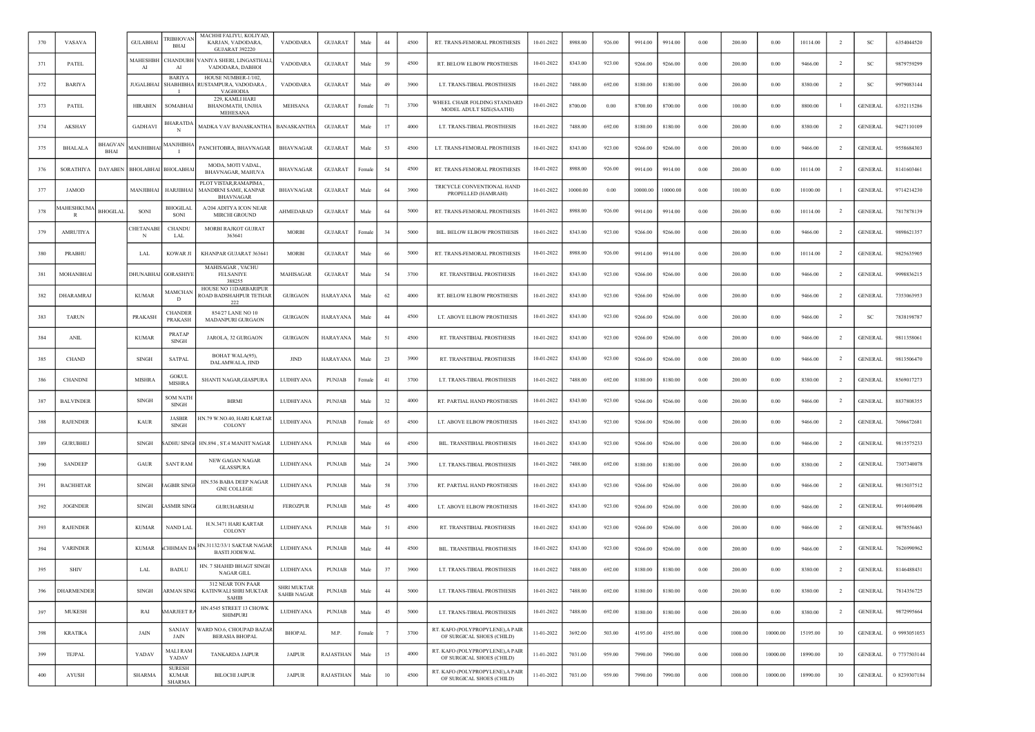| 370 | VASAVA            |                               | <b>GULABHAI</b>  | <b>TRIBHOVAN</b><br><b>BHAI</b>                | MACHHI FALIYU, KOLIYAD,<br>KARJAN, VADODARA,<br>GUJARAT 392220     | <b>VADODARA</b>                          | <b>GUJARAT</b>   | Male   | $44\,$ | 4500 | RT. TRANS-FEMORAL PROSTHESIS                                  | 10-01-2022 | 8988.00  | 926.00 | 9914.00  | 9914.00  | 0.00       | 200.00  | 0.00     | 10114.00 | $\overline{2}$ | <b>SC</b>      | 6354044520   |
|-----|-------------------|-------------------------------|------------------|------------------------------------------------|--------------------------------------------------------------------|------------------------------------------|------------------|--------|--------|------|---------------------------------------------------------------|------------|----------|--------|----------|----------|------------|---------|----------|----------|----------------|----------------|--------------|
| 371 | PATEL             |                               | MAHESHBH<br>AI   | CHANDUBH<br>AI                                 | VANIYA SHERI, LINGASTHALI,<br>VADODARA, DABHOI                     | VADODARA                                 | <b>GUJARAT</b>   | Male   | 59     | 4500 | RT. BELOW ELBOW PROSTHESIS                                    | 10-01-2022 | 8343.00  | 923.00 | 9266.00  | 9266.00  | 0.00       | 200.00  | 0.00     | 9466.00  | $\overline{2}$ | <b>SC</b>      | 9879759299   |
| 372 | <b>BARIYA</b>     |                               | <b>JUGALBHAI</b> | <b>BARIYA</b><br>SHABHIBHA<br>$\mathbf{I}$     | HOUSE NUMBER-1/102,<br>RUSTAMPURA, VADODARA,<br>VAGHODIA           | VADODARA                                 | <b>GUJARAT</b>   | Male   | 49     | 3900 | LT. TRANS-TIBIAL PROSTHESIS                                   | 10-01-2022 | 7488.00  | 692.00 | 8180.00  | 8180.00  | 0.00       | 200.00  | 0.00     | 8380.00  | <sup>2</sup>   | SC             | 9979083144   |
| 373 | <b>PATEL</b>      |                               | <b>HIRABEN</b>   | SOMABHAI                                       | 229, KAMLI HARI<br>BHANOMATH, UNJHA<br>MEHESANA                    | MEHSANA                                  | <b>GUJARAT</b>   | Female | 71     | 3700 | WHEEL CHAIR FOLDING STANDARD<br>MODEL ADULT SIZE(SAATHI)      | 10-01-2022 | 8700.00  | 0.00   | 8700.00  | 8700.00  | 0.00       | 100.00  | 0.00     | 8800.00  |                | <b>GENERAL</b> | 6352115286   |
| 374 | AKSHAY            |                               | <b>GADHAVI</b>   | <b>HARATDA</b><br>N                            | MADKA VAV BANASKANTHA   BANASKANTHA                                |                                          | <b>GUJARAT</b>   | Male   | 17     | 4000 | LT. TRANS-TIBIAL PROSTHESIS                                   | 10-01-2022 | 7488.00  | 692.00 | 8180.00  | 8180.00  | 0.00       | 200.00  | 0.00     | 8380.00  |                | <b>GENERAL</b> | 9427110109   |
| 375 | <b>BHALALA</b>    | <b>BHAGVAN</b><br><b>BHAI</b> | <b>IANJHIBHA</b> | MANJHIBHA                                      | PANCHTOBRA, BHAVNAGAR                                              | BHAVNAGAR                                | <b>GUJARAT</b>   | Male   | 53     | 4500 | LT. TRANS-FEMORAL PROSTHESIS                                  | 10-01-2022 | 8343.00  | 923.00 | 9266.00  | 9266.00  | 0.00       | 200.00  | 0.00     | 9466.00  | $\overline{2}$ | <b>GENERAL</b> | 9558684303   |
| 376 | <b>SORATHIYA</b>  | DAYABEN                       | <b>BHOLABHAI</b> | <b>BHOLABHAI</b>                               | MODA, MOTI VADAL,<br>BHAVNAGAR, MAHUVA                             | <b>BHAVNAGAR</b>                         | <b>GUJARAT</b>   | Female | 54     | 4500 | RT. TRANS-FEMORAL PROSTHESIS                                  | 10-01-2022 | 8988.00  | 926.00 | 9914.00  | 9914.00  | $0.00\,$   | 200.00  | 0.00     | 10114.00 | $\overline{2}$ | <b>GENERAL</b> | 8141603461   |
| 377 | <b>JAMOD</b>      |                               | MANJIBHAI        | <b>HARJIBHAI</b>                               | PLOT VISTAR, RAMAPIMA<br>MANDIRNI SAME, KANPAR<br><b>BHAVNAGAR</b> | <b>BHAVNAGAR</b>                         | <b>GUJARAT</b>   | Male   | 64     | 3900 | TRICYCLE CONVENTIONAL HAND<br>PROPELLED (HAMRAHI)             | 10-01-2022 | 10000.00 | 0.00   | 10000.00 | 10000.00 | 0.00       | 100.00  | 0.00     | 10100.00 |                | <b>GENERAL</b> | 9714214230   |
| 378 | IAHESHKUM         | <b>BHOGILAI</b>               | SONI             | BHOGILAI<br>SONI                               | A/204 ADITYA ICON NEAR<br>MIRCHI GROUND                            | AHMEDABAD                                | <b>GUJARAT</b>   | Male   | 64     | 5000 | RT. TRANS-FEMORAL PROSTHESIS                                  | 10-01-2022 | 8988.00  | 926.00 | 9914.00  | 9914.00  | $0.00\,$   | 200.00  | 0.00     | 10114.00 | $\overline{2}$ | <b>GENERAL</b> | 7817878139   |
| 379 | <b>AMRUTIYA</b>   |                               | CHETANABI<br>N   | <b>CHANDU</b><br>LAL                           | MORBI RAJKOT GUJRAT<br>363641                                      | <b>MORBI</b>                             | <b>GUJARAT</b>   | Female | 34     | 5000 | BIL. BELOW ELBOW PROSTHESIS                                   | 10-01-2022 | 8343.00  | 923.00 | 9266.00  | 9266.00  | 0.00       | 200.00  | 0.00     | 9466.00  | <sup>2</sup>   | <b>GENERAL</b> | 9898621357   |
| 380 | PRABHU            |                               | <b>LAL</b>       | KOWAR JI                                       | KHANPAR GUJARAT 363641                                             | <b>MORBI</b>                             | <b>GUJARAT</b>   | Male   | 66     | 5000 | RT. TRANS-FEMORAL PROSTHESIS                                  | 10-01-2022 | 8988.00  | 926.00 | 9914.00  | 9914.00  | 0.00       | 200.00  | 0.00     | 10114.00 | $\overline{2}$ | <b>GENERAL</b> | 9825635905   |
| 381 | MOHANBHA          |                               | DHUNABHA         | GORASHIYE                                      | MAHISAGAR, VACHU<br><b>FELSANIYE</b><br>388255                     | MAHISAGAR                                | <b>GUJARAT</b>   | Male   | 54     | 3700 | RT. TRANSTIBIAL PROSTHESIS                                    | 10-01-2022 | 8343.00  | 923.00 | 9266.00  | 9266.00  | 0.00       | 200.00  | 0.00     | 9466.00  | $\overline{2}$ | <b>GENERAL</b> | 9998836215   |
| 382 | DHARAMRAJ         |                               | <b>KUMAR</b>     | MAMCHAN<br>D                                   | HOUSE NO 11DARBARIPUR<br>ROAD BADSHAHPUR TETHAR<br>222             | GURGAON                                  | HARAYANA         | Male   | 62     | 4000 | RT. BELOW ELBOW PROSTHESIS                                    | 10-01-2022 | 8343.00  | 923.00 | 9266.00  | 9266.00  | 0.00       | 200.00  | 0.00     | 9466.00  | $\overline{2}$ | <b>GENERAL</b> | 7353063953   |
| 383 | <b>TARUN</b>      |                               | PRAKASH          | <b>CHANDER</b><br>PRAKASH                      | 854/27 LANE NO 10<br>MADANPURI GURGAON                             | <b>GURGAON</b>                           | HARAYANA         | Male   | 44     | 4500 | LT. ABOVE ELBOW PROSTHESIS                                    | 10-01-2022 | 8343.00  | 923.00 | 9266.00  | 9266.00  | 0.00       | 200.00  | 0.00     | 9466.00  | $\overline{2}$ | SC             | 7838198787   |
| 384 | <b>ANIL</b>       |                               | <b>KUMAR</b>     | <b>PRATAP</b><br><b>SINGH</b>                  | JAROLA, 32 GURGAON                                                 | <b>GURGAON</b>                           | HARAYANA         | Male   | 51     | 4500 | RT. TRANSTIBIAL PROSTHESIS                                    | 10-01-2022 | 8343.00  | 923.00 | 9266.00  | 9266.00  | 0.00       | 200.00  | 0.00     | 9466.00  | $\overline{2}$ | <b>GENERAL</b> | 9811358061   |
| 385 | <b>CHAND</b>      |                               | <b>SINGH</b>     | SATPAL                                         | BOHAT WALA(95),<br>DALAMWALA, JIND                                 | <b>JIND</b>                              | HARAYANA         | Male   | 23     | 3900 | RT. TRANSTIBIAL PROSTHESIS                                    | 10-01-2022 | 8343.00  | 923.00 | 9266.00  | 9266.00  | $0.00\,$   | 200.00  | 0.00     | 9466.00  | $\overline{2}$ | <b>GENERAL</b> | 9813506470   |
| 386 | <b>CHANDNI</b>    |                               | <b>MISHRA</b>    | <b>GOKUL</b><br>MISHRA                         | SHANTI NAGAR, GIASPURA                                             | LUDHIYANA                                | <b>PUNJAB</b>    | Female | 41     | 3700 | LT. TRANS-TIBIAL PROSTHESIS                                   | 10-01-2022 | 7488.00  | 692.00 | 8180.00  | 8180.00  | 0.00       | 200.00  | 0.00     | 8380.00  | <sup>2</sup>   | <b>GENERAL</b> | 8569017273   |
| 387 | <b>BALVINDER</b>  |                               | <b>SINGH</b>     | <b>SOM NATH</b><br>SINGH                       | <b>BIRMI</b>                                                       | LUDHIYANA                                | PUNJAB           | Male   | 32     | 4000 | RT. PARTIAL HAND PROSTHESIS                                   | 10-01-2022 | 8343.00  | 923.00 | 9266.00  | 9266.00  | 0.00       | 200.00  | 0.00     | 9466.00  | $\overline{2}$ | <b>GENERAL</b> | 8837808355   |
| 388 | <b>RAJENDER</b>   |                               | KAUR             | <b>JASBIR</b><br><b>SINGH</b>                  | HN.79 W.NO.40, HARI KARTAR<br>COLONY                               | LUDHIYANA                                | PUNJAB           | Female | 65     | 4500 | LT. ABOVE ELBOW PROSTHESIS                                    | 10-01-2022 | 8343.00  | 923.00 | 9266.00  | 9266.00  | 0.00       | 200.00  | 0.00     | 9466.00  | $\overline{2}$ | <b>GENERAL</b> | 7696672681   |
| 389 | <b>GURUBHEJ</b>   |                               | <b>SINGH</b>     | ADHU SINGH                                     | HN.894, ST.4 MANJIT NAGAR                                          | LUDHIYANA                                | <b>PUNJAB</b>    | Male   | 66     | 4500 | BIL. TRANSTIBIAL PROSTHESIS                                   | 10-01-2022 | 8343.00  | 923.00 | 9266.00  | 9266.00  | 0.00       | 200.00  | 0.00     | 9466.00  | $\overline{2}$ | <b>GENERAL</b> | 9815575233   |
| 390 | <b>SANDEEP</b>    |                               | <b>GAUR</b>      | <b>SANT RAM</b>                                | NEW GAGAN NAGAR<br><b>GLASSPURA</b>                                | LUDHIYANA                                | PUNJAB           | Male   | 24     | 3900 | LT. TRANS-TIBIAL PROSTHESIS                                   | 10-01-2022 | 7488.00  | 692.00 | 8180.00  | 8180.00  | 0.00       | 200.00  | 0.00     | 8380.00  | <sup>2</sup>   | <b>GENERAL</b> | 7307340078   |
| 391 | <b>BACHHITAR</b>  |                               | SINGH            | <b>AGBIR SINGE</b>                             | HN.536 BABA DEEP NAGAR<br><b>GNE COLLEGE</b>                       | LUDHIYANA                                | PUNJAB           | Male   | 58     | 3700 | RT. PARTIAL HAND PROSTHESIS                                   | 10-01-2022 | 8343.00  | 923.00 | 9266.00  | 9266.00  | 0.00       | 200.00  | 0.00     | 9466.00  | $\overline{2}$ | <b>GENERAL</b> | 9815037512   |
| 392 | <b>JOGINDER</b>   |                               | <b>SINGH</b>     | <b>ASMIR SING</b>                              | <b>GURUHARSHAI</b>                                                 | <b>FEROZPUR</b>                          | PUNJAB           | Male   | 45     | 4000 | LT. ABOVE ELBOW PROSTHESIS                                    | 10-01-2022 | 8343.00  | 923.00 | 9266.00  | 9266.00  | $0.00\,$   | 200.00  | 0.00     | 9466.00  | $\overline{2}$ | <b>GENERAL</b> | 9914690498   |
| 393 | <b>RAJENDER</b>   |                               | <b>KUMAR</b>     | <b>NAND LAL</b>                                | H.N.3471 HARI KARTAR<br>COLONY                                     | LUDHIYANA                                | PUNJAB           | Male   | 51     | 4500 | RT. TRANSTIBIAL PROSTHESIS                                    | 10-01-2022 | 8343.00  | 923.00 | 9266.00  | 9266.00  | 0.00       | 200.00  | 0.00     | 9466.00  | $\overline{2}$ | <b>GENERAL</b> | 9878556463   |
| 394 | <b>VARINDER</b>   |                               | <b>KUMAR</b>     | <b>CHHMAN DA</b>                               | HN.31132/33/1 SAKTAR NAGAR<br><b>BASTI JODEWAL</b>                 | LUDHIYANA                                | <b>PUNJAB</b>    | Male   | 44     | 4500 | BIL. TRANSTIBIAL PROSTHESIS                                   | 10-01-2022 | 8343.00  | 923.00 | 9266.00  | 9266.00  | 0.00       | 200.00  | 0.00     | 9466.00  | $\overline{2}$ | <b>GENERAL</b> | 7626990962   |
| 395 | <b>SHIV</b>       |                               | LAL              | <b>BADLU</b>                                   | HN. 7 SHAHID BHAGT SINGH<br>NAGAR GILL                             | LUDHIYANA                                | PUNJAB           | Male   | 37     | 3900 | LT. TRANS-TIBIAL PROSTHESIS                                   | 10-01-2022 | 7488.00  | 692.00 | 8180.00  | 8180.00  | 0.00       | 200.00  | 0.00     | 8380.00  | $\overline{2}$ | <b>GENERAL</b> | 8146488431   |
| 396 | <b>DHARMENDER</b> |                               | SINGH            | <b>ARMAN SING</b>                              | 312 NEAR TON PAAR<br>KATINWALI SHRI MUKTAR<br><b>SAHIB</b>         | <b>SHRI MUKTAR</b><br><b>SAHIB NAGAR</b> | <b>PUNJAB</b>    | Male   | 44     | 5000 | LT. TRANS-TIBIAL PROSTHESIS                                   | 10-01-2022 | 7488.00  | 692.00 | 8180.00  | 8180.00  | 0.00       | 200.00  | 0.00     | 8380.00  | -2             | <b>GENERAL</b> | 7814356725   |
| 397 | <b>MUKESH</b>     |                               | RAI              | MARJEET RA                                     | HN.4545 STREET 13 CHOWK<br><b>SHIMPURI</b>                         | LUDHIYANA                                | <b>PUNJAB</b>    | Male   | 45     | 5000 | LT. TRANS-TIBIAL PROSTHESIS                                   | 10-01-2022 | 7488.00  | 692.00 | 8180.00  | 8180.00  | 0.00       | 200.00  | 0.00     | 8380.00  | $\overline{2}$ | <b>GENERAL</b> | 9872995664   |
| 398 | <b>KRATIKA</b>    |                               | JAIN             | SANJAY<br>JAIN                                 | WARD NO.6, CHOUPAD BAZAR<br><b>BERASIA BHOPAL</b>                  | <b>BHOPAL</b>                            | M.P.             | Female | 7      | 3700 | RT. KAFO (POLYPROPYLENE), A PAIR<br>OF SURGICAL SHOES (CHILD) | 11-01-2022 | 3692.00  | 503.00 | 4195.00  | 4195.00  | 0.00       | 1000.00 | 10000.00 | 15195.00 | 10             | <b>GENERAL</b> | 0 9993051053 |
| 399 | TEJPAL            |                               | YADAV            | <b>MALI RAM</b><br>YADAV                       | TANKARDA JAIPUR                                                    | <b>JAIPUR</b>                            | <b>RAJASTHAN</b> | Male   | 15     | 4000 | RT. KAFO (POLYPROPYLENE), A PAIR<br>OF SURGICAL SHOES (CHILD) | 11-01-2022 | 7031.00  | 959.00 | 7990.00  | 7990.00  | $\rm 0.00$ | 1000.00 | 10000.00 | 18990.00 | 10             | <b>GENERAL</b> | 0 7737503144 |
| 400 | AYUSH             |                               | <b>SHARMA</b>    | <b>SURESH</b><br><b>KUMAR</b><br><b>SHARMA</b> | <b>BILOCHI JAIPUR</b>                                              | <b>JAIPUR</b>                            | <b>RAJASTHAN</b> | Male   | $10\,$ | 4500 | RT. KAFO (POLYPROPYLENE), A PAIR<br>OF SURGICAL SHOES (CHILD) | 11-01-2022 | 7031.00  | 959.00 | 7990.00  | 7990.00  | 0.00       | 1000.00 | 10000.00 | 18990.00 | 10             | <b>GENERAL</b> | 0 8239307184 |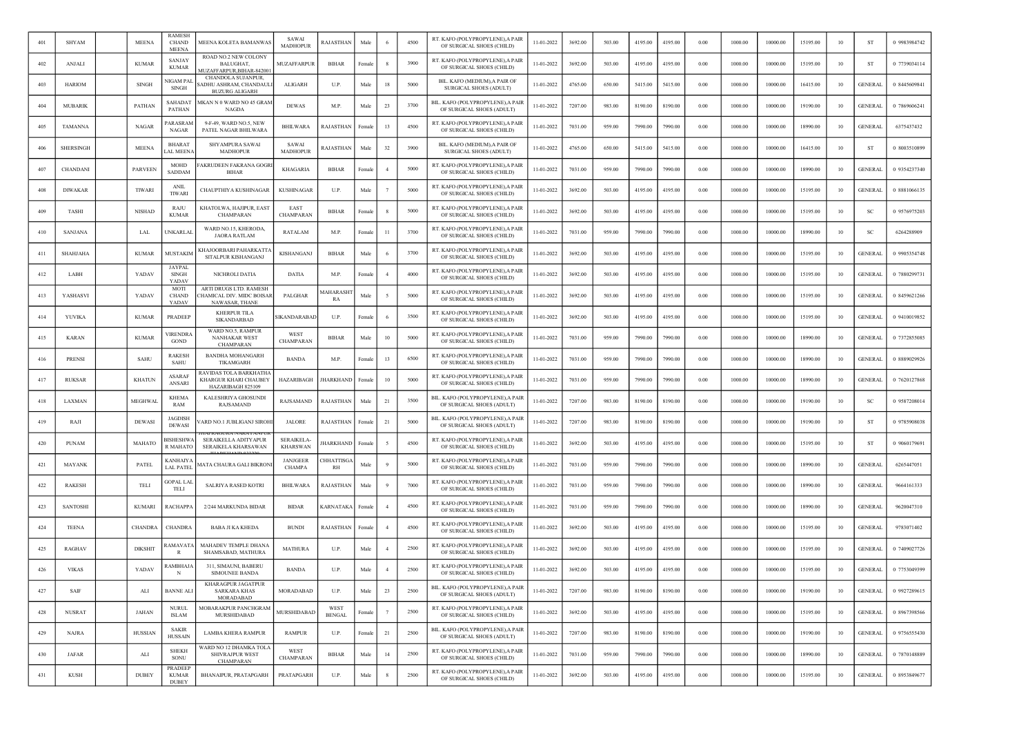| 401 | <b>SHYAM</b>     | <b>MEENA</b>   | <b>RAMESI</b><br><b>CHAND</b><br><b>MEENA</b> | MEENA KOLETA BAMANWAS                                                       | SAWAI<br><b>MADHOPUR</b>         | <b>RAJASTHAN</b>       | Male   |                | 4500 | RT. KAFO (POLYPROPYLENE), A PAIR<br>OF SURGICAL SHOES (CHILD)  | 11-01-2022 | 3692.00 | 503.00 | 4195.00 | 4195.00 | 0.00     | 1000.00 | 10000.00 | 15195.00 | 10 | ST             | 0 9983984742 |
|-----|------------------|----------------|-----------------------------------------------|-----------------------------------------------------------------------------|----------------------------------|------------------------|--------|----------------|------|----------------------------------------------------------------|------------|---------|--------|---------|---------|----------|---------|----------|----------|----|----------------|--------------|
| 402 | ANJALI           | <b>KUMAR</b>   | SANJAY<br><b>KUMAR</b>                        | ROAD NO.2 NEW COLONY<br><b>BALUGHAT</b><br>MUZAFFARPUR.BIHAR-84200          | <b>MUZAFFARPUR</b>               | <b>BIHAR</b>           | Female |                | 3900 | RT. KAFO (POLYPROPYLENE), A PAIR<br>OF SURGICAL SHOES (CHILD)  | 11-01-2022 | 3692.00 | 503.00 | 4195.00 | 4195.00 | 0.00     | 1000.00 | 10000.00 | 15195.00 | 10 | ST             | 0 7739034114 |
| 403 | <b>HARIOM</b>    | <b>SINGH</b>   | NIGAM PAI<br><b>SINGH</b>                     | CHANDOLA SUJANPUR,<br>ADHU ASHRAM, CHANDAULI<br><b>BUZURG ALIGARH</b>       | <b>ALIGARH</b>                   | U.P.                   | Male   | 18             | 5000 | BIL. KAFO (MEDIUM).A PAIR OF<br>SURGICAL SHOES (ADULT)         | 11-01-2022 | 4765.00 | 650.00 | 5415.00 | 5415.00 | 0.00     | 1000.00 | 10000.00 | 16415.00 | 10 | <b>GENERAL</b> | 0 8445609841 |
| 404 | <b>MUBARIK</b>   | PATHAN         | SAHADAT<br><b>PATHAN</b>                      | MKAN N 0 WARD NO 45 GRAM<br>NAGDA                                           | <b>DEWAS</b>                     | M.P.                   | Male   | 23             | 3700 | BIL. KAFO (POLYPROPYLENE).A PAIR<br>OF SURGICAL SHOES (ADULT)  | 11-01-2022 | 7207.00 | 983.00 | 8190.00 | 8190.00 | 0.00     | 1000.00 | 10000.00 | 19190.00 | 10 | GENERAL        | 0 7869606241 |
| 405 | <b>TAMANNA</b>   | NAGAR          | <b>ARASRAN</b><br><b>NAGAR</b>                | 9-F-49, WARD NO.5, NEW<br>PATEL NAGAR BHILWARA                              | BHILWARA                         | RAJASTHAN              | ⊦emal  | 13             | 4500 | RT. KAFO (POLYPROPYLENE), A PAIR<br>OF SURGICAL SHOES (CHILD)  | 11-01-2022 | 7031.00 | 959.00 | 7990.00 | 7990.00 | 0.00     | 1000.00 | 10000.00 | 18990.00 | 10 | <b>GENERAI</b> | 6375437432   |
| 406 | <b>SHERSINGH</b> | <b>MEENA</b>   | <b>BHARAT</b><br>AL MEEN/                     | SHYAMPURA SAWAI<br><b>MADHOPUR</b>                                          | SAWAI<br><b>MADHOPUR</b>         | RAJASTHAN              | Male   | 32             | 3900 | BIL. KAFO (MEDIUM), A PAIR OI<br>SURGICAL SHOES (ADULT)        | 11-01-2022 | 4765.00 | 650.00 | 5415.00 | 5415.00 | 0.00     | 1000.00 | 10000.00 | 16415.00 | 10 | ST             | 0 8003510899 |
| 407 | CHANDANI         | <b>PARVEEN</b> | <b>MOHD</b><br>SADDAM                         | AKRUDEEN FAKRANA GOGR<br><b>BIHAR</b>                                       | <b>KHAGARIA</b>                  | <b>BIHAR</b>           | Femal  |                | 5000 | RT. KAFO (POLYPROPYLENE), A PAIR<br>OF SURGICAL SHOES (CHILD)  | 11-01-2022 | 7031.00 | 959.00 | 7990.00 | 7990.00 | 0.00     | 1000.00 | 10000.00 | 18990.00 | 10 | <b>GENERAL</b> | 0 9354237340 |
| 408 | <b>DIWAKAR</b>   | <b>TIWARI</b>  | <b>ANIL</b><br><b>TIWARI</b>                  | CHAUPTHIYA KUSHINAGAR                                                       | <b>KUSHINAGAR</b>                | U.P.                   | Male   |                | 5000 | RT. KAFO (POLYPROPYLENE), A PAIR<br>OF SURGICAL SHOES (CHILD)  | 11-01-2022 | 3692.00 | 503.00 | 4195.00 | 4195.00 | 0.00     | 1000.00 | 10000.00 | 15195.00 | 10 | <b>GENERAL</b> | 0 8881066135 |
| 409 | TASHI            | <b>NISHAD</b>  | RAJU<br><b>KUMAR</b>                          | KHATOLWA, HAJIPUR, EAST<br>CHAMPARAN                                        | EAST<br>CHAMPARAN                | <b>BIHAR</b>           | Femal  |                | 5000 | RT. KAFO (POLYPROPYLENE), A PAIR<br>OF SURGICAL SHOES (CHILD)  | 11-01-2022 | 3692.00 | 503.00 | 4195.00 | 4195.00 | 0.00     | 1000.00 | 10000.00 | 15195.00 | 10 | SC             | 0 9576975203 |
| 410 | SANJANA          | LAL            | UNKARLAI                                      | WARD NO.15, KHERODA<br><b>JAORA RATLAM</b>                                  | <b>RATALAM</b>                   | M.P.                   | Female | 11             | 3700 | RT. KAFO (POLYPROPYLENE), A PAIR<br>OF SURGICAL SHOES (CHILD)  | 11-01-2022 | 7031.00 | 959.00 | 7990.00 | 7990.00 | 0.00     | 1000.00 | 10000.00 | 18990.00 | 10 | <sub>SC</sub>  | 6264288909   |
| 411 | <b>SHAHJAHA</b>  | <b>KUMAR</b>   | MUSTAKIM                                      | <b>CHAJOORBARI PAHARKATTA</b><br>SITALPUR KISHANGANJ                        | KISHANGANJ                       | <b>BIHAR</b>           | Male   |                | 3700 | RT. KAFO (POLYPROPYLENE), A PAIR<br>OF SURGICAL SHOES (CHILD)  | 11-01-2022 | 3692.00 | 503.00 | 4195.00 | 4195.00 | 0.00     | 1000.00 | 10000.00 | 15195.00 | 10 | GENERAL        | 0 9905354748 |
| 412 | LABH             | YADAV          | <b>JAYPAL</b><br><b>SINGH</b><br>YADAV        | NICHROLI DATIA                                                              | DATIA                            | M.P.                   | Femal  |                | 4000 | RT. KAFO (POLYPROPYLENE), A PAIR<br>OF SURGICAL SHOES (CHILD)  | 11-01-2022 | 3692.00 | 503.00 | 4195.00 | 4195.00 | 0.00     | 1000.00 | 10000.00 | 15195.00 | 10 | <b>GENERAI</b> | 7880299731   |
| 413 | YASHASVI         | YADAV          | MOTI<br><b>CHAND</b><br>YADAV                 | ARTI DRUGS LTD. RAMESH<br>CHAMICAL DIV. MIDC BOISAR<br>NAWASAR, THANE       | PALGHAR                          | MAHARASH<br>RA         | Male   |                | 5000 | RT. KAFO (POLYPROPYLENE). A PAIF<br>OF SURGICAL SHOES (CHILD)  | 11-01-2022 | 3692.00 | 503.00 | 4195.00 | 4195.00 | 0.00     | 1000.00 | 10000.00 | 15195.00 | 10 | <b>GENERAI</b> | 0 8459621266 |
| 414 | YUVIKA           | <b>KUMAR</b>   | PRADEEP                                       | KHERPUR TILA<br>SIKANDARBAD                                                 | SIKANDARABAD                     | U.P.                   | Female |                | 3500 | RT. KAFO (POLYPROPYLENE), A PAIR<br>OF SURGICAL SHOES (CHILD)  | 11-01-2022 | 3692.00 | 503.00 | 4195.00 | 4195.00 | 0.00     | 1000.00 | 10000.00 | 15195.00 | 10 | <b>GENERAL</b> | 0 9410019852 |
| 415 | <b>KARAN</b>     | <b>KUMAR</b>   | /IRENDRA<br><b>GOND</b>                       | WARD NO.5, RAMPUR<br><b>NANHAKAR WEST</b><br><b>CHAMPARAN</b>               | WEST<br><b>CHAMPARAN</b>         | BIHAR                  | Male   | 10             | 5000 | RT. KAFO (POLYPROPYLENE), A PAIR<br>OF SURGICAL SHOES (CHILD)  | 11-01-2022 | 7031.00 | 959.00 | 7990.00 | 7990.00 | 0.00     | 1000.00 | 10000.00 | 18990.00 | 10 | <b>GENERAL</b> | 0 7372855085 |
| 416 | PRENSI           | SAHU           | RAKESH<br>SAHU                                | <b>BANDHA MOHANGARH</b><br>TIKAMGARH                                        | <b>BANDA</b>                     | M.P.                   | Femal  | 13             | 6500 | RT. KAFO (POLYPROPYLENE), A PAIR<br>OF SURGICAL SHOES (CHILD)  | 11-01-2022 | 7031.00 | 959.00 | 7990.00 | 7990.00 | 0.00     | 1000.00 | 10000.00 | 18990.00 | 10 | <b>GENERAL</b> | 0 8889029926 |
| 417 | <b>RUKSAR</b>    | <b>KHATUN</b>  | <b>ASARAI</b><br>ANSARI                       | RAVIDAS TOLA BARKHATH.<br><b>KHARGUR KHARI CHAUBEY</b><br>HAZARIBAGH 825109 | <b>HAZARIBAGH</b>                | <b>HARKHAND</b>        | Female | 10             | 5000 | RT. KAFO (POLYPROPYLENE) A PAIR<br>OF SURGICAL SHOES (CHILD)   | 11-01-2022 | 7031.00 | 959.00 | 7990.00 | 7990.00 | 0.00     | 1000.00 | 10000.00 | 18990.00 | 10 | <b>GENERAL</b> | 0 7620127868 |
| 418 | LAXMAN           | MEGHWAL        | <b>KHEMA</b><br>RAM                           | KALESHRIYA GHOSUNDI<br>RAJSAMAND                                            | RAJSAMAND                        | RAJASTHAN              | Male   | 21             | 3500 | BIL. KAFO (POLYPROPYLENE), A PAIR<br>OF SURGICAL SHOES (ADULT) | 11-01-2022 | 7207.00 | 983.00 | 8190.00 | 8190.00 | 0.00     | 1000.00 | 10000.00 | 19190.00 | 10 | <b>SC</b>      | 0 9587208014 |
| 419 | RAJI             | <b>DEWASI</b>  | <b>JAGDISH</b><br><b>DEWAS</b>                | ARD NO.1 JUBLIGANJ SIROH                                                    | <b>JALORE</b>                    | RAJASTHAN              | Female | 21             | 5000 | BIL. KAFO (POLYPROPYLENE), A PAIR<br>OF SURGICAL SHOES (ADULT) | 11-01-2022 | 7207.00 | 983.00 | 8190.00 | 8190.00 | 0.00     | 1000.00 | 10000.00 | 19190.00 | 10 | -ST            | 0 9785908038 |
| 420 | <b>PUNAM</b>     | MAHATO         | <b>ISHESHW</b><br>R MAHATO                    | SERAIKELLA ADITYAPUR<br><b>SERAIKELA KHARSAWAN</b>                          | <b>SERAIKELA</b><br>KHARSWAN     | HARKHAND               | Femal  |                | 4500 | RT. KAFO (POLYPROPYLENE), A PAIR<br>OF SURGICAL SHOES (CHILD)  | 11-01-2022 | 3692.00 | 503.00 | 4195.00 | 4195.00 | 0.00     | 1000.00 | 10000.00 | 15195.00 | 10 | -ST            | 0 9060179691 |
| 421 | <b>MAYANK</b>    | PATEL          | <b>KANHAIY</b><br>LAL PATEI                   | AATA CHAURA GALI BIKRONI                                                    | <b>JANJGEER</b><br><b>CHAMPA</b> | CHHATTISG<br><b>RH</b> | Male   |                | 5000 | RT. KAFO (POLYPROPYLENE), A PAIR<br>OF SURGICAL SHOES (CHILD)  | 11-01-2022 | 7031.00 | 959.00 | 7990.00 | 7990.00 | 0.00     | 1000.00 | 10000.00 | 18990.00 | 10 | <b>GENERAL</b> | 6265447051   |
| 422 | <b>RAKESH</b>    | TELI           | GOPAL LA<br>TELI                              | <b>SALRIYA RASED KOTRI</b>                                                  | <b>BHILWARA</b>                  | RAJASTHAN              | Male   |                | 7000 | RT. KAFO (POLYPROPYLENE),A PAIR<br>OF SURGICAL SHOES (CHILD)   | 11-01-2022 | 7031.00 | 959.00 | 7990.00 | 7990.00 | 0.00     | 1000.00 | 10000.00 | 18990.00 | 10 | <b>GENERAL</b> | 9664161333   |
| 423 | SANTOSHI         | <b>KUMARI</b>  | RACHAPPA                                      | 2/244 MARKUNDA BIDAR                                                        | <b>BIDAR</b>                     | <b>KARNATAKA</b>       | Female |                | 4500 | RT. KAFO (POLYPROPYLENE), A PAIR<br>OF SURGICAL SHOES (CHILD)  | 11-01-2022 | 7031.00 | 959.00 | 7990.00 | 7990.00 | 0.00     | 1000.00 | 10000.00 | 18990.00 | 10 | <b>GENERAL</b> | 9620047310   |
| 424 | <b>TEENA</b>     | <b>CHANDRA</b> | <b>CHANDRA</b>                                | <b>BABA JI KA KHEDA</b>                                                     | <b>BUNDI</b>                     | <b>RAJASTHAN</b>       | Female |                | 4500 | RT. KAFO (POLYPROPYLENE),A PAIF<br>OF SURGICAL SHOES (CHILD)   | 11-01-2022 | 3692.00 | 503.00 | 4195.00 | 4195.00 | 0.00     | 1000.00 | 10000.00 | 15195.00 | 10 | <b>GENERAL</b> | 9783071402   |
| 425 | <b>RAGHAV</b>    | <b>DIKSHIT</b> | AMAVAT.                                       | MAHADEV TEMPLE DHANA<br>SHAMSABAD, MATHURA                                  | <b>MATHURA</b>                   | U.P.                   | Male   |                | 2500 | RT. KAFO (POLYPROPYLENE), A PAIR<br>OF SURGICAL SHOES (CHILD)  | 11-01-2022 | 3692.00 | 503.00 | 4195.00 | 4195.00 | 0.00     | 1000.00 | 10000.00 | 15195.00 | 10 | <b>GENERAL</b> | 0 7409027726 |
| 426 | <b>VIKAS</b>     | YADAV          | AMBHAJ/<br>N                                  | 311, SIMAUNI, BABERU<br><b>SIMOUNEE BANDA</b>                               | <b>BANDA</b>                     | U.P.                   | Male   | $\overline{4}$ | 2500 | RT. KAFO (POLYPROPYLENE), A PAIR<br>OF SURGICAL SHOES (CHILD)  | 11-01-2022 | 3692.00 | 503.00 | 4195.00 | 4195.00 | 0.00     | 1000.00 | 10000.00 | 15195.00 | 10 | <b>GENERAL</b> | 0 7753049399 |
| 427 | SAIF             | ALI            | <b>BANNE ALI</b>                              | KHARAGPUR JAGATPUR<br>SARKARA KHAS<br><b>MORADABAD</b>                      | MORADABAD                        | U.P.                   | Male   | 23             | 2500 | BIL. KAFO (POLYPROPYLENE), A PAIR<br>OF SURGICAL SHOES (ADULT) | 11-01-2022 | 7207.00 | 983.00 | 8190.00 | 8190.00 | 0.00     | 1000.00 | 10000.00 | 19190.00 | 10 | <b>GENERAL</b> | 0 9927289615 |
| 428 | <b>NUSRAT</b>    | <b>JAHAN</b>   | <b>NURUL</b><br><b>ISLAM</b>                  | MOBARAKPUR PANCHGRAM<br>MURSHIDABAD                                         | <b>MURSHIDABAD</b>               | WEST<br><b>BENGAL</b>  | Female |                | 2500 | RT. KAFO (POLYPROPYLENE), A PAIR<br>OF SURGICAL SHOES (CHILD)  | 11-01-2022 | 3692.00 | 503.00 | 4195.00 | 4195.00 | 0.00     | 1000.00 | 10000.00 | 15195.00 | 10 | <b>GENERAL</b> | 0 8967398566 |
| 429 | <b>NAJRA</b>     | <b>HUSSIAN</b> | <b>SAKIR</b><br><b>HUSSAIN</b>                | <b>LAMBA KHERA RAMPUR</b>                                                   | <b>RAMPUR</b>                    | U.P.                   | Female | 21             | 2500 | BIL. KAFO (POLYPROPYLENE), A PAIR<br>OF SURGICAL SHOES (ADULT) | 11-01-2022 | 7207.00 | 983.00 | 8190.00 | 8190.00 | 0.00     | 1000.00 | 10000.00 | 19190.00 | 10 | <b>GENERAL</b> | 0 9756555430 |
| 430 | <b>JAFAR</b>     | ALI            | <b>SHEKH</b><br>SONU                          | WARD NO 12 DHAMKA TOLA<br><b>SHIVRAJPUR WEST</b><br>CHAMPARAN               | WEST<br>CHAMPARAN                | BIHAR                  | Male   | 14             | 2500 | RT. KAFO (POLYPROPYLENE), A PAIR<br>OF SURGICAL SHOES (CHILD)  | 11-01-2022 | 7031.00 | 959.00 | 7990.00 | 7990.00 | $0.00\,$ | 1000.00 | 10000.00 | 18990.00 | 10 | <b>GENERAL</b> | 0 7870148889 |
| 431 | <b>KUSH</b>      | <b>DUBEY</b>   | PRADEEP<br><b>KUMAR</b><br><b>DUBEY</b>       | BHANAIPUR, PRATAPGARH                                                       | PRATAPGARH                       | U.P.                   | Male   | -8             | 2500 | RT. KAFO (POLYPROPYLENE), A PAIR<br>OF SURGICAL SHOES (CHILD)  | 11-01-2022 | 3692.00 | 503.00 | 4195.00 | 4195.00 | 0.00     | 1000.00 | 10000.00 | 15195.00 | 10 | <b>GENERAL</b> | 0 8953849677 |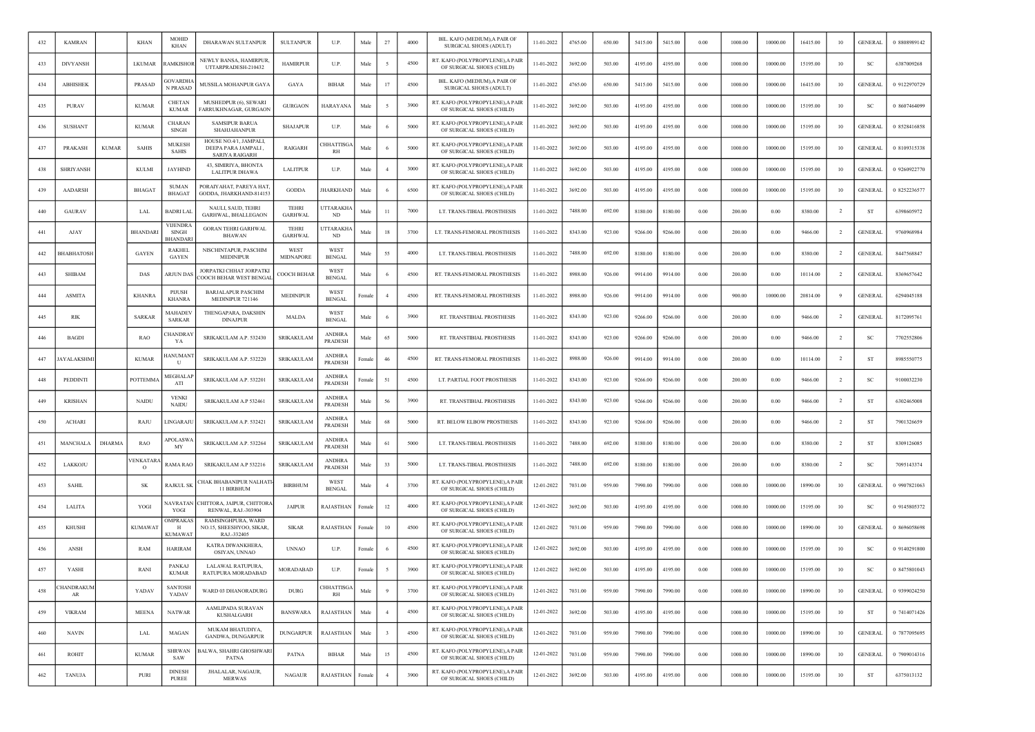| 432 | <b>KAMRAN</b>          |               | <b>KHAN</b>         | MOHID<br>KHAN                              | DHARAWAN SULTANPUR                                              | <b>SULTANPUR</b>               | U.P.                              | Male              | 27             | 4000 | BIL. KAFO (MEDIUM), A PAIR OF<br>SURGICAL SHOES (ADULT)       | 11-01-2022 | 4765.00 | 650.00 | 5415.00 | 5415.00 | 0.00       | 1000.00 | 10000.00 | 16415.00 | 10             | <b>GENERAL</b> | 0 8808989142 |
|-----|------------------------|---------------|---------------------|--------------------------------------------|-----------------------------------------------------------------|--------------------------------|-----------------------------------|-------------------|----------------|------|---------------------------------------------------------------|------------|---------|--------|---------|---------|------------|---------|----------|----------|----------------|----------------|--------------|
| 433 | <b>DIVYANSH</b>        |               | <b>LKUMAR</b>       | <b>AMKISHOI</b>                            | NEWLY BANSA, HAMIRPUR,<br>UTTARPRADESH-210432                   | <b>HAMIRPUR</b>                | U.P.                              | Male              |                | 4500 | RT. KAFO (POLYPROPYLENE), A PAIR<br>OF SURGICAL SHOES (CHILD) | 11-01-2022 | 3692.00 | 503.00 | 4195.00 | 4195.00 | 0.00       | 1000.00 | 10000.00 | 15195.00 | 10             | SC             | 6387009268   |
| 434 | <b>ABHISHEK</b>        |               | PRASAD              | <b>GVARDH</b><br><b>N PRASAE</b>           | MUSSILA MOHANPUR GAYA                                           | GAYA                           | <b>BIHAR</b>                      | Male              | 17             | 4500 | BIL. KAFO (MEDIUM), A PAIR OF<br>SURGICAL SHOES (ADULT)       | 11-01-2022 | 4765.00 | 650.00 | 5415.00 | 5415.00 | 0.00       | 1000.00 | 10000.00 | 16415.00 | 10             | <b>GENERAL</b> | 0 9122970729 |
| 435 | PURAV                  |               | <b>KUMAR</b>        | <b>CHETAN</b><br><b>KUMAR</b>              | MUSHEDPUR (6), SEWARI<br>FARRUKHNAGAR, GURGAON                  | <b>GURGAON</b>                 | <b>HARAYANA</b>                   | Male              |                | 3900 | RT. KAFO (POLYPROPYLENE), A PAIR<br>OF SURGICAL SHOES (CHILD) | 11-01-2022 | 3692.00 | 503.00 | 4195.00 | 4195.00 | 0.00       | 1000.00 | 10000.00 | 15195.00 | 10             | <sub>SC</sub>  | 0 8607464099 |
| 436 | SUSHANT                |               | <b>KUMAR</b>        | CHARAN<br><b>SINGH</b>                     | <b>SAMSIPUR BARUA</b><br>SHAHJAHANPUR                           | <b>SHAJAPUR</b>                | U.P.                              | Male              |                | 5000 | RT. KAFO (POLYPROPYLENE), A PAIR<br>OF SURGICAL SHOES (CHILD) | 11-01-2022 | 3692.00 | 503.00 | 4195.00 | 4195.00 | 0.00       | 1000.00 | 10000.00 | 15195.00 | 10             | <b>GENERAL</b> | 0 8528416858 |
| 437 | PRAKASH                | <b>KUMAR</b>  | <b>SAHIS</b>        | <b>MUKESH</b><br>SAHIS                     | HOUSE NO.4/1, JAMPALI,<br>DEEPA PARA JAMPALI,<br>SARIYA RAIGARH | RAIGARH                        | <b>HHATTISG</b><br>RH             | Male              |                | 5000 | RT. KAFO (POLYPROPYLENE), A PAIR<br>OF SURGICAL SHOES (CHILD) | 11-01-2022 | 3692.00 | 503.00 | 4195.00 | 4195.00 | 0.00       | 1000.00 | 10000.00 | 15195.00 | 10             | <b>GENERAL</b> | 0 8109315338 |
| 438 | <b>SHRIYANSH</b>       |               | <b>KULMI</b>        | <b>JAYHIND</b>                             | 43, SIMIRIYA, BHONTA<br><b>LALITPUR DHAWA</b>                   | <b>LALITPUR</b>                | U.P.                              | Male              |                | 3000 | RT. KAFO (POLYPROPYLENE), A PAIR<br>OF SURGICAL SHOES (CHILD) | 11-01-2022 | 3692.00 | 503.00 | 4195.00 | 4195.00 | 0.00       | 1000.00 | 10000.00 | 15195.00 | 10             | <b>GENERAL</b> | 0 9260922770 |
| 439 | <b>AADARSH</b>         |               | <b>BHAGAT</b>       | <b>SUMAN</b><br><b>BHAGAT</b>              | PORAIYAHAT, PAREYA HAT<br>GODDA, JHARKHAND-814153               | <b>GODDA</b>                   | JHARKHAND                         | Male              |                | 6500 | RT. KAFO (POLYPROPYLENE), A PAIR<br>OF SURGICAL SHOES (CHILD) | 11-01-2022 | 3692.00 | 503.00 | 4195.00 | 4195.00 | 0.00       | 1000.00 | 10000.00 | 15195.00 | 10             | <b>GENERAL</b> | 0 8252236577 |
| 440 | <b>GAURAV</b>          |               | LAL                 | <b>BADRI LAL</b>                           | NAULI, SAUD, TEHRI<br>GARHWAL, BHALLEGAON                       | <b>TEHRI</b><br><b>GARHWAL</b> | <b>UTTARAKH</b><br>ND.            | Male              | 11             | 7000 | LT. TRANS-TIBIAL PROSTHESIS                                   | 11-01-2022 | 7488.00 | 692.00 | 8180.00 | 8180.00 | 0.00       | 200.00  | 0.00     | 8380.00  | $\overline{2}$ | <b>ST</b>      | 6398605972   |
| 441 | AJAY                   |               | <b>BHANDARI</b>     | <b>VIJENDRA</b><br>SINGH<br><b>BHANDAR</b> | <b>GORAN TEHRI GARHWAL</b><br>BHAWAN                            | <b>TEHRI</b><br><b>GARHWAL</b> | <b>JTTARAKH</b><br>ND             | Male              | 18             | 3700 | LT. TRANS-FEMORAL PROSTHESIS                                  | 11-01-2022 | 8343.00 | 923.00 | 9266.00 | 9266.00 | 0.00       | 200.00  | 0.00     | 9466.00  | <sup>2</sup>   | <b>GENERAL</b> | 9760968984   |
| 442 | <b>BHABHATOSE</b>      |               | <b>GAYEN</b>        | <b>RAKHEL</b><br><b>GAYEN</b>              | NISCHINTAPUR, PASCHIM<br><b>MEDINIPUR</b>                       | WEST<br>MIDNAPORE              | WEST<br><b>BENGAL</b>             | Male              | 55             | 4000 | LT. TRANS-TIBIAL PROSTHESIS                                   | 11-01-2022 | 7488.00 | 692.00 | 8180.00 | 8180.00 | 0.00       | 200.00  | 0.00     | 8380.00  | <sup>2</sup>   | <b>GENERAL</b> | 8447568847   |
| 443 | <b>SHIBAM</b>          |               | DAS                 | ARJUN DA!                                  | JORPATKI CHHAT JORPATKI<br><b>COOCH BEHAR WEST BENGA</b>        | COOCH BEHAR                    | <b>WEST</b><br><b>BENGAL</b>      | Male              |                | 4500 | RT. TRANS-FEMORAL PROSTHESIS                                  | 11-01-2022 | 8988.00 | 926.00 | 9914.00 | 9914.00 | 0.00       | 200.00  | 0.00     | 10114.00 | $\overline{2}$ | GENERAI        | 8369657642   |
| 444 | <b>ASMITA</b>          |               | <b>KHANRA</b>       | PIJUSH<br><b>KHANRA</b>                    | <b>BARJALAPUR PASCHIM</b><br>MEDINIPUR 721146                   | MEDINIPUR                      | <b>WEST</b><br><b>BENGAL</b>      | <b>Female</b>     |                | 4500 | RT. TRANS-FEMORAL PROSTHESIS                                  | 11-01-2022 | 8988.00 | 926.00 | 9914.00 | 9914.00 | 0.00       | 900.00  | 10000.00 | 20814.00 | -9             | <b>GENERAL</b> | 6294045188   |
| 445 | RIK                    |               | <b>SARKAR</b>       | <b>MAHADE</b><br><b>SARKAR</b>             | THENGAPARA, DAKSHIN<br><b>DINAJPUR</b>                          | MALDA                          | WES <sub>1</sub><br><b>BENGAL</b> | Male              |                | 3900 | RT. TRANSTIBIAL PROSTHESIS                                    | 11-01-2022 | 8343.00 | 923.00 | 9266.00 | 9266.00 | 0.00       | 200.00  | 0.00     | 9466.00  | -2             | <b>GENERAL</b> | 8172095761   |
| 446 | <b>BAGDI</b>           |               | RAO                 | <b>HANDRA</b><br>YA                        | SRIKAKULAM A.P. 532430                                          | <b>SRIKAKULAM</b>              | <b>ANDHRA</b><br>PRADESH          | Male              | 65             | 5000 | RT. TRANSTIBIAL PROSTHESIS                                    | 11-01-2022 | 8343.00 | 923.00 | 9266.00 | 9266.00 | 0.00       | 200.00  | 0.00     | 9466.00  | $\overline{2}$ | <sub>SC</sub>  | 7702552806   |
| 447 | <b>AYALAKSHMI</b>      |               | <b>KUMAR</b>        | ANUMANT<br>U                               | SRIKAKULAM A.P. 532220                                          | <b>SRIKAKULAM</b>              | ANDHRA<br><b>PRADESH</b>          | Female            | 46             | 4500 | RT. TRANS-FEMORAL PROSTHESIS                                  | 11-01-2022 | 8988.00 | 926.00 | 9914.00 | 9914.00 | 0.00       | 200.00  | 0.00     | 10114.00 | -2             | <b>ST</b>      | 8985550775   |
| 448 | PEDDINTI               |               | POTTEMMA            | <b>AEGHALA</b><br>ATI                      | SRIKAKULAM A.P. 532201                                          | SRIKAKULAM                     | ANDHRA<br><b>PRADESH</b>          | <sup>:</sup> emal | 51             | 4500 | LT. PARTIAL FOOT PROSTHESIS                                   | 11-01-2022 | 8343.00 | 923.00 | 9266.00 | 9266.00 | 0.00       | 200.00  | 0.00     | 9466.00  | $\overline{2}$ | SC             | 9100032230   |
| 449 | <b>KRISHAN</b>         |               | <b>NAIDU</b>        | <b>VENKI</b><br><b>NAIDU</b>               | SRIKAKULAM A.P 532461                                           | <b>SRIKAKULAM</b>              | <b>ANDHRA</b><br><b>PRADESH</b>   | Male              | 56             | 3900 | RT. TRANSTIBIAL PROSTHESIS                                    | 11-01-2022 | 8343.00 | 923.00 | 9266.00 | 9266.00 | 0.00       | 200.00  | 0.00     | 9466.00  | $\overline{2}$ | <b>ST</b>      | 6302465008   |
| 450 | <b>ACHARI</b>          |               | RAJU                | <b>INGARAJU</b>                            | SRIKAKULAM A.P. 532421                                          | <b>SRIKAKULAM</b>              | <b>ANDHRA</b><br><b>PRADESH</b>   | Male              | 68             | 5000 | RT. BELOW ELBOW PROSTHESIS                                    | 11-01-2022 | 8343.00 | 923.00 | 9266.00 | 9266.00 | 0.00       | 200.00  | 0.00     | 9466.00  | $\overline{2}$ | ST             | 7901326659   |
| 451 | MANCHALA               | <b>DHARMA</b> | RAO                 | <b>APOLASW</b><br>MY                       | SRIKAKULAM A.P. 532264                                          | SRIKAKULAM                     | <b>ANDHRA</b><br><b>PRADESH</b>   | Male              | 61             | 5000 | LT. TRANS-TIBIAL PROSTHESIS                                   | 11-01-2022 | 7488.00 | 692.00 | 8180.00 | 8180.00 | 0.00       | 200.00  | 0.00     | 8380.00  |                | ST             | 8309126085   |
| 452 | LAKKOJU                |               | VENKATAF<br>$\circ$ | RAMA RAC                                   | SRIKAKULAM A.P 532216                                           | SRIKAKULAM                     | ANDHRA<br><b>PRADESH</b>          | Male              | 33             | 5000 | LT. TRANS-TIBIAL PROSTHESIS                                   | 11-01-2022 | 7488.00 | 692.00 | 8180.00 | 8180.00 | 0.00       | 200.00  | 0.00     | 8380.00  | $\overline{2}$ | <b>SC</b>      | 7095143374   |
| 453 | <b>SAHIL</b>           |               | SK                  | RAJKUL SK                                  | CHAK BHABANIPUR NALHATI<br>11 BIRBHUM                           | <b>BIRBHUM</b>                 | <b>WEST</b><br><b>BENGAL</b>      | Male              |                | 3700 | RT. KAFO (POLYPROPYLENE), A PAIR<br>OF SURGICAL SHOES (CHILD) | 12-01-2022 | 7031.00 | 959.00 | 7990.00 | 7990.00 | 0.00       | 1000.00 | 10000.00 | 18990.00 | 10             | <b>GENERAL</b> | 0 9907821063 |
| 454 | LALITA                 |               | YOGI                | NAVRATAN<br>YOGI                           | CHITTORA, JAIPUR, CHITTORA<br><b>RENWAL RAL-303904</b>          | <b>JAIPUR</b>                  | <b>RAJASTHAN</b>                  | Female            | 12             | 4000 | RT. KAFO (POLYPROPYLENE), A PAIR<br>OF SURGICAL SHOES (CHILD) | 12-01-2022 | 3692.00 | 503.00 | 4195.00 | 4195.00 | 0.00       | 1000.00 | 10000.00 | 15195.00 | 10             | SC             | 0 9145805372 |
| 455 | KHUSHI                 |               | <b>KUMAWAT</b>      | <b>MPRAKA</b><br>Н<br>KUMAWA               | RAMSINGHPURA, WARD<br>NO.15, SHEESHYOO, SIKAR,<br>RAJ .- 332405 | <b>SIKAR</b>                   | RAJASTHAN                         | Femal             | 10             | 4500 | RT. KAFO (POLYPROPYLENE), A PAIR<br>OF SURGICAL SHOES (CHILD) | 12-01-2022 | 7031.00 | 959.00 | 7990.00 | 7990.00 | 0.00       | 1000.00 | 10000.00 | 18990.00 | 10             | <b>GENERAL</b> | 0 8696058698 |
| 456 | ANSH                   |               | RAM                 | <b>HARIRAM</b>                             | KATRA DIWANKHERA,<br>OSIYAN, UNNAO                              | <b>UNNAO</b>                   | U.P.                              | Female            |                | 4500 | RT. KAFO (POLYPROPYLENE),A PAIF<br>OF SURGICAL SHOES (CHILD)  | 12-01-2022 | 3692.00 | 503.00 | 4195.00 | 4195.00 | 0.00       | 1000.00 | 10000.00 | 15195.00 | 10             | <b>SC</b>      | 0 9140291800 |
| 457 | YASHI                  |               | RANI                | PANKAJ<br><b>KUMAR</b>                     | LALAWAL RATUPURA,<br>RATUPURA MORADABAD                         | MORADABAD                      | U.P.                              | Female            |                | 3900 | RT. KAFO (POLYPROPYLENE), A PAIR<br>OF SURGICAL SHOES (CHILD) | 12-01-2022 | 3692.00 | 503.00 | 4195.00 | 4195.00 | 0.00       | 1000.00 | 10000.00 | 15195.00 | 10             | SC             | 0 8475801043 |
| 458 | <b>HANDRAKUM</b><br>AR |               | YADAV               | <b>SANTOSH</b><br>YADAV                    | WARD 03 DHANORADURG                                             | <b>DURG</b>                    | <b>CHHATTISGA</b><br><b>RH</b>    | Male              | 9              | 3700 | RT. KAFO (POLYPROPYLENE), A PAIR<br>OF SURGICAL SHOES (CHILD) | 12-01-2022 | 7031.00 | 959.00 | 7990.00 | 7990.00 | 0.00       | 1000.00 | 10000.00 | 18990.00 | 10             | <b>GENERAL</b> | 0 9399024250 |
| 459 | <b>VIKRAM</b>          |               | <b>MEENA</b>        | <b>NATWAR</b>                              | AAMLIPADA SURAVAN<br>KUSHALGARH                                 | <b>BANSWARA</b>                | RAJASTHAN                         | Male              | $\overline{4}$ | 4500 | RT. KAFO (POLYPROPYLENE), A PAIR<br>OF SURGICAL SHOES (CHILD) | 12-01-2022 | 3692.00 | 503.00 | 4195.00 | 4195.00 | 0.00       | 1000.00 | 10000.00 | 15195.00 | 10             | ST             | 0 7414071426 |
| 460 | <b>NAVIN</b>           |               | LAL                 | MAGAN                                      | MUKAM BHATUDIYA.<br>GANDWA, DUNGARPUR                           | <b>DUNGARPUR</b>               | <b>RAJASTHAN</b>                  | Male              |                | 4500 | RT. KAFO (POLYPROPYLENE), A PAIR<br>OF SURGICAL SHOES (CHILD) | 12-01-2022 | 7031.00 | 959.00 | 7990.00 | 7990.00 | $0.00\,$   | 1000.00 | 10000.00 | 18990.00 | 10             | <b>GENERAL</b> | 0 7877095695 |
| 461 | ROHIT                  |               | <b>KUMAR</b>        | <b>SHRWAN</b><br>SAW                       | BALWA, SHAHRI GHOSHWARI<br>PATNA                                | PATNA                          | <b>BIHAR</b>                      | Male              | 15             | 4500 | RT. KAFO (POLYPROPYLENE), A PAIR<br>OF SURGICAL SHOES (CHILD) | 12-01-2022 | 7031.00 | 959.00 | 7990.00 | 7990.00 | 0.00       | 1000.00 | 10000.00 | 18990.00 | 10             | <b>GENERAL</b> | 0 7909014316 |
| 462 | <b>TANUJA</b>          |               | PURI                | <b>DINESH</b><br>PUREE                     | JHALALAR, NAGAUR,<br><b>MERWAS</b>                              | <b>NAGAUR</b>                  | <b>RAJASTHAN</b>                  | Female            | $\overline{4}$ | 3900 | RT. KAFO (POLYPROPYLENE), A PAIR<br>OF SURGICAL SHOES (CHILD) | 12-01-2022 | 3692.00 | 503.00 | 4195.00 | 4195.00 | $\rm 0.00$ | 1000.00 | 10000.00 | 15195.00 | $10$           | ST             | 6375013132   |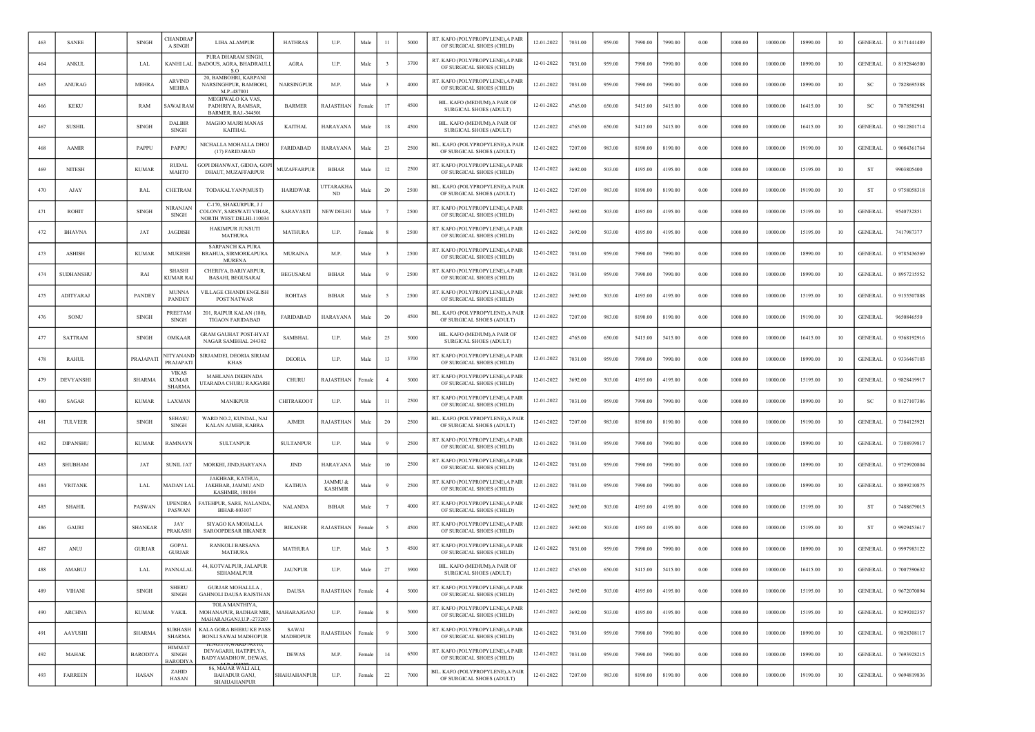| 463 | <b>SANEE</b>     | <b>SINGH</b>    | CHANDRAF<br>A SINGH                           | LIHA ALAMPUR                                                                | <b>HATHRAS</b>           | U.P.                      | Male   | 11                    | 5000 | RT. KAFO (POLYPROPYLENE), A PAIR<br>OF SURGICAL SHOES (CHILD)  | 12-01-2022 | 7031.00 | 959.00 | 7990.00 | 7990.00 | 0.00 | 1000.00 | 10000.00 | 18990.00 | 10     | <b>GENERAL</b> | 0 8171441489 |
|-----|------------------|-----------------|-----------------------------------------------|-----------------------------------------------------------------------------|--------------------------|---------------------------|--------|-----------------------|------|----------------------------------------------------------------|------------|---------|--------|---------|---------|------|---------|----------|----------|--------|----------------|--------------|
| 464 | <b>ANKUL</b>     | LAL             | KANHI LAL                                     | PURA DHARAM SINGH,<br>ADOUS, AGRA, BHADRAUL<br>- 50                         | AGRA                     | U.P.                      | Male   |                       | 3700 | RT. KAFO (POLYPROPYLENE), A PAIR<br>OF SURGICAL SHOES (CHILD)  | 12-01-2022 | 7031.00 | 959.00 | 7990.00 | 7990.00 | 0.00 | 1000.00 | 10000.00 | 18990.00 | 10     | <b>GENERAL</b> | 0 8192846500 |
| 465 | <b>ANURAG</b>    | <b>MEHRA</b>    | <b>ARVIND</b><br><b>MEHRA</b>                 | 20, BAMBOHRI, KARPANI<br>NARSINGHPUR, BAMBORI<br>M.P.-487001                | <b>NARSINGPUR</b>        | M.P.                      | Male   |                       | 4000 | RT. KAFO (POLYPROPYLENE), A PAIR<br>OF SURGICAL SHOES (CHILD)  | 12-01-2022 | 7031.00 | 959.00 | 7990.00 | 7990.00 | 0.00 | 1000.00 | 10000.00 | 18990.00 | 10     | <b>SC</b>      | 0 7828695388 |
| 466 | <b>KEKU</b>      | RAM             | SAWAI RAM                                     | MEGHWALO KA VAS.<br>PADHRIYA, RAMSAR.<br>BARMER, RAJ.-344501                | <b>BARMER</b>            | RAJASTHAN                 | Femal  | 17                    | 4500 | BIL. KAFO (MEDIUM), A PAIR OF<br>SURGICAL SHOES (ADULT)        | 12-01-2022 | 4765.00 | 650.00 | 5415.00 | 5415.00 | 0.00 | 1000.00 | 10000.00 | 16415.00 | 10     | SC             | 0 7878582981 |
| 467 | <b>SUSHIL</b>    | <b>SINGH</b>    | <b>DALBIR</b><br><b>SINGH</b>                 | <b>MAGHO MAJRI MANAS</b><br>KAITHAL                                         | KAITHAL                  | HARAYANA                  | Male   | 18                    | 4500 | BIL. KAFO (MEDIUM) A PAIR OF<br>SURGICAL SHOES (ADULT)         | 12-01-2022 | 4765.00 | 650.00 | 5415.00 | 5415.00 | 0.00 | 1000.00 | 10000.00 | 16415.00 | 10     | <b>GENERAL</b> | 0 9812801714 |
| 468 | <b>AAMIR</b>     | PAPPU           | PAPPU                                         | NICHALLA MOHALLA DHOJ<br>(17) FARIDABAD                                     | <b>FARIDABAD</b>         | <b>HARAYANA</b>           | Male   | 23                    | 2500 | BIL. KAFO (POLYPROPYLENE),A PAIR<br>OF SURGICAL SHOES (ADULT)  | 12-01-2022 | 7207.00 | 983.00 | 8190.00 | 8190.00 | 0.00 | 1000.00 | 10000.00 | 19190.00 | 10     | <b>GENERAL</b> | 0 9084361764 |
| 469 | <b>NITESH</b>    | <b>KUMAR</b>    | <b>RUDAI</b><br><b>MAHTO</b>                  | <b>GOPI DHANWAT, GIDDA, GOP</b><br>DHAUT, MUZAFFARPUR                       | MUZAFFARPUR              | <b>BIHAR</b>              | Male   | 12                    | 2500 | RT. KAFO (POLYPROPYLENE), A PAIR<br>OF SURGICAL SHOES (CHILD)  | 12-01-2022 | 3692.00 | 503.00 | 4195.00 | 4195.00 | 0.00 | 1000.00 | 10000.00 | 15195.00 | 10     | <b>ST</b>      | 9903805400   |
| 470 | AJAY             | RAL             | CHETRAM                                       | TODAKALYANP(MUST)                                                           | <b>HARIDWAR</b>          | JTTARAKH/<br>ND.          | Male   | 20                    | 2500 | BIL. KAFO (POLYPROPYLENE),A PAIR<br>OF SURGICAL SHOES (ADULT)  | 12-01-2022 | 7207.00 | 983.00 | 8190.00 | 8190.00 | 0.00 | 1000.00 | 10000.00 | 19190.00 | 10     | <b>ST</b>      | 0 9758058318 |
| 471 | <b>ROHIT</b>     | <b>SINGH</b>    | VIRANJAN<br><b>SINGH</b>                      | C-170, SHAKURPUR, J J<br>COLONY, SARSWATI VIHAR,<br>NORTH WEST DELHI-110034 | SARAVASTI                | <b>NEW DELHI</b>          | Male   |                       | 2500 | RT. KAFO (POLYPROPYLENE), A PAIR<br>OF SURGICAL SHOES (CHILD)  | 12-01-2022 | 3692.00 | 503.00 | 4195.00 | 4195.00 | 0.00 | 1000.00 | 10000.00 | 15195.00 | 10     | <b>GENERAL</b> | 9540732851   |
| 472 | <b>BHAVNA</b>    | JAT             | <b>JAGDISH</b>                                | <b>HAKIMPUR JUNSUTI</b><br>MATHURA                                          | <b>MATHURA</b>           | U.P.                      | Female |                       | 2500 | RT. KAFO (POLYPROPYLENE), A PAIR<br>OF SURGICAL SHOES (CHILD)  | 12-01-2022 | 3692.00 | 503.00 | 4195.00 | 4195.00 | 0.00 | 1000.00 | 10000.00 | 15195.00 | 10     | <b>GENERAL</b> | 7417987377   |
| 473 | <b>ASHISH</b>    | <b>KUMAR</b>    | <b>MUKESH</b>                                 | <b>SARPANCH KA PURA</b><br>BRAHUA, SIRMORKAPURA<br>MURENA                   | <b>MURAINA</b>           | M.P.                      | Male   |                       | 2500 | RT. KAFO (POLYPROPYLENE), A PAIR<br>OF SURGICAL SHOES (CHILD)  | 12-01-2022 | 7031.00 | 959.00 | 7990.00 | 7990.00 | 0.00 | 1000.00 | 10000.00 | 18990.00 | 10     | <b>GENERAL</b> | 0 9785436569 |
| 474 | <b>SUDHANSHU</b> | RAI             | <b>SHASHI</b><br>KUMAR RA                     | CHERIYA, BARIYARPUR,<br><b>BASAHI, BEGUSARAI</b>                            | <b>BEGUSARAI</b>         | <b>BIHAR</b>              | Male   |                       | 2500 | RT. KAFO (POLYPROPYLENE), A PAIR<br>OF SURGICAL SHOES (CHILD)  | 12-01-2022 | 7031.00 | 959.00 | 7990.00 | 7990.00 | 0.00 | 1000.00 | 10000.00 | 18990.00 | 10     | <b>GENERAL</b> | 0 8957215552 |
| 475 | ADITYARAJ        | <b>PANDEY</b>   | <b>MUNNA</b><br><b>PANDEY</b>                 | <b>VILLAGE CHANDI ENGLISH</b><br>POST NATWAR                                | ROHTAS                   | <b>BIHAR</b>              | Male   |                       | 2500 | RT. KAFO (POLYPROPYLENE), A PAIR<br>OF SURGICAL SHOES (CHILD)  | 12-01-2022 | 3692.00 | 503.00 | 4195.00 | 4195.00 | 0.00 | 1000.00 | 10000.00 | 15195.00 | 10     | <b>GENERAL</b> | 0 9155507888 |
| 476 | SONU             | <b>SINGH</b>    | PREETAM<br><b>SINGH</b>                       | 201, RAIPUR KALAN (180),<br><b>TIGAON FARIDABAD</b>                         | <b>FARIDABAD</b>         | <b>HARAYANA</b>           | Male   | 20                    | 4500 | BIL. KAFO (POLYPROPYLENE), A PAIR<br>OF SURGICAL SHOES (ADULT) | 12-01-2022 | 7207.00 | 983.00 | 8190.00 | 8190.00 | 0.00 | 1000.00 | 10000.00 | 19190.00 | 10     | <b>GENERAL</b> | 9650846550   |
| 477 | <b>SATTRAM</b>   | <b>SINGH</b>    | OMKAAR                                        | <b>GRAM GAUHAT POST-HYAT</b><br>NAGAR SAMBHAL 244302                        | <b>SAMBHAL</b>           | U.P.                      | Male   | 25                    | 5000 | BIL. KAFO (MEDIUM), A PAIR OF<br><b>SURGICAL SHOES (ADULT)</b> | 12-01-2022 | 4765.00 | 650.00 | 5415.00 | 5415.00 | 0.00 | 1000.00 | 10000.00 | 16415.00 | 10     | <b>GENERAL</b> | 0 9368192916 |
| 478 | <b>RAHUL</b>     | PRAJAPAT        | <b>NITYANANI</b><br>PRAJAPATI                 | SIRJAMDEI, DEORIA SIRJAM<br>KHAS                                            | <b>DEORIA</b>            | U.P.                      | Male   | 13                    | 3700 | RT. KAFO (POLYPROPYLENE), A PAIR<br>OF SURGICAL SHOES (CHILD)  | 12-01-2022 | 7031.00 | 959.00 | 7990.00 | 7990.00 | 0.00 | 1000.00 | 10000.00 | 18990.00 | 10     | <b>GENERAL</b> | 0 9336467103 |
| 479 | <b>DEVYANSH</b>  | <b>SHARMA</b>   | <b>VIKAS</b><br><b>KUMAR</b><br><b>SHARMA</b> | <b>MAHLANA DIKHNADA</b><br>JTARADA CHURU RAJGARH                            | CHURU                    | RAJASTHAN                 | Female |                       | 5000 | RT. KAFO (POLYPROPYLENE), A PAIR<br>OF SURGICAL SHOES (CHILD)  | 12-01-2022 | 3692.00 | 503.00 | 4195.00 | 4195.00 | 0.00 | 1000.00 | 10000.00 | 15195.00 | 10     | <b>GENERAL</b> | 0 9828419917 |
| 480 | <b>SAGAR</b>     | <b>KUMAR</b>    | LAXMAN                                        | MANIKPUR                                                                    | CHITRAKOOT               | U.P.                      | Male   | $^{11}$               | 2500 | RT. KAFO (POLYPROPYLENE), A PAIR<br>OF SURGICAL SHOES (CHILD)  | 12-01-2022 | 7031.00 | 959.00 | 7990.00 | 7990.00 | 0.00 | 1000.00 | 10000.00 | 18990.00 | 10     | SC             | 0 8127107386 |
| 481 | TULVEER          | <b>SINGH</b>    | <b>SEHASU</b><br><b>SINGH</b>                 | WARD NO.2, KUNDAL, NAI<br>KALAN AJMER, KABRA                                | <b>AJMER</b>             | RAJASTHAN                 | Male   | 20                    | 2500 | BIL. KAFO (POLYPROPYLENE),A PAIR<br>OF SURGICAL SHOES (ADULT)  | 12-01-2022 | 7207.00 | 983.00 | 8190.00 | 8190.00 | 0.00 | 1000.00 | 10000.00 | 19190.00 | 10     | GENERAL        | 0 7384125921 |
| 482 | DIPANSHU         | <b>KUMAR</b>    | RAMNAYN                                       | <b>SULTANPUR</b>                                                            | <b>SULTANPUR</b>         | U.P.                      | Male   |                       | 2500 | RT. KAFO (POLYPROPYLENE), A PAIR<br>OF SURGICAL SHOES (CHILD)  | 12-01-2022 | 7031.00 | 959.00 | 7990.00 | 7990.00 | 0.00 | 1000.00 | 10000.00 | 18990.00 | 10     | <b>GENERAL</b> | 0 7388939817 |
| 483 | <b>SHUBHAM</b>   | JAT             | <b>SUNIL JAT</b>                              | MORKHI, JIND, HARYANA                                                       | <b>JIND</b>              | HARAYANA                  | Male   | 10                    | 2500 | RT. KAFO (POLYPROPYLENE), A PAIR<br>OF SURGICAL SHOES (CHILD)  | 12-01-2022 | 7031.00 | 959.00 | 7990.00 | 7990.00 | 0.00 | 1000.00 | 10000.00 | 18990.00 | 10     | <b>GENERAL</b> | 0 9729920804 |
| 484 | <b>VRITANK</b>   | LAL             | MADAN LAI                                     | JAKHBAR, KATHUA,<br>JAKHBAR, JAMMU AND<br><b>KASHMIR, 188104</b>            | <b>KATHUA</b>            | JAMMU &<br><b>KASHMIR</b> | Male   |                       | 2500 | RT. KAFO (POLYPROPYLENE), A PAIR<br>OF SURGICAL SHOES (CHILD)  | 12-01-2022 | 7031.00 | 959.00 | 7990.00 | 7990.00 | 0.00 | 1000.00 | 10000.00 | 18990.00 | 10     | <b>GENERAL</b> | 0 8899210875 |
| 485 | <b>SHAHIL</b>    | PASWAN          | UPENDRA<br><b>PASWAN</b>                      | ATEHPUR, SARE, NALANDA<br>BIHAR-803107                                      | <b>NALANDA</b>           | <b>BIHAR</b>              | Male   |                       | 4000 | RT. KAFO (POLYPROPYLENE), A PAIR<br>OF SURGICAL SHOES (CHILD)  | 12-01-2022 | 3692.00 | 503.00 | 4195.00 | 4195.00 | 0.00 | 1000.00 | 10000.00 | 15195.00 | 10     | <b>ST</b>      | 0 7488679013 |
| 486 | <b>GAURI</b>     | <b>SHANKAR</b>  | JAY<br><b>PRAKASE</b>                         | SIYAGO KA MOHALLA<br><b>SAROOPDESAR BIKANER</b>                             | <b>BIKANER</b>           | RAJASTHAN                 | Female |                       | 4500 | RT. KAFO (POLYPROPYLENE), A PAIR<br>OF SURGICAL SHOES (CHILD)  | 12-01-2022 | 3692.00 | 503.00 | 4195.00 | 4195.00 | 0.00 | 1000.00 | 10000.00 | 15195.00 | 10     | <b>ST</b>      | 0 9929453617 |
| 487 | ANUJ             | <b>GURJAR</b>   | <b>GOPAL</b><br><b>GURJAR</b>                 | <b>RANKOLI BARSANA</b><br><b>MATHURA</b>                                    | <b>MATHURA</b>           | U.P.                      | Male   |                       | 4500 | RT. KAFO (POLYPROPYLENE), A PAIR<br>OF SURGICAL SHOES (CHILD)  | 12-01-2022 | 7031.00 | 959.00 | 7990.00 | 7990.00 | 0.00 | 1000.00 | 10000.00 | 18990.00 | 10     | <b>GENERAL</b> | 0 9997983122 |
| 488 | <b>AMABUJ</b>    | <b>LAL</b>      | PANNALAL                                      | 44, KOTVALPUR, JALAPUR<br><b>SEHAMALPUR</b>                                 | <b>JAUNPUR</b>           | U.P.                      | Male   | 27                    | 3900 | BIL. KAFO (MEDIUM), A PAIR OF<br>SURGICAL SHOES (ADULT)        | 12-01-2022 | 4765.00 | 650.00 | 5415.00 | 5415.00 | 0.00 | 1000.00 | 10000.00 | 16415.00 | 10     | GENERAL        | 0 7007590632 |
| 489 | <b>VIHANI</b>    | SINGH           | <b>SHERL</b><br>SINGH                         | GURJAR MOHALLLA,<br><b>GAHNOLI DAUSA RAJSTHAN</b>                           | <b>DAUSA</b>             | <b>RAJASTHAN</b>          | Female | $\overline{4}$        | 5000 | RT. KAFO (POLYPROPYLENE), A PAIR<br>OF SURGICAL SHOES (CHILD)  | 12-01-2022 | 3692.00 | 503.00 | 4195.00 | 4195.00 | 0.00 | 1000.00 | 10000.00 | 15195.00 | 10     | <b>GENERAL</b> | 0 9672070894 |
| 490 | <b>ARCHNA</b>    | <b>KUMAR</b>    | <b>VAKIL</b>                                  | TOLA MANTHIYA.<br>MOHANAPUR, BADHAR MIR,<br>MAHARAJGANJ, U.P.-273207        | MAHARAJGANJ              | U.P.                      | Female | $\mathbf{\mathbf{R}}$ | 5000 | RT. KAFO (POLYPROPYLENE), A PAIR<br>OF SURGICAL SHOES (CHILD)  | 12-01-2022 | 3692.00 | 503.00 | 4195.00 | 4195.00 | 0.00 | 1000.00 | 10000.00 | 15195.00 | 10     | <b>GENERAL</b> | 0 8299202357 |
| 491 | AAYUSHI          | <b>SHARMA</b>   | <b>SUBHASH</b><br>SHARMA                      | KALA GORA BHERU KE PASS<br><b>BONLI SAWAI MADHOPUR</b>                      | SAWAI<br><b>MADHOPUR</b> | <b>RAJASTHAN</b>          | Female | $\mathbf Q$           | 3000 | RT. KAFO (POLYPROPYLENE), A PAIR<br>OF SURGICAL SHOES (CHILD)  | 12-01-2022 | 7031.00 | 959.00 | 7990.00 | 7990.00 | 0.00 | 1000.00 | 10000.00 | 18990.00 | $10\,$ | <b>GENERAL</b> | 0 9828308117 |
| 492 | MAHAK            | <b>BARODIYA</b> | <b>HIMMAT</b><br>SINGH<br><b>BARODIY</b>      | DEVAGARH, HATPIPLYA,<br>BADYAMADHOW, DEWAS,                                 | <b>DEWAS</b>             | M.P.                      | Female | 14                    | 6500 | RT. KAFO (POLYPROPYLENE), A PAIR<br>OF SURGICAL SHOES (CHILD)  | 12-01-2022 | 7031.00 | 959.00 | 7990.00 | 7990.00 | 0.00 | 1000.00 | 10000.00 | 18990.00 | 10     | <b>GENERAL</b> | 0 7693928215 |
| 493 | <b>FARREEN</b>   | HASAN           | ZAHID<br>HASAN                                | 86, MAJAR WALI ALI,<br><b>BAHADUR GANJ,</b><br>SHAHJAHANPUR                 | SHAHJAHANPUR             | U.P.                      | Female | $22\,$                | 7000 | BIL. KAFO (POLYPROPYLENE), A PAIR<br>OF SURGICAL SHOES (ADULT) | 12-01-2022 | 7207.00 | 983.00 | 8190.00 | 8190.00 | 0.00 | 1000.00 | 10000.00 | 19190.00 | 10     | <b>GENERAL</b> | 0 9694819836 |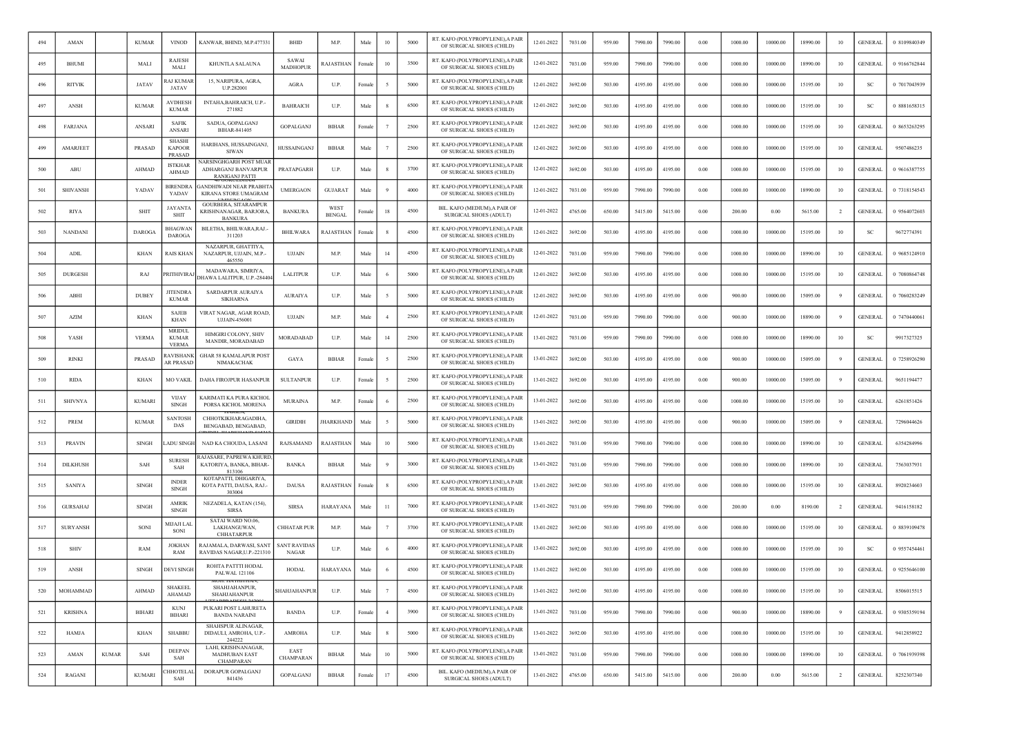| 494 | AMAN            |              | <b>KUMAR</b>  | <b>VINOD</b>                                    | KANWAR, BHIND, M.P.477331                                              | <b>BHID</b>                         | M.P.                  | Male   | 10             | 5000 | RT. KAFO (POLYPROPYLENE), A PAIR<br>OF SURGICAL SHOES (CHILD) | 12-01-2022 | 7031.00 | 959.00 | 7990.00 | 7990.00 | 0.00     | 1000.00 | 10000.00 | 18990.00 | 10             | <b>GENERAL</b> | 0 8109840349 |
|-----|-----------------|--------------|---------------|-------------------------------------------------|------------------------------------------------------------------------|-------------------------------------|-----------------------|--------|----------------|------|---------------------------------------------------------------|------------|---------|--------|---------|---------|----------|---------|----------|----------|----------------|----------------|--------------|
| 495 | <b>BHUMI</b>    |              | MALI          | <b>RAJESH</b><br>MALI                           | KHUNTLA SALAUNA                                                        | SAWAI<br><b>MADHOPUR</b>            | RAJASTHAN             | Female | 10             | 3500 | RT. KAFO (POLYPROPYLENE), A PAIR<br>OF SURGICAL SHOES (CHILD) | 12-01-2022 | 7031.00 | 959.00 | 7990.00 | 7990.00 | $0.00\,$ | 1000.00 | 10000.00 | 18990.00 | 10             | <b>GENERAL</b> | 0 9166762844 |
| 496 | <b>RITVIK</b>   |              | JATAV         | AJ KUMAR<br>JATAV                               | 15, NARIPURA, AGRA,<br>U.P.282001                                      | AGRA                                | U.P.                  | Female |                | 5000 | RT. KAFO (POLYPROPYLENE), A PAIR<br>OF SURGICAL SHOES (CHILD) | 12-01-2022 | 3692.00 | 503.00 | 4195.00 | 4195.00 | 0.00     | 1000.00 | 10000.00 | 15195.00 | 10             | SC             | 0 7017043939 |
| 497 | ANSH            |              | <b>KUMAR</b>  | <b>AVDHESE</b><br><b>KUMAR</b>                  | INTAHA, BAHRAICH, U.P.-<br>271882                                      | <b>BAHRAICH</b>                     | U.P.                  | Male   |                | 6500 | RT. KAFO (POLYPROPYLENE), A PAIR<br>OF SURGICAL SHOES (CHILD) | 12-01-2022 | 3692.00 | 503.00 | 4195.00 | 4195.00 | 0.00     | 1000.00 | 10000.00 | 15195.00 | 10             | <sub>SC</sub>  | 0 8881658315 |
| 498 | <b>FARJANA</b>  |              | ANSARI        | <b>SAFIK</b><br>ANSARI                          | SADUA, GOPALGANJ<br>BIHAR-841405                                       | GOPALGANJ                           | <b>BIHAR</b>          | Female |                | 2500 | RT. KAFO (POLYPROPYLENE), A PAIR<br>OF SURGICAL SHOES (CHILD) | 12-01-2022 | 3692.00 | 503.00 | 4195.00 | 4195.00 | 0.00     | 1000.00 | 10000.00 | 15195.00 | 10             | <b>GENERAL</b> | 0 8653263295 |
| 499 | AMARJEET        |              | PRASAD        | <b>SHASHI</b><br><b>KAPOOR</b><br><b>PRASAD</b> | HARIHANS, HUSSAINGANJ,<br><b>SIWAN</b>                                 | HUSSAINGANJ                         | <b>BIHAR</b>          | Male   |                | 2500 | RT. KAFO (POLYPROPYLENE), A PAIR<br>OF SURGICAL SHOES (CHILD) | 12-01-2022 | 3692.00 | 503.00 | 4195.00 | 4195.00 | 0.00     | 1000.00 | 10000.00 | 15195.00 | 10             | <b>GENERAL</b> | 9507486235   |
| 500 | ABU             |              | AHMAD         | <b>ISTKHAR</b><br><b>AHMAD</b>                  | NARSINGHGARH POST MUAR<br>ADHARGANJ BANVARPUR<br><b>RANIGANJ PATTI</b> | PRATAPGARH                          | U.P.                  | Male   |                | 3700 | RT. KAFO (POLYPROPYLENE), A PAIR<br>OF SURGICAL SHOES (CHILD) | 12-01-2022 | 3692.00 | 503.00 | 4195.00 | 4195.00 | 0.00     | 1000.00 | 10000.00 | 15195.00 | 10             | <b>GENERAL</b> | 0 9616387755 |
| 501 | <b>SHIVANSH</b> |              | YADAV         | BIRENDRA<br>YADAV                               | GANDHIWADI NEAR PRABHT/<br>KIRANA STORE UMAGRAM                        | <b>UMERGAON</b>                     | <b>GUJARAT</b>        | Male   |                | 4000 | RT. KAFO (POLYPROPYLENE), A PAIR<br>OF SURGICAL SHOES (CHILD) | 12-01-2022 | 7031.00 | 959.00 | 7990.00 | 7990.00 | 0.00     | 1000.00 | 10000.00 | 18990.00 | 10             | <b>GENERAL</b> | 0 7318154543 |
| 502 | <b>RIYA</b>     |              | <b>SHIT</b>   | <b>JAYANTA</b><br><b>SHIT</b>                   | <b>GOURBERA, SITARAMPUR</b><br>KRISHNANAGAR, BARJORA<br><b>BANKURA</b> | <b>BANKURA</b>                      | WEST<br><b>BENGAL</b> | Female | 18             | 4500 | BIL. KAFO (MEDIUM) A PAIR OF<br>SURGICAL SHOES (ADULT)        | 12-01-2022 | 4765.00 | 650.00 | 5415.00 | 5415.00 | 0.00     | 200.00  | 0.00     | 5615.00  | $\overline{2}$ | <b>GENERAL</b> | 0 9564072603 |
| 503 | <b>NANDANI</b>  |              | <b>DAROGA</b> | BHAGWAN<br><b>DAROGA</b>                        | BILETHA, BHILWARA, RAJ.<br>311203                                      | <b>BHILWARA</b>                     | RAJASTHAN             | Femal  |                | 4500 | RT. KAFO (POLYPROPYLENE), A PAIR<br>OF SURGICAL SHOES (CHILD) | 12-01-2022 | 3692.00 | 503.00 | 4195.00 | 4195.00 | $0.00\,$ | 1000.00 | 10000.00 | 15195.00 | 10             | SC             | 9672774391   |
| 504 | ADIL            |              | <b>KHAN</b>   | RAIS KHAN                                       | NAZARPUR, GHATTIYA<br>NAZARPUR, UJJAIN, M.P.-<br>465550                | <b>UJJAIN</b>                       | M.P.                  | Male   | 14             | 4500 | RT. KAFO (POLYPROPYLENE), A PAIR<br>OF SURGICAL SHOES (CHILD) | 12-01-2022 | 7031.00 | 959.00 | 7990.00 | 7990.00 | 0.00     | 1000.00 | 10000.00 | 18990.00 | 10             | <b>GENERAL</b> | 0 9685124910 |
| 505 | <b>DURGESH</b>  |              | RAJ           | PRITHIVIRAJ                                     | MADAWARA, SIMRIYA,<br><b>DHAWA LALITPUR, U.P.-28440-</b>               | <b>LALITPUR</b>                     | U.P.                  | Male   | - 6            | 5000 | RT. KAFO (POLYPROPYLENE), A PAIR<br>OF SURGICAL SHOES (CHILD) | 12-01-2022 | 3692.00 | 503.00 | 4195.00 | 4195.00 | 0.00     | 1000.00 | 10000.00 | 15195.00 | 10             | GENERAL        | 0 7080864748 |
| 506 | ABHI            |              | <b>DUBEY</b>  | <b>JITENDRA</b><br><b>KUMAR</b>                 | SARDARPUR AURAIYA<br><b>SIKHARNA</b>                                   | <b>AURAIYA</b>                      | U.P.                  | Male   |                | 5000 | RT. KAFO (POLYPROPYLENE), A PAIR<br>OF SURGICAL SHOES (CHILD) | 12-01-2022 | 3692.00 | 503.00 | 4195.00 | 4195.00 | 0.00     | 900.00  | 10000.00 | 15095.00 |                | <b>GENERAL</b> | 0 7060283249 |
| 507 | <b>AZIM</b>     |              | KHAN          | <b>SAJEB</b><br>KHAN                            | VIRAT NAGAR, AGAR ROAD,<br>UJJAIN-456001                               | UJJAIN                              | M.P.                  | Male   |                | 2500 | RT. KAFO (POLYPROPYLENE), A PAIR<br>OF SURGICAL SHOES (CHILD) | 12-01-2022 | 7031.00 | 959.00 | 7990.00 | 7990.00 | 0.00     | 900.00  | 10000.00 | 18890.00 |                | <b>GENERAL</b> | 0 7470440061 |
| 508 | YASH            |              | <b>VERMA</b>  | MRIDUL<br><b>KUMAR</b><br><b>VERMA</b>          | HIMGIRI COLONY, SHIV<br>MANDIR, MORADABAD                              | MORADABAD                           | U.P.                  | Male   | 14             | 2500 | RT. KAFO (POLYPROPYLENE), A PAIR<br>OF SURGICAL SHOES (CHILD) | 13-01-2022 | 7031.00 | 959.00 | 7990.00 | 7990.00 | 0.00     | 1000.00 | 10000.00 | 18990.00 | 10             | <sub>SC</sub>  | 9917327325   |
| 509 | <b>RINKI</b>    |              | <b>PRASAD</b> | AVISHANK<br><b>AR PRASAD</b>                    | <b>GHAR 58 KAMALAPUR POST</b><br>NIMAKACHAK                            | GAYA                                | <b>BIHAR</b>          | Female | -5             | 2500 | RT. KAFO (POLYPROPYLENE), A PAIR<br>OF SURGICAL SHOES (CHILD) | 13-01-2022 | 3692.00 | 503.00 | 4195.00 | 4195.00 | 0.00     | 900.00  | 10000.00 | 15095.00 | -9             | <b>GENERAL</b> | 0 7258926290 |
| 510 | <b>RIDA</b>     |              | KHAN          | <b>MO VAKIL</b>                                 | DAHA FIROJPUR HASANPUR                                                 | <b>SULTANPUR</b>                    | U.P.                  | Femal  |                | 2500 | RT. KAFO (POLYPROPYLENE), A PAIR<br>OF SURGICAL SHOES (CHILD) | 13-01-2022 | 3692.00 | 503.00 | 4195.00 | 4195.00 | $0.00\,$ | 900.00  | 10000.00 | 15095.00 | -9             | <b>GENERAL</b> | 9651194477   |
| 511 | <b>SHIVNYA</b>  |              | <b>KUMARI</b> | <b>VIJAY</b><br><b>SINGH</b>                    | KARIMATI KA PURA KICHOI<br>PORSA KICHOL MORENA                         | <b>MURAINA</b>                      | M.P.                  | Female | - 6            | 2500 | RT. KAFO (POLYPROPYLENE), A PAIR<br>OF SURGICAL SHOES (CHILD) | 13-01-2022 | 3692.00 | 503.00 | 4195.00 | 4195.00 | 0.00     | 1000.00 | 10000.00 | 15195.00 | 10             | <b>GENERAL</b> | 6261851426   |
| 512 | PREM            |              | <b>KUMAR</b>  | SANTOSH<br>DAS                                  | CHHOTKIKHARAGADIHA,<br>BENGABAD, BENGABAD,                             | <b>GIRIDIH</b>                      | HARKHAND              | Male   | -5             | 5000 | RT. KAFO (POLYPROPYLENE), A PAIR<br>OF SURGICAL SHOES (CHILD) | 13-01-2022 | 3692.00 | 503.00 | 4195.00 | 4195.00 | 0.00     | 900.00  | 10000.00 | 15095.00 | 9              | <b>GENERAL</b> | 7296044626   |
| 513 | <b>PRAVIN</b>   |              | <b>SINGH</b>  | ADU SINGH                                       | NAD KA CHOUDA, LASANI                                                  | RAJSAMAND                           | RAJASTHAN             | Male   | 10             | 5000 | RT. KAFO (POLYPROPYLENE), A PAIR<br>OF SURGICAL SHOES (CHILD) | 13-01-2022 | 7031.00 | 959.00 | 7990.00 | 7990.00 | 0.00     | 1000.00 | 10000.00 | 18990.00 | 10             | <b>GENERAL</b> | 6354284996   |
| 514 | <b>DILKHUSH</b> |              | SAH           | <b>SURESH</b><br>SAH                            | <b>RAJASARE, PAPREWA KHURD</b><br>KATORIYA, BANKA, BIHAR-<br>813106    | <b>BANKA</b>                        | <b>BIHAR</b>          | Male   |                | 3000 | RT. KAFO (POLYPROPYLENE), A PAIR<br>OF SURGICAL SHOES (CHILD) | 13-01-2022 | 7031.00 | 959.00 | 7990.00 | 7990.00 | 0.00     | 1000.00 | 10000.00 | 18990.00 | 10             | <b>GENERAL</b> | 7563037931   |
| 515 | <b>SANIYA</b>   |              | <b>SINGH</b>  | <b>INDER</b><br><b>SINGH</b>                    | KOTAPATTI, DHIGARIYA,<br>KOTA PATTI, DAUSA, RAJ.<br>303004             | <b>DAUSA</b>                        | RAJASTHAN             | Female |                | 6500 | RT. KAFO (POLYPROPYLENE), A PAIR<br>OF SURGICAL SHOES (CHILD) | 13-01-2022 | 3692.00 | 503.00 | 4195.00 | 4195.00 | 0.00     | 1000.00 | 10000.00 | 15195.00 | 10             | <b>GENERAL</b> | 8920234603   |
| 516 | GURSAHAJ        |              | <b>SINGH</b>  | <b>AMRIK</b><br><b>SINGH</b>                    | NEZADELA, KATAN (154),<br><b>SIRSA</b>                                 | <b>SIRSA</b>                        | HARAYANA              | Male   | -11            | 7000 | RT. KAFO (POLYPROPYLENE), A PAIR<br>OF SURGICAL SHOES (CHILD) | 13-01-2022 | 7031.00 | 959.00 | 7990.00 | 7990.00 | 0.00     | 200.00  | 0.00     | 8190.00  | $\overline{2}$ | <b>GENERAL</b> | 9416158182   |
| 517 | <b>SURYANSH</b> |              | SONI          | AIJAJI LAL<br>SONI                              | SATAI WARD NO.06,<br>LAKHANGUWAN,<br><b>CHHATARPUR</b>                 | <b>CHHATAR PUR</b>                  | M.P.                  | Male   |                | 3700 | RT. KAFO (POLYPROPYLENE), A PAIR<br>OF SURGICAL SHOES (CHILD) | 13-01-2022 | 3692.00 | 503.00 | 4195.00 | 4195.00 | 0.00     | 1000.00 | 10000.00 | 15195.00 | 10             | <b>GENERAL</b> | 0 8839109478 |
| 518 | <b>SHIV</b>     |              | RAM           | JOKHAN<br>RAM                                   | RAJAMALA, DARWASI, SANT<br>RAVIDAS NAGAR, U.P.-221310                  | <b>SANT RAVIDAS</b><br><b>NAGAR</b> | U.P.                  | Male   |                | 4000 | RT. KAFO (POLYPROPYLENE), A PAIR<br>OF SURGICAL SHOES (CHILD) | 13-01-2022 | 3692.00 | 503.00 | 4195.00 | 4195.00 | 0.00     | 1000.00 | 10000.00 | 15195.00 | 10             | -SC            | 0 9557454461 |
| 519 | ANSH            |              | <b>SINGH</b>  | <b>DEVI SINGH</b>                               | ROHTA PATTTI HODAL<br>PALWAL 121106                                    | <b>HODAL</b>                        | HARAYANA              | Male   | - 6            | 4500 | RT. KAFO (POLYPROPYLENE), A PAIR<br>OF SURGICAL SHOES (CHILD) | 13-01-2022 | 3692.00 | 503.00 | 4195.00 | 4195.00 | 0.00     | 1000.00 | 10000.00 | 15195.00 | 10             | <b>GENERAL</b> | 0 9255646100 |
| 520 | MOHAMMAD        |              | AHMAD         | <b>SHAKEEL</b><br>AHAMAD                        | SHAHJAHANPUR,<br>SHAHJAHANPUR                                          | SHAHJAHANPUR                        | U.P.                  | Male   | 7              | 4500 | RT. KAFO (POLYPROPYLENE), A PAIR<br>OF SURGICAL SHOES (CHILD) | 13-01-2022 | 3692.00 | 503.00 | 4195.00 | 4195.00 | 0.00     | 1000.00 | 10000.00 | 15195.00 | 10             | <b>GENERAL</b> | 8506015515   |
| 521 | <b>KRISHNA</b>  |              | BIHARI        | <b>KUNJ</b><br><b>BIHARI</b>                    | PUKARI POST LAHURETA<br><b>BANDA NARAINI</b>                           | <b>BANDA</b>                        | U.P.                  | Female | $\overline{4}$ | 3900 | RT. KAFO (POLYPROPYLENE), A PAIR<br>OF SURGICAL SHOES (CHILD) | 13-01-2022 | 7031.00 | 959.00 | 7990.00 | 7990.00 | 0.00     | 900.00  | 10000.00 | 18890.00 | 9              | <b>GENERAL</b> | 0 9305359194 |
| 522 | HAMJA           |              | <b>KHAN</b>   | <b>SHABBU</b>                                   | SHAHSPUR ALINAGAR,<br>DIDAULI, AMROHA, U.P.-<br>244222                 | AMROHA                              | U.P.                  | Male   | -8             | 5000 | RT. KAFO (POLYPROPYLENE), A PAIR<br>OF SURGICAL SHOES (CHILD) | 13-01-2022 | 3692.00 | 503.00 | 4195.00 | 4195.00 | 0.00     | 1000.00 | 10000.00 | 15195.00 | $10$           | <b>GENERAL</b> | 9412858922   |
| 523 | AMAN            | <b>KUMAR</b> | SAH           | <b>DEEPAN</b><br>SAH                            | LAHI, KRISHNANAGAR,<br><b>MADHUBAN EAST</b><br>CHAMPARAN               | <b>EAST</b><br><b>CHAMPARAN</b>     | <b>BIHAR</b>          | Male   | 10             | 5000 | RT. KAFO (POLYPROPYLENE), A PAIR<br>OF SURGICAL SHOES (CHILD) | 13-01-2022 | 7031.00 | 959.00 | 7990.00 | 7990.00 | 0.00     | 1000.00 | 10000.00 | 18990.00 | 10             | <b>GENERAL</b> | 0 7061939398 |
| 524 | RAGANI          |              | <b>KUMARI</b> | <b>HHOTELAL</b><br>SAH                          | DORAPUR GOPALGANJ<br>841436                                            | GOPALGANJ                           | <b>BIHAR</b>          | Female | 17             | 4500 | BIL. KAFO (MEDIUM), A PAIR OF<br>SURGICAL SHOES (ADULT)       | 13-01-2022 | 4765.00 | 650.00 | 5415.00 | 5415.00 | 0.00     | 200.00  | $0.00\,$ | 5615.00  | $\overline{2}$ | <b>GENERAL</b> | 8252307340   |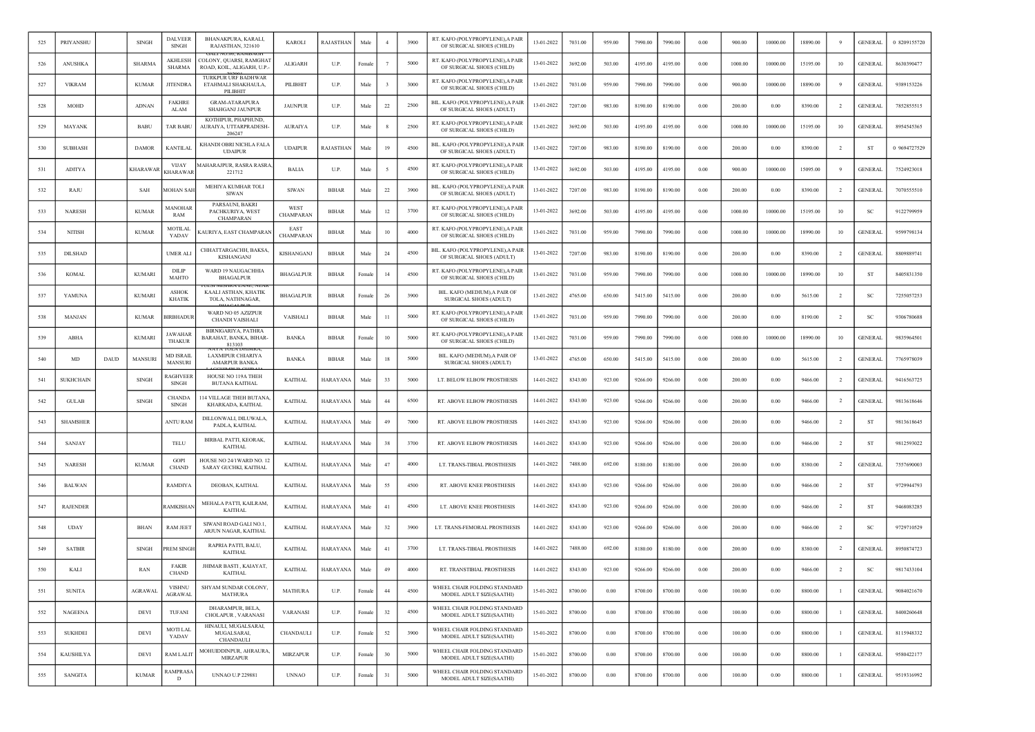| 525 | PRIYANSHU        |      | <b>SINGH</b>    | <b>DALVEER</b><br><b>SINGH</b>     | BHANAKPURA, KARALI,<br>RAJASTHAN, 321610                          | <b>KAROLI</b>            | RAJASTHAN    | Male   |              | 3900 | RT. KAFO (POLYPROPYLENE), A PAIR<br>OF SURGICAL SHOES (CHILD)  | 13-01-2022 | 7031.00 | 959.00     | 7990.00 | 7990.00 | 0.00     | 900.00  | 10000.00 | 18890.00 | -9             | <b>GENERAL</b> | 0 8209155720 |
|-----|------------------|------|-----------------|------------------------------------|-------------------------------------------------------------------|--------------------------|--------------|--------|--------------|------|----------------------------------------------------------------|------------|---------|------------|---------|---------|----------|---------|----------|----------|----------------|----------------|--------------|
| 526 | ANUSHKA          |      | <b>SHARMA</b>   | AKHLESH<br><b>SHARMA</b>           | COLONY, QUARSI, RAMGHAT<br>ROAD, KOIL, ALIGARH, U.P.              | ALIGARH                  | U.P.         | Female |              | 5000 | RT. KAFO (POLYPROPYLENE), A PAIR<br>OF SURGICAL SHOES (CHILD)  | 13-01-2022 | 3692.00 | 503.00     | 4195.00 | 4195.00 | $0.00\,$ | 1000.00 | 10000.00 | 15195.00 | 10             | <b>GENERAL</b> | 8630390477   |
| 527 | <b>VIKRAM</b>    |      | <b>KUMAR</b>    | <b>JITENDRA</b>                    | <b>TURKPUR URF BADHWAR</b><br>ETAHMALI SHAKHAULA,<br>PILIBHIT     | PILIBHIT                 | U.P.         | Male   | $\mathbf{3}$ | 3000 | RT. KAFO (POLYPROPYLENE), A PAIR<br>OF SURGICAL SHOES (CHILD)  | 13-01-2022 | 7031.00 | 959.00     | 7990.00 | 7990.00 | 0.00     | 900.00  | 10000.00 | 18890.00 |                | <b>GENERAL</b> | 9389153226   |
| 528 | MOHD             |      | <b>ADNAN</b>    | <b>FAKHRE</b><br>ALAM              | <b>GRAM-ATARAPURA</b><br><b>SHAHGANJ JAUNPUR</b>                  | <b>JAUNPUR</b>           | U.P.         | Male   | 22           | 2500 | BIL. KAFO (POLYPROPYLENE), A PAIR<br>OF SURGICAL SHOES (ADULT) | 13-01-2022 | 7207.00 | 983.00     | 8190.00 | 8190.00 | 0.00     | 200.00  | 0.00     | 8390.00  | -2             | <b>GENERAL</b> | 7852855515   |
| 529 | <b>MAYANK</b>    |      | <b>BABU</b>     | <b>TAR BABU</b>                    | KOTHIPUR, PHAPHUND,<br>AURAIYA, UTTARPRADESH-<br>206247           | <b>AURAIYA</b>           | U.P.         | Male   |              | 2500 | RT. KAFO (POLYPROPYLENE), A PAIR<br>OF SURGICAL SHOES (CHILD)  | 13-01-2022 | 3692.00 | 503.00     | 4195.00 | 4195.00 | 0.00     | 1000.00 | 10000.00 | 15195.00 | 10             | <b>GENERAL</b> | 8954545365   |
| 530 | <b>SUBHASH</b>   |      | <b>DAMOR</b>    | <b>KANTILAI</b>                    | KHANDI OBRI NICHLA FALA<br><b>UDAIPUR</b>                         | <b>UDAIPUR</b>           | RAJASTHAN    | Male   | 19           | 4500 | BIL. KAFO (POLYPROPYLENE), A PAIR<br>OF SURGICAL SHOES (ADULT) | 13-01-2022 | 7207.00 | 983.00     | 8190.00 | 8190.00 | 0.00     | 200.00  | 0.00     | 8390.00  | $\overline{2}$ | ST             | 0 9694727529 |
| 531 | <b>ADITYA</b>    |      | <b>KHARAWAI</b> | <b>VIJAY</b><br>KHARAWAR           | <b>MAHARAJPUR, RASRA RASRA</b><br>221712                          | <b>BALIA</b>             | U.P.         | Male   |              | 4500 | RT. KAFO (POLYPROPYLENE), A PAIR<br>OF SURGICAL SHOES (CHILD)  | 13-01-2022 | 3692.00 | 503.00     | 4195.00 | 4195.00 | 0.00     | 900.00  | 10000.00 | 15095.00 | 9              | <b>GENERAL</b> | 7524923018   |
| 532 | RAJU             |      | SAH             | MOHAN SAH                          | MEHIYA KUMHAR TOLI<br><b>SIWAN</b>                                | <b>SIWAN</b>             | <b>BIHAR</b> | Male   | $22\,$       | 3900 | BIL. KAFO (POLYPROPYLENE), A PAIR<br>OF SURGICAL SHOES (ADULT) | 13-01-2022 | 7207.00 | 983.00     | 8190.00 | 8190.00 | 0.00     | 200.00  | 0.00     | 8390.00  | $\overline{2}$ | <b>GENERAL</b> | 7070555510   |
| 533 | NARESH           |      | <b>KUMAR</b>    | <b>AANOHAR</b><br>RAM              | PARSAUNI, BAKRI<br>PACHKURIYA, WEST<br>CHAMPARAN                  | WEST<br>CHAMPARAN        | <b>BIHAR</b> | Male   | 12           | 3700 | RT. KAFO (POLYPROPYLENE), A PAIR<br>OF SURGICAL SHOES (CHILD)  | 13-01-2022 | 3692.00 | 503.00     | 4195.00 | 4195.00 | $0.00\,$ | 1000.00 | 10000.00 | 15195.00 | 10             | SC             | 9122799959   |
| 534 | <b>NITISH</b>    |      | <b>KUMAR</b>    | <b>MOTILAL</b><br>YADAV            | KAURIYA, EAST CHAMPARAN                                           | EAST<br><b>CHAMPARAN</b> | BIHAR        | Male   | 10           | 4000 | RT. KAFO (POLYPROPYLENE), A PAIR<br>OF SURGICAL SHOES (CHILD)  | 13-01-2022 | 7031.00 | 959.00     | 7990.00 | 7990.00 | 0.00     | 1000.00 | 10000.00 | 18990.00 | 10             | <b>GENERAL</b> | 9599798134   |
| 535 | DILSHAD          |      |                 | <b>UMER ALI</b>                    | CHHATTARGACHH, BAKSA,<br>KISHANGANJ                               | KISHANGANJ               | <b>BIHAR</b> | Male   | 24           | 4500 | BIL. KAFO (POLYPROPYLENE), A PAIR<br>OF SURGICAL SHOES (ADULT) | 13-01-2022 | 7207.00 | 983.00     | 8190.00 | 8190.00 | 0.00     | 200.00  | 0.00     | 8390.00  | $\overline{2}$ | <b>GENERAL</b> | 8809889741   |
| 536 | <b>KOMAL</b>     |      | <b>KUMARI</b>   | DILIP<br>MAHTO                     | WARD 19 NAUGACHHIA<br><b>BHAGALPUR</b>                            | <b>BHAGALPUR</b>         | <b>BIHAR</b> | Female | 14           | 4500 | RT. KAFO (POLYPROPYLENE), A PAIR<br>OF SURGICAL SHOES (CHILD)  | 13-01-2022 | 7031.00 | 959.00     | 7990.00 | 7990.00 | 0.00     | 1000.00 | 10000.00 | 18990.00 | 10             | - ST           | 8405831350   |
| 537 | YAMUNA           |      | <b>KUMARI</b>   | <b>ASHOK</b><br><b>KHATIK</b>      | JLSI MISHKA LANE. NEA<br>KAALI ASTHAN, KHATIK<br>TOLA, NATHNAGAR, | <b>BHAGALPUR</b>         | <b>BIHAR</b> | Femal  | 26           | 3900 | BIL. KAFO (MEDIUM), A PAIR OF<br>SURGICAL SHOES (ADULT)        | 13-01-2022 | 4765.00 | 650.00     | 5415.00 | 5415.00 | 0.00     | 200.00  | 0.00     | 5615.00  | $\overline{2}$ | -SC            | 7255057253   |
| 538 | <b>MANJAN</b>    |      | <b>KUMAR</b>    | <b>BIRBHADUR</b>                   | WARD NO 05 AZIZPUR<br><b>CHANDI VAISHALI</b>                      | VAISHALI                 | <b>BIHAR</b> | Male   | 11           | 5000 | RT. KAFO (POLYPROPYLENE), A PAIR<br>OF SURGICAL SHOES (CHILD)  | 13-01-2022 | 7031.00 | 959.00     | 7990.00 | 7990.00 | 0.00     | 200.00  | 0.00     | 8190.00  | $\overline{2}$ | <b>SC</b>      | 9306780688   |
| 539 | ABHA             |      | <b>KUMARI</b>   | <b>JAWAHAR</b><br>THAKUR           | BIRNIGARIYA, PATHRA<br>BARAHAT, BANKA, BIHAR-<br>813103           | <b>BANKA</b>             | <b>BIHAR</b> | Female | 10           | 5000 | RT. KAFO (POLYPROPYLENE), A PAIR<br>OF SURGICAL SHOES (CHILD)  | 13-01-2022 | 7031.00 | 959.00     | 7990.00 | 7990.00 | 0.00     | 1000.00 | 10000.00 | 18990.00 | 10             | <b>GENERAL</b> | 9835964501   |
| 540 | MD               | DAUD | <b>MANSURI</b>  | <b>MD ISRAIL</b><br><b>MANSURI</b> | <b>LAXMIPUR CHIARIYA</b><br><b>AMARPUR BANKA</b>                  | BANKA                    | <b>BIHAR</b> | Male   | 18           | 5000 | BIL. KAFO (MEDIUM) A PAIR OF<br>SURGICAL SHOES (ADULT)         | 13-01-2022 | 4765.00 | 650.00     | 5415.00 | 5415.00 | $0.00\,$ | 200.00  | 0.00     | 5615.00  | $\overline{2}$ | <b>GENERAL</b> | 7765978039   |
| 541 | <b>SUKHCHAIN</b> |      | <b>SINGH</b>    | RAGHVEER<br><b>SINGH</b>           | HOUSE NO 119A THEH<br>BUTANA KAITHAL                              | <b>KAITHAL</b>           | HARAYANA     | Male   | 33           | 5000 | LT. BELOW ELBOW PROSTHESIS                                     | 14-01-2022 | 8343.00 | 923.00     | 9266.00 | 9266.00 | 0.00     | 200.00  | 0.00     | 9466.00  | $\overline{2}$ | <b>GENERAL</b> | 9416563725   |
| 542 | <b>GULAB</b>     |      | <b>SINGH</b>    | <b>CHANDA</b><br>SINGH             | 114 VILLAGE THEH BUTANA<br>KHARKADA, KAITHAL                      | <b>KAITHAL</b>           | HARAYANA     | Male   | 44           | 6500 | RT. ABOVE ELBOW PROSTHESIS                                     | 14-01-2022 | 8343.00 | 923.00     | 9266.00 | 9266.00 | 0.00     | 200.00  | 0.00     | 9466.00  | $\overline{2}$ | <b>GENERAL</b> | 9813618646   |
| 543 | <b>SHAMSHEF</b>  |      |                 | <b>ANTU RAM</b>                    | DILLONWALI, DILUWALA<br>PADLA, KAITHAL                            | <b>KAITHAL</b>           | HARAYANA     | Male   | 49           | 7000 | RT. ABOVE ELBOW PROSTHESIS                                     | 14-01-2022 | 8343.00 | 923.00     | 9266.00 | 9266.00 | 0.00     | 200.00  | 0.00     | 9466.00  | -2             | ST             | 9813618645   |
| 544 | SANJAY           |      |                 | TELU                               | BIRBAL PATTI, KEORAK,<br><b>KAITHAL</b>                           | <b>KAITHAL</b>           | HARAYANA     | Mak    | 38           | 3700 | RT. ABOVE ELBOW PROSTHESIS                                     | 14-01-2022 | 8343.00 | 923.00     | 9266.00 | 9266.00 | 0.00     | 200.00  | 0.00     | 9466.00  | $\overline{2}$ | ST             | 9812593022   |
| 545 | <b>NARESH</b>    |      | <b>KUMAR</b>    | <b>GOPI</b><br><b>CHAND</b>        | HOUSE NO 24/1WARD NO. 12<br>SARAY GUCHKI, KAITHAL                 | <b>KAITHAL</b>           | HARAYANA     | Male   | 47           | 4000 | LT. TRANS-TIBIAL PROSTHESIS                                    | 14-01-2022 | 7488.00 | 692.00     | 8180.00 | 8180.00 | 0.00     | 200.00  | 0.00     | 8380.00  | -2             | <b>GENERAL</b> | 7557690003   |
| 546 | <b>BALWAN</b>    |      |                 | <b>RAMDIYA</b>                     | DEOBAN, KAITHAL                                                   | <b>KAITHAL</b>           | HARAYANA     | Male   | 55           | 4500 | RT. ABOVE KNEE PROSTHESIS                                      | 14-01-2022 | 8343.00 | 923.00     | 9266.00 | 9266.00 | 0.00     | 200.00  | 0.00     | 9466.00  | $\overline{2}$ | ST             | 9729944793   |
| 547 | <b>RAJENDER</b>  |      |                 | RAMKISHAN                          | MEHALA PATTI, KAILRAM,<br><b>KAITHAL</b>                          | <b>KAITHAL</b>           | HARAYANA     | Male   | 41           | 4500 | LT. ABOVE KNEE PROSTHESIS                                      | 14-01-2022 | 8343.00 | 923.00     | 9266.00 | 9266.00 | 0.00     | 200.00  | 0.00     | 9466.00  | $\overline{2}$ | <b>ST</b>      | 9468083285   |
| 548 | <b>UDAY</b>      |      | <b>BHAN</b>     | <b>RAM JEET</b>                    | SIWANI ROAD GALI NO.1,<br>ARJUN NAGAR, KAITHAL                    | <b>KAITHAL</b>           | HARAYANA     | Male   | 32           | 3900 | LT. TRANS-FEMORAL PROSTHESIS                                   | 14-01-2022 | 8343.00 | 923.00     | 9266.00 | 9266.00 | 0.00     | 200.00  | 0.00     | 9466.00  | $\overline{2}$ | -SC            | 9729710529   |
| 549 | <b>SATBIR</b>    |      | <b>SINGH</b>    | <b>REM SINGE</b>                   | RAPRIA PATTI, BALU,<br>KAITHAL                                    | <b>KAITHAL</b>           | HARAYANA     | Male   | 41           | 3700 | LT. TRANS-TIBIAL PROSTHESIS                                    | 14-01-2022 | 7488.00 | 692.00     | 8180.00 | 8180.00 | 0.00     | 200.00  | 0.00     | 8380.00  | $\overline{2}$ | <b>GENERAL</b> | 8950874723   |
| 550 | KALI             |      | RAN             | <b>FAKIR</b><br><b>CHAND</b>       | JHIMAR BASTI, KAIAYAT,<br>KAITHAL                                 | <b>KAITHAL</b>           | HARAYANA     | Male   | 49           | 4000 | RT. TRANSTIBIAL PROSTHESIS                                     | 14-01-2022 | 8343.00 | 923.00     | 9266.00 | 9266.00 | 0.00     | 200.00  | 0.00     | 9466.00  | $\overline{2}$ | <sub>SC</sub>  | 9817433104   |
| 551 | <b>SUNITA</b>    |      | <b>AGRAWAL</b>  | <b>VISHNU</b><br><b>AGRAWAL</b>    | SHYAM SUNDAR COLONY,<br>MATHURA                                   | <b>MATHURA</b>           | U.P.         | Female | 44           | 4500 | WHEEL CHAIR FOLDING STANDARD<br>MODEL ADULT SIZE(SAATHI)       | 15-01-2022 | 8700.00 | $\rm 0.00$ | 8700.00 | 8700.00 | 0.00     | 100.00  | 0.00     | 8800.00  |                | <b>GENERAL</b> | 9084021670   |
| 552 | <b>NAGEENA</b>   |      | <b>DEVI</b>     | TUFANI                             | DHARAMPUR, BELA,<br>CHOLAPUR, VARANASI                            | <b>VARANASI</b>          | U.P.         | Female | 32           | 4500 | WHEEL CHAIR FOLDING STANDARD<br>MODEL ADULT SIZE(SAATHI)       | 15-01-2022 | 8700.00 | 0.00       | 8700.00 | 8700.00 | 0.00     | 100.00  | 0.00     | 8800.00  | $\blacksquare$ | <b>GENERAL</b> | 8400260648   |
| 553 | <b>SUKHDEI</b>   |      | DEVI            | <b>MOTILAL</b><br>YADAV            | HINAULI, MUGALSARAI,<br>MUGALSARAI,<br>CHANDAULI                  | CHANDAULI                | U.P.         | Female | 52           | 3900 | WHEEL CHAIR FOLDING STANDARD<br>MODEL ADULT SIZE(SAATHI)       | 15-01-2022 | 8700.00 | 0.00       | 8700.00 | 8700.00 | 0.00     | 100.00  | 0.00     | 8800.00  | $\mathbf{1}$   | <b>GENERAL</b> | 8115948332   |
| 554 | <b>KAUSHILYA</b> |      | DEVI            | <b>RAM LALIT</b>                   | MOHUIDDINPUR, AHRAURA.<br><b>MIRZAPUR</b>                         | <b>MIRZAPUR</b>          | U.P.         | Female | 30           | 5000 | WHEEL CHAIR FOLDING STANDARD<br>MODEL ADULT SIZE(SAATHI)       | 15-01-2022 | 8700.00 | 0.00       | 8700.00 | 8700.00 | 0.00     | 100.00  | 0.00     | 8800.00  | $\mathbf{1}$   | <b>GENERAL</b> | 9580422177   |
| 555 | SANGITA          |      | <b>KUMAR</b>    | RAMPRASA<br>D                      | <b>UNNAO U.P 229881</b>                                           | <b>UNNAO</b>             | U.P.         | Female | 31           | 5000 | WHEEL CHAIR FOLDING STANDARD<br>MODEL ADULT SIZE(SAATHI)       | 15-01-2022 | 8700.00 | 0.00       | 8700.00 | 8700.00 | 0.00     | 100.00  | 0.00     | 8800.00  | $\mathbf{1}$   | <b>GENERAL</b> | 9519316992   |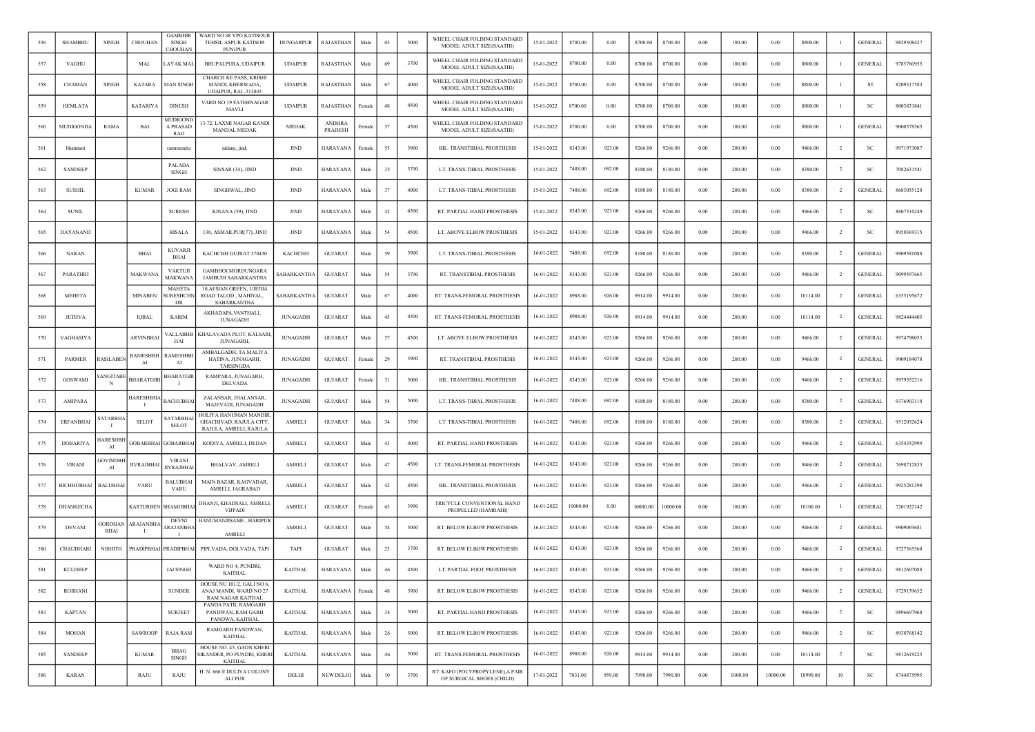| 556 | <b>SHAMBHU</b>   | <b>SINGH</b>           | CHOUHAN                | <b>GAMBHIR</b><br><b>SINGH</b><br>CHOUHAN | WARD NO 08 VPO KATISOUR<br>TEHSIL ASPUR KATISOR<br>PUNJPUR                      | <b>DUNGARPUR</b>   | <b>RAJASTHAN</b>         | Male   | 65     | 5000 | WHEEL CHAIR FOLDING STANDARD<br>MODEL ADULT SIZE(SAATHI)      | 15-01-2022 | 8700.00  | 0.00   | 8700.00  | 8700.00  | 0.00       | 100.00  | 0.00     | 8800.00  | - 1            | <b>GENERAL</b> | 9829308427 |
|-----|------------------|------------------------|------------------------|-------------------------------------------|---------------------------------------------------------------------------------|--------------------|--------------------------|--------|--------|------|---------------------------------------------------------------|------------|----------|--------|----------|----------|------------|---------|----------|----------|----------------|----------------|------------|
| 557 | VAGHU            |                        | MAL                    | AYAK MAL                                  | BHUPALPURA, UDAIPUR                                                             | <b>UDAIPUR</b>     | RAJASTHAN                | Male   | 69     | 3700 | WHEEL CHAIR FOLDING STANDARD<br>MODEL ADULT SIZE(SAATHI)      | 15-01-2022 | 8700.00  | 0.00   | 8700.00  | 8700.00  | 0.00       | 100.00  | 0.00     | 8800.00  | -1             | <b>GENERAL</b> | 9785760955 |
| 558 | $\rm CHAMAN$     | <b>SINGH</b>           | <b>KATARA</b>          | <b>MAN SINGH</b>                          | <b>CHARCH KE PASS, KRISH</b><br>MANDI, KHERWADA,<br><b>UDAIPUR, RAJ.-313803</b> | <b>UDAIPUR</b>     | RAJASTHAN                | Male   | 67     | 4000 | WHEEL CHAIR FOLDING STANDARD<br>MODEL ADULT SIZE(SAATHI)      | 15-01-2022 | 8700.00  | 0.00   | 8700.00  | 8700.00  | 0.00       | 100.00  | 0.00     | 8800.00  | -1             | ST             | 8209317583 |
| 559 | <b>HEMLATA</b>   |                        | KATARIYA               | <b>DINESH</b>                             | VARD NO 19 FATEHNAGAR<br>MAVLI                                                  | <b>UDAIPUR</b>     | RAJASTHAN                | Female | 48     | 4500 | WHEEL CHAIR FOLDING STANDARD<br>MODEL ADULT SIZE(SAATHI)      | 15-01-2022 | 8700.00  | 0.00   | 8700.00  | 8700.00  | 0.00       | 100.00  | 0.00     | 8800.00  | -1             | SC             | 8003831841 |
| 560 | <b>MUDIGONDA</b> | RAMA                   | BAI                    | MUDIGONI<br><b>A PRASAL</b><br><b>RAO</b> | 13-72, LAXMI NAGAR KANDI<br>MANDAL MEDAK                                        | <b>MEDAK</b>       | <b>ANDHRA</b><br>PRADESH | Female | 57     | 4500 | WHEEL CHAIR FOLDING STANDARD<br>MODEL ADULT SIZE(SAATHI)      | 15-01-2022 | 8700.00  | 0.00   | 8700.00  | 8700.00  | 0.00       | 100.00  | 0.00     | 8800.00  |                | <b>GENERAL</b> | 9000578565 |
| 561 | bhanmati         |                        |                        | rammendra                                 | nidana, jind,                                                                   | <b>JIND</b>        | HARAYANA                 | Femal  | 55     | 3900 | BIL. TRANSTIBIAL PROSTHESIS                                   | 15-01-2022 | 8343.00  | 923.00 | 9266.00  | 9266.00  | 0.00       | 200.00  | 0.00     | 9466.00  | $\overline{2}$ | SC             | 9971973087 |
| 562 | <b>SANDEEP</b>   |                        |                        | PALADA<br><b>SINGH</b>                    | SINSAR (34), JIND                                                               | JIND               | <b>HARAYANA</b>          | Male   | 35     | 3700 | LT. TRANS-TIBIAL PROSTHESIS                                   | 15-01-2022 | 7488.00  | 692.00 | 8180.00  | 8180.00  | 0.00       | 200.00  | 0.00     | 8380.00  | <sup>2</sup>   | SC             | 7082631541 |
| 563 | <b>SUSHIL</b>    |                        | <b>KUMAR</b>           | <b>JOGI RAM</b>                           | SINGHWAL, JIND                                                                  | <b>JIND</b>        | HARAYANA                 | Male   | 37     | 4000 | LT. TRANS-TIBIAL PROSTHESIS                                   | 15-01-2022 | 7488.00  | 692.00 | 8180.00  | 8180.00  | 0.00       | 200.00  | 0.00     | 8380.00  | $\overline{2}$ | <b>GENERAL</b> | 8683055128 |
| 564 | <b>SUNIL</b>     |                        |                        | <b>SURESH</b>                             | KINANA (59), JIND                                                               | <b>JIND</b>        | <b>HARAYANA</b>          | Male   | 32     | 4500 | RT. PARTIAL HAND PROSTHESIS                                   | 15-01-2022 | 8343.00  | 923.00 | 9266.00  | 9266.00  | 0.00       | 200.00  | 0.00     | 9466.00  | $\overline{2}$ | SC             | 8607310249 |
| 565 | DAYANAND         |                        |                        | <b>RISALA</b>                             | 138, ASMAILPUR(77), JIND                                                        | JIND               | <b>HARAYANA</b>          | Male   | 54     | 4500 | LT. ABOVE ELBOW PROSTHESIS                                    | 15-01-2022 | 8343.00  | 923.00 | 9266.00  | 9266.00  | 0.00       | 200.00  | 0.00     | 9466.00  | $\overline{2}$ | SC             | 8950369315 |
| 566 | <b>NARAN</b>     |                        | BHAI                   | <b>KUVARJI</b><br>BHAI                    | KACHCHH GUJRAT 370430                                                           | КАСНСНН            | <b>GUJARAT</b>           | Male   | 59     | 3900 | LT. TRANS-TIBIAL PROSTHESIS                                   | 16-01-2022 | 7488.00  | 692.00 | 8180.00  | 8180.00  | 0.00       | 200.00  | 0.00     | 8380.00  | $\overline{2}$ | <b>GENERAL</b> | 9909581088 |
| 567 | PARATHIJI        |                        | <b>MAKWANA</b>         | <b>VAKTUJI</b><br><b>MAKWANA</b>          | <b>GAMBHOI MORDUNGARA</b><br><b>JAMBUDI SABARKANTHA</b>                         | <b>SABARKANTHA</b> | <b>GUJARAT</b>           | Male   | 54     | 3700 | RT. TRANSTIBIAL PROSTHESIS                                    | 16-01-2022 | 8343.00  | 923.00 | 9266.00  | 9266.00  | 0.00       | 200.00  | 0.00     | 9466.00  | <sup>2</sup>   | <b>GENERAL</b> | 9099597665 |
| 568 | MEHETA           |                        | <b>MINABEN</b>         | <b>MAHETA</b><br>SURESHCHN<br>DR          | 10, AESIAN GREEN, UJEDIA<br>ROAD TALOD, MAHIYAL,<br><b>SABARKANTHA</b>          | SABARKANTHA        | <b>GUJARAT</b>           | Male   | 67     | 4000 | RT. TRANS-FEMORAL PROSTHESIS                                  | 16-01-2022 | 8988.00  | 926.00 | 9914.00  | 9914.00  | 0.00       | 200.00  | 0.00     | 10114.00 | $\overline{2}$ | <b>GENERAL</b> | 6355195672 |
| 569 | <b>JETHVA</b>    |                        | <b>IQBAL</b>           | <b>KARIM</b>                              | AKHADAPA, VANTHALI,<br><b>JUNAGADH</b>                                          | <b>JUNAGADH</b>    | <b>GUJARAT</b>           | Male   | 45     | 4500 | RT. TRANS-FEMORAL PROSTHESIS                                  | 16-01-2022 | 8988.00  | 926.00 | 9914.00  | 9914.00  | 0.00       | 200.00  | 0.00     | 10114.00 | <sup>2</sup>   | <b>GENERAL</b> | 9824444405 |
| 570 | VAGHASIYA        |                        | <b>ARVINBHAI</b>       | /ALLABHB<br>HAI                           | KHALAVADA PLOT, KALSARI<br><b>JUNAGARH</b>                                      | <b>JUNAGADH</b>    | <b>GUJARAT</b>           | Male   | 57     | 4500 | LT. ABOVE ELBOW PROSTHESIS                                    | 16-01-2022 | 8343.00  | 923.00 | 9266.00  | 9266.00  | 0.00       | 200.00  | 0.00     | 9466.00  | $\overline{2}$ | <b>GENERAL</b> | 9974798055 |
| 571 | <b>PARMER</b>    | RASILABE               | <b>RAMESHBH</b><br>AI  | RAMESHBI<br>AI                            | AMBALGADH, TA MALIYA<br>HATINA, JUNAGARH,<br>TARSINGDA                          | <b>JUNAGADH</b>    | <b>GUJARAT</b>           | Female | 29     | 3900 | RT. TRANSTIBIAL PROSTHESIS                                    | 16-01-2022 | 8343.00  | 923.00 | 9266.00  | 9266.00  | 0.00       | 200.00  | 0.00     | 9466.00  | $\overline{2}$ | <b>GENERAL</b> | 9909184078 |
| 572 | <b>GOSWAMI</b>   | ANGITAB<br>N           | BHARATGIR              | <b>BHARATGIR</b>                          | RAMPARA, JUNAGARH,<br><b>DELVADA</b>                                            | <b>JUNAGADH</b>    | <b>GUJARAT</b>           | Female | 31     | 5000 | BIL. TRANSTIBIAL PROSTHESIS                                   | 16-01-2022 | 8343.00  | 923.00 | 9266.00  | 9266.00  | 0.00       | 200.00  | 0.00     | 9466.00  | $\overline{2}$ | <b>GENERAL</b> | 9979352216 |
| 573 | <b>AMIPARA</b>   |                        | <b>HARESHBH</b>        | BACHUBHA                                  | ZALANSAR, JHALANSAR,<br>MAJEVADI, JUNAGADH                                      | <b>JUNAGADH</b>    | <b>GUJARAT</b>           | Male   | 54     | 5000 | LT. TRANS-TIBIAL PROSTHESIS                                   | 16-01-2022 | 7488.00  | 692.00 | 8180.00  | 8180.00  | 0.00       | 200.00  | 0.00     | 8380.00  | $\overline{2}$ | <b>GENERAL</b> | 9376903118 |
| 574 | <b>ERFANBHAI</b> | <b>SATARBH</b>         | <b>SELOT</b>           | <b>ATARBH</b><br><b>SELOT</b>             | HOLIYA HANUMAN MANDIR<br>GHACHIVAD, RAJULA CITY,<br>RAJULA, AMRELI, RAJULA      | AMRELI             | <b>GUJARAT</b>           | Male   | 34     | 3700 | LT. TRANS-TIBIAL PROSTHESIS                                   | 16-01-2022 | 7488.00  | 692.00 | 8180.00  | 8180.00  | 0.00       | 200.00  | 0.00     | 8380.00  | $\overline{2}$ | <b>GENERAL</b> | 9512052624 |
| 575 | <b>DOBARIYA</b>  | <b>ARESHB</b><br>AI    | <b>GOBARBHA</b>        | <b>GOBARBHA</b>                           | KODIYA, AMRELI, DEDAN                                                           | AMRELI             | <b>GUJARAT</b>           | Male   | 43     | 4000 | RT. PARTIAL HAND PROSTHESIS                                   | 16-01-2022 | 8343.00  | 923.00 | 9266.00  | 9266.00  | 0.00       | 200.00  | 0.00     | 9466.00  | $\overline{2}$ | <b>GENERAL</b> | 6354352999 |
| 576 | <b>VIRANI</b>    | <b>GOVINDBI</b><br>AI  | <b>IVRAJBHAI</b>       | <b>VIRAN</b><br><b>IVRAJBHA</b>           | BHALVAV, AMRELI                                                                 | AMRELI             | <b>GUJARAT</b>           | Male   | 47     | 4500 | LT. TRANS-FEMORAL PROSTHESIS                                  | 16-01-2022 | 8343.00  | 923.00 | 9266.00  | 9266.00  | 0.00       | 200.00  | 0.00     | 9466.00  | -2             | <b>GENERAL</b> | 7698712833 |
| 577 | BICHHUBHAI       | <b>BALUBHA</b>         | VARU                   | BALUBHAI<br>VARU                          | MAIN BAZAR, KAGVADAR<br>AMRELI, JAGRABAD                                        | AMRELI             | <b>GUJARAT</b>           | Male   | 42     | 4500 | BIL. TRANSTIBIAL PROSTHESIS                                   | 16-01-2022 | 8343.00  | 923.00 | 9266.00  | 9266.00  | 0.00       | 200.00  | 0.00     | 9466.00  | $\overline{2}$ | <b>GENERAL</b> | 9925281398 |
| 578 | DHANKECHA        |                        | <b>KASTURBEN</b>       | <b>SHAMJIBHA</b>                          | DHANJI, KHADSALI, AMRELI<br><b>VIJPADI</b>                                      | AMRELI             | <b>GUJARAT</b>           | Female | 65     | 3900 | TRICYCLE CONVENTIONAL HAND<br>PROPELLED (HAMRAHI)             | 16-01-2022 | 10000.00 | 0.00   | 10000.00 | 10000.00 | 0.00       | 100.00  | 0.00     | 10100.00 |                | <b>GENERAL</b> | 7201922142 |
| 579 | <b>DEVANI</b>    | GORDHAN<br><b>BHAI</b> | <b>RAJANBH</b><br>- 11 | <b>DEVNI</b><br><b>ARAJANBH</b>           | HANUMANJISAME, HARIPUR<br><b>AMRELI</b>                                         | AMRELI             | <b>GUJARAT</b>           | Male   | 54     | 5000 | RT. BELOW ELBOW PROSTHESIS                                    | 16-01-2022 | 8343.00  | 923.00 | 9266.00  | 9266.00  | 0.00       | 200.00  | 0.00     | 9466.00  | $\overline{2}$ | <b>GENERAL</b> | 9909093681 |
| 580 | CHAUDHARI        | <b>NISHITH</b>         | PRADIPBHAI             | PRADIPBHAI                                | PIPLVADA, DOLVADA, TAPI                                                         | TAPI               | <b>GUJARAT</b>           | Male   | 23     | 3700 | RT. BELOW ELBOW PROSTHESIS                                    | 16-01-2022 | 8343.00  | 923.00 | 9266.00  | 9266.00  | 0.00       | 200.00  | 0.00     | 9466.00  | <sup>2</sup>   | <b>GENERAL</b> | 9727565568 |
| 581 | <b>KULDEEP</b>   |                        |                        | <b>JAI SINGH</b>                          | WARD NO 4. PUNDRI<br><b>KAITHAL</b>                                             | <b>KAITHAL</b>     | <b>HARAYANA</b>          | Male   | 46     | 4500 | LT. PARTIAL FOOT PROSTHESIS                                   | 16-01-2022 | 8343.00  | 923.00 | 9266.00  | 9266.00  | 0.00       | 200.00  | 0.00     | 9466.00  | $\overline{2}$ | <b>GENERAL</b> | 9812607088 |
| 582 | ROSHANI          |                        |                        | <b>SUNDER</b>                             | HOUSE NU 101/2, GALI NO 6<br>ANAJ MANDI, WARD NO 27<br>RAM NAGAR KAITHAL        | <b>KAITHAL</b>     | <b>HARAYANA</b>          | Female | 48     | 3900 | RT. BELOW ELBOW PROSTHESIS                                    | 16-01-2022 | 8343.00  | 923.00 | 9266.00  | 9266.00  | $\rm 0.00$ | 200.00  | $0.00\,$ | 9466.00  | $\overline{2}$ | <b>GENERAL</b> | 9729139652 |
| 583 | <b>KAPTAN</b>    |                        |                        | <b>SURJEET</b>                            | PANDA PATIL RAMGARH<br>PANDWAN, RAM GARH<br>PANDWA, KAITHAL                     | <b>KAITHAL</b>     | <b>HARAYANA</b>          | Male   | 34     | 5000 | RT. PARTIAL HAND PROSTHESIS                                   | 16-01-2022 | 8343.00  | 923.00 | 9266.00  | 9266.00  | 0.00       | 200.00  | 0.00     | 9466.00  | $\overline{2}$ | SC             | 9896697968 |
| 584 | MOHAN            |                        | SAWROOP                | RAJA RAM                                  | RAMGARH PANDWAN,<br>KAITHAL                                                     | <b>KAITHAL</b>     | HARAYANA                 | Male   | 26     | 5000 | RT. BELOW ELBOW PROSTHESIS                                    | 16-01-2022 | 8343.00  | 923.00 | 9266.00  | 9266.00  | 0.00       | 200.00  | $0.00\,$ | 9466.00  | $\overline{2}$ | SC             | 8930768142 |
| 585 | <b>SANDEEP</b>   |                        | <b>KUMAR</b>           | BHAG<br><b>SINGH</b>                      | HOUSE NO. 45, GAON KHERI<br>SIKANDER, PO PUNDRI, KHERI<br><b>KAITHAL</b>        | <b>KAITHAL</b>     | <b>HARAYANA</b>          | Male   | 46     | 5000 | RT. TRANS-FEMORAL PROSTHESIS                                  | 16-01-2022 | 8988.00  | 926.00 | 9914.00  | 9914.00  | 0.00       | 200.00  | 0.00     | 10114.00 | $\overline{2}$ | <b>SC</b>      | 9812619225 |
| 586 | <b>KARAN</b>     |                        | RAJU                   | RAJU                                      | H. N. 666 E DULIYA COLONY<br><b>ALIPUR</b>                                      | DELHI              | NEW DELHI                | Male   | $10\,$ | 3700 | RT. KAFO (POLYPROPYLENE), A PAIR<br>OF SURGICAL SHOES (CHILD) | 17-01-2022 | 7031.00  | 959.00 | 7990.00  | 7990.00  | 0.00       | 1000.00 | 10000.00 | 18990.00 | 10             | SC             | 8744875995 |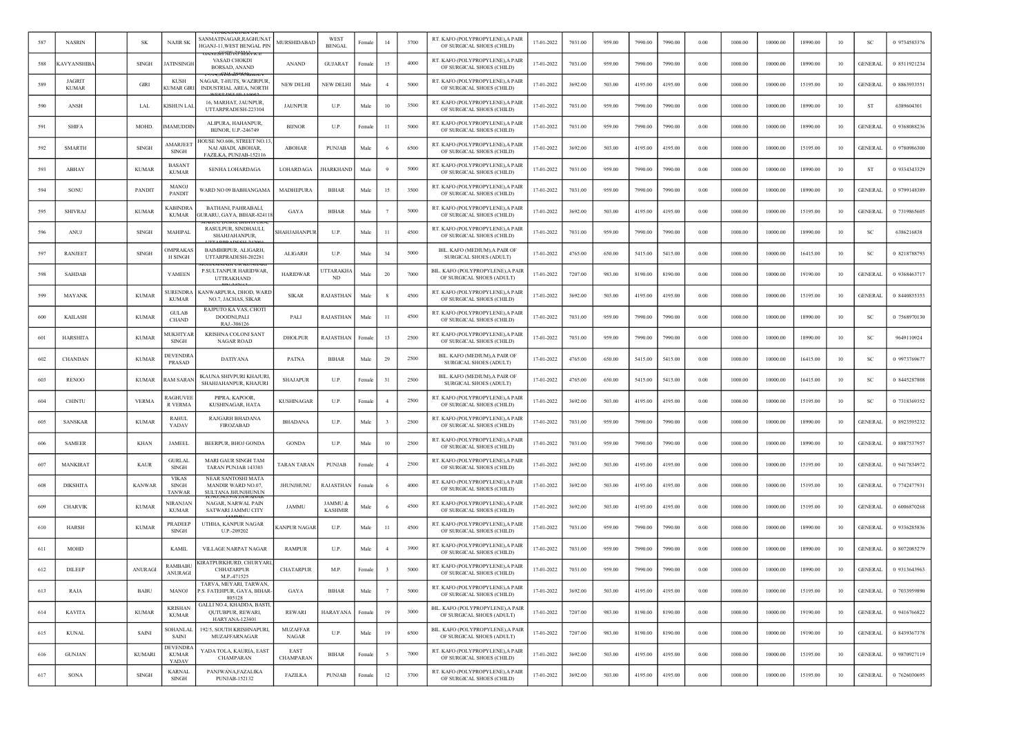|     | <b>NASRIN</b>                 | <b>SK</b>     | <b>NAJIR SK</b>                        | SANMATINAGAR,RAGHUNAT<br>HGANJ-11, WEST BENGAL PIN                         | <b>MURSHIDABAD</b>       | WEST<br><b>BENGAL</b>     | Female | 14             | 3700 | RT. KAFO (POLYPROPYLENE), A PAIR<br>OF SURGICAL SHOES (CHILD)  | 17-01-2022 | 7031.00 | 959.00 | 7990.00 | 7990.00 | 0.00     | 1000.00 | 10000.00 | 18990.00 | 10 | SC             | 0 9734583376 |
|-----|-------------------------------|---------------|----------------------------------------|----------------------------------------------------------------------------|--------------------------|---------------------------|--------|----------------|------|----------------------------------------------------------------|------------|---------|--------|---------|---------|----------|---------|----------|----------|----|----------------|--------------|
| 588 | <b>CAVYANSHIB</b>             | <b>SINGH</b>  | <b>ATINSINGH</b>                       | VASAD CHOKDI<br>BORSAD, ANAND                                              | ANAND                    | <b>GUJARAT</b>            | Female | 15             | 4000 | RT. KAFO (POLYPROPYLENE), A PAIR<br>OF SURGICAL SHOES (CHILD)  | 17-01-2022 | 7031.00 | 959.00 | 7990.00 | 7990.00 | 0.00     | 1000.00 | 10000.00 | 18990.00 | 10 | <b>GENERAL</b> | 0 8511921234 |
| 589 | <b>JAGRIT</b><br><b>KUMAR</b> | GIRI          | <b>KUSH</b><br><b>KUMAR GIR</b>        | NAGAR, T-HUTS, WAZIRPUR<br>INDUSTRIAL AREA, NORTH                          | <b>NEW DELHI</b>         | NEW DELHI                 | Male   | $\overline{4}$ | 5000 | RT. KAFO (POLYPROPYLENE), A PAIR<br>OF SURGICAL SHOES (CHILD)  | 17-01-2022 | 3692.00 | 503.00 | 4195.00 | 4195.00 | 0.00     | 1000.00 | 10000.00 | 15195.00 | 10 | <b>GENERAL</b> | 0 8863933551 |
| 590 | ANSH                          | <b>LAL</b>    | KISHUN LAI                             | 16, MARHAT, JAUNPUR,<br>UTTARPRADESH-223104                                | <b>JAUNPUR</b>           | U.P.                      | Male   | 10             | 3500 | RT. KAFO (POLYPROPYLENE), A PAIR<br>OF SURGICAL SHOES (CHILD)  | 17-01-2022 | 7031.00 | 959.00 | 7990.00 | 7990.00 | 0.00     | 1000.00 | 10000.00 | 18990.00 | 10 | ST             | 6389604301   |
| 591 | <b>SHIFA</b>                  | MOHD.         | <b>MAMUDDIN</b>                        | ALIPURA, HAHANPUR,<br>BIJNOR, U.P.-246749                                  | <b>BIJNOR</b>            | U.P.                      | Female | -11            | 5000 | RT. KAFO (POLYPROPYLENE), A PAIR<br>OF SURGICAL SHOES (CHILD)  | 17-01-2022 | 7031.00 | 959.00 | 7990.00 | 7990.00 | 0.00     | 1000.00 | 10000.00 | 18990.00 | 10 | <b>GENERAL</b> | 0 9368088236 |
| 592 | <b>SMARTH</b>                 | <b>SINGH</b>  | AMARJEET<br>SINGH                      | IOUSE NO.606, STREET NO.13<br>NAI ABADI, ABOHAR,<br>FAZILKA, PUNJAB-152116 | <b>ABOHAR</b>            | <b>PUNJAB</b>             | Male   |                | 6500 | RT. KAFO (POLYPROPYLENE), A PAIR<br>OF SURGICAL SHOES (CHILD)  | 17-01-2022 | 3692.00 | 503.00 | 4195.00 | 4195.00 | 0.00     | 1000.00 | 10000.00 | 15195.00 | 10 | <b>GENERAL</b> | 0 9780986300 |
| 593 | <b>ABHAY</b>                  | <b>KUMAR</b>  | <b>BASANT</b><br><b>KUMAR</b>          | SENHA LOHARDAGA                                                            | LOHARDAGA                | <b>HARKHAND</b>           | Male   |                | 5000 | RT. KAFO (POLYPROPYLENE), A PAIR<br>OF SURGICAL SHOES (CHILD)  | 17-01-2022 | 7031.00 | 959.00 | 7990.00 | 7990.00 | 0.00     | 1000.00 | 10000.00 | 18990.00 | 10 | <b>ST</b>      | 0 9334343329 |
| 594 | SONU                          | <b>PANDIT</b> | <b>MANOJ</b><br><b>PANDIT</b>          | WARD NO 09 BABHANGAMA                                                      | MADHEPURA                | <b>BIHAR</b>              | Male   | 15             | 3500 | RT. KAFO (POLYPROPYLENE), A PAIR<br>OF SURGICAL SHOES (CHILD)  | 17-01-2022 | 7031.00 | 959.00 | 7990.00 | 7990.00 | 0.00     | 1000.00 | 10000.00 | 18990.00 | 10 | <b>GENERAL</b> | 0 9799148389 |
| 595 | <b>SHIVRAJ</b>                | <b>KUMAR</b>  | <b><i>CABINDRA</i></b><br><b>KUMAR</b> | BATHANI, PAHRABALI,<br><b>JURARU, GAYA, BIHAR-82411</b>                    | GAYA                     | <b>BIHAR</b>              | Male   |                | 5000 | RT. KAFO (POLYPROPYLENE), A PAIR<br>OF SURGICAL SHOES (CHILD)  | 17-01-2022 | 3692.00 | 503.00 | 4195.00 | 4195.00 | $0.00\,$ | 1000.00 | 10000.00 | 15195.00 | 10 | <b>GENERAL</b> | 0 7319865605 |
| 596 | <b>ANUJ</b>                   | <b>SINGH</b>  | <b>MAHIPAL</b>                         | RASULPUR, SINDHAULI,<br>SHAHJAHANPUR,                                      | SHAHJAHANPUF             | U.P.                      | Male   | $_{11}$        | 4500 | RT. KAFO (POLYPROPYLENE), A PAIR<br>OF SURGICAL SHOES (CHILD)  | 17-01-2022 | 7031.00 | 959.00 | 7990.00 | 7990.00 | 0.00     | 1000.00 | 10000.00 | 18990.00 | 10 | SC             | 6386216838   |
| 597 | RANJEET                       | <b>SINGH</b>  | <b>DMPRAKAS</b><br><b>H SINGH</b>      | BAIMBIRPUR, ALIGARH,<br>UTTARPRADESH-202281                                | <b>ALIGARH</b>           | U.P.                      | Male   | 34             | 5000 | BIL. KAFO (MEDIUM), A PAIR OF<br>SURGICAL SHOES (ADULT)        | 17-01-2022 | 4765.00 | 650.00 | 5415.00 | 5415.00 | 0.00     | 1000.00 | 10000.00 | 16415.00 | 10 | <sub>SC</sub>  | 0 8218788793 |
| 598 | <b>SAHDAB</b>                 |               | YAMEEN                                 | P.SULTANPUR HARIDWAR,<br>UTTRAKHAND                                        | <b>HARIDWAR</b>          | <b>TTARAKHA</b><br>ND.    | Male   | 20             | 7000 | BIL. KAFO (POLYPROPYLENE), A PAIR<br>OF SURGICAL SHOES (ADULT) | 17-01-2022 | 7207.00 | 983.00 | 8190.00 | 8190.00 | 0.00     | 1000.00 | 10000.00 | 19190.00 | 10 | <b>GENERAL</b> | 0 9368463717 |
| 599 | MAYANK                        | <b>KUMAR</b>  | <b>SURENDR</b><br><b>KUMAR</b>         | KANWARPURA, DHOD, WARE<br>NO.7, JACHAS, SIKAR                              | <b>SIKAR</b>             | RAJASTHAN                 | Male   |                | 4500 | RT. KAFO (POLYPROPYLENE), A PAIR<br>OF SURGICAL SHOES (CHILD)  | 17-01-2022 | 3692.00 | 503.00 | 4195.00 | 4195.00 | 0.00     | 1000.00 | 10000.00 | 15195.00 | 10 | <b>GENERAL</b> | 0 8440835353 |
| 600 | <b>KAILASH</b>                | <b>KUMAR</b>  | <b>GULAB</b><br><b>CHAND</b>           | RAJPUTO KA VAS, CHOTI<br>DOODNLPALI<br>RAJ.-306126                         | PALI                     | RAJASTHAN                 | Male   | 11             | 4500 | RT. KAFO (POLYPROPYLENE), A PAIR<br>OF SURGICAL SHOES (CHILD)  | 17-01-2022 | 7031.00 | 959.00 | 7990.00 | 7990.00 | 0.00     | 1000.00 | 10000.00 | 18990.00 | 10 | -SC            | 0 7568970130 |
| 601 | <b>HARSHITA</b>               | <b>KUMAR</b>  | <b>IUKHTYAR</b><br>SINGH               | KRISHNA COLONI SANT<br><b>NAGAR ROAD</b>                                   | <b>DHOLPUR</b>           | RAJASTHAN                 | Female | 13             | 2500 | RT. KAFO (POLYPROPYLENE), A PAIR<br>OF SURGICAL SHOES (CHILD)  | 17-01-2022 | 7031.00 | 959.00 | 7990.00 | 7990.00 | 0.00     | 1000.00 | 10000.00 | 18990.00 | 10 | SC             | 9649110924   |
| 602 | CHANDAN                       | <b>KUMAR</b>  | <b>DEVENDRA</b><br><b>PRASAD</b>       | <b>DATIYANA</b>                                                            | PATNA                    | <b>BIHAR</b>              | Male   | 29             | 2500 | BIL. KAFO (MEDIUM) A PAIR OF<br>SURGICAL SHOES (ADULT)         | 17-01-2022 | 4765.00 | 650.00 | 5415.00 | 5415.00 | $0.00\,$ | 1000.00 | 10000.00 | 16415.00 | 10 | SC             | 0 9973769677 |
| 603 | <b>RENOO</b>                  | <b>KUMAR</b>  | <b>AM SARAN</b>                        | IKAUNA SHIVPURI KHAJURI<br>SHAHJAHANPUR, KHAJURI                           | <b>SHAJAPUR</b>          | U.P.                      | Female | 31             | 2500 | BIL. KAFO (MEDIUM).A PAIR OF<br>SURGICAL SHOES (ADULT)         | 17-01-2022 | 4765.00 | 650.00 | 5415.00 | 5415.00 | 0.00     | 1000.00 | 10000.00 | 16415.00 | 10 | SC             | 0 8445287808 |
| 604 | <b>CHINTU</b>                 | <b>VERMA</b>  | RAGHUVEI<br>R VERMA                    | PIPRA, KAPOOR,<br>KUSHINAGAR, HATA                                         | <b>KUSHINAGAR</b>        | U.P.                      | Female | $\overline{4}$ | 2500 | RT. KAFO (POLYPROPYLENE), A PAIR<br>OF SURGICAL SHOES (CHILD)  | 17-01-2022 | 3692.00 | 503.00 | 4195.00 | 4195.00 | 0.00     | 1000.00 | 10000.00 | 15195.00 | 10 | SC             | 0 7318369352 |
| 605 | <b>SANSKAR</b>                | <b>KUMAR</b>  | <b>RAHUL</b><br>YADAV                  | RAJGARH BHADANA<br>FIROZABAD                                               | BHADANA                  | U.P.                      | Male   |                | 2500 | RT. KAFO (POLYPROPYLENE), A PAIR<br>OF SURGICAL SHOES (CHILD)  | 17-01-2022 | 7031.00 | 959.00 | 7990.00 | 7990.00 | 0.00     | 1000.00 | 10000.00 | 18990.00 | 10 | GENERAL        | 0 8923595232 |
| 606 | <b>SAMEER</b>                 | KHAN          | <b>JAMEEL</b>                          | BEERPUR, BHOJ GONDA                                                        | <b>GONDA</b>             | U.P.                      | Male   | 10             | 2500 | RT. KAFO (POLYPROPYLENE), A PAIR<br>OF SURGICAL SHOES (CHILD)  | 17-01-2022 | 7031.00 | 959.00 | 7990.00 | 7990.00 | 0.00     | 1000.00 | 10000.00 | 18990.00 | 10 | <b>GENERAL</b> | 0 8887537957 |
| 607 | <b>MANKIRAT</b>               | <b>KAUF</b>   | <b>GURLAL</b><br><b>SINGH</b>          | MARI GAUR SINGH TAM<br>TARAN PUNJAB 143303                                 | <b>TARAN TARAN</b>       | <b>PUNJAB</b>             | Female |                | 2500 | RT. KAFO (POLYPROPYLENE), A PAIR<br>OF SURGICAL SHOES (CHILD)  | 17-01-2022 | 3692.00 | 503.00 | 4195.00 | 4195.00 | 0.00     | 1000.00 | 10000.00 | 15195.00 | 10 | <b>GENERAL</b> | 0 9417834972 |
| 608 | <b>DIKSHITA</b>               | <b>KANWAR</b> | <b>VIKAS</b><br>SINGH<br><b>TANWAR</b> | NEAR SANTOSHI MATA<br>MANDIR WARD NO.07,<br><b>SULTANA JHUNJHUNUN</b>      | JHUNJHUNU                | RAJASTHAN                 | Female |                | 4000 | RT. KAFO (POLYPROPYLENE), A PAIR<br>OF SURGICAL SHOES (CHILD)  | 17-01-2022 | 3692.00 | 503.00 | 4195.00 | 4195.00 | 0.00     | 1000.00 | 10000.00 | 15195.00 | 10 | <b>GENERAL</b> | 0 7742477931 |
| 609 | <b>CHARVIK</b>                | <b>KUMAR</b>  | <b>NIRANJAN</b><br><b>KUMAR</b>        | NAGAR, NARWAL PAIN<br>SATWARI JAMMU CITY                                   | <b>JAMMU</b>             | JAMMU &<br><b>KASHMIR</b> | Male   |                | 4500 | RT. KAFO (POLYPROPYLENE), A PAIR<br>OF SURGICAL SHOES (CHILD)  | 17-01-2022 | 3692.00 | 503.00 | 4195.00 | 4195.00 | 0.00     | 1000.00 | 10000.00 | 15195.00 | 10 | <b>GENERAL</b> | 0 6006870268 |
| 610 | <b>HARSH</b>                  | <b>KUMAR</b>  | PRADEEP<br><b>SINGH</b>                | UTHHA, KANPUR NAGAR<br>U.P.-209202                                         | <b>KANPUR NAGAR</b>      | U.P.                      | Male   | $_{11}$        | 4500 | RT. KAFO (POLYPROPYLENE), A PAIR<br>OF SURGICAL SHOES (CHILD)  | 17-01-2022 | 7031.00 | 959.00 | 7990.00 | 7990.00 | 0.00     | 1000.00 | 10000.00 | 18990.00 | 10 | <b>GENERAL</b> | 0 9336285836 |
| 611 | <b>MOHD</b>                   |               | <b>KAMIL</b>                           | VILLAGE NARPAT NAGAR                                                       | <b>RAMPUR</b>            | U.P.                      | Male   | $\overline{4}$ | 3900 | RT. KAFO (POLYPROPYLENE), A PAIR<br>OF SURGICAL SHOES (CHILD)  | 17-01-2022 | 7031.00 | 959.00 | 7990.00 | 7990.00 | 0.00     | 1000.00 | 10000.00 | 18990.00 | 10 | <b>GENERAL</b> | 0 8072085279 |
| 612 | <b>DILEEP</b>                 | ANURAGI       | RAMBABU<br><b>ANURAGI</b>              | GRATPURKHURD, CHURYARI<br><b>CHHATARPUR</b><br>M.P.-471525                 | <b>CHATARPUR</b>         | M.P.                      | Female | 3              | 5000 | RT. KAFO (POLYPROPYLENE), A PAIR<br>OF SURGICAL SHOES (CHILD)  | 17-01-2022 | 7031.00 | 959.00 | 7990.00 | 7990.00 | 0.00     | 1000.00 | 10000.00 | 18990.00 | 10 | GENERAL        | 0 9313643963 |
| 613 | RAJA                          | <b>BABU</b>   | MANOJ                                  | TARVA. MEYARI. TARWAN.<br>P.S. FATEHPUR, GAYA, BIHAR-<br>805128            | GAYA                     | <b>BIHAR</b>              | Male   |                | 5000 | RT. KAFO (POLYPROPYLENE), A PAIR<br>OF SURGICAL SHOES (CHILD)  | 17-01-2022 | 3692.00 | 503.00 | 4195.00 | 4195.00 | 0.00     | 1000.00 | 10000.00 | 15195.00 | 10 | <b>GENERAL</b> | 0 7033959890 |
| 614 | <b>KAVITA</b>                 | <b>KUMAR</b>  | <b>KRISHAN</b><br><b>KUMAR</b>         | GALLI NO.4, KHADDA, BASTI,<br>QUTUBPUR, REWARI,<br>HARYANA-123401          | REWARI                   | <b>HARAYANA</b>           | Female | 19             | 3000 | BIL. KAFO (POLYPROPYLENE), A PAIR<br>OF SURGICAL SHOES (ADULT) | 17-01-2022 | 7207.00 | 983.00 | 8190.00 | 8190.00 | 0.00     | 1000.00 | 10000.00 | 19190.00 | 10 | <b>GENERAL</b> | 0 9416766822 |
| 615 | <b>KUNAL</b>                  | SAINI         | SOHANLAL<br>SAINI                      | 192/5, SOUTH KRISHNAPURI,<br>MUZAFFARNAGAR                                 | <b>MUZAFFAR</b><br>NAGAR | U.P.                      | Male   | 19             | 6500 | BIL. KAFO (POLYPROPYLENE), A PAIR<br>OF SURGICAL SHOES (ADULT) | 17-01-2022 | 7207.00 | 983.00 | 8190.00 | 8190.00 | 0.00     | 1000.00 | 10000.00 | 19190.00 | 10 | <b>GENERAL</b> | 0 8439367378 |
| 616 | <b>GUNJAN</b>                 | <b>KUMARI</b> | DEVENDRA<br><b>KUMAR</b><br>YADAV      | YADA TOLA, KAURIA, EAST<br>CHAMPARAN                                       | EAST<br>CHAMPARAN        | <b>BIHAR</b>              | Female | $\sim$         | 7000 | RT. KAFO (POLYPROPYLENE), A PAIR<br>OF SURGICAL SHOES (CHILD)  | 17-01-2022 | 3692.00 | 503.00 | 4195.00 | 4195.00 | 0.00     | 1000.00 | 10000.00 | 15195.00 | 10 | <b>GENERAL</b> | 0 9870927119 |
| 617 | SONA                          | <b>SINGH</b>  | <b>KARNAL</b><br><b>SINGH</b>          | PANJWANA,FAZALIKA<br>PUNJAB-152132                                         | FAZILKA                  | PUNJAB                    | Female | 12             | 3700 | RT. KAFO (POLYPROPYLENE), A PAIR<br>OF SURGICAL SHOES (CHILD)  | 17-01-2022 | 3692.00 | 503.00 | 4195.00 | 4195.00 | 0.00     | 1000.00 | 10000.00 | 15195.00 | 10 | <b>GENERAL</b> | 0 7626030695 |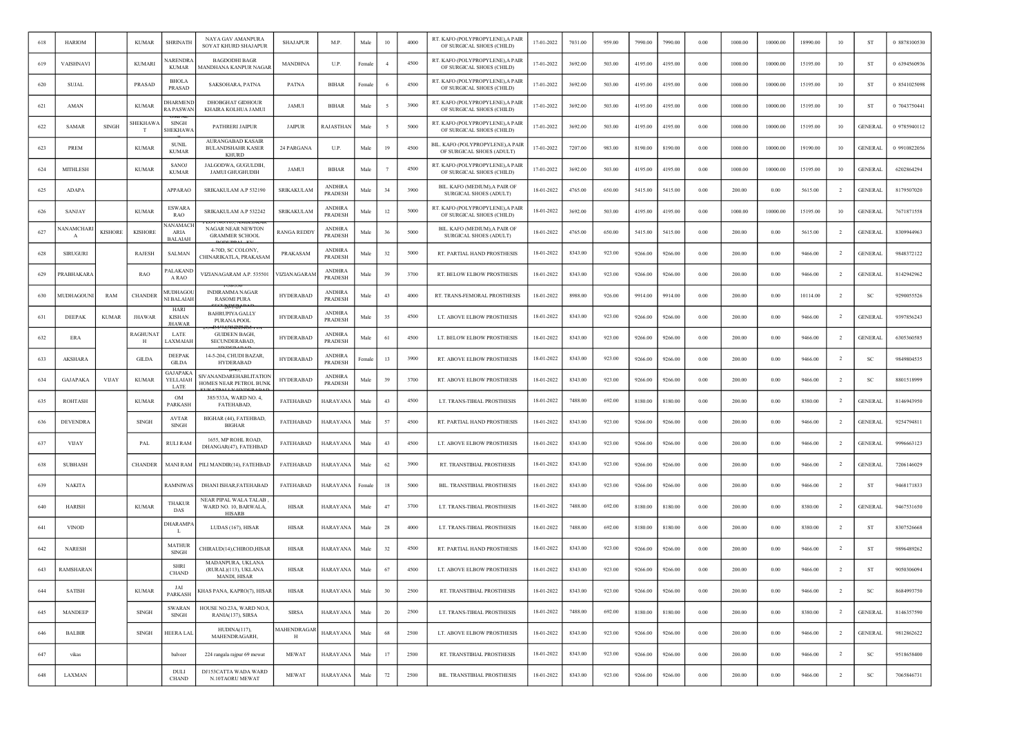|     | <b>HARIOM</b>   |                | <b>KUMAR</b>              | <b>SHRINATH</b>                               | NAYA GAV AMANPURA<br>SOYAT KHURD SHAJAPUR                              | <b>SHAJAPUR</b>    | M.P.                     | Male       | 10             | 4000 | RT. KAFO (POLYPROPYLENE), A PAIR<br>OF SURGICAL SHOES (CHILD)  | 17-01-2022 | 7031.00 | 959.00 | 7990.00 | 7990.00 | 0.00       | 1000.00 | 10000.00 | 18990.00 | 10             | ST             | 0 8878100530 |
|-----|-----------------|----------------|---------------------------|-----------------------------------------------|------------------------------------------------------------------------|--------------------|--------------------------|------------|----------------|------|----------------------------------------------------------------|------------|---------|--------|---------|---------|------------|---------|----------|----------|----------------|----------------|--------------|
| 619 | VAISHNAVI       |                | <b>KUMARI</b>             | <b>ARENDRA</b><br><b>KUMAR</b>                | <b>BAGDODHI BAGR</b><br>MANDHANA KANPUR NAGAR                          | MANDHNA            | U.P.                     | Female     | $\overline{4}$ | 4500 | RT. KAFO (POLYPROPYLENE), A PAIR<br>OF SURGICAL SHOES (CHILD)  | 17-01-2022 | 3692.00 | 503.00 | 4195.00 | 4195.00 | $0.00\,$   | 1000.00 | 10000.00 | 15195.00 | 10             | ST             | 0 6394560936 |
| 620 | <b>SUJAL</b>    |                | PRASAD                    | <b>BHOLA</b><br><b>PRASAD</b>                 | SAKSOHARA, PATNA                                                       | PATNA              | <b>BIHAR</b>             | Female     | - 6            | 4500 | RT. KAFO (POLYPROPYLENE), A PAIR<br>OF SURGICAL SHOES (CHILD)  | 17-01-2022 | 3692.00 | 503.00 | 4195.00 | 4195.00 | 0.00       | 1000.00 | 10000.00 | 15195.00 | 10             | ST             | 0 8541025098 |
| 621 | AMAN            |                | <b>KUMAR</b>              | <b>DHARMEND</b><br>RA PASWAN                  | DHOBGHAT GIDHOUR<br>KHAIRA KOLHUA JAMUI                                | JAMUI              | <b>BIHAR</b>             | Male       | - 5            | 3900 | RT. KAFO (POLYPROPYLENE), A PAIR<br>OF SURGICAL SHOES (CHILD)  | 17-01-2022 | 3692.00 | 503.00 | 4195.00 | 4195.00 | 0.00       | 1000.00 | 10000.00 | 15195.00 | 10             | ST             | 0 7043750441 |
| 622 | <b>SAMAR</b>    | SINGH          | <b>SHEKHAW.</b><br>T      | SINGH<br>SHEKHAWA                             | PATHRERI JAIPUR                                                        | <b>JAIPUR</b>      | RAJASTHAN                | Male       |                | 5000 | RT. KAFO (POLYPROPYLENE), A PAIR<br>OF SURGICAL SHOES (CHILD)  | 17-01-2022 | 3692.00 | 503.00 | 4195.00 | 4195.00 | 0.00       | 1000.00 | 10000.00 | 15195.00 | 10             | <b>GENERAL</b> | 0 9785940112 |
| 623 | PREM            |                | <b>KUMAR</b>              | <b>SUNIL</b><br><b>KUMAR</b>                  | AURANGABAD KASAIR<br><b>BULANDSHAHR KASER</b><br><b>KHURD</b>          | 24 PARGANA         | U.P.                     | Male       | 19             | 4500 | BIL. KAFO (POLYPROPYLENE), A PAIR<br>OF SURGICAL SHOES (ADULT) | 17-01-2022 | 7207.00 | 983.00 | 8190.00 | 8190.00 | 0.00       | 1000.00 | 10000.00 | 19190.00 | 10             | <b>GENERAL</b> | 0 9910822056 |
| 624 | <b>MITHLESH</b> |                | <b>KUMAR</b>              | <b>SANOJ</b><br><b>KUMAR</b>                  | JALGODWA, GUGULDIH,<br><b>JAMUI GHUGHUDIH</b>                          | JAMUI              | <b>BIHAR</b>             | Male       |                | 4500 | RT. KAFO (POLYPROPYLENE), A PAIR<br>OF SURGICAL SHOES (CHILD)  | 17-01-2022 | 3692.00 | 503.00 | 4195.00 | 4195.00 | 0.00       | 1000.00 | 10000.00 | 15195.00 | 10             | <b>GENERAL</b> | 6202864294   |
| 625 | <b>ADAPA</b>    |                |                           | <b>APPARAO</b>                                | SRIKAKULAM A.P 532190                                                  | <b>SRIKAKULAM</b>  | <b>ANDHRA</b><br>PRADESH | Male       | 34             | 3900 | BIL. KAFO (MEDIUM), A PAIR OF<br>SURGICAL SHOES (ADULT)        | 18-01-2022 | 4765.00 | 650.00 | 5415.00 | 5415.00 | 0.00       | 200.00  | 0.00     | 5615.00  | $\overline{2}$ | <b>GENERAL</b> | 8179507020   |
| 626 | SANJAY          |                | <b>KUMAR</b>              | ESWARA<br>RAO                                 | SRIKAKULAM A.P 532242                                                  | <b>SRIKAKULAM</b>  | <b>ANDHRA</b><br>PRADESH | Male       | 12             | 5000 | RT. KAFO (POLYPROPYLENE), A PAIR<br>OF SURGICAL SHOES (CHILD)  | 18-01-2022 | 3692.00 | 503.00 | 4195.00 | 4195.00 | $0.00\,$   | 1000.00 | 10000.00 | 15195.00 | 10             | <b>GENERAL</b> | 7671871558   |
| 627 | IANAMCHAR       | <b>KISHORE</b> | <b>KISHORE</b>            | <b>JANAMACH</b><br>ARIA<br><b>BALAIAH</b>     | NAGAR NEAR NEWTON<br><b>GRAMMER SCHOOL</b>                             | <b>RANGA REDDY</b> | <b>ANDHRA</b><br>PRADESH | Male       | 36             | 5000 | BIL. KAFO (MEDIUM), A PAIR OF<br>SURGICAL SHOES (ADULT)        | 18-01-2022 | 4765.00 | 650.00 | 5415.00 | 5415.00 | 0.00       | 200.00  | 0.00     | 5615.00  | $\overline{2}$ | <b>GENERAL</b> | 8309944963   |
| 628 | <b>SIRUGURI</b> |                | RAJESH                    | <b>SALMAN</b>                                 | 4-70D, SC COLONY,<br>CHINARIKATLA, PRAKASAM                            | PRAKASAM           | <b>ANDHRA</b><br>PRADESH | Male       | 32             | 5000 | RT. PARTIAL HAND PROSTHESIS                                    | 18-01-2022 | 8343.00 | 923.00 | 9266.00 | 9266.00 | 0.00       | 200.00  | 0.00     | 9466.00  | $\overline{2}$ | <b>GENERAL</b> | 9848372122   |
| 629 | <b>RABHAKAR</b> |                | <b>RAO</b>                | PALAKAND<br>A RAO                             | VIZIANAGARAM A.P. 535501                                               | VIZIANAGARAM       | <b>ANDHRA</b><br>PRADESH | Male       | 39             | 3700 | RT. BELOW ELBOW PROSTHESIS                                     | 18-01-2022 | 8343.00 | 923.00 | 9266.00 | 9266.00 | 0.00       | 200.00  | 0.00     | 9466.00  | $\overline{2}$ | <b>GENERAL</b> | 8142942962   |
| 630 | MUDHAGOUN       | RAM            | <b>CHANDER</b>            | MUDHAGOL<br>NI BALAIAH                        | <b>INDIRAMMA NAGAR</b><br><b>RASOMI PURA</b>                           | <b>HYDERABAD</b>   | ANDHRA<br>PRADESH        | Male       | 43             | 4000 | RT. TRANS-FEMORAL PROSTHESIS                                   | 18-01-2022 | 8988.00 | 926.00 | 9914.00 | 9914.00 | 0.00       | 200.00  | 0.00     | 10114.00 | $\overline{2}$ | -SC            | 9290055526   |
| 631 | <b>DEEPAK</b>   | <b>KUMAR</b>   | <b>JHAWAR</b>             | <b>HARI</b><br><b>KISHAN</b><br><b>JHAWAR</b> | <b>BAHRUPIYA GALLY</b><br>PURANA POOL                                  | <b>HYDERABAD</b>   | <b>ANDHRA</b><br>PRADESH | Male       | 35             | 4500 | LT. ABOVE ELBOW PROSTHESIS                                     | 18-01-2022 | 8343.00 | 923.00 | 9266.00 | 9266.00 | 0.00       | 200.00  | 0.00     | 9466.00  | <sup>2</sup>   | <b>GENERAL</b> | 9397856243   |
| 632 | ERA             |                | RAGHUNA <sub>1</sub><br>H | LATE<br>LAXMAIAH                              | <b>GUIDEEN BAGH</b><br>SECUNDERABAD,                                   | <b>HYDERABAD</b>   | <b>ANDHRA</b><br>PRADESH | Male       | 61             | 4500 | LT. BELOW ELBOW PROSTHESIS                                     | 18-01-2022 | 8343.00 | 923.00 | 9266.00 | 9266.00 | 0.00       | 200.00  | 0.00     | 9466.00  | $\overline{2}$ | <b>GENERAL</b> | 6305360585   |
| 633 | AKSHARA         |                | <b>GILDA</b>              | <b>DEEPAK</b><br><b>GILDA</b>                 | 14-5-204, CHUDI BAZAR,<br><b>HYDERABAD</b>                             | <b>HYDERABAD</b>   | <b>ANDHRA</b><br>PRADESH | Femal      | 13             | 3900 | RT. ABOVE ELBOW PROSTHESIS                                     | 18-01-2022 | 8343.00 | 923.00 | 9266.00 | 9266.00 | $0.00\,$   | 200.00  | 0.00     | 9466.00  | $\overline{2}$ | SC             | 9849804535   |
| 634 | GAJAPAKA        | <b>VIJAY</b>   | <b>KUMAR</b>              | GAJAPAKA<br>YELLAIAH<br>LATE                  | SIVANANDAREHABLITATION<br>HOMES NEAR PETROL BUNK                       | <b>HYDERABAD</b>   | <b>ANDHRA</b><br>PRADESH | Male       | 39             | 3700 | RT. ABOVE ELBOW PROSTHESIS                                     | 18-01-2022 | 8343.00 | 923.00 | 9266.00 | 9266.00 | 0.00       | 200.00  | 0.00     | 9466.00  | $\overline{2}$ | SC             | 8801518999   |
| 635 | <b>ROHTASH</b>  |                | <b>KUMAR</b>              | OM<br>PARKASH                                 | 385/533A, WARD NO. 4,<br>FATEHABAD,                                    | FATEHABAD          | HARAYANA                 | Male       | 43             | 4500 | LT. TRANS-TIBIAL PROSTHESIS                                    | 18-01-2022 | 7488.00 | 692.00 | 8180.00 | 8180.00 | 0.00       | 200.00  | 0.00     | 8380.00  | $\overline{2}$ | <b>GENERAL</b> | 8146943950   |
| 636 | <b>DEVENDRA</b> |                | <b>SINGH</b>              | <b>AVTAR</b><br><b>SINGH</b>                  | BIGHAR (44), FATEHBAD,<br><b>BIGHAR</b>                                | <b>FATEHABAD</b>   | HARAYANA                 | Male       | 57             | 4500 | RT. PARTIAL HAND PROSTHESIS                                    | 18-01-2022 | 8343.00 | 923.00 | 9266.00 | 9266.00 | 0.00       | 200.00  | 0.00     | 9466.00  | $\overline{2}$ | <b>GENERAL</b> | 9254794811   |
| 637 | <b>VIJAY</b>    |                | PAL                       | <b>RULI RAM</b>                               | 1655, MP ROHL ROAD,<br>DHANGAR(47), FATEHBAD                           | FATEHABAD          | HARAYANA                 | Male       | 43             | 4500 | LT. ABOVE ELBOW PROSTHESIS                                     | 18-01-2022 | 8343.00 | 923.00 | 9266.00 | 9266.00 | 0.00       | 200.00  | 0.00     | 9466.00  | $\overline{2}$ | <b>GENERAL</b> | 9996663123   |
| 638 | <b>SUBHASH</b>  |                | <b>CHANDER</b>            | MANI RAM                                      | PILI MANDIR(14), FATEHBAD                                              | <b>FATEHABAD</b>   | HARAYANA                 | Male       | $62\,$         | 3900 | RT. TRANSTIBIAL PROSTHESIS                                     | 18-01-2022 | 8343.00 | 923.00 | 9266.00 | 9266.00 | 0.00       | 200.00  | 0.00     | 9466.00  | -2             | <b>GENERAL</b> | 7206146029   |
| 639 | <b>NAKITA</b>   |                |                           | RAMNIWAS                                      | DHANI ISHAR, FATEHABAD                                                 | FATEHABAD          | HARAYANA                 | Female     | 18             | 5000 | BIL. TRANSTIBIAL PROSTHESIS                                    | 18-01-2022 | 8343.00 | 923.00 | 9266.00 | 9266.00 | 0.00       | 200.00  | 0.00     | 9466.00  | $\overline{2}$ | ST             | 9468171833   |
| 640 | <b>HARISH</b>   |                | <b>KUMAR</b>              | <b>THAKUR</b><br>DAS                          | <b>NEAR PIPAL WALA TALAB</b><br>WARD NO. 10, BARWALA,<br><b>HISARB</b> | <b>HISAR</b>       | HARAYANA                 | Male       | 47             | 3700 | LT. TRANS-TIBIAL PROSTHESIS                                    | 18-01-2022 | 7488.00 | 692.00 | 8180.00 | 8180.00 | 0.00       | 200.00  | 0.00     | 8380.00  | $\overline{2}$ | <b>GENERAL</b> | 9467531650   |
| 641 | <b>VINOD</b>    |                |                           | DHARAMPA<br>L.                                | LUDAS (167), HISAR                                                     | HISAR              | HARAYANA                 | Male       | 28             | 4000 | LT. TRANS-TIBIAL PROSTHESIS                                    | 18-01-2022 | 7488.00 | 692.00 | 8180.00 | 8180.00 | 0.00       | 200.00  | 0.00     | 8380.00  | $\overline{2}$ | ST             | 8307526668   |
| 642 | <b>NARESH</b>   |                |                           | <b>MATHUR</b><br><b>SINGH</b>                 | CHIRAUD(14), CHIROD, HISAR                                             | HISAR              | HARAYANA                 | Male       | 32             | 4500 | RT. PARTIAL HAND PROSTHESIS                                    | 18-01-2022 | 8343.00 | 923.00 | 9266.00 | 9266.00 | 0.00       | 200.00  | 0.00     | 9466.00  | $\overline{2}$ | ST             | 9896489262   |
| 643 | RAMSHARAN       |                |                           | <b>SHRI</b><br>CHAND                          | MADANPURA, UKLANA<br>(RURAL)(113), UKLANA<br>MANDI, HISAR              | <b>HISAR</b>       | HARAYANA                 | Male       | 67             | 4500 | LT. ABOVE ELBOW PROSTHESIS                                     | 18-01-2022 | 8343.00 | 923.00 | 9266.00 | 9266.00 | 0.00       | 200.00  | 0.00     | 9466.00  | $\overline{2}$ | ST             | 9050306094   |
| 644 | <b>SATISH</b>   |                | <b>KUMAR</b>              | JAI<br>PARKASH                                | KHAS PANA, KAPRO(7), HISAR                                             | <b>HISAR</b>       | <b>HARAYANA</b>          | Male       | $30\,$         | 2500 | RT. TRANSTIBIAL PROSTHESIS                                     | 18-01-2022 | 8343.00 | 923.00 | 9266.00 | 9266.00 | $\rm 0.00$ | 200.00  | $0.00\,$ | 9466.00  | $\overline{2}$ | <b>SC</b>      | 8684993750   |
| 645 | <b>MANDEEP</b>  |                | <b>SINGH</b>              | <b>SWARAN</b><br><b>SINGH</b>                 | HOUSE NO.23A, WARD NO.8,<br>RANIA(137), SIRSA                          | <b>SIRSA</b>       | <b>HARAYANA</b>          | Male       | 20             | 2500 | LT. TRANS-TIBIAL PROSTHESIS                                    | 18-01-2022 | 7488.00 | 692.00 | 8180.00 | 8180.00 | 0.00       | 200.00  | 0.00     | 8380.00  | $\overline{2}$ | <b>GENERAL</b> | 8146357590   |
| 646 | <b>BALBIR</b>   |                | <b>SINGH</b>              | HEERA LAL                                     | HUDINA(117),<br>MAHENDRAGARH,                                          | MAHENDRAGAR<br>H   | <b>HARAYANA</b>          | Male       | 68             | 2500 | LT. ABOVE ELBOW PROSTHESIS                                     | 18-01-2022 | 8343.00 | 923.00 | 9266.00 | 9266.00 | $\rm 0.00$ | 200.00  | $0.00\,$ | 9466.00  | $\overline{2}$ | <b>GENERAL</b> | 9812862622   |
| 647 | vikas           |                |                           | balveer                                       | 224 rangala rajpur 69 mewat                                            | <b>MEWAT</b>       | <b>HARAYANA</b>          | Male       | 17             | 2500 | RT. TRANSTIBIAL PROSTHESIS                                     | 18-01-2022 | 8343.00 | 923.00 | 9266.00 | 9266.00 | 0.00       | 200.00  | 0.00     | 9466.00  | $\overline{2}$ | <b>SC</b>      | 9518658400   |
| 648 | LAXMAN          |                |                           | DULI<br><b>CHAND</b>                          | DJ153CATTA WADA WARD<br>N.10TAORU MEWAT                                | <b>MEWAT</b>       | HARAYANA                 | $\rm Male$ | $72\,$         | 2500 | BIL. TRANSTIBIAL PROSTHESIS                                    | 18-01-2022 | 8343.00 | 923.00 | 9266.00 | 9266.00 | 0.00       | 200.00  | 0.00     | 9466.00  | $\overline{2}$ | SC             | 7065846731   |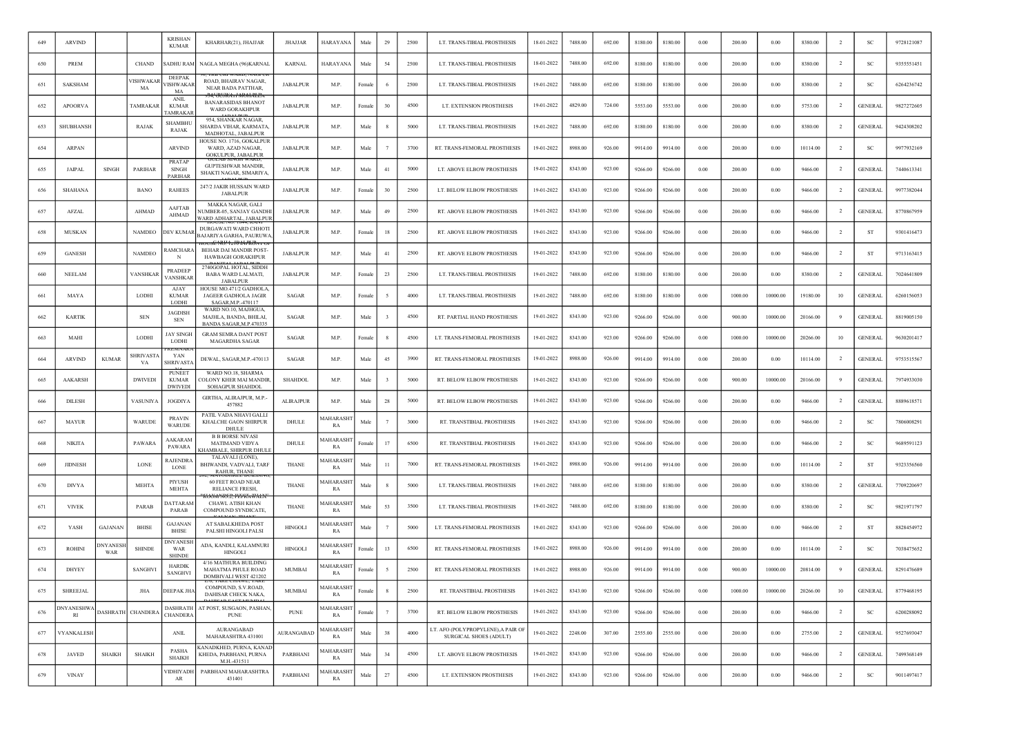| 649 | <b>ARVIND</b>                  |                        |                       | <b>KRISHAN</b><br><b>KUMAR</b>                 | KHARHAR(21), JHAJJAR                                                                           | <b>JHAJJAR</b>    | HARAYANA               | Male   | 29           | 2500 | LT. TRANS-TIBIAL PROSTHESIS                                  | 18-01-2022 | 7488.00 | 692.00 | 8180.00 | 8180.00 | 0.00       | 200.00  | 0.00     | 8380.00  | $\overline{2}$ | <b>SC</b>      | 9728121087 |
|-----|--------------------------------|------------------------|-----------------------|------------------------------------------------|------------------------------------------------------------------------------------------------|-------------------|------------------------|--------|--------------|------|--------------------------------------------------------------|------------|---------|--------|---------|---------|------------|---------|----------|----------|----------------|----------------|------------|
| 650 | PREM                           |                        | CHAND                 | SADHU RAM                                      | NAGLA MEGHA (96)KARNAL                                                                         | <b>KARNAL</b>     | HARAYANA               | Male   | 54           | 2500 | LT. TRANS-TIBIAL PROSTHESIS                                  | 18-01-2022 | 7488.00 | 692.00 | 8180.00 | 8180.00 | $0.00\,$   | 200.00  | 0.00     | 8380.00  | $\overline{2}$ | SC             | 9355551451 |
| 651 | <b>SAKSHAM</b>                 |                        | /ISHWAKA<br>MA        | <b>DEEPAK</b><br><b>VISHWAKAR</b><br>MA        | ROAD, BHAIRAV NAGAR,<br>NEAR BADA PATTHAR.                                                     | <b>JABALPUR</b>   | M.P.                   | Female | - 6          | 2500 | LT. TRANS-TIBIAL PROSTHESIS                                  | 19-01-2022 | 7488.00 | 692.00 | 8180.00 | 8180.00 | 0.00       | 200.00  | 0.00     | 8380.00  | $\overline{2}$ | <b>SC</b>      | 6264236742 |
| 652 | <b>APOORVA</b>                 |                        | TAMRAKAI              | <b>ANIL</b><br><b>KUMAR</b><br><b>TAMRAKAR</b> | <del>GUJKATI MOHALI</del><br><b>BANARASIDAS BHANOT</b><br>WARD GORAKHPUR                       | <b>JABALPUR</b>   | M.P.                   | Female | 30           | 4500 | LT. EXTENSION PROSTHESIS                                     | 19-01-2022 | 4829.00 | 724.00 | 5553.00 | 5553.00 | 0.00       | 200.00  | 0.00     | 5753.00  | $\overline{2}$ | <b>GENERAL</b> | 9827272605 |
| 653 | <b>SHUBHANSH</b>               |                        | RAJAK                 | <b>SHAMBHU</b><br>RAJAK                        | 954, SHANKAR NAGAR.<br>SHARDA VIHAR, KARMATA,<br>MADHOTAL, JABALPUR                            | <b>JABALPUR</b>   | M.P.                   | Male   |              | 5000 | LT. TRANS-TIBIAL PROSTHESIS                                  | 19-01-2022 | 7488.00 | 692.00 | 8180.00 | 8180.00 | 0.00       | 200.00  | 0.00     | 8380.00  | $\overline{2}$ | <b>GENERAL</b> | 9424308202 |
| 654 | ARPAN                          |                        |                       | <b>ARVIND</b>                                  | HOUSE NO. 1716, GOKALPUR<br>WARD, AZAD NAGAR,<br><b>GOKULPUR, JABALPUR</b>                     | <b>JABALPUR</b>   | M.P.                   | Male   |              | 3700 | RT. TRANS-FEMORAL PROSTHESIS                                 | 19-01-2022 | 8988.00 | 926.00 | 9914.00 | 9914.00 | 0.00       | 200.00  | 0.00     | 10114.00 | $\overline{2}$ | SC             | 9977932169 |
| 655 | <b>JAIPAL</b>                  | <b>SINGH</b>           | PARIHAR               | PRATAF<br><b>SINGH</b><br>PARIHAR              | <b>GUPTESHWAR MANDIR.</b><br>SHAKTI NAGAR, SIMARIYA,                                           | <b>JABALPUR</b>   | M.P                    | Male   | 41           | 5000 | LT. ABOVE ELBOW PROSTHESIS                                   | 19-01-2022 | 8343.00 | 923.00 | 9266.00 | 9266.00 | 0.00       | 200.00  | 0.00     | 9466.00  | <sup>2</sup>   | <b>GENERAL</b> | 7440613341 |
| 656 | SHAHANA                        |                        | <b>BANO</b>           | <b>RAHEES</b>                                  | 247/2 JAKIR HUSSAIN WARD<br><b>JABALPUR</b>                                                    | <b>JABALPUR</b>   | M.P.                   | Female | 30           | 2500 | LT. BELOW ELBOW PROSTHESIS                                   | 19-01-2022 | 8343.00 | 923.00 | 9266.00 | 9266.00 | 0.00       | 200.00  | 0.00     | 9466.00  | $\overline{2}$ | <b>GENERAL</b> | 9977382044 |
| 657 | AFZAL                          |                        | <b>AHMAD</b>          | AAFTAB<br>AHMAD                                | MAKKA NAGAR, GALI<br><b>VUMBER-05, SANJAY GANDHI</b><br>WARD ADHARTAL, JABALPUR                | <b>JABALPUR</b>   | M.P                    | Male   | 49           | 2500 | RT. ABOVE ELBOW PROSTHESIS                                   | 19-01-2022 | 8343.00 | 923.00 | 9266.00 | 9266.00 | $0.00\,$   | 200.00  | 0.00     | 9466.00  | $\overline{2}$ | <b>GENERAL</b> | 8770867959 |
| 658 | MUSKAN                         |                        | NAMDEO                | DEV KUMAR                                      | DURGAWATI WARD CHHOTI<br>BAJARIYA GARHA, PAURUWA,                                              | <b>JABALPUR</b>   | M.P.                   | Female | 18           | 2500 | RT. ABOVE ELBOW PROSTHESIS                                   | 19-01-2022 | 8343.00 | 923.00 | 9266.00 | 9266.00 | 0.00       | 200.00  | 0.00     | 9466.00  | $\overline{2}$ | ST             | 9301416473 |
| 659 | <b>GANESH</b>                  |                        | NAMDEO                | <b>AMCHARA</b><br>N                            | <del>: :::::::::::::::::::::::::::</del><br>BEHAR DAI MANDIR POST-<br><b>HAWBAGH GORAKHPUR</b> | <b>JABALPUR</b>   | M.P.                   | Male   | 41           | 2500 | RT. ABOVE ELBOW PROSTHESIS                                   | 19-01-2022 | 8343.00 | 923.00 | 9266.00 | 9266.00 | 0.00       | 200.00  | 0.00     | 9466.00  | $\overline{2}$ | ST             | 9713163415 |
| 660 | <b>NEELAM</b>                  |                        | VANSHKAF              | PRADEEP<br>VANSHKAR                            | 2740GOPAL HOTAL, SIDDH<br><b>BABA WARD LALMATI.</b><br><b>JABALPUR</b>                         | <b>JABALPUR</b>   | M.P.                   | Female | 23           | 2500 | LT. TRANS-TIBIAL PROSTHESIS                                  | 19-01-2022 | 7488.00 | 692.00 | 8180.00 | 8180.00 | 0.00       | 200.00  | 0.00     | 8380.00  | $\overline{2}$ | <b>GENERAL</b> | 7024641809 |
| 661 | MAYA                           |                        | LODHI                 | AJAY<br><b>KUMAR</b><br>LODHI                  | HOUSE MO.471/2 GADHOLA,<br><b>JAGEER GADHOLA JAGIR</b><br>SAGAR, M.P.-470117                   | SAGAR             | M.P.                   | Femal  |              | 4000 | LT. TRANS-TIBIAL PROSTHESIS                                  | 19-01-2022 | 7488.00 | 692.00 | 8180.00 | 8180.00 | 0.00       | 1000.00 | 10000.00 | 19180.00 | 10             | <b>GENERAL</b> | 6260156053 |
| 662 | <b>KARTIK</b>                  |                        | <b>SEN</b>            | <b>JAGDISH</b><br><b>SEN</b>                   | WARD NO.10, MAJHGUA,<br>MAJHLA, BANDA, BHILAI<br>BANDA SAGAR, M.P.470335                       | <b>SAGAR</b>      | M.P.                   | Male   | $\mathbf{3}$ | 4500 | RT. PARTIAL HAND PROSTHESIS                                  | 19-01-2022 | 8343.00 | 923.00 | 9266.00 | 9266.00 | 0.00       | 900.00  | 10000.00 | 20166.00 | 9              | <b>GENERAL</b> | 8819005150 |
| 663 | MAHI                           |                        | LODHI                 | JAY SINGH<br>LODHI                             | <b>GRAM SEMRA DANT POST</b><br><b>MAGARDHA SAGAR</b>                                           | SAGAR             | M.P.                   | Female | -8           | 4500 | LT. TRANS-FEMORAL PROSTHESIS                                 | 19-01-2022 | 8343.00 | 923.00 | 9266.00 | 9266.00 | 0.00       | 1000.00 | 10000.00 | 20266.00 | 10             | <b>GENERAL</b> | 9630201417 |
| 664 | ARVIND                         | <b>KUMAR</b>           | <b>SHRIVAST</b><br>VA | YAN<br><b>SHRIVASTA</b>                        | DEWAL, SAGAR, M.P. - 470113                                                                    | SAGAR             | M.P                    | Male   | 45           | 3900 | RT. TRANS-FEMORAL PROSTHESIS                                 | 19-01-2022 | 8988.00 | 926.00 | 9914.00 | 9914.00 | $0.00\,$   | 200.00  | 0.00     | 10114.00 | $\overline{2}$ | <b>GENERAL</b> | 9753515567 |
| 665 | AAKARSH                        |                        | <b>DWIVEDI</b>        | PUNEET<br><b>KUMAR</b><br><b>DWIVEDI</b>       | WARD NO.18, SHARMA<br>COLONY KHER MAI MANDIR,<br>SOHAGPUR SHAHDOL                              | <b>SHAHDOL</b>    | M.P.                   | Male   | $\mathbf{3}$ | 5000 | RT. BELOW ELBOW PROSTHESIS                                   | 19-01-2022 | 8343.00 | 923.00 | 9266.00 | 9266.00 | 0.00       | 900.00  | 10000.00 | 20166.00 | -9             | <b>GENERAL</b> | 7974933030 |
| 666 | <b>DILESH</b>                  |                        | VASUNIYA              | <b>JOGDIYA</b>                                 | GIRTHA, ALIRAJPUR, M.P.-<br>457882                                                             | ALIRAJPUR         | M.P.                   | Male   | 28           | 5000 | RT. BELOW ELBOW PROSTHESIS                                   | 19-01-2022 | 8343.00 | 923.00 | 9266.00 | 9266.00 | 0.00       | 200.00  | 0.00     | 9466.00  | $\overline{2}$ | <b>GENERAL</b> | 8889618571 |
| 667 | MAYUR                          |                        | WARUDE                | <b>PRAVIN</b><br><b>WARUDE</b>                 | PATIL VADA NHAVI GALLI<br>KHALCHE GAON SHIRPUR<br><b>DHULE</b>                                 | DHULE             | <b>AAHARASH</b><br>RA  | Male   |              | 3000 | RT. TRANSTIBIAL PROSTHESIS                                   | 19-01-2022 | 8343.00 | 923.00 | 9266.00 | 9266.00 | 0.00       | 200.00  | 0.00     | 9466.00  | $\overline{2}$ | SC             | 7806008291 |
| 668 | <b>NIKITA</b>                  |                        | PAWARA                | AAKARAM<br>PAWARA                              | <b>B B BORSE NIVASI</b><br><b>MATIMAND VIDYA</b><br><b>KHAMBALE, SHIRPUR DHUL</b>              | DHULE             | <b>AAHARASH</b><br>RA  | Femal  | 17           | 6500 | RT. TRANSTIBIAL PROSTHESIS                                   | 19-01-2022 | 8343.00 | 923.00 | 9266.00 | 9266.00 | 0.00       | 200.00  | 0.00     | 9466.00  | $\overline{2}$ | SC             | 9689591123 |
| 669 | <b>JIDNESH</b>                 |                        | LONE                  | <b>RAJENDRA</b><br><b>LONE</b>                 | TALAVALI (LONE)<br><b>BHIWANDI, VADVALI, TARF</b><br>RAHUR, THANE                              | <b>THANE</b>      | <b>MAHARASHT</b><br>RA | Male   | 11           | 7000 | RT. TRANS-FEMORAL PROSTHESIS                                 | 19-01-2022 | 8988.00 | 926.00 | 9914.00 | 9914.00 | 0.00       | 200.00  | 0.00     | 10114.00 | $\overline{2}$ | <b>ST</b>      | 9323356560 |
| 670 | <b>DIVYA</b>                   |                        | <b>MEHTA</b>          | PIYUSH<br><b>MEHTA</b>                         | <b>60 FEET ROAD NEAR</b><br>RELIANCE FRESH,                                                    | <b>THANE</b>      | <b>AAHARASH</b><br>RA  | Male   |              | 5000 | LT. TRANS-TIBIAL PROSTHESIS                                  | 19-01-2022 | 7488.00 | 692.00 | 8180.00 | 8180.00 | 0.00       | 200.00  | 0.00     | 8380.00  | $\overline{2}$ | <b>GENERAL</b> | 7709220697 |
| 671 | <b>VIVEK</b>                   |                        | <b>PARAB</b>          | <b>DATTARAM</b><br>PARAB                       | <b>CHAWL ATISH KHAN</b><br>COMPOUND SYNDICATE,                                                 | THANE             | <b>AAHARASH</b><br>RA  | Male   | 53           | 3500 | LT. TRANS-TIBIAL PROSTHESIS                                  | 19-01-2022 | 7488.00 | 692.00 | 8180.00 | 8180.00 | 0.00       | 200.00  | 0.00     | 8380.00  | <sup>2</sup>   | <sub>SC</sub>  | 9821971797 |
| 672 | YASH                           | <b>GAJANAN</b>         | <b>BHISE</b>          | <b>GAJANAN</b><br>BHISE                        | AT SABALKHEDA POST<br>PALSHI HINGOLI PALSI                                                     | <b>HINGOLI</b>    | <b>AAHARASH</b><br>RA  | Male   |              | 5000 | LT. TRANS-FEMORAL PROSTHESIS                                 | 19-01-2022 | 8343.00 | 923.00 | 9266.00 | 9266.00 | 0.00       | 200.00  | 0.00     | 9466.00  | $\overline{2}$ | ST             | 8828454972 |
| 673 | <b>ROHINI</b>                  | <b>DNYANESI</b><br>WAR | <b>SHINDE</b>         | <b>DNYANESH</b><br>WAR<br><b>SHINDE</b>        | ADA, KANDLI, KALAMNURI<br><b>HINGOLI</b>                                                       | <b>HINGOLI</b>    | <b>AAHARASHT</b><br>RA | Female | 13           | 6500 | RT. TRANS-FEMORAL PROSTHESIS                                 | 19-01-2022 | 8988.00 | 926.00 | 9914.00 | 9914.00 | 0.00       | 200.00  | 0.00     | 10114.00 | <sup>2</sup>   | SC             | 7038475652 |
| 674 | <b>DHYEY</b>                   |                        | SANGHVI               | <b>HARDIK</b><br>SANGHVI                       | 4/16 MATHURA BUILDING<br><b>MAHATMA PHULE ROAD</b><br>DOMBIVALI WEST 421202                    | MUMBAI            | <b>AAHARASHT</b><br>RA | Female | - 5          | 2500 | RT. TRANS-FEMORAL PROSTHESIS                                 | 19-01-2022 | 8988.00 | 926.00 | 9914.00 | 9914.00 | 0.00       | 900.00  | 10000.00 | 20814.00 | -9             | <b>GENERAL</b> | 8291476689 |
| 675 | <b>SHREEJAL</b>                |                        | JHA                   | DEEPAK JHA                                     | COMPOUND, S.V.ROAD,<br>DAHISAR CHECK NAKA,                                                     | MUMBAI            | MAHARASHT<br>RA        | Female | -8           | 2500 | RT. TRANSTIBIAL PROSTHESIS                                   | 19-01-2022 | 8343.00 | 923.00 | 9266.00 | 9266.00 | $\rm 0.00$ | 1000.00 | 10000.00 | 20266.00 | 10             | <b>GENERAL</b> | 8779468195 |
| 676 | <b>DNYANESHWA</b><br><b>RI</b> |                        | DASHRATH CHANDERA     | <b>DASHRATH</b><br><b>CHANDERA</b>             | AT POST, SUSGAON, PASHAN,<br><b>PUNE</b>                                                       | <b>PUNE</b>       | MAHARASHT<br>RA        | Female | 7            | 3700 | RT. BELOW ELBOW PROSTHESIS                                   | 19-01-2022 | 8343.00 | 923.00 | 9266.00 | 9266.00 | 0.00       | 200.00  | $0.00\,$ | 9466.00  | $\overline{2}$ | <b>SC</b>      | 6200288092 |
| 677 | VYANKALESH                     |                        |                       | <b>ANIL</b>                                    | AURANGABAD<br>MAHARASHTRA 431001                                                               | <b>AURANGABAD</b> | MAHARASHT<br>RA        | Male   | 38           | 4000 | LT. AFO (POLYPROPYLENE), A PAIR OF<br>SURGICAL SHOES (ADULT) | 19-01-2022 | 2248.00 | 307.00 | 2555.00 | 2555.00 | 0.00       | 200.00  | 0.00     | 2755.00  | $\overline{2}$ | <b>GENERAL</b> | 9527693047 |
| 678 | JAVED                          | <b>SHAIKH</b>          | <b>SHAIKH</b>         | PASHA<br><b>SHAIKH</b>                         | KANADKHED, PURNA, KANAD<br>KHEDA, PARBHANI, PURNA<br>M.H.-431511                               | PARBHANI          | MAHARASHT<br>RA        | Male   | 34           | 4500 | LT. ABOVE ELBOW PROSTHESIS                                   | 19-01-2022 | 8343.00 | 923.00 | 9266.00 | 9266.00 | 0.00       | 200.00  | 0.00     | 9466.00  | $\overline{2}$ | <b>GENERAL</b> | 7499368149 |
| 679 | <b>VINAY</b>                   |                        |                       | VIDHIYADH<br>AR                                | PARBHANI MAHARASHTRA<br>431401                                                                 | PARBHANI          | <b>MAHARASH</b><br>RA  | Male   | 27           | 4500 | LT. EXTENSION PROSTHESIS                                     | 19-01-2022 | 8343.00 | 923.00 | 9266.00 | 9266.00 | 0.00       | 200.00  | 0.00     | 9466.00  | $\overline{2}$ | SC             | 9011497417 |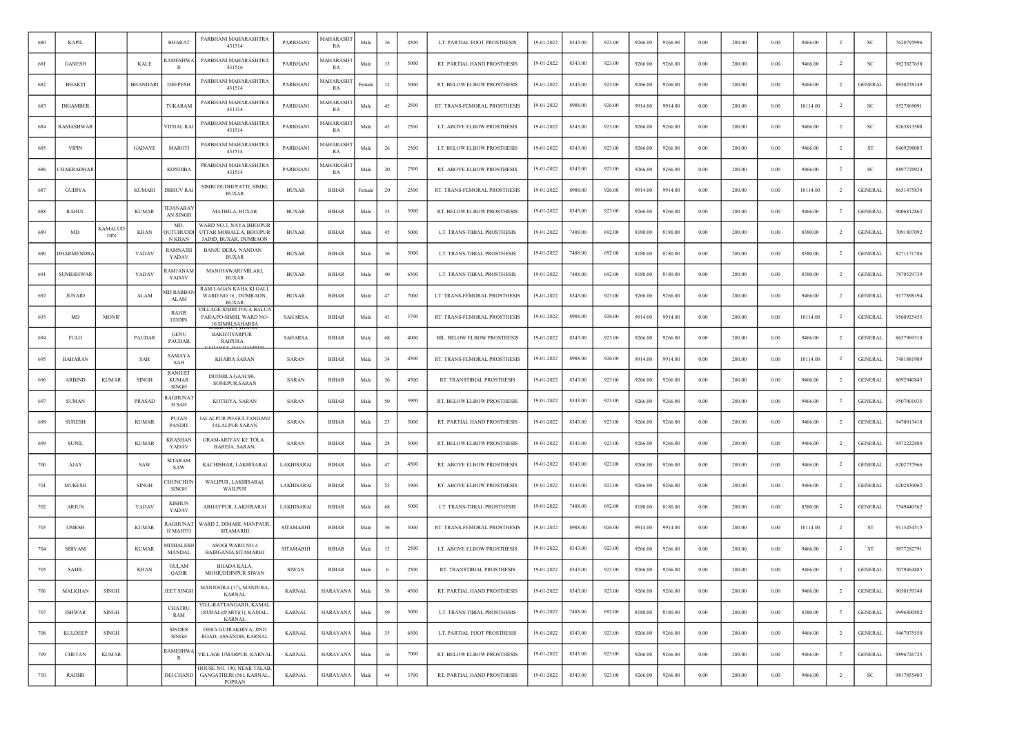| 680 | <b>KAPIL</b>     |                |                 | <b>BHARAT</b>                           | PARBHANI MAHARASHTRA<br>431514                                             | PARBHANI         | MAHARASH<br>RA        | Male   | 16 | 4500 | LT. PARTIAL FOOT PROSTHESIS        | 19-01-2022 | 8343.00 | 923.00 | 9266.00 | 9266.00 | 0.00     | 200.00 | 0.00     | 9466.00  | <sup>2</sup>   | <b>SC</b>      | 7620795996 |
|-----|------------------|----------------|-----------------|-----------------------------------------|----------------------------------------------------------------------------|------------------|-----------------------|--------|----|------|------------------------------------|------------|---------|--------|---------|---------|----------|--------|----------|----------|----------------|----------------|------------|
| 681 | <b>GANESH</b>    |                | <b>KALE</b>     | <b>AMESHV</b>                           | PARBHANI MAHARASHTRA<br>431516                                             | PARBHANI         | <b>AAHARASH</b><br>RA | Male   | 13 | 5000 | RT. PARTIAL HAND PROSTHESIS        | 19-01-2022 | 8343.00 | 923.00 | 9266.00 | 9266.00 | 0.00     | 200.00 | 0.00     | 9466.00  | -2             | SC             | 9823827658 |
| 682 | <b>BHAKTI</b>    |                | <b>BHANDARI</b> | <b>DEEPESH</b>                          | PARBHANI MAHARASHTRA<br>431514                                             | PARBHANI         | <b>MAHARASH</b><br>RA | Female | 12 | 5000 | RT. BELOW ELBOW PROSTHESIS         | 19-01-2022 | 8343.00 | 923.00 | 9266.00 | 9266.00 | 0.00     | 200.00 | 0.00     | 9466.00  | -2             | <b>GENERAL</b> | 8830258149 |
| 683 | <b>DIGAMBER</b>  |                |                 | TUKARAM                                 | PARBHANI MAHARASHTRA<br>431314                                             | PARBHANI         | MAHARASHI<br>RA       | Male   | 45 | 2500 | RT. TRANS-FEMORAL PROSTHESIS       | 19-01-2022 | 8988.00 | 926.00 | 9914.00 | 9914.00 | 0.00     | 200.00 | 0.00     | 10114.00 | $\overline{2}$ | SC             | 9527869091 |
| 684 | <b>AMASHWAR</b>  |                |                 | VITHAL RA                               | PARBHANI MAHARASHTRA<br>431514                                             | PARBHANI         | MAHARASH<br>RA        | Male   | 43 | 2500 | LT. ABOVE ELBOW PROSTHESIS         | 19-01-2022 | 8343.00 | 923.00 | 9266.00 | 9266.00 | 0.00     | 200.00 | 0.00     | 9466.00  | $\overline{2}$ | <sub>SC</sub>  | 8263813508 |
| 685 | <b>VIPIN</b>     |                | GADAVE          | <b>MAROTI</b>                           | PARBHANI MAHARASHTRA<br>431514                                             | PARBHANI         | MAHARASH<br>RA        | Male   | 26 | 2500 | LT. BELOW ELBOW PROSTHESIS         | 19-01-2022 | 8343.00 | 923.00 | 9266.00 | 9266.00 | 0.00     | 200.00 | 0.00     | 9466.00  | -2             | ST             | 8469290083 |
| 686 | <b>HAKRADHAR</b> |                |                 | <b>KONDIBA</b>                          | PRABHANI MAHARASHTRA<br>431514                                             | PARBHANI         | MAHARASHT<br>RA       | Male   | 20 | 2500 | RT. ABOVE ELBOW PROSTHESIS         | 19-01-2022 | 8343.00 | 923.00 | 9266.00 | 9266.00 | 0.00     | 200.00 | 0.00     | 9466.00  | $\overline{2}$ | SC             | 8897720924 |
| 687 | <b>GUDIYA</b>    |                | <b>KUMARI</b>   | <b>DHRUV RAI</b>                        | SIMRI DUDHI PATTI, SIMRI,<br><b>BUXAR</b>                                  | <b>BUXAR</b>     | <b>BIHAR</b>          | Female | 20 | 2500 | RT. TRANS-FEMORAL PROSTHESIS       | 19-01-2022 | 8988.00 | 926.00 | 9914.00 | 9914.00 | 0.00     | 200.00 | 0.00     | 10114.00 | $\overline{2}$ | <b>GENERAL</b> | 8651475838 |
| 688 | <b>RAHUL</b>     |                | <b>KUMAR</b>    | <b>EJANARA</b><br>AN SINGH              | MATHILA, BUXAR                                                             | <b>BUXAR</b>     | <b>BIHAR</b>          | Male   | 35 | 5000 | RT. BELOW ELBOW PROSTHESIS         | 19-01-2022 | 8343.00 | 923.00 | 9266.00 | 9266.00 | 0.00     | 200.00 | 0.00     | 9466.00  | $\overline{2}$ | <b>GENERAL</b> | 9006812862 |
| 689 | MD               | KAMALUI<br>DIN | KHAN            | MD.<br>QUTUBUDDI<br>N KHAN              | WARD NO.3, NAYA BHOJPUR<br>UTTAR MOHALLA, BHOJPUR<br>JADID, BUXAR, DUMRAON | <b>BUXAR</b>     | <b>BIHAR</b>          | Male   | 45 | 5000 | LT. TRANS-TIBIAL PROSTHESIS        | 19-01-2022 | 7488.00 | 692.00 | 8180.00 | 8180.00 | 0.00     | 200.00 | 0.00     | 8380.00  | <sup>2</sup>   | <b>GENERAL</b> | 7091807092 |
| 690 | HARMENDRA        |                | YADAV           | RAMNATH<br>YADAV                        | <b>BANJU DERA, NANDAN</b><br>BUXAR                                         | <b>BUXAR</b>     | <b>BIHAR</b>          | Male   | 36 | 3000 | LT. TRANS-TIBIAL PROSTHESIS        | 19-01-2022 | 7488.00 | 692.00 | 8180.00 | 8180.00 | 0.00     | 200.00 | 0.00     | 8380.00  | $\overline{2}$ | <b>GENERAL</b> | 8271171786 |
| 691 | <b>SUMESHWAR</b> |                | YADAV           | <b>AMJANA</b><br>YADAV                  | MANJHAWARI MILAKI,<br><b>BUXAR</b>                                         | <b>BUXAR</b>     | <b>BIHAR</b>          | Male   | 40 | 6500 | LT. TRANS-TIBIAL PROSTHESIS        | 19-01-2022 | 7488.00 | 692.00 | 8180.00 | 8180.00 | 0.00     | 200.00 | 0.00     | 8380.00  | $\overline{2}$ | <b>GENERAL</b> | 7870529739 |
| 692 | <b>JUNAID</b>    |                | ALAM            | MD RABBA!<br>ALAM                       | RAM LAGAN KAHA KI GALI,<br>WARD NO 16, DUMRAON,<br><b>BUXAR</b>            | <b>BUXAR</b>     | BIHAR                 | Male   | 47 | 7000 | LT. TRANS-FEMORAL PROSTHESIS       | 19-01-2022 | 8343.00 | 923.00 | 9266.00 | 9266.00 | 0.00     | 200.00 | 0.00     | 9466.00  | -2             | <b>GENERAL</b> | 9177898194 |
| 693 | MD               | <b>MONIF</b>   |                 | <b>RAHIS</b><br><b>UDDIN</b>            | VILLAGE-SIMRI TOLA BALUA<br>PARA, PO-SIMRI, WARD NO-<br>10.SIMRI.SAHARSA   | SAHARSA          | <b>BIHAR</b>          | Male   | 43 | 3700 | RT. TRANS-FEMORAL PROSTHESIS       | 19-01-2022 | 8988.00 | 926.00 | 9914.00 | 9914.00 | 0.00     | 200.00 | 0.00     | 10114.00 | $\overline{2}$ | <b>GENERAL</b> | 9560925455 |
| 694 | <b>FULO</b>      |                | PAUDAR          | <b>GENU</b><br><b>PAUDAR</b>            | <b>BAKHTIYARPUR</b><br><b>RAIPURA</b>                                      | SAHARSA          | <b>BIHAR</b>          | Male   | 68 | 4000 | <b>BIL. BELOW ELBOW PROSTHESIS</b> | 19-01-2022 | 8343.00 | 923.00 | 9266.00 | 9266.00 | 0.00     | 200.00 | 0.00     | 9466.00  | $\overline{2}$ | <b>GENERAL</b> | 8657969318 |
| 695 | <b>BAHARAN</b>   |                | SAH             | SAMAYA<br>SAH                           | <b>KHAIRA SARAN</b>                                                        | SARAN            | <b>BIHAR</b>          | Male   | 34 | 4500 | RT. TRANS-FEMORAL PROSTHESIS       | 19-01-2022 | 8988.00 | 926.00 | 9914.00 | 9914.00 | 0.00     | 200.00 | 0.00     | 10114.00 | $\overline{2}$ | <b>GENERAL</b> | 7481881989 |
| 696 | <b>ARBIND</b>    | <b>KUMAR</b>   | SINGH           | RANJEET<br><b>KUMAR</b><br><b>SINGH</b> | <b>DUDHILA GAACHL</b><br>SONEPUR, SARAN                                    | SARAN            | <b>BIHAR</b>          | Male   | 36 | 4500 | RT. TRANSTIBIAL PROSTHESIS         | 19-01-2022 | 8343.00 | 923.00 | 9266.00 | 9266.00 | 0.00     | 200.00 | 0.00     | 9466.00  | <sup>2</sup>   | <b>GENERAL</b> | 8092940843 |
| 697 | <b>SUMAN</b>     |                | PRASAD          | <b>RAGHUNAT</b><br>H SAH                | KOTHIYA, SARAN                                                             | SARAN            | <b>BIHAR</b>          | Male   | 50 | 3900 | RT. BELOW ELBOW PROSTHESIS         | 19-01-2022 | 8343.00 | 923.00 | 9266.00 | 9266.00 | 0.00     | 200.00 | 0.00     | 9466.00  | $\overline{2}$ | <b>GENERAL</b> | 9507001035 |
| 698 | <b>SURESH</b>    |                | <b>KUMAR</b>    | PUJAN<br><b>PANDIT</b>                  | JALALPUR PO-GULTANGANJ<br><b>JALALPUR SARAN</b>                            | SARAN            | <b>BIHAR</b>          | Male   | 23 | 5000 | RT. PARTIAL HAND PROSTHESIS        | 19-01-2022 | 8343.00 | 923.00 | 9266.00 | 9266.00 | 0.00     | 200.00 | 0.00     | 9466.00  | $\overline{2}$ | <b>GENERAL</b> | 9470013418 |
| 699 | <b>SUNIL</b>     |                | <b>KUMAR</b>    | <b>KRASHAN</b><br>YADAV                 | GRAM-ARIYAV KE TOLA,<br>BAREJA, SARAN.                                     | SARAN            | BIHAR                 | Male   | 28 | 5000 | RT. BELOW ELBOW PROSTHESIS         | 19-01-2022 | 8343.00 | 923.00 | 9266.00 | 9266.00 | 0.00     | 200.00 | 0.00     | 9466.00  | -2             | <b>GENERAL</b> | 9472222880 |
| 700 | AJAY             |                | SAW             | <b>SITARAM</b><br>SAW                   | KACHISHAR, LAKHISARAI                                                      | LAKHISARAI       | <b>BIHAR</b>          | Male   | 47 | 4500 | RT. ABOVE ELBOW PROSTHESIS         | 19-01-2022 | 8343.00 | 923.00 | 9266.00 | 9266.00 | 0.00     | 200.00 | 0.00     | 9466.00  | -2             | <b>GENERAL</b> | 6202737966 |
| 701 | <b>MUKESH</b>    |                | <b>SINGH</b>    | <b>HUNCHUN</b><br><b>SINGH</b>          | WALIPUR, LAKHISARAI,<br><b>WAILPUR</b>                                     | LAKHISARAI       | <b>BIHAR</b>          | Male   | 53 | 3900 | <b>RT. ABOVE ELBOW PROSTHESIS</b>  | 19-01-2022 | 8343.00 | 923.00 | 9266.00 | 9266.00 | 0.00     | 200.00 | 0.00     | 9466.00  | $\overline{2}$ | <b>GENERAL</b> | 6202830062 |
| 702 | ARJUN            |                | YADAV           | <b>KISHUN</b><br>YADAV                  | ABHAYPUR, LAKHISARAI                                                       | LAKHISARAI       | <b>BIHAR</b>          | Male   | 68 | 5000 | LT. TRANS-TIBIAL PROSTHESIS        | 19-01-2022 | 7488.00 | 692.00 | 8180.00 | 8180.00 | 0.00     | 200.00 | 0.00     | 8380.00  | $\overline{2}$ | <b>GENERAL</b> | 7549440562 |
| 703 | <b>UMESH</b>     |                | <b>KUMAR</b>    | <b>AGHUNAT</b><br><b>H MAHTO</b>        | WARD 2, DIMAHI, MANPAUR,<br><b>SITAMARHI</b>                               | <b>SITAMARHI</b> | BIHAR                 | Male   | 36 | 3000 | RT. TRANS-FEMORAL PROSTHESIS       | 19-01-2022 | 8988.00 | 926.00 | 9914.00 | 9914.00 | 0.00     | 200.00 | 0.00     | 10114.00 | <sup>2</sup>   | ST             | 9113454515 |
| 704 | <b>SHIVAM</b>    |                | <b>KUMAR</b>    | <b>MITHALESH</b><br><b>MANDAL</b>       | ASOGI WARD NO-4<br>BAIRGANIA, SITAMARHI                                    | <b>SITAMARHI</b> | <b>BIHAR</b>          | Male   | 13 | 2500 | LT. ABOVE ELBOW PROSTHESIS         | 19-01-2022 | 8343.00 | 923.00 | 9266.00 | 9266.00 | 0.00     | 200.00 | 0.00     | 9466.00  | $\overline{2}$ | ST             | 9877282791 |
| 705 | <b>SAHIL</b>     |                | <b>KHAN</b>     | <b>GULAM</b><br>QADIR                   | <b>BHADA KALA.</b><br>MOHIUDDINPUR SIWAN                                   | <b>SIWAN</b>     | <b>BIHAR</b>          | Male   | -6 | 2500 | RT. TRANSTIBIAL PROSTHESIS         | 19-01-2022 | 8343.00 | 923.00 | 9266.00 | 9266.00 | 0.00     | 200.00 | 0.00     | 9466.00  | $\overline{2}$ | <b>GENERAL</b> | 7079464885 |
| 706 | MALKHAN          | SINGH          |                 | <b>JEET SINGH</b>                       | MANJOORA (17), MANJURA,<br><b>KARNAL</b>                                   | <b>KARNAL</b>    | HARAYANA              | Male   | 58 | 4500 | RT. PARTIAL HAND PROSTHESIS        | 19-01-2022 | 8343.00 | 923.00 | 9266.00 | 9266.00 | 0.00     | 200.00 | 0.00     | 9466.00  | $\overline{2}$ | <b>GENERAL</b> | 9050159348 |
| 707 | <b>ISHWAR</b>    | SINGH          |                 | <b>CHATRU</b><br>RAM                    | VILL-RATTANGARH, KAMAL<br>(RURAL)(PART)(1), KAMAL,<br><b>KARNAL</b>        | <b>KARNAL</b>    | <b>HARAYANA</b>       | Male   | 59 | 5000 | LT. TRANS-TIBIAL PROSTHESIS        | 19-01-2022 | 7488.00 | 692.00 | 8180.00 | 8180.00 | 0.00     | 200.00 | 0.00     | 8380.00  | $\overline{2}$ | <b>GENERAL</b> | 9996400882 |
| 708 | <b>KULDEEP</b>   | SINGH          |                 | <b>SINDER</b><br><b>SINGH</b>           | DERA GUJRAKHIYA, JIND<br>ROAD, ASSANDH, KARNAL                             | <b>KARNAL</b>    | <b>HARAYANA</b>       | Male   | 35 | 6500 | LT. PARTIAL FOOT PROSTHESIS        | 19-01-2022 | 8343.00 | 923.00 | 9266.00 | 9266.00 | 0.00     | 200.00 | 0.00     | 9466.00  | $\overline{2}$ | <b>GENERAL</b> | 9467075550 |
| 709 | CHETAN           | <b>KUMAR</b>   |                 | RAMESHWA<br>R                           | VILLAGE UMARPUR, KARNAL                                                    | <b>KARNAL</b>    | <b>HARAYANA</b>       | Male   | 16 | 7000 | RT. BELOW ELBOW PROSTHESIS         | 19-01-2022 | 8343.00 | 923.00 | 9266.00 | 9266.00 | $0.00\,$ | 200.00 | $0.00\,$ | 9466.00  | $\overline{2}$ | <b>GENERAL</b> | 9896726725 |
| 710 | <b>RAJBIR</b>    |                |                 | DEI CHAND                               | HOUSE NO. 190, NEAR TALAB<br>GANGATHERI (56), KARNAL,<br>POPRAN            | <b>KARNAL</b>    | <b>HARAYANA</b>       | Male   | 44 | 3700 | RT. PARTIAL HAND PROSTHESIS        | 19-01-2022 | 8343.00 | 923.00 | 9266.00 | 9266.00 | 0.00     | 200.00 | 0.00     | 9466.00  | $\overline{2}$ | SC             | 9817855403 |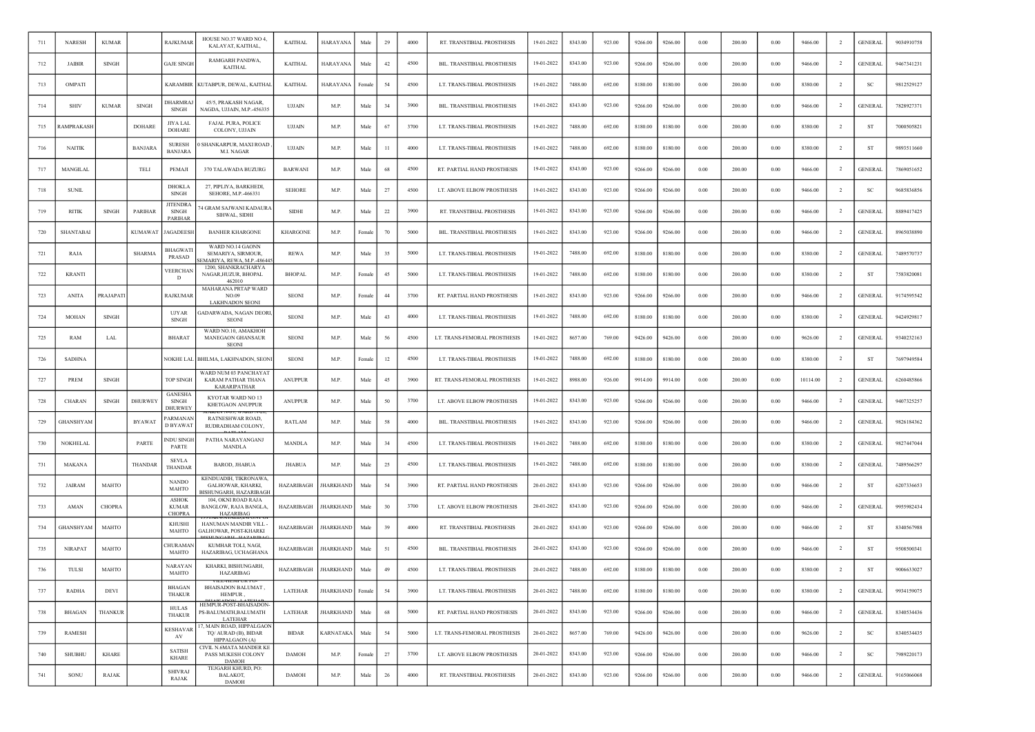| 711 | <b>NARESH</b>    | <b>KUMAR</b>                  |                | RAJKUMAR                                      | HOUSE NO.37 WARD NO 4<br>KALAYAT, KAITHAL,                                  | <b>KAITHAL</b>  | HARAYANA         | Male   | 29     | 4000 | RT. TRANSTIBIAL PROSTHESIS   | 19-01-2022 | 8343.00 | 923.00 | 9266.00 | 9266.00 | 0.00       | 200.00 | 0.00 | 9466.00  | $\overline{2}$ | <b>GENERAL</b> | 9034910758 |
|-----|------------------|-------------------------------|----------------|-----------------------------------------------|-----------------------------------------------------------------------------|-----------------|------------------|--------|--------|------|------------------------------|------------|---------|--------|---------|---------|------------|--------|------|----------|----------------|----------------|------------|
| 712 | <b>JAIBIR</b>    | <b>SINGH</b>                  |                | <b>GAJE SINGH</b>                             | RAMGARH PANDWA,<br><b>KAITHAL</b>                                           | <b>KAITHAL</b>  | HARAYANA         | Male   | 42     | 4500 | BIL. TRANSTIBIAL PROSTHESIS  | 19-01-2022 | 8343.00 | 923.00 | 9266.00 | 9266.00 | 0.00       | 200.00 | 0.00 | 9466.00  | -2             | <b>GENERAL</b> | 9467341231 |
| 713 | OMPATI           |                               |                | <b>KARAMBIR</b>                               | KUTABPUR, DEWAL, KAITHAL                                                    | <b>KAITHAL</b>  | HARAYANA         | Female | 54     | 4500 | LT. TRANS-TIBIAL PROSTHESIS  | 19-01-2022 | 7488.00 | 692.00 | 8180.00 | 8180.00 | 0.00       | 200.00 | 0.00 | 8380.00  | <sup>2</sup>   | SC             | 9812529127 |
| 714 | <b>SHIV</b>      | <b>KUMAR</b>                  | <b>SINGH</b>   | DHARMRAJ<br><b>SINGH</b>                      | 45/5, PRAKASH NAGAR,<br>NAGDA, UJJAIN, M.P.-456335                          | UJJAIN          | M.P.             | Male   | 34     | 3900 | BIL. TRANSTIBIAL PROSTHESIS  | 19-01-2022 | 8343.00 | 923.00 | 9266.00 | 9266.00 | 0.00       | 200.00 | 0.00 | 9466.00  | -2             | <b>GENERAL</b> | 7828927371 |
| 715 | <b>AMPRAKASH</b> |                               | <b>DOHARE</b>  | JIYA LAL<br>DOHARE                            | FAJAL PURA, POLICE<br>COLONY, UJJAIN                                        | UJJAIN          | M.P.             | Male   | 67     | 3700 | LT. TRANS-TIBIAL PROSTHESIS  | 19-01-2022 | 7488.00 | 692.00 | 8180.00 | 8180.00 | 0.00       | 200.00 | 0.00 | 8380.00  | $\overline{2}$ | <b>ST</b>      | 7000505821 |
| 716 | <b>NAITIK</b>    |                               | <b>BANJARA</b> | <b>SURESH</b><br><b>BANJARA</b>               | ) SHANKARPUR, MAXI ROAD<br><b>M.I. NAGAR</b>                                | UJJAIN          | M.P.             | Male   | 11     | 4000 | LT. TRANS-TIBIAL PROSTHESIS  | 19-01-2022 | 7488.00 | 692.00 | 8180.00 | 8180.00 | 0.00       | 200.00 | 0.00 | 8380.00  | -2             | ST             | 9893511660 |
| 717 | MANGILAL         |                               | TELI           | PEMAJI                                        | 370 TALAWADA BUZURG                                                         | <b>BARWANI</b>  | M.P.             | Male   | 68     | 4500 | RT. PARTIAL HAND PROSTHESIS  | 19-01-2022 | 8343.00 | 923.00 | 9266.00 | 9266.00 | $0.00\,$   | 200.00 | 0.00 | 9466.00  | $\overline{2}$ | <b>GENERAL</b> | 7869051652 |
| 718 | <b>SUNIL</b>     |                               |                | <b>DHOKLA</b><br><b>SINGH</b>                 | 27. PIPLIYA, BARKHEDI,<br>SEHORE, M.P.-466331                               | <b>SEHORE</b>   | M.P.             | Male   | 27     | 4500 | LT. ABOVE ELBOW PROSTHESIS   | 19-01-2022 | 8343.00 | 923.00 | 9266.00 | 9266.00 | 0.00       | 200.00 | 0.00 | 9466.00  | -2             | <sub>SC</sub>  | 9685836856 |
| 719 | <b>RITIK</b>     | SINGH                         | PARIHAR        | JITENDRA<br>SINGH<br><b>PARIHAR</b>           | <sup>74</sup> GRAM SAJWANI KADAURA<br>SIHWAL, SIDHI                         | <b>SIDHI</b>    | M.P.             | Male   | 22     | 3900 | RT. TRANSTIBIAL PROSTHESIS   | 19-01-2022 | 8343.00 | 923.00 | 9266.00 | 9266.00 | $0.00\,$   | 200.00 | 0.00 | 9466.00  | -2             | <b>GENERAL</b> | 8889417425 |
| 720 | <b>SHANTABAI</b> |                               | <b>KUMAWAT</b> | JAGADEESH                                     | <b>BANHER KHARGONE</b>                                                      | <b>KHARGONE</b> | M.P.             | Female | 70     | 5000 | BIL. TRANSTIBIAL PROSTHESIS  | 19-01-2022 | 8343.00 | 923.00 | 9266.00 | 9266.00 | 0.00       | 200.00 | 0.00 | 9466.00  | <sup>2</sup>   | <b>GENERAL</b> | 8965038890 |
| 721 | RAJA             |                               | <b>SHARMA</b>  | BHAGWATI<br>PRASAD                            | WARD NO.14 GAONN<br>SEMARIYA, SIRMOUR,<br>EMARIYA, REWA, M.P.-486445        | <b>REWA</b>     | M.P.             | Male   | 35     | 5000 | LT. TRANS-TIBIAL PROSTHESIS  | 19-01-2022 | 7488.00 | 692.00 | 8180.00 | 8180.00 | 0.00       | 200.00 | 0.00 | 8380.00  | $\overline{2}$ | <b>GENERAL</b> | 7489570737 |
| 722 | <b>KRANTI</b>    |                               |                | VEERCHAN<br>D                                 | 1200, SHANKRACHARYA<br>NAGAR, HUZUR, BHOPAL<br>462010                       | <b>BHOPAL</b>   | M.P              | Femal  | 45     | 5000 | LT. TRANS-TIBIAL PROSTHESIS  | 19-01-2022 | 7488.00 | 692.00 | 8180.00 | 8180.00 | 0.00       | 200.00 | 0.00 | 8380.00  | $\overline{2}$ | <b>ST</b>      | 7583820081 |
| 723 | <b>ANITA</b>     | PRAJAPATI                     |                | <b>RAJKUMAR</b>                               | MAHARANA PRTAP WARD<br>NO.09<br><b>LAKHNADON SEONI</b>                      | <b>SEONI</b>    | M.P.             | Female | 44     | 3700 | RT. PARTIAL HAND PROSTHESIS  | 19-01-2022 | 8343.00 | 923.00 | 9266.00 | 9266.00 | 0.00       | 200.00 | 0.00 | 9466.00  | -2             | <b>GENERAL</b> | 9174595542 |
| 724 | MOHAN            | <b>SINGH</b>                  |                | <b>UJYAR</b><br><b>SINGH</b>                  | GADARWADA, NAGAN DEORI,<br><b>SEONI</b>                                     | <b>SEONI</b>    | M.P.             | Male   | 43     | 4000 | LT. TRANS-TIBIAL PROSTHESIS  | 19-01-2022 | 7488.00 | 692.00 | 8180.00 | 8180.00 | 0.00       | 200.00 | 0.00 | 8380.00  | $\overline{2}$ | <b>GENERAL</b> | 9424929817 |
| 725 | RAM              | LAL                           |                | <b>BHARAT</b>                                 | WARD NO.10, AMAKHOH<br>MANEGAON GHANSAUR<br><b>SEONI</b>                    | <b>SEONI</b>    | M.P.             | Male   | 56     | 4500 | LT. TRANS-FEMORAL PROSTHESIS | 19-01-2022 | 8657.00 | 769.00 | 9426.00 | 9426.00 | 0.00       | 200.00 | 0.00 | 9626.00  | $\overline{2}$ | <b>GENERAL</b> | 9340232163 |
| 726 | <b>SADHNA</b>    |                               |                | NOKHE LAL                                     | BHILMA, LAKHNADON, SEONI                                                    | <b>SEONI</b>    | M.P.             | Femal  | 12     | 4500 | LT. TRANS-TIBIAL PROSTHESIS  | 19-01-2022 | 7488.00 | 692.00 | 8180.00 | 8180.00 | $0.00\,$   | 200.00 | 0.00 | 8380.00  | $\overline{2}$ | ST             | 7697949584 |
| 727 | <b>PREM</b>      | $\mathop{\rm SINGH}\nolimits$ |                | <b>TOP SINGH</b>                              | WARD NUM 03 PANCHAYAT<br>KARAM PATHAR THANA<br><b>KARARIPATHAR</b>          | <b>ANUPPUR</b>  | M.P.             | Male   | 45     | 3900 | RT. TRANS-FEMORAL PROSTHESIS | 19-01-2022 | 8988.00 | 926.00 | 9914.00 | 9914.00 | 0.00       | 200.00 | 0.00 | 10114.00 | <sup>2</sup>   | <b>GENERAL</b> | 6260485866 |
| 728 | <b>CHARAN</b>    | SINGH                         | <b>DHURWEY</b> | <b>GANESHA</b><br>SINGH<br><b>DHURWEY</b>     | KYOTAR WARD NO 13<br>KHETGAON ANUPPUR                                       | <b>ANUPPUR</b>  | M.P.             | Male   | 50     | 3700 | LT. ABOVE ELBOW PROSTHESIS   | 19-01-2022 | 8343.00 | 923.00 | 9266.00 | 9266.00 | 0.00       | 200.00 | 0.00 | 9466.00  | $\overline{2}$ | <b>GENERAL</b> | 9407325257 |
| 729 | GHANSHYAM        |                               | <b>BYAWAT</b>  | ARMANAN<br>D BYAWAT                           | RATNESHWAR ROAD.<br>RUDRADHAM COLONY,                                       | RATLAM          | M.P.             | Male   | 58     | 4000 | BIL. TRANSTIBIAL PROSTHESIS  | 19-01-2022 | 8343.00 | 923.00 | 9266.00 | 9266.00 | 0.00       | 200.00 | 0.00 | 9466.00  | $\overline{2}$ | <b>GENERAL</b> | 9826184362 |
| 730 | NOKHELAI         |                               | PARTE          | NDU SINGH<br>PARTE                            | PATHA NARAYANGANJ<br>MANDLA                                                 | MANDLA          | M.P.             | Male   | 34     | 4500 | LT. TRANS-TIBIAL PROSTHESIS  | 19-01-2022 | 7488.00 | 692.00 | 8180.00 | 8180.00 | 0.00       | 200.00 | 0.00 | 8380.00  | -2             | <b>GENERAL</b> | 9827447044 |
| 731 | MAKANA           |                               | THANDAR        | <b>SEVLA</b><br>THANDAR                       | BAROD, JHABUA                                                               | <b>JHABUA</b>   | M.P              | Male   | 25     | 4500 | LT. TRANS-TIBIAL PROSTHESIS  | 19-01-2022 | 7488.00 | 692.00 | 8180.00 | 8180.00 | 0.00       | 200.00 | 0.00 | 8380.00  | -2             | <b>GENERAL</b> | 7489566297 |
| 732 | <b>JAIRAM</b>    | MAHTO                         |                | <b>NANDO</b><br>MAHTO                         | KENDUADIH, TIKRONAWA,<br>GALHOWAR, KHARKI,<br><b>BISHUNGARH, HAZARIBAGH</b> | HAZARIBAGH      | <b>JHARKHAND</b> | Male   | 54     | 3900 | RT. PARTIAL HAND PROSTHESIS  | 20-01-2022 | 8343.00 | 923.00 | 9266.00 | 9266.00 | 0.00       | 200.00 | 0.00 | 9466.00  | $\overline{2}$ | ST             | 6207336653 |
| 733 | AMAN             | <b>CHOPRA</b>                 |                | <b>ASHOK</b><br><b>KUMAR</b><br><b>CHOPRA</b> | 104, OKNI ROAD RAJA<br>BANGLOW, RAJA BANGLA,<br><b>HAZARIBAG</b>            | HAZARIBAGH      | JHARKHAND        | Male   | 30     | 3700 | LT. ABOVE ELBOW PROSTHESIS   | 20-01-2022 | 8343.00 | 923.00 | 9266.00 | 9266.00 | $0.00\,$   | 200.00 | 0.00 | 9466.00  | $\overline{2}$ | <b>GENERAL</b> | 9955982434 |
| 734 | <b>GHANSHYAM</b> | MAHTO                         |                | <b>KHUSHI</b><br>MAHTO                        | HANUMAN MANDIR VILL<br>GALHOWAR, POST-KHARKI                                | HAZARIBAGH      | <b>JHARKHAND</b> | Male   | 39     | 4000 | RT. TRANSTIBIAL PROSTHESIS   | 20-01-2022 | 8343.00 | 923.00 | 9266.00 | 9266.00 | 0.00       | 200.00 | 0.00 | 9466.00  | $\overline{2}$ | ST             | 8340567988 |
| 735 | <b>NIRAPAT</b>   | MAHTO                         |                | CHURAMAN<br>MAHTO                             | KUMHAR TOLI, NAGI,<br>HAZARIBAG, UCHAGHANA                                  | HAZARIBAGH      | <b>HARKHAND</b>  | Male   | 51     | 4500 | BIL. TRANSTIBIAL PROSTHESIS  | 20-01-2022 | 8343.00 | 923.00 | 9266.00 | 9266.00 | 0.00       | 200.00 | 0.00 | 9466.00  | $\overline{2}$ | ST             | 9508500341 |
| 736 | TULSI            | MAHTO                         |                | <b>NARAYAN</b><br>MAHTO                       | KHARKI, BISHUNGARH,<br>HAZARIBAG                                            | HAZARIBAGH      | <b>JHARKHAND</b> | Male   | 49     | 4500 | LT. TRANS-TIBIAL PROSTHESIS  | 20-01-2022 | 7488.00 | 692.00 | 8180.00 | 8180.00 | 0.00       | 200.00 | 0.00 | 8380.00  | $\overline{2}$ | ST             | 9006633027 |
| 737 | <b>RADHA</b>     | DEVI                          |                | <b>BHAGAN</b><br><b>THAKUR</b>                | BHAISADON BALUMAT,<br>HEMPUR.                                               | LATEHAR         | <b>JHARKHAND</b> | Female | 54     | 3900 | LT. TRANS-TIBIAL PROSTHESIS  | 20-01-2022 | 7488.00 | 692.00 | 8180.00 | 8180.00 | 0.00       | 200.00 | 0.00 | 8380.00  | $\overline{2}$ | <b>GENERAL</b> | 9934159075 |
| 738 | <b>BHAGAN</b>    | <b>THANKUR</b>                |                | <b>HULAS</b><br>THAKUR                        | HEMPUR-POST-BHAISADON-<br>PS-BALUMATH, BALUMATH<br>LATEHAR                  | LATEHAR         | <b>JHARKHAND</b> | Male   | $68\,$ | 5000 | RT. PARTIAL HAND PROSTHESIS  | 20-01-2022 | 8343.00 | 923.00 | 9266.00 | 9266.00 | 0.00       | 200.00 | 0.00 | 9466.00  | $\overline{2}$ | <b>GENERAL</b> | 8340534436 |
| 739 | <b>RAMESH</b>    |                               |                | <b>KESHAVAR</b><br>AV                         | 17, MAIN ROAD, HIPPALGAON<br>TQ/ AURAD (B), BIDAR<br>HIPPALGAON (A)         | <b>BIDAR</b>    | <b>KARNATAKA</b> | Male   | 54     | 5000 | LT. TRANS-FEMORAL PROSTHESIS | 20-01-2022 | 8657.00 | 769.00 | 9426.00 | 9426.00 | 0.00       | 200.00 | 0.00 | 9626.00  | $\overline{2}$ | <b>SC</b>      | 8340534435 |
| 740 | <b>SHUBHU</b>    | <b>KHARE</b>                  |                | <b>SATISH</b><br><b>KHARE</b>                 | CIVIL N.6MATA MANDER KE<br>PASS MUKESH COLONY<br><b>DAMOH</b>               | <b>DAMOH</b>    | M.P.             | Female | 27     | 3700 | LT. ABOVE ELBOW PROSTHESIS   | 20-01-2022 | 8343.00 | 923.00 | 9266.00 | 9266.00 | $\rm 0.00$ | 200.00 | 0.00 | 9466.00  | $\overline{2}$ | SC             | 7989220173 |
| 741 | SONU             | RAJAK                         |                | <b>SHIVRAJ</b><br><b>RAJAK</b>                | TEJGARH KHURD, PO:<br>BALAKOT,<br><b>DAMOH</b>                              | <b>DAMOH</b>    | M.P.             | Male   | 26     | 4000 | RT. TRANSTIBIAL PROSTHESIS   | 20-01-2022 | 8343.00 | 923.00 | 9266.00 | 9266.00 | 0.00       | 200.00 | 0.00 | 9466.00  | $\overline{2}$ | <b>GENERAL</b> | 9165066068 |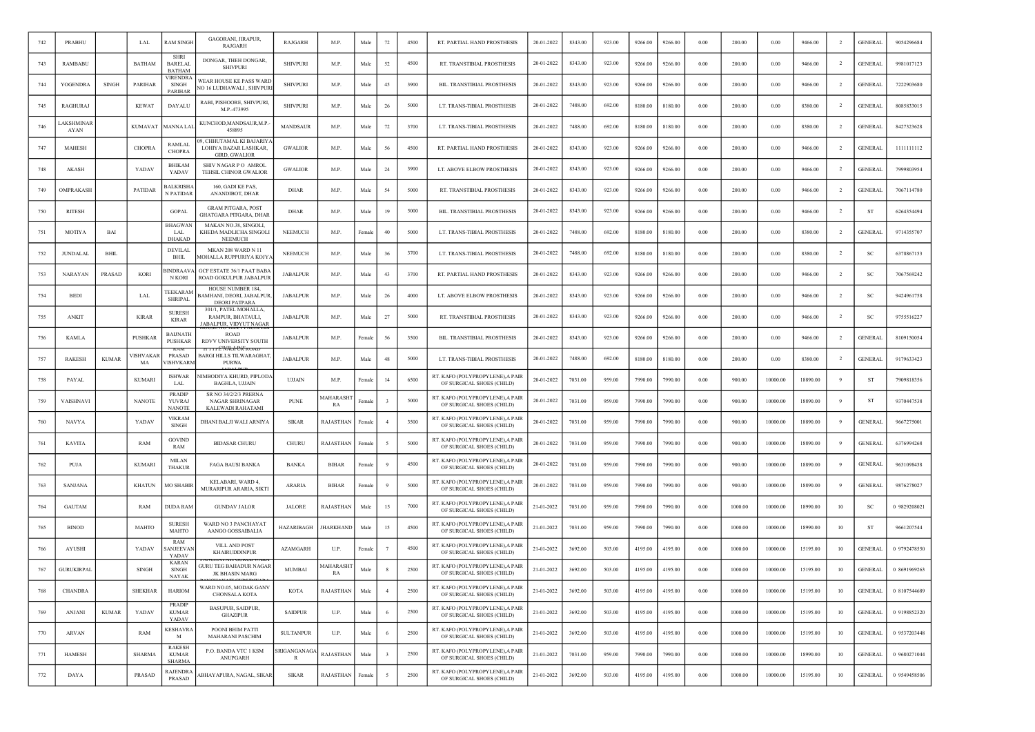| 742 | PRABHU            |              | LAL                   | <b>RAM SINGE</b>                               | <b>GAGORANL JIRAPUR.</b><br><b>RAJGARH</b>                                | RAJGARH           | M.P.             | Male   | 72                      | 4500 | RT. PARTIAL HAND PROSTHESIS                                   | 20-01-2022 | 8343.00 | 923.00 | 9266.00 | 9266.00 | 0.00     | 200.00  | 0.00     | 9466.00  | $\overline{2}$ | <b>GENERAL</b> | 9054296684   |
|-----|-------------------|--------------|-----------------------|------------------------------------------------|---------------------------------------------------------------------------|-------------------|------------------|--------|-------------------------|------|---------------------------------------------------------------|------------|---------|--------|---------|---------|----------|---------|----------|----------|----------------|----------------|--------------|
| 743 | RAMBABU           |              | BATHAM                | <b>SHRI</b><br><b>BARELAL</b><br><b>BATHAM</b> | DONGAR, THEH DONGAR,<br><b>SHIVPURI</b>                                   | <b>SHIVPURI</b>   | M.P.             | Male   | 52                      | 4500 | RT. TRANSTIBIAL PROSTHESIS                                    | 20-01-2022 | 8343.00 | 923.00 | 9266.00 | 9266.00 | 0.00     | 200.00  | 0.00     | 9466.00  | $\overline{2}$ | <b>GENERAL</b> | 9981017123   |
| 744 | YOGENDRA          | <b>SINGH</b> | PARIHAR               | <b>VIRENDRA</b><br>SINGH<br>PARIHAR            | <b>WEAR HOUSE KE PASS WARD</b><br>NO 16 LUDHAWALI, SHIVPURI               | <b>SHIVPURI</b>   | M.P.             | Male   | 45                      | 3900 | BIL. TRANSTIBIAL PROSTHESIS                                   | 20-01-2022 | 8343.00 | 923.00 | 9266.00 | 9266.00 | 0.00     | 200.00  | 0.00     | 9466.00  | <sup>2</sup>   | <b>GENERAL</b> | 7222903680   |
| 745 | RAGHURAJ          |              | <b>KEWAT</b>          | DAYALU                                         | RABI, PISHOORE, SHIVPURI,<br>M.P.-473995                                  | <b>SHIVPURI</b>   | M.P.             | Male   | 26                      | 5000 | LT. TRANS-TIBIAL PROSTHESIS                                   | 20-01-2022 | 7488.00 | 692.00 | 8180.00 | 8180.00 | 0.00     | 200.00  | 0.00     | 8380.00  | -2             | <b>GENERAL</b> | 8085833015   |
| 746 | AKSHMINAF<br>AYAN |              | <b>KUMAVAT</b>        | MANNA LAI                                      | KUNCHOD, MANDSAUR, M.P.<br>458895                                         | MANDSAUR          | M.P.             | Male   | 72                      | 3700 | LT. TRANS-TIBIAL PROSTHESIS                                   | 20-01-2022 | 7488.00 | 692.00 | 8180.00 | 8180.00 | 0.00     | 200.00  | 0.00     | 8380.00  |                | <b>GENERAL</b> | 8427323628   |
| 747 | <b>MAHESH</b>     |              | <b>CHOPRA</b>         | RAMLAI<br><b>CHOPRA</b>                        | 19, CHHUTAMAL KI BAJARIY<br>LOHIYA BAZAR LASHKAR,<br><b>GIRD, GWALIOR</b> | GWALIOR           | M.P.             | Male   | 56                      | 4500 | RT. PARTIAL HAND PROSTHESIS                                   | 20-01-2022 | 8343.00 | 923.00 | 9266.00 | 9266.00 | 0.00     | 200.00  | 0.00     | 9466.00  | <sup>2</sup>   | <b>GENERAL</b> | 1111111112   |
| 748 | AKASH             |              | YADAV                 | BHIKAM<br>YADAV                                | SHIV NAGAR P O AMROL<br>TEHSIL CHINOR GWALIOR                             | <b>GWALIOR</b>    | M.P.             | Male   | 24                      | 3900 | LT. ABOVE ELBOW PROSTHESIS                                    | 20-01-2022 | 8343.00 | 923.00 | 9266.00 | 9266.00 | 0.00     | 200.00  | 0.00     | 9466.00  | $\overline{2}$ | <b>GENERAL</b> | 7999803954   |
| 749 | OMPRAKASH         |              | PATIDAR               | <b>BALKRISH</b><br>N PATIDAR                   | 160, GADI KE PAS.<br>ANANDIBOT, DHAR                                      | <b>DHAR</b>       | M.P.             | Male   | 54                      | 5000 | RT. TRANSTIBIAL PROSTHESIS                                    | 20-01-2022 | 8343.00 | 923.00 | 9266.00 | 9266.00 | 0.00     | 200.00  | 0.00     | 9466.00  | <sup>2</sup>   | <b>GENERAL</b> | 7067114780   |
| 750 | <b>RITESH</b>     |              |                       | <b>GOPAL</b>                                   | <b>GRAM PITGARA, POST</b><br>GHATGARA PITGARA, DHAR                       | <b>DHAR</b>       | M.P.             | Male   | 19                      | 5000 | BIL. TRANSTIBIAL PROSTHESIS                                   | 20-01-2022 | 8343.00 | 923.00 | 9266.00 | 9266.00 | 0.00     | 200.00  | 0.00     | 9466.00  | $\overline{2}$ | ST             | 6264354494   |
| 751 | <b>MOTIYA</b>     | BAI          |                       | <b>BHAGWA</b><br><b>LAL</b><br><b>DHAKAD</b>   | MAKAN NO.38, SINGOLI<br>KHEDA MADLICHA SINGOLI<br><b>NEEMUCH</b>          | <b>NEEMUCH</b>    | M.P.             | Female | 40                      | 5000 | LT. TRANS-TIBIAL PROSTHESIS                                   | 20-01-2022 | 7488.00 | 692.00 | 8180.00 | 8180.00 | 0.00     | 200.00  | 0.00     | 8380.00  | <sup>2</sup>   | <b>GENERAL</b> | 9714355707   |
| 752 | JUNDALAL          | <b>BHIL</b>  |                       | DEVILAL<br>BHIL                                | MKAN 208 WARD N 11<br>MOHALLA RUPPURIYA KOJY.                             | NEEMUCH           | M.P.             | Male   | 36                      | 3700 | LT. TRANS-TIBIAL PROSTHESIS                                   | 20-01-2022 | 7488.00 | 692.00 | 8180.00 | 8180.00 | 0.00     | 200.00  | 0.00     | 8380.00  | $\overline{2}$ | SC             | 6378867153   |
| 753 | NARAYAN           | PRASAD       | <b>KORI</b>           | <b>INDRAAV</b><br><b>N KORI</b>                | GCF ESTATE 36/1 PAAT BABA<br>ROAD GOKULPUR JABALPUR                       | <b>JABALPUR</b>   | M.P.             | Male   | 43                      | 3700 | RT. PARTIAL HAND PROSTHESIS                                   | 20-01-2022 | 8343.00 | 923.00 | 9266.00 | 9266.00 | 0.00     | 200.00  | 0.00     | 9466.00  |                | S <sub>C</sub> | 7067569242   |
| 754 | <b>BEDI</b>       |              | LAL                   | TEEKARAM<br><b>SHRIPAL</b>                     | HOUSE NUMBER 184,<br>BAMHANI, DEORI, JABALPUR<br><b>DEORI PATPARA</b>     | JABALPUR          | M.P.             | Male   | 26                      | 4000 | LT. ABOVE ELBOW PROSTHESIS                                    | 20-01-2022 | 8343.00 | 923.00 | 9266.00 | 9266.00 | 0.00     | 200.00  | 0.00     | 9466.00  | $\overline{2}$ | SC             | 9424961758   |
| 755 | <b>ANKIT</b>      |              | <b>KIRAR</b>          | <b>SURESH</b><br><b>KIRAR</b>                  | 301/1, PATEL MOHALLA.<br>RAMPUR, BHATAULI,<br>JABALPUR, VIDYUT NAGAR      | <b>JABALPUR</b>   | M.P.             | Male   | 27                      | 5000 | RT. TRANSTIBIAL PROSTHESIS                                    | 20-01-2022 | 8343.00 | 923.00 | 9266.00 | 9266.00 | 0.00     | 200.00  | 0.00     | 9466.00  | $\overline{2}$ | SC             | 9755516227   |
| 756 | <b>KAMLA</b>      |              | PUSHKAR               | <b>BAIJNATH</b><br><b>PUSHKAR</b>              | <b>ROAD</b><br>RDVV UNIVERSITY SOUTH                                      | <b>JABALPUR</b>   | M.P.             | Female | 56                      | 3500 | BIL. TRANSTIBIAL PROSTHESIS                                   | 20-01-2022 | 8343.00 | 923.00 | 9266.00 | 9266.00 | 0.00     | 200.00  | 0.00     | 9466.00  | $\overline{2}$ | <b>GENERAL</b> | 8109150054   |
| 757 | <b>RAKESH</b>     | <b>KUMAR</b> | <b>ISHVAKAI</b><br>MA | <b>PRASAD</b><br><b>ISHVKARM</b>               | <b>NAVILIA NUA</b><br>ਨਸਾਈ<br>BARGI HILLS TILWARAGHAT,<br>PURWA           | <b>JABALPUR</b>   | M.P.             | Male   | 48                      | 5000 | LT. TRANS-TIBIAL PROSTHESIS                                   | 20-01-2022 | 7488.00 | 692.00 | 8180.00 | 8180.00 | $0.00\,$ | 200.00  | 0.00     | 8380.00  | $\overline{2}$ | <b>GENERAL</b> | 9179633423   |
| 758 | PAYAL             |              | <b>KUMARI</b>         | <b>ISHWAR</b><br>LAL                           | <b>NIMBODIYA KHURD, PIPLODA</b><br>BAGHLA, UJJAIN                         | <b>UJJAIN</b>     | M.P.             | Female | 14                      | 6500 | RT. KAFO (POLYPROPYLENE), A PAIR<br>OF SURGICAL SHOES (CHILD) | 20-01-2022 | 7031.00 | 959.00 | 7990.00 | 7990.00 | 0.00     | 900.00  | 10000.00 | 18890.00 | -9             | ST             | 7909818356   |
| 759 | VAISHNAVI         |              | <b>NANOTE</b>         | <b>PRADIP</b><br>YUVRAJ<br><b>NANOTE</b>       | SR NO 34/2/2/3 PRERNA<br>NAGAR SHRINAGAR<br><b>KALEWADI RAHATAMI</b>      | <b>PUNE</b>       | MAHARASHT<br>RA  | Female |                         | 5000 | RT. KAFO (POLYPROPYLENE), A PAIR<br>OF SURGICAL SHOES (CHILD) | 20-01-2022 | 7031.00 | 959.00 | 7990.00 | 7990.00 | 0.00     | 900.00  | 10000.00 | 18890.00 | 9              | -ST            | 9370447538   |
| 760 | <b>NAVYA</b>      |              | YADAV                 | <b>VIKRAM</b><br>SINGH                         | DHANI BALJI WALI ARNIYA                                                   | <b>SIKAR</b>      | RAJASTHAN        | Female |                         | 3500 | RT. KAFO (POLYPROPYLENE), A PAIR<br>OF SURGICAL SHOES (CHILD) | 20-01-2022 | 7031.00 | 959.00 | 7990.00 | 7990.00 | 0.00     | 900.00  | 10000.00 | 18890.00 | -9             | <b>GENERAL</b> | 9667275001   |
| 761 | <b>KAVITA</b>     |              | RAM                   | <b>GOVIND</b><br>RAM                           | <b>BIDASAR CHURU</b>                                                      | CHURU             | <b>RAJASTHAN</b> | Female |                         | 5000 | RT. KAFO (POLYPROPYLENE), A PAIR<br>OF SURGICAL SHOES (CHILD) | 20-01-2022 | 7031.00 | 959.00 | 7990.00 | 7990.00 | 0.00     | 900.00  | 10000.00 | 18890.00 | -9             | <b>GENERAL</b> | 6376994268   |
| 762 | PUJA              |              | <b>KUMARI</b>         | <b>MILAN</b><br><b>THAKUR</b>                  | <b>FAGA BAUSI BANKA</b>                                                   | <b>BANKA</b>      | <b>BIHAR</b>     | Female |                         | 4500 | RT. KAFO (POLYPROPYLENE), A PAIR<br>OF SURGICAL SHOES (CHILD) | 20-01-2022 | 7031.00 | 959.00 | 7990.00 | 7990.00 | 0.00     | 900.00  | 10000.00 | 18890.00 | 9              | <b>GENERAL</b> | 9631098438   |
| 763 | SANJANA           |              | <b>KHATUN</b>         | <b>MO SHABIR</b>                               | KELABARI, WARD 4.<br>MURARIPUR ARARIA, SIKTI                              | <b>ARARIA</b>     | <b>BIHAR</b>     | Female |                         | 5000 | RT. KAFO (POLYPROPYLENE), A PAIR<br>OF SURGICAL SHOES (CHILD) | 20-01-2022 | 7031.00 | 959.00 | 7990.00 | 7990.00 | 0.00     | 900.00  | 10000.00 | 18890.00 | 9              | <b>GENERAL</b> | 9876278027   |
| 764 | GAUTAM            |              | RAM                   | DUDA RAM                                       | <b>GUNDAV JALOR</b>                                                       | <b>JALORE</b>     | RAJASTHAN        | Male   | 15                      | 7000 | RT. KAFO (POLYPROPYLENE), A PAIR<br>OF SURGICAL SHOES (CHILD) | 21-01-2022 | 7031.00 | 959.00 | 7990.00 | 7990.00 | 0.00     | 1000.00 | 10000.00 | 18990.00 | 10             | <sub>SC</sub>  | 0 9829208021 |
| 765 | <b>BINOD</b>      |              | MAHTO                 | <b>SURESH</b><br>MAHTO                         | WARD NO 3 PANCHAYAT<br>AANGO GOSSAIBALIA                                  | <b>HAZARIBAGH</b> | <b>JHARKHAND</b> | Male   | 15                      | 4500 | RT. KAFO (POLYPROPYLENE), A PAIR<br>OF SURGICAL SHOES (CHILD) | 21-01-2022 | 7031.00 | 959.00 | 7990.00 | 7990.00 | 0.00     | 1000.00 | 10000.00 | 18990.00 | 10             | ST             | 9661207544   |
| 766 | AYUSHI            |              | YADAV                 | RAM<br>ANJEEVAN<br>YADAV                       | VILL AND POST<br>KHAIRUDDINPUR                                            | AZAMGARH          | U.P.             | Female |                         | 4500 | RT. KAFO (POLYPROPYLENE), A PAIR<br>OF SURGICAL SHOES (CHILD) | 21-01-2022 | 3692.00 | 503.00 | 4195.00 | 4195.00 | 0.00     | 1000.00 | 10000.00 | 15195.00 | 10             | <b>GENERAL</b> | 0 9792478550 |
| 767 | <b>GURUKIRPAL</b> |              | <b>SINGH</b>          | <b>KARAN</b><br><b>SINGH</b><br><b>NAYAK</b>   | <b>GURU TEG BAHADUR NAGAR</b><br>JK BHASIN MARG                           | MUMBAI            | MAHARASHT<br>RA  | Male   |                         | 2500 | RT. KAFO (POLYPROPYLENE), A PAIR<br>OF SURGICAL SHOES (CHILD) | 21-01-2022 | 3692.00 | 503.00 | 4195.00 | 4195.00 | 0.00     | 1000.00 | 10000.00 | 15195.00 | 10             | <b>GENERAL</b> | 0 8691969263 |
| 768 | <b>CHANDRA</b>    |              | <b>SHEKHAR</b>        | <b>HARIOM</b>                                  | WARD NO.05, MODAK GANV<br>CHONSALA KOTA                                   | KOTA              | RAJASTHAN        | Male   | $\overline{4}$          | 2500 | RT. KAFO (POLYPROPYLENE), A PAIR<br>OF SURGICAL SHOES (CHILD) | 21-01-2022 | 3692.00 | 503.00 | 4195.00 | 4195.00 | 0.00     | 1000.00 | 10000.00 | 15195.00 | 10             | <b>GENERAL</b> | 0 8107544689 |
| 769 | <b>ANJANI</b>     | <b>KUMAR</b> | YADAV                 | PRADIP<br><b>KUMAR</b><br>YADAV                | BASUPUR, SAIDPUR,<br><b>GHAZIPUR</b>                                      | <b>SAIDPUR</b>    | U.P.             | Male   |                         | 2500 | RT. KAFO (POLYPROPYLENE), A PAIR<br>OF SURGICAL SHOES (CHILD) | 21-01-2022 | 3692.00 | 503.00 | 4195.00 | 4195.00 | 0.00     | 1000.00 | 10000.00 | 15195.00 | 10             | <b>GENERAL</b> | 0 9198852320 |
| 770 | ARVAN             |              | RAM                   | KESHAVRA<br>M                                  | POONI BHIM PATTI<br><b>MAHARANI PASCHIM</b>                               | <b>SULTANPUR</b>  | U.P.             | Male   | -6                      | 2500 | RT. KAFO (POLYPROPYLENE), A PAIR<br>OF SURGICAL SHOES (CHILD) | 21-01-2022 | 3692.00 | 503.00 | 4195.00 | 4195.00 | 0.00     | 1000.00 | 10000.00 | 15195.00 | 10             | <b>GENERAL</b> | 0 9537203448 |
| 771 | <b>HAMESH</b>     |              | <b>SHARMA</b>         | <b>RAKESH</b><br><b>KUMAR</b><br><b>SHARMA</b> | P.O. BANDA VTC 1 KSM<br>ANUPGARH                                          | SRIGANGANAGA<br>R | <b>RAJASTHAN</b> | Male   | $\overline{\mathbf{3}}$ | 2500 | RT. KAFO (POLYPROPYLENE), A PAIR<br>OF SURGICAL SHOES (CHILD) | 21-01-2022 | 7031.00 | 959.00 | 7990.00 | 7990.00 | $0.00\,$ | 1000.00 | 10000.00 | 18990.00 | 10             | <b>GENERAL</b> | 0 9680271044 |
| 772 | DAYA              |              | PRASAD                | <b>RAJENDRA</b><br><b>PRASAD</b>               | ABHAYAPURA, NAGAL, SIKAR                                                  | <b>SIKAR</b>      | RAJASTHAN        | Female | -5                      | 2500 | RT. KAFO (POLYPROPYLENE), A PAIR<br>OF SURGICAL SHOES (CHILD) | 21-01-2022 | 3692.00 | 503.00 | 4195.00 | 4195.00 | 0.00     | 1000.00 | 10000.00 | 15195.00 | 10             | <b>GENERAL</b> | 0 9549458506 |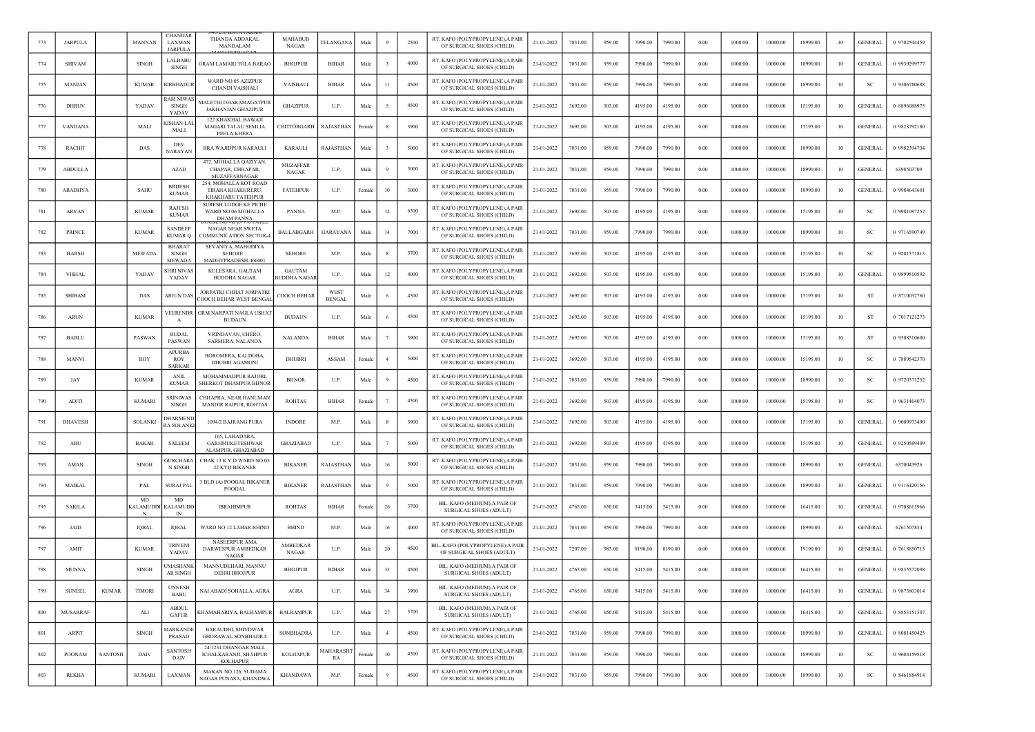| 773 | <b>JARPULA</b>  |                | <b>MANNAN</b>         | CHANDAR<br>LAXMAN<br><b>JARPULA</b>          | <b>THANDA ADDAKAL</b><br>MANDALAM                                                | <b>MAHABUE</b><br><b>NAGAR</b>       | TELANGANA                    | Male   |                | 2500 | RT. KAFO (POLYPROPYLENE), A PAIR<br>OF SURGICAL SHOES (CHILD) | 21-01-2022 | 7031.00 | 959.00 | 7990.00 | 7990.00 | 0.00 | 1000.00 | 10000.00 | 18990.00 | 10 | <b>GENERAL</b> | 0 9702544459 |
|-----|-----------------|----------------|-----------------------|----------------------------------------------|----------------------------------------------------------------------------------|--------------------------------------|------------------------------|--------|----------------|------|---------------------------------------------------------------|------------|---------|--------|---------|---------|------|---------|----------|----------|----|----------------|--------------|
| 774 | <b>SHIVAM</b>   |                | <b>SINGH</b>          | LALBABU<br>SINGH                             | <b>GRAM LAMARI TOLA BARAC</b>                                                    | <b>BHOJPUR</b>                       | <b>BIHAR</b>                 | Male   |                | 4000 | RT. KAFO (POLYPROPYLENE), A PAIR<br>OF SURGICAL SHOES (CHILD) | 21-01-2022 | 7031.00 | 959.00 | 7990.00 | 7990.00 | 0.00 | 1000.00 | 10000.00 | 18990.00 | 10 | <b>GENERAL</b> | 0 9939299777 |
| 775 | <b>MANJAN</b>   |                | <b>KUMAR</b>          | <b>BIRBHADUR</b>                             | WARD NO 05 AZIZPUR<br><b>CHANDI VAISHALI</b>                                     | VAISHALI                             | <b>BIHAR</b>                 | Male   | -11            | 4500 | RT. KAFO (POLYPROPYLENE),A PAIF<br>OF SURGICAL SHOES (CHILD)  | 21-01-2022 | 7031.00 | 959.00 | 7990.00 | 7990.00 | 0.00 | 1000.00 | 10000.00 | 18990.00 | 10 | <b>SC</b>      | 0 9306780688 |
| 776 | <b>DHRUV</b>    |                | YADAV                 | AM NIWA<br>SINGH<br>YADAV                    | MALETHI DHARAMAGATPUR<br><b>JAKHANIAN GHAZIPUR</b>                               | <b>GHAZIPUR</b>                      | U.P.                         | Male   |                | 4500 | RT. KAFO (POLYPROPYLENE), A PAIR<br>OF SURGICAL SHOES (CHILD) | 21-01-2022 | 3692.00 | 503.00 | 4195.00 | 4195.00 | 0.00 | 1000.00 | 10000.00 | 15195.00 | 10 | <b>GENERAL</b> | 0 8896088975 |
| 777 | <b>VANDANA</b>  |                | MALI                  | <b>ISHAN LAI</b><br>MALI                     | 122 KHAKHAL BAWAJI<br>MAGARI TALAU SEMLIA<br>PEELA KHERA                         | CHITTORGARH                          | RAJASTHAN                    | Female |                | 3900 | RT. KAFO (POLYPROPYLENE), A PAIR<br>OF SURGICAL SHOES (CHILD) | 21-01-2022 | 3692.00 | 503.00 | 4195.00 | 4195.00 | 0.00 | 1000.00 | 10000.00 | 15195.00 | 10 | <b>GENERAL</b> | 0 9828792180 |
| 778 | <b>RACHIT</b>   |                | DAS                   | DEV<br><b>NARAYAN</b>                        | <b>BRA WAJIDPUR KARAULI</b>                                                      | <b>KARAULI</b>                       | RAJASTHAN                    | Male   |                | 5000 | RT. KAFO (POLYPROPYLENE), A PAIR<br>OF SURGICAL SHOES (CHILD) | 21-01-2022 | 7031.00 | 959.00 | 7990.00 | 7990.00 | 0.00 | 1000.00 | 10000.00 | 18990.00 | 10 | <b>GENERAL</b> | 0 9982394734 |
| 779 | <b>ABDULLA</b>  |                |                       | <b>AZAD</b>                                  | 472, MOHALLA QAZIYAN,<br>CHAPAR, CHHAPAR,                                        | <b>MUZAFFAR</b><br>NAGAR             | U.P.                         | Male   |                | 5000 | RT. KAFO (POLYPROPYLENE), A PAIR<br>OF SURGICAL SHOES (CHILD) | 21-01-2022 | 7031.00 | 959.00 | 7990.00 | 7990.00 | 0.00 | 1000.00 | 10000.00 | 18990.00 | 10 | <b>GENERAL</b> | 6398503709   |
| 780 | <b>ARADHYA</b>  |                | <b>SAHU</b>           | <b>BRUESH</b><br><b>KUMAR</b>                | MUZAFFARNAGAR<br>254, MOHALLA KOT ROAD<br>TIRAHA KHAKHRERU.<br>KHAKHARU FATEHPUR | <b>FATEHPUR</b>                      | U.P.                         | Female | 10             | 3000 | RT. KAFO (POLYPROPYLENE),A PAIR<br>OF SURGICAL SHOES (CHILD)  | 21-01-2022 | 7031.00 | 959.00 | 7990.00 | 7990.00 | 0.00 | 1000.00 | 10000.00 | 18990.00 | 10 | <b>GENERAL</b> | 0 9984643601 |
| 781 | <b>ARYAN</b>    |                | <b>KUMAR</b>          | <b>RAJESH</b><br><b>KUMAR</b>                | <b>SURESH LODGE KE PICHE</b><br>WARD NO 06 MOHALLA                               | PANNA                                | M.P.                         | Male   | 12             | 6500 | RT. KAFO (POLYPROPYLENE), A PAIR<br>OF SURGICAL SHOES (CHILD) | 21-01-2022 | 3692.00 | 503.00 | 4195.00 | 4195.00 | 0.00 | 1000.00 | 10000.00 | 15195.00 | 10 | <sub>SC</sub>  | 0 9981097252 |
| 782 | <b>PRINCE</b>   |                | <b>KUMAR</b>          | <b>SANDEEP</b><br><b>KUMAR Q</b>             | <b>DHAM PANNA</b><br>NAGAR NEAR SWETA<br>COMMUNICATION SECTOR-4                  | <b>BALLABGARH</b>                    | <b>HARAYANA</b>              | Male   | 14             | 7000 | RT. KAFO (POLYPROPYLENE), A PAIR<br>OF SURGICAL SHOES (CHILD) | 21-01-2022 | 7031.00 | 959.00 | 7990.00 | 7990.00 | 0.00 | 1000.00 | 10000.00 | 18990.00 | 10 | <b>SC</b>      | 0 9716590749 |
| 783 | <b>HARSH</b>    |                | <b>MEWADA</b>         | <b>BHARAT</b><br>SINGH                       | SEVANIYA, MAHODIYA<br><b>SEHORE</b>                                              | <b>SEHORE</b>                        | M.P.                         | Male   |                | 3700 | RT. KAFO (POLYPROPYLENE), A PAIR<br>OF SURGICAL SHOES (CHILD) | 21-01-2022 | 3692.00 | 503.00 | 4195.00 | 4195.00 | 0.00 | 1000.00 | 10000.00 | 15195.00 | 10 | <b>SC</b>      | 0 9201371813 |
| 784 | <b>VISHAL</b>   |                | YADAV                 | <b>MEWADA</b><br><b>SHRI NIVAS</b><br>YADAV  | MADHYPRADESH-466001<br>KULESARA, GAUTAM<br><b>BUDDHA NAGAR</b>                   | <b>GAUTAM</b><br><b>BUDDHA NAGAR</b> | U.P.                         | Male   | 12             | 4000 | RT. KAFO (POLYPROPYLENE), A PAIR<br>OF SURGICAL SHOES (CHILD) | 21-01-2022 | 3692.00 | 503.00 | 4195.00 | 4195.00 | 0.00 | 1000.00 | 10000.00 | 15195.00 | 10 | <b>GENERAL</b> | 0 9899510592 |
| 785 | <b>SHIBAM</b>   |                | DAS                   | ARJUN DAS                                    | JORPATKI CHHAT JORPATKI<br>COOCH BEHAR WEST BENGA                                | COOCH BEHAR                          | <b>WEST</b><br><b>BENGAL</b> | Male   |                | 4500 | RT. KAFO (POLYPROPYLENE), A PAIR<br>OF SURGICAL SHOES (CHILD) | 21-01-2022 | 3692.00 | 503.00 | 4195.00 | 4195.00 | 0.00 | 1000.00 | 10000.00 | 15195.00 | 10 | ST             | 0 8710032760 |
| 786 | <b>ARUN</b>     |                | <b>KUMAR</b>          | VEERENDR<br>A                                | <b>GRM NARPATI NAGLA USHAT</b><br><b>BUDAUN</b>                                  | <b>BUDAUN</b>                        | U.P.                         | Male   |                | 4500 | RT. KAFO (POLYPROPYLENE), A PAIR<br>OF SURGICAL SHOES (CHILD) | 21-01-2022 | 3692.00 | 503.00 | 4195.00 | 4195.00 | 0.00 | 1000.00 | 10000.00 | 15195.00 | 10 | -ST            | 0 7017121273 |
| 787 | <b>BABLU</b>    |                | PASWAN                | <b>RUDAL</b><br>PASWAN                       | VRINDAVAN, CHERO,<br>SARMERA, NALANDA                                            | <b>NALANDA</b>                       | <b>BIHAR</b>                 | Male   |                | 3900 | RT. KAFO (POLYPROPYLENE), A PAIR<br>OF SURGICAL SHOES (CHILD) | 21-01-2022 | 3692.00 | 503.00 | 4195.00 | 4195.00 | 0.00 | 1000.00 | 10000.00 | 15195.00 | 10 | ST             | 0 9508510600 |
| 788 | MANVI           |                | <b>ROY</b>            | <b>APURBA</b><br><b>ROY</b>                  | BOROMERA, KALDOBA,<br><b>DHUBRI AGAMONI</b>                                      | <b>DHUBRI</b>                        | ASSAM                        | Female |                | 5000 | RT. KAFO (POLYPROPYLENE), A PAIR<br>OF SURGICAL SHOES (CHILD) | 21-01-2022 | 3692.00 | 503.00 | 4195.00 | 4195.00 | 0.00 | 1000.00 | 10000.00 | 15195.00 | 10 | <sub>SC</sub>  | 0 7889542370 |
| 789 | JAY             |                | <b>KUMAR</b>          | <b>SARKAR</b><br><b>ANIL</b><br><b>KUMAR</b> | MOHAMMADPUR RAJORI.<br>SHERKOT DHAMPUR BIJNOR                                    | <b>BIJNOR</b>                        | U.P.                         | Male   |                | 4500 | RT. KAFO (POLYPROPYLENE),A PAIF<br>OF SURGICAL SHOES (CHILD)  | 21-01-2022 | 7031.00 | 959.00 | 7990.00 | 7990.00 | 0.00 | 1000.00 | 10000.00 | 18990.00 | 10 | <b>SC</b>      | 0 9720371252 |
| 790 | ADITI           |                | <b>KUMARI</b>         | <b>SRINIWAS</b><br>SINGH                     | CHHAPRA, NEAR HANUMAN<br><b>MANDIR RAIPUR, ROHTAS</b>                            | <b>ROHTAS</b>                        | <b>BIHAR</b>                 | Female |                | 4500 | RT. KAFO (POLYPROPYLENE), A PAIR<br>OF SURGICAL SHOES (CHILD) | 21-01-2022 | 3692.00 | 503.00 | 4195.00 | 4195.00 | 0.00 | 1000.00 | 10000.00 | 15195.00 | 10 | <sub>SC</sub>  | 0 9631404073 |
| 791 | <b>BHAVESH</b>  |                | SOLANKI               | <b>HARMEN</b><br><b>RA SOLANK</b>            | 1094/2 BAJRANG PURA                                                              | <b>INDORE</b>                        | M.P.                         | Male   |                | 3900 | RT. KAFO (POLYPROPYLENE), A PAIR<br>OF SURGICAL SHOES (CHILD) | 21-01-2022 | 3692.00 | 503.00 | 4195.00 | 4195.00 | 0.00 | 1000.00 | 10000.00 | 15195.00 | 10 | GENERAI        | 0 9009973490 |
| 792 | ABU             |                | <b>BAKAR</b>          | <b>SALEEM</b>                                | 165, LAHADARA,<br><b>GARHMUKETESHWAR</b>                                         | GHAZIABAD                            | U.P.                         | Male   |                | 5000 | RT. KAFO (POLYPROPYLENE), A PAIR<br>OF SURGICAL SHOES (CHILD) | 21-01-2022 | 3692.00 | 503.00 | 4195.00 | 4195.00 | 0.00 | 1000.00 | 10000.00 | 15195.00 | 10 | <b>GENERAL</b> | 0 9250589409 |
| 793 | AMAN            |                | <b>SINGH</b>          | <b>GURCHARA</b><br>N SINGH                   | ALAMPUR, GHAZIABAD<br>CHAK 13 K Y D WARD NO 05<br><b>22 KYD BIKANER</b>          | <b>BIKANER</b>                       | RAJASTHAN                    | Male   | 16             | 5000 | RT. KAFO (POLYPROPYLENE), A PAIR<br>OF SURGICAL SHOES (CHILD) | 21-01-2022 | 7031.00 | 959.00 | 7990.00 | 7990.00 | 0.00 | 1000.00 | 10000.00 | 18990.00 | 10 | <b>GENERAL</b> | 6370043926   |
| 794 | <b>MAIKAL</b>   |                | PAL                   | SURAJ PAI                                    | <b>BLD</b> (A) POOGAL BIKANER<br>POOGAL                                          | <b>BIKANER</b>                       | RAJASTHAN                    | Male   |                | 5000 | RT. KAFO (POLYPROPYLENE), A PAIR<br>OF SURGICAL SHOES (CHILD) | 21-01-2022 | 7031.00 | 959.00 | 7990.00 | 7990.00 | 0.00 | 1000.00 | 10000.00 | 18990.00 | 10 | <b>GENERAL</b> | 0 9116420156 |
| 795 | <b>SAKILA</b>   |                | MD<br><b>KALAMUDD</b> | MD<br><b>CALAMUDI</b>                        | <b>IBRAHIMPUR</b>                                                                | <b>ROHTAS</b>                        | <b>BIHAR</b>                 | Female | 26             | 3700 | BIL. KAFO (MEDIUM).A PAIR OF<br>SURGICAL SHOES (ADULT)        | 21-01-2022 | 4765.00 | 650.00 | 5415.00 | 5415.00 | 0.00 | 1000.00 | 10000.00 | 16415.00 | 10 | <b>GENERAL</b> | 0 9708615966 |
| 796 | JAID            |                | <b>IQBAL</b>          | IN<br>IQBAL                                  | WARD NO 12 LAHAR BHIND                                                           | <b>BHIND</b>                         | M.P.                         | Male   | 16             | 4000 | RT. KAFO (POLYPROPYLENE), A PAIR<br>OF SURGICAL SHOES (CHILD) | 21-01-2022 | 7031.00 | 959.00 | 7990.00 | 7990.00 | 0.00 | 1000.00 | 10000.00 | 18990.00 | 10 | <b>GENERAL</b> | 6261507834   |
| 797 | AMIT            |                | <b>KUMAR</b>          | <b>TRIVENI</b><br>YADAV                      | <b>NASEERPUR AMA</b><br>DARWESPUR AMBEDKAR<br>NAGAR                              | <b>AMBEDKAR</b><br><b>NAGAR</b>      | U.P.                         | Male   | 20             | 4500 | BIL. KAFO (POLYPROPYLENE).A PAIR<br>OF SURGICAL SHOES (ADULT) | 21-01-2022 | 7207.00 | 983.00 | 8190.00 | 8190.00 | 0.00 | 1000.00 | 10000.00 | 19190.00 | 10 | <b>GENERAL</b> | 0 7618850713 |
| 798 | <b>MUNNA</b>    |                | <b>SINGH</b>          | MASHANK<br><b>AR SINGH</b>                   | MANNUDEHARI, MANNU<br><b>DEHRI BHOJPUR</b>                                       | <b>BHOJPUR</b>                       | <b>BIHAR</b>                 | Male   | 33             | 4500 | BIL. KAFO (MEDIUM), A PAIR OF<br>SURGICAL SHOES (ADULT)       | 21-01-2022 | 4765.00 | 650.00 | 5415.00 | 5415.00 | 0.00 | 1000.00 | 10000.00 | 16415.00 | 10 | GENERAL        | 0 9835572098 |
| 799 | <b>SUNEEL</b>   | <b>KUMAR</b>   | <b>TIMORI</b>         | <b>UNNESH</b><br>BABU                        | NAI ABADI SOHALLA, AGRA                                                          | AGRA                                 | U.P.                         | Male   | 34             | 3900 | BIL. KAFO (MEDIUM), A PAIR OF<br>SURGICAL SHOES (ADULT)       | 21-01-2022 | 4765.00 | 650.00 | 5415.00 | 5415.00 | 0.00 | 1000.00 | 10000.00 | 16415.00 | 10 | <b>GENERAL</b> | 0 9873803014 |
| 800 | <b>MUSARRAF</b> |                | ALI                   | <b>ABDUL</b><br><b>GAFUR</b>                 | KHAMAHARIYA, BALRAMPUR                                                           | <b>BALRAMPUR</b>                     | U.P.                         | Male   | 27             | 3700 | BIL. KAFO (MEDIUM), A PAIR OF<br>SURGICAL SHOES (ADULT)       | 21-01-2022 | 4765.00 | 650.00 | 5415.00 | 5415.00 | 0.00 | 1000.00 | 10000.00 | 16415.00 | 10 | <b>GENERAL</b> | 0 8853151307 |
| 801 | ARPIT           |                | <b>SINGH</b>          | <b>ARKANDE</b><br>PRASAD                     | <b>BARAUDHI, SHIVDWAR</b><br>GHORAWAL SONBHADRA                                  | SONBHADRA                            | U.P.                         | Male   | $\overline{4}$ | 4500 | RT. KAFO (POLYPROPYLENE), A PAIR<br>OF SURGICAL SHOES (CHILD) | 21-01-2022 | 7031.00 | 959.00 | 7990.00 | 7990.00 | 0.00 | 1000.00 | 10000.00 | 18990.00 | 10 | <b>GENERAL</b> | 0 8081450425 |
| 802 | POONAM          | <b>SANTOSH</b> | DAIV                  | <b>SANTOSH</b><br>DAIV                       | 24/1234 DHANGAR MALL<br>ICHALKARANJI, SHAHPUR<br><b>KOLHAPUR</b>                 | <b>KOLHAPUR</b>                      | MAHARASHT<br>RA              | Female | 10             | 4500 | RT. KAFO (POLYPROPYLENE), A PAIR<br>OF SURGICAL SHOES (CHILD) | 21-01-2022 | 7031.00 | 959.00 | 7990.00 | 7990.00 | 0.00 | 1000.00 | 10000.00 | 18990.00 | 10 | <b>SC</b>      | 0 9604159518 |
| 803 | REKHA           |                | <b>KUMARI</b>         | LAXMAN                                       | MAKAN NO.126, SUDAMA<br>NAGAR PUNASA, KHANDWA                                    | <b>KHANDAWA</b>                      | M.P.                         | Female | 9              | 4500 | RT. KAFO (POLYPROPYLENE), A PAIR<br>OF SURGICAL SHOES (CHILD) | 21-01-2022 | 7031.00 | 959.00 | 7990.00 | 7990.00 | 0.00 | 1000.00 | 10000.00 | 18990.00 | 10 | SC             | 0 8461884914 |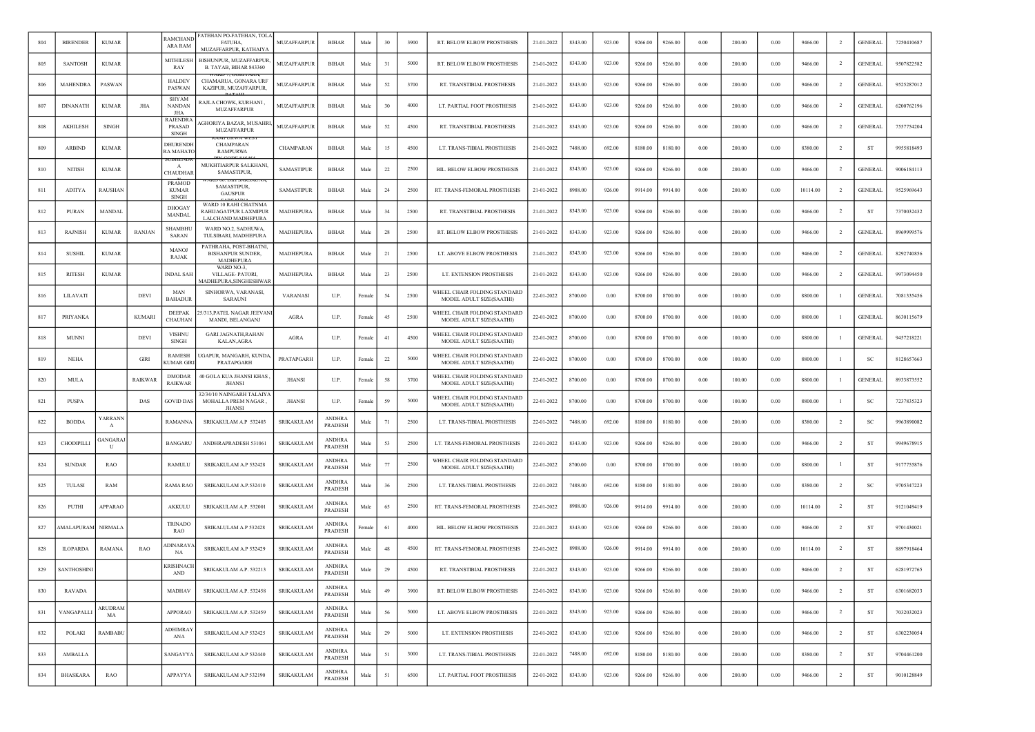| 804 | <b>BIRENDER</b>    | <b>KUMAR</b>       |                | <b>RAMCHANL</b><br>ARA RAM                    | ATEHAN PO-FATEHAN, TOL/<br><b>FATUHA.</b><br>MUZAFFARPUR, KATHAIYA     | <b>MUZAFFARPUR</b> | <b>BIHAR</b>                    | Male   | 30 | 3900 | RT. BELOW ELBOW PROSTHESIS                               | 21-01-2022 | 8343.00 | 923.00 | 9266.00 | 9266.00 | 0.00       | 200.00 | 0.00     | 9466.00  | $\overline{2}$ | <b>GENERAL</b> | 7250410687 |
|-----|--------------------|--------------------|----------------|-----------------------------------------------|------------------------------------------------------------------------|--------------------|---------------------------------|--------|----|------|----------------------------------------------------------|------------|---------|--------|---------|---------|------------|--------|----------|----------|----------------|----------------|------------|
| 805 | <b>SANTOSH</b>     | <b>KUMAR</b>       |                | MITHILESH<br>RAY                              | BISHUNPUR, MUZAFFARPUR,<br>B. TAYAB, BIHAR 843360                      | <b>MUZAFFARPUR</b> | <b>BIHAR</b>                    | Male   | 31 | 5000 | RT. BELOW ELBOW PROSTHESIS                               | 21-01-2022 | 8343.00 | 923.00 | 9266.00 | 9266.00 | 0.00       | 200.00 | 0.00     | 9466.00  | $\overline{2}$ | <b>GENERAL</b> | 9507822582 |
| 806 | <b>MAHENDRA</b>    | PASWAN             |                | <b>HALDEV</b><br>PASWAN                       | CHAMARUA, GONARA URI<br>KAZIPUR, MUZAFFARPUR,                          | MUZAFFARPUR        | <b>BIHAR</b>                    | Male   | 52 | 3700 | RT. TRANSTIBIAL PROSTHESIS                               | 21-01-2022 | 8343.00 | 923.00 | 9266.00 | 9266.00 | 0.00       | 200.00 | 0.00     | 9466.00  | <sup>2</sup>   | <b>GENERAL</b> | 9525287012 |
| 807 | <b>DINANATH</b>    | <b>KUMAR</b>       | JHA            | <b>SHYAM</b><br>NANDAN<br>JHA                 | RAJLA CHOWK, KURHANI,<br><b>MUZAFFARPUR</b>                            | MUZAFFARPUR        | BIHAR                           | Male   | 30 | 4000 | LT. PARTIAL FOOT PROSTHESIS                              | 21-01-2022 | 8343.00 | 923.00 | 9266.00 | 9266.00 | 0.00       | 200.00 | 0.00     | 9466.00  | -2             | <b>GENERAL</b> | 6200762196 |
| 808 | AKHILESH           | <b>SINGH</b>       |                | RAJENDRA<br>PRASAD<br><b>SINGH</b>            | AGHORIYA BAZAR, MUSAHRI<br>MUZAFFARPUR                                 | MUZAFFARPUR        | <b>BIHAR</b>                    | Male   | 52 | 4500 | RT. TRANSTIBIAL PROSTHESIS                               | 21-01-2022 | 8343.00 | 923.00 | 9266.00 | 9266.00 | 0.00       | 200.00 | 0.00     | 9466.00  | $\overline{2}$ | <b>GENERAL</b> | 7557754204 |
| 809 | <b>ARBIND</b>      | <b>KUMAR</b>       |                | <b>DHURENDE</b><br><b>RAMAHATO</b>            | CHAMPARAN<br><b>RAMPURWA</b>                                           | CHAMPARAN          | <b>BIHAR</b>                    | Male   | 15 | 4500 | LT. TRANS-TIBIAL PROSTHESIS                              | 21-01-2022 | 7488.00 | 692.00 | 8180.00 | 8180.00 | 0.00       | 200.00 | 0.00     | 8380.00  | $\overline{2}$ | ST             | 9955818493 |
| 810 | <b>NITISH</b>      | <b>KUMAR</b>       |                | A<br>CHAUDHAR                                 | MUKHTIARPUR SALKHANI,<br>SAMASTIPUR,                                   | <b>SAMASTIPUR</b>  | <b>BIHAR</b>                    | Male   | 22 | 2500 | BIL. BELOW ELBOW PROSTHESIS                              | 21-01-2022 | 8343.00 | 923.00 | 9266.00 | 9266.00 | 0.00       | 200.00 | 0.00     | 9466.00  | $\overline{2}$ | <b>GENERAL</b> | 9006184113 |
| 811 | <b>ADITYA</b>      | RAUSHAN            |                | <b>PRAMOD</b><br><b>KUMAR</b><br><b>SINGH</b> | SAMASTIPUR<br><b>GAUSPUR</b>                                           | <b>SAMASTIPUR</b>  | <b>BIHAR</b>                    | Male   | 24 | 2500 | RT. TRANS-FEMORAL PROSTHESIS                             | 21-01-2022 | 8988.00 | 926.00 | 9914.00 | 9914.00 | 0.00       | 200.00 | 0.00     | 10114.00 | $\overline{2}$ | <b>GENERAL</b> | 9525969643 |
| 812 | PURAN              | MANDAI             |                | DHOGAY<br><b>MANDAL</b>                       | WARD 10 RAHI CHATNMA<br>RAHIJAGATPUR LAXMIPUR<br>LALCHAND MADHEPURA    | MADHEPURA          | <b>BIHAR</b>                    | Male   | 34 | 2500 | RT. TRANSTIBIAL PROSTHESIS                               | 21-01-2022 | 8343.00 | 923.00 | 9266.00 | 9266.00 | 0.00       | 200.00 | 0.00     | 9466.00  | $\overline{2}$ | ST             | 7370032432 |
| 813 | <b>RAJNISH</b>     | <b>KUMAR</b>       | <b>RANJAN</b>  | <b>SHAMBHU</b><br><b>SARAN</b>                | WARD NO.2, SADHUWA.<br>TULSIBARI, MADHEPURA                            | <b>MADHEPURA</b>   | BIHAR                           | Male   | 28 | 2500 | RT. BELOW ELBOW PROSTHESIS                               | 21-01-2022 | 8343.00 | 923.00 | 9266.00 | 9266.00 | 0.00       | 200.00 | 0.00     | 9466.00  | <sup>2</sup>   | <b>GENERAL</b> | 8969999576 |
| 814 | <b>SUSHIL</b>      | <b>KUMAR</b>       |                | MANOJ<br><b>RAJAK</b>                         | PATHRAHA, POST-BHATNI,<br><b>BISHANPUR SUNDER.</b><br><b>MADHEPURA</b> | MADHEPURA          | BIHAR                           | Male   | 21 | 2500 | LT. ABOVE ELBOW PROSTHESIS                               | 21-01-2022 | 8343.00 | 923.00 | 9266.00 | 9266.00 | 0.00       | 200.00 | 0.00     | 9466.00  | $\overline{2}$ | <b>GENERAL</b> | 8292740856 |
| 815 | <b>RITESH</b>      | <b>KUMAR</b>       |                | <b>INDAL SAH</b>                              | WARD NO-3,<br>VILLAGE-PATORI,<br><b>MADHEPURA,SINGHESHWAR</b>          | MADHEPURA          | <b>BIHAR</b>                    | Male   | 23 | 2500 | LT. EXTENSION PROSTHESIS                                 | 21-01-2022 | 8343.00 | 923.00 | 9266.00 | 9266.00 | 0.00       | 200.00 | 0.00     | 9466.00  | $\overline{2}$ | <b>GENERAL</b> | 9973094450 |
| 816 | LILAVATI           |                    | DEVI           | MAN<br><b>BAHADUR</b>                         | SINHORWA, VARANASI<br><b>SARAUNI</b>                                   | VARANASI           | U.P.                            | Female | 54 | 2500 | WHEEL CHAIR FOLDING STANDARD<br>MODEL ADULT SIZE(SAATHI) | 22-01-2022 | 8700.00 | 0.00   | 8700.00 | 8700.00 | 0.00       | 100.00 | 0.00     | 8800.00  | - 1            | <b>GENERAL</b> | 7081335456 |
| 817 | PRIYANKA           |                    | <b>KUMARI</b>  | <b>DEEPAK</b><br>CHAUHAN                      | 5/313, PATEL NAGAR JEEVANI<br>MANDI, BELANGANJ                         | AGRA               | U.P.                            | Female | 45 | 2500 | WHEEL CHAIR FOLDING STANDARD<br>MODEL ADULT SIZE(SAATHI) | 22-01-2022 | 8700.00 | 0.00   | 8700.00 | 8700.00 | 0.00       | 100.00 | 0.00     | 8800.00  | $\mathbf{1}$   | <b>GENERAL</b> | 8630115679 |
| 818 | <b>MUNNI</b>       |                    | <b>DEVI</b>    | VISHNU<br><b>SINGH</b>                        | <b>GARI JAGNATH, RAHAN</b><br>KALAN, AGRA                              | AGRA               | U.P.                            | Female | 41 | 4500 | WHEEL CHAIR FOLDING STANDARD<br>MODEL ADULT SIZE(SAATHI) | 22-01-2022 | 8700.00 | 0.00   | 8700.00 | 8700.00 | 0.00       | 100.00 | 0.00     | 8800.00  | -1             | <b>GENERAL</b> | 9457218221 |
| 819 | NEHA               |                    | <b>GIRI</b>    | RAMESH<br><b>CUMAR GIR</b>                    | JGAPUR, MANGARH, KUNDA<br>PRATAPGARH                                   | PRATAPGARH         | U.P.                            | Female | 22 | 5000 | WHEEL CHAIR FOLDING STANDARD<br>MODEL ADULT SIZE(SAATHI) | 22-01-2022 | 8700.00 | 0.00   | 8700.00 | 8700.00 | $0.00\,$   | 100.00 | 0.00     | 8800.00  | -1             | SC             | 8128657663 |
| 820 | <b>MULA</b>        |                    | <b>RAIKWAR</b> | <b>DMODAR</b><br><b>RAIKWAR</b>               | 40 GOLA KUA JHANSI KHAS<br><b>JHANSI</b>                               | <b>JHANSI</b>      | U.P.                            | Female | 58 | 3700 | WHEEL CHAIR FOLDING STANDARD<br>MODEL ADULT SIZE(SAATHI) | 22-01-2022 | 8700.00 | 0.00   | 8700.00 | 8700.00 | 0.00       | 100.00 | 0.00     | 8800.00  | - 1            | <b>GENERAL</b> | 8933873552 |
| 821 | PUSPA              |                    | DAS            | GOVID DAS                                     | 32/34/10 NAINGARH TALAIY.<br>MOHALLA PREM NAGAR,<br>JHANSI             | <b>JHANSI</b>      | U.P.                            | Female | 59 | 5000 | WHEEL CHAIR FOLDING STANDARD<br>MODEL ADULT SIZE(SAATHI) | 22-01-2022 | 8700.00 | 0.00   | 8700.00 | 8700.00 | 0.00       | 100.00 | 0.00     | 8800.00  | -1             | SC             | 7237835323 |
| 822 | <b>BODDA</b>       | <b>ARRANN</b><br>A |                | <b>RAMANNA</b>                                | SRIKAKULAM A.P 532403                                                  | SRIKAKULAM         | <b>ANDHRA</b><br><b>PRADESH</b> | Male   | 71 | 2500 | LT. TRANS-TIBIAL PROSTHESIS                              | 22-01-2022 | 7488.00 | 692.00 | 8180.00 | 8180.00 | 0.00       | 200.00 | 0.00     | 8380.00  | $\overline{2}$ | <sub>SC</sub>  | 9963890082 |
| 823 | CHODIPILLI         | ANGARA.<br>U       |                | <b>BANGARL</b>                                | ANDHRAPRADESH 531061                                                   | SRIKAKULAM         | ANDHRA<br><b>PRADESH</b>        | Male   | 53 | 2500 | LT. TRANS-FEMORAL PROSTHESIS                             | 22-01-2022 | 8343.00 | 923.00 | 9266.00 | 9266.00 | 0.00       | 200.00 | 0.00     | 9466.00  | $\overline{2}$ | ST             | 9949678915 |
| 824 | <b>SUNDAR</b>      | <b>RAO</b>         |                | RAMULU                                        | SRIKAKULAM A.P 532428                                                  | SRIKAKULAM         | <b>ANDHRA</b><br><b>PRADESH</b> | Male   | 77 | 2500 | WHEEL CHAIR FOLDING STANDARD<br>MODEL ADULT SIZE(SAATHI) | 22-01-2022 | 8700.00 | 0.00   | 8700.00 | 8700.00 | 0.00       | 100.00 | 0.00     | 8800.00  | $\mathbf{1}$   | ST             | 9177755876 |
| 825 | TULASI             | <b>RAM</b>         |                | RAMA RAO                                      | SRIKAKULAM A.P.532410                                                  | SRIKAKULAM         | ANDHRA<br>PRADESH               | Male   | 36 | 2500 | LT. TRANS-TIBIAL PROSTHESIS                              | 22-01-2022 | 7488.00 | 692.00 | 8180.00 | 8180.00 | 0.00       | 200.00 | 0.00     | 8380.00  | $\overline{2}$ | SC             | 9705347223 |
| 826 | PUTHI              | <b>APPARAO</b>     |                | AKKULU                                        | SRIKAKULAM A.P. 532001                                                 | SRIKAKULAM         | <b>ANDHRA</b><br>PRADESH        | Male   | 65 | 2500 | RT. TRANS-FEMORAL PROSTHESIS                             | 22-01-2022 | 8988.00 | 926.00 | 9914.00 | 9914.00 | 0.00       | 200.00 | 0.00     | 10114.00 | $\overline{2}$ | <b>ST</b>      | 9121049419 |
| 827 | <b>MALAPURAM</b>   | <b>NIRMALA</b>     |                | <b>TRINADO</b><br>RAO                         | SRIKALULAM A.P 532428                                                  | <b>SRIKAKULAM</b>  | <b>ANDHRA</b><br>PRADESH        | Female | 61 | 4000 | BIL. BELOW ELBOW PROSTHESIS                              | 22-01-2022 | 8343.00 | 923.00 | 9266.00 | 9266.00 | 0.00       | 200.00 | 0.00     | 9466.00  | $\overline{2}$ | ST             | 9701430021 |
| 828 | <b>ILOPARDA</b>    | RAMANA             | RAO            | <b>DINARAY</b><br>NA                          | SRIKAKULAM A.P 532429                                                  | SRIKAKULAM         | <b>ANDHRA</b><br>PRADESH        | Male   | 48 | 4500 | RT. TRANS-FEMORAL PROSTHESIS                             | 22-01-2022 | 8988.00 | 926.00 | 9914.00 | 9914.00 | 0.00       | 200.00 | 0.00     | 10114.00 | $\overline{2}$ | ST             | 8897918464 |
| 829 | <b>SANTHOSHINI</b> |                    |                | <b>KRISHNACI</b><br>AND                       | SRIKAKULAM A.P. 532213                                                 | <b>SRIKAKULAM</b>  | <b>ANDHRA</b><br><b>PRADESH</b> | Male   | 29 | 4500 | RT. TRANSTIBIAL PROSTHESIS                               | 22-01-2022 | 8343.00 | 923.00 | 9266.00 | 9266.00 | 0.00       | 200.00 | 0.00     | 9466.00  | $\overline{2}$ | ST             | 6281972765 |
| 830 | RAVADA             |                    |                | MADHAV                                        | SRIKAKULAM A.P. 532458                                                 | <b>SRIKAKULAM</b>  | <b>ANDHRA</b><br><b>PRADESH</b> | Male   | 49 | 3900 | RT. BELOW ELBOW PROSTHESIS                               | 22-01-2022 | 8343.00 | 923.00 | 9266.00 | 9266.00 | 0.00       | 200.00 | 0.00     | 9466.00  | $\overline{2}$ | ST             | 6301682033 |
| 831 | VANGAPALLI         | ARUDRAM<br>MA      |                | APPORAO                                       | SRIKAKULAM A.P. 532459                                                 | SRIKAKULAM         | <b>ANDHRA</b><br>PRADESH        | Male   | 56 | 5000 | LT. ABOVE ELBOW PROSTHESIS                               | 22-01-2022 | 8343.00 | 923.00 | 9266.00 | 9266.00 | 0.00       | 200.00 | $0.00\,$ | 9466.00  | $\overline{2}$ | ST             | 7032032023 |
| 832 | POLAKI             | <b>RAMBABU</b>     |                | ADHIMRAY<br>ANA                               | SRIKAKULAM A.P 532425                                                  | SRIKAKULAM         | <b>ANDHRA</b><br>PRADESH        | Male   | 29 | 5000 | LT. EXTENSION PROSTHESIS                                 | 22-01-2022 | 8343.00 | 923.00 | 9266.00 | 9266.00 | 0.00       | 200.00 | 0.00     | 9466.00  | $\overline{2}$ | ST             | 6302230054 |
| 833 | AMBALLA            |                    |                | SANGAYYA                                      | SRIKAKULAM A.P 532440                                                  | SRIKAKULAM         | <b>ANDHRA</b><br>PRADESH        | Male   | 51 | 3000 | LT. TRANS-TIBIAL PROSTHESIS                              | 22-01-2022 | 7488.00 | 692.00 | 8180.00 | 8180.00 | $0.00\,$   | 200.00 | $0.00\,$ | 8380.00  | $\overline{2}$ | ST             | 9704461200 |
| 834 | <b>BHASKARA</b>    | RAO                |                | APPAYYA                                       | SRIKAKULAM A.P 532190                                                  | SRIKAKULAM         | <b>ANDHRA</b><br>PRADESH        | Male   | 51 | 6500 | LT. PARTIAL FOOT PROSTHESIS                              | 22-01-2022 | 8343.00 | 923.00 | 9266.00 | 9266.00 | $\rm 0.00$ | 200.00 | 0.00     | 9466.00  | $\overline{2}$ | ST             | 9010128849 |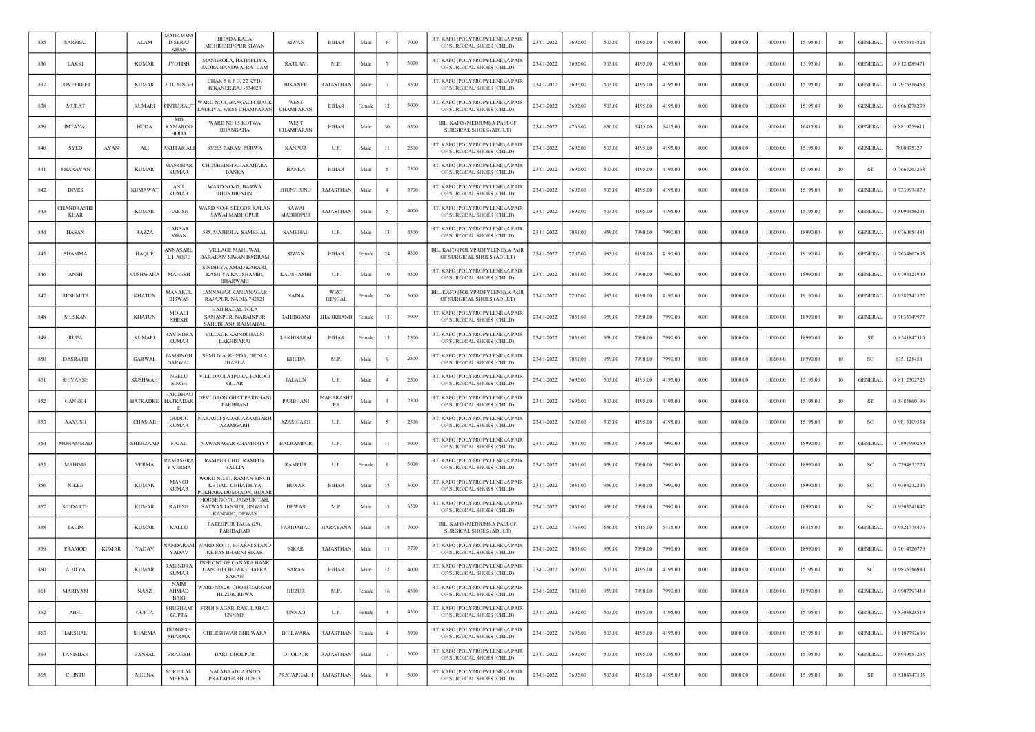| 835 | <b>SARFRAJ</b>           |              | <b>ALAM</b>     | MAHAMM/<br><b>D SERAJ</b><br><b>KHAN</b> | <b>BHADA KALA</b><br>MOHIUDDINPUR SIWAN                                     | <b>SIWAN</b>             | <b>BIHAR</b>                      | Male   |                   | 7000 | RT. KAFO (POLYPROPYLENE), A PAIR<br>OF SURGICAL SHOES (CHILD)  | 23-01-2022 | 3692.00 | 503.00 | 4195.00 | 4195.00 | 0.00 | 1000.00 | 10000.00 | 15195.00 | 10 | <b>GENERAL</b> | 0 9955414824 |
|-----|--------------------------|--------------|-----------------|------------------------------------------|-----------------------------------------------------------------------------|--------------------------|-----------------------------------|--------|-------------------|------|----------------------------------------------------------------|------------|---------|--------|---------|---------|------|---------|----------|----------|----|----------------|--------------|
| 836 | LAKKI                    |              | <b>KUMAR</b>    | <b>JYOTISH</b>                           | MANGROLA, HATPIPLIYA,<br>JAORA BANDWA, RATLAM                               | RATLAM                   | M.P.                              | Male   |                   | 5000 | RT. KAFO (POLYPROPYLENE), A PAIR<br>OF SURGICAL SHOES (CHILD)  | 23-01-2022 | 3692.00 | 503.00 | 4195.00 | 4195.00 | 0.00 | 1000.00 | 10000.00 | 15195.00 | 10 | <b>GENERAL</b> | 0 8120289471 |
| 837 | LOVEPREET                |              | <b>KUMAR</b>    | <b>JITU SINGH</b>                        | CHAK 5 K J D, 22 KYD,<br>BIKANER, RAJ.-334023                               | <b>BIKANER</b>           | <b>RAJASTHAN</b>                  | Male   |                   | 3500 | RT. KAFO (POLYPROPYLENE),A PAIF<br>OF SURGICAL SHOES (CHILD)   | 23-01-2022 | 3692.00 | 503.00 | 4195.00 | 4195.00 | 0.00 | 1000.00 | 10000.00 | 15195.00 | 10 | <b>GENERAL</b> | 0 7976316458 |
| 838 | <b>MURAT</b>             |              | <b>KUMARI</b>   | <b>INTU RAUT</b>                         | VARD NO.4, BANGALI CHAUK<br>AURIYA, WEST CHAMPARAN                          | WEST<br>CHAMPARAN        | <b>BIHAR</b>                      | Female | 12                | 5000 | RT. KAFO (POLYPROPYLENE), A PAIR<br>OF SURGICAL SHOES (CHILD)  | 23-01-2022 | 3692.00 | 503.00 | 4195.00 | 4195.00 | 0.00 | 1000.00 | 10000.00 | 15195.00 | 10 | <b>GENERAL</b> | 0 9060278239 |
| 839 | <b>IMTAYAJ</b>           |              | HODA            | MD<br>KAMARO0<br>HODA                    | WARD NO 05 KOTWA<br>BHANGAHA                                                | WEST<br>CHAMPARAN        | <b>BIHAR</b>                      | Male   | 30                | 6500 | BIL. KAFO (MEDIUM), A PAIR OF<br>SURGICAL SHOES (ADULT)        | 23-01-2022 | 4765.00 | 650.00 | 5415.00 | 5415.00 | 0.00 | 1000.00 | 10000.00 | 16415.00 | 10 | <b>GENERAL</b> | 0 8810259611 |
| 840 | <b>SYED</b>              | AYAN         | ALI             | AKHTAR AL                                | 83/205 PARAM PURWA                                                          | <b>KANPUR</b>            | U.P.                              | Male   | 11                | 2500 | RT. KAFO (POLYPROPYLENE), A PAIR<br>OF SURGICAL SHOES (CHILD)  | 23-01-2022 | 3692.00 | 503.00 | 4195.00 | 4195.00 | 0.00 | 1000.00 | 10000.00 | 15195.00 | 10 | <b>GENERAL</b> | 7800875327   |
| 841 | SHARAVAN                 |              | <b>KUMAR</b>    | MANOHAR<br><b>KUMAR</b>                  | CHOUBEDIH KHARAHARA<br><b>BANKA</b>                                         | <b>BANKA</b>             | <b>BIHAR</b>                      | Male   |                   | 2500 | RT. KAFO (POLYPROPYLENE), A PAIR<br>OF SURGICAL SHOES (CHILD)  | 23-01-2022 | 3692.00 | 503.00 | 4195.00 | 4195.00 | 0.00 | 1000.00 | 10000.00 | 15195.00 | 10 | <b>ST</b>      | 0 7667263268 |
| 842 | <b>DIVES</b>             |              | <b>KUMAWAT</b>  | <b>ANIL</b><br><b>KUMAR</b>              | WARD NO-07, BARWA<br><b>JHUNJHUNUN</b>                                      | JHUNJHUNU                | RAJASTHAN                         | Male   |                   | 3700 | RT. KAFO (POLYPROPYLENE),A PAIR<br>OF SURGICAL SHOES (CHILD)   | 23-01-2022 | 3692.00 | 503.00 | 4195.00 | 4195.00 | 0.00 | 1000.00 | 10000.00 | 15195.00 | 10 | <b>GENERAL</b> | 0 7339974879 |
| 843 | HANDRASHE<br><b>KHAR</b> |              | <b>KUMAR</b>    | <b>HARISH</b>                            | WARD NO.4, SEEGOR KALAN<br><b>SAWAI MADHOPUR</b>                            | SAWAI<br><b>MADHOPUR</b> | RAJASTHAN                         | Male   |                   | 4000 | RT. KAFO (POLYPROPYLENE), A PAIR<br>OF SURGICAL SHOES (CHILD)  | 23-01-2022 | 3692.00 | 503.00 | 4195.00 | 4195.00 | 0.00 | 1000.00 | 10000.00 | 15195.00 | 10 | <b>GENERAL</b> | 0 8094456231 |
| 844 | <b>HASAN</b>             |              | RAZZA           | JABBAF<br><b>KHAN</b>                    | 585, MAJHOLA, SAMBHAL                                                       | <b>SAMBHAL</b>           | U.P.                              | Male   | 13                | 4500 | RT. KAFO (POLYPROPYLENE),A PAIF<br>OF SURGICAL SHOES (CHILD)   | 23-01-2022 | 7031.00 | 959.00 | 7990.00 | 7990.00 | 0.00 | 1000.00 | 10000.00 | 18990.00 | 10 | <b>GENERAL</b> | 0 9760654481 |
| 845 | <b>SHAMMA</b>            |              | <b>HAQUE</b>    | ANNASARL<br>L HAQUE                      | VILLAGE MAHUWAL<br><b>BARARAM SIWAN BADRAM</b>                              | <b>SIWAN</b>             | <b>BIHAR</b>                      | Female | 24                | 4500 | BIL. KAFO (POLYPROPYLENE), A PAIR<br>OF SURGICAL SHOES (ADULT) | 23-01-2022 | 7207.00 | 983.00 | 8190.00 | 8190.00 | 0.00 | 1000.00 | 10000.00 | 19190.00 | 10 | <b>GENERAL</b> | 0 7634867603 |
| 846 | ANSH                     |              | <b>KUSHWAHA</b> | <b>MAHESH</b>                            | SINDHIYA AMAD KARARI,<br>KASHIYA KAUSHAMBI,<br><b>BHARWARI</b>              | <b>KAUSHAMBI</b>         | U.P.                              | Male   | 10                | 4500 | RT. KAFO (POLYPROPYLENE), A PAIR<br>OF SURGICAL SHOES (CHILD)  | 23-01-2022 | 7031.00 | 959.00 | 7990.00 | 7990.00 | 0.00 | 1000.00 | 10000.00 | 18990.00 | 10 | <b>GENERAL</b> | 0 9794121949 |
| 847 | <b>RESHMITA</b>          |              | <b>KHATUN</b>   | MANARUI<br><b>BISWAS</b>                 | <b>JANNAGAR KANIANAGAR</b><br>RAJAPUR, NADIA 742121                         | <b>NADIA</b>             | WES <sub>1</sub><br><b>BENGAL</b> | `emal  | 20                | 5000 | BIL. KAFO (POLYPROPYLENE), A PAIF<br>OF SURGICAL SHOES (ADULT) | 23-01-2022 | 7207.00 | 983.00 | 8190.00 | 8190.00 | 0.00 | 1000.00 | 10000.00 | 19190.00 | 10 | <b>GENERAL</b> | 0 9382343522 |
| 848 | <b>MUSKAN</b>            |              | <b>KHATUN</b>   | MO ALI<br><b>SHEKH</b>                   | <b>HAJI BADAL TOLA</b><br><b>SAMASPUR, NARAINPUR</b><br>SAHEBGANJ, RAJMAHAL | <b>SAHIBGANJ</b>         | <b>HARKHAND</b>                   | Female | 13                | 5000 | RT. KAFO (POLYPROPYLENE), A PAIR<br>OF SURGICAL SHOES (CHILD)  | 23-01-2022 | 7031.00 | 959.00 | 7990.00 | 7990.00 | 0.00 | 1000.00 | 10000.00 | 18990.00 | 10 | <b>GENERAL</b> | 0 7033749977 |
| 849 | <b>RUPA</b>              |              | <b>KUMARI</b>   | <b>RAVINDRA</b><br><b>KUMAR</b>          | VILLAGE-KAINDI HALSI<br>LAKHISARAI                                          | LAKHISARAI               | BIHAR                             | Female | 13                | 2500 | RT. KAFO (POLYPROPYLENE), A PAIR<br>OF SURGICAL SHOES (CHILD)  | 23-01-2022 | 7031.00 | 959.00 | 7990.00 | 7990.00 | 0.00 | 1000.00 | 10000.00 | 18990.00 | 10 | ST             | 0 8541847510 |
| 850 | <b>DASRATH</b>           |              | <b>GARWAL</b>   | <b>JAMSINGH</b><br><b>GARWAI</b>         | SEMLIYA, KHEDA, DEDLA<br><b>JHABUA</b>                                      | <b>KHEDA</b>             | M.P.                              | Male   |                   | 2500 | RT. KAFO (POLYPROPYLENE), A PAIR<br>OF SURGICAL SHOES (CHILD)  | 23-01-2022 | 7031.00 | 959.00 | 7990.00 | 7990.00 | 0.00 | 1000.00 | 10000.00 | 18990.00 | 10 | <sub>SC</sub>  | 6351128458   |
| 851 | <b>SHIVANSH</b>          |              | <b>KUSHWAH</b>  | NEELL<br><b>SINGH</b>                    | VILL DAULATPURA, HARDOI<br><b>GUJAR</b>                                     | JALAUN                   | U.P.                              | Male   |                   | 2500 | RT. KAFO (POLYPROPYLENE). A PAIF<br>OF SURGICAL SHOES (CHILD)  | 23-01-2022 | 3692.00 | 503.00 | 4195.00 | 4195.00 | 0.00 | 1000.00 | 10000.00 | 15195.00 | 10 | <b>GENERAL</b> | 0 8112302725 |
| 852 | <b>GANESH</b>            |              | <b>HATKADKE</b> | HARIBHAI<br>HATKADAK                     | DEVLGAON GHAT PARBHANI<br>PARBHANI                                          | <b>PARBHAN</b>           | MAHARASH<br>RA                    | Male   |                   | 2500 | RT. KAFO (POLYPROPYLENE), A PAIR<br>OF SURGICAL SHOES (CHILD)  | 23-01-2022 | 3692.00 | 503.00 | 4195.00 | 4195.00 | 0.00 | 1000.00 | 10000.00 | 15195.00 | 10 | ST             | 0 8485860196 |
| 853 | AAYUSH                   |              | <b>CHAMAR</b>   | <b>GUDDU</b><br><b>KUMAR</b>             | VARAULI SADAR AZAMGARH<br><b>AZAMGARH</b>                                   | AZAMGARH                 | U.P.                              | Male   |                   | 2500 | RT. KAFO (POLYPROPYLENE), A PAIR<br>OF SURGICAL SHOES (CHILD)  | 23-01-2022 | 3692.00 | 503.00 | 4195.00 | 4195.00 | 0.00 | 1000.00 | 10000.00 | 15195.00 | 10 | <b>SC</b>      | 0 9813109354 |
| 854 | MOHAMMAD                 |              | SHEHZAAD        | FAJAL                                    | NAWANAGAR KHAMHRIYA                                                         | <b>BALRAMPUR</b>         | U.P.                              | Male   | 11                | 5000 | RT. KAFO (POLYPROPYLENE), A PAIR<br>OF SURGICAL SHOES (CHILD)  | 23-01-2022 | 7031.00 | 959.00 | 7990.00 | 7990.00 | 0.00 | 1000.00 | 10000.00 | 18990.00 | 10 | <b>GENERAL</b> | 0 7897990259 |
| 855 | <b>MAHIMA</b>            |              | <b>VERMA</b>    | <b>RAMASHR</b><br><b>Y VERMA</b>         | RAMPUR CHIT. RAMPUR<br><b>BALLIA</b>                                        | <b>RAMPUR</b>            | U.P.                              | Female |                   | 5000 | RT. KAFO (POLYPROPYLENE), A PAIR<br>OF SURGICAL SHOES (CHILD)  | 23-01-2022 | 7031.00 | 959.00 | 7990.00 | 7990.00 | 0.00 | 1000.00 | 10000.00 | 18990.00 | 10 | <sub>SC</sub>  | 0 7394855220 |
| 856 | <b>NIKEE</b>             |              | <b>KUMAR</b>    | <b>MANOJ</b><br><b>KUMAR</b>             | WORD NO.17, RAMAN SINGH<br>KE GALI CHHATHIYA<br>OKHARA DUMRAON, BUXA        | <b>BUXAR</b>             | <b>BIHAR</b>                      | Male   | 15                | 3000 | RT. KAFO (POLYPROPYLENE), A PAIR<br>OF SURGICAL SHOES (CHILD)  | 23-01-2022 | 7031.00 | 959.00 | 7990.00 | 7990.00 | 0.00 | 1000.00 | 10000.00 | 18990.00 | 10 | SC             | 0 9304212246 |
| 857 | <b>SIDDARTH</b>          |              | <b>KUMAR</b>    | <b>RAJESH</b>                            | HOUSE NO.70, JANSUR TAH<br><b>SATWAS JANSUR, JINWANI</b><br>KANNOD, DEWAS   | <b>DEWAS</b>             | M.P.                              | Male   | 15                | 6500 | RT. KAFO (POLYPROPYLENE), A PAIR<br>OF SURGICAL SHOES (CHILD)  | 23-01-2022 | 7031.00 | 959.00 | 7990.00 | 7990.00 | 0.00 | 1000.00 | 10000.00 | 18990.00 | 10 | <b>SC</b>      | 0 9303241042 |
| 858 | <b>TALIM</b>             |              | <b>KUMAR</b>    | <b>KALLU</b>                             | FATEHPUR TAGA (29),<br>FARIDABAD                                            | <b>FARIDABAD</b>         | HARAYANA                          | Male   | 18                | 7000 | BIL. KAFO (MEDIUM), A PAIR OF<br><b>SURGICAL SHOES (ADULT)</b> | 23-01-2022 | 4765.00 | 650.00 | 5415.00 | 5415.00 | 0.00 | 1000.00 | 10000.00 | 16415.00 | 10 | <b>GENERAL</b> | 0 9821778476 |
| 859 | <b>PRAMOD</b>            | <b>KUMAR</b> | YADAV           | <b>JANDARAM</b><br>YADAV                 | WARD NO.11, BHARNI STANE<br><b>KE PAS BHARNI SIKAR</b>                      | <b>SIKAR</b>             | RAJASTHAN                         | Male   | 11                | 3700 | RT. KAFO (POLYPROPYLENE) A PAIR<br>OF SURGICAL SHOES (CHILD)   | 23-01-2022 | 7031.00 | 959.00 | 7990.00 | 7990.00 | 0.00 | 1000.00 | 10000.00 | 18990.00 | 10 | <b>GENERAL</b> | 0 7014726779 |
| 860 | <b>ADITYA</b>            |              | <b>KUMAR</b>    | <b>RABINDR</b><br><b>KUMAR</b>           | INFRONT OF CANARA BANK<br><b>GANDHI CHOWK CHAPRA</b><br><b>SARAN</b>        | <b>SARAN</b>             | <b>BIHAR</b>                      | Male   | 12                | 4000 | RT. KAFO (POLYPROPYLENE), A PAIR<br>OF SURGICAL SHOES (CHILD)  | 23-01-2022 | 3692.00 | 503.00 | 4195.00 | 4195.00 | 0.00 | 1000.00 | 10000.00 | 15195.00 | 10 | -SC            | 0 9835286980 |
| 861 | <b>MARIYAM</b>           |              | <b>NAAZ</b>     | <b>NAIM</b><br>AHMAD<br>BAIG             | WARD NO.20, CHOTI DARGAH<br>HUZUR, REWA                                     | <b>HUZUR</b>             | M.P.                              | Female | 16                | 4500 | RT. KAFO (POLYPROPYLENE), A PAIR<br>OF SURGICAL SHOES (CHILD)  | 23-01-2022 | 7031.00 | 959.00 | 7990.00 | 7990.00 | 0.00 | 1000.00 | 10000.00 | 18990.00 | 10 | <b>GENERAL</b> | 0 9907397410 |
| 862 | ABHI                     |              | <b>GUPTA</b>    | <b>SHUBHAM</b><br><b>GUPTA</b>           | FIROJ NAGAR, RASULABAD<br>UNNAO,                                            | <b>UNNAO</b>             | U.P.                              | Female | $\overline{4}$    | 4500 | RT. KAFO (POLYPROPYLENE), A PAIR<br>OF SURGICAL SHOES (CHILD)  | 23-01-2022 | 3692.00 | 503.00 | 4195.00 | 4195.00 | 0.00 | 1000.00 | 10000.00 | 15195.00 | 10 | <b>GENERAL</b> | 0 8303828519 |
| 863 | <b>HARSHALI</b>          |              | <b>SHARMA</b>   | <b>DURGESH</b><br>SHARMA                 | CHILESHWAR BHILWARA                                                         | <b>BHILWARA</b>          | RAJASTHAN                         | Female | $\mathbf{\Delta}$ | 3900 | RT. KAFO (POLYPROPYLENE), A PAIR<br>OF SURGICAL SHOES (CHILD)  | 23-01-2022 | 3692.00 | 503.00 | 4195.00 | 4195.00 | 0.00 | 1000.00 | 10000.00 | 15195.00 | 10 | <b>GENERAL</b> | 0 8107792606 |
| 864 | <b>TANISHAK</b>          |              | <b>BANSAL</b>   | <b>BRAJESH</b>                           | <b>BARI, DHOLPUR</b>                                                        | <b>DHOLPUR</b>           | <b>RAJASTHAN</b>                  | Male   | 7                 | 5000 | RT. KAFO (POLYPROPYLENE), A PAIR<br>OF SURGICAL SHOES (CHILD)  | 23-01-2022 | 3692.00 | 503.00 | 4195.00 | 4195.00 | 0.00 | 1000.00 | 10000.00 | 15195.00 | 10 | <b>GENERAL</b> | 0 8949557235 |
| 865 | CHINTU                   |              | <b>MEENA</b>    | <b>SUKH LAL</b><br><b>MEENA</b>          | NAI ABAADI ARNOD<br>PRATAPGARH 312615                                       | PRATAPGARH               | RAJASTHAN                         | Male   | 8                 | 5000 | RT. KAFO (POLYPROPYLENE), A PAIR<br>OF SURGICAL SHOES (CHILD)  | 23-01-2022 | 3692.00 | 503.00 | 4195.00 | 4195.00 | 0.00 | 1000.00 | 10000.00 | 15195.00 | 10 | ST             | 0 8104747505 |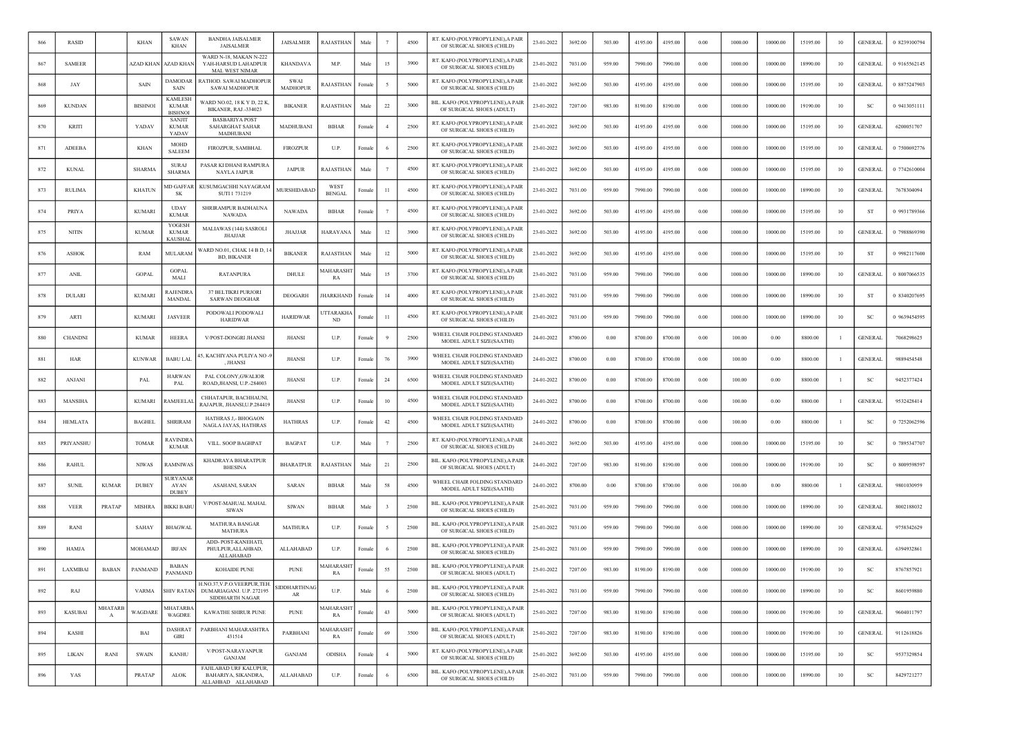| 866 | RASID          |                                | <b>KHAN</b>    | <b>SAWAN</b><br><b>KHAN</b>                      | <b>BANDHA JAISALMER</b><br><b>JAISALMEE</b>                               | JAISALMER                      | RAJASTHAN                    | Male   |                | 4500 | RT. KAFO (POLYPROPYLENE), A PAIR<br>OF SURGICAL SHOES (CHILD)  | 23-01-2022 | 3692.00 | 503.00 | 4195.00 | 4195.00 | 0.00 | 1000.00 | 10000.00 | 15195.00 | 10   | <b>GENERAL</b> | 0 8239100794 |
|-----|----------------|--------------------------------|----------------|--------------------------------------------------|---------------------------------------------------------------------------|--------------------------------|------------------------------|--------|----------------|------|----------------------------------------------------------------|------------|---------|--------|---------|---------|------|---------|----------|----------|------|----------------|--------------|
| 867 | <b>SAMEER</b>  |                                | AZAD KHAN      | <b>ZAD KHAN</b>                                  | WARD N-18, MAKAN N-222<br>YAH-HARSUD LAHADPUR<br><b>MAL WEST NIMAR</b>    | <b>KHANDAVA</b>                | M.P.                         | Male   | 15             | 3900 | RT. KAFO (POLYPROPYLENE), A PAIR<br>OF SURGICAL SHOES (CHILD)  | 23-01-2022 | 7031.00 | 959.00 | 7990.00 | 7990.00 | 0.00 | 1000.00 | 10000.00 | 18990.00 | 10   | <b>GENERAL</b> | 0 9165562145 |
| 868 | JAY            |                                | <b>SAIN</b>    | DAMODAR<br>SAIN                                  | RATHOD. SAWAI MADHOPUI<br><b>SAWAI MADHOPUR</b>                           | <b>SWAI</b><br><b>MADHOPUR</b> | RAJASTHAN                    | Female |                | 5000 | RT. KAFO (POLYPROPYLENE),A PAIF<br>OF SURGICAL SHOES (CHILD)   | 23-01-2022 | 3692.00 | 503.00 | 4195.00 | 4195.00 | 0.00 | 1000.00 | 10000.00 | 15195.00 | 10   | <b>GENERAL</b> | 0 8875247903 |
| 869 | <b>KUNDAN</b>  |                                | <b>BISHNOI</b> | <b>KAMLESF</b><br><b>KUMAR</b><br><b>BISHNOI</b> | WARD NO.02, 18 K Y D, 22 K,<br><b>BIKANER, RAJ.-334023</b>                | <b>BIKANER</b>                 | RAJASTHAN                    | Male   | 22             | 3000 | BIL. KAFO (POLYPROPYLENE), A PAIR<br>OF SURGICAL SHOES (ADULT) | 23-01-2022 | 7207.00 | 983.00 | 8190.00 | 8190.00 | 0.00 | 1000.00 | 10000.00 | 19190.00 | 10   | <b>SC</b>      | 0 9413051111 |
| 870 | <b>KRITI</b>   |                                | YADAV          | <b>SANJIT</b><br><b>KUMAR</b><br>YADAV           | <b>BASBARIYA POST</b><br><b>SAHARGHAT SAHAR</b><br><b>MADHUBANI</b>       | MADHUBANI                      | <b>BIHAR</b>                 | Female |                | 2500 | RT. KAFO (POLYPROPYLENE), A PAIR<br>OF SURGICAL SHOES (CHILD)  | 23-01-2022 | 3692.00 | 503.00 | 4195.00 | 4195.00 | 0.00 | 1000.00 | 10000.00 | 15195.00 | 10   | <b>GENERAL</b> | 6200051707   |
| 871 | <b>ADEEBA</b>  |                                | <b>KHAN</b>    | <b>MOHD</b><br><b>SALEEM</b>                     | FIROZPUR, SAMBHAL                                                         | <b>FIROZPUR</b>                | U.P.                         | Femal  |                | 2500 | RT. KAFO (POLYPROPYLENE), A PAIR<br>OF SURGICAL SHOES (CHILD)  | 23-01-2022 | 3692.00 | 503.00 | 4195.00 | 4195.00 | 0.00 | 1000.00 | 10000.00 | 15195.00 | 10   | <b>GENERAL</b> | 0 7500692776 |
| 872 | <b>KUNAL</b>   |                                | <b>SHARMA</b>  | <b>SURAJ</b><br><b>SHARMA</b>                    | PASAR KI DHANI RAMPURA<br><b>NAYLA JAIPUR</b>                             | <b>JAIPUR</b>                  | RAJASTHAN                    | Male   |                | 4500 | RT. KAFO (POLYPROPYLENE), A PAIR<br>OF SURGICAL SHOES (CHILD)  | 23-01-2022 | 3692.00 | 503.00 | 4195.00 | 4195.00 | 0.00 | 1000.00 | 10000.00 | 15195.00 | 10   | <b>GENERAL</b> | 0 7742610004 |
| 873 | <b>RULIMA</b>  |                                | <b>KHATUN</b>  | (ID GAFFAR<br>-SK                                | KUSUMGACHHI NAYAGRAM<br>SUTI 1731219                                      | <b>MURSHIDABAD</b>             | <b>WEST</b><br><b>BENGAL</b> | Female | 11             | 4500 | RT. KAFO (POLYPROPYLENE),A PAIR<br>OF SURGICAL SHOES (CHILD)   | 23-01-2022 | 7031.00 | 959.00 | 7990.00 | 7990.00 | 0.00 | 1000.00 | 10000.00 | 18990.00 | 10   | <b>GENERAL</b> | 7678304094   |
| 874 | PRIYA          |                                | <b>KUMARI</b>  | <b>UDAY</b><br><b>KUMAR</b>                      | SHRIRAMPUR BADHAUNA<br><b>NAWADA</b>                                      | NAWADA                         | <b>BIHAR</b>                 | Femal  |                | 4500 | RT. KAFO (POLYPROPYLENE), A PAIR<br>OF SURGICAL SHOES (CHILD)  | 23-01-2022 | 3692.00 | 503.00 | 4195.00 | 4195.00 | 0.00 | 1000.00 | 10000.00 | 15195.00 | 10   | ST             | 0 9931789366 |
| 875 | <b>NITIN</b>   |                                | <b>KUMAR</b>   | YOGESH<br><b>KUMAR</b><br><b>KAUSHAI</b>         | MALIAWAS (144) SASROLI<br><b>JHAJJAR</b>                                  | <b>JHAJJAR</b>                 | HARAYANA                     | Male   | 12             | 3900 | RT. KAFO (POLYPROPYLENE),A PAIF<br>OF SURGICAL SHOES (CHILD)   | 23-01-2022 | 3692.00 | 503.00 | 4195.00 | 4195.00 | 0.00 | 1000.00 | 10000.00 | 15195.00 | 10   | <b>GENERAL</b> | 0 7988869390 |
| 876 | <b>ASHOK</b>   |                                | RAM            | MULARAM                                          | WARD NO.01, CHAK 14 B D, 1<br><b>BD, BIKANER</b>                          | <b>BIKANER</b>                 | RAJASTHAN                    | Male   | 12             | 5000 | RT. KAFO (POLYPROPYLENE), A PAIR<br>OF SURGICAL SHOES (CHILD)  | 23-01-2022 | 3692.00 | 503.00 | 4195.00 | 4195.00 | 0.00 | 1000.00 | 10000.00 | 15195.00 | 10   | ST             | 0 9982117600 |
| 877 | <b>ANIL</b>    |                                | <b>GOPAL</b>   | <b>GOPAL</b><br>MALI                             | <b>RATANPURA</b>                                                          | DHULE                          | MAHARASHT<br>RA              | Male   | 15             | 3700 | RT. KAFO (POLYPROPYLENE), A PAIR<br>OF SURGICAL SHOES (CHILD)  | 23-01-2022 | 7031.00 | 959.00 | 7990.00 | 7990.00 | 0.00 | 1000.00 | 10000.00 | 18990.00 | 10   | <b>GENERAL</b> | 0 8007066535 |
| 878 | <b>DULARI</b>  |                                | <b>KUMARI</b>  | <b>RAJENDR</b><br>MANDAL                         | 37 BELTIKRI PURJOR<br>SARWAN DEOGHAR                                      | <b>DEOGARH</b>                 | HARKHAND                     | Femal  | 14             | 4000 | RT. KAFO (POLYPROPYLENE), A PAIR<br>OF SURGICAL SHOES (CHILD)  | 23-01-2022 | 7031.00 | 959.00 | 7990.00 | 7990.00 | 0.00 | 1000.00 | 10000.00 | 18990.00 | 10   | ST             | 0 8340207695 |
| 879 | ARTI           |                                | <b>KUMARI</b>  | <b>JASVEER</b>                                   | PODOWALI PODOWALI<br><b>HARIDWAR</b>                                      | <b>HARIDWAR</b>                | <b>JTTARAKH</b><br>ND        | Femal  | -11            | 4500 | RT. KAFO (POLYPROPYLENE), A PAIR<br>OF SURGICAL SHOES (CHILD)  | 23-01-2022 | 7031.00 | 959.00 | 7990.00 | 7990.00 | 0.00 | 1000.00 | 10000.00 | 18990.00 | 10   | -SC            | 0 9639454595 |
| 880 | <b>CHANDNI</b> |                                | <b>KUMAR</b>   | <b>HEERA</b>                                     | V/POST-DONGRI JHANSI                                                      | <b>JHANSI</b>                  | U.P.                         | Female |                | 2500 | WHEEL CHAIR FOLDING STANDARD<br>MODEL ADULT SIZE(SAATHI)       | 24-01-2022 | 8700.00 | 0.00   | 8700.00 | 8700.00 | 0.00 | 100.00  | 0.00     | 8800.00  | -1   | <b>GENERAL</b> | 7068298625   |
| 881 | HAR            |                                | <b>KUNWAR</b>  | <b>BABU LAL</b>                                  | 15, KACHIYANA PULIYA NO<br>, JHANSI                                       | <b>JHANSI</b>                  | U.P.                         | Female |                | 3900 | WHEEL CHAIR FOLDING STANDARD<br>MODEL ADULT SIZE(SAATHI)       | 24-01-2022 | 8700.00 | 0.00   | 8700.00 | 8700.00 | 0.00 | 100.00  | 0.00     | 8800.00  |      | <b>GENERAL</b> | 9889454548   |
| 882 | <b>ANJANI</b>  |                                | PAL            | <b>HARWAN</b><br>PAL                             | PAL COLONY, GWALIOR<br>ROAD, JHANSI, U.P.-284003                          | <b>JHANSI</b>                  | U.P.                         | Female | 24             | 6500 | WHEEL CHAIR FOLDING STANDARD<br>MODEL ADULT SIZE(SAATHI)       | 24-01-2022 | 8700.00 | 0.00   | 8700.00 | 8700.00 | 0.00 | 100.00  | 0.00     | 8800.00  |      | SC             | 9452377424   |
| 883 | MANSIHA        |                                | <b>KUMARI</b>  | <b>AMJEELAI</b>                                  | CHHATAPUR, BACHHAUNI,<br>RAJAPUR, JHANSI, U.P.284419                      | JHANSI                         | U.P.                         | Female | 10             | 4500 | WHEEL CHAIR FOLDING STANDARD<br>MODEL ADULT SIZE(SAATHI)       | 24-01-2022 | 8700.00 | 0.00   | 8700.00 | 8700.00 | 0.00 | 100.00  | 0.00     | 8800.00  | -1   | <b>GENERAL</b> | 9532428414   |
| 884 | HEMLATA        |                                | <b>BAGHEL</b>  | <b>SHRIRAM</b>                                   | HATHRAS J,- BHOGAON<br><b>NAGLA JAYAS, HATHRAS</b>                        | <b>HATHRAS</b>                 | U.P.                         | Female | 42             | 4500 | WHEEL CHAIR FOLDING STANDARD<br>MODEL ADULT SIZE(SAATHI)       | 24-01-2022 | 8700.00 | 0.00   | 8700.00 | 8700.00 | 0.00 | 100.00  | 0.00     | 8800.00  |      | SC.            | 0 7252062596 |
| 885 | PRIYANSHU      |                                | <b>TOMAR</b>   | <b>RAVINDR</b><br><b>KUMAR</b>                   | VILL. SOOP BAGHPAT                                                        | <b>BAGPAT</b>                  | U.P.                         | Male   |                | 2500 | RT. KAFO (POLYPROPYLENE), A PAIR<br>OF SURGICAL SHOES (CHILD)  | 24-01-2022 | 3692.00 | 503.00 | 4195.00 | 4195.00 | 0.00 | 1000.00 | 10000.00 | 15195.00 | 10   | <b>SC</b>      | 0 7895347707 |
| 886 | <b>RAHUL</b>   |                                | <b>NIWAS</b>   | RAMNIWAS                                         | KHADRAYA BHARATPUR<br><b>BHESINA</b>                                      | <b>BHARATPUR</b>               | <b>RAJASTHAN</b>             | Male   | 21             | 2500 | BIL. KAFO (POLYPROPYLENE).A PAIR<br>OF SURGICAL SHOES (ADULT)  | 24-01-2022 | 7207.00 | 983.00 | 8190.00 | 8190.00 | 0.00 | 1000.00 | 10000.00 | 19190.00 | 10   | -SC            | 0 8009598597 |
| 887 | <b>SUNIL</b>   | <b>KUMAR</b>                   | <b>DUBEY</b>   | <b>SURYANA</b><br>AYAN<br><b>DUBEY</b>           | ASAHANI, SARAN                                                            | SARAN                          | <b>BIHAR</b>                 | Male   | 58             | 4500 | WHEEL CHAIR FOLDING STANDARD<br>MODEL ADULT SIZE(SAATHI)       | 24-01-2022 | 8700.00 | 0.00   | 8700.00 | 8700.00 | 0.00 | 100.00  | 0.00     | 8800.00  | -1   | <b>GENERAL</b> | 9801030959   |
| 888 | <b>VEER</b>    | <b>PRATAP</b>                  | <b>MISHRA</b>  | BIKKI BABU                                       | V/POST-MAHUAL MAHAL<br><b>SIWAN</b>                                       | <b>SIWAN</b>                   | <b>BIHAR</b>                 | Male   |                | 2500 | BIL. KAFO (POLYPROPYLENE), A PAIR<br>OF SURGICAL SHOES (CHILD) | 25-01-2022 | 7031.00 | 959.00 | 7990.00 | 7990.00 | 0.00 | 1000.00 | 10000.00 | 18990.00 | 10   | <b>GENERAL</b> | 8002188032   |
| 889 | RANI           |                                | SAHAY          | <b>BHAGWAI</b>                                   | <b>MATHURA BANGAR</b><br><b>MATHURA</b>                                   | <b>MATHURA</b>                 | U.P.                         | Female |                | 2500 | BIL. KAFO (POLYPROPYLENE),A PAIR<br>OF SURGICAL SHOES (CHILD)  | 25-01-2022 | 7031.00 | 959.00 | 7990.00 | 7990.00 | 0.00 | 1000.00 | 10000.00 | 18990.00 | 10   | <b>GENERAL</b> | 9758342629   |
| 890 | HAMJA          |                                | MOHAMAD        | <b>IRFAN</b>                                     | ADD-POST-KANEHATI<br>PHULPUR, ALLAHBAD,<br>ALLAHABAD                      | ALLAHABAD                      | U.P.                         | Female |                | 2500 | BIL. KAFO (POLYPROPYLENE).A PAIR<br>OF SURGICAL SHOES (CHILD)  | 25-01-2022 | 7031.00 | 959.00 | 7990.00 | 7990.00 | 0.00 | 1000.00 | 10000.00 | 18990.00 | 10   | <b>GENERAL</b> | 6394932861   |
| 891 | LAXMIBAI       | <b>BABAN</b>                   | PANMAND        | <b>BABAN</b><br>PANMAND                          | KOHAIDE PUNE                                                              | <b>PUNE</b>                    | MAHARASHT<br>RA              | Female | 55             | 2500 | BIL. KAFO (POLYPROPYLENE), A PAIR<br>OF SURGICAL SHOES (ADULT) | 25-01-2022 | 7207.00 | 983.00 | 8190.00 | 8190.00 | 0.00 | 1000.00 | 10000.00 | 19190.00 | 10   | SC             | 8767857921   |
| 892 | RAJ            |                                | <b>VARMA</b>   | <b>SHIV RATAN</b>                                | H.NO.37,V.P.O.VEERPUR,TEH.<br>DUMARIAGANJ. U.P. 272195<br>SIDDHARTH NAGAR | SIDDHARTHNAG<br>AR             | U.P.                         | Male   |                | 2500 | BIL. KAFO (POLYPROPYLENE), A PAIR<br>OF SURGICAL SHOES (CHILD) | 25-01-2022 | 7031.00 | 959.00 | 7990.00 | 7990.00 | 0.00 | 1000.00 | 10000.00 | 18990.00 | $10$ | <b>SC</b>      | 8601959880   |
| 893 | <b>KASUBAI</b> | <b>MHATARB</b><br>$\mathbf{A}$ | <b>WAGDARE</b> | MHATARBA<br>WAGDRE                               | KAWATHE SHIRUR PUNE                                                       | <b>PUNE</b>                    | MAHARASHT<br>RA              | Female | 43             | 5000 | BIL. KAFO (POLYPROPYLENE), A PAIR<br>OF SURGICAL SHOES (ADULT) | 25-01-2022 | 7207.00 | 983.00 | 8190.00 | 8190.00 | 0.00 | 1000.00 | 10000.00 | 19190.00 | 10   | <b>GENERAL</b> | 9604011797   |
| 894 | KASHI          |                                | BAI            | <b>DASHRAT</b><br>GIRI                           | PARBHANI MAHARASHTRA<br>431514                                            | PARBHANI                       | MAHARASHT<br>RA              | Female | 69             | 3500 | BIL. KAFO (POLYPROPYLENE), A PAIR<br>OF SURGICAL SHOES (ADULT) | 25-01-2022 | 7207.00 | 983.00 | 8190.00 | 8190.00 | 0.00 | 1000.00 | 10000.00 | 19190.00 | 10   | <b>GENERAL</b> | 9112618826   |
| 895 | LIKAN          | RANI                           | SWAIN          | <b>KANHU</b>                                     | V/POST-NARAYANPUR<br><b>GANJAM</b>                                        | <b>GANJAM</b>                  | ODISHA                       | Female | $\overline{4}$ | 5000 | RT. KAFO (POLYPROPYLENE), A PAIR<br>OF SURGICAL SHOES (CHILD)  | 25-01-2022 | 3692.00 | 503.00 | 4195.00 | 4195.00 | 0.00 | 1000.00 | 10000.00 | 15195.00 | 10   | <b>SC</b>      | 9537329854   |
| 896 | YAS            |                                | PRATAP         | ALOK                                             | FAJILABAD URF KALUPUR,<br>BAHARIYA, SIKANDRA,<br>ALLAHBAD ALLAHABAD       | ALLAHABAD                      | U.P.                         | Female |                | 6500 | BIL. KAFO (POLYPROPYLENE), A PAIR<br>OF SURGICAL SHOES (CHILD) | 25-01-2022 | 7031.00 | 959.00 | 7990.00 | 7990.00 | 0.00 | 1000.00 | 10000.00 | 18990.00 | 10   | <sub>SC</sub>  | 8429721277   |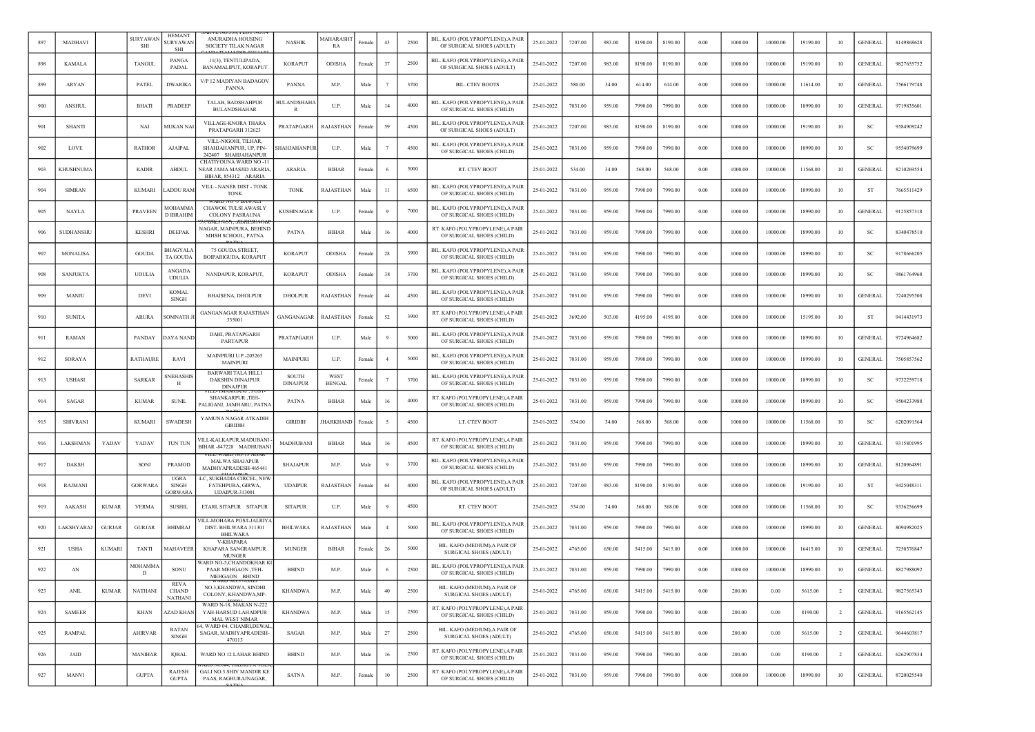|     | MADHAVI         |               | <b>SURYAWA</b><br>SHI | <b>HEMANT</b><br>SURYAWAN<br><b>SHI</b>       | ANURADHA HOUSING<br><b>SOCIETY TILAK NAGAR</b>                             | <b>NASHIK</b>                   | <i>A</i> AHARASH'<br>RA | Femalo | 43             | 2500 | BIL. KAFO (POLYPROPYLENE), A PAIR<br>OF SURGICAL SHOES (ADULT) | 25-01-2022 | 7207.00 | 983.00 | 8190.00 | 8190.00 | 0.00     | 1000.00 | 10000.00 | 19190.00 | 10             | <b>GENERAL</b> | 8149868628 |
|-----|-----------------|---------------|-----------------------|-----------------------------------------------|----------------------------------------------------------------------------|---------------------------------|-------------------------|--------|----------------|------|----------------------------------------------------------------|------------|---------|--------|---------|---------|----------|---------|----------|----------|----------------|----------------|------------|
| 898 | <b>KAMALA</b>   |               | <b>TANGUL</b>         | PANGA<br>PADAL                                | 11(3), TENTULIPADA,<br>BANAMALIPUT, KORAPUT                                | <b>KORAPUT</b>                  | ODISHA                  | Femal  | 37             | 2500 | BIL. KAFO (POLYPROPYLENE), A PAIR<br>OF SURGICAL SHOES (ADULT) | 25-01-2022 | 7207.00 | 983.00 | 8190.00 | 8190.00 | $0.00\,$ | 1000.00 | 10000.00 | 19190.00 | 10             | <b>GENERAL</b> | 9827655752 |
| 899 | ARYAN           |               | PATEL                 | <b>DWARIKA</b>                                | V/P 12 MADIYAN BADAGOV<br>PANNA                                            | <b>PANNA</b>                    | M.P.                    | Male   | $\overline{7}$ | 3700 | <b>BIL. CTEV BOOTS</b>                                         | 25-01-2022 | 580.00  | 34.00  | 614.00  | 614.00  | 0.00     | 1000.00 | 10000.00 | 11614.00 | 10             | <b>GENERAL</b> | 7566179748 |
| 900 | ANSHUI          |               | <b>BHATI</b>          | PRADEEP                                       | TALAB, BADSHAHPUR<br><b>BULANDSHAHAR</b>                                   | <b>BULANDSHAHA</b><br>R         | U.P.                    | Male   | 14             | 4000 | BIL. KAFO (POLYPROPYLENE), A PAIR<br>OF SURGICAL SHOES (CHILD) | 25-01-2022 | 7031.00 | 959.00 | 7990.00 | 7990.00 | 0.00     | 1000.00 | 10000.00 | 18990.00 | 10             | <b>GENERAL</b> | 9719835601 |
| 901 | <b>SHANTI</b>   |               | NAI                   | MUKAN NAI                                     | VILLAGE-KNORA THARA<br>PRATAPGARH 312623                                   | PRATAPGARH                      | RAJASTHAN               | Femal  | 59             | 4500 | BIL. KAFO (POLYPROPYLENE), A PAIR<br>OF SURGICAL SHOES (ADULT) | 25-01-2022 | 7207.00 | 983.00 | 8190.00 | 8190.00 | 0.00     | 1000.00 | 10000.00 | 19190.00 | 10             | -SC            | 9584909242 |
| 902 | LOVE            |               | <b>RATHOR</b>         | <b>AJAIPAL</b>                                | VILL-NIGOHI, TILHAR,<br>SHAHJAHANPUR, UP, PIN-<br>242407 SHAHJAHANPUR      | SHAHJAHANPUF                    | U.P.                    | Mak    |                | 4500 | BIL. KAFO (POLYPROPYLENE), A PAIR<br>OF SURGICAL SHOES (CHILD) | 25-01-2022 | 7031.00 | 959.00 | 7990.00 | 7990.00 | 0.00     | 1000.00 | 10000.00 | 18990.00 | 10             | -SC            | 9554079699 |
| 903 | KHUSHNUMA       |               | <b>KADIR</b>          | <b>ABDUL</b>                                  | CHATIYOUNA WARD NO -11<br>NEAR JAMA MASJID ARARIA,<br>BIHAR, 854312 ARARIA | ARARIA                          | <b>BIHAR</b>            | Female |                | 5000 | RT. CTEV BOOT                                                  | 25-01-2022 | 534.00  | 34.00  | 568.00  | 568.00  | 0.00     | 1000.00 | 10000.00 | 11568.00 | 10             | <b>GENERAL</b> | 8210269554 |
| 904 | <b>SIMRAN</b>   |               | <b>KUMARI</b>         | <b>ADDU RAM</b>                               | VILL - NANER DIST - TONK<br><b>TONK</b>                                    | <b>TONK</b>                     | RAJASTHAN               | Male   | 11             | 6500 | BIL. KAFO (POLYPROPYLENE),A PAIR<br>OF SURGICAL SHOES (CHILD)  | 25-01-2022 | 7031.00 | 959.00 | 7990.00 | 7990.00 | 0.00     | 1000.00 | 10000.00 | 18990.00 | 10             | ST             | 7665511429 |
| 905 | <b>NAYLA</b>    |               | <b>PRAVEEN</b>        | <b>MOHAMMA</b><br><b>D IBRAHIM</b>            | CHAWOK TULSI AWASLY<br><b>COLONY PASRAUNA</b>                              | <b>KUSHINAGAR</b>               | U.P.                    | Femal  |                | 7000 | BIL. KAFO (POLYPROPYLENE), A PAIR<br>OF SURGICAL SHOES (CHILD) | 25-01-2022 | 7031.00 | 959.00 | 7990.00 | 7990.00 | 0.00     | 1000.00 | 10000.00 | 18990.00 | 10             | <b>GENERAL</b> | 9125857318 |
| 906 | SUDHANSHU       |               | <b>KESHRI</b>         | <b>DEEPAK</b>                                 | NAGAR, MAINPURA, BEHIND<br>MHSH SCHOOL, PATNA                              | <b>PATNA</b>                    | <b>BIHAR</b>            | Male   | 16             | 4000 | RT. KAFO (POLYPROPYLENE), A PAIR<br>OF SURGICAL SHOES (CHILD)  | 25-01-2022 | 7031.00 | 959.00 | 7990.00 | 7990.00 | 0.00     | 1000.00 | 10000.00 | 18990.00 | 10             | -SC            | 8340478510 |
| 907 | MONALISA        |               | <b>GOUDA</b>          | BHAGYALA<br>TA GOUDA                          | 75 GOUDA STREET,<br>BOIPARIGUDA, KORAPUT                                   | <b>KORAPUT</b>                  | ODISHA                  | Female | 28             | 3900 | BIL. KAFO (POLYPROPYLENE), A PAIR<br>OF SURGICAL SHOES (CHILD) | 25-01-2022 | 7031.00 | 959.00 | 7990.00 | 7990.00 | 0.00     | 1000.00 | 10000.00 | 18990.00 | 10             | <sub>SC</sub>  | 9178666205 |
| 908 | <b>SANJUKTA</b> |               | <b>UDULIA</b>         | <b>ANGADA</b><br><b>UDULIA</b>                | NANDAPUR, KORAPUT                                                          | <b>KORAPUT</b>                  | <b>ODISHA</b>           | Female | 38             | 3700 | BIL. KAFO (POLYPROPYLENE), A PAIR<br>OF SURGICAL SHOES (CHILD) | 25-01-2022 | 7031.00 | 959.00 | 7990.00 | 7990.00 | 0.00     | 1000.00 | 10000.00 | 18990.00 | 10             | <sub>SC</sub>  | 9861764968 |
| 909 | MANJU           |               | DEVI                  | <b>KOMAL</b><br><b>SINGH</b>                  | <b>BHAISENA, DHOLPUR</b>                                                   | <b>DHOLPUR</b>                  | RAJASTHAN               | Femal  | 44             | 4500 | BIL. KAFO (POLYPROPYLENE), A PAIR<br>OF SURGICAL SHOES (CHILD) | 25-01-2022 | 7031.00 | 959.00 | 7990.00 | 7990.00 | 0.00     | 1000.00 | 10000.00 | 18990.00 | 10             | <b>GENERAL</b> | 7240295508 |
| 910 | <b>SUNITA</b>   |               | <b>ARURA</b>          | <b>SOMNATH J</b>                              | <b>GANGANAGAR RAJASTHAN</b><br>335001                                      | GANGANAGAR                      | RAJASTHAN               | Female | 52             | 3900 | RT. KAFO (POLYPROPYLENE), A PAIR<br>OF SURGICAL SHOES (CHILD)  | 25-01-2022 | 3692.00 | 503.00 | 4195.00 | 4195.00 | 0.00     | 1000.00 | 10000.00 | 15195.00 | 10             | -ST            | 9414431973 |
| 911 | RAMAN           |               | PANDAY                | DAYA NAND                                     | DAHI, PRATAPGARH<br><b>PARTAPUR</b>                                        | PRATAPGARH                      | U.P.                    | Male   |                | 5000 | BIL. KAFO (POLYPROPYLENE), A PAIR<br>OF SURGICAL SHOES (CHILD) | 25-01-2022 | 7031.00 | 959.00 | 7990.00 | 7990.00 | 0.00     | 1000.00 | 10000.00 | 18990.00 | 10             | <b>GENERAL</b> | 9724964682 |
| 912 | SORAYA          |               | <b>RATHAURE</b>       | RAVI                                          | MAINPIURI U.P.-205265<br><b>MAINPURI</b>                                   | <b>MAINPURI</b>                 | U.P.                    | Femal  |                | 5000 | BIL. KAFO (POLYPROPYLENE), A PAIR<br>OF SURGICAL SHOES (CHILD) | 25-01-2022 | 7031.00 | 959.00 | 7990.00 | 7990.00 | 0.00     | 1000.00 | 10000.00 | 18990.00 | 10             | <b>GENERAL</b> | 7505857562 |
| 913 | <b>USHAS</b>    |               | <b>SARKAR</b>         | <b>SNEHASHIS</b><br>Н                         | <b>BARWARI TALA HILLI</b><br><b>DAKSHIN DINAJPUR</b><br><b>DINAJPUR</b>    | <b>SOUTH</b><br><b>DINAJPUR</b> | WEST<br><b>BENGAL</b>   | Femalo |                | 3700 | BIL. KAFO (POLYPROPYLENE),A PAIR<br>OF SURGICAL SHOES (CHILD)  | 25-01-2022 | 7031.00 | 959.00 | 7990.00 | 7990.00 | 0.00     | 1000.00 | 10000.00 | 18990.00 | 10             | -SC            | 9732259718 |
| 914 | SAGAR           |               | <b>KUMAR</b>          | <b>SUNIL</b>                                  | SHANKARPUR, TEH-<br>PALIGANJ, JAMHARU, PATNA                               | <b>PATNA</b>                    | <b>BIHAR</b>            | Male   | 16             | 4000 | RT. KAFO (POLYPROPYLENE), A PAIR<br>OF SURGICAL SHOES (CHILD)  | 25-01-2022 | 7031.00 | 959.00 | 7990.00 | 7990.00 | 0.00     | 1000.00 | 10000.00 | 18990.00 | 10             | SC             | 9504233988 |
| 915 | <b>SHIVRAN</b>  |               | <b>KUMARI</b>         | <b>SWADESH</b>                                | YAMUNA NAGAR ATKADIH<br><b>GIRIDIH</b>                                     | <b>GIRIDIH</b>                  | <b>HARKHAND</b>         | Female |                | 4500 | LT. CTEV BOOT                                                  | 25-01-2022 | 534.00  | 34.00  | 568.00  | 568.00  | 0.00     | 1000.00 | 10000.00 | 11568.00 | 10             | -SC            | 6202091564 |
| 916 | LAKSHMAN        | YADAV         | YADAV                 | TUN TUN                                       | /ILL-KALKAPUR,MADUBANI<br>BIHAR-847228 MADHUBANI                           | MADHUBANI                       | <b>BIHAR</b>            | Mak    | 16             | 4500 | RT. KAFO (POLYPROPYLENE), A PAIR<br>OF SURGICAL SHOES (CHILD)  | 25-01-2022 | 7031.00 | 959.00 | 7990.00 | 7990.00 | 0.00     | 1000.00 | 10000.00 | 18990.00 | 10             | <b>GENERAL</b> | 9315801995 |
| 917 | <b>DAKSH</b>    |               | SONI                  | <b>PRAMOD</b>                                 | MALWA SHAJAPUR<br>MADHYAPRADESH-465441                                     | <b>SHAJAPUR</b>                 | M.P.                    | Male   |                | 3700 | BIL. KAFO (POLYPROPYLENE), A PAIR<br>OF SURGICAL SHOES (CHILD) | 25-01-2022 | 7031.00 | 959.00 | 7990.00 | 7990.00 | 0.00     | 1000.00 | 10000.00 | 18990.00 | 10             | <b>GENERAL</b> | 8120964891 |
| 918 | RAJMANI         |               | GORWARA               | <b>UGRA</b><br>SINGH<br><b>GORWAR</b>         | 4-C, SUKHADIA CIRCEL, NEV<br>FATEHPURA, GIRWA,<br><b>UDAIPUR-313001</b>    | <b>UDAIPUR</b>                  | RAJASTHAN               | Female | 64             | 4000 | BIL. KAFO (POLYPROPYLENE), A PAIR<br>OF SURGICAL SHOES (ADULT) | 25-01-2022 | 7207.00 | 983.00 | 8190.00 | 8190.00 | 0.00     | 1000.00 | 10000.00 | 19190.00 | 10             | ST             | 9425048311 |
| 919 | <b>AAKASH</b>   | <b>KUMAR</b>  | <b>VERMA</b>          | <b>SUSHIL</b>                                 | ETARI, SITAPUR SITAPUR                                                     | <b>SITAPUR</b>                  | U.P.                    | Male   |                | 4500 | RT. CTEV BOOT                                                  | 25-01-2022 | 534.00  | 34.00  | 568.00  | 568.00  | 0.00     | 1000.00 | 10000.00 | 11568.00 | 10             | <b>SC</b>      | 9336256699 |
| 920 | LAKSHYARA       | <b>GURJAR</b> | <b>GURJAR</b>         | <b>BHIMRAJ</b>                                | /ILL-MOHARA POST-JALRIYA<br>DIST- BHILWARA 311301<br><b>BHILWARA</b>       | <b>BHILWARA</b>                 | RAJASTHAN               | Male   | $\overline{4}$ | 5000 | BIL. KAFO (POLYPROPYLENE), A PAIR<br>OF SURGICAL SHOES (CHILD) | 25-01-2022 | 7031.00 | 959.00 | 7990.00 | 7990.00 | 0.00     | 1000.00 | 10000.00 | 18990.00 | 10             | <b>GENERAL</b> | 8094982025 |
| 921 | <b>USHA</b>     | <b>KUMARI</b> | <b>TANTI</b>          | MAHAVEER                                      | V-KHAPARA<br>KHAPARA SANGRAMPUR<br><b>MUNGER</b>                           | <b>MUNGER</b>                   | <b>BIHAR</b>            | Female | 26             | 5000 | BIL. KAFO (MEDIUM) A PAIR OF<br>SURGICAL SHOES (ADULT)         | 25-01-2022 | 4765.00 | 650.00 | 5415.00 | 5415.00 | 0.00     | 1000.00 | 10000.00 | 16415.00 | 10             | <b>GENERAL</b> | 7250376847 |
| 922 | AN              |               | MOHAMM/<br>D          | SONU                                          | VARD NO-5,CHANDOKHAR K<br>PAAR MEHGAON ,TEH-<br>MEHGAON BHIND              | <b>BHIND</b>                    | M.P.                    | Male   | - 6            | 2500 | BIL. KAFO (POLYPROPYLENE), A PAIR<br>OF SURGICAL SHOES (CHILD) | 25-01-2022 | 7031.00 | 959.00 | 7990.00 | 7990.00 | 0.00     | 1000.00 | 10000.00 | 18990.00 | 10             | <b>GENERAL</b> | 8827988092 |
| 923 | ANIL            | <b>KUMAR</b>  | <b>NATHANI</b>        | <b>REVA</b><br><b>CHAND</b><br><b>NATHANI</b> | NO.3, KHANDWA, SINDHI<br>COLONY, KHANDWA, MP-                              | <b>KHANDWA</b>                  | M.P.                    | Male   | 40             | 2500 | BIL. KAFO (MEDIUM), A PAIR OF<br>SURGICAL SHOES (ADULT)        | 25-01-2022 | 4765.00 | 650.00 | 5415.00 | 5415.00 | 0.00     | 200.00  | 0.00     | 5615.00  | $\overline{2}$ | <b>GENERAL</b> | 9827565343 |
| 924 | <b>SAMEER</b>   |               | <b>KHAN</b>           | <b>AZAD KHAN</b>                              | WARD N-18, MAKAN N-222<br>YAH-HARSUD LAHADPUR<br><b>MAL WEST NIMAR</b>     | <b>KHANDWA</b>                  | M.P.                    | Male   | 15             | 2500 | RT. KAFO (POLYPROPYLENE), A PAIR<br>OF SURGICAL SHOES (CHILD)  | 25-01-2022 | 7031.00 | 959.00 | 7990.00 | 7990.00 | 0.00     | 200.00  | 0.00     | 8190.00  | $\overline{2}$ | <b>GENERAL</b> | 9165562145 |
| 925 | RAMPAL          |               | <b>AHIRVAR</b>        | <b>RATAN</b><br><b>SINGH</b>                  | 4, WARD 04, CHAMRI,DEWAL.<br>SAGAR, MADHYAPRADESH-<br>470113               | SAGAR                           | M.P.                    | Male   | 27             | 2500 | BIL. KAFO (MEDIUM), A PAIR OF<br>SURGICAL SHOES (ADULT)        | 25-01-2022 | 4765.00 | 650.00 | 5415.00 | 5415.00 | 0.00     | 200.00  | 0.00     | 5615.00  | $\overline{2}$ | <b>GENERAL</b> | 9644603817 |
| 926 | JAID            |               | <b>MANIHAR</b>        | <b>IQBAL</b>                                  | WARD NO 12 LAHAR BHIND                                                     | <b>BHIND</b>                    | M.P.                    | Male   | 16             | 2500 | RT. KAFO (POLYPROPYLENE), A PAIR<br>OF SURGICAL SHOES (CHILD)  | 25-01-2022 | 7031.00 | 959.00 | 7990.00 | 7990.00 | 0.00     | 200.00  | 0.00     | 8190.00  | $\overline{2}$ | <b>GENERAL</b> | 6262907834 |
| 927 | MANVI           |               | <b>GUPTA</b>          | RAJESH<br><b>GUPTA</b>                        | <b>GALI NO.3 SHIV MANDIR KE</b><br>PAAS, RAGHURAJNAGAR,                    | SATNA                           | M.P.                    | Female | 10             | 2500 | RT. KAFO (POLYPROPYLENE), A PAIR<br>OF SURGICAL SHOES (CHILD)  | 25-01-2022 | 7031.00 | 959.00 | 7990.00 | 7990.00 | 0.00     | 1000.00 | 10000.00 | 18990.00 | 10             | <b>GENERAL</b> | 8720025540 |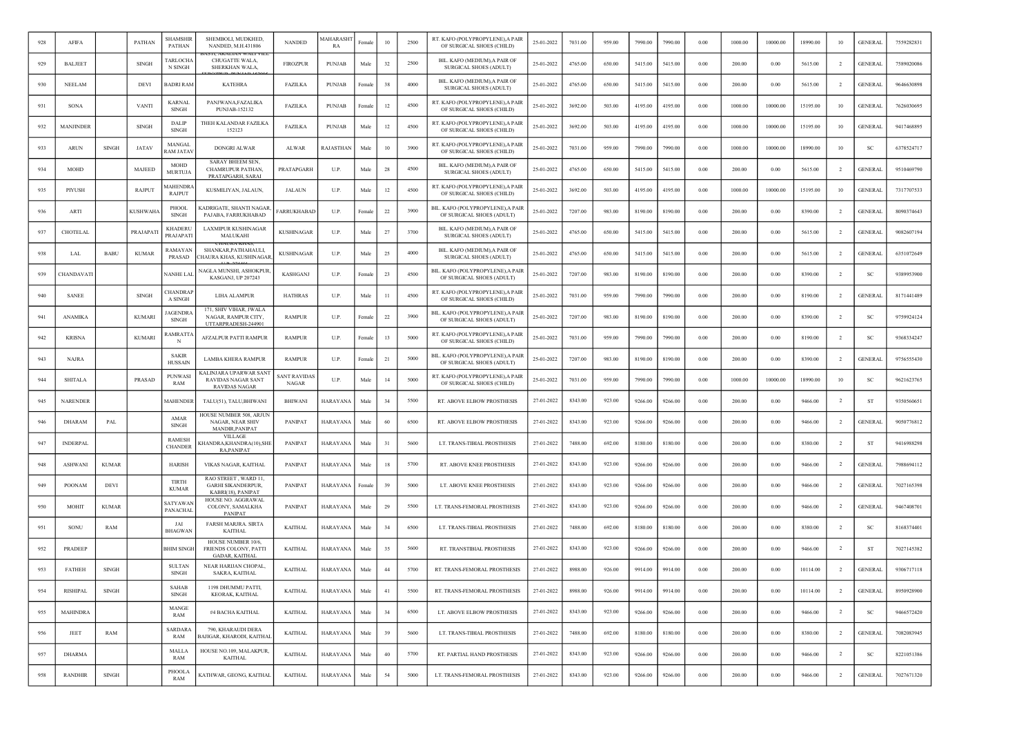| 928 | AFIFA            |              | PATHAN          | SHAMSHIR<br><b>PATHAN</b>       | SHEMBOLI, MUDKHED.<br>NANDED, M.H.431806                                    | <b>NANDED</b>         | MAHARASH<br>RA  | Female | 10 | 2500 | RT. KAFO (POLYPROPYLENE), A PAIR<br>OF SURGICAL SHOES (CHILD)  | 25-01-2022 | 7031.00 | 959.00 | 7990.00 | 7990.00 | 0.00     | 1000.00 | 10000.00 | 18990.00 | 10             | <b>GENERAL</b> | 7559282831 |
|-----|------------------|--------------|-----------------|---------------------------------|-----------------------------------------------------------------------------|-----------------------|-----------------|--------|----|------|----------------------------------------------------------------|------------|---------|--------|---------|---------|----------|---------|----------|----------|----------------|----------------|------------|
| 929 | <b>BALJEET</b>   |              | <b>SINGH</b>    | <b>TARLOCHA</b><br>N SINGH      | CHUGATTE WALA,<br>SHERKHAN WALA,                                            | <b>FIROZPUR</b>       | <b>PUNJAB</b>   | Male   | 32 | 2500 | BIL. KAFO (MEDIUM), A PAIR OF<br>SURGICAL SHOES (ADULT)        | 25-01-2022 | 4765.00 | 650.00 | 5415.00 | 5415.00 | $0.00\,$ | 200.00  | 0.00     | 5615.00  | $\overline{2}$ | <b>GENERAL</b> | 7589020086 |
| 930 | <b>NEELAM</b>    |              | <b>DEVI</b>     | <b>BADRI RAM</b>                | <b>KATEHRA</b>                                                              | <b>FAZILKA</b>        | <b>PUNJAB</b>   | Female | 38 | 4000 | BIL. KAFO (MEDIUM), A PAIR OF<br><b>SURGICAL SHOES (ADULT)</b> | 25-01-2022 | 4765.00 | 650.00 | 5415.00 | 5415.00 | 0.00     | 200.00  | 0.00     | 5615.00  | <sup>2</sup>   | <b>GENERAL</b> | 9646630898 |
| 931 | SONA             |              | <b>VANTI</b>    | <b>KARNAL</b><br><b>SINGH</b>   | PANJWANA,FAZALIKA<br>PUNJAB-152132                                          | <b>FAZILKA</b>        | <b>PUNJAB</b>   | Female | 12 | 4500 | RT. KAFO (POLYPROPYLENE), A PAIR<br>OF SURGICAL SHOES (CHILD)  | 25-01-2022 | 3692.00 | 503.00 | 4195.00 | 4195.00 | 0.00     | 1000.00 | 10000.00 | 15195.00 | 10             | <b>GENERAL</b> | 7626030695 |
| 932 | <b>MANJINDER</b> |              | <b>SINGH</b>    | DALIP<br><b>SINGH</b>           | THEH KALANDAR FAZILKA<br>152123                                             | <b>FAZILKA</b>        | <b>PUNJAB</b>   | Male   | 12 | 4500 | RT. KAFO (POLYPROPYLENE), A PAIR<br>OF SURGICAL SHOES (CHILD)  | 25-01-2022 | 3692.00 | 503.00 | 4195.00 | 4195.00 | 0.00     | 1000.00 | 10000.00 | 15195.00 | 10             | <b>GENERAL</b> | 9417468895 |
| 933 | ARUN             | <b>SINGH</b> | <b>JATAV</b>    | MANGAI<br>RAM JATA)             | DONGRI ALWAR                                                                | <b>ALWAR</b>          | RAJASTHAN       | Male   | 10 | 3900 | RT. KAFO (POLYPROPYLENE), A PAIR<br>OF SURGICAL SHOES (CHILD)  | 25-01-2022 | 7031.00 | 959.00 | 7990.00 | 7990.00 | 0.00     | 1000.00 | 10000.00 | 18990.00 | 10             | <b>SC</b>      | 6378524717 |
| 934 | <b>MOHD</b>      |              | MAJEED          | <b>MOHD</b><br><b>MURTUJA</b>   | <b>SARAY BHEEM SEN.</b><br>CHAMRUPUR PATHAN,<br>PRATAPGARH, SARAI           | PRATAPGARH            | U.P.            | Male   | 28 | 4500 | BIL. KAFO (MEDIUM), A PAIR OF<br>SURGICAL SHOES (ADULT)        | 25-01-2022 | 4765.00 | 650.00 | 5415.00 | 5415.00 | 0.00     | 200.00  | 0.00     | 5615.00  | 2              | <b>GENERAL</b> | 9510469790 |
| 935 | PIYUSH           |              | RAJPUT          | <b>IAHENDR</b><br><b>RAJPUT</b> | KUSMILIYAN, JALAUN,                                                         | <b>JALAUN</b>         | U.P.            | Male   | 12 | 4500 | RT. KAFO (POLYPROPYLENE), A PAIR<br>OF SURGICAL SHOES (CHILD)  | 25-01-2022 | 3692.00 | 503.00 | 4195.00 | 4195.00 | 0.00     | 1000.00 | 10000.00 | 15195.00 | 10             | <b>GENERAL</b> | 7317707533 |
| 936 | ARTI             |              | <b>KUSHWAHA</b> | PHOOL<br>SINGH                  | <b>KADRIGATE, SHANTI NAGAR,</b><br>PAJABA, FARRUKHABAD                      | <b>ARRUKHABAD</b>     | U.P.            | Female | 22 | 3900 | BIL. KAFO (POLYPROPYLENE), A PAIR<br>OF SURGICAL SHOES (ADULT) | 25-01-2022 | 7207.00 | 983.00 | 8190.00 | 8190.00 | 0.00     | 200.00  | 0.00     | 8390.00  | $\overline{2}$ | <b>GENERAL</b> | 8090374643 |
| 937 | CHOTELAL         |              | PRAJAPATI       | <b>KHADERL</b><br>PRAJAPATI     | <b>LAXMIPUR KUSHINAGAR</b><br>MALUKAHI                                      | <b>KUSHINAGAR</b>     | U.P.            | Male   | 27 | 3700 | BIL. KAFO (MEDIUM), A PAIR OF<br><b>SURGICAL SHOES (ADULT)</b> | 25-01-2022 | 4765.00 | 650.00 | 5415.00 | 5415.00 | 0.00     | 200.00  | 0.00     | 5615.00  | $\overline{2}$ | <b>GENERAL</b> | 9082607194 |
| 938 | LAL              | <b>BABU</b>  | <b>KUMAR</b>    | RAMAYAN<br>PRASAD               | SHANKAR, PATHAHAULI,<br>'HAURA KHAS, KUSHINAGAF                             | <b>KUSHINAGAR</b>     | U.P.            | Male   | 25 | 4000 | BIL. KAFO (MEDIUM), A PAIR OF<br>SURGICAL SHOES (ADULT)        | 25-01-2022 | 4765.00 | 650.00 | 5415.00 | 5415.00 | 0.00     | 200.00  | 0.00     | 5615.00  | -2             | <b>GENERAL</b> | 6351072649 |
| 939 | CHANDAVATI       |              |                 | <b>NANHE LAI</b>                | NAGLA MUNSHI, ASHOKPUR,<br>KASGANJ, UP 207243                               | <b>KASHGANJ</b>       | U.P.            | Female | 23 | 4500 | BIL. KAFO (POLYPROPYLENE), A PAIR<br>OF SURGICAL SHOES (ADULT) | 25-01-2022 | 7207.00 | 983.00 | 8190.00 | 8190.00 | 0.00     | 200.00  | 0.00     | 8390.00  | $\overline{2}$ | <sub>SC</sub>  | 9389953900 |
| 940 | <b>SANEE</b>     |              | <b>SINGH</b>    | CHANDRAI<br>A SINGH             | LIHA ALAMPUR                                                                | <b>HATHRAS</b>        | U.P.            | Male   | 11 | 4500 | RT. KAFO (POLYPROPYLENE), A PAIR<br>OF SURGICAL SHOES (CHILD)  | 25-01-2022 | 7031.00 | 959.00 | 7990.00 | 7990.00 | 0.00     | 200.00  | 0.00     | 8190.00  | $\overline{2}$ | <b>GENERAL</b> | 8171441489 |
| 941 | <b>ANAMIKA</b>   |              | <b>KUMARI</b>   | AGENDRA<br><b>SINGH</b>         | 171, SHIV VIHAR, JWALA<br>NAGAR, RAMPUR CITY,<br>UTTARPRADESH-244901        | <b>RAMPUR</b>         | U.P.            | Female | 22 | 3900 | BIL. KAFO (POLYPROPYLENE), A PAIR<br>OF SURGICAL SHOES (ADULT) | 25-01-2022 | 7207.00 | 983.00 | 8190.00 | 8190.00 | 0.00     | 200.00  | 0.00     | 8390.00  | <sup>2</sup>   | <b>SC</b>      | 9759924124 |
| 942 | <b>KRISNA</b>    |              | <b>KUMARI</b>   | <b>AMRATT</b><br>N              | AFZALPUR PATTI RAMPUR                                                       | <b>RAMPUR</b>         | U.P.            | Female | 13 | 5000 | RT. KAFO (POLYPROPYLENE), A PAIR<br>OF SURGICAL SHOES (CHILD)  | 25-01-2022 | 7031.00 | 959.00 | 7990.00 | 7990.00 | 0.00     | 200.00  | 0.00     | 8190.00  | $\overline{2}$ | SC             | 9368334247 |
| 943 | <b>NAJRA</b>     |              |                 | <b>SAKIR</b><br><b>HUSSAIN</b>  | <b>LAMBA KHERA RAMPUR</b>                                                   | <b>RAMPUR</b>         | U.P.            | Female | 21 | 5000 | BIL. KAFO (POLYPROPYLENE), A PAIR<br>OF SURGICAL SHOES (ADULT) | 25-01-2022 | 7207.00 | 983.00 | 8190.00 | 8190.00 | 0.00     | 200.00  | 0.00     | 8390.00  | $\overline{2}$ | <b>GENERAL</b> | 9756555430 |
| 944 | <b>SHITALA</b>   |              | PRASAD          | <b>PUNWAS</b><br>RAM            | KALINJARA UPARWAR SANT<br><b>RAVIDAS NAGAR SANT</b><br><b>RAVIDAS NAGAR</b> | SANT RAVIDAS<br>NAGAR | U.P.            | Male   | 14 | 5000 | RT. KAFO (POLYPROPYLENE). A PAIF<br>OF SURGICAL SHOES (CHILD)  | 25-01-2022 | 7031.00 | 959.00 | 7990.00 | 7990.00 | 0.00     | 1000.00 | 10000.00 | 18990.00 | 10             | -SC            | 9621623765 |
| 945 | <b>NARENDER</b>  |              |                 | MAHENDER                        | TALU(51), TALU, BHIWANI                                                     | BHIWANI               | <b>HARAYANA</b> | Male   | 34 | 5500 | RT. ABOVE ELBOW PROSTHESIS                                     | 27-01-2022 | 8343.00 | 923.00 | 9266.00 | 9266.00 | 0.00     | 200.00  | 0.00     | 9466.00  | $\overline{2}$ | ST             | 9350560651 |
| 946 | <b>DHARAM</b>    | PAL          |                 | AMAR<br><b>SINGH</b>            | HOUSE NUMBER 508, ARJUN<br>NAGAR, NEAR SHIV<br>MANDIR, PANIPAT              | PANIPAT               | HARAYANA        | Male   | 60 | 6500 | RT. ABOVE ELBOW PROSTHESIS                                     | 27-01-2022 | 8343.00 | 923.00 | 9266.00 | 9266.00 | 0.00     | 200.00  | 0.00     | 9466.00  | -2             | <b>GENERAL</b> | 9050776812 |
| 947 | <b>INDERPAL</b>  |              |                 | <b>RAMESH</b><br><b>CHANDEF</b> | VILLAGE<br>KHANDRA, KHANDRA(10), SHE<br><b>RAPANIPAT</b>                    | PANIPAT               | HARAYANA        | Male   | 31 | 5600 | LT. TRANS-TIBIAL PROSTHESIS                                    | 27-01-2022 | 7488.00 | 692.00 | 8180.00 | 8180.00 | 0.00     | 200.00  | 0.00     | 8380.00  | $\overline{2}$ | ST             | 9416988298 |
| 948 | <b>ASHWANI</b>   | <b>KUMAR</b> |                 | <b>HARISH</b>                   | VIKAS NAGAR, KAITHAL                                                        | PANIPAT               | HARAYANA        | Male   | 18 | 5700 | RT. ABOVE KNEE PROSTHESIS                                      | 27-01-2022 | 8343.00 | 923.00 | 9266.00 | 9266.00 | 0.00     | 200.00  | 0.00     | 9466.00  | -2             | <b>GENERAL</b> | 7988694112 |
| 949 | POONAM           | DEVI         |                 | TIRTH<br><b>KUMAR</b>           | RAO STREET, WARD 11,<br><b>GARHI SIKANDERPUR,</b><br>KABRI(18), PANIPAT     | PANIPAT               | <b>HARAYANA</b> | Femal  | 39 | 5000 | LT. ABOVE KNEE PROSTHESIS                                      | 27-01-2022 | 8343.00 | 923.00 | 9266.00 | 9266.00 | 0.00     | 200.00  | 0.00     | 9466.00  | $\overline{2}$ | <b>GENERAL</b> | 7027165398 |
| 950 | MOHIT            | <b>KUMAR</b> |                 | SATYAWAN<br>PANACHAI            | HOUSE NO. AGGRAWAI<br>COLONY, SAMALKHA<br>PANIPAT                           | PANIPAT               | HARAYANA        | Male   | 29 | 5500 | LT. TRANS-FEMORAL PROSTHESIS                                   | 27-01-2022 | 8343.00 | 923.00 | 9266.00 | 9266.00 | 0.00     | 200.00  | 0.00     | 9466.00  | $\overline{2}$ | <b>GENERAL</b> | 9467408701 |
| 951 | SONU             | RAM          |                 | JAI<br><b>BHAGWAN</b>           | FARSH MARJRA. SIRTA<br>KAITHAL                                              | <b>KAITHAL</b>        | <b>HARAYANA</b> | Male   | 34 | 6500 | LT. TRANS-TIBIAL PROSTHESIS                                    | 27-01-2022 | 7488.00 | 692.00 | 8180.00 | 8180.00 | 0.00     | 200.00  | 0.00     | 8380.00  | $\overline{2}$ | -SC            | 8168374401 |
| 952 | PRADEEP          |              |                 | <b>BHIM SINGH</b>               | HOUSE NUMBER 10/6.<br>FRIENDS COLONY, PATTI<br>GADAR, KAITHAL               | <b>KAITHAL</b>        | <b>HARAYANA</b> | Male   | 35 | 5600 | RT. TRANSTIBIAL PROSTHESIS                                     | 27-01-2022 | 8343.00 | 923.00 | 9266.00 | 9266.00 | 0.00     | 200.00  | 0.00     | 9466.00  | $\overline{2}$ | ST             | 7027145382 |
| 953 | <b>FATHEH</b>    | <b>SINGH</b> |                 | <b>SULTAN</b><br>SINGH          | NEAR HARIJAN CHOPAL,<br><b>SAKRA, KAITHAL</b>                               | <b>KAITHAL</b>        | HARAYANA        | Male   | 44 | 5700 | RT. TRANS-FEMORAL PROSTHESIS                                   | 27-01-2022 | 8988.00 | 926.00 | 9914.00 | 9914.00 | 0.00     | 200.00  | 0.00     | 10114.00 | $\overline{2}$ | <b>GENERAL</b> | 9306717118 |
| 954 | RISHIPAL         | SINGH        |                 | <b>SAHAB</b><br>SINGH           | 1198 DHUMMU PATTI,<br>KEORAK, KAITHAL                                       | <b>KAITHAL</b>        | <b>HARAYANA</b> | Male   | 41 | 5500 | RT. TRANS-FEMORAL PROSTHESIS                                   | 27-01-2022 | 8988.00 | 926.00 | 9914.00 | 9914.00 | 0.00     | 200.00  | 0.00     | 10114.00 | $\overline{2}$ | <b>GENERAL</b> | 8950928900 |
| 955 | <b>MAHINDRA</b>  |              |                 | MANGE<br>RAM                    | #4 BACHA KAITHAL                                                            | <b>KAITHAL</b>        | <b>HARAYANA</b> | Male   | 34 | 6500 | LT. ABOVE ELBOW PROSTHESIS                                     | 27-01-2022 | 8343.00 | 923.00 | 9266.00 | 9266.00 | $0.00\,$ | 200.00  | 0.00     | 9466.00  | $\overline{2}$ | SC             | 9466572420 |
| 956 | JEET             | RAM          |                 | SARDARA<br>RAM                  | 790, KHARAUDI DERA<br>BAJIGAR, KHARODI, KAITHAL                             | <b>KAITHAL</b>        | HARAYANA        | Male   | 39 | 5600 | LT. TRANS-TIBIAL PROSTHESIS                                    | 27-01-2022 | 7488.00 | 692.00 | 8180.00 | 8180.00 | 0.00     | 200.00  | 0.00     | 8380.00  | $\overline{2}$ | <b>GENERAL</b> | 7082083945 |
| 957 | <b>DHARMA</b>    |              |                 | MALLA<br>RAM                    | HOUSE NO.109, MALAKPUR,<br><b>KAITHAL</b>                                   | <b>KAITHAL</b>        | <b>HARAYANA</b> | Male   | 40 | 5700 | RT. PARTIAL HAND PROSTHESIS                                    | 27-01-2022 | 8343.00 | 923.00 | 9266.00 | 9266.00 | 0.00     | 200.00  | 0.00     | 9466.00  | $\overline{2}$ | <b>SC</b>      | 8221051386 |
| 958 | <b>RANDHIR</b>   | SINGH        |                 | PHOOLA<br>RAM                   | KATHWAR, GEONG, KAITHAL                                                     | <b>KAITHAL</b>        | HARAYANA        | Male   | 54 | 5000 | LT. TRANS-FEMORAL PROSTHESIS                                   | 27-01-2022 | 8343.00 | 923.00 | 9266.00 | 9266.00 | 0.00     | 200.00  | 0.00     | 9466.00  | $\overline{2}$ | <b>GENERAL</b> | 7027671320 |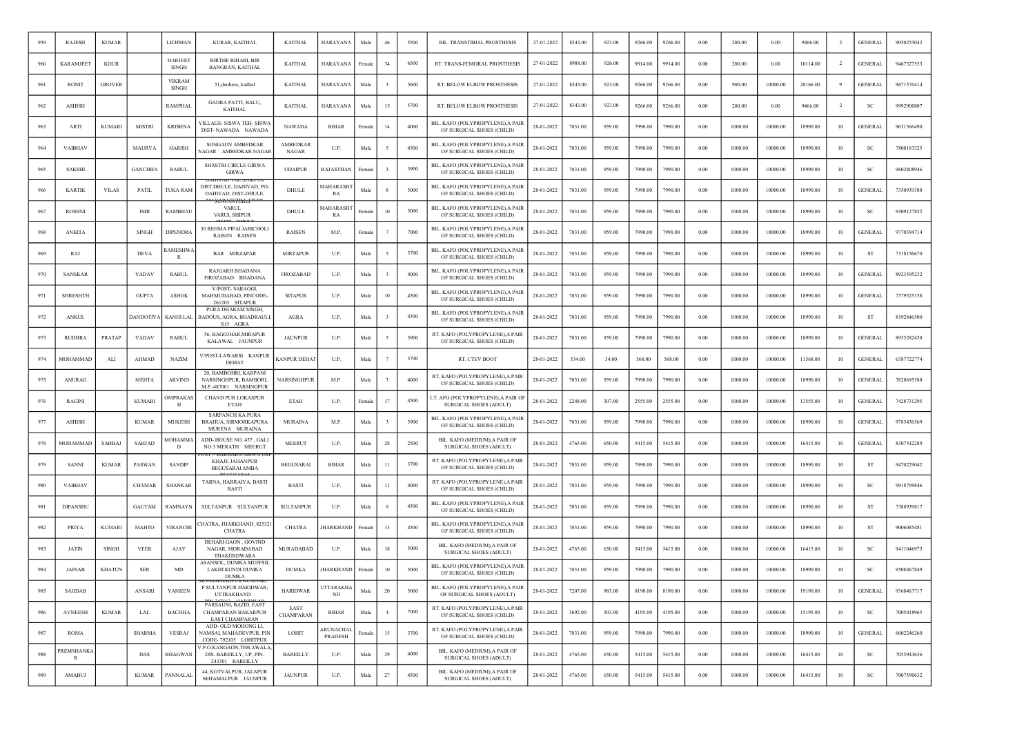| 959 | <b>RAJESH</b>   | <b>KUMAR</b>  |                | <b>LICHMAN</b>                | KURAR, KAITHAL                                                           | <b>KAITHAL</b>           | <b>HARAYANA</b>      | Male   | 46             | 5500 | <b>BIL. TRANSTIBIAL PROSTHESIS</b>                             | 27-01-2022 | 8343.00 | 923.00 | 9266.00 | 9266.00 | 0.00     | 200.00  | 0.00     | 9466.00  | $\overline{2}$ | <b>GENERAL</b> | 9050253042 |
|-----|-----------------|---------------|----------------|-------------------------------|--------------------------------------------------------------------------|--------------------------|----------------------|--------|----------------|------|----------------------------------------------------------------|------------|---------|--------|---------|---------|----------|---------|----------|----------|----------------|----------------|------------|
| 960 | KARAMJEET       | <b>KOUR</b>   |                | <b>HARJEET</b><br>SINGH       | <b>BIRTHE BIHARI, BIR</b><br>BANGRAN, KAITHAL                            | <b>KAITHAL</b>           | <b>HARAYANA</b>      | Female | 34             | 6500 | RT. TRANS-FEMORAL PROSTHESIS                                   | 27-01-2022 | 8988.00 | 926.00 | 9914.00 | 9914.00 | 0.00     | 200.00  | 0.00     | 10114.00 | $\overline{2}$ | <b>GENERAL</b> | 9467327553 |
| 961 | <b>RONIT</b>    | <b>GROVER</b> |                | <b>VIKRAM</b><br><b>SINGH</b> | 51, deohera, kaithal                                                     | <b>KAITHAL</b>           | HARAYANA             | Male   |                | 5600 | RT. BELOW ELBOW PROSTHESIS                                     | 27-01-2022 | 8343.00 | 923.00 | 9266.00 | 9266.00 | 0.00     | 900.00  | 10000.00 | 20166.00 |                | <b>GENERAL</b> | 9671576414 |
| 962 | <b>ASHISH</b>   |               |                | <b>RAMPHAL</b>                | GADRA PATTI, BALU,<br><b>KAITHAL</b>                                     | <b>KAITHAL</b>           | HARAYANA             | Male   | 15             | 5700 | <b>RT. BELOW ELBOW PROSTHESIS</b>                              | 27-01-2022 | 8343.00 | 923.00 | 9266.00 | 9266.00 | 0.00     | 200.00  | 0.00     | 9466.00  | -2             | <b>SC</b>      | 9992900807 |
| 963 | ARTI            | <b>KUMARI</b> | <b>MISTRI</b>  | <b>KRISHNA</b>                | VILLAGE- SISWA TEH- SISWA<br>DIST-NAWADA NAWADA                          | <b>NAWADA</b>            | <b>BIHAR</b>         | Femal  | 14             | 4000 | BIL. KAFO (POLYPROPYLENE),A PAIR<br>OF SURGICAL SHOES (CHILD)  | 28-01-2022 | 7031.00 | 959.00 | 7990.00 | 7990.00 | 0.00     | 1000.00 | 10000.00 | 18990.00 | 10             | <b>GENERAI</b> | 9631566490 |
| 964 | <b>VAIBHAV</b>  |               | MAURYA         | <b>HARISH</b>                 | SONGAUN AMBEDKAR<br><b>VAGAR AMBEDKAR NAGAR</b>                          | AMBEDKAR<br><b>NAGAR</b> | U.P.                 | Male   |                | 4500 | BIL. KAFO (POLYPROPYLENE), A PAIR<br>OF SURGICAL SHOES (CHILD) | 28-01-2022 | 7031.00 | 959.00 | 7990.00 | 7990.00 | 0.00     | 1000.00 | 10000.00 | 18990.00 | 10             | <b>SC</b>      | 7800183325 |
| 965 | <b>SAKSHI</b>   |               | <b>GANCHHA</b> | <b>RAHUL</b>                  | SHASTRI CIRCLE GIRWA<br><b>GIRWA</b>                                     | <b>UDAIPUR</b>           | RAJASTHAN            | Femal  |                | 3900 | BIL. KAFO (POLYPROPYLENE), A PAIR<br>OF SURGICAL SHOES (CHILD) | 28-01-2022 | 7031.00 | 959.00 | 7990.00 | 7990.00 | 0.00     | 1000.00 | 10000.00 | 18990.00 | 10             | SC             | 9602808946 |
| 966 | <b>KARTIK</b>   | <b>VILAS</b>  | PATIL          | TUKA RAM                      | AV TA<br>DIST.DHULE, DAHIVAD, PO-<br>DAHIVAD, DIST-DHULE.                | DHULE                    | MAHARASH<br>RA       | Male   |                | 5000 | BIL. KAFO (POLYPROPYLENE).A PAIR<br>OF SURGICAL SHOES (CHILD)  | 28-01-2022 | 7031.00 | 959.00 | 7990.00 | 7990.00 | 0.00     | 1000.00 | 10000.00 | 18990.00 | 10             | <b>GENERAL</b> | 7350939388 |
| 967 | <b>ROSHNI</b>   |               | ISHI           | RAMBHAU                       | VARUL<br>VARUL SHIPUR                                                    | DHULE                    | MAHARASH<br>RA       | Femal  | 10             | 5000 | BIL. KAFO (POLYPROPYLENE), A PAIR<br>OF SURGICAL SHOES (CHILD) | 28-01-2022 | 7031.00 | 959.00 | 7990.00 | 7990.00 | 0.00     | 1000.00 | 10000.00 | 18990.00 | 10             | SC             | 9309127852 |
| 968 | <b>ANKITA</b>   |               | <b>SINGH</b>   | <b>DIPENDRA</b>               | 30 REHMA PIPALIABICHOLI<br>RAISEN RAISEN                                 | <b>RAISEN</b>            | M.P.                 | Female |                | 7000 | BIL. KAFO (POLYPROPYLENE).A PAIR<br>OF SURGICAL SHOES (CHILD)  | 28-01-2022 | 7031.00 | 959.00 | 7990.00 | 7990.00 | 0.00     | 1000.00 | 10000.00 | 18990.00 | 10             | <b>GENERAL</b> | 9770394714 |
| 969 | RAJ             |               | <b>DEVA</b>    | AMESHW<br>R                   | <b>BAR MIRZAPAR</b>                                                      | <b>MIRZAPUR</b>          | U.P.                 | Male   |                | 3700 | BIL. KAFO (POLYPROPYLENE), A PAIR<br>OF SURGICAL SHOES (CHILD) | 28-01-2022 | 7031.00 | 959.00 | 7990.00 | 7990.00 | 0.00     | 1000.00 | 10000.00 | 18990.00 | 10             | ST             | 7318156670 |
| 970 | SANSKAR         |               | YADAV          | <b>RAHUL</b>                  | RAJGARH BHADANA<br>FIROZABAD BHADANA                                     | <b>FIROZABAD</b>         | U.P.                 | Male   |                | 4000 | BIL. KAFO (POLYPROPYLENE), A PAIR<br>OF SURGICAL SHOES (CHILD) | 28-01-2022 | 7031.00 | 959.00 | 7990.00 | 7990.00 | 0.00     | 1000.00 | 10000.00 | 18990.00 | 10             | <b>GENERAL</b> | 8923595232 |
| 971 | <b>SHRESHTH</b> |               | <b>GUPTA</b>   | <b>ASHOK</b>                  | V/POST- SARAOGI,<br>MAHMUDABAD, PINCODE-<br>261203 SITAPUR               | <b>SITAPUR</b>           | U.P.                 | Male   | 10             | 4500 | BIL. KAFO (POLYPROPYLENE).A PAIR<br>OF SURGICAL SHOES (CHILD)  | 28-01-2022 | 7031.00 | 959.00 | 7990.00 | 7990.00 | 0.00     | 1000.00 | 10000.00 | 18990.00 | 10             | <b>GENERAL</b> | 7379525158 |
| 972 | <b>ANKUL</b>    |               | DANDOTIY/      | KANHI LAL                     | PURA DHARAM SINGH,<br>BADOUS, AGRA, BHADRAULI<br>S.O AGRA                | <b>AGRA</b>              | U.P.                 | Male   |                | 4500 | BIL. KAFO (POLYPROPYLENE), A PAIR<br>OF SURGICAL SHOES (CHILD) | 28-01-2022 | 7031.00 | 959.00 | 7990.00 | 7990.00 | 0.00     | 1000.00 | 10000.00 | 18990.00 | 10             | <b>ST</b>      | 8192846500 |
| 973 | <b>RUDHRA</b>   | PRATAP        | YADAV          | <b>RAHUL</b>                  | 56, BAGOJHAR, MIRAPUR<br>KALAWAL JAUNPUR                                 | <b>JAUNPUR</b>           | U.P.                 | Male   |                | 3900 | RT. KAFO (POLYPROPYLENE), A PAIR<br>OF SURGICAL SHOES (CHILD)  | 28-01-2022 | 7031.00 | 959.00 | 7990.00 | 7990.00 | 0.00     | 1000.00 | 10000.00 | 18990.00 | 10             | <b>GENERAL</b> | 8953282438 |
| 974 | MOHAMMAD        | ALI           | AHMAD          | <b>NAZIM</b>                  | V/POST-LAWARSI KANPUR<br>DEHAT                                           | <b>CANPUR DEHAT</b>      | U.P.                 | Male   |                | 3700 | RT. CTEV BOOT                                                  | 28-01-2022 | 534.00  | 34.00  | 568.00  | 568.00  | 0.00     | 1000.00 | 10000.00 | 11568.00 | 10             | <b>GENERAL</b> | 6387722774 |
| 975 | <b>ANURAG</b>   |               | <b>MEHTA</b>   | ARVIND                        | 20, BAMBOHRI, KARPANI<br>NARSINGHPUR, BAMBORI,<br>M.P. 487001 NARSINGPUR | <b>NARSINGHPUR</b>       | M.P.                 | Male   |                | 4000 | RT. KAFO (POLYPROPYLENE), A PAIR<br>OF SURGICAL SHOES (CHILD)  | 28-01-2022 | 7031.00 | 959.00 | 7990.00 | 7990.00 | 0.00     | 1000.00 | 10000.00 | 18990.00 | 10             | <b>GENERAL</b> | 7828695388 |
| 976 | RAGINI          |               | <b>KUMARI</b>  | <b>MPRAKA</b><br>Н            | <b>CHAND PUR LOKASPUR</b><br>ETAH                                        | <b>ETAH</b>              | U.P.                 | Female | 17             | 4500 | LT. AFO (POLYPROPYLENE), A PAIR OF<br>SURGICAL SHOES (ADULT)   | 28-01-2022 | 2248.00 | 307.00 | 2555.00 | 2555.00 | 0.00     | 1000.00 | 10000.00 | 13555.00 | 10             | <b>GENERAL</b> | 7428731295 |
| 977 | <b>ASHISH</b>   |               | <b>KUMAR</b>   | <b>MUKESH</b>                 | <b>SARPANCH KA PURA</b><br><b>BRAHUA, SIRMORKAPURA</b><br>MURENA MURAINA | <b>MURAINA</b>           | M.P.                 | Male   |                | 3900 | BIL. KAFO (POLYPROPYLENE), A PAIR<br>OF SURGICAL SHOES (CHILD) | 28-01-2022 | 7031.00 | 959.00 | 7990.00 | 7990.00 | 0.00     | 1000.00 | 10000.00 | 18990.00 | 10             | <b>GENERAL</b> | 9785436569 |
| 978 | MOHAMMAE        | <b>SAHBAJ</b> | SAHJAD         | <b>AOHAMM</b><br>D            | ADD-HOUSE NO. 457, GALI<br>NO 3 MERATH MEERUT                            | <b>MEERUT</b>            | U.P.                 | Male   | 28             | 2500 | BIL. KAFO (MEDIUM), A PAIR OF<br>SURGICAL SHOES (ADULT)        | 28-01-2022 | 4765.00 | 650.00 | 5415.00 | 5415.00 | 0.00     | 1000.00 | 10000.00 | 16415.00 | 10             | <b>GENERAI</b> | 8307542289 |
| 979 | <b>SANNI</b>    | <b>KUMAR</b>  | PASWAN         | <b>SANDIF</b>                 | <b>KHAJE JAHANPUR</b><br><b>BEGUSARAI AMBA</b>                           | <b>BEGUSARAI</b>         | <b>BIHAR</b>         | Male   | $_{11}$        | 3700 | RT. KAFO (POLYPROPYLENE), A PAIR<br>OF SURGICAL SHOES (CHILD)  | 28-01-2022 | 7031.00 | 959.00 | 7990.00 | 7990.00 | 0.00     | 1000.00 | 10000.00 | 18990.00 | 10             | <b>ST</b>      | 9470229042 |
| 980 | <b>VAIBHAV</b>  |               | CHAMAR         | <b>SHANKAR</b>                | TARNA, HARRAIYA, BASTI<br><b>BASTI</b>                                   | <b>BASTI</b>             | U.P.                 | Male   | -11            | 4000 | RT. KAFO (POLYPROPYLENE),A PAIR<br>OF SURGICAL SHOES (CHILD)   | 28-01-2022 | 7031.00 | 959.00 | 7990.00 | 7990.00 | 0.00     | 1000.00 | 10000.00 | 18990.00 | 10             | SC             | 9918799846 |
| 981 | <b>DIPANSHU</b> |               | <b>GAUTAM</b>  | RAMNAYN                       | SULTANPUR SULTANPUR                                                      | <b>SULTANPUR</b>         | U.P.                 | Male   |                | 4500 | BIL. KAFO (POLYPROPYLENE),A PAIR<br>OF SURGICAL SHOES (CHILD)  | 28-01-2022 | 7031.00 | 959.00 | 7990.00 | 7990.00 | 0.00     | 1000.00 | 10000.00 | 18990.00 | 10             | <b>ST</b>      | 7388939817 |
| 982 | <b>PRIYA</b>    | <b>KUMARI</b> | MAHTO          | <b>VIRANCHI</b>               | HATRA, JHARKHAND, 82532<br><b>CHATRA</b>                                 | <b>CHATRA</b>            | <b>HARKHAND</b>      | Female | 13             | 4500 | BIL. KAFO (POLYPROPYLENE),A PAIR<br>OF SURGICAL SHOES (CHILD)  | 28-01-2022 | 7031.00 | 959.00 | 7990.00 | 7990.00 | 0.00     | 1000.00 | 10000.00 | 18990.00 | 10             | ST             | 9006085481 |
| 983 | <b>JATIN</b>    | <b>SINGH</b>  | <b>VEER</b>    | AJAY                          | DEHARI GAON, GOVIND<br>NAGAR, MORADABAD<br>THAKURDWARA                   | MURADABAD                | U.P.                 | Male   | 18             | 5000 | BIL. KAFO (MEDIUM), A PAIR OF<br>SURGICAL SHOES (ADULT)        | 28-01-2022 | 4765.00 | 650.00 | 5415.00 | 5415.00 | 0.00     | 1000.00 | 10000.00 | 16415.00 | 10             | S <sub>C</sub> | 9411046973 |
| 984 | <b>JAINAB</b>   | <b>KHATUN</b> | <b>SER</b>     | MD                            | ASANSOL. DUMKA MUFFSII<br>LAKHI KUNDI DUMKA<br><b>DUMKA</b>              | <b>DUMKA</b>             | <b>JHARKHAND</b>     | Female | 10             | 5000 | BIL. KAFO (POLYPROPYLENE), A PAIR<br>OF SURGICAL SHOES (CHILD) | 28-01-2022 | 7031.00 | 959.00 | 7990.00 | 7990.00 | 0.00     | 1000.00 | 10000.00 | 18990.00 | 10             | <sub>SC</sub>  | 9508467849 |
| 985 | SAHDAB          |               | ANSARI         | YAMEEN                        | P.SULTANPUR HARIDWAR,<br><b>UTTRAKHAND</b>                               | <b>HARIDWAR</b>          | UTTARAKHA<br>ND      | Male   | 20             | 5000 | BIL. KAFO (POLYPROPYLENE), A PAIR<br>OF SURGICAL SHOES (ADULT) | 28-01-2022 | 7207.00 | 983.00 | 8190.00 | 8190.00 | 0.00     | 1000.00 | 10000.00 | 19190.00 | 10             | <b>GENERAL</b> | 9368463717 |
| 986 | <b>AVNEESH</b>  | <b>KUMAR</b>  | LAL            | <b>BACHHA</b>                 | PARSAUNI, BAZID, EAST<br>CHAMPARAN BAKARPUR<br><b>EAST CHAMPARAN</b>     | EAST<br><b>CHAMPARAN</b> | <b>BIHAR</b>         | Male   | $\overline{4}$ | 7000 | RT. KAFO (POLYPROPYLENE), A PAIR<br>OF SURGICAL SHOES (CHILD)  | 28-01-2022 | 3692.00 | 503.00 | 4195.00 | 4195.00 | 0.00     | 1000.00 | 10000.00 | 15195.00 | 10             | <b>SC</b>      | 7005018965 |
| 987 | <b>ROMA</b>     |               | <b>SHARMA</b>  | <b>VESRAJ</b>                 | ADD- OLD MOHONG LI,<br>NAMSAI, MAHADEVPUR, PIN<br>CODE-792105 LOHITPUR   | LOHIT                    | ARUNACHAL<br>PRADESH | Female | 15             | 3700 | RT. KAFO (POLYPROPYLENE), A PAIR<br>OF SURGICAL SHOES (CHILD)  | 28-01-2022 | 7031.00 | 959.00 | 7990.00 | 7990.00 | 0.00     | 1000.00 | 10000.00 | 18990.00 | 10             | <b>GENERAL</b> | 6002246260 |
| 988 | PREMSHANKA<br>R |               | DAS            | <b>BHAGWAN</b>                | /.P.O.KANGAON,TEH.AWALA<br>DIS-BAREILLY, UP, PIN-<br>243301 BAREILLY     | <b>BAREILLY</b>          | U.P.                 | Male   | 29             | 4000 | BIL. KAFO (MEDIUM), A PAIR OF<br>SURGICAL SHOES (ADULT)        | 28-01-2022 | 4765.00 | 650.00 | 5415.00 | 5415.00 | $0.00\,$ | 1000.00 | 10000.00 | 16415.00 | $10\,$         | <sub>SC</sub>  | 7055943636 |
| 989 | AMABUJ          |               | <b>KUMAR</b>   | PANNALAL                      | 44, KOTVALPUR, JALAPUR<br>SEHAMALPUR JAUNPUR                             | <b>JAUNPUR</b>           | U.P.                 | Male   | 27             | 4500 | BIL. KAFO (MEDIUM), A PAIR OF<br>SURGICAL SHOES (ADULT)        | 28-01-2022 | 4765.00 | 650.00 | 5415.00 | 5415.00 | 0.00     | 1000.00 | 10000.00 | 16415.00 | $10\,$         | <sub>SC</sub>  | 7007590632 |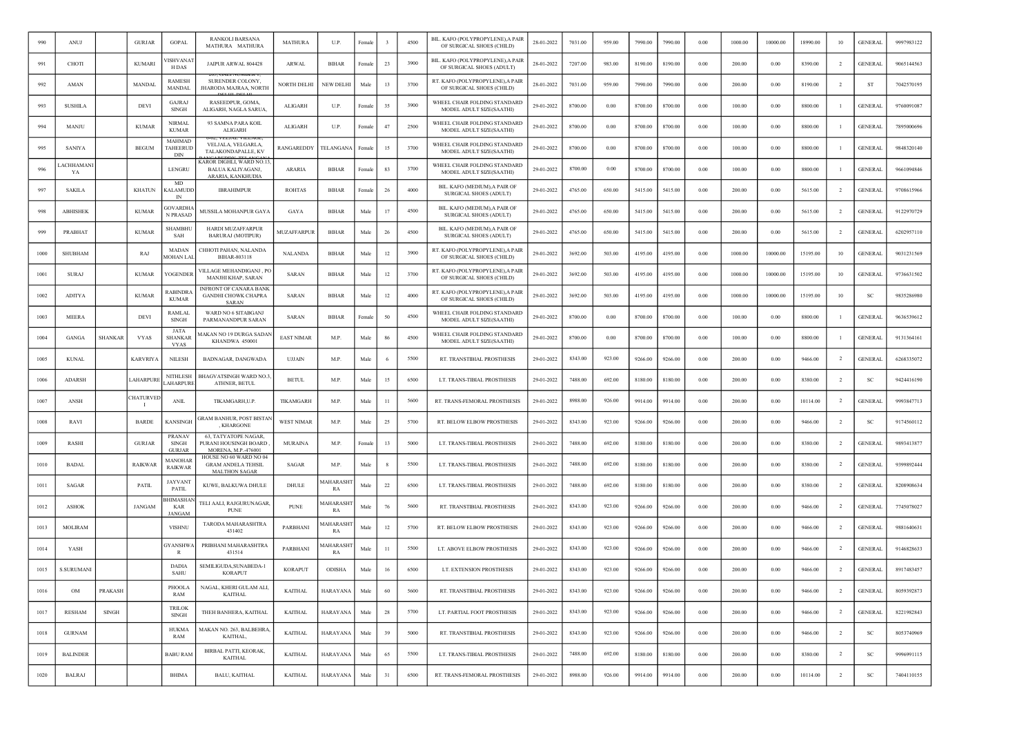| 990  | ANUJ              |                | <b>GURJAR</b>          | <b>GOPAL</b>                            | RANKOLI BARSANA<br>MATHURA MATHURA                                              | <b>MATHURA</b>    | U.P.                   | Female     |         | 4500 | BIL. KAFO (POLYPROPYLENE), A PAIR<br>OF SURGICAL SHOES (CHILD) | 28-01-2022 | 7031.00 | 959.00 | 7990.00 | 7990.00 | 0.00       | 1000.00 | 10000.00 | 18990.00 | 10             | <b>GENERAL</b> | 9997983122 |
|------|-------------------|----------------|------------------------|-----------------------------------------|---------------------------------------------------------------------------------|-------------------|------------------------|------------|---------|------|----------------------------------------------------------------|------------|---------|--------|---------|---------|------------|---------|----------|----------|----------------|----------------|------------|
| 991  | CHOTI             |                | <b>KUMARI</b>          | <b>ISHVANA</b><br>H DAS                 | JAIPUR ARWAL 804428                                                             | ARWAL             | <b>BIHAR</b>           | Female     | 23      | 3900 | BIL. KAFO (POLYPROPYLENE), A PAIR<br>OF SURGICAL SHOES (ADULT) | 28-01-2022 | 7207.00 | 983.00 | 8190.00 | 8190.00 | 0.00       | 200.00  | 0.00     | 8390.00  | $\overline{2}$ | <b>GENERAL</b> | 9065144563 |
| 992  | AMAN              |                | MANDAL                 | <b>RAMESH</b><br><b>MANDAL</b>          | SURENDER COLONY,<br>JHARODA MAJRAA, NORTH                                       | NORTH DELHI       | <b>NEW DELHI</b>       | Male       | 13      | 3700 | RT. KAFO (POLYPROPYLENE), A PAIR<br>OF SURGICAL SHOES (CHILD)  | 28-01-2022 | 7031.00 | 959.00 | 7990.00 | 7990.00 | 0.00       | 200.00  | 0.00     | 8190.00  | $\overline{2}$ | ST             | 7042570195 |
| 993  | <b>SUSHILA</b>    |                | DEVI                   | <b>GAJRAJ</b><br>SINGH                  | RASEEDPUR, GOMA,<br>ALIGARH, NAGLA SARUA,                                       | ALIGARH           | U.P.                   | Female     | 35      | 3900 | WHEEL CHAIR FOLDING STANDARD<br>MODEL ADULT SIZE(SAATHI)       | 29-01-2022 | 8700.00 | 0.00   | 8700.00 | 8700.00 | 0.00       | 100.00  | 0.00     | 8800.00  | -1             | <b>GENERAL</b> | 9760091087 |
| 994  | MANJU             |                | <b>KUMAR</b>           | <b>NIRMAL</b><br><b>KUMAR</b>           | 93 SAMNA PARA KOIL<br>ALIGARH                                                   | ALIGARH           | U.P.                   | Female     | 47      | 2500 | WHEEL CHAIR FOLDING STANDARD<br>MODEL ADULT SIZE(SAATHI)       | 29-01-2022 | 8700.00 | 0.00   | 8700.00 | 8700.00 | 0.00       | 100.00  | 0.00     | 8800.00  |                | GENERAI        | 7895000696 |
| 995  | <b>SANIYA</b>     |                | <b>BEGUM</b>           | MAHMAD<br>TAHEERUD<br>DIN               | VELJALA, VELGARLA,<br>TALAKONDAPALLE, KV                                        | RANGAREDDY        | TELANGANA              | Female     | 15      | 3700 | WHEEL CHAIR FOLDING STANDARD<br>MODEL ADULT SIZE(SAATHI)       | 29-01-2022 | 8700.00 | 0.00   | 8700.00 | 8700.00 | 0.00       | 100.00  | 0.00     | 8800.00  |                | <b>GENERAL</b> | 9848320140 |
| 996  | .ACHHAMAN<br>YA   |                |                        | LENGRU                                  | <b>CAROR DIGHLI, WARD NO.13</b><br><b>BALUA KALIYAGANJ</b><br>ARARIA, KANKHUDIA | ARARIA            | <b>BIHAR</b>           | Female     | 83      | 3700 | WHEEL CHAIR FOLDING STANDARD<br>MODEL ADULT SIZE(SAATHI)       | 29-01-2022 | 8700.00 | 0.00   | 8700.00 | 8700.00 | 0.00       | 100.00  | 0.00     | 8800.00  | - 1            | <b>GENERAL</b> | 9661094846 |
| 997  | <b>SAKILA</b>     |                | <b>KHATUN</b>          | MD<br>CALAMUDE<br>IN                    | <b>IBRAHIMPUR</b>                                                               | <b>ROHTAS</b>     | <b>BIHAR</b>           | Female     | 26      | 4000 | BIL. KAFO (MEDIUM), A PAIR OF<br>SURGICAL SHOES (ADULT)        | 29-01-2022 | 4765.00 | 650.00 | 5415.00 | 5415.00 | 0.00       | 200.00  | 0.00     | 5615.00  | $\overline{2}$ | <b>GENERAL</b> | 9708615966 |
| 998  | <b>ABHISHEK</b>   |                | <b>KUMAR</b>           | <b>GOVARDHA</b><br><b>N PRASAE</b>      | MUSSILA MOHANPUR GAYA                                                           | GAYA              | <b>BIHAR</b>           | Male       | 17      | 4500 | BIL. KAFO (MEDIUM), A PAIR OF<br>SURGICAL SHOES (ADULT)        | 29-01-2022 | 4765.00 | 650.00 | 5415.00 | 5415.00 | 0.00       | 200.00  | 0.00     | 5615.00  | 2              | <b>GENERAL</b> | 9122970729 |
| 999  | PRABHAT           |                | <b>KUMAR</b>           | SHAMBHU<br>SAH                          | <b>HARDI MUZAFFARPUR</b><br><b>BARURAJ (MOTIPUR)</b>                            | MUZAFFARPUR       | BIHAR                  | Male       | 26      | 4500 | BIL. KAFO (MEDIUM), A PAIR OF<br>SURGICAL SHOES (ADULT)        | 29-01-2022 | 4765.00 | 650.00 | 5415.00 | 5415.00 | 0.00       | 200.00  | 0.00     | 5615.00  | $\overline{2}$ | <b>GENERAL</b> | 6202957110 |
| 1000 | SHUBHAM           |                | RAJ                    | <b>MADAN</b><br><b>MOHAN LA</b>         | CHHOTI PAHAN, NALANDA<br>BIHAR-803118                                           | <b>NALANDA</b>    | <b>BIHAR</b>           | Male       | 12      | 3900 | RT. KAFO (POLYPROPYLENE), A PAIR<br>OF SURGICAL SHOES (CHILD)  | 29-01-2022 | 3692.00 | 503.00 | 4195.00 | 4195.00 | 0.00       | 1000.00 | 10000.00 | 15195.00 | 10             | <b>GENERAL</b> | 9031231569 |
| 1001 | SURAJ             |                | <b>KUMAR</b>           | YOGENDER                                | VILLAGE MEHANDIGANJ , PO<br>MANJHI KHAP, SARAN                                  | <b>SARAN</b>      | <b>BIHAR</b>           | Male       | 12      | 3700 | RT. KAFO (POLYPROPYLENE), A PAIR<br>OF SURGICAL SHOES (CHILD)  | 29-01-2022 | 3692.00 | 503.00 | 4195.00 | 4195.00 | 0.00       | 1000.00 | 10000.00 | 15195.00 | 10             | <b>GENERAL</b> | 9736631502 |
| 1002 | <b>ADITYA</b>     |                | <b>KUMAR</b>           | <b>RABINDR</b><br><b>KUMAR</b>          | <b>INFRONT OF CANARA BANK</b><br><b>GANDHI CHOWK CHAPRA</b><br>SARAN            | <b>SARAN</b>      | <b>BIHAR</b>           | Male       | 12      | 4000 | RT. KAFO (POLYPROPYLENE), A PAIR<br>OF SURGICAL SHOES (CHILD)  | 29-01-2022 | 3692.00 | 503.00 | 4195.00 | 4195.00 | 0.00       | 1000.00 | 10000.00 | 15195.00 | 10             | S <sub>C</sub> | 9835286980 |
| 1003 | <b>MEERA</b>      |                | DEVI                   | RAMLAI<br><b>SINGH</b>                  | WARD NO 6 SITABGANJ<br>PARMANANDPUR SARAN                                       | <b>SARAN</b>      | BIHAR                  | Femal      | 50      | 4500 | WHEEL CHAIR FOLDING STANDARD<br>MODEL ADULT SIZE(SAATHI)       | 29-01-2022 | 8700.00 | 0.00   | 8700.00 | 8700.00 | 0.00       | 100.00  | 0.00     | 8800.00  |                | <b>GENERAL</b> | 9636539612 |
| 1004 | GANGA             | <b>SHANKAR</b> | <b>VYAS</b>            | JATA<br><b>SHANKAR</b><br>VYAS          | 1AKAN NO 19 DURGA SADAN<br>KHANDWA 450001                                       | <b>EAST NIMAR</b> | M.P.                   | Male       | 86      | 4500 | WHEEL CHAIR FOLDING STANDARD<br>MODEL ADULT SIZE(SAATHI)       | 29-01-2022 | 8700.00 | 0.00   | 8700.00 | 8700.00 | 0.00       | 100.00  | 0.00     | 8800.00  |                | <b>GENERAL</b> | 9131364161 |
| 1005 | <b>KUNAL</b>      |                | <b>KARVRIYA</b>        | <b>NILESH</b>                           | BADNAGAR, DANGWADA                                                              | <b>UJJAIN</b>     | M.P.                   | Male       |         | 5500 | RT. TRANSTIBIAL PROSTHESIS                                     | 29-01-2022 | 8343.00 | 923.00 | 9266.00 | 9266.00 | 0.00       | 200.00  | 0.00     | 9466.00  | -2             | <b>GENERAL</b> | 6268335072 |
| 1006 | ADARSH            |                | <b>LAHARPURI</b>       | NITHLESE<br><b>AHARPURE</b>             | BHAGVATSINGH WARD NO.3<br>ATHNER, BETUL                                         | <b>BETUL</b>      | M.P.                   | Male       | 15      | 6500 | LT. TRANS-TIBIAL PROSTHESIS                                    | 29-01-2022 | 7488.00 | 692.00 | 8180.00 | 8180.00 | 0.00       | 200.00  | 0.00     | 8380.00  | $\overline{2}$ | SC             | 9424416190 |
| 1007 | ANSH              |                | <b>CHATURVED</b><br>-1 | <b>ANIL</b>                             | TIKAMGARH,U.P                                                                   | TIKAMGARH         | M.P.                   | Male       | $_{11}$ | 5600 | RT. TRANS-FEMORAL PROSTHESIS                                   | 29-01-2022 | 8988.00 | 926.00 | 9914.00 | 9914.00 | 0.00       | 200.00  | 0.00     | 10114.00 | <sup>2</sup>   | <b>GENERAL</b> | 9993847713 |
| 1008 | RAVI              |                | <b>BARDE</b>           | KANSINGH                                | GRAM BANHUR, POST BISTAN<br>, KHARGONE                                          | <b>WEST NIMAR</b> | M.P.                   | Male       | 25      | 5700 | RT. BELOW ELBOW PROSTHESIS                                     | 29-01-2022 | 8343.00 | 923.00 | 9266.00 | 9266.00 | 0.00       | 200.00  | 0.00     | 9466.00  | $\overline{2}$ | SC             | 9174560112 |
| 1009 | RASHI             |                | <b>GURJAR</b>          | PRANAV<br><b>SINGH</b><br><b>GURJAR</b> | <b>63. TATYATOPE NAGAR.</b><br>PURANI HOUSINGH BOARD,<br>MORENA, M.P.-476001    | <b>MURAINA</b>    | M.P.                   | Female     | 13      | 5000 | LT. TRANS-TIBIAL PROSTHESIS                                    | 29-01-2022 | 7488.00 | 692.00 | 8180.00 | 8180.00 | 0.00       | 200.00  | 0.00     | 8380.00  |                | <b>GENERAL</b> | 9893413877 |
| 1010 | <b>BADAL</b>      |                | <b>RAIKWAR</b>         | MANOHAF<br><b>RAIKWAR</b>               | HOUSE NO 60 WARD NO 04<br><b>GRAM ANDELA TEHSIL</b><br><b>MALTHON SAGAR</b>     | SAGAR             | M.P.                   | Male       |         | 5500 | LT. TRANS-TIBIAL PROSTHESIS                                    | 29-01-2022 | 7488.00 | 692.00 | 8180.00 | 8180.00 | 0.00       | 200.00  | 0.00     | 8380.00  | <sup>2</sup>   | <b>GENERAL</b> | 9399892444 |
| 1011 | SAGAR             |                | PATIL                  | <b>JAYVANT</b><br>PATIL                 | KUWE, BALKUWA DHULE                                                             | DHULE             | MAHARASH<br>RA         | Male       | 22      | 6500 | LT. TRANS-TIBIAL PROSTHESIS                                    | 29-01-2022 | 7488.00 | 692.00 | 8180.00 | 8180.00 | 0.00       | 200.00  | 0.00     | 8380.00  | $\overline{2}$ | <b>GENERAL</b> | 8208908634 |
| 1012 | <b>ASHOK</b>      |                | <b>JANGAM</b>          | <b>HIMASHA</b><br>KAR<br><b>JANGAM</b>  | TELI AALI, RAJGURUNAGAR<br><b>PUNE</b>                                          | <b>PUNE</b>       | MAHARASHI<br>RA        | Male       | 76      | 5600 | RT. TRANSTIBIAL PROSTHESIS                                     | 29-01-2022 | 8343.00 | 923.00 | 9266.00 | 9266.00 | 0.00       | 200.00  | 0.00     | 9466.00  | $\overline{2}$ | <b>GENERAL</b> | 7745078027 |
| 1013 | <b>MOLIRAM</b>    |                |                        | <b>VISHNU</b>                           | TARODA MAHARASHTRA<br>431402                                                    | PARBHANI          | <b>AAHARASHT</b><br>RA | Male       | 12      | 5700 | RT. BELOW ELBOW PROSTHESIS                                     | 29-01-2022 | 8343.00 | 923.00 | 9266.00 | 9266.00 | 0.00       | 200.00  | 0.00     | 9466.00  | $\overline{2}$ | <b>GENERAL</b> | 9881640631 |
| 1014 | YASH              |                |                        | <b>GYANSH</b><br>R                      | PRIBHANI MAHARASHTRA<br>431514                                                  | PARBHANI          | MAHARASH<br>RA         | Male       | -11     | 5500 | LT. ABOVE ELBOW PROSTHESIS                                     | 29-01-2022 | 8343.00 | 923.00 | 9266.00 | 9266.00 | 0.00       | 200.00  | 0.00     | 9466.00  | $\overline{2}$ | <b>GENERAL</b> | 9146828633 |
| 1015 | <b>S.SURUMANI</b> |                |                        | <b>DADIA</b><br>SAHU                    | SEMILIGUDA, SUNABEDA-1<br><b>KORAPUT</b>                                        | <b>KORAPUT</b>    | ODISHA                 | Male       | 16      | 6500 | LT. EXTENSION PROSTHESIS                                       | 29-01-2022 | 8343.00 | 923.00 | 9266.00 | 9266.00 | 0.00       | 200.00  | 0.00     | 9466.00  | $\overline{2}$ | <b>GENERAL</b> | 8917483457 |
| 1016 | OM                | PRAKASH        |                        | PHOOLA<br>RAM                           | NAGAL, KHERI GULAM ALI,<br>KAITHAL                                              | <b>KAITHAL</b>    | <b>HARAYANA</b>        | Male       | 60      | 5600 | RT. TRANSTIBIAL PROSTHESIS                                     | 29-01-2022 | 8343.00 | 923.00 | 9266.00 | 9266.00 | 0.00       | 200.00  | 0.00     | 9466.00  | $\overline{2}$ | <b>GENERAL</b> | 8059392873 |
| 1017 | <b>RESHAM</b>     | <b>SINGH</b>   |                        | <b>TRILOK</b><br><b>SINGH</b>           | THEH BANHERA, KAITHAL                                                           | <b>KAITHAL</b>    | HARAYANA               | Male       | 28      | 5700 | LT. PARTIAL FOOT PROSTHESIS                                    | 29-01-2022 | 8343.00 | 923.00 | 9266.00 | 9266.00 | 0.00       | 200.00  | 0.00     | 9466.00  | $\overline{2}$ | <b>GENERAL</b> | 8221982843 |
| 1018 | <b>GURNAM</b>     |                |                        | <b>HUKMA</b><br>RAM                     | MAKAN NO. 263, BALBEHRA,<br>KAITHAL,                                            | <b>KAITHAL</b>    | <b>HARAYANA</b>        | Male       | 39      | 5000 | RT. TRANSTIBIAL PROSTHESIS                                     | 29-01-2022 | 8343.00 | 923.00 | 9266.00 | 9266.00 | $0.00\,$   | 200.00  | $0.00\,$ | 9466.00  | $\overline{2}$ | SC             | 8053740969 |
| 1019 | <b>BALINDER</b>   |                |                        | <b>BABU RAM</b>                         | BIRBAL PATTI, KEORAK,<br>KAITHAL                                                | <b>KAITHAL</b>    | <b>HARAYANA</b>        | $\rm Male$ | 65      | 5500 | LT. TRANS-TIBIAL PROSTHESIS                                    | 29-01-2022 | 7488.00 | 692.00 | 8180.00 | 8180.00 | 0.00       | 200.00  | $0.00\,$ | 8380.00  | $\overline{2}$ | SC             | 9996991115 |
| 1020 | <b>BALRAJ</b>     |                |                        | <b>BHIMA</b>                            | <b>BALU, KAITHAL</b>                                                            | <b>KAITHAL</b>    | <b>HARAYANA</b>        | Male       | 31      | 6500 | RT. TRANS-FEMORAL PROSTHESIS                                   | 29-01-2022 | 8988.00 | 926.00 | 9914.00 | 9914.00 | $\rm 0.00$ | 200.00  | $0.00\,$ | 10114.00 | $\overline{2}$ | SC             | 7404110155 |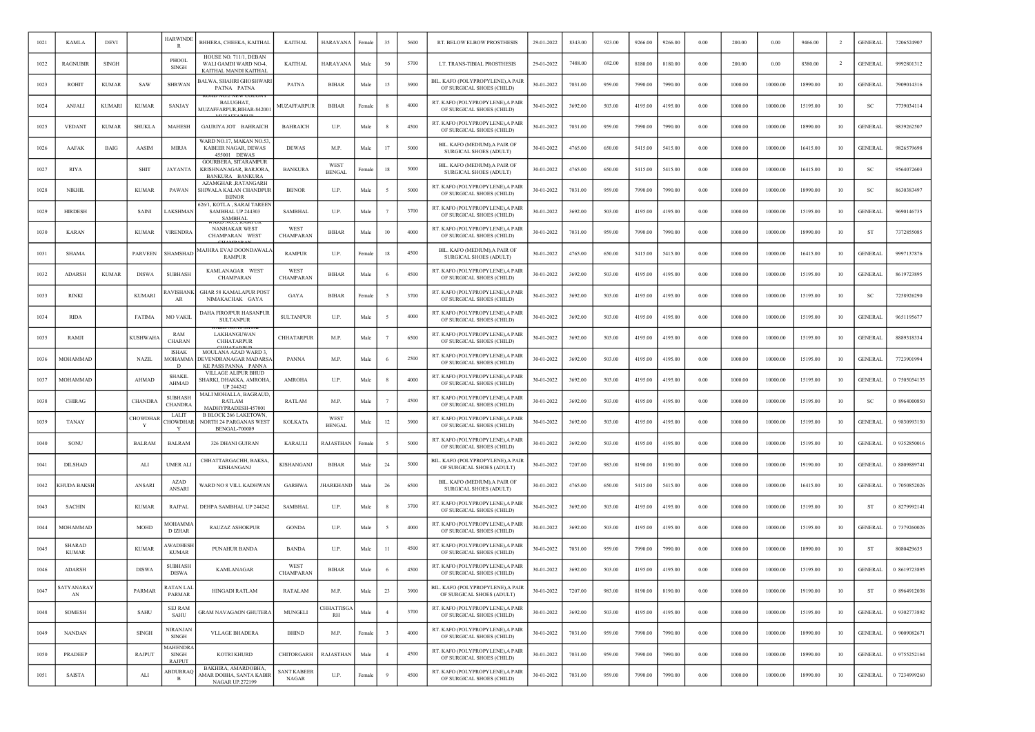| 1021 | <b>KAMLA</b>                  | <b>DEVI</b>   |                | <b>HARWINDE</b><br>R                      | BHHERA, CHEEKA, KAITHAL                                                              | <b>KAITHAL</b>                     | HARAYANA              | Female | 35                      | 5600 | RT. BELOW ELBOW PROSTHESIS                                     | 29-01-2022 | 8343.00 | 923.00 | 9266.00 | 9266.00 | 0.00     | 200.00  | 0.00     | 9466.00  |                | <b>GENERAL</b> | 7206524907   |
|------|-------------------------------|---------------|----------------|-------------------------------------------|--------------------------------------------------------------------------------------|------------------------------------|-----------------------|--------|-------------------------|------|----------------------------------------------------------------|------------|---------|--------|---------|---------|----------|---------|----------|----------|----------------|----------------|--------------|
| 1022 | <b>RAGNUBIR</b>               | <b>SINGH</b>  |                | PHOOL<br>SINGH                            | HOUSE NO. 711/1, DEBAN<br>WALI GAMDI WARD NO-4<br>KAITHAL MANDI KAITHAI              | <b>KAITHAL</b>                     | <b>HARAYANA</b>       | Male   | 50                      | 5700 | LT. TRANS-TIBIAL PROSTHESIS                                    | 29-01-2022 | 7488.00 | 692.00 | 8180.00 | 8180.00 | 0.00     | 200.00  | 0.00     | 8380.00  | $\overline{2}$ | <b>GENERAL</b> | 9992801312   |
| 1023 | <b>ROHIT</b>                  | <b>KUMAR</b>  | SAW            | <b>SHRWAN</b>                             | <b>BALWA, SHAHRI GHOSHWARI</b><br>PATNA PATNA                                        | <b>PATNA</b>                       | <b>BIHAR</b>          | Male   | 15                      | 3900 | BIL. KAFO (POLYPROPYLENE), A PAIR<br>OF SURGICAL SHOES (CHILD) | 30-01-2022 | 7031.00 | 959.00 | 7990.00 | 7990.00 | 0.00     | 1000.00 | 10000.00 | 18990.00 | 10             | <b>GENERAL</b> | 7909014316   |
| 1024 | <b>ANJALI</b>                 | <b>KUMARI</b> | KUMAR          | SANJAY                                    | BALUGHAT,<br>MUZAFFARPUR, BIHAR-842001                                               | MUZAFFARPUR                        | <b>BIHAR</b>          | Female | -8                      | 4000 | RT. KAFO (POLYPROPYLENE), A PAIR<br>OF SURGICAL SHOES (CHILD)  | 30-01-2022 | 3692.00 | 503.00 | 4195.00 | 4195.00 | 0.00     | 1000.00 | 10000.00 | 15195.00 | 10             | SC             | 7739034114   |
| 1025 | <b>VEDANT</b>                 | <b>KUMAR</b>  | <b>SHUKLA</b>  | MAHESH                                    | GAURIYA JOT BAHRAICH                                                                 | <b>BAHRAICH</b>                    | U.P.                  | Male   |                         | 4500 | RT. KAFO (POLYPROPYLENE), A PAIR<br>OF SURGICAL SHOES (CHILD)  | 30-01-2022 | 7031.00 | 959.00 | 7990.00 | 7990.00 | 0.00     | 1000.00 | 10000.00 | 18990.00 | 10             | <b>GENERAI</b> | 9839262507   |
| 1026 | AAFAK                         | <b>BAIG</b>   | AASIM          | <b>MIRJA</b>                              | WARD NO.17, MAKAN NO.53<br>KABEER NAGAR, DEWAS<br>455001 DEWAS                       | <b>DEWAS</b>                       | M.P.                  | Male   | 17                      | 5000 | BIL. KAFO (MEDIUM), A PAIR OF<br>SURGICAL SHOES (ADULT)        | 30-01-2022 | 4765.00 | 650.00 | 5415.00 | 5415.00 | 0.00     | 1000.00 | 10000.00 | 16415.00 | 10             | <b>GENERAI</b> | 9826579698   |
| 1027 | <b>RIYA</b>                   |               | <b>SHIT</b>    | <b>JAYANTA</b>                            | <b>GOURBERA, SITARAMPUR</b><br>KRISHNANAGAR, BARJORA,<br>BANKURA BANKURA             | <b>BANKURA</b>                     | WEST<br><b>BENGAL</b> | Female | 18                      | 5000 | BIL. KAFO (MEDIUM), A PAIR OF<br>SURGICAL SHOES (ADULT)        | 30-01-2022 | 4765.00 | 650.00 | 5415.00 | 5415.00 | $0.00\,$ | 1000.00 | 10000.00 | 16415.00 | 10             | <sub>SC</sub>  | 9564072603   |
| 1028 | <b>NIKHIL</b>                 |               | <b>KUMAR</b>   | PAWAN                                     | AZAMGHAR , RATANGARH<br>SHIWALA KALAN CHANDPUR<br><b>BIJNOF</b>                      | <b>BUNOR</b>                       | U.P.                  | Male   |                         | 5000 | RT. KAFO (POLYPROPYLENE), A PAIR<br>OF SURGICAL SHOES (CHILD)  | 30-01-2022 | 7031.00 | 959.00 | 7990.00 | 7990.00 | 0.00     | 1000.00 | 10000.00 | 18990.00 | 10             | <b>SC</b>      | 8630383497   |
| 1029 | <b>HIRDESH</b>                |               | SAINI          | <b>AKSHMAN</b>                            | 526/1, KOTLA, SARAI TAREEN<br>SAMBHAL UP 244303<br><b>SAMBHAI</b>                    | <b>SAMBHAL</b>                     | U.P.                  | Male   |                         | 3700 | RT. KAFO (POLYPROPYLENE), A PAIR<br>OF SURGICAL SHOES (CHILD)  | 30-01-2022 | 3692.00 | 503.00 | 4195.00 | 4195.00 | 0.00     | 1000.00 | 10000.00 | 15195.00 | 10             | <b>GENERAL</b> | 9690146735   |
| 1030 | <b>KARAN</b>                  |               | <b>KUMAR</b>   | <b>VIRENDRA</b>                           | <b>NANHAKAR WEST</b><br>CHAMPARAN WEST                                               | WEST<br>CHAMPARAN                  | <b>BIHAR</b>          | Male   | 10                      | 4000 | RT. KAFO (POLYPROPYLENE), A PAIR<br>OF SURGICAL SHOES (CHILD)  | 30-01-2022 | 7031.00 | 959.00 | 7990.00 | 7990.00 | 0.00     | 1000.00 | 10000.00 | 18990.00 | 10             | ST             | 7372855085   |
| 1031 | <b>SHAMA</b>                  |               | <b>PARVEEN</b> | SHAMSHAD                                  | MAJHRA EVAJ DOONDAWALA<br><b>RAMPUR</b>                                              | <b>RAMPUR</b>                      | U.P.                  | Female | 18                      | 4500 | BIL. KAFO (MEDIUM), A PAIR OF<br>SURGICAL SHOES (ADULT)        | 30-01-2022 | 4765.00 | 650.00 | 5415.00 | 5415.00 | 0.00     | 1000.00 | 10000.00 | 16415.00 | 10             | <b>GENERAL</b> | 9997137876   |
| 1032 | <b>ADARSH</b>                 | <b>KUMAR</b>  | <b>DISWA</b>   | <b>SUBHASH</b>                            | KAMLANAGAR WEST<br>CHAMPARAN                                                         | WEST<br>CHAMPARAN                  | <b>BIHAR</b>          | Male   |                         | 4500 | RT. KAFO (POLYPROPYLENE), A PAIR<br>OF SURGICAL SHOES (CHILD)  | 30-01-2022 | 3692.00 | 503.00 | 4195.00 | 4195.00 | 0.00     | 1000.00 | 10000.00 | 15195.00 | 10             | <b>GENERAI</b> | 8619723895   |
| 1033 | <b>RINKI</b>                  |               | <b>KUMARI</b>  | <b>AVISHANK</b><br>AR                     | <b>GHAR 58 KAMALAPUR POST</b><br>NIMAKACHAK GAYA                                     | GAYA                               | <b>BIHAR</b>          | Female |                         | 3700 | RT. KAFO (POLYPROPYLENE), A PAIR<br>OF SURGICAL SHOES (CHILD)  | 30-01-2022 | 3692.00 | 503.00 | 4195.00 | 4195.00 | 0.00     | 1000.00 | 10000.00 | 15195.00 | 10             | -SC            | 7258926290   |
| 1034 | <b>RIDA</b>                   |               | <b>FATIMA</b>  | MO VAKII                                  | DAHA FIROJPUR HASANPUR<br><b>SULTANPUR</b>                                           | <b>SULTANPUR</b>                   | U.P.                  | Male   |                         | 4000 | RT. KAFO (POLYPROPYLENE), A PAIR<br>OF SURGICAL SHOES (CHILD)  | 30-01-2022 | 3692.00 | 503.00 | 4195.00 | 4195.00 | 0.00     | 1000.00 | 10000.00 | 15195.00 | 10             | <b>GENERAL</b> | 9651195677   |
| 1035 | RAMJI                         |               | <b>KUSHWAH</b> | RAM<br><b>CHARAN</b>                      | LAKHANGUWAN<br><b>CHHATARPUR</b>                                                     | <b>CHHATARPUR</b>                  | M.P.                  | Male   |                         | 6500 | RT. KAFO (POLYPROPYLENE), A PAIR<br>OF SURGICAL SHOES (CHILD)  | 30-01-2022 | 3692.00 | 503.00 | 4195.00 | 4195.00 | 0.00     | 1000.00 | 10000.00 | 15195.00 | 10             | <b>GENERAL</b> | 8889318334   |
| 1036 | MOHAMMAD                      |               | <b>NAZIL</b>   | <b>ISHAK</b><br>MOHAMMA<br>D              | MOULANA AZAD WARD 3<br>DEVENDRANAGAR MADARSA<br><b>KE PASS PANNA PANNA</b>           | <b>PANNA</b>                       | M.P.                  | Male   |                         | 2500 | RT. KAFO (POLYPROPYLENE), A PAIR<br>OF SURGICAL SHOES (CHILD)  | 30-01-2022 | 3692.00 | 503.00 | 4195.00 | 4195.00 | 0.00     | 1000.00 | 10000.00 | 15195.00 | 10             | <b>GENERAL</b> | 7723901994   |
| 1037 | MOHAMMAD                      |               | <b>AHMAD</b>   | <b>SHAKII</b><br><b>AHMAD</b>             | VILLAGE ALIPUR BHUD<br>SHARKI, DHAKKA, AMROHA<br>UP 244242                           | <b>AMROHA</b>                      | U.P.                  | Male   | -8                      | 4000 | RT. KAFO (POLYPROPYLENE), A PAIR<br>OF SURGICAL SHOES (CHILD)  | 30-01-2022 | 3692.00 | 503.00 | 4195.00 | 4195.00 | 0.00     | 1000.00 | 10000.00 | 15195.00 | 10             | <b>GENERAL</b> | 0 7505054135 |
| 1038 | CHIRAG                        |               | <b>CHANDRA</b> | <b>SUBHASH</b><br><b>CHANDRA</b>          | MALI MOHALLA, BAGRAUD,<br>RATLAM<br>MADHYPRADESH-457001                              | RATLAM                             | M.P                   | Male   |                         | 4500 | RT. KAFO (POLYPROPYLENE), A PAIR<br>OF SURGICAL SHOES (CHILD)  | 30-01-2022 | 3692.00 | 503.00 | 4195.00 | 4195.00 | 0.00     | 1000.00 | 10000.00 | 15195.00 | 10             | <sub>SC</sub>  | 0 8964000850 |
| 1039 | <b>TANAY</b>                  |               | CHOWDHAF<br>Y  | LALIT<br><b>HOWDHAR</b>                   | <b>B BLOCK 266 LAKETOWN</b><br><b>NORTH 24 PARGANAS WEST</b><br><b>BENGAL-700089</b> | <b>KOLKATA</b>                     | WEST<br><b>BENGAL</b> | Male   | 12                      | 3900 | RT. KAFO (POLYPROPYLENE), A PAIR<br>OF SURGICAL SHOES (CHILD)  | 30-01-2022 | 3692.00 | 503.00 | 4195.00 | 4195.00 | 0.00     | 1000.00 | 10000.00 | 15195.00 | 10             | <b>GENERAL</b> | 0 9830993150 |
| 1040 | SONU                          |               | <b>BALRAM</b>  | <b>BALRAM</b>                             | 326 DHANI GUJRAN                                                                     | <b>KARAUL</b>                      | RAJASTHAN             | Femal  |                         | 5000 | RT. KAFO (POLYPROPYLENE), A PAIR<br>OF SURGICAL SHOES (CHILD)  | 30-01-2022 | 3692.00 | 503.00 | 4195.00 | 4195.00 | 0.00     | 1000.00 | 10000.00 | 15195.00 | 10             | <b>GENERAL</b> | 0 9352850016 |
| 1041 | <b>DILSHAD</b>                |               | ALI            | <b>UMER ALI</b>                           | CHHATTARGACHH, BAKSA,<br>KISHANGANJ                                                  | KISHANGANJ                         | <b>BIHAR</b>          | Male   | 24                      | 5000 | BIL. KAFO (POLYPROPYLENE), A PAIR<br>OF SURGICAL SHOES (ADULT) | 30-01-2022 | 7207.00 | 983.00 | 8190.00 | 8190.00 | 0.00     | 1000.00 | 10000.00 | 19190.00 | 10             | <b>GENERAL</b> | 0 8809889741 |
| 1042 | <b>CHUDA BAKSH</b>            |               | ANSARI         | <b>AZAD</b><br><b>ANSARI</b>              | WARD NO 8 VILL KADHWAN                                                               | <b>GARHWA</b>                      | <b>JHARKHAND</b>      | Male   | 26                      | 6500 | BIL. KAFO (MEDIUM), A PAIR OF<br>SURGICAL SHOES (ADULT)        | 30-01-2022 | 4765.00 | 650.00 | 5415.00 | 5415.00 | 0.00     | 1000.00 | 10000.00 | 16415.00 | 10             | <b>GENERAL</b> | 0 7050852026 |
| 1043 | <b>SACHIN</b>                 |               | <b>KUMAR</b>   | RAJPAL                                    | DEHPA SAMBHAL UP 244242                                                              | <b>SAMBHAL</b>                     | U.P.                  | Male   |                         | 3700 | RT. KAFO (POLYPROPYLENE), A PAIR<br>OF SURGICAL SHOES (CHILD)  | 30-01-2022 | 3692.00 | 503.00 | 4195.00 | 4195.00 | $0.00\,$ | 1000.00 | 10000.00 | 15195.00 | 10             | <b>ST</b>      | 0 8279992141 |
| 1044 | MOHAMMAD                      |               | <b>MOHD</b>    | <b>MOHAMMA</b><br>D IZHAR                 | <b>RAUZAZ ASHOKPUR</b>                                                               | <b>GONDA</b>                       | U.P.                  | Male   | -5                      | 4000 | RT. KAFO (POLYPROPYLENE), A PAIR<br>OF SURGICAL SHOES (CHILD)  | 30-01-2022 | 3692.00 | 503.00 | 4195.00 | 4195.00 | 0.00     | 1000.00 | 10000.00 | 15195.00 | 10             | <b>GENERAL</b> | 0 7379260026 |
| 1045 | <b>SHARAD</b><br><b>KUMAR</b> |               | <b>KUMAR</b>   | <b>WADHESE</b><br><b>KUMAR</b>            | PUNAHUR BANDA                                                                        | BANDA                              | U.P.                  | Male   | 11                      | 4500 | RT. KAFO (POLYPROPYLENE), A PAIR<br>OF SURGICAL SHOES (CHILD)  | 30-01-2022 | 7031.00 | 959.00 | 7990.00 | 7990.00 | 0.00     | 1000.00 | 10000.00 | 18990.00 | 10             | ST             | 8080429635   |
| 1046 | <b>ADARSH</b>                 |               | <b>DISWA</b>   | <b>SUBHASH</b><br><b>DISWA</b>            | <b>KAMLANAGAR</b>                                                                    | WEST<br>CHAMPARAN                  | <b>BIHAR</b>          | Male   | - 6                     | 4500 | RT. KAFO (POLYPROPYLENE), A PAIR<br>OF SURGICAL SHOES (CHILD)  | 30-01-2022 | 3692.00 | 503.00 | 4195.00 | 4195.00 | 0.00     | 1000.00 | 10000.00 | 15195.00 | 10             | <b>GENERAL</b> | 0 8619723895 |
| 1047 | SATYANARAY<br>AN              |               | PARMAR         | <b>RATAN LAL</b><br><b>PARMAR</b>         | HINGADI RATLAM                                                                       | <b>RATALAM</b>                     | M.P.                  | Male   | 23                      | 3900 | BIL. KAFO (POLYPROPYLENE), A PAIR<br>OF SURGICAL SHOES (ADULT) | 30-01-2022 | 7207.00 | 983.00 | 8190.00 | 8190.00 | 0.00     | 1000.00 | 10000.00 | 19190.00 | 10             | ST             | 0 8964912038 |
| 1048 | <b>SOMESH</b>                 |               | SAHU           | <b>SEJ RAM</b><br>SAHU                    | <b>GRAM NAVAGAON GHUTERA</b>                                                         | <b>MUNGELI</b>                     | CHHATTISGA<br>RH      | Male   | $\overline{4}$          | 3700 | RT. KAFO (POLYPROPYLENE), A PAIR<br>OF SURGICAL SHOES (CHILD)  | 30-01-2022 | 3692.00 | 503.00 | 4195.00 | 4195.00 | 0.00     | 1000.00 | 10000.00 | 15195.00 | 10             | <b>GENERAL</b> | 0 9302773892 |
| 1049 | <b>NANDAN</b>                 |               | <b>SINGH</b>   | <b>NIRANJAN</b><br><b>SINGH</b>           | <b>VLLAGE BHADERA</b>                                                                | <b>BHIND</b>                       | M.P.                  | Female | $\overline{\mathbf{3}}$ | 4000 | RT. KAFO (POLYPROPYLENE), A PAIR<br>OF SURGICAL SHOES (CHILD)  | 30-01-2022 | 7031.00 | 959.00 | 7990.00 | 7990.00 | 0.00     | 1000.00 | 10000.00 | 18990.00 | 10             | <b>GENERAL</b> | 0 9009082671 |
| 1050 | PRADEEP                       |               | <b>RAJPUT</b>  | <b>AAHENDRA</b><br>SINGH<br><b>RAJPUT</b> | KOTRI KHURD                                                                          | CHITORGARH                         | <b>RAJASTHAN</b>      | Male   | $\overline{4}$          | 4500 | RT. KAFO (POLYPROPYLENE), A PAIR<br>OF SURGICAL SHOES (CHILD)  | 30-01-2022 | 7031.00 | 959.00 | 7990.00 | 7990.00 | 0.00     | 1000.00 | 10000.00 | 18990.00 | 10             | <b>GENERAL</b> | 0 9755252164 |
| 1051 | SAISTA                        |               | ALI            | <b>ABDURRAQ</b><br>B                      | BAKHIRA, AMARDOBHA,<br>AMAR DOBHA, SANTA KABIR<br><b>NAGAR UP.272199</b>             | <b>SANT KABEER</b><br><b>NAGAR</b> | U.P.                  | Female | $\mathbf{Q}$            | 4500 | RT. KAFO (POLYPROPYLENE), A PAIR<br>OF SURGICAL SHOES (CHILD)  | 30-01-2022 | 7031.00 | 959.00 | 7990.00 | 7990.00 | 0.00     | 1000.00 | 10000.00 | 18990.00 | 10             | <b>GENERAL</b> | 0 7234999260 |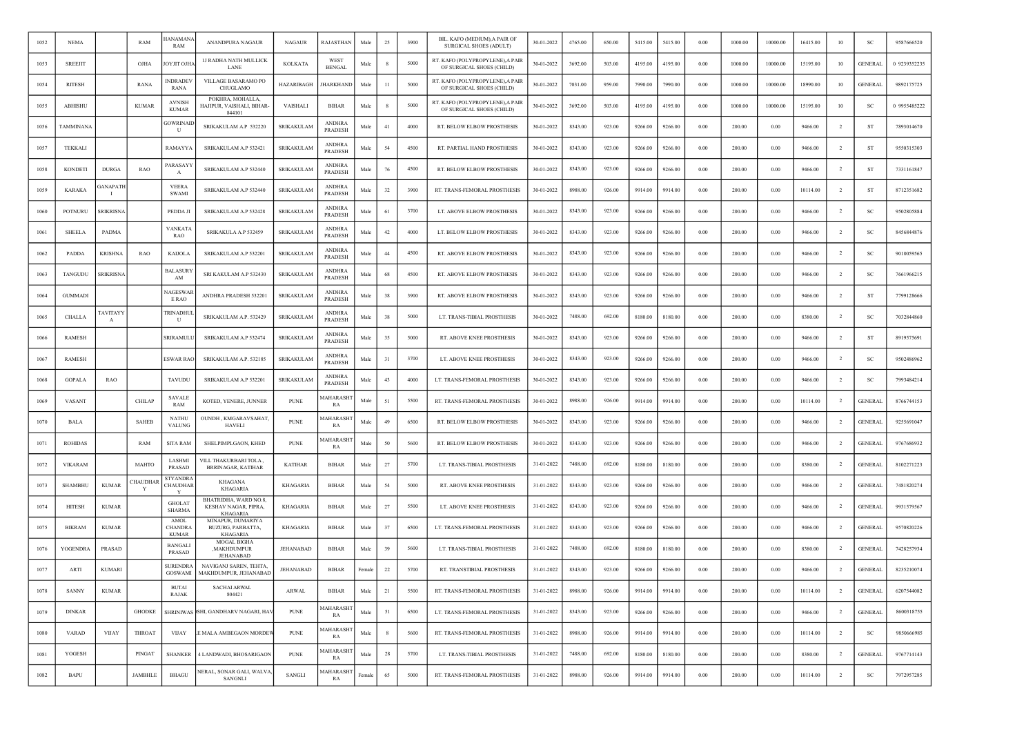| 1052 | <b>NEMA</b>    |                                        | RAM            | ANAMANA<br>RAM                         | ANANDPURA NAGAUR                                                 | <b>NAGAUR</b>     | RAJASTHAN                | Male   | 25           | 3900 | BIL. KAFO (MEDIUM), A PAIR OF<br>SURGICAL SHOES (ADULT)       | 30-01-2022 | 4765.00 | 650.00 | 5415.00 | 5415.00 | 0.00     | 1000.00 | 10000.00 | 16415.00 | 10             | <b>SC</b>      | 9587666520   |
|------|----------------|----------------------------------------|----------------|----------------------------------------|------------------------------------------------------------------|-------------------|--------------------------|--------|--------------|------|---------------------------------------------------------------|------------|---------|--------|---------|---------|----------|---------|----------|----------|----------------|----------------|--------------|
| 1053 | <b>SREEJIT</b> |                                        | OJHA           | ОҮЛТ ОЛИ                               | <b>1J RADHA NATH MULLICK</b><br>LANE                             | <b>KOLKATA</b>    | WEST<br><b>BENGAL</b>    | Male   | $\mathbf{R}$ | 5000 | RT. KAFO (POLYPROPYLENE), A PAIR<br>OF SURGICAL SHOES (CHILD) | 30-01-2022 | 3692.00 | 503.00 | 4195.00 | 4195.00 | 0.00     | 1000.00 | 10000.00 | 15195.00 | 10             | <b>GENERAL</b> | 0 9239352235 |
| 1054 | RITESH         |                                        | RANA           | <b>INDRADEV</b><br>RANA                | VILLAGE BASARAMO PO<br>CHUGLAMO                                  | HAZARIBAGH        | <b>HARKHAND</b>          | Male   | $^{11}$      | 5000 | RT. KAFO (POLYPROPYLENE), A PAIR<br>OF SURGICAL SHOES (CHILD) | 30-01-2022 | 7031.00 | 959.00 | 7990.00 | 7990.00 | $0.00\,$ | 1000.00 | 10000.00 | 18990.00 | 10             | <b>GENERAL</b> | 9892175725   |
| 1055 | ABHISHU        |                                        | <b>KUMAR</b>   | <b>AVNISH</b><br><b>KUMAR</b>          | POKHRA, MOHALLA,<br>HAJIPUR, VAISHALI, BIHAR-<br>844101          | VAISHALI          | BIHAR                    | Male   | -8           | 5000 | RT. KAFO (POLYPROPYLENE), A PAIR<br>OF SURGICAL SHOES (CHILD) | 30-01-2022 | 3692.00 | 503.00 | 4195.00 | 4195.00 | 0.00     | 1000.00 | 10000.00 | 15195.00 | 10             | SC             | 0 9955485222 |
| 1056 | TAMMINANA      |                                        |                | <b>GOWRINAIL</b><br>U                  | SRIKAKULAM A.P 532220                                            | SRIKAKULAM        | <b>ANDHRA</b><br>PRADESH | Male   | 41           | 4000 | RT. BELOW ELBOW PROSTHESIS                                    | 30-01-2022 | 8343.00 | 923.00 | 9266.00 | 9266.00 | $0.00\,$ | 200.00  | 0.00     | 9466.00  |                | ST             | 7893014670   |
| 1057 | <b>TEKKALI</b> |                                        |                | RAMAYYA                                | SRIKAKULAM A.P 532421                                            | SRIKAKULAM        | <b>ANDHRA</b><br>PRADESH | Male   | 54           | 4500 | RT. PARTIAL HAND PROSTHESIS                                   | 30-01-2022 | 8343.00 | 923.00 | 9266.00 | 9266.00 | 0.00     | 200.00  | 0.00     | 9466.00  | $\overline{2}$ | ST             | 9550315303   |
| 1058 | <b>KONDETI</b> | <b>DURGA</b>                           | RAO            | PARASAYY<br>$\mathbf{A}$               | SRIKAKULAM A.P 532440                                            | <b>SRIKAKULAM</b> | <b>ANDHRA</b><br>PRADESH | Male   | 76           | 4500 | RT. BELOW ELBOW PROSTHESIS                                    | 30-01-2022 | 8343.00 | 923.00 | 9266.00 | 9266.00 | $0.00\,$ | 200.00  | 0.00     | 9466.00  | $\overline{2}$ | ST             | 7331161847   |
| 1059 | <b>KARAKA</b>  | ANAPATE                                |                | <b>VEERA</b><br><b>SWAMI</b>           | SRIKAKULAM A.P 532440                                            | <b>SRIKAKULAM</b> | <b>ANDHRA</b><br>PRADESH | Male   | 32           | 3900 | RT. TRANS-FEMORAL PROSTHESIS                                  | 30-01-2022 | 8988.00 | 926.00 | 9914.00 | 9914.00 | 0.00     | 200.00  | 0.00     | 10114.00 | $\overline{2}$ | ST             | 8712351682   |
| 1060 | POTNURU        | <b>SRIKRISNA</b>                       |                | PEDDA JI                               | SRIKAKULAM A.P 532428                                            | SRIKAKULAM        | <b>ANDHRA</b><br>PRADESH | Male   | 61           | 3700 | LT. ABOVE ELBOW PROSTHESIS                                    | 30-01-2022 | 8343.00 | 923.00 | 9266.00 | 9266.00 | $0.00\,$ | 200.00  | 0.00     | 9466.00  | $\overline{2}$ | SC             | 9502805884   |
| 1061 | <b>SHEELA</b>  | PADMA                                  |                | <b>VANKATA</b><br>RAO                  | SRIKAKULA A.P 532459                                             | <b>SRIKAKULAM</b> | <b>ANDHRA</b><br>PRADESH | Male   | $42\,$       | 4000 | LT. BELOW ELBOW PROSTHESIS                                    | 30-01-2022 | 8343.00 | 923.00 | 9266.00 | 9266.00 | 0.00     | 200.00  | 0.00     | 9466.00  | <sup>2</sup>   | SC             | 8456844876   |
| 1062 | PADDA          | KRISHNA                                | RAO            | <b>KAIJOLA</b>                         | SRIKAKULAM A.P 532201                                            | SRIKAKULAM        | <b>ANDHRA</b><br>PRADESH | Male   | 44           | 4500 | RT. ABOVE ELBOW PROSTHESIS                                    | 30-01-2022 | 8343.00 | 923.00 | 9266.00 | 9266.00 | 0.00     | 200.00  | 0.00     | 9466.00  | $\overline{2}$ | SC             | 9010059565   |
| 1063 | TANGUDU        | SRIKRISNA                              |                | <b>BALASURY</b><br>AM                  | SRI KAKULAM A.P 532430                                           | SRIKAKULAM        | <b>ANDHRA</b><br>PRADESH | Male   | 68           | 4500 | RT. ABOVE ELBOW PROSTHESIS                                    | 30-01-2022 | 8343.00 | 923.00 | 9266.00 | 9266.00 | $0.00\,$ | 200.00  | 0.00     | 9466.00  |                | <sub>SC</sub>  | 7661966215   |
| 1064 | <b>GUMMADI</b> |                                        |                | NAGESWAI<br>E RAO                      | ANDHRA PRADESH 532201                                            | <b>SRIKAKULAM</b> | <b>ANDHRA</b><br>PRADESH | Male   | 38           | 3900 | RT. ABOVE ELBOW PROSTHESIS                                    | 30-01-2022 | 8343.00 | 923.00 | 9266.00 | 9266.00 | 0.00     | 200.00  | 0.00     | 9466.00  | $\overline{2}$ | ST             | 7799128666   |
| 1065 | CHALLA         | <b><i>TAVITAYY</i></b><br>$\mathbf{A}$ |                | TRINADHUL<br>U                         | SRIKAKULAM A.P. 532429                                           | SRIKAKULAM        | <b>ANDHRA</b><br>PRADESH | Male   | 38           | 5000 | LT. TRANS-TIBIAL PROSTHESIS                                   | 30-01-2022 | 7488.00 | 692.00 | 8180.00 | 8180.00 | 0.00     | 200.00  | 0.00     | 8380.00  | $\overline{2}$ | SC             | 7032844860   |
| 1066 | <b>RAMESH</b>  |                                        |                | SRIRAMULL                              | SRIKAKULAM A.P 532474                                            | <b>SRIKAKULAM</b> | <b>ANDHRA</b><br>PRADESH | Male   | 35           | 5000 | RT. ABOVE KNEE PROSTHESIS                                     | 30-01-2022 | 8343.00 | 923.00 | 9266.00 | 9266.00 | 0.00     | 200.00  | 0.00     | 9466.00  | $\overline{2}$ | ST             | 8919575691   |
| 1067 | <b>RAMESH</b>  |                                        |                | ESWAR RAC                              | SRIKAKULAM A.P. 532185                                           | SRIKAKULAM        | <b>ANDHRA</b><br>PRADESH | Male   | 31           | 3700 | LT. ABOVE KNEE PROSTHESIS                                     | 30-01-2022 | 8343.00 | 923.00 | 9266.00 | 9266.00 | $0.00\,$ | 200.00  | 0.00     | 9466.00  | $\overline{2}$ | SC             | 9502486962   |
| 1068 | <b>GOPALA</b>  | RAO                                    |                | TAVUDU                                 | SRIKAKULAM A.P 532201                                            | <b>SRIKAKULAM</b> | <b>ANDHRA</b><br>PRADESH | Male   | 43           | 4000 | LT. TRANS-FEMORAL PROSTHESIS                                  | 30-01-2022 | 8343.00 | 923.00 | 9266.00 | 9266.00 | 0.00     | 200.00  | 0.00     | 9466.00  | $\overline{2}$ | <sub>SC</sub>  | 7993484214   |
| 1069 | <b>VASANT</b>  |                                        | <b>CHILAP</b>  | SAVALE<br>RAM                          | KOTED, YENERE, JUNNER                                            | <b>PUNE</b>       | MAHARASH<br>RA           | Male   | 51           | 5500 | RT. TRANS-FEMORAL PROSTHESIS                                  | 30-01-2022 | 8988.00 | 926.00 | 9914.00 | 9914.00 | $0.00\,$ | 200.00  | 0.00     | 10114.00 | $\overline{2}$ | <b>GENERAL</b> | 8766744153   |
| 1070 | <b>BALA</b>    |                                        | <b>SAHEB</b>   | <b>NATHU</b><br>VALUNG                 | OUNDH, KMGARAVSAHAT,<br><b>HAVELI</b>                            | <b>PUNE</b>       | MAHARASH<br>RA           | Male   | 49           | 6500 | RT. BELOW ELBOW PROSTHESIS                                    | 30-01-2022 | 8343.00 | 923.00 | 9266.00 | 9266.00 | 0.00     | 200.00  | 0.00     | 9466.00  |                | <b>GENERAL</b> | 9255691047   |
| 1071 | <b>ROHIDAS</b> |                                        | RAM            | SITA RAM                               | SHELPIMPLGAON, KHED                                              | <b>PUNE</b>       | MAHARASH<br>RA           | Male   | 50           | 5600 | RT. BELOW ELBOW PROSTHESIS                                    | 30-01-2022 | 8343.00 | 923.00 | 9266.00 | 9266.00 | 0.00     | 200.00  | 0.00     | 9466.00  | $\overline{2}$ | <b>GENERAL</b> | 9767686932   |
| 1072 | <b>VIKARAM</b> |                                        | MAHTO          | LASHMI<br>PRASAD                       | VILL THAKURBARI TOLA,<br><b>BRRINAGAR, KATIHAR</b>               | <b>KATIHAR</b>    | <b>BIHAR</b>             | Male   | 27           | 5700 | LT. TRANS-TIBIAL PROSTHESIS                                   | 31-01-2022 | 7488.00 | 692.00 | 8180.00 | 8180.00 | $0.00\,$ | 200.00  | 0.00     | 8380.00  | <sup>2</sup>   | <b>GENERAL</b> | 8102271223   |
| 1073 | SHAMBHU        | <b>KUMAR</b>                           | CHAUDHA<br>Y   | STYANDRA<br>CHAUDHAR<br>Y              | KHAGANA<br><b>KHAGARIA</b>                                       | KHAGARIA          | BIHAR                    | Male   | 54           | 5000 | RT. ABOVE KNEE PROSTHESIS                                     | 31-01-2022 | 8343.00 | 923.00 | 9266.00 | 9266.00 | 0.00     | 200.00  | 0.00     | 9466.00  | $\overline{2}$ | <b>GENERAL</b> | 7481820274   |
| 1074 | <b>HITESH</b>  | <b>KUMAR</b>                           |                | <b>GHOLAT</b><br><b>SHARMA</b>         | BHATRIDHA, WARD NO.8,<br>KESHAV NAGAR, PIPRA,<br><b>KHAGARIA</b> | KHAGARIA          | <b>BIHAR</b>             | Male   | 27           | 5500 | LT. ABOVE KNEE PROSTHESIS                                     | 31-01-2022 | 8343.00 | 923.00 | 9266.00 | 9266.00 | $0.00\,$ | 200.00  | 0.00     | 9466.00  | $\overline{2}$ | <b>GENERAL</b> | 9931579567   |
| 1075 | <b>BIKRAM</b>  | <b>KUMAR</b>                           |                | AMOL<br><b>CHANDRA</b><br><b>KUMAR</b> | MINAPUR, DUMARIYA<br>BUZURG, PARBATTA,<br><b>KHAGARIA</b>        | KHAGARIA          | <b>BIHAR</b>             | Male   | 37           | 6500 | LT. TRANS-FEMORAL PROSTHESIS                                  | 31-01-2022 | 8343.00 | 923.00 | 9266.00 | 9266.00 | 0.00     | 200.00  | 0.00     | 9466.00  | $\overline{2}$ | <b>GENERAL</b> | 9570820226   |
| 1076 | YOGENDRA       | PRASAD                                 |                | <b>BANGALI</b><br>PRASAD               | <b>MOGAL BIGHA</b><br>,MAKHDUMPUR<br>JEHANABAD                   | JEHANABAD         | <b>BIHAR</b>             | Male   | 39           | 5600 | LT. TRANS-TIBIAL PROSTHESIS                                   | 31-01-2022 | 7488.00 | 692.00 | 8180.00 | 8180.00 | 0.00     | 200.00  | 0.00     | 8380.00  | -2             | <b>GENERAL</b> | 7428257934   |
| 1077 | ARTI           | <b>KUMARI</b>                          |                | <b>SURENDRA</b><br><b>GOSWAMI</b>      | NAVIGANJ SAREN, TEHTA.<br>MAKHDUMPUR, JEHANABAD                  | <b>JEHANABAD</b>  | <b>BIHAR</b>             | Female | $\bf 22$     | 5700 | RT. TRANSTIBIAL PROSTHESIS                                    | 31-01-2022 | 8343.00 | 923.00 | 9266.00 | 9266.00 | 0.00     | 200.00  | 0.00     | 9466.00  | $\overline{2}$ | <b>GENERAL</b> | 8235210074   |
| 1078 | <b>SANNY</b>   | <b>KUMAR</b>                           |                | <b>BUTAI</b><br>RAJAK                  | <b>SACHAI ARWAL</b><br>804421                                    | <b>ARWAL</b>      | <b>BIHAR</b>             | Male   | 21           | 5500 | RT. TRANS-FEMORAL PROSTHESIS                                  | 31-01-2022 | 8988.00 | 926.00 | 9914.00 | 9914.00 | 0.00     | 200.00  | 0.00     | 10114.00 | $\overline{2}$ | <b>GENERAL</b> | 6207544082   |
| 1079 | <b>DINKAR</b>  |                                        | <b>GHODKE</b>  |                                        | SHRINIWAS SHI, GANDHARV NAGARI, HAV                              | <b>PUNE</b>       | <b>MAHARASHT</b><br>RA   | Male   | 51           | 6500 | LT. TRANS-FEMORAL PROSTHESIS                                  | 31-01-2022 | 8343.00 | 923.00 | 9266.00 | 9266.00 | 0.00     | 200.00  | 0.00     | 9466.00  | $\overline{2}$ | <b>GENERAL</b> | 8600318755   |
| 1080 | VARAD          | <b>VIJAY</b>                           | <b>THROAT</b>  | <b>VIJAY</b>                           | E MALA AMBEGAON MORDEV                                           | <b>PUNE</b>       | MAHARASH<br><b>RA</b>    | Male   | -8           | 5600 | RT. TRANS-FEMORAL PROSTHESIS                                  | 31-01-2022 | 8988.00 | 926.00 | 9914.00 | 9914.00 | 0.00     | 200.00  | $0.00\,$ | 10114.00 | $\overline{2}$ | SC             | 9850666985   |
| 1081 | YOGESH         |                                        | PINGAT         | <b>SHANKER</b>                         | 4 LANDWADI, BHOSARIGAON                                          | <b>PUNE</b>       | MAHARASHT<br>RA          | Male   | 28           | 5700 | LT. TRANS-TIBIAL PROSTHESIS                                   | 31-01-2022 | 7488.00 | 692.00 | 8180.00 | 8180.00 | $0.00\,$ | 200.00  | $0.00\,$ | 8380.00  | $\overline{2}$ | <b>GENERAL</b> | 9767714143   |
| 1082 | <b>BAPU</b>    |                                        | <b>JAMBHLE</b> | <b>BHAGU</b>                           | NERAL, SONAR GALI, WALVA,<br><b>SANGNLI</b>                      | SANGLI            | MAHARASHT<br>RA          | Female | 65           | 5000 | RT. TRANS-FEMORAL PROSTHESIS                                  | 31-01-2022 | 8988.00 | 926.00 | 9914.00 | 9914.00 | $0.00\,$ | 200.00  | 0.00     | 10114.00 | $\overline{2}$ | SC             | 7972957285   |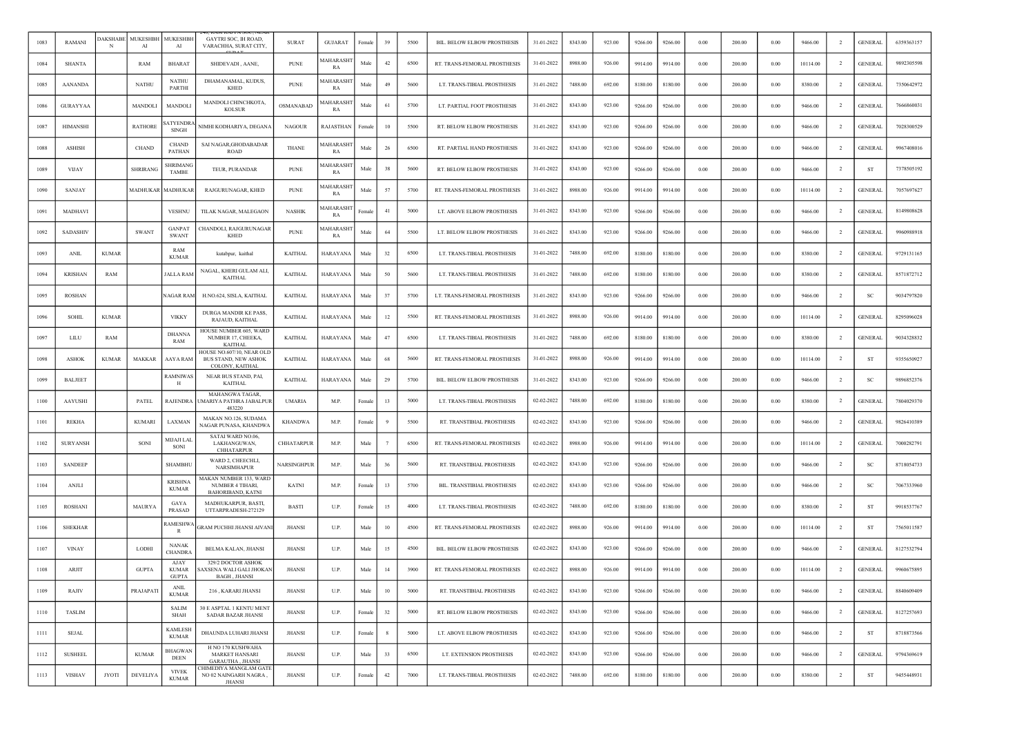| 1083 | <b>RAMANI</b>   | <b>DAKSHABE</b><br>N | MUKESHBH<br>AI  | <b>MUKESHBH</b><br>AI                | GAYTRI SOC, IH ROAD,<br>VARACHHA, SURAT CITY,                          | <b>SURAT</b>       | <b>GUJARAT</b>         | Female | 39     | 5500 | BIL. BELOW ELBOW PROSTHESIS  | 31-01-2022 | 8343.00 | 923.00 | 9266.00 | 9266.00 | 0.00       | 200.00 | 0.00     | 9466.00  | $\overline{2}$ | <b>GENERAL</b> | 6359363157 |
|------|-----------------|----------------------|-----------------|--------------------------------------|------------------------------------------------------------------------|--------------------|------------------------|--------|--------|------|------------------------------|------------|---------|--------|---------|---------|------------|--------|----------|----------|----------------|----------------|------------|
| 1084 | <b>SHANTA</b>   |                      | RAM             | <b>BHARAT</b>                        | SHIDEVADI, AANE,                                                       | <b>PUNE</b>        | MAHARASHT<br>RA        | Male   | 42     | 6500 | RT. TRANS-FEMORAL PROSTHESIS | 31-01-2022 | 8988.00 | 926.00 | 9914.00 | 9914.00 | 0.00       | 200.00 | 0.00     | 10114.00 | $\overline{2}$ | <b>GENERAL</b> | 9892305598 |
| 1085 | <b>AANANDA</b>  |                      | <b>NATHU</b>    | <b>NATHU</b><br>PARTHI               | DHAMANAMAL, KUDUS,<br><b>KHED</b>                                      | <b>PUNE</b>        | MAHARASH<br>RA         | Male   | 49     | 5600 | LT. TRANS-TIBIAL PROSTHESIS  | 31-01-2022 | 7488.00 | 692.00 | 8180.00 | 8180.00 | 0.00       | 200.00 | 0.00     | 8380.00  | $\overline{2}$ | <b>GENERAL</b> | 7350642972 |
| 1086 | <b>GURAYYAA</b> |                      | MANDOLI         | <b>MANDOL</b>                        | MANDOLI CHINCHKOTA,<br>KOLSUR                                          | OSMANABAD          | <b>AAHARASHT</b><br>RA | Male   | 61     | 5700 | LT. PARTIAL FOOT PROSTHESIS  | 31-01-2022 | 8343.00 | 923.00 | 9266.00 | 9266.00 | 0.00       | 200.00 | 0.00     | 9466.00  | $\overline{2}$ | <b>GENERAL</b> | 7666860031 |
| 1087 | <b>HIMANSHI</b> |                      | <b>RATHORE</b>  | <b>ATYENDRA</b><br><b>SINGH</b>      | NIMHI KODHARIYA, DEGANA                                                | <b>NAGOUR</b>      | <b>RAJASTHAN</b>       | Female | 10     | 5500 | RT. BELOW ELBOW PROSTHESIS   | 31-01-2022 | 8343.00 | 923.00 | 9266.00 | 9266.00 | 0.00       | 200.00 | 0.00     | 9466.00  | $\overline{2}$ | <b>GENERAL</b> | 7028300529 |
| 1088 | <b>ASHISH</b>   |                      | CHAND           | <b>CHAND</b><br>PATHAN               | SAI NAGAR, GHODABADAR<br><b>ROAD</b>                                   | <b>THANE</b>       | MAHARASH<br>RA         | Male   | 26     | 6500 | RT. PARTIAL HAND PROSTHESIS  | 31-01-2022 | 8343.00 | 923.00 | 9266.00 | 9266.00 | 0.00       | 200.00 | 0.00     | 9466.00  | $\overline{2}$ | <b>GENERAL</b> | 9967408016 |
| 1089 | <b>VIJAY</b>    |                      | <b>SHRIRANG</b> | SHRIMANO<br><b>TAMBE</b>             | TEUR, PURANDAR                                                         | <b>PUNE</b>        | <b>MAHARASH</b><br>RA  | Male   | 38     | 5600 | RT. BELOW ELBOW PROSTHESIS   | 31-01-2022 | 8343.00 | 923.00 | 9266.00 | 9266.00 | 0.00       | 200.00 | 0.00     | 9466.00  | -2             | ST             | 7378505192 |
| 1090 | SANJAY          |                      | <b>MADHUKAR</b> | <b>MADHUKAR</b>                      | RAJGURUNAGAR, KHED                                                     | <b>PUNE</b>        | MAHARASH<br>RA         | Male   | 57     | 5700 | RT. TRANS-FEMORAL PROSTHESIS | 31-01-2022 | 8988.00 | 926.00 | 9914.00 | 9914.00 | 0.00       | 200.00 | 0.00     | 10114.00 | $\overline{2}$ | <b>GENERAL</b> | 7057697627 |
| 1091 | MADHAVI         |                      |                 | <b>VESHNU</b>                        | TILAK NAGAR, MALEGAON                                                  | <b>NASHIK</b>      | MAHARASHT<br>RA        | Femal  | 41     | 5000 | LT. ABOVE ELBOW PROSTHESIS   | 31-01-2022 | 8343.00 | 923.00 | 9266.00 | 9266.00 | 0.00       | 200.00 | 0.00     | 9466.00  | $\overline{2}$ | <b>GENERAL</b> | 8149808628 |
| 1092 | <b>SADASHIV</b> |                      | <b>SWANT</b>    | <b>GANPAT</b><br><b>SWANT</b>        | CHANDOLI, RAJGURUNAGAR<br><b>KHED</b>                                  | <b>PUNE</b>        | MAHARASH<br>RA         | Male   | 64     | 5500 | LT. BELOW ELBOW PROSTHESIS   | 31-01-2022 | 8343.00 | 923.00 | 9266.00 | 9266.00 | 0.00       | 200.00 | 0.00     | 9466.00  | $\overline{2}$ | <b>GENERAL</b> | 9960988918 |
| 1093 | <b>ANIL</b>     | <b>KUMAR</b>         |                 | RAM<br><b>KUMAR</b>                  | kutabpur, kaithal                                                      | <b>KAITHAL</b>     | <b>HARAYANA</b>        | Male   | 32     | 6500 | LT. TRANS-TIBIAL PROSTHESIS  | 31-01-2022 | 7488.00 | 692.00 | 8180.00 | 8180.00 | 0.00       | 200.00 | 0.00     | 8380.00  | $\overline{2}$ | <b>GENERAL</b> | 9729131165 |
| 1094 | <b>KRISHAN</b>  | <b>RAM</b>           |                 | <b>JALLA RAM</b>                     | NAGAL, KHERI GULAM ALI,<br><b>KAITHAL</b>                              | <b>KAITHAL</b>     | <b>HARAYANA</b>        | Male   | 50     | 5600 | LT. TRANS-TIBIAL PROSTHESIS  | 31-01-2022 | 7488.00 | 692.00 | 8180.00 | 8180.00 | 0.00       | 200.00 | 0.00     | 8380.00  | $\overline{2}$ | <b>GENERAL</b> | 8571872712 |
| 1095 | <b>ROSHAN</b>   |                      |                 | NAGAR RAM                            | H.NO.624, SISLA, KAITHAL                                               | <b>KAITHAL</b>     | HARAYANA               | Male   | 37     | 5700 | LT. TRANS-FEMORAL PROSTHESIS | 31-01-2022 | 8343.00 | 923.00 | 9266.00 | 9266.00 | 0.00       | 200.00 | 0.00     | 9466.00  | $\overline{2}$ | SC             | 9034797820 |
| 1096 | <b>SOHIL</b>    | <b>KUMAR</b>         |                 | <b>VIKKY</b>                         | DURGA MANDIR KE PASS,<br>RAJAUD, KAITHAL                               | <b>KAITHAL</b>     | HARAYANA               | Male   | 12     | 5500 | RT. TRANS-FEMORAL PROSTHESIS | 31-01-2022 | 8988.00 | 926.00 | 9914.00 | 9914.00 | 0.00       | 200.00 | 0.00     | 10114.00 | <sup>2</sup>   | <b>GENERAL</b> | 8295096028 |
| 1097 | LILU            | RAM                  |                 | <b>DHANNA</b><br>RAM                 | HOUSE NUMBER 605, WARD<br>NUMBER 17, CHEEKA,<br><b>KAITHAL</b>         | <b>KAITHAL</b>     | <b>HARAYANA</b>        | Male   | 47     | 6500 | LT. TRANS-TIBIAL PROSTHESIS  | 31-01-2022 | 7488.00 | 692.00 | 8180.00 | 8180.00 | 0.00       | 200.00 | 0.00     | 8380.00  | $\overline{2}$ | <b>GENERAL</b> | 9034328832 |
| 1098 | <b>ASHOK</b>    | <b>KUMAR</b>         | MAKKAR          | AAYA RAM                             | HOUSE NO.607/10, NEAR OLD<br>BUS STAND, NEW ASHOK<br>COLONY, KAITHAL   | <b>KAITHAL</b>     | <b>HARAYANA</b>        | Male   | 68     | 5600 | RT. TRANS-FEMORAL PROSTHESIS | 31-01-2022 | 8988.00 | 926.00 | 9914.00 | 9914.00 | 0.00       | 200.00 | 0.00     | 10114.00 | $\overline{2}$ | <b>ST</b>      | 9355650927 |
| 1099 | <b>BALJEET</b>  |                      |                 | <b>RAMNIWAS</b><br>Н                 | NEAR BUS STAND, PAI,<br><b>KAITHAL</b>                                 | <b>KAITHAL</b>     | <b>HARAYANA</b>        | Male   | 29     | 5700 | BIL. BELOW ELBOW PROSTHESIS  | 31-01-2022 | 8343.00 | 923.00 | 9266.00 | 9266.00 | 0.00       | 200.00 | 0.00     | 9466.00  | $\overline{2}$ | SC             | 9896852376 |
| 1100 | AAYUSHI         |                      | PATEL           | RAJENDRA                             | MAHANGWA TAGAR,<br>UMARIYA PATHRA JABALPUR<br>483220                   | <b>UMARIA</b>      | M.P.                   | Female | 13     | 5000 | LT. TRANS-TIBIAL PROSTHESIS  | 02-02-2022 | 7488.00 | 692.00 | 8180.00 | 8180.00 | 0.00       | 200.00 | 0.00     | 8380.00  | $\overline{2}$ | <b>GENERAL</b> | 7804029370 |
| 1101 | <b>REKHA</b>    |                      | <b>KUMARI</b>   | LAXMAN                               | MAKAN NO.126, SUDAMA<br>NAGAR PUNASA, KHANDWA                          | <b>KHANDWA</b>     | M.P.                   | Female |        | 5500 | RT. TRANSTIBIAL PROSTHESIS   | 02-02-2022 | 8343.00 | 923.00 | 9266.00 | 9266.00 | 0.00       | 200.00 | 0.00     | 9466.00  | $\overline{2}$ | <b>GENERAL</b> | 9826410389 |
| 1102 | <b>SURYANSH</b> |                      | SONI            | MIJAJI LAI<br>SONI                   | SATAI WARD NO.06,<br>LAKHANGUWAN,<br><b>CHHATARPUR</b>                 | CHHATARPUR         | M.P.                   | Male   |        | 6500 | RT. TRANS-FEMORAL PROSTHESIS | 02-02-2022 | 8988.00 | 926.00 | 9914.00 | 9914.00 | 0.00       | 200.00 | 0.00     | 10114.00 | $\overline{2}$ | <b>GENERAL</b> | 7000282791 |
| 1103 | <b>SANDEEP</b>  |                      |                 | <b>SHAMBHU</b>                       | WARD 2, CHEECHLI,<br><b>NARSIMHAPUR</b>                                | <b>NARSINGHPUR</b> | M.P.                   | Male   | 36     | 5600 | RT. TRANSTIBIAL PROSTHESIS   | 02-02-2022 | 8343.00 | 923.00 | 9266.00 | 9266.00 | 0.00       | 200.00 | 0.00     | 9466.00  | $\overline{2}$ | <b>SC</b>      | 8718054733 |
| 1104 | ANJLI           |                      |                 | <b>KRISHNA</b><br><b>KUMAR</b>       | MAKAN NUMBER 133, WARD<br>NUMBER 4 TIHARI,<br><b>BAHORIBAND, KATNI</b> | <b>KATNI</b>       | M.P.                   | Female | 13     | 5700 | BIL. TRANSTIBIAL PROSTHESIS  | 02-02-2022 | 8343.00 | 923.00 | 9266.00 | 9266.00 | 0.00       | 200.00 | 0.00     | 9466.00  | $\overline{2}$ | SC             | 7067333960 |
| 1105 | <b>ROSHANI</b>  |                      | MAURYA          | GAYA<br>PRASAD                       | MADHUKARPUR, BASTI,<br>UTTARPRADESH-272129                             | <b>BASTI</b>       | U.P.                   | Female | 15     | 4000 | LT. TRANS-TIBIAL PROSTHESIS  | 02-02-2022 | 7488.00 | 692.00 | 8180.00 | 8180.00 | 0.00       | 200.00 | 0.00     | 8380.00  | $\overline{2}$ | <b>ST</b>      | 9918537767 |
| 1106 | <b>SHEKHAR</b>  |                      |                 | RAMESHWA<br>R                        | <b>GRAM PUCHHI JHANSI AIVAN</b>                                        | JHANSI             | U.P.                   | Male   | 10     | 4500 | RT. TRANS-FEMORAL PROSTHESIS | 02-02-2022 | 8988.00 | 926.00 | 9914.00 | 9914.00 | 0.00       | 200.00 | 0.00     | 10114.00 | $\overline{2}$ | ST             | 7565011587 |
| 1107 | <b>VINAY</b>    |                      | LODHI           | <b>NANAK</b><br><b>CHANDR</b>        | BELMA KALAN, JHANSI                                                    | JHANSI             | U.P.                   | Male   | 15     | 4500 | BIL. BELOW ELBOW PROSTHESIS  | 02-02-2022 | 8343.00 | 923.00 | 9266.00 | 9266.00 | 0.00       | 200.00 | 0.00     | 9466.00  | <sup>2</sup>   | <b>GENERAL</b> | 8127532794 |
| 1108 | ARJIT           |                      | <b>GUPTA</b>    | AJAY<br><b>KUMAR</b><br><b>GUPTA</b> | 329/2 DOCTOR ASHOK<br>SAXSENA WALI GALI JHOKAN<br><b>BAGH, JHANSI</b>  | <b>JHANSI</b>      | U.P.                   | Male   | 14     | 3900 | RT. TRANS-FEMORAL PROSTHESIS | 02-02-2022 | 8988.00 | 926.00 | 9914.00 | 9914.00 | 0.00       | 200.00 | 0.00     | 10114.00 | $\overline{2}$ | <b>GENERAL</b> | 9960675895 |
| 1109 | RAJIV           |                      | PRAJAPATI       | <b>ANIL</b><br><b>KUMAR</b>          | 216, KARARI JHANSI                                                     | <b>JHANSI</b>      | U.P.                   | Male   | $10\,$ | 5000 | RT. TRANSTIBIAL PROSTHESIS   | 02-02-2022 | 8343.00 | 923.00 | 9266.00 | 9266.00 | $\rm 0.00$ | 200.00 | $0.00\,$ | 9466.00  | $\overline{2}$ | <b>GENERAL</b> | 8840609409 |
| 1110 | <b>TASLIM</b>   |                      |                 | SALIM<br>SHAH                        | 30 E ASPTAL 1 KENTU MENT<br><b>SADAR BAZAR JHANSI</b>                  | <b>JHANSI</b>      | U.P.                   | Female | $32\,$ | 5000 | RT. BELOW ELBOW PROSTHESIS   | 02-02-2022 | 8343.00 | 923.00 | 9266.00 | 9266.00 | $0.00\,$   | 200.00 | $0.00\,$ | 9466.00  | $\overline{2}$ | <b>GENERAL</b> | 8127257693 |
| 1111 | SEJAL           |                      |                 | <b>KAMLESH</b><br><b>KUMAR</b>       | DHAUNDA LUHARI JHANSI                                                  | <b>JHANSI</b>      | U.P.                   | Female |        | 5000 | LT. ABOVE ELBOW PROSTHESIS   | 02-02-2022 | 8343.00 | 923.00 | 9266.00 | 9266.00 | $0.00\,$   | 200.00 | $0.00\,$ | 9466.00  | $\overline{2}$ | ST             | 8718873566 |
| 1112 | <b>SUSHEEL</b>  |                      | <b>KUMAR</b>    | <b>BHAGWAN</b><br><b>DEEN</b>        | H NO 170 KUSHWAHA<br><b>MARKET HANSARI</b><br><b>GARAUTHA</b> , JHANSI | <b>JHANSI</b>      | U.P.                   | Male   | 33     | 6500 | LT. EXTENSION PROSTHESIS     | 02-02-2022 | 8343.00 | 923.00 | 9266.00 | 9266.00 | 0.00       | 200.00 | 0.00     | 9466.00  | $\overline{2}$ | <b>GENERAL</b> | 9794369619 |
| 1113 | <b>VISHAV</b>   | JYOTI                | <b>DEVELIYA</b> | <b>VIVEK</b><br><b>KUMAR</b>         | HIMEDIYA MANGLAM GATE<br>NO 02 NAINGARH NAGRA,<br><b>JHANSI</b>        | <b>JHANSI</b>      | U.P.                   | Female | 42     | 7000 | LT. TRANS-TIBIAL PROSTHESIS  | 02-02-2022 | 7488.00 | 692.00 | 8180.00 | 8180.00 | 0.00       | 200.00 | 0.00     | 8380.00  | $\overline{2}$ | ST             | 9455448931 |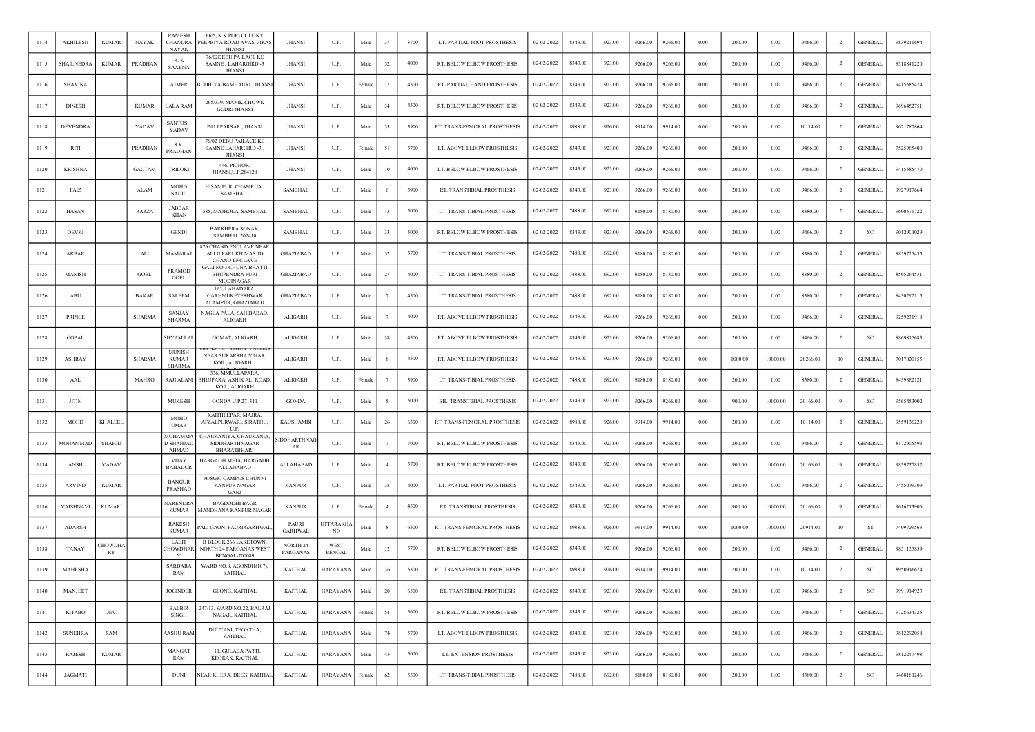| 1114 | AKHILESH         | <b>KUMAR</b>         | <b>NAYAK</b>  | <b>RAMESH</b><br><b>CHANDRA</b><br><b>NAYAK</b> | 66/5, K K PURI COLONY<br>PEEPRIYA ROAD AVAS VIKAS<br><b>JHANSI</b>                    | <b>JHANSI</b>             | U.P.                  | Male   | 37 | 3700 | LT. PARTIAL FOOT PROSTHESIS  | 02-02-2022 | 8343.00 | 923.00 | 9266.00 | 9266.00 | 0.00       | 200.00  | 0.00     | 9466.00  | $\overline{2}$ | <b>GENERAL</b> | 9839211694 |
|------|------------------|----------------------|---------------|-------------------------------------------------|---------------------------------------------------------------------------------------|---------------------------|-----------------------|--------|----|------|------------------------------|------------|---------|--------|---------|---------|------------|---------|----------|----------|----------------|----------------|------------|
| 1115 | SHAILNEDRA       | <b>KUMAR</b>         | PRADHAN       | R.K<br><b>SAXENA</b>                            | 76/02DEBU PAILACE KE<br>SAMNE, LAHARGIRD -3<br><b>JHANSI</b>                          | JHANSI                    | U.P.                  | Male   | 52 | 4000 | RT. BELOW ELBOW PROSTHESIS   | 02-02-2022 | 8343.00 | 923.00 | 9266.00 | 9266.00 | 0.00       | 200.00  | 0.00     | 9466.00  | $\overline{2}$ | <b>GENERAL</b> | 8318841220 |
| 1116 | <b>SHAVINA</b>   |                      |               | <b>AJMER</b>                                    | <b>BUDHIYA BAMHAURI, JHANSI</b>                                                       | <b>JHANSI</b>             | U.P.                  | Female | 12 | 4500 | RT. PARTIAL HAND PROSTHESIS  | 02-02-2022 | 8343.00 | 923.00 | 9266.00 | 9266.00 | 0.00       | 200.00  | 0.00     | 9466.00  | $\overline{2}$ | <b>GENERAL</b> | 9415585474 |
| 1117 | <b>DINESH</b>    |                      | <b>KUMAR</b>  | LALA RAM                                        | 265/339, MANIK CHOWK<br><b>GUDRI JHANSI</b>                                           | JHANSI                    | U.P.                  | Male   | 34 | 4500 | RT. BELOW ELBOW PROSTHESIS   | 02-02-2022 | 8343.00 | 923.00 | 9266.00 | 9266.00 | 0.00       | 200.00  | 0.00     | 9466.00  | $\overline{2}$ | <b>GENERAL</b> | 9696452751 |
| 1118 | <b>DEVENDRA</b>  |                      | YADAV         | <b>SANTOSH</b><br>YADAV                         | PALI PARSAR, JHANSI                                                                   | <b>JHANSI</b>             | U.P.                  | Male   | 33 | 3900 | RT. TRANS-FEMORAL PROSTHESIS | 02-02-2022 | 8988.00 | 926.00 | 9914.00 | 9914.00 | 0.00       | 200.00  | 0.00     | 10114.00 | $\overline{2}$ | <b>GENERAL</b> | 9621787864 |
| 1119 | RITI             |                      | PRADHAN       | S.K.<br>PRADHAN                                 | 76/02 DEBU PAILACE KE<br>SAMNE LAHARGIRD -3,<br><b>JHANSI</b>                         | JHANSI                    | U.P.                  | Femal  | 51 | 3700 | LT. ABOVE ELBOW PROSTHESIS   | 02-02-2022 | 8343.00 | 923.00 | 9266.00 | 9266.00 | 0.00       | 200.00  | 0.00     | 9466.00  | $\overline{2}$ | <b>GENERAL</b> | 7525965400 |
| 1120 | <b>KRISHNA</b>   |                      | <b>GAUTAM</b> | <b>TRILOKI</b>                                  | 446. PICHOR.<br>JHANSI, U.P. 284128                                                   | JHANSI                    | U.P.                  | Male   | 10 | 4000 | LT. BELOW ELBOW PROSTHESIS   | 02-02-2022 | 8343.00 | 923.00 | 9266.00 | 9266.00 | 0.00       | 200.00  | 0.00     | 9466.00  | -2             | <b>GENERAL</b> | 9415585470 |
| 1121 | FAIZ             |                      | ALAM          | <b>MOHD</b><br><b>SADIL</b>                     | HISAMPUR, CHAMRUA<br>SAMBHAL                                                          | <b>SAMBHAL</b>            | U.P.                  | Male   |    | 3900 | RT. TRANSTIBIAL PROSTHESIS   | 02-02-2022 | 8343.00 | 923.00 | 9266.00 | 9266.00 | 0.00       | 200.00  | 0.00     | 9466.00  | $\overline{2}$ | <b>GENERAL</b> | 9927917664 |
| 1122 | HASAN            |                      | RAZZA         | <b>JABBAR</b><br>KHAN                           | 585, MAJHOLA, SAMBHAL                                                                 | <b>SAMBHAL</b>            | U.P.                  | Male   | 13 | 5000 | LT. TRANS-TIBIAL PROSTHESIS  | 02-02-2022 | 7488.00 | 692.00 | 8180.00 | 8180.00 | 0.00       | 200.00  | 0.00     | 8380.00  | $\overline{2}$ | <b>GENERAL</b> | 9690571722 |
| 1123 | <b>DEVKI</b>     |                      |               | <b>GENDI</b>                                    | <b>BARKHERA SONAK,</b><br>SAMBHAL 202410                                              | SAMBHAL                   | U.P.                  | Male   | 33 | 5000 | RT. BELOW ELBOW PROSTHESIS   | 02-02-2022 | 8343.00 | 923.00 | 9266.00 | 9266.00 | 0.00       | 200.00  | 0.00     | 9466.00  | $\overline{2}$ | SC             | 9012901029 |
| 1124 | AKBAR            |                      | ALI           | MAMARAJ                                         | 876 CHAND ENCLAVE NEAR<br>ALLU FARUKH MASJID<br><b>CHAND ENCLAVE</b>                  | GHAZIABAD                 | U.P.                  | Male   | 52 | 3700 | LT. TRANS-TIBIAL PROSTHESIS  | 02-02-2022 | 7488.00 | 692.00 | 8180.00 | 8180.00 | 0.00       | 200.00  | 0.00     | 8380.00  | $\overline{2}$ | <b>GENERAL</b> | 8859725435 |
| 1125 | <b>MANISH</b>    |                      | GOEL          | <b>PRAMOD</b><br><b>GOEL</b>                    | <b>GALI NO 3 CHUNA BHATTI</b><br><b>BHUPENDRA PURI</b><br>MODINAGAR                   | GHAZIABAD                 | U.P.                  | Male   | 27 | 4000 | LT. TRANS-TIBIAL PROSTHESIS  | 02-02-2022 | 7488.00 | 692.00 | 8180.00 | 8180.00 | 0.00       | 200.00  | 0.00     | 8380.00  | $\overline{2}$ | <b>GENERAL</b> | 8595264531 |
| 1126 | ABU              |                      | <b>BAKAR</b>  | <b>SALEEM</b>                                   | 165, LAHADARA,<br><b>GARHMUKETESHWAR</b><br>ALAMPUR, GHAZIABAD                        | GHAZIABAD                 | U.P.                  | Male   |    | 4500 | LT. TRANS-TIBIAL PROSTHESIS  | 02-02-2022 | 7488.00 | 692.00 | 8180.00 | 8180.00 | 0.00       | 200.00  | 0.00     | 8380.00  | $\overline{2}$ | <b>GENERAL</b> | 8430292115 |
| 1127 | <b>PRINCE</b>    |                      | SHARMA        | <b>SANJAY</b><br><b>SHARMA</b>                  | NAGLA PALA, SAHIBABAD,<br>ALIGARH                                                     | <b>ALIGARH</b>            | U.P.                  | Male   |    | 4000 | RT. ABOVE ELBOW PROSTHESIS   | 02-02-2022 | 8343.00 | 923.00 | 9266.00 | 9266.00 | 0.00       | 200.00  | 0.00     | 9466.00  | <sup>2</sup>   | <b>GENERAL</b> | 9259231918 |
| 1128 | <b>GOPAL</b>     |                      |               | <b>SHYAM LAL</b>                                | <b>GOMAT, ALIGARH</b>                                                                 | ALIGARH                   | U.P.                  | Male   | 38 | 4500 | RT. ABOVE ELBOW PROSTHESIS   | 02-02-2022 | 8343.00 | 923.00 | 9266.00 | 9266.00 | 0.00       | 200.00  | 0.00     | 9466.00  | $\overline{2}$ | SC             | 8869815683 |
| 1129 | <b>ASHRAY</b>    |                      | <b>SHARMA</b> | <b>MUNISH</b><br><b>KUMAR</b><br><b>SHARMA</b>  | NEAR SURAKSHA VIHAR,<br>KOIL, ALIGARH                                                 | ALIGARH                   | U.P.                  | Male   |    | 4500 | RT. ABOVE ELBOW PROSTHESIS   | 02-02-2022 | 8343.00 | 923.00 | 9266.00 | 9266.00 | 0.00       | 1000.00 | 10000.00 | 20266.00 | 10             | <b>GENERAL</b> | 7017020155 |
| 1130 | AAL              |                      | <b>MAHRO</b>  | RAJI ALAM                                       | 336, MMULLAPARA,<br>BHUJPARA, ASHIK ALI ROAD,<br>KOIL, ALIGARH                        | ALIGARH                   | U.P.                  | Female |    | 3900 | LT. TRANS-TIBIAL PROSTHESIS  | 02-02-2022 | 7488.00 | 692.00 | 8180.00 | 8180.00 | 0.00       | 200.00  | 0.00     | 8380.00  | $\overline{2}$ | <b>GENERAL</b> | 8439882121 |
| 1131 | <b>JITIN</b>     |                      |               | MUKESH                                          | GONDA U.P 271311                                                                      | <b>GONDA</b>              | U.P.                  | Male   |    | 5000 | BIL. TRANSTIBIAL PROSTHESIS  | 02-02-2022 | 8343.00 | 923.00 | 9266.00 | 9266.00 | 0.00       | 900.00  | 10000.00 | 20166.00 |                | <b>SC</b>      | 9565453002 |
| 1132 | MOHD             | KHALEEL              |               | <b>MOHD</b><br><b>UMAR</b>                      | KAITHEEPAR, MAJRA,<br>AFZALPURWARI, SIRATHU,<br><b>UP</b>                             | KAUSHAMBI                 | U.P.                  | Male   | 26 | 6500 | RT. TRANS-FEMORAL PROSTHESIS | 02-02-2022 | 8988.00 | 926.00 | 9914.00 | 9914.00 | 0.00       | 200.00  | 0.00     | 10114.00 | $\overline{2}$ | <b>GENERAL</b> | 9559136228 |
| 1133 | MOHAMMAD         | <b>SHAHID</b>        |               | MOHAMMA<br>D SHAHJAD<br><b>AHMAD</b>            | CHAUKANIYA, CHAUKANIA,<br>SIDDHARTHNAGAR<br><b>BHARATBHARI</b>                        | <b>SIDDHARTHNAC</b><br>AR | U.P.                  | Male   |    | 7000 | RT. BELOW ELBOW PROSTHESIS   | 02-02-2022 | 8343.00 | 923.00 | 9266.00 | 9266.00 | 0.00       | 200.00  | 0.00     | 9466.00  | $\overline{2}$ | <b>GENERAL</b> | 8172905593 |
| 1134 | ANSH             | YADAV                |               | <b>VIJAY</b><br><b>BAHADUR</b>                  | HARGADH MEJA, HARGADH<br>ALLAHABAD                                                    | ALLAHABAD                 | U.P.                  | Male   |    | 3700 | RT. BELOW ELBOW PROSTHESIS   | 02-02-2022 | 8343.00 | 923.00 | 9266.00 | 9266.00 | 0.00       | 900.00  | 10000.00 | 20166.00 | 9              | <b>GENERAL</b> | 9839737852 |
| 1135 | <b>ARVIND</b>    | <b>KUMAR</b>         |               | <b>BANGUR</b><br>PRASHAD                        | 96/8GIC CAMPUS CHUNNI<br><b>KANPUR NAGAR</b><br>GANJ                                  | <b>KANPUR</b>             | U.P.                  | Male   | 38 | 4000 | LT. PARTIAL FOOT PROSTHESIS  | 02-02-2022 | 8343.00 | 923.00 | 9266.00 | 9266.00 | 0.00       | 200.00  | 0.00     | 9466.00  | $\overline{2}$ | <b>GENERAL</b> | 7455079309 |
| 1136 | <b>VAISHNAVI</b> | <b>KUMARI</b>        |               | NARENDRA<br><b>KUMAR</b>                        | <b>BAGDODHI BAGR</b><br>MANDHANA KANPUR NAGAR                                         | <b>KANPUR</b>             | U.P.                  | Female |    | 4500 | RT. TRANSTIBIAL PROSTHESIS   | 02-02-2022 | 8343.00 | 923.00 | 9266.00 | 9266.00 | 0.00       | 900.00  | 10000.00 | 20166.00 | -9             | <b>GENERAL</b> | 9616213906 |
| 1137 | <b>ADARSH</b>    |                      |               | <b>RAKESH</b><br><b>KUMAR</b>                   | ALI GAON, PAURI GARHWAL                                                               | PAURI<br><b>GARHWAL</b>   | <b>JTTARAKH</b><br>ND | Male   |    | 6500 | RT. TRANS-FEMORAL PROSTHESIS | 02-02-2022 | 8988.00 | 926.00 | 9914.00 | 9914.00 | 0.00       | 1000.00 | 10000.00 | 20914.00 | 10             | <b>ST</b>      | 7409729563 |
| 1138 | <b>TANAY</b>     | <b>CHOWDHA</b><br>RY |               | LALIT<br><b>HOWDHAR</b><br>Y                    | <b>B BLOCK 266 LAKETOWN.</b><br><b>NORTH 24 PARGANAS WEST</b><br><b>BENGAL-700089</b> | NORTH 24<br>PARGANAS      | WEST<br><b>BENGAL</b> | Male   | 12 | 3700 | RT. BELOW ELBOW PROSTHESIS   | 02-02-2022 | 8343.00 | 923.00 | 9266.00 | 9266.00 | 0.00       | 200.00  | 0.00     | 9466.00  | <sup>2</sup>   | <b>GENERAL</b> | 9851155859 |
| 1139 | <b>MAHESHA</b>   |                      |               | <b>SARDARA</b><br>RAM                           | WARD NO.8, AGONDH(107),<br><b>KAITHAL</b>                                             | <b>KAITHAL</b>            | <b>HARAYANA</b>       | Male   | 36 | 5500 | RT. TRANS-FEMORAL PROSTHESIS | 02-02-2022 | 8988.00 | 926.00 | 9914.00 | 9914.00 | 0.00       | 200.00  | 0.00     | 10114.00 | $\overline{2}$ | <b>SC</b>      | 8950916674 |
| 1140 | MANJEET          |                      |               | <b>JOGINDER</b>                                 | GEONG, KAITHAL                                                                        | <b>KAITHAL</b>            | <b>HARAYANA</b>       | Male   | 20 | 6500 | RT. TRANSTIBIAL PROSTHESIS   | 02-02-2022 | 8343.00 | 923.00 | 9266.00 | 9266.00 | $\rm 0.00$ | 200.00  | $0.00\,$ | 9466.00  | $\overline{2}$ | <b>SC</b>      | 9991914923 |
| 1141 | <b>KITABO</b>    | DEVI                 |               | <b>BALBIR</b><br>SINGH                          | 247/13, WARD NO.22, BALRAJ<br>NAGAR, KAITHAL                                          | <b>KAITHAL</b>            | <b>HARAYANA</b>       | Female | 54 | 5600 | RT. BELOW ELBOW PROSTHESIS   | 02-02-2022 | 8343.00 | 923.00 | 9266.00 | 9266.00 | $0.00\,$   | 200.00  | 0.00     | 9466.00  | $\overline{2}$ | <b>GENERAL</b> | 9728634325 |
| 1142 | <b>SUNEHRA</b>   | RAM                  |               | <b>AASHU RAM</b>                                | DULYANI, TEONTHA,<br>KAITHAL                                                          | <b>KAITHAL</b>            | HARAYANA              | Male   | 74 | 5700 | LT. ABOVE ELBOW PROSTHESIS   | 02-02-2022 | 8343.00 | 923.00 | 9266.00 | 9266.00 | 0.00       | 200.00  | 0.00     | 9466.00  | $\overline{2}$ | <b>GENERAL</b> | 9812292058 |
| 1143 | RAJESH           | <b>KUMAR</b>         |               | MANGAT<br>RAM                                   | 1111, GULABA PATTI,<br>KEORAK, KAITHAL                                                | <b>KAITHAL</b>            | <b>HARAYANA</b>       | Male   | 45 | 5000 | LT. EXTENSION PROSTHESIS     | 02-02-2022 | 8343.00 | 923.00 | 9266.00 | 9266.00 | 0.00       | 200.00  | 0.00     | 9466.00  | $\overline{2}$ | <b>GENERAL</b> | 9812247498 |
| 1144 | JAGMATI          |                      |               | DUNI                                            | NEAR KHERA, DEEG, KAITHAI                                                             | <b>KAITHAL</b>            | HARAYANA              | Female | 62 | 5500 | LT. TRANS-TIBIAL PROSTHESIS  | 02-02-2022 | 7488.00 | 692.00 | 8180.00 | 8180.00 | 0.00       | 200.00  | 0.00     | 8380.00  | $\overline{2}$ | SC             | 9468181246 |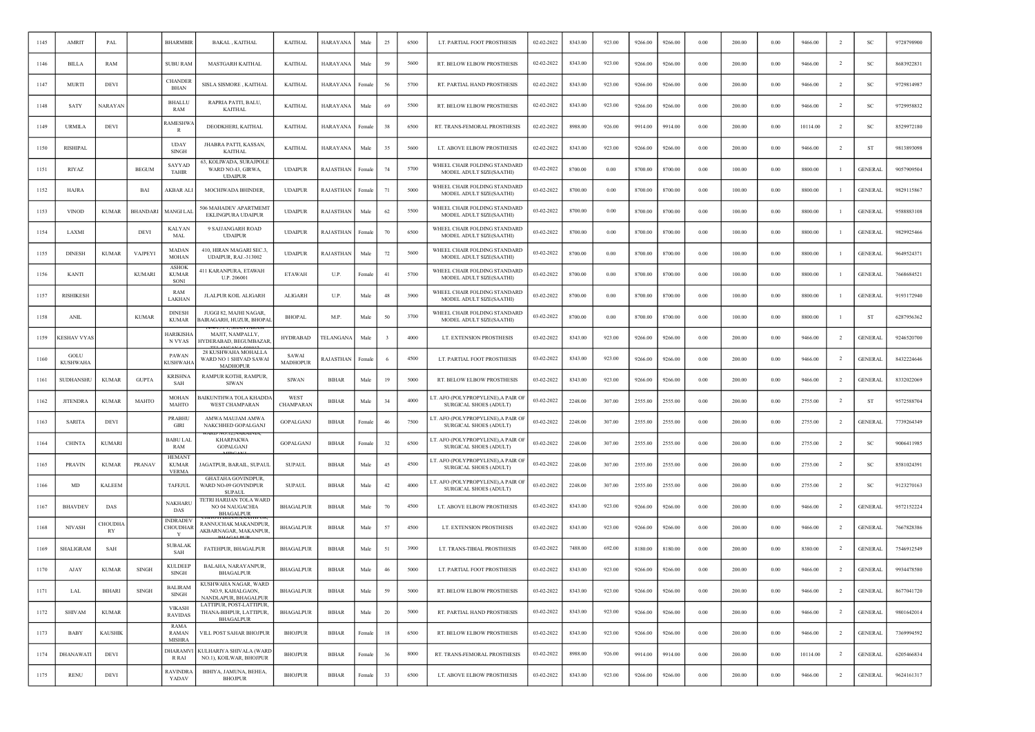| 1145 | AMRIT              | PAL                  |                 | <b>BHARMBIR</b>                               | <b>BAKAL, KAITHAL</b>                                                   | <b>KAITHAL</b>           | HARAYANA         | Male   | 25 | 6500 | LT. PARTIAL FOOT PROSTHESIS                                         | 02-02-2022 | 8343.00 | 923.00 | 9266.00 | 9266.00 | 0.00       | 200.00 | 0.00     | 9466.00  | $\overline{2}$ | <sub>SC</sub>  | 9728798900 |
|------|--------------------|----------------------|-----------------|-----------------------------------------------|-------------------------------------------------------------------------|--------------------------|------------------|--------|----|------|---------------------------------------------------------------------|------------|---------|--------|---------|---------|------------|--------|----------|----------|----------------|----------------|------------|
| 1146 | <b>BILLA</b>       | RAM                  |                 | <b>SUBU RAM</b>                               | MASTGARH KAITHAL                                                        | <b>KAITHAL</b>           | HARAYANA         | Male   | 59 | 5600 | RT. BELOW ELBOW PROSTHESIS                                          | 02-02-2022 | 8343.00 | 923.00 | 9266.00 | 9266.00 | 0.00       | 200.00 | 0.00     | 9466.00  | $\overline{2}$ | -SC            | 8683922831 |
| 1147 | <b>MURTI</b>       | DEVI                 |                 | <b>CHANDER</b><br>BHAN                        | SISLA SISMORE, KAITHAL                                                  | <b>KAITHAL</b>           | HARAYANA         | Female | 56 | 5700 | RT. PARTIAL HAND PROSTHESIS                                         | 02-02-2022 | 8343.00 | 923.00 | 9266.00 | 9266.00 | 0.00       | 200.00 | 0.00     | 9466.00  | $\overline{2}$ | SC             | 9729814987 |
| 1148 | <b>SATY</b>        | NARAYAN              |                 | <b>BHALLU</b><br>RAM                          | RAPRIA PATTI, BALU,<br><b>KAITHAL</b>                                   | <b>KAITHAL</b>           | HARAYANA         | Male   | 69 | 5500 | RT. BELOW ELBOW PROSTHESIS                                          | 02-02-2022 | 8343.00 | 923.00 | 9266.00 | 9266.00 | 0.00       | 200.00 | 0.00     | 9466.00  | -2             | SC             | 9729958832 |
| 1149 | <b>URMILA</b>      | <b>DEVI</b>          |                 | <b>AMESHWA</b><br>R                           | DEODKHERI, KAITHAL                                                      | <b>KAITHAL</b>           | HARAYANA         | remal  | 38 | 6500 | RT. TRANS-FEMORAL PROSTHESIS                                        | 02-02-2022 | 8988.00 | 926.00 | 9914.00 | 9914.00 | 0.00       | 200.00 | 0.00     | 10114.00 |                |                | 8529972180 |
| 1150 | <b>RISHIPAL</b>    |                      |                 | <b>UDAY</b><br><b>SINGH</b>                   | JHABRA PATTI, KASSAN,<br><b>KAITHAL</b>                                 | <b>KAITHAL</b>           | HARAYANA         | Male   | 35 | 5600 | LT. ABOVE ELBOW PROSTHESIS                                          | 02-02-2022 | 8343.00 | 923.00 | 9266.00 | 9266.00 | 0.00       | 200.00 | 0.00     | 9466.00  | $\overline{2}$ | ST             | 9813893098 |
| 1151 | RIYAZ              |                      | <b>BEGUM</b>    | <b>SAYYAD</b><br><b>TAHIR</b>                 | 63, KOLIWADA, SURAJPOLE<br>WARD NO.43, GIRWA,<br><b>UDAIPUR</b>         | <b>UDAIPUR</b>           | RAJASTHAN        | Female | 74 | 5700 | WHEEL CHAIR FOLDING STANDARD<br>MODEL ADULT SIZE(SAATHI)            | 03-02-2022 | 8700.00 | 0.00   | 8700.00 | 8700.00 | $0.00\,$   | 100.00 | 0.00     | 8800.00  | -1             | <b>GENERAL</b> | 9057909504 |
| 1152 | <b>HAJRA</b>       |                      | BAI             | AKBAR ALI                                     | MOCHIWADA BHINDER,                                                      | <b>UDAIPUR</b>           | RAJASTHAN        | Female | 71 | 5000 | WHEEL CHAIR FOLDING STANDARD<br>MODEL ADULT SIZE(SAATHI)            | 03-02-2022 | 8700.00 | 0.00   | 8700.00 | 8700.00 | 0.00       | 100.00 | 0.00     | 8800.00  |                | <b>GENERAL</b> | 9829115867 |
| 1153 | <b>VINOD</b>       | <b>KUMAR</b>         | <b>BHANDARI</b> | MANGI LAL                                     | 506 MAHADEV APARTMEMT<br>EKLINGPURA UDAIPUR                             | <b>UDAIPUR</b>           | RAJASTHAN        | Male   | 62 | 5500 | WHEEL CHAIR FOLDING STANDARD<br>MODEL ADULT SIZE(SAATHI)            | 03-02-2022 | 8700.00 | 0.00   | 8700.00 | 8700.00 | $0.00\,$   | 100.00 | 0.00     | 8800.00  |                | <b>GENERAL</b> | 9588883108 |
| 1154 | LAXMI              |                      | <b>DEVI</b>     | <b>KALYAN</b><br>MAL                          | 9 SAJJANGARH ROAD<br><b>UDAIPUR</b>                                     | <b>UDAIPUR</b>           | RAJASTHAN        | Female | 70 | 6500 | WHEEL CHAIR FOLDING STANDARD<br>MODEL ADULT SIZE(SAATHI)            | 03-02-2022 | 8700.00 | 0.00   | 8700.00 | 8700.00 | 0.00       | 100.00 | 0.00     | 8800.00  |                | <b>GENERAL</b> | 9829925466 |
| 1155 | <b>DINESH</b>      | <b>KUMAR</b>         | <b>VAJPEYI</b>  | MADAN<br><b>MOHAN</b>                         | 410, HIRAN MAGARI SEC.3,<br><b>UDAIPUR, RAJ.-313002</b>                 | <b>UDAIPUR</b>           | RAJASTHAN        | Male   | 72 | 5600 | WHEEL CHAIR FOLDING STANDARD<br>MODEL ADULT SIZE(SAATHI)            | 03-02-2022 | 8700.00 | 0.00   | 8700.00 | 8700.00 | 0.00       | 100.00 | 0.00     | 8800.00  | - 1            | <b>GENERAL</b> | 9649524371 |
| 1156 | <b>KANTI</b>       |                      | <b>KUMARI</b>   | <b>ASHOK</b><br><b>KUMAR</b><br>SONI          | 411 KARANPURA, ETAWAH<br>U.P. 206001                                    | <b>ETAWAH</b>            | U.P.             | ⊦emal  | 41 | 5700 | WHEEL CHAIR FOLDING STANDARD<br>MODEL ADULT SIZE(SAATHI)            | 03-02-2022 | 8700.00 | 0.00   | 8700.00 | 8700.00 | 0.00       | 100.00 | 0.00     | 8800.00  |                | <b>GENERAL</b> | 7668684521 |
| 1157 | <b>RISHIKESH</b>   |                      |                 | RAM<br>LAKHAN                                 | JLALPUR KOIL ALIGARH                                                    | <b>ALIGARH</b>           | U.P.             | Male   | 48 | 3900 | WHEEL CHAIR FOLDING STANDARD<br>MODEL ADULT SIZE(SAATHI)            | 03-02-2022 | 8700.00 | 0.00   | 8700.00 | 8700.00 | 0.00       | 100.00 | 0.00     | 8800.00  | -1             | <b>GENERAL</b> | 9193172940 |
| 1158 | <b>ANIL</b>        |                      | <b>KUMAR</b>    | <b>DINESH</b><br><b>KUMAR</b>                 | JUGGI 82, MAJHI NAGAR,<br><b>3AIRAGARH, HUZUR, BHOPAL</b>               | <b>BHOPAL</b>            | M.P              | Male   | 50 | 3700 | WHEEL CHAIR FOLDING STANDARD<br>MODEL ADULT SIZE(SAATHI)            | 03-02-2022 | 8700.00 | 0.00   | 8700.00 | 8700.00 | 0.00       | 100.00 | 0.00     | 8800.00  | $\mathbf{1}$   | <b>ST</b>      | 6287956362 |
| 1159 | <b>CESHAV VYAS</b> |                      |                 | <b>JARIKISHA</b><br>N VYAS                    | MAJIT, NAMPALLY,<br>HYDERABAD, BEGUMBAZAR                               | <b>HYDRABAD</b>          | <b>TELANGANA</b> | Male   |    | 4000 | LT. EXTENSION PROSTHESIS                                            | 03-02-2022 | 8343.00 | 923.00 | 9266.00 | 9266.00 | 0.00       | 200.00 | 0.00     | 9466.00  | $\overline{2}$ | <b>GENERAL</b> | 9246520700 |
| 1160 | GOLL<br>KUSHWAH/   |                      |                 | PAWAN<br><b>KUSHWAHA</b>                      | 28 KUSHWAHA MOHALLA<br>WARD NO 1 SHIVAD SAWAI<br><b>MADHOPUR</b>        | SAWAI<br><b>MADHOPUR</b> | RAJASTHAN        | Femal  |    | 4500 | LT. PARTIAL FOOT PROSTHESIS                                         | 03-02-2022 | 8343.00 | 923.00 | 9266.00 | 9266.00 | $0.00\,$   | 200.00 | 0.00     | 9466.00  | $\overline{2}$ | <b>GENERAL</b> | 8432224646 |
| 1161 | SUDHANSHU          | <b>KUMAR</b>         | <b>GUPTA</b>    | <b>KRISHNA</b><br>SAH                         | RAMPUR KOTHI, RAMPUR,<br><b>SIWAN</b>                                   | <b>SIWAN</b>             | <b>BIHAR</b>     | Male   | 19 | 5000 | RT. BELOW ELBOW PROSTHESIS                                          | 03-02-2022 | 8343.00 | 923.00 | 9266.00 | 9266.00 | 0.00       | 200.00 | 0.00     | 9466.00  | $\overline{2}$ | <b>GENERAL</b> | 8332022069 |
| 1162 | <b>JITENDRA</b>    | <b>KUMAR</b>         | MAHTO           | MOHAN<br>MAHTO                                | BAIKUNTHWA TOLA KHADDA<br><b>WEST CHAMPARAN</b>                         | WEST<br>CHAMPARAN        | <b>BIHAR</b>     | Male   | 34 | 4000 | LT. AFO (POLYPROPYLENE), A PAIR OF<br>SURGICAL SHOES (ADULT)        | 03-02-2022 | 2248.00 | 307.00 | 2555.00 | 2555.00 | 0.00       | 200.00 | 0.00     | 2755.00  | $\overline{2}$ | ST             | 9572588704 |
| 1163 | <b>SARITA</b>      | <b>DEVI</b>          |                 | <b>PRABHU</b><br>GIRI                         | AMWA MAUJAM AMWA<br>NAKCHHED GOPALGANJ                                  | GOPALGANJ                | <b>BIHAR</b>     | Female | 46 | 7500 | LT. AFO (POLYPROPYLENE), A PAIR OF<br>SURGICAL SHOES (ADULT)        | 03-02-2022 | 2248.00 | 307.00 | 2555.00 | 2555.00 | 0.00       | 200.00 | 0.00     | 2755.00  | $\overline{2}$ | <b>GENERAL</b> | 7739264349 |
| 1164 | <b>CHINTA</b>      | <b>KUMARI</b>        |                 | <b>BABU LAL</b><br>RAM                        | <b>KHARPAKWA</b><br>GOPALGANJ                                           | GOPALGANJ                | <b>BIHAR</b>     | Female | 32 | 6500 | LT. AFO (POLYPROPYLENE), A PAIR OI<br>SURGICAL SHOES (ADULT)        | 03-02-2022 | 2248.00 | 307.00 | 2555.00 | 2555.00 | 0.00       | 200.00 | 0.00     | 2755.00  | $\overline{2}$ | -SC            | 9006411985 |
| 1165 | <b>PRAVIN</b>      | <b>KUMAR</b>         | <b>PRANAV</b>   | <b>HEMANT</b><br><b>KUMAR</b><br><b>VERMA</b> | JAGATPUR, BARAIL, SUPAUL                                                | <b>SUPAUL</b>            | <b>BIHAR</b>     | Male   | 45 | 4500 | LT. AFO (POLYPROPYLENE), A PAIR OF<br>SURGICAL SHOES (ADULT)        | 03-02-2022 | 2248.00 | 307.00 | 2555.00 | 2555.00 | 0.00       | 200.00 | 0.00     | 2755.00  | <sup>2</sup>   | <sub>SC</sub>  | 8581024391 |
| 1166 | MD                 | <b>KALEEM</b>        |                 | TAFEJUL                                       | <b>GHATAHA GOVINDPUR,</b><br>WARD NO-09 GOVINDPUR<br><b>SUPAUL</b>      | <b>SUPAUL</b>            | <b>BIHAR</b>     | Male   | 42 | 4000 | LT. AFO (POLYPROPYLENE), A PAIR OF<br><b>SURGICAL SHOES (ADULT)</b> | 03-02-2022 | 2248.00 | 307.00 | 2555.00 | 2555.00 | 0.00       | 200.00 | 0.00     | 2755.00  | $\overline{2}$ | SC             | 9123270163 |
| 1167 | <b>BHAVDEV</b>     | DAS                  |                 | NAKHARL<br>DAS                                | TETRI HARIJAN TOLA WARD<br>NO 04 NAUGACHIA<br><b>BHAGALPUR</b>          | <b>BHAGALPUR</b>         | <b>BIHAR</b>     | Male   | 70 | 4500 | LT. ABOVE ELBOW PROSTHESIS                                          | 03-02-2022 | 8343.00 | 923.00 | 9266.00 | 9266.00 | $0.00\,$   | 200.00 | 0.00     | 9466.00  | $\overline{2}$ | <b>GENERAL</b> | 9572152224 |
| 1168 | <b>NIVASH</b>      | <b>CHOUDHA</b><br>RY |                 | <b>INDRADEV</b><br>CHOUDHAR<br>Y              | RANNUCHAK MAKANDPUR<br>AKBARNAGAR, MAKANPUR,                            | <b>BHAGALPUR</b>         | <b>BIHAR</b>     | Male   | 57 | 4500 | LT. EXTENSION PROSTHESIS                                            | 03-02-2022 | 8343.00 | 923.00 | 9266.00 | 9266.00 | 0.00       | 200.00 | 0.00     | 9466.00  | $\overline{2}$ | <b>GENERAL</b> | 7667828386 |
| 1169 | SHALIGRAM          | SAH                  |                 | <b>SUBALAK</b><br>SAH                         | FATEHPUR, BHAGALPUR                                                     | <b>BHAGALPUR</b>         | <b>BIHAR</b>     | Male   | 51 | 3900 | LT. TRANS-TIBIAL PROSTHESIS                                         | 03-02-2022 | 7488.00 | 692.00 | 8180.00 | 8180.00 | 0.00       | 200.00 | 0.00     | 8380.00  | $\overline{2}$ | <b>GENERAL</b> | 7546912549 |
| 1170 | AJAY               | <b>KUMAR</b>         | <b>SINGH</b>    | <b>KULDEEP</b><br>SINGH                       | BALAHA, NARAYANPUR,<br><b>BHAGALPUR</b>                                 | <b>BHAGALPUR</b>         | <b>BIHAR</b>     | Male   | 46 | 5000 | LT. PARTIAL FOOT PROSTHESIS                                         | 03-02-2022 | 8343.00 | 923.00 | 9266.00 | 9266.00 | 0.00       | 200.00 | 0.00     | 9466.00  | $\overline{2}$ | <b>GENERAL</b> | 9934478580 |
| 1171 | LAL                | BIHARI               | <b>SINGH</b>    | <b>BALIRAM</b><br>SINGH                       | KUSHWAHA NAGAR, WARD<br>NO.9, KAHALGAON,<br>NANDLAPUR, BHAGALPUR        | <b>BHAGALPUR</b>         | <b>BIHAR</b>     | Male   | 59 | 5000 | RT. BELOW ELBOW PROSTHESIS                                          | 03-02-2022 | 8343.00 | 923.00 | 9266.00 | 9266.00 | 0.00       | 200.00 | 0.00     | 9466.00  | $\overline{2}$ | <b>GENERAL</b> | 8677041720 |
| 1172 | <b>SHIVAM</b>      | <b>KUMAR</b>         |                 | <b>VIKASH</b><br>RAVIDAS                      | LATTIPUR, POST-LATTIPUR,<br>THANA-BIHPUR, LATTIPUR,<br><b>BHAGALPUR</b> | <b>BHAGALPUR</b>         | <b>BIHAR</b>     | Male   | 20 | 5000 | RT. PARTIAL HAND PROSTHESIS                                         | 03-02-2022 | 8343.00 | 923.00 | 9266.00 | 9266.00 | 0.00       | 200.00 | 0.00     | 9466.00  | $\overline{2}$ | <b>GENERAL</b> | 9801642014 |
| 1173 | <b>BABY</b>        | <b>KAUSHIK</b>       |                 | RAMA<br>RAMAN<br><b>MISHRA</b>                | VILL POST SAHAR BHOJPUR                                                 | <b>BHOJPUR</b>           | <b>BIHAR</b>     | Female | 18 | 6500 | RT. BELOW ELBOW PROSTHESIS                                          | 03-02-2022 | 8343.00 | 923.00 | 9266.00 | 9266.00 | 0.00       | 200.00 | 0.00     | 9466.00  | $\overline{2}$ | <b>GENERAL</b> | 7369994592 |
| 1174 | <b>DHANAWATI</b>   | DEVI                 |                 | DHARAMVI<br>R RAI                             | KULHARIYA SHIVALA (WARD<br>NO.1), KOILWAR, BHOJPUR                      | <b>BHOJPUR</b>           | <b>BIHAR</b>     | Female | 36 | 8000 | RT. TRANS-FEMORAL PROSTHESIS                                        | 03-02-2022 | 8988.00 | 926.00 | 9914.00 | 9914.00 | $\rm 0.00$ | 200.00 | $0.00\,$ | 10114.00 | $\overline{2}$ | <b>GENERAL</b> | 6205466834 |
| 1175 | <b>RENU</b>        | DEVI                 |                 | <b>RAVINDRA</b><br>YADAV                      | BIHIYA, JAMUNA, BEHEA,<br><b>BHOJPUR</b>                                | <b>BHOJPUR</b>           | <b>BIHAR</b>     | Female | 33 | 6500 | LT. ABOVE ELBOW PROSTHESIS                                          | 03-02-2022 | 8343.00 | 923.00 | 9266.00 | 9266.00 | 0.00       | 200.00 | 0.00     | 9466.00  | $\overline{2}$ | <b>GENERAL</b> | 9624161317 |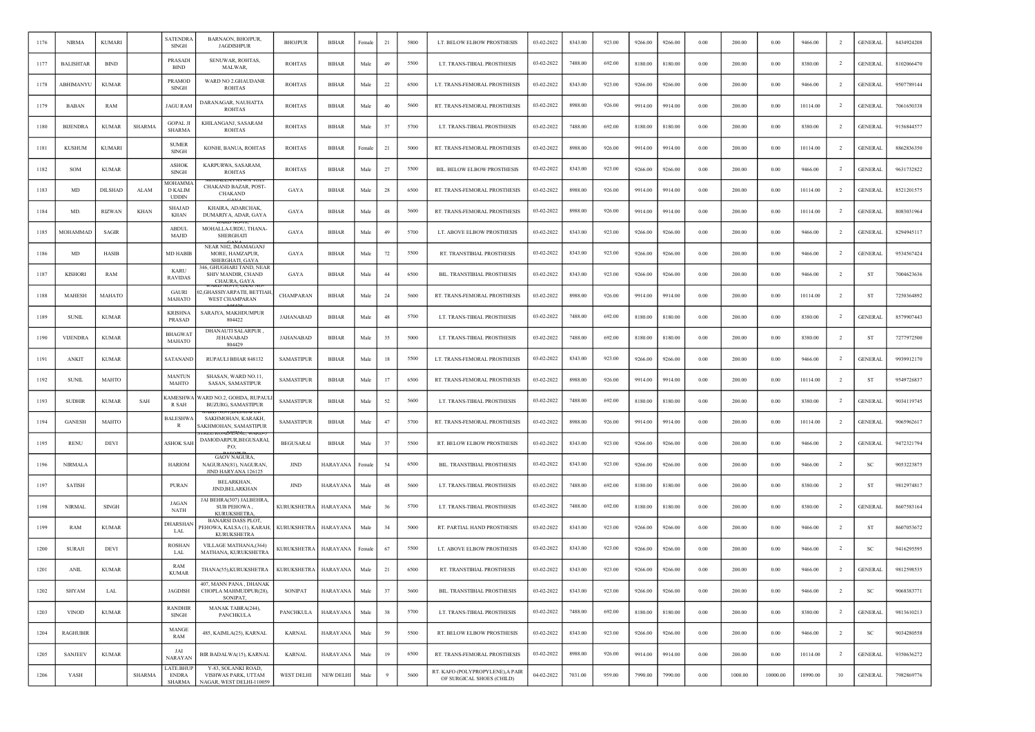| 1176 | <b>NIRMA</b>     | <b>KUMARI</b>  |               | <b>SATENDRA</b><br><b>SINGH</b>           | BARNAON, BHOJPUR,<br><b>JAGDISHPUR</b>                                       | <b>BHOJPUR</b>     | <b>BIHAR</b>    | Female | 21     | 5800 | LT. BELOW ELBOW PROSTHESIS                                    | 03-02-2022 | 8343.00 | 923.00 | 9266.00 | 9266.00 | 0.00       | 200.00  | 0.00       | 9466.00  | $\overline{2}$ | <b>GENERAL</b> | 8434924208 |
|------|------------------|----------------|---------------|-------------------------------------------|------------------------------------------------------------------------------|--------------------|-----------------|--------|--------|------|---------------------------------------------------------------|------------|---------|--------|---------|---------|------------|---------|------------|----------|----------------|----------------|------------|
| 1177 | <b>BALISHTAR</b> | <b>BIND</b>    |               | PRASADI<br><b>BIND</b>                    | SENUWAR, ROHTAS,<br>MALWAR,                                                  | <b>ROHTAS</b>      | <b>BIHAR</b>    | Male   | 49     | 5500 | LT. TRANS-TIBIAL PROSTHESIS                                   | 03-02-2022 | 7488.00 | 692.00 | 8180.00 | 8180.00 | $0.00\,$   | 200.00  | 0.00       | 8380.00  | $\overline{2}$ | <b>GENERAL</b> | 8102066470 |
| 1178 | ABHIMANYU        | <b>KUMAR</b>   |               | <b>PRAMOD</b><br><b>SINGH</b>             | WARD NO 2.GHAUDANR<br><b>ROHTAS</b>                                          | <b>ROHTAS</b>      | <b>BIHAR</b>    | Male   | 22     | 6500 | LT. TRANS-FEMORAL PROSTHESIS                                  | 03-02-2022 | 8343.00 | 923.00 | 9266.00 | 9266.00 | 0.00       | 200.00  | 0.00       | 9466.00  | $\overline{2}$ | <b>GENERAL</b> | 9507789144 |
| 1179 | <b>BABAN</b>     | RAM            |               | <b>JAGU RAM</b>                           | DARANAGAR, NAUHATTA<br><b>ROHTAS</b>                                         | <b>ROHTAS</b>      | <b>BIHAR</b>    | Male   | 40     | 5600 | RT. TRANS-FEMORAL PROSTHESIS                                  | 03-02-2022 | 8988.00 | 926.00 | 9914.00 | 9914.00 | 0.00       | 200.00  | 0.00       | 10114.00 | $\overline{2}$ | <b>GENERAL</b> | 7061650338 |
| 1180 | <b>BUENDRA</b>   | <b>KUMAR</b>   | <b>SHARMA</b> | <b>GOPAL JI</b><br><b>SHARMA</b>          | KHILANGANJ, SASARAM<br><b>ROHTAS</b>                                         | <b>ROHTAS</b>      | <b>BIHAR</b>    | Male   | 37     | 5700 | LT. TRANS-TIBIAL PROSTHESIS                                   | 03-02-2022 | 7488.00 | 692.00 | 8180.00 | 8180.00 | 0.00       | 200.00  | 0.00       | 8380.00  | $\overline{2}$ | <b>GENERAL</b> | 9156844577 |
| 1181 | <b>KUSHUM</b>    | <b>KUMARI</b>  |               | <b>SUMER</b><br>SINGH                     | KONHI, BANUA, ROHTAS                                                         | <b>ROHTAS</b>      | <b>BIHAR</b>    | Female | 21     | 5000 | RT. TRANS-FEMORAL PROSTHESIS                                  | 03-02-2022 | 8988.00 | 926.00 | 9914.00 | 9914.00 | 0.00       | 200.00  | 0.00       | 10114.00 | $\overline{2}$ | <b>GENERAL</b> | 8862836350 |
| 1182 | <b>SOM</b>       | <b>KUMAR</b>   |               | <b>ASHOK</b><br><b>SINGH</b>              | KARPURWA, SASARAM.<br><b>ROHTAS</b>                                          | <b>ROHTAS</b>      | <b>BIHAR</b>    | Male   | 27     | 5500 | BIL. BELOW ELBOW PROSTHESIS                                   | 03-02-2022 | 8343.00 | 923.00 | 9266.00 | 9266.00 | 0.00       | 200.00  | 0.00       | 9466.00  | <sup>2</sup>   | <b>GENERAL</b> | 9631732822 |
| 1183 | MD               | <b>DILSHAD</b> | ALAM          | MOHAMMA<br><b>D KALIM</b><br><b>UDDIN</b> | CHAKAND BAZAR, POST-<br><b>CHAKAND</b>                                       | GAYA               | <b>BIHAR</b>    | Male   | 28     | 6500 | RT. TRANS-FEMORAL PROSTHESIS                                  | 03-02-2022 | 8988.00 | 926.00 | 9914.00 | 9914.00 | 0.00       | 200.00  | 0.00       | 10114.00 | $\overline{2}$ | <b>GENERAL</b> | 8521201575 |
| 1184 | MD.              | RIZWAN         | KHAN          | SHAJAD<br>KHAN                            | KHAIRA, ADARCHAK,<br>DUMARIYA, ADAR, GAYA                                    | GAYA               | <b>BIHAR</b>    | Male   | 48     | 5600 | RT. TRANS-FEMORAL PROSTHESIS                                  | 03-02-2022 | 8988.00 | 926.00 | 9914.00 | 9914.00 | $0.00\,$   | 200.00  | 0.00       | 10114.00 | $\overline{2}$ | <b>GENERAL</b> | 8083031964 |
| 1185 | MOHAMMAD         | SAGIR          |               | <b>ABDUL</b><br>MAJID                     | MOHALLA-URDU, THANA-<br>SHERGHATI                                            | GAYA               | <b>BIHAR</b>    | Male   | 49     | 5700 | LT. ABOVE ELBOW PROSTHESIS                                    | 03-02-2022 | 8343.00 | 923.00 | 9266.00 | 9266.00 | 0.00       | 200.00  | 0.00       | 9466.00  | $\overline{2}$ | <b>GENERAL</b> | 8294945117 |
| 1186 | MD               | HASIB          |               | MD HABIB                                  | NEAR NH2, IMAMAGANJ<br>MORE, HAMZAPUR,<br>SHERGHATI, GAYA                    | GAYA               | <b>BIHAR</b>    | Male   | 72     | 5500 | RT. TRANSTIBIAL PROSTHESIS                                    | 03-02-2022 | 8343.00 | 923.00 | 9266.00 | 9266.00 | 0.00       | 200.00  | 0.00       | 9466.00  | $\overline{2}$ | <b>GENERAL</b> | 9534567424 |
| 1187 | <b>KISHORI</b>   | RAM            |               | <b>KARU</b><br><b>RAVIDAS</b>             | 346, GHUGHARI TAND, NEAR<br>SHIV MANDIR, CHAND<br>CHAURA, GAYA               | GAYA               | <b>BIHAR</b>    | Male   | 44     | 6500 | BIL. TRANSTIBIAL PROSTHESIS                                   | 03-02-2022 | 8343.00 | 923.00 | 9266.00 | 9266.00 | 0.00       | 200.00  | 0.00       | 9466.00  | $\overline{2}$ | ST             | 7004623636 |
| 1188 | MAHESH           | MAHATO         |               | <b>GAURI</b><br><b>MAHATO</b>             | AKD NO-19. GAINJ I<br>2, GHASSIYARPATII, BETTIAH,<br><b>WEST CHAMPARAN</b>   | CHAMPARAN          | <b>BIHAR</b>    | Male   | 24     | 5600 | RT. TRANS-FEMORAL PROSTHESIS                                  | 03-02-2022 | 8988.00 | 926.00 | 9914.00 | 9914.00 | 0.00       | 200.00  | 0.00       | 10114.00 | $\overline{2}$ | ST             | 7250364892 |
| 1189 | <b>SUNIL</b>     | <b>KUMAR</b>   |               | <b>KRISHNA</b><br>PRASAD                  | SARAIYA, MAKHDUMPUR<br>804422                                                | <b>JAHANABAD</b>   | <b>BIHAR</b>    | Male   | $48\,$ | 5700 | LT. TRANS-TIBIAL PROSTHESIS                                   | 03-02-2022 | 7488.00 | 692.00 | 8180.00 | 8180.00 | 0.00       | 200.00  | 0.00       | 8380.00  | <sup>2</sup>   | <b>GENERAL</b> | 8579907443 |
| 1190 | <b>VIJENDRA</b>  | <b>KUMAR</b>   |               | <b>BHAGWAT</b><br><b>MAHATO</b>           | DHANAUTI SALARPUR<br><b>JEHANABAD</b><br>804429                              | JAHANABAD          | <b>BIHAR</b>    | Male   | 35     | 5000 | LT. TRANS-TIBIAL PROSTHESIS                                   | 03-02-2022 | 7488.00 | 692.00 | 8180.00 | 8180.00 | 0.00       | 200.00  | 0.00       | 8380.00  | $\overline{2}$ | ST             | 7277972500 |
| 1191 | <b>ANKIT</b>     | <b>KUMAR</b>   |               | SATANAND                                  | RUPAULI BIHAR 848132                                                         | <b>SAMASTIPUR</b>  | <b>BIHAR</b>    | Male   | 18     | 5500 | LT. TRANS-FEMORAL PROSTHESIS                                  | 03-02-2022 | 8343.00 | 923.00 | 9266.00 | 9266.00 | $0.00\,$   | 200.00  | 0.00       | 9466.00  | $\overline{2}$ | <b>GENERAL</b> | 9939912170 |
| 1192 | <b>SUNIL</b>     | MAHTO          |               | <b>MANTUN</b><br>MAHTO                    | SHASAN. WARD NO.11.<br>SASAN, SAMASTIPUR                                     | <b>SAMASTIPUR</b>  | <b>BIHAR</b>    | Male   | 17     | 6500 | RT. TRANS-FEMORAL PROSTHESIS                                  | 03-02-2022 | 8988.00 | 926.00 | 9914.00 | 9914.00 | 0.00       | 200.00  | 0.00       | 10114.00 | $\overline{2}$ | ST             | 9549726837 |
| 1193 | <b>SUDHIR</b>    | <b>KUMAR</b>   | SAH           | <b>CAMESHWA</b><br>R SAH                  | VARD NO.2, GOHDA, RUPAULI<br><b>BUZURG, SAMASTIPUR</b>                       | <b>SAMASTIPUR</b>  | <b>BIHAR</b>    | Male   | 52     | 5600 | LT. TRANS-TIBIAL PROSTHESIS                                   | 03-02-2022 | 7488.00 | 692.00 | 8180.00 | 8180.00 | 0.00       | 200.00  | 0.00       | 8380.00  | $\overline{2}$ | <b>GENERAL</b> | 9034119745 |
| 1194 | <b>GANESH</b>    | MAHTO          |               | <b>BALESHWA</b><br>R                      | SAKHMOHAN, KARAKH,<br>SAKHMOHAN, SAMASTIPUR                                  | <b>SAMASTIPUR</b>  | <b>BIHAR</b>    | Male   | 47     | 5700 | RT. TRANS-FEMORAL PROSTHESIS                                  | 03-02-2022 | 8988.00 | 926.00 | 9914.00 | 9914.00 | 0.00       | 200.00  | 0.00       | 10114.00 | $\overline{2}$ | <b>GENERAL</b> | 9065962617 |
| 1195 | <b>RENU</b>      | DEVI           |               | <b>ASHOK SAH</b>                          | DAMODARPUR, BEGUSARAI,<br>P.O.                                               | <b>BEGUSARAI</b>   | <b>BIHAR</b>    | Male   | 37     | 5500 | RT. BELOW ELBOW PROSTHESIS                                    | 03-02-2022 | 8343.00 | 923.00 | 9266.00 | 9266.00 | 0.00       | 200.00  | 0.00       | 9466.00  | $\overline{2}$ | <b>GENERAL</b> | 9472321794 |
| 1196 | <b>NIRMALA</b>   |                |               | <b>HARIOM</b>                             | <b>GAOV NAGURA,</b><br>NAGURAN(81), NAGURAN<br>JIND HARY ANA 126125          | <b>JIND</b>        | <b>HARAYANA</b> | Female | 54     | 6500 | BIL. TRANSTIBIAL PROSTHESIS                                   | 03-02-2022 | 8343.00 | 923.00 | 9266.00 | 9266.00 | 0.00       | 200.00  | 0.00       | 9466.00  | $\overline{2}$ | <b>SC</b>      | 9053223875 |
| 1197 | <b>SATISH</b>    |                |               | <b>PURAN</b>                              | BELARKHAN,<br>JIND, BELARKHAN                                                | <b>JIND</b>        | HARAYANA        | Male   | 48     | 5600 | LT. TRANS-TIBIAL PROSTHESIS                                   | 03-02-2022 | 7488.00 | 692.00 | 8180.00 | 8180.00 | $0.00\,$   | 200.00  | 0.00       | 8380.00  | $\overline{2}$ | ST             | 9812974817 |
| 1198 | <b>NIRMAL</b>    | SINGH          |               | <b>JAGAN</b><br><b>NATH</b>               | JAI BEHRA(307) JALBEHRA,<br>SUB PEHOWA.<br><b>KURUKSHETRA</b>                | <b>KURUKSHETRA</b> | <b>HARAYANA</b> | Male   | 36     | 5700 | LT. TRANS-TIBIAL PROSTHESIS                                   | 03-02-2022 | 7488.00 | 692.00 | 8180.00 | 8180.00 | 0.00       | 200.00  | 0.00       | 8380.00  | $\overline{2}$ | <b>GENERAL</b> | 8607583164 |
| 1199 | RAM              | <b>KUMAR</b>   |               | DHARSHAN<br>LAL                           | <b>BANARSI DASS PLOT,</b><br>PEHOWA, KALSA (1), KARAH,<br><b>KURUKSHETRA</b> | <b>KURUKSHETRA</b> | HARAYANA        | Male   | 34     | 5000 | RT. PARTIAL HAND PROSTHESIS                                   | 03-02-2022 | 8343.00 | 923.00 | 9266.00 | 9266.00 | 0.00       | 200.00  | 0.00       | 9466.00  | $\overline{2}$ | ST             | 8607053672 |
| 1200 | <b>SURAJI</b>    | DEVI           |               | <b>ROSHAN</b><br>LAL                      | VILLAGE MATHANA.(364)<br>MATHANA, KURUKSHETRA                                | <b>KURUKSHETRA</b> | HARAYANA        | Female | 67     | 5500 | LT. ABOVE ELBOW PROSTHESIS                                    | 03-02-2022 | 8343.00 | 923.00 | 9266.00 | 9266.00 | 0.00       | 200.00  | 0.00       | 9466.00  | <sup>2</sup>   | SC             | 9416295595 |
| 1201 | <b>ANIL</b>      | <b>KUMAR</b>   |               | RAM<br><b>KUMAR</b>                       | THANA(55), KURUKSHETRA                                                       | <b>KURUKSHETRA</b> | HARAYANA        | Male   | 21     | 6500 | RT. TRANSTIBIAL PROSTHESIS                                    | 03-02-2022 | 8343.00 | 923.00 | 9266.00 | 9266.00 | 0.00       | 200.00  | 0.00       | 9466.00  | $\overline{2}$ | <b>GENERAL</b> | 9812598535 |
| 1202 | <b>SHYAM</b>     | LAL            |               | <b>JAGDISH</b>                            | 407, MANN PANA , DHANAK<br>CHOPLA MAHMUDPUR(28),<br>SONIPAT,                 | SONIPAT            | <b>HARAYANA</b> | Male   | 37     | 5600 | BIL. TRANSTIBIAL PROSTHESIS                                   | 03-02-2022 | 8343.00 | 923.00 | 9266.00 | 9266.00 | $\rm 0.00$ | 200.00  | $\rm 0.00$ | 9466.00  | $\overline{2}$ | <b>SC</b>      | 9068383771 |
| 1203 | <b>VINOD</b>     | <b>KUMAR</b>   |               | <b>RANDHIR</b><br>SINGH                   | MANAK TABRA(244),<br>PANCHKULA                                               | PANCHKULA          | <b>HARAYANA</b> | Male   | $38\,$ | 5700 | LT. TRANS-TIBIAL PROSTHESIS                                   | 03-02-2022 | 7488.00 | 692.00 | 8180.00 | 8180.00 | 0.00       | 200.00  | $0.00\,$   | 8380.00  | $\overline{2}$ | <b>GENERAL</b> | 9813610213 |
| 1204 | <b>RAGHUBIR</b>  |                |               | MANGE<br>RAM                              | 485, KAIMLA(25), KARNAL                                                      | <b>KARNAL</b>      | HARAYANA        | Male   | 59     | 5500 | RT. BELOW ELBOW PROSTHESIS                                    | 03-02-2022 | 8343.00 | 923.00 | 9266.00 | 9266.00 | $\rm 0.00$ | 200.00  | $0.00\,$   | 9466.00  | $\overline{2}$ | SC             | 9034280558 |
| 1205 | <b>SANJEEV</b>   | <b>KUMAR</b>   |               | JAI<br>NARAYAN                            | BIR BADALWA(15), KARNAL                                                      | <b>KARNAL</b>      | <b>HARAYANA</b> | Male   | 19     | 6500 | RT. TRANS-FEMORAL PROSTHESIS                                  | 03-02-2022 | 8988.00 | 926.00 | 9914.00 | 9914.00 | 0.00       | 200.00  | 0.00       | 10114.00 | $\overline{2}$ | <b>GENERAL</b> | 9350636272 |
| 1206 | YASH             |                | <b>SHARMA</b> | LATE.BHUP<br><b>ENDRA</b><br>SHARMA       | Y-83, SOLANKI ROAD,<br>VISHWAS PARK, UTTAM<br>NAGAR, WEST DELHI-110059       | WEST DELHI         | NEW DELHI       | Male   | 9      | 5600 | RT. KAFO (POLYPROPYLENE), A PAIR<br>OF SURGICAL SHOES (CHILD) | 04-02-2022 | 7031.00 | 959.00 | 7990.00 | 7990.00 | 0.00       | 1000.00 | 10000.00   | 18990.00 | 10             | <b>GENERAL</b> | 7982869776 |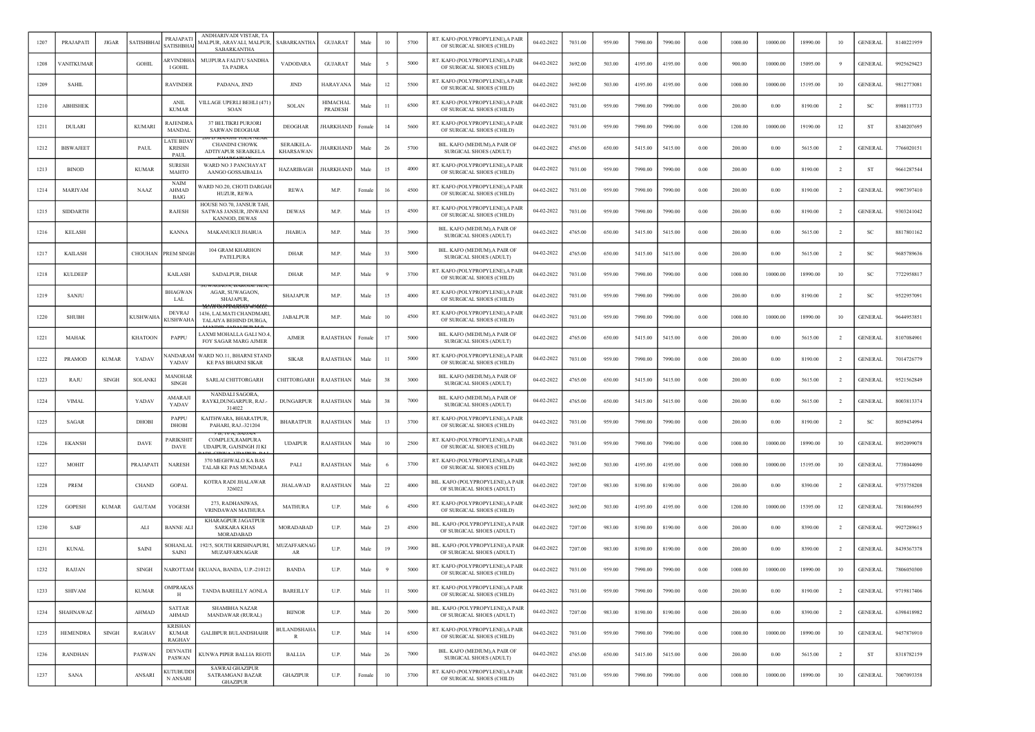| 1207 | PRAJAPATI        | <b>JIGAR</b> | <b>SATISHBHA</b> | PRAJAPAT<br><b>SATISHBHA</b>                    | ANDHARIVADI VISTAR, TA<br>MALPUR, ARAVALI, MALPUR,<br>SABARKANTHA    | SABARKANTHA                          | <b>GUJARAT</b>      | Male   | 10     | 5700 | RT. KAFO (POLYPROPYLENE), A PAIR<br>OF SURGICAL SHOES (CHILD)  | 04-02-2022 | 7031.00 | 959.00 | 7990.00 | 7990.00 | 0.00       | 1000.00 | 10000.00 | 18990.00 | 10             | <b>GENERAL</b> | 8140221959 |
|------|------------------|--------------|------------------|-------------------------------------------------|----------------------------------------------------------------------|--------------------------------------|---------------------|--------|--------|------|----------------------------------------------------------------|------------|---------|--------|---------|---------|------------|---------|----------|----------|----------------|----------------|------------|
| 1208 | ANITKUMAR        |              | <b>GOHIL</b>     | <b>RVINDBHA</b><br>I GOHII                      | MUJPURA FALIYU SANDHA<br><b>TA PADRA</b>                             | VADODARA                             | <b>GUJARAT</b>      | Male   |        | 5000 | RT. KAFO (POLYPROPYLENE), A PAIR<br>OF SURGICAL SHOES (CHILD)  | 04-02-2022 | 3692.00 | 503.00 | 4195.00 | 4195.00 | $0.00\,$   | 900.00  | 10000.00 | 15095.00 | 9              | <b>GENERAL</b> | 9925629423 |
| 1209 | <b>SAHIL</b>     |              |                  | RAVINDER                                        | PADANA, JIND                                                         | <b>JIND</b>                          | <b>HARAYANA</b>     | Male   | 12     | 5500 | RT. KAFO (POLYPROPYLENE),A PAIF<br>OF SURGICAL SHOES (CHILD)   | 04-02-2022 | 3692.00 | 503.00 | 4195.00 | 4195.00 | 0.00       | 1000.00 | 10000.00 | 15195.00 | 10             | <b>GENERAL</b> | 9812773081 |
| 1210 | <b>ABHISHEK</b>  |              |                  | <b>ANIL</b><br><b>KUMAR</b>                     | VILLAGE UPERLI BEHLI (471<br>SOAN                                    | SOLAN                                | HIMACHAL<br>PRADESH | Male   | 11     | 6500 | RT. KAFO (POLYPROPYLENE), A PAIR<br>OF SURGICAL SHOES (CHILD)  | 04-02-2022 | 7031.00 | 959.00 | 7990.00 | 7990.00 | 0.00       | 200.00  | 0.00     | 8190.00  | $\overline{2}$ | <b>SC</b>      | 8988117733 |
| 1211 | <b>DULARI</b>    |              | <b>KUMARI</b>    | RAJENDRA<br>MANDAI                              | 37 BELTIKRI PURJORI<br><b>SARWAN DEOGHAR</b>                         | <b>DEOGHAR</b>                       | JHARKHAND           | Female | 14     | 5600 | RT. KAFO (POLYPROPYLENE), A PAIR<br>OF SURGICAL SHOES (CHILD)  | 04-02-2022 | 7031.00 | 959.00 | 7990.00 | 7990.00 | 0.00       | 1200.00 | 10000.00 | 19190.00 | 12             | -ST            | 8340207695 |
| 1212 | <b>BISWAJEET</b> |              | PAUL             | ATE BIJAY<br><b>KRISHN</b><br>PAUL              | <b>CHANDNI CHOWK</b><br>ADTIYAPUR SERAIKELA                          | <b>SERAIKELA</b><br><b>KHARSAWAN</b> | HARKHAND            | Male   | 26     | 5700 | BIL. KAFO (MEDIUM), A PAIR OF<br>SURGICAL SHOES (ADULT)        | 04-02-2022 | 4765.00 | 650.00 | 5415.00 | 5415.00 | 0.00       | 200.00  | 0.00     | 5615.00  | $\overline{2}$ | <b>GENERAL</b> | 7766020151 |
| 1213 | <b>BINOD</b>     |              | <b>KUMAR</b>     | <b>SURESH</b><br>MAHTO                          | <b>WARD NO 3 PANCHAYAT</b><br>AANGO GOSSAIBALIA                      | <b>HAZARIBAGH</b>                    | HARKHAND            | Male   | 15     | 4000 | RT. KAFO (POLYPROPYLENE), A PAIR<br>OF SURGICAL SHOES (CHILD)  | 04-02-2022 | 7031.00 | 959.00 | 7990.00 | 7990.00 | 0.00       | 200.00  | 0.00     | 8190.00  | $\overline{2}$ | <b>ST</b>      | 9661287544 |
| 1214 | MARIYAM          |              | <b>NAAZ</b>      | NAIM<br>AHMAD<br><b>BAIG</b>                    | WARD NO.20, CHOTI DARGAI<br><b>HUZUR, REWA</b>                       | <b>REWA</b>                          | M.P.                | Female | 16     | 4500 | RT. KAFO (POLYPROPYLENE),A PAIR<br>OF SURGICAL SHOES (CHILD)   | 04-02-2022 | 7031.00 | 959.00 | 7990.00 | 7990.00 | 0.00       | 200.00  | 0.00     | 8190.00  | $\overline{2}$ | <b>GENERAL</b> | 9907397410 |
| 1215 | SIDDARTH         |              |                  | RAJESH                                          | HOUSE NO.70, JANSUR TAH<br>SATWAS JANSUR, JINWANI<br>KANNOD, DEWAS   | <b>DEWAS</b>                         | M.P.                | Male   | 15     | 4500 | RT. KAFO (POLYPROPYLENE), A PAIR<br>OF SURGICAL SHOES (CHILD)  | 04-02-2022 | 7031.00 | 959.00 | 7990.00 | 7990.00 | 0.00       | 200.00  | 0.00     | 8190.00  | $\overline{2}$ | <b>GENERAL</b> | 9303241042 |
| 1216 | <b>KELASH</b>    |              |                  | <b>KANNA</b>                                    | MAKANUKUI JHABUA                                                     | JHABUA                               | M.P.                | Male   | 35     | 3900 | BIL. KAFO (MEDIUM), A PAIR OI<br><b>SURGICAL SHOES (ADULT)</b> | 04-02-2022 | 4765.00 | 650.00 | 5415.00 | 5415.00 | 0.00       | 200.00  | 0.00     | 5615.00  | $\overline{2}$ | <b>SC</b>      | 8817801162 |
| 1217 | <b>KAILASH</b>   |              | CHOUHAN          | PREM SINGH                                      | 104 GRAM KHARHON<br>PATELPURA                                        | <b>DHAR</b>                          | M.P                 | Male   | 33     | 5000 | BIL. KAFO (MEDIUM), A PAIR OF<br>SURGICAL SHOES (ADULT)        | 04-02-2022 | 4765.00 | 650.00 | 5415.00 | 5415.00 | 0.00       | 200.00  | 0.00     | 5615.00  | $\overline{2}$ | SC             | 9685789636 |
| 1218 | <b>KULDEEP</b>   |              |                  | <b>KAILASH</b>                                  | <b>SADALPUR, DHAR</b>                                                | DHAR                                 | M.P.                | Male   |        | 3700 | RT. KAFO (POLYPROPYLENE), A PAIR<br>OF SURGICAL SHOES (CHILD)  | 04-02-2022 | 7031.00 | 959.00 | 7990.00 | 7990.00 | 0.00       | 1000.00 | 10000.00 | 18990.00 | 10             | <sub>SC</sub>  | 7722958817 |
| 1219 | SANJU            |              |                  | <b>BHAGWA</b><br>LAL                            | AGAR, SUWAGAON,<br>SHAJAPUR,                                         | <b>SHAJAPUR</b>                      | M.P.                | Male   | 15     | 4000 | RT. KAFO (POLYPROPYLENE), A PAIR<br>OF SURGICAL SHOES (CHILD)  | 04-02-2022 | 7031.00 | 959.00 | 7990.00 | 7990.00 | 0.00       | 200.00  | 0.00     | 8190.00  | $\overline{2}$ | <b>SC</b>      | 9522957091 |
| 1220 | <b>SHUBH</b>     |              | <b>KUSHWAHA</b>  | <b>DEVRAJ</b><br><b>CUSHWAHA</b>                | 1436. LALMATI CHANDMARI<br><b>TALAIYA BEHIND DURGA</b>               | <b>JABALPUR</b>                      | M.P.                | Male   | 10     | 4500 | RT. KAFO (POLYPROPYLENE), A PAIR<br>OF SURGICAL SHOES (CHILD)  | 04-02-2022 | 7031.00 | 959.00 | 7990.00 | 7990.00 | 0.00       | 1000.00 | 10000.00 | 18990.00 | 10             | <b>GENERAL</b> | 9644953851 |
| 1221 | MAHAK            |              | <b>KHATOON</b>   | PAPPU                                           | LAXMI MOHALLA GALI NO.4<br>FOY SAGAR MARG AJMER                      | <b>AJMER</b>                         | RAJASTHAN           | Female | 17     | 5000 | BIL. KAFO (MEDIUM), A PAIR OF<br>SURGICAL SHOES (ADULT)        | 04-02-2022 | 4765.00 | 650.00 | 5415.00 | 5415.00 | 0.00       | 200.00  | 0.00     | 5615.00  | $\overline{2}$ | <b>GENERAL</b> | 8107084901 |
| 1222 | <b>PRAMOD</b>    | <b>KUMAR</b> | YADAV            | <b>ANDARAM</b><br>YADAV                         | WARD NO.11, BHARNI STAND<br><b>KE PAS BHARNI SIKAR</b>               | <b>SIKAR</b>                         | RAJASTHAN           | Male   | 11     | 5000 | RT. KAFO (POLYPROPYLENE), A PAIR<br>OF SURGICAL SHOES (CHILD)  | 04-02-2022 | 7031.00 | 959.00 | 7990.00 | 7990.00 | 0.00       | 200.00  | 0.00     | 8190.00  | $\overline{2}$ | <b>GENERAL</b> | 7014726779 |
| 1223 | RAJU             | <b>SINGH</b> | <b>SOLANKI</b>   | MANOHAI<br><b>SINGH</b>                         | <b>SARLAI CHITTORGARH</b>                                            | CHITTORGARH                          | RAJASTHAN           | Male   | 38     | 3000 | BIL. KAFO (MEDIUM), A PAIR OI<br>SURGICAL SHOES (ADULT)        | 04-02-2022 | 4765.00 | 650.00 | 5415.00 | 5415.00 | 0.00       | 200.00  | 0.00     | 5615.00  | -2             | <b>GENERAL</b> | 9521562849 |
| 1224 | <b>VIMAL</b>     |              | YADAV            | AMARAJI<br>YADAV                                | <b>NANDALI SAGORA</b><br>RAYKI, DUNGARPUR, RAJ.-<br>314022           | <b>DUNGARPUR</b>                     | RAJASTHAN           | Male   | 38     | 7000 | BIL. KAFO (MEDIUM), A PAIR OF<br>SURGICAL SHOES (ADULT)        | 04-02-2022 | 4765.00 | 650.00 | 5415.00 | 5415.00 | 0.00       | 200.00  | 0.00     | 5615.00  | <sup>2</sup>   | <b>GENERAL</b> | 8003813374 |
| 1225 | SAGAR            |              | <b>DHOBI</b>     | <b>PAPPU</b><br><b>DHOBI</b>                    | KAITHWARA, BHARATPUR<br>PAHARI, RAJ.-321204                          | <b>BHARATPUR</b>                     | RAJASTHAN           | Male   | 13     | 3700 | RT. KAFO (POLYPROPYLENE), A PAIR<br>OF SURGICAL SHOES (CHILD)  | 04-02-2022 | 7031.00 | 959.00 | 7990.00 | 7990.00 | 0.00       | 200.00  | 0.00     | 8190.00  | $\overline{2}$ | SC.            | 8059434994 |
| 1226 | <b>EKANSH</b>    |              | DAVE             | <b>ARIKSHI</b><br>DAVE                          | COMPLEX, RAMPURA<br>UDAIPUR, GAJSINGH JI KI                          | <b>UDAIPUR</b>                       | RAJASTHAN           | Male   | 10     | 2500 | RT. KAFO (POLYPROPYLENE), A PAIR<br>OF SURGICAL SHOES (CHILD)  | 04-02-2022 | 7031.00 | 959.00 | 7990.00 | 7990.00 | 0.00       | 1000.00 | 10000.00 | 18990.00 | 10             | <b>GENERAL</b> | 8952099078 |
| 1227 | MOHIT            |              | PRAJAPAT.        | <b>NARESH</b>                                   | 370 MEGHWALO KA BAS<br>TALAB KE PAS MUNDARA                          | PALI                                 | RAJASTHAN           | Male   |        | 3700 | RT. KAFO (POLYPROPYLENE), A PAIR<br>OF SURGICAL SHOES (CHILD)  | 04-02-2022 | 3692.00 | 503.00 | 4195.00 | 4195.00 | 0.00       | 1000.00 | 10000.00 | 15195.00 | 10             | <b>GENERAL</b> | 7738044090 |
| 1228 | <b>PREM</b>      |              | CHAND            | <b>GOPAL</b>                                    | KOTRA RADI JHALAWAR<br>326022                                        | <b>JHALAWAD</b>                      | RAJASTHAN           | Male   | 22     | 4000 | BIL. KAFO (POLYPROPYLENE), A PAIR<br>OF SURGICAL SHOES (ADULT) | 04-02-2022 | 7207.00 | 983.00 | 8190.00 | 8190.00 | 0.00       | 200.00  | 0.00     | 8390.00  | $\overline{2}$ | <b>GENERAL</b> | 9753758208 |
| 1229 | <b>GOPESH</b>    | <b>KUMAR</b> | <b>GAUTAM</b>    | YOGESH                                          | 273. RADHANIWAS.<br>VRINDAWAN MATHURA                                | <b>MATHURA</b>                       | U.P.                | Male   |        | 4500 | RT. KAFO (POLYPROPYLENE), A PAIR<br>OF SURGICAL SHOES (CHILD)  | 04-02-2022 | 3692.00 | 503.00 | 4195.00 | 4195.00 | 0.00       | 1200.00 | 10000.00 | 15395.00 | 12             | <b>GENERAL</b> | 7818066595 |
| 1230 | SAIF             |              | ALI              | <b>BANNE AL</b>                                 | KHARAGPUR JAGATPUR<br><b>SARKARA KHAS</b><br><b>MORADABAD</b>        | MORADABAD                            | U.P.                | Male   | 23     | 4500 | BIL. KAFO (POLYPROPYLENE),A PAIR<br>OF SURGICAL SHOES (ADULT)  | 04-02-2022 | 7207.00 | 983.00 | 8190.00 | 8190.00 | 0.00       | 200.00  | 0.00     | 8390.00  | -2             | <b>GENERAI</b> | 9927289615 |
| 1231 | <b>KUNAL</b>     |              | <b>SAINI</b>     | <b>SOHANLA</b><br><b>SAINI</b>                  | 192/5, SOUTH KRISHNAPURI,<br>MUZAFFARNAGAR                           | MUZAFFARNAG<br>AR                    | U.P.                | Male   | 19     | 3900 | BIL. KAFO (POLYPROPYLENE).A PAIR<br>OF SURGICAL SHOES (ADULT)  | 04-02-2022 | 7207.00 | 983.00 | 8190.00 | 8190.00 | 0.00       | 200.00  | 0.00     | 8390.00  | $\overline{2}$ | <b>GENERAL</b> | 8439367378 |
| 1232 | RAJJAN           |              | <b>SINGH</b>     |                                                 | NAROTTAM EKUANA, BANDA, U.P.-210121                                  | <b>BANDA</b>                         | U.P.                | Male   |        | 5000 | RT. KAFO (POLYPROPYLENE), A PAIR<br>OF SURGICAL SHOES (CHILD)  | 04-02-2022 | 7031.00 | 959.00 | 7990.00 | 7990.00 | 0.00       | 1000.00 | 10000.00 | 18990.00 | 10             | <b>GENERAL</b> | 7806050300 |
| 1233 | <b>SHIVAM</b>    |              | <b>KUMAR</b>     | <b>OMPRAKAS</b><br>Н                            | TANDA BAREILLY AONLA                                                 | <b>BAREILLY</b>                      | U.P.                | Male   | 11     | 5000 | RT. KAFO (POLYPROPYLENE), A PAIR<br>OF SURGICAL SHOES (CHILD)  | 04-02-2022 | 7031.00 | 959.00 | 7990.00 | 7990.00 | $\rm 0.00$ | 200.00  | $0.00\,$ | 8190.00  | $\overline{2}$ | <b>GENERAL</b> | 9719817406 |
| 1234 | <b>SHAHNAWAZ</b> |              | AHMAD            | <b>SATTAR</b><br>AHMAD                          | <b>SHAMBHA NAZAR</b><br><b>MANDAWAR (RURAL)</b>                      | <b>BIJNOR</b>                        | U.P.                | Male   | $20\,$ | 5000 | BIL. KAFO (POLYPROPYLENE), A PAIR<br>OF SURGICAL SHOES (ADULT) | 04-02-2022 | 7207.00 | 983.00 | 8190.00 | 8190.00 | 0.00       | 200.00  | 0.00     | 8390.00  | $\overline{2}$ | <b>GENERAL</b> | 6398418982 |
| 1235 | <b>HEMENDRA</b>  | SINGH        | RAGHAV           | <b>KRISHAN</b><br><b>KUMAR</b><br><b>RAGHAV</b> | <b>GALIBPUR BULANDSHAHR</b>                                          | <b>BULANDSHAHA</b><br>R              | U.P.                | Male   | 14     | 6500 | RT. KAFO (POLYPROPYLENE), A PAIR<br>OF SURGICAL SHOES (CHILD)  | 04-02-2022 | 7031.00 | 959.00 | 7990.00 | 7990.00 | 0.00       | 1000.00 | 10000.00 | 18990.00 | 10             | <b>GENERAL</b> | 9457876910 |
| 1236 | <b>RANDHAN</b>   |              | PASWAN           | <b>DEVNATH</b><br>PASWAN                        | KUNWA PIPER BALLIA REOTI                                             | <b>BALLIA</b>                        | U.P.                | Male   | 26     | 7000 | BIL. KAFO (MEDIUM), A PAIR OF<br>SURGICAL SHOES (ADULT)        | 04-02-2022 | 4765.00 | 650.00 | 5415.00 | 5415.00 | 0.00       | 200.00  | 0.00     | 5615.00  | $\overline{2}$ | ST             | 8318782159 |
| 1237 | SANA             |              | ANSARI           | <b>KUTUBUDDI</b><br>N ANSARI                    | <b>SAWRAI GHAZIPUR</b><br><b>SATRAMGANJ BAZAR</b><br><b>GHAZIPUR</b> | <b>GHAZIPUR</b>                      | U.P.                | Female | 10     | 3700 | RT. KAFO (POLYPROPYLENE), A PAIR<br>OF SURGICAL SHOES (CHILD)  | 04-02-2022 | 7031.00 | 959.00 | 7990.00 | 7990.00 | 0.00       | 1000.00 | 10000.00 | 18990.00 | 10             | <b>GENERAL</b> | 7007093358 |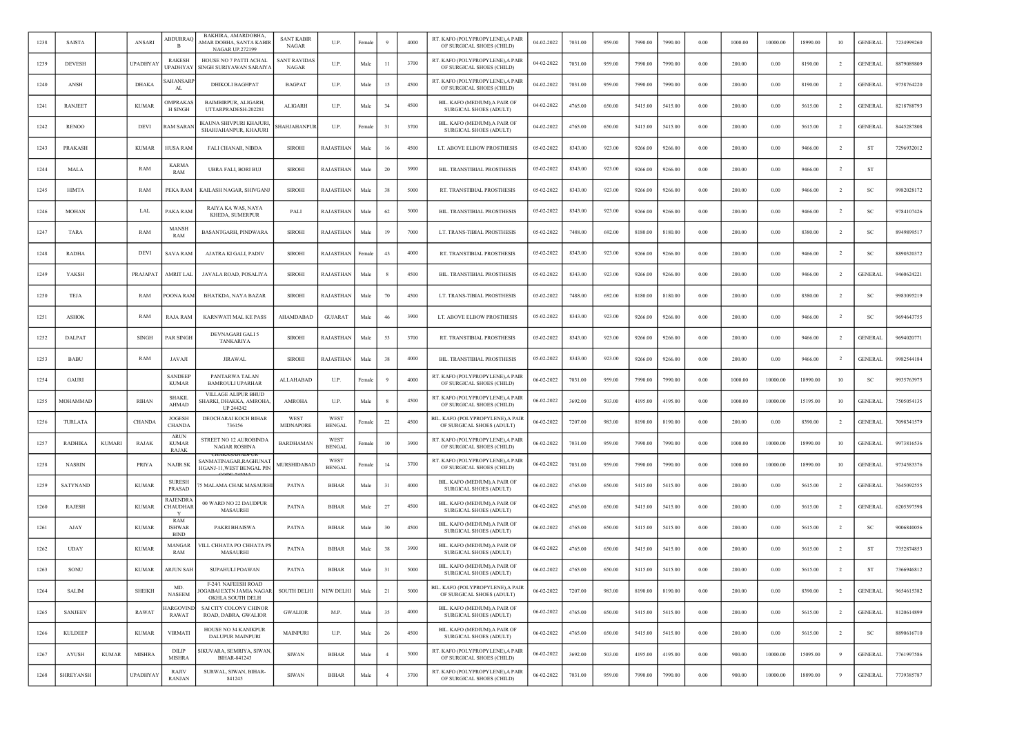| 1238 | <b>SAISTA</b>    |               | ANSARI          | <b>ABDURRAQ</b><br>в                 | BAKHIRA, AMARDOBHA<br>AMAR DOBHA, SANTA KABIR<br>NAGAR UP.272199                | <b>SANT KABIR</b><br><b>NAGAR</b>   | U.P.                         | Female |                | 4000 | RT. KAFO (POLYPROPYLENE), A PAIR<br>OF SURGICAL SHOES (CHILD)  | 04-02-2022 | 7031.00 | 959.00 | 7990.00 | 7990.00 | 0.00       | 1000.00 | 10000.00 | 18990.00 | 10             | <b>GENERAL</b> | 7234999260 |
|------|------------------|---------------|-----------------|--------------------------------------|---------------------------------------------------------------------------------|-------------------------------------|------------------------------|--------|----------------|------|----------------------------------------------------------------|------------|---------|--------|---------|---------|------------|---------|----------|----------|----------------|----------------|------------|
| 1239 | <b>DEVESH</b>    |               | UPADHYA'        | RAKESH<br><b>UPADHYAY</b>            | HOUSE NO 7 PATTI ACHAL<br>SINGH SURIYAWAN SARAIYA                               | <b>SANT RAVIDAS</b><br><b>NAGAR</b> | U.P.                         | Male   | 11             | 3700 | RT. KAFO (POLYPROPYLENE), A PAIR<br>OF SURGICAL SHOES (CHILD)  | 04-02-2022 | 7031.00 | 959.00 | 7990.00 | 7990.00 | 0.00       | 200.00  | 0.00     | 8190.00  | $\overline{2}$ | <b>GENERAL</b> | 8879089809 |
| 1240 | <b>ANSH</b>      |               | <b>DHAKA</b>    | SAHANSARI<br>AL                      | <b>DHIKOLI BAGHPAT</b>                                                          | <b>BAGPAT</b>                       | U.P.                         | Male   | 15             | 4500 | RT. KAFO (POLYPROPYLENE), A PAIR<br>OF SURGICAL SHOES (CHILD)  | 04-02-2022 | 7031.00 | 959.00 | 7990.00 | 7990.00 | 0.00       | 200.00  | 0.00     | 8190.00  | $\overline{2}$ | <b>GENERAL</b> | 9758764220 |
| 1241 | RANJEET          |               | <b>KUMAR</b>    | <b>DMPRAKAS</b><br><b>H SINGH</b>    | <b>BAIMBIRPUR, ALIGARH</b><br>UTTARPRADESH-202281                               | <b>ALIGARH</b>                      | U.P.                         | Male   | 34             | 4500 | BIL. KAFO (MEDIUM), A PAIR OF<br>SURGICAL SHOES (ADULT)        | 04-02-2022 | 4765.00 | 650.00 | 5415.00 | 5415.00 | 0.00       | 200.00  | 0.00     | 5615.00  | -2             | <b>GENERAL</b> | 8218788793 |
| 1242 | <b>RENOO</b>     |               | DEVI            | <b>AM SARAN</b>                      | IKAUNA SHIVPURI KHAJURI,<br>SHAHJAHANPUR, KHAJURI                               | SHAHJAHANPUR                        | U.P.                         | Female | 31             | 3700 | BIL. KAFO (MEDIUM), A PAIR OF<br>SURGICAL SHOES (ADULT)        | 04-02-2022 | 4765.00 | 650.00 | 5415.00 | 5415.00 | 0.00       | 200.00  | 0.00     | 5615.00  | $\overline{2}$ | <b>GENERAL</b> | 8445287808 |
| 1243 | PRAKASH          |               | <b>KUMAR</b>    | HUSA RAM                             | FALI CHANAR, NIBDA                                                              | <b>SIROHI</b>                       | RAJASTHAN                    | Male   | 16             | 4500 | LT. ABOVE ELBOW PROSTHESIS                                     | 05-02-2022 | 8343.00 | 923.00 | 9266.00 | 9266.00 | 0.00       | 200.00  | 0.00     | 9466.00  | $\overline{2}$ | ST             | 7296932012 |
| 1244 | MALA             |               | RAM             | <b>KARMA</b><br>RAM                  | UBRA FALI, BORI BUJ                                                             | <b>SIROHI</b>                       | RAJASTHAN                    | Male   | 20             | 3900 | BIL. TRANSTIBIAL PROSTHESIS                                    | 05-02-2022 | 8343.00 | 923.00 | 9266.00 | 9266.00 | 0.00       | 200.00  | 0.00     | 9466.00  | <sup>2</sup>   | <b>ST</b>      |            |
| 1245 | <b>HIMTA</b>     |               | RAM             | PEKA RAM                             | KAILASH NAGAR, SHIVGANJ                                                         | <b>SIROHI</b>                       | RAJASTHAN                    | Male   | 38             | 5000 | RT. TRANSTIBIAL PROSTHESIS                                     | 05-02-2022 | 8343.00 | 923.00 | 9266.00 | 9266.00 | 0.00       | 200.00  | 0.00     | 9466.00  | $\overline{2}$ | SC             | 9982028172 |
| 1246 | MOHAN            |               | LAL             | PAKA RAM                             | RAIYA KA WAS, NAYA<br>KHEDA, SUMERPUR                                           | PALI                                | RAJASTHAN                    | Male   | 62             | 5000 | BIL. TRANSTIBIAL PROSTHESIS                                    | 05-02-2022 | 8343.00 | 923.00 | 9266.00 | 9266.00 | $0.00\,$   | 200.00  | 0.00     | 9466.00  | $\overline{2}$ | SC             | 9784107426 |
| 1247 | TARA             |               | RAM             | <b>MANSE</b><br>RAM                  | BASANTGARH, PINDWARA                                                            | <b>SIROHI</b>                       | RAJASTHAN                    | Male   | 19             | 7000 | LT. TRANS-TIBIAL PROSTHESIS                                    | 05-02-2022 | 7488.00 | 692.00 | 8180.00 | 8180.00 | 0.00       | 200.00  | 0.00     | 8380.00  | $\overline{2}$ | SC             | 8949899517 |
| 1248 | <b>RADHA</b>     |               | <b>DEVI</b>     | <b>SAVA RAM</b>                      | AJATRA KI GALI, PADIV                                                           | <b>SIROHI</b>                       | RAJASTHAN                    | Female | 43             | 4000 | RT. TRANSTIBIAL PROSTHESIS                                     | 05-02-2022 | 8343.00 | 923.00 | 9266.00 | 9266.00 | 0.00       | 200.00  | 0.00     | 9466.00  | $\overline{2}$ | SC             | 8890320372 |
| 1249 | YAKSH            |               | PRAJAPAT        | AMRIT LAL                            | JAVALA ROAD, POSALIYA                                                           | <b>SIROHI</b>                       | RAJASTHAN                    | Male   |                | 4500 | BIL. TRANSTIBIAL PROSTHESIS                                    | 05-02-2022 | 8343.00 | 923.00 | 9266.00 | 9266.00 | 0.00       | 200.00  | 0.00     | 9466.00  | -2             | <b>GENERAL</b> | 9460624221 |
| 1250 | TEJA             |               | RAM             | OONA RAM                             | <b>BHATKDA, NAYA BAZAR</b>                                                      | <b>SIROHI</b>                       | RAJASTHAN                    | Male   | 70             | 4500 | LT. TRANS-TIBIAL PROSTHESIS                                    | 05-02-2022 | 7488.00 | 692.00 | 8180.00 | 8180.00 | 0.00       | 200.00  | 0.00     | 8380.00  | $\overline{2}$ | -SC            | 9983095219 |
| 1251 | <b>ASHOK</b>     |               | RAM             | RAJA RAM                             | KARNWATI MAL KE PASS                                                            | AHAMDABAD                           | <b>GUJARAT</b>               | Male   | 46             | 3900 | LT. ABOVE ELBOW PROSTHESIS                                     | 05-02-2022 | 8343.00 | 923.00 | 9266.00 | 9266.00 | 0.00       | 200.00  | 0.00     | 9466.00  | $\overline{2}$ | <b>SC</b>      | 9694643755 |
| 1252 | DALPAT           |               | <b>SINGH</b>    | PAR SINGH                            | DEVNAGARI GALI 5<br>TANKARIYA                                                   | <b>SIROHI</b>                       | RAJASTHAN                    | Male   | 53             | 3700 | RT. TRANSTIBIAL PROSTHESIS                                     | 05-02-2022 | 8343.00 | 923.00 | 9266.00 | 9266.00 | 0.00       | 200.00  | 0.00     | 9466.00  | $\overline{2}$ | <b>GENERAL</b> | 9694020771 |
| 1253 | <b>BABU</b>      |               | RAM             | JAVAJI                               | <b>JIRAWAL</b>                                                                  | <b>SIROHI</b>                       | RAJASTHAN                    | Male   | 38             | 4000 | BIL. TRANSTIBIAL PROSTHESIS                                    | 05-02-2022 | 8343.00 | 923.00 | 9266.00 | 9266.00 | $0.00\,$   | 200.00  | 0.00     | 9466.00  |                | <b>GENERAL</b> | 9982544184 |
| 1254 | <b>GAURI</b>     |               |                 | <b>SANDEEP</b><br><b>KUMAR</b>       | PANTARWA TALAN<br><b>BAMROULI UPARHAR</b>                                       | ALLAHABAD                           | U.P.                         | Female |                | 4000 | RT. KAFO (POLYPROPYLENE), A PAIR<br>OF SURGICAL SHOES (CHILD)  | 06-02-2022 | 7031.00 | 959.00 | 7990.00 | 7990.00 | 0.00       | 1000.00 | 10000.00 | 18990.00 | 10             | SC             | 9935763975 |
| 1255 | MOHAMMAD         |               | RIHAN           | <b>SHAKII</b><br>AHMAD               | VILLAGE ALIPUR BHUD<br>SHARKI, DHAKKA, AMROHA,<br>UP 244242                     | AMROHA                              | U.P.                         | Male   |                | 4500 | RT. KAFO (POLYPROPYLENE), A PAIR<br>OF SURGICAL SHOES (CHILD)  | 06-02-2022 | 3692.00 | 503.00 | 4195.00 | 4195.00 | 0.00       | 1000.00 | 10000.00 | 15195.00 | 10             | <b>GENERAL</b> | 7505054135 |
| 1256 | TURLATA          |               | <b>CHANDA</b>   | <b>JOGESH</b><br><b>CHANDA</b>       | DEOCHARAI KOCH BIHAR<br>736156                                                  | WEST<br><b>MIDNAPORE</b>            | WEST<br><b>BENGAL</b>        | Female | 22             | 4500 | BIL. KAFO (POLYPROPYLENE), A PAIR<br>OF SURGICAL SHOES (ADULT) | 06-02-2022 | 7207.00 | 983.00 | 8190.00 | 8190.00 | 0.00       | 200.00  | 0.00     | 8390.00  | $\overline{2}$ | GENERAI        | 7098341579 |
| 1257 | <b>RADHIKA</b>   | <b>KUMARI</b> | RAJAK           | <b>ARUN</b><br><b>KUMAR</b><br>RAJAK | STREET NO 12 AUROBINDA<br><b>NAGAR ROSHNA</b>                                   | <b>BARDHAMAN</b>                    | <b>WEST</b><br><b>BENGAL</b> | Femal  | 10             | 3900 | RT. KAFO (POLYPROPYLENE), A PAIR<br>OF SURGICAL SHOES (CHILD)  | 06-02-2022 | 7031.00 | 959.00 | 7990.00 | 7990.00 | 0.00       | 1000.00 | 10000.00 | 18990.00 | 10             | <b>GENERAL</b> | 9973816536 |
| 1258 | <b>NASRIN</b>    |               | <b>PRIYA</b>    | <b>NAJIR SK</b>                      | SANMATINAGAR,RAGHUNAT<br>HGANJ-11, WEST BENGAL PIN                              | MURSHIDABAD                         | WEST<br><b>BENGAL</b>        | Femal  | 14             | 3700 | RT. KAFO (POLYPROPYLENE), A PAIR<br>OF SURGICAL SHOES (CHILD)  | 06-02-2022 | 7031.00 | 959.00 | 7990.00 | 7990.00 | 0.00       | 1000.00 | 10000.00 | 18990.00 | 10             | <b>GENERAL</b> | 9734583376 |
| 1259 | SATYNAND         |               | <b>KUMAR</b>    | <b>SURESH</b><br>PRASAD              | <b>5 MALAMA CHAK MASAURHI</b>                                                   | PATNA                               | <b>BIHAR</b>                 | Male   | 31             | 4000 | BIL. KAFO (MEDIUM), A PAIR OF<br>SURGICAL SHOES (ADULT)        | 06-02-2022 | 4765.00 | 650.00 | 5415.00 | 5415.00 | 0.00       | 200.00  | 0.00     | 5615.00  | $\overline{2}$ | <b>GENERAL</b> | 7645092555 |
| 1260 | <b>RAJESH</b>    |               | <b>KUMAR</b>    | RAJENDR/<br>CHAUDHAR                 | 00 WARD NO 22 DAUDPUR<br>MASAURHI                                               | <b>PATNA</b>                        | <b>BIHAR</b>                 | Male   | 27             | 4500 | BIL. KAFO (MEDIUM) A PAIR OF<br>SURGICAL SHOES (ADULT)         | 06-02-2022 | 4765.00 | 650.00 | 5415.00 | 5415.00 | 0.00       | 200.00  | 0.00     | 5615.00  | $\overline{2}$ | <b>GENERAL</b> | 6205397598 |
| 1261 | AJAY             |               | <b>KUMAR</b>    | RAM<br><b>ISHWAR</b><br><b>BIND</b>  | PAKRI BHAISWA                                                                   | <b>PATNA</b>                        | <b>BIHAR</b>                 | Male   | 30             | 4500 | BIL. KAFO (MEDIUM), A PAIR OF<br>SURGICAL SHOES (ADULT)        | 06-02-2022 | 4765.00 | 650.00 | 5415.00 | 5415.00 | 0.00       | 200.00  | 0.00     | 5615.00  | $\overline{2}$ | -SC            | 9006840056 |
| 1262 | <b>UDAY</b>      |               | <b>KUMAR</b>    | <b>MANGAR</b><br>RAM                 | VILL CHHATA PO CHHATA PS<br>MASAURHI                                            | <b>PATNA</b>                        | <b>BIHAR</b>                 | Male   | 38             | 3900 | BIL. KAFO (MEDIUM) A PAIR OF<br>SURGICAL SHOES (ADULT)         | 06-02-2022 | 4765.00 | 650.00 | 5415.00 | 5415.00 | 0.00       | 200.00  | 0.00     | 5615.00  | $\overline{2}$ | ST             | 7352874853 |
| 1263 | SONU             |               | KUMAR           | ARJUN SAH                            | SUPAHULI POAWAN                                                                 | <b>PATNA</b>                        | <b>BIHAR</b>                 | Male   | 31             | 5000 | BIL. KAFO (MEDIUM), A PAIR OF<br><b>SURGICAL SHOES (ADULT)</b> | 06-02-2022 | 4765.00 | 650.00 | 5415.00 | 5415.00 | 0.00       | 200.00  | 0.00     | 5615.00  | $\overline{2}$ | ST             | 7366946812 |
| 1264 | <b>SALIM</b>     |               | <b>SHEIKH</b>   | MD.<br><b>NASEEM</b>                 | F-24/I NAFEESH ROAD<br>JOGABAI EXTN JAMIA NAGAR SOUTH DELHI<br>OKHLA SOUTH DELH |                                     | NEW DELHI                    | Male   | 21             | 5000 | BIL. KAFO (POLYPROPYLENE), A PAIR<br>OF SURGICAL SHOES (ADULT) | 06-02-2022 | 7207.00 | 983.00 | 8190.00 | 8190.00 | 0.00       | 200.00  | $0.00\,$ | 8390.00  | $\overline{2}$ | <b>GENERAL</b> | 9654615382 |
| 1265 | <b>SANJEEV</b>   |               | RAWAT           | <b>IARGOVIND</b><br>RAWAT            | SAI CITY COLONY CHINOR<br>ROAD, DABRA, GWALIOR                                  | <b>GWALIOR</b>                      | M.P.                         | Male   | $35\,$         | 4000 | BIL. KAFO (MEDIUM), A PAIR OF<br><b>SURGICAL SHOES (ADULT)</b> | 06-02-2022 | 4765.00 | 650.00 | 5415.00 | 5415.00 | 0.00       | 200.00  | 0.00     | 5615.00  | $\overline{2}$ | <b>GENERAL</b> | 8120614899 |
| 1266 | <b>KULDEEP</b>   |               | <b>KUMAR</b>    | <b>VIRMATI</b>                       | HOUSE NO 34 KANIKPUR<br><b>DALUPUR MAINPURI</b>                                 | <b>MAINPURI</b>                     | U.P.                         | Male   | 26             | 4500 | BIL. KAFO (MEDIUM), A PAIR OF<br>SURGICAL SHOES (ADULT)        | 06-02-2022 | 4765.00 | 650.00 | 5415.00 | 5415.00 | $\rm 0.00$ | 200.00  | $0.00\,$ | 5615.00  | $\overline{2}$ | SC             | 8890616710 |
| 1267 | AYUSH            | <b>KUMAR</b>  | <b>MISHRA</b>   | DILIP<br><b>MISHRA</b>               | SIKUVARA, SEMRIYA, SIWAN,<br>BIHAR-841243                                       | <b>SIWAN</b>                        | <b>BIHAR</b>                 | Male   | $\overline{4}$ | 5000 | RT. KAFO (POLYPROPYLENE), A PAIR<br>OF SURGICAL SHOES (CHILD)  | 06-02-2022 | 3692.00 | 503.00 | 4195.00 | 4195.00 | 0.00       | 900.00  | 10000.00 | 15095.00 | 9              | <b>GENERAL</b> | 7761997586 |
| 1268 | <b>SHREYANSH</b> |               | <b>UPADHYAY</b> | RAJIV<br><b>RANJAN</b>               | SURWAL, SIWAN, BIHAR-<br>841245                                                 | SIWAN                               | BIHAR                        | Male   | $\overline{4}$ | 3700 | RT. KAFO (POLYPROPYLENE), A PAIR<br>OF SURGICAL SHOES (CHILD)  | 06-02-2022 | 7031.00 | 959.00 | 7990.00 | 7990.00 | 0.00       | 900.00  | 10000.00 | 18890.00 | 9              | <b>GENERAL</b> | 7739385787 |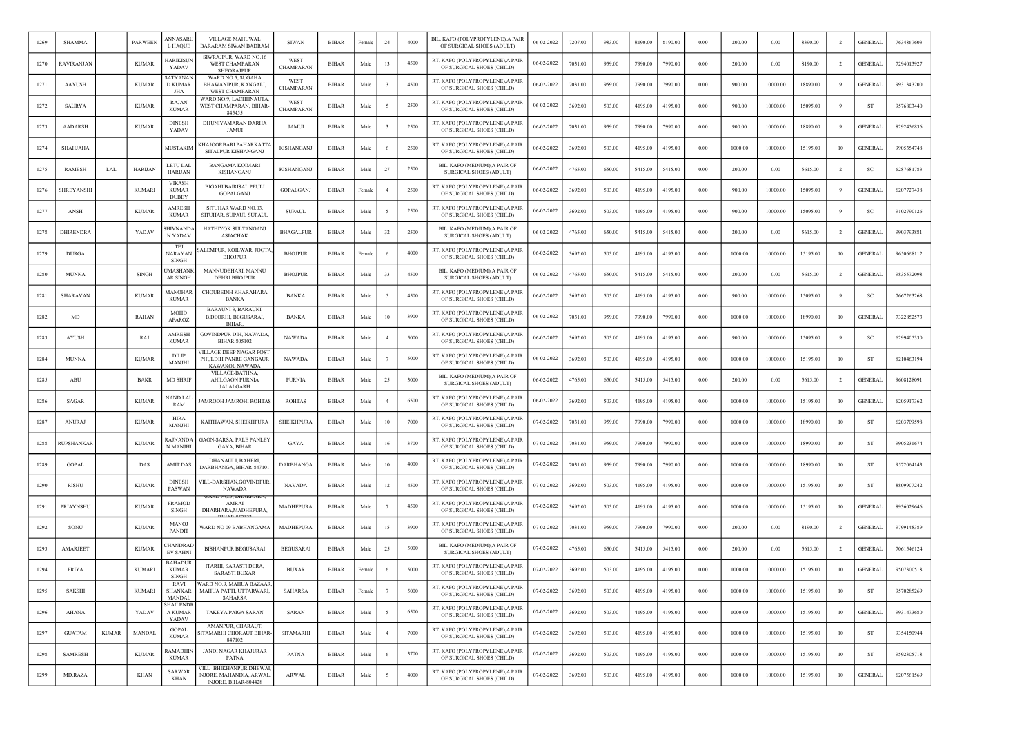| 1269 | <b>SHAMMA</b>    |              | <b>PARWEEN</b> | ANNASARI<br>L HAQUE                            | <b>VILLAGE MAHUWAL</b><br><b>BARARAM SIWAN BADRAM</b>                        | <b>SIWAN</b>      | <b>BIHAR</b> | Female | 24             | 4000 | BIL. KAFO (POLYPROPYLENE),A PAIR<br>OF SURGICAL SHOES (ADULT)  | 06-02-2022 | 7207.00 | 983.00 | 8190.00 | 8190.00 | 0.00 | 200.00  | 0.00     | 8390.00  | $\overline{2}$ | <b>GENERAL</b> | 7634867603 |
|------|------------------|--------------|----------------|------------------------------------------------|------------------------------------------------------------------------------|-------------------|--------------|--------|----------------|------|----------------------------------------------------------------|------------|---------|--------|---------|---------|------|---------|----------|----------|----------------|----------------|------------|
| 1270 | RAVIRANJAN       |              | <b>KUMAR</b>   | <b>IARIKISUI</b><br>YADAV                      | SIWRAJPUR, WARD NO.16<br><b>WEST CHAMPARAN</b><br><b>SHEORAJPUR</b>          | WEST<br>CHAMPARAN | <b>BIHAR</b> | Male   | 13             | 4500 | RT. KAFO (POLYPROPYLENE), A PAIR<br>OF SURGICAL SHOES (CHILD)  | 06-02-2022 | 7031.00 | 959.00 | 7990.00 | 7990.00 | 0.00 | 200.00  | 0.00     | 8190.00  | $\overline{2}$ | <b>GENERAL</b> | 7294013927 |
| 1271 | <b>AAYUSH</b>    |              | <b>KUMAR</b>   | SATYANAN<br><b>D KUMAR</b><br><b>JHA</b>       | WARD NO.5, SUGAHA<br>BHAWANIPUR, KANGALI,<br><b>WEST CHAMPARAN</b>           | WEST<br>CHAMPARAN | <b>BIHAR</b> | Male   |                | 4500 | RT. KAFO (POLYPROPYLENE),A PAIF<br>OF SURGICAL SHOES (CHILD)   | 06-02-2022 | 7031.00 | 959.00 | 7990.00 | 7990.00 | 0.00 | 900.00  | 10000.00 | 18890.00 |                | <b>GENERAL</b> | 9931343200 |
| 1272 | <b>SAURYA</b>    |              | <b>KUMAR</b>   | RAJAN<br><b>KUMAR</b>                          | WARD NO.9, LACHHNAUTA<br>WEST CHAMPARAN, BIHAR-<br>845455                    | WEST<br>CHAMPARAN | <b>BIHAR</b> | Male   |                | 2500 | RT. KAFO (POLYPROPYLENE), A PAIR<br>OF SURGICAL SHOES (CHILD)  | 06-02-2022 | 3692.00 | 503.00 | 4195.00 | 4195.00 | 0.00 | 900.00  | 10000.00 | 15095.00 | -9             | <b>ST</b>      | 9576803440 |
| 1273 | <b>AADARSH</b>   |              | <b>KUMAR</b>   | <b>DINESH</b><br>YADAV                         | DHUNIYAMARAN DARHA<br><b>JAMUI</b>                                           | <b>JAMUI</b>      | <b>BIHAR</b> | Male   |                | 2500 | RT. KAFO (POLYPROPYLENE), A PAIR<br>OF SURGICAL SHOES (CHILD)  | 06-02-2022 | 7031.00 | 959.00 | 7990.00 | 7990.00 | 0.00 | 900.00  | 10000.00 | 18890.00 | -9             | <b>GENERAL</b> | 8292456836 |
| 1274 | SHAHJAHA         |              |                | MUSTAKIN                                       | KHAJOORBARI PAHARKATT/<br>SITALPUR KISHANGANJ                                | KISHANGANJ        | <b>BIHAR</b> | Male   |                | 2500 | RT. KAFO (POLYPROPYLENE), A PAIR<br>OF SURGICAL SHOES (CHILD)  | 06-02-2022 | 3692.00 | 503.00 | 4195.00 | 4195.00 | 0.00 | 1000.00 | 10000.00 | 15195.00 | 10             | <b>GENERAL</b> | 9905354748 |
| 1275 | <b>RAMESH</b>    | LAL          | <b>HARIJAN</b> | <b>LETU LAI</b><br><b>HARIJAN</b>              | <b>BANGAMA KOIMARI</b><br>KISHANGANJ                                         | KISHANGANJ        | <b>BIHAR</b> | Male   | 27             | 2500 | BIL. KAFO (MEDIUM).A PAIR OF<br><b>SURGICAL SHOES (ADULT)</b>  | 06-02-2022 | 4765.00 | 650.00 | 5415.00 | 5415.00 | 0.00 | 200.00  | 0.00     | 5615.00  | $\overline{2}$ | SC             | 6287681783 |
| 1276 | SHREYANSHI       |              | <b>KUMARI</b>  | <b>VIKASE</b><br><b>KUMAR</b><br><b>DUBEY</b>  | <b>BIGAHI BAIRISAL PEULI</b><br>GOPALGANJ                                    | GOPALGANJ         | <b>BIHAR</b> | Female |                | 2500 | RT. KAFO (POLYPROPYLENE), A PAIR<br>OF SURGICAL SHOES (CHILD)  | 06-02-2022 | 3692.00 | 503.00 | 4195.00 | 4195.00 | 0.00 | 900.00  | 10000.00 | 15095.00 | -9             | <b>GENERAL</b> | 6207727438 |
| 1277 | ANSH             |              | <b>KUMAR</b>   | AMRESH<br><b>KUMAR</b>                         | SITUHAR WARD NO.03,<br>SITUHAR, SUPAUL SUPAUL                                | <b>SUPAUL</b>     | <b>BIHAR</b> | Male   |                | 2500 | RT. KAFO (POLYPROPYLENE), A PAIR<br>OF SURGICAL SHOES (CHILD)  | 06-02-2022 | 3692.00 | 503.00 | 4195.00 | 4195.00 | 0.00 | 900.00  | 10000.00 | 15095.00 | 9              | <sub>SC</sub>  | 9102790126 |
| 1278 | <b>DHIRENDRA</b> |              | YADAV          | HIVNAND.<br>N YADAV                            | HATHIYOK SULTANGANJ<br><b>ASIACHAK</b>                                       | <b>BHAGALPUR</b>  | BIHAR        | Male   | 32             | 2500 | BIL. KAFO (MEDIUM), A PAIR OI<br><b>SURGICAL SHOES (ADULT)</b> | 06-02-2022 | 4765.00 | 650.00 | 5415.00 | 5415.00 | 0.00 | 200.00  | 0.00     | 5615.00  | $\overline{2}$ | <b>GENERAL</b> | 9903793881 |
| 1279 | <b>DURGA</b>     |              |                | <b>TEJ</b><br>NARAYAN<br>SINGH                 | ALEMPUR, KOILWAR, JOGT/<br><b>BHOJPUR</b>                                    | <b>BHOJPUR</b>    | <b>BIHAR</b> | Femal  |                | 4000 | RT. KAFO (POLYPROPYLENE), A PAIR<br>OF SURGICAL SHOES (CHILD)  | 06-02-2022 | 3692.00 | 503.00 | 4195.00 | 4195.00 | 0.00 | 1000.00 | 10000.00 | 15195.00 | 10             | <b>GENERAL</b> | 9650668112 |
| 1280 | <b>MUNNA</b>     |              | <b>SINGH</b>   | MASHANI<br><b>AR SINGH</b>                     | MANNUDEHARI, MANNU<br><b>DEHRI BHOJPUR</b>                                   | <b>BHOJPUR</b>    | <b>BIHAR</b> | Male   | 33             | 4500 | BIL. KAFO (MEDIUM).A PAIR OF<br>SURGICAL SHOES (ADULT)         | 06-02-2022 | 4765.00 | 650.00 | 5415.00 | 5415.00 | 0.00 | 200.00  | 0.00     | 5615.00  | -2             | <b>GENERAL</b> | 9835572098 |
| 1281 | SHARAVAN         |              | <b>KUMAR</b>   | MANOHAI<br><b>KUMAR</b>                        | CHOUBEDIH KHARAHARA<br><b>BANKA</b>                                          | <b>BANKA</b>      | <b>BIHAR</b> | Male   |                | 4500 | RT. KAFO (POLYPROPYLENE), A PAIR<br>OF SURGICAL SHOES (CHILD)  | 06-02-2022 | 3692.00 | 503.00 | 4195.00 | 4195.00 | 0.00 | 900.00  | 10000.00 | 15095.00 | 9              | <b>SC</b>      | 7667263268 |
| 1282 | MD               |              | <b>RAHAN</b>   | <b>MOHD</b><br><b>AFAROZ</b>                   | BARAUNI-3, BARAUNI,<br><b>B.DEORHI, BEGUSARAI</b><br><b>BIHAR</b>            | <b>BANKA</b>      | <b>BIHAR</b> | Male   | 10             | 3900 | RT. KAFO (POLYPROPYLENE), A PAIR<br>OF SURGICAL SHOES (CHILD)  | 06-02-2022 | 7031.00 | 959.00 | 7990.00 | 7990.00 | 0.00 | 1000.00 | 10000.00 | 18990.00 | 10             | <b>GENERAL</b> | 7322852573 |
| 1283 | AYUSH            |              | RAJ            | AMRESH<br><b>KUMAR</b>                         | GOVINDPUR DIH, NAWADA,<br>BIHAR-805102                                       | <b>NAWADA</b>     | BIHAR        | Male   |                | 5000 | RT. KAFO (POLYPROPYLENE), A PAIR<br>OF SURGICAL SHOES (CHILD)  | 06-02-2022 | 3692.00 | 503.00 | 4195.00 | 4195.00 | 0.00 | 900.00  | 10000.00 | 15095.00 | 9              | SC             | 6299405330 |
| 1284 | <b>MUNNA</b>     |              | <b>KUMAR</b>   | <b>DILIP</b><br>MANJH                          | VILLAGE-DEEP NAGAR POST<br>PHULDIH PANRE GANGAUR<br>KAWAKOL NAWADA           | <b>NAWADA</b>     | <b>BIHAR</b> | Male   |                | 5000 | RT. KAFO (POLYPROPYLENE), A PAIR<br>OF SURGICAL SHOES (CHILD)  | 06-02-2022 | 3692.00 | 503.00 | 4195.00 | 4195.00 | 0.00 | 1000.00 | 10000.00 | 15195.00 | 10             | <b>ST</b>      | 8210463194 |
| 1285 | ABU              |              | BAKR           | <b>MD SHRIF</b>                                | VILLAGE-BATHNA,<br>AHILGAON PURNIA<br><b>JALALGARH</b>                       | <b>PURNIA</b>     | BIHAR        | Male   | 25             | 3000 | BIL. KAFO (MEDIUM), A PAIR OI<br><b>SURGICAL SHOES (ADULT)</b> | 06-02-2022 | 4765.00 | 650.00 | 5415.00 | 5415.00 | 0.00 | 200.00  | 0.00     | 5615.00  | -2             | <b>GENERAL</b> | 9608128091 |
| 1286 | SAGAR            |              | <b>KUMAR</b>   | NAND LAL<br>RAM                                | AMRODH JAMROHI ROHTAS                                                        | <b>ROHTAS</b>     | <b>BIHAR</b> | Male   |                | 6500 | RT. KAFO (POLYPROPYLENE), A PAIR<br>OF SURGICAL SHOES (CHILD)  | 06-02-2022 | 3692.00 | 503.00 | 4195.00 | 4195.00 | 0.00 | 1000.00 | 10000.00 | 15195.00 | 10             | <b>GENERAL</b> | 6205917362 |
| 1287 | <b>ANURAJ</b>    |              | <b>KUMAR</b>   | <b>HIRA</b><br>MANJHI                          | KAITHAWAN, SHEIKHPURA                                                        | <b>SHEIKHPURA</b> | BIHAR        | Male   | 10             | 7000 | RT. KAFO (POLYPROPYLENE), A PAIR<br>OF SURGICAL SHOES (CHILD)  | 07-02-2022 | 7031.00 | 959.00 | 7990.00 | 7990.00 | 0.00 | 1000.00 | 10000.00 | 18990.00 | 10             | ST             | 6203709598 |
| 1288 | RUPSHANKAF       |              | <b>KUMAR</b>   | RAJNANDA<br>N MANJHI                           | GAON-SARSA, PALE PANLEY<br>GAYA, BIHAR                                       | GAYA              | <b>BIHAR</b> | Male   | 16             | 3700 | RT. KAFO (POLYPROPYLENE), A PAIR<br>OF SURGICAL SHOES (CHILD)  | 07-02-2022 | 7031.00 | 959.00 | 7990.00 | 7990.00 | 0.00 | 1000.00 | 10000.00 | 18990.00 | 10             | <b>ST</b>      | 9905231674 |
| 1289 | <b>GOPAL</b>     |              | DAS            | <b>AMIT DAS</b>                                | <b>DHANAULI, BAHERI,</b><br>DARBHANGA, BIHAR-847101                          | <b>DARBHANGA</b>  | <b>BIHAR</b> | Male   | 10             | 4000 | RT. KAFO (POLYPROPYLENE), A PAIR<br>OF SURGICAL SHOES (CHILD)  | 07-02-2022 | 7031.00 | 959.00 | 7990.00 | 7990.00 | 0.00 | 1000.00 | 10000.00 | 18990.00 | 10             | <b>ST</b>      | 9572064143 |
| 1290 | RISHU            |              | <b>KUMAR</b>   | <b>DINESH</b><br>PASWAN                        | VILL-DARSHAN,GOVINDPUR<br><b>NAWADA</b>                                      | <b>NAVADA</b>     | <b>BIHAR</b> | Male   | 12             | 4500 | RT. KAFO (POLYPROPYLENE), A PAIR<br>OF SURGICAL SHOES (CHILD)  | 07-02-2022 | 3692.00 | 503.00 | 4195.00 | 4195.00 | 0.00 | 1000.00 | 10000.00 | 15195.00 | 10             | ST             | 8809907242 |
| 1291 | PRIAYNSHU        |              | <b>KUMAR</b>   | PRAMOD<br><b>SINGH</b>                         | AMRAI<br>DHARHARA, MADHEPURA.                                                | MADHEPURA         | <b>BIHAR</b> | Male   |                | 4500 | RT. KAFO (POLYPROPYLENE), A PAIR<br>OF SURGICAL SHOES (CHILD)  | 07-02-2022 | 3692.00 | 503.00 | 4195.00 | 4195.00 | 0.00 | 1000.00 | 10000.00 | 15195.00 | 10             | <b>GENERAL</b> | 8936029646 |
| 1292 | SONU             |              | <b>KUMAR</b>   | MANO.<br>PANDIT                                | WARD NO 09 BABHANGAMA                                                        | MADHEPURA         | <b>BIHAR</b> | Male   | 15             | 3900 | RT. KAFO (POLYPROPYLENE), A PAIR<br>OF SURGICAL SHOES (CHILD)  | 07-02-2022 | 7031.00 | 959.00 | 7990.00 | 7990.00 | 0.00 | 200.00  | 0.00     | 8190.00  | -2             | <b>GENERAL</b> | 9799148389 |
| 1293 | AMARJEET         |              | <b>KUMAR</b>   | <b>HANDRAI</b><br><b>EV SAHN</b>               | <b>BISHANPUR BEGUSARAI</b>                                                   | <b>BEGUSARAI</b>  | <b>BIHAR</b> | Male   | 25             | 5000 | BIL. KAFO (MEDIUM).A PAIR OF<br>SURGICAL SHOES (ADULT)         | 07-02-2022 | 4765.00 | 650.00 | 5415.00 | 5415.00 | 0.00 | 200.00  | 0.00     | 5615.00  | $\overline{2}$ | <b>GENERAL</b> | 7061546124 |
| 1294 | <b>PRIYA</b>     |              | <b>KUMARI</b>  | <b>BAHADUF</b><br><b>KUMAR</b><br><b>SINGH</b> | ITARHI, SARASTI DERA,<br><b>SARASTI BUXAR</b>                                | <b>BUXAR</b>      | <b>BIHAR</b> | Female |                | 5000 | RT. KAFO (POLYPROPYLENE), A PAIR<br>OF SURGICAL SHOES (CHILD)  | 07-02-2022 | 3692.00 | 503.00 | 4195.00 | 4195.00 | 0.00 | 1000.00 | 10000.00 | 15195.00 | 10             | <b>GENERAL</b> | 9507300518 |
| 1295 | SAKSHI           |              | <b>KUMARI</b>  | RAVI<br><b>SHANKAR</b><br>MANDAL               | WARD NO.9. MAHUA BAZAAR<br>MAHUA PATTI, UTTARWARI,<br>SAHARSA                | SAHARSA           | <b>BIHAR</b> | Female |                | 5000 | RT. KAFO (POLYPROPYLENE), A PAIR<br>OF SURGICAL SHOES (CHILD)  | 07-02-2022 | 3692.00 | 503.00 | 4195.00 | 4195.00 | 0.00 | 1000.00 | 10000.00 | 15195.00 | 10             | ST             | 9570285269 |
| 1296 | <b>AHANA</b>     |              | YADAV          | <b>SHAILENDR</b><br>A KUMAR<br>YADAV           | TAKEYA PAIGA SARAN                                                           | <b>SARAN</b>      | <b>BIHAR</b> | Male   | $\sim$         | 6500 | RT. KAFO (POLYPROPYLENE), A PAIR<br>OF SURGICAL SHOES (CHILD)  | 07-02-2022 | 3692.00 | 503.00 | 4195.00 | 4195.00 | 0.00 | 1000.00 | 10000.00 | 15195.00 | 10             | <b>GENERAL</b> | 9931473680 |
| 1297 | <b>GUATAM</b>    | <b>KUMAR</b> | MANDAL         | GOPAL<br><b>KUMAR</b>                          | AMANPUR, CHARAUT,<br><b>SITAMARHI CHORAUT BIHAR-</b><br>847102               | SITAMARHI         | BIHAR        | Male   | $\overline{4}$ | 7000 | RT. KAFO (POLYPROPYLENE), A PAIR<br>OF SURGICAL SHOES (CHILD)  | 07-02-2022 | 3692.00 | 503.00 | 4195.00 | 4195.00 | 0.00 | 1000.00 | 10000.00 | 15195.00 | 10             | ST             | 9354150944 |
| 1298 | <b>SAMRESH</b>   |              | <b>KUMAR</b>   | RAMADHIN<br><b>KUMAR</b>                       | <b>JANDI NAGAR KHAJURAR</b><br>PATNA                                         | <b>PATNA</b>      | <b>BIHAR</b> | Male   |                | 3700 | RT. KAFO (POLYPROPYLENE), A PAIR<br>OF SURGICAL SHOES (CHILD)  | 07-02-2022 | 3692.00 | 503.00 | 4195.00 | 4195.00 | 0.00 | 1000.00 | 10000.00 | 15195.00 | 10             | ST             | 9592305718 |
| 1299 | MD.RAZA          |              | KHAN           | <b>SARWAR</b><br>KHAN                          | VILL- BHIKHANPUR DHEWAI,<br>INJORE, MAHANDIA, ARWAL,<br>INJORE, BIHAR-804428 | ARWAL             | <b>BIHAR</b> | Male   | -5             | 4000 | RT. KAFO (POLYPROPYLENE), A PAIR<br>OF SURGICAL SHOES (CHILD)  | 07-02-2022 | 3692.00 | 503.00 | 4195.00 | 4195.00 | 0.00 | 1000.00 | 10000.00 | 15195.00 | 10             | <b>GENERAL</b> | 6207561569 |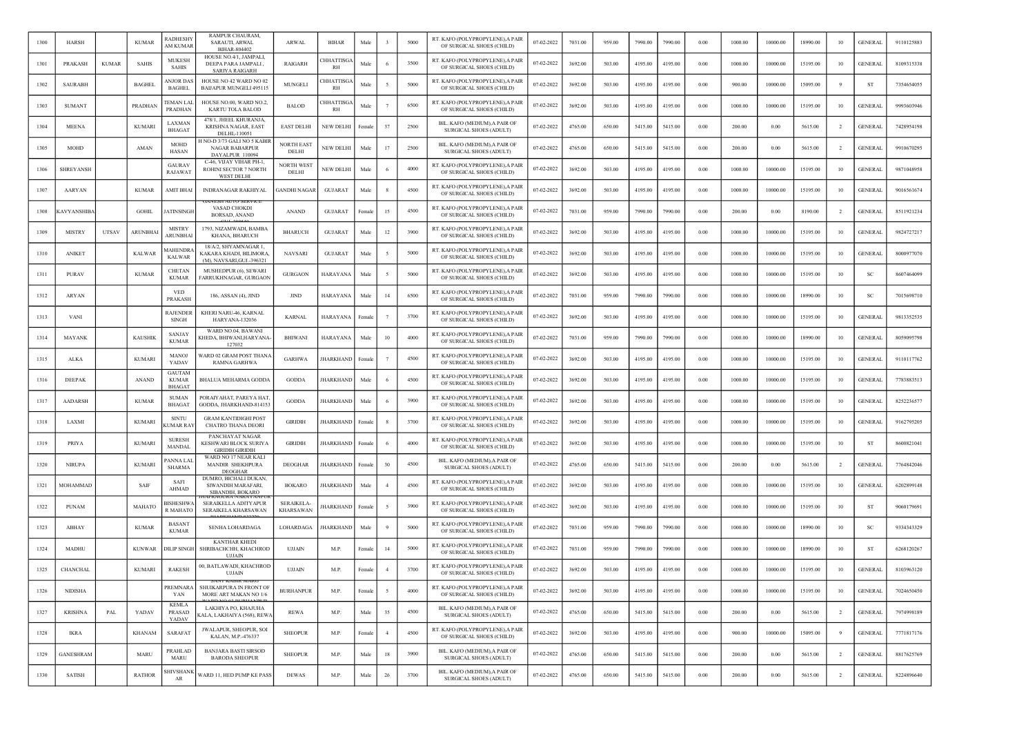| 1300 | <b>HARSH</b>       |              | <b>KUMAR</b>   | RADHESHY<br>AM KUMAR                           | RAMPUR CHAURAM.<br>SARAUTI, ARWAL<br>BIHAR-804402                            | <b>ARWAL</b>                          | <b>BIHAR</b>           | Male   |                | 5000 | RT. KAFO (POLYPROPYLENE), A PAIR<br>OF SURGICAL SHOES (CHILD) | 07-02-2022 | 7031.00 | 959.00 | 7990.00 | 7990.00 | 0.00     | 1000.00 | 10000.00 | 18990.00 | 10             | <b>GENERAL</b> | 9110125883 |
|------|--------------------|--------------|----------------|------------------------------------------------|------------------------------------------------------------------------------|---------------------------------------|------------------------|--------|----------------|------|---------------------------------------------------------------|------------|---------|--------|---------|---------|----------|---------|----------|----------|----------------|----------------|------------|
| 1301 | PRAKASH            | <b>KUMAR</b> | <b>SAHIS</b>   | <b>MUKESH</b><br>SAHIS                         | HOUSE NO.4/1, JAMPALI.<br>DEEPA PARA JAMPALI,<br>SARIYA RAIGARH              | RAIGARH                               | <b>HHATTISGA</b><br>RH | Male   |                | 3500 | RT. KAFO (POLYPROPYLENE), A PAIR<br>OF SURGICAL SHOES (CHILD) | 07-02-2022 | 3692.00 | 503.00 | 4195.00 | 4195.00 | $0.00\,$ | 1000.00 | 10000.00 | 15195.00 | 10             | <b>GENERAL</b> | 8109315338 |
| 1302 | <b>SAURABH</b>     |              | <b>BAGHEI</b>  | <b><i>NJOR DAS</i></b><br><b>BAGHEI</b>        | HOUSE NO 42 WARD NO 02<br><b>BAIJAPUR MUNGELI 495115</b>                     | MUNGELI                               | <b>HHATTISG</b><br>RH  | Mak    |                | 5000 | RT. KAFO (POLYPROPYLENE), A PAIR<br>OF SURGICAL SHOES (CHILD) | 07-02-2022 | 3692.00 | 503.00 | 4195.00 | 4195.00 | 0.00     | 900.00  | 10000.00 | 15095.00 |                | <b>ST</b>      | 7354654055 |
| 1303 | <b>SUMANT</b>      |              | PRADHAN        | <b><i>TEMAN LAL</i></b><br><b>PRADHAN</b>      | HOUSE NO.00, WARD NO.2,<br>KARTU TOLA BALOD                                  | <b>BALOD</b>                          | <b>HHATTISGA</b><br>RH | Male   |                | 6500 | RT. KAFO (POLYPROPYLENE), A PAIR<br>OF SURGICAL SHOES (CHILD) | 07-02-2022 | 3692.00 | 503.00 | 4195.00 | 4195.00 | 0.00     | 1000.00 | 10000.00 | 15195.00 | 10             | <b>GENERAL</b> | 9993603946 |
| 1304 | <b>MEENA</b>       |              | <b>KUMAR</b>   | LAXMAN<br><b>BHAGAT</b>                        | 478/1, JHEEL KHURANJA,<br>KRISHNA NAGAR, EAST<br>DELHI,-110051               | <b>EAST DELHI</b>                     | NEW DELHI              | Female | 37             | 2500 | BIL. KAFO (MEDIUM), A PAIR OF<br>SURGICAL SHOES (ADULT)       | 07-02-2022 | 4765.00 | 650.00 | 5415.00 | 5415.00 | 0.00     | 200.00  | 0.00     | 5615.00  | $\overline{2}$ | GENERAI        | 7428954198 |
| 1305 | MOHD               |              | <b>AMAN</b>    | MOHD<br>HASAN                                  | I NO-D 3/73 GALI NO 5 KABIR<br>NAGAR BABARPUR<br>DAYALPUR 110094             | <b>NORTH EAST</b><br>DELHI            | NEW DELHI              | Male   | 17             | 2500 | BIL. KAFO (MEDIUM), A PAIR OF<br>SURGICAL SHOES (ADULT)       | 07-02-2022 | 4765.00 | 650.00 | 5415.00 | 5415.00 | 0.00     | 200.00  | 0.00     | 5615.00  |                | <b>GENERAL</b> | 9910670295 |
| 1306 | <b>SHREYANSH</b>   |              |                | <b>GAURAV</b><br>RAJAWAT                       | C-46, VIJAY VIHAR PH-1,<br>ROHINI SECTOR 7 NORTH<br><b>WEST DELHI</b>        | <b>NORTH WEST</b><br>DELHI            | NEW DELHI              | Male   |                | 4000 | RT. KAFO (POLYPROPYLENE), A PAIR<br>OF SURGICAL SHOES (CHILD) | 07-02-2022 | 3692.00 | 503.00 | 4195.00 | 4195.00 | 0.00     | 1000.00 | 10000.00 | 15195.00 | 10             | <b>GENERAL</b> | 9871048958 |
| 1307 | <b>AARYAN</b>      |              | <b>KUMAR</b>   | AMIT BHAI                                      | <b>INDRANAGAR RAKHIYAL</b>                                                   | <b>GANDHI NAGAR</b>                   | <b>GUJARAT</b>         | Male   |                | 4500 | RT. KAFO (POLYPROPYLENE), A PAIR<br>OF SURGICAL SHOES (CHILD) | 07-02-2022 | 3692.00 | 503.00 | 4195.00 | 4195.00 | 0.00     | 1000.00 | 10000.00 | 15195.00 | 10             | <b>GENERAL</b> | 9016561674 |
| 1308 | <b>CAVYANSHIBA</b> |              | <b>GOHIL</b>   | <b>ATINSINGH</b>                               | VASAD CHOKDI<br><b>BORSAD, ANAND</b>                                         | <b>ANAND</b>                          | <b>GUJARAT</b>         | Female | 15             | 4500 | RT. KAFO (POLYPROPYLENE), A PAIR<br>OF SURGICAL SHOES (CHILD) | 07-02-2022 | 7031.00 | 959.00 | 7990.00 | 7990.00 | 0.00     | 200.00  | 0.00     | 8190.00  | $\overline{2}$ | <b>GENERAL</b> | 8511921234 |
| 1309 | <b>MISTRY</b>      | UTSAV        | ARUNBHAI       | <b>MISTRY</b><br><b>ARUNBHA</b>                | 1793, NIZAMWADI, BAMBA<br>KHANA, BHARUCH                                     | <b>BHARUCH</b>                        | <b>GUJARAT</b>         | Male   | 12             | 3900 | RT. KAFO (POLYPROPYLENE), A PAIR<br>OF SURGICAL SHOES (CHILD) | 07-02-2022 | 3692.00 | 503.00 | 4195.00 | 4195.00 | $0.00\,$ | 1000.00 | 10000.00 | 15195.00 | 10             | <b>GENERAL</b> | 9824727217 |
| 1310 | <b>ANIKET</b>      |              | <b>KALWAR</b>  | <b>MAHENDRA</b><br><b>KALWAR</b>               | 18/A/2, SHYAMNAGAR 1<br>KAKARA KHADI, BILIMORA,<br>(M), NAVSARI, GUJ.-396321 | <b>NAVSARI</b>                        | <b>GUJARAT</b>         | Male   |                | 5000 | RT. KAFO (POLYPROPYLENE), A PAIR<br>OF SURGICAL SHOES (CHILD) | 07-02-2022 | 3692.00 | 503.00 | 4195.00 | 4195.00 | 0.00     | 1000.00 | 10000.00 | 15195.00 | 10             | <b>GENERAL</b> | 8000977070 |
| 1311 | <b>PURAV</b>       |              | KUMAR          | <b>CHETAN</b><br><b>KUMAR</b>                  | MUSHEDPUR (6), SEWARI<br>FARRUKHNAGAR, GURGAON                               | GURGAON                               | HARAYANA               | Male   |                | 5000 | RT. KAFO (POLYPROPYLENE), A PAIR<br>OF SURGICAL SHOES (CHILD) | 07-02-2022 | 3692.00 | 503.00 | 4195.00 | 4195.00 | 0.00     | 1000.00 | 10000.00 | 15195.00 | 10             | -SC            | 8607464099 |
| 1312 | ARYAN              |              |                | <b>VED</b><br>PRAKASH                          | 186, ASSAN (4), JIND                                                         | <b>JIND</b>                           | HARAYANA               | Mak    | 14             | 6500 | RT. KAFO (POLYPROPYLENE), A PAIR<br>OF SURGICAL SHOES (CHILD) | 07-02-2022 | 7031.00 | 959.00 | 7990.00 | 7990.00 | 0.00     | 1000.00 | 10000.00 | 18990.00 | 10             | S <sub>C</sub> | 7015698710 |
| 1313 | <b>VAN</b>         |              |                | <b>RAJENDER</b><br><b>SINGH</b>                | KHERI NARU-46, KARNAL<br>HARYANA-132036                                      | <b>KARNAL</b>                         | HARAYANA               | Femal  |                | 3700 | RT. KAFO (POLYPROPYLENE), A PAIR<br>OF SURGICAL SHOES (CHILD) | 07-02-2022 | 3692.00 | 503.00 | 4195.00 | 4195.00 | 0.00     | 1000.00 | 10000.00 | 15195.00 | 10             | <b>GENERAL</b> | 9813352535 |
| 1314 | MAYANK             |              | <b>KAUSHIK</b> | <b>SANJAY</b><br><b>KUMAR</b>                  | WARD NO.04, BAWANI<br>KHEDA, BHIWANI,HARYANA-<br>127032                      | <b>BHIWANI</b>                        | HARAYANA               | Male   | 10             | 4000 | RT. KAFO (POLYPROPYLENE), A PAIR<br>OF SURGICAL SHOES (CHILD) | 07-02-2022 | 7031.00 | 959.00 | 7990.00 | 7990.00 | 0.00     | 1000.00 | 10000.00 | 18990.00 | 10             | <b>GENERAL</b> | 8059095798 |
| 1315 | <b>ALKA</b>        |              | <b>KUMARI</b>  | <b>MANOJ</b><br>YADAV                          | WARD 02 GRAM POST THANA<br><b>RAMNA GARHWA</b>                               | <b>GARHWA</b>                         | <b>HARKHAND</b>        | Female |                | 4500 | RT. KAFO (POLYPROPYLENE), A PAIR<br>OF SURGICAL SHOES (CHILD) | 07-02-2022 | 3692.00 | 503.00 | 4195.00 | 4195.00 | 0.00     | 1000.00 | 10000.00 | 15195.00 | 10             | <b>GENERAL</b> | 9110117762 |
| 1316 | DEEPAK             |              | <b>ANAND</b>   | <b>GAUTAM</b><br><b>KUMAR</b><br><b>BHAGAT</b> | BHALUA MEHARMA GODDA                                                         | <b>GODDA</b>                          | HARKHAND               | Male   |                | 4500 | RT. KAFO (POLYPROPYLENE), A PAIR<br>OF SURGICAL SHOES (CHILD) | 07-02-2022 | 3692.00 | 503.00 | 4195.00 | 4195.00 | 0.00     | 1000.00 | 10000.00 | 15195.00 | 10             | <b>GENERAL</b> | 7783883513 |
| 1317 | <b>AADARSH</b>     |              | <b>KUMAR</b>   | <b>SUMAN</b><br><b>BHAGAT</b>                  | PORAIYAHAT, PAREYA HAT<br>GODDA, JHARKHAND-814153                            | <b>GODDA</b>                          | <b>HARKHAND</b>        | Male   | - 6            | 3900 | RT. KAFO (POLYPROPYLENE), A PAIR<br>OF SURGICAL SHOES (CHILD) | 07-02-2022 | 3692.00 | 503.00 | 4195.00 | 4195.00 | 0.00     | 1000.00 | 10000.00 | 15195.00 | 10             | <b>GENERAL</b> | 8252236577 |
| 1318 | LAXMI              |              | <b>KUMARI</b>  | <b>SINTU</b><br>(UMAR RA)                      | <b>GRAM KANTIDIGHI POST</b><br><b>CHATRO THANA DEORI</b>                     | <b>GIRIDIH</b>                        | <b>HARKHAND</b>        | Female | -8             | 3700 | RT. KAFO (POLYPROPYLENE), A PAIR<br>OF SURGICAL SHOES (CHILD) | 07-02-2022 | 3692.00 | 503.00 | 4195.00 | 4195.00 | 0.00     | 1000.00 | 10000.00 | 15195.00 | 10             | <b>GENERAL</b> | 9162795205 |
| 1319 | <b>PRIYA</b>       |              | <b>KUMAR</b>   | <b>SURESH</b><br>MANDAL                        | PANCHAYAT NAGAR<br>KESHWARI BLOCK SURIYA<br><b>GIRIDIH GIRIDIH</b>           | <b>GIRIDIH</b>                        | <b>HARKHAND</b>        | Fema   |                | 4000 | RT. KAFO (POLYPROPYLENE), A PAIR<br>OF SURGICAL SHOES (CHILD) | 07-02-2022 | 3692.00 | 503.00 | 4195.00 | 4195.00 | 0.00     | 1000.00 | 10000.00 | 15195.00 | 10             | -ST            | 8600821041 |
| 1320 | <b>NIRUPA</b>      |              | <b>KUMARI</b>  | ANNA LAL<br><b>SHARMA</b>                      | WARD NO 17 NEAR KALI<br>MANDIR SHEKHPURA<br><b>DEOGHAR</b>                   | DEOGHAR                               | <b>HARKHAND</b>        | Femal  | 30             | 4500 | BIL. KAFO (MEDIUM), A PAIR OF<br>SURGICAL SHOES (ADULT)       | 07-02-2022 | 4765.00 | 650.00 | 5415.00 | 5415.00 | 0.00     | 200.00  | 0.00     | 5615.00  | $\overline{2}$ | <b>GENERAL</b> | 7764842046 |
| 1321 | MOHAMMAD           |              | SAIF           | <b>SAFI</b><br>AHMAD                           | DUMRO, BICHALI DUKAN.<br>SIWANDIH MARAFARI,<br>SIBANDIH, BOKARO              | <b>BOKARO</b>                         | <b>HARKHAND</b>        | Male   |                | 4500 | RT. KAFO (POLYPROPYLENE), A PAIR<br>OF SURGICAL SHOES (CHILD) | 07-02-2022 | 3692.00 | 503.00 | 4195.00 | 4195.00 | 0.00     | 1000.00 | 10000.00 | 15195.00 | 10             | <b>GENERAL</b> | 6202899148 |
| 1322 | PUNAM              |              | MAHATO         | <b>ISHESHWA</b><br>R MAHATO                    | SERAIKELLA ADITYAPUR<br>SERAIKELA KHARSAWAN                                  | <b>SERAIKELA-</b><br><b>KHARSAWAN</b> | HARKHAND               | Female |                | 3900 | RT. KAFO (POLYPROPYLENE), A PAIR<br>OF SURGICAL SHOES (CHILD) | 07-02-2022 | 3692.00 | 503.00 | 4195.00 | 4195.00 | 0.00     | 1000.00 | 10000.00 | 15195.00 | 10             | <b>ST</b>      | 9060179691 |
| 1323 | ABHAY              |              | <b>KUMAR</b>   | <b>BASANT</b><br><b>KUMAR</b>                  | SENHA LOHARDAGA                                                              | LOHARDAGA                             | <b>HARKHAND</b>        | Male   |                | 5000 | RT. KAFO (POLYPROPYLENE), A PAIR<br>OF SURGICAL SHOES (CHILD) | 07-02-2022 | 7031.00 | 959.00 | 7990.00 | 7990.00 | 0.00     | 1000.00 | 10000.00 | 18990.00 | 10             | SC             | 9334343329 |
| 1324 | MADHU              |              | <b>KUNWAR</b>  | <b>DILIP SINGH</b>                             | <b>KANTHAR KHEDI</b><br>SHRIBACHCHH, KHACHROD<br><b>UJJAIN</b>               | <b>UJJAIN</b>                         | M.P.                   | Female | 14             | 5000 | RT. KAFO (POLYPROPYLENE), A PAIR<br>OF SURGICAL SHOES (CHILD) | 07-02-2022 | 7031.00 | 959.00 | 7990.00 | 7990.00 | 0.00     | 1000.00 | 10000.00 | 18990.00 | 10             | <b>ST</b>      | 6268120267 |
| 1325 | CHANCHAL           |              | <b>KUMARI</b>  | <b>RAKESH</b>                                  | 00, BATLAWADI, KHACHROD<br>UJJAIN                                            | <b>UJJAIN</b>                         | M.P                    | Female | $\overline{4}$ | 3700 | RT. KAFO (POLYPROPYLENE), A PAIR<br>OF SURGICAL SHOES (CHILD) | 07-02-2022 | 3692.00 | 503.00 | 4195.00 | 4195.00 | 0.00     | 1000.00 | 10000.00 | 15195.00 | 10             | <b>GENERAL</b> | 8103963120 |
| 1326 | <b>NIDISHA</b>     |              |                | PREMNARA<br>YAN                                | SHUIKARPURA IN FRONT OF<br>MORE ART MAKAN NO 1/6                             | <b>BURHANPUR</b>                      | M.P.                   | Female | - 5            | 4000 | RT. KAFO (POLYPROPYLENE), A PAIR<br>OF SURGICAL SHOES (CHILD) | 07-02-2022 | 3692.00 | 503.00 | 4195.00 | 4195.00 | 0.00     | 1000.00 | 10000.00 | 15195.00 | 10             | <b>GENERAL</b> | 7024650450 |
| 1327 | <b>KRISHNA</b>     | PAL          | YADAV          | <b>KEMLA</b><br>PRASAD<br>YADAV                | LAKHIYA PO, KHAJUHA<br>KALA, LAKHAIYA (568), REWA                            | <b>REWA</b>                           | M.P.                   | Male   | 35             | 4500 | BIL. KAFO (MEDIUM), A PAIR OF<br>SURGICAL SHOES (ADULT)       | 07-02-2022 | 4765.00 | 650.00 | 5415.00 | 5415.00 | 0.00     | 200.00  | 0.00     | 5615.00  | $\overline{2}$ | <b>GENERAL</b> | 7974998189 |
| 1328 | <b>IKRA</b>        |              | <b>KHANAM</b>  | <b>SARAFAT</b>                                 | JWALAPUR, SHEOPUR, SOI<br>KALAN, M.P.-476337                                 | <b>SHEOPUR</b>                        | M.P.                   | Female | $\overline{4}$ | 4500 | RT. KAFO (POLYPROPYLENE), A PAIR<br>OF SURGICAL SHOES (CHILD) | 07-02-2022 | 3692.00 | 503.00 | 4195.00 | 4195.00 | 0.00     | 900.00  | 10000.00 | 15095.00 | 9              | <b>GENERAL</b> | 7771817176 |
| 1329 | <b>GANESHRAM</b>   |              | MARU           | PRAHLAD<br>MARU                                | <b>BANJARA BASTI SIRSOD</b><br><b>BARODA SHEOPUR</b>                         | <b>SHEOPUR</b>                        | M.P.                   | Male   | $18\,$         | 3900 | BIL. KAFO (MEDIUM), A PAIR OF<br>SURGICAL SHOES (ADULT)       | 07-02-2022 | 4765.00 | 650.00 | 5415.00 | 5415.00 | $0.00\,$ | 200.00  | 0.00     | 5615.00  | $\overline{2}$ | <b>GENERAL</b> | 8817625769 |
| 1330 | <b>SATISH</b>      |              | <b>RATHOR</b>  | SHIVSHANK<br>AR                                | WARD 11, HED PUMP KE PASS                                                    | <b>DEWAS</b>                          | M.P.                   | Male   | 26             | 3700 | BIL. KAFO (MEDIUM), A PAIR OF<br>SURGICAL SHOES (ADULT)       | 07-02-2022 | 4765.00 | 650.00 | 5415.00 | 5415.00 | 0.00     | 200.00  | 0.00     | 5615.00  | $\overline{2}$ | <b>GENERAL</b> | 8224896640 |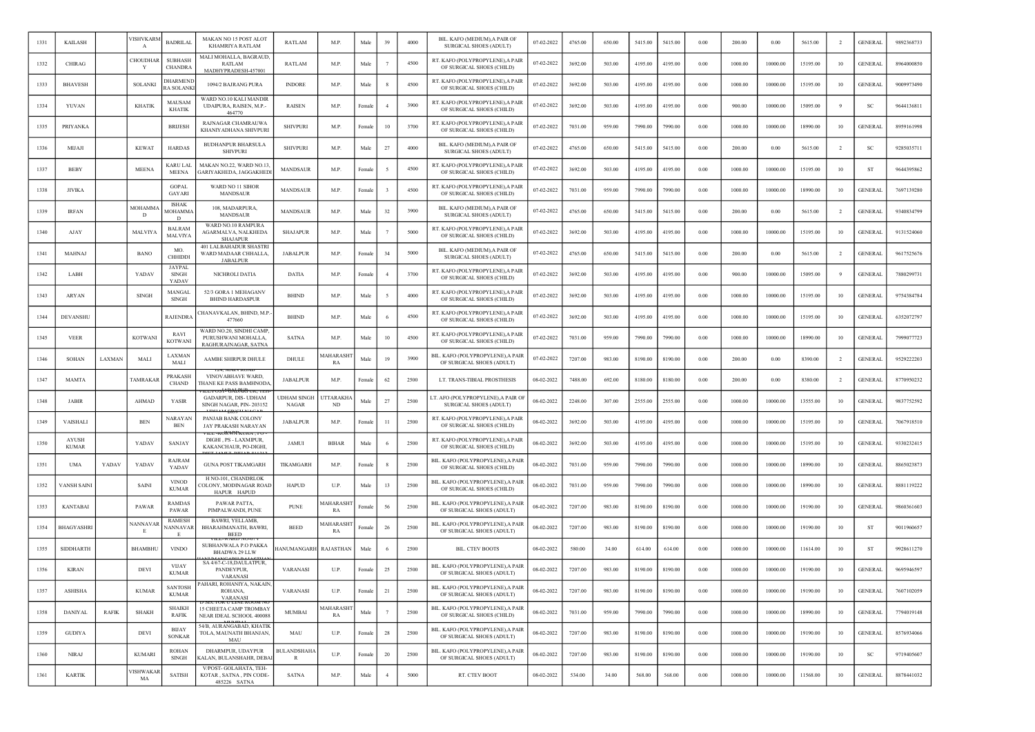| 1331 | <b>KAILASH</b>               |              | VISHVKARM<br>A  | <b>BADRILAI</b>                               | MAKAN NO 15 POST ALOT<br><b>KHAMRIYA RATLAM</b>                         | <b>RATLAM</b>               | M.P.                  | Male   | 39             | 4000 | BIL. KAFO (MEDIUM),A PAIR OF<br><b>SURGICAL SHOES (ADULT)</b>  | 07-02-2022 | 4765.00 | 650.00 | 5415.00 | 5415.00 | 0.00     | 200.00  | 0.00     | 5615.00  | $\overline{2}$ | <b>GENERAL</b> | 9892368733 |
|------|------------------------------|--------------|-----------------|-----------------------------------------------|-------------------------------------------------------------------------|-----------------------------|-----------------------|--------|----------------|------|----------------------------------------------------------------|------------|---------|--------|---------|---------|----------|---------|----------|----------|----------------|----------------|------------|
| 1332 | CHIRAG                       |              | <b>HOUDHAI</b>  | <b>SUBHASH</b><br><b>CHANDRA</b>              | MALI MOHALLA, BAGRAUD,<br>RATLAM<br>MADHYPRADESH-457001                 | RATLAM                      | M.P.                  | Male   |                | 4500 | RT. KAFO (POLYPROPYLENE), A PAIR<br>OF SURGICAL SHOES (CHILD)  | 07-02-2022 | 3692.00 | 503.00 | 4195.00 | 4195.00 | 0.00     | 1000.00 | 10000.00 | 15195.00 | 10             | <b>GENERAL</b> | 8964000850 |
| 1333 | <b>BHAVESH</b>               |              | <b>SOLANKI</b>  | <b>HARMENE</b><br><b>A SOLANKI</b>            | 1094/2 BAJRANG PURA                                                     | <b>INDORE</b>               | M.P.                  | Male   | -8             | 4500 | RT. KAFO (POLYPROPYLENE), A PAIR<br>OF SURGICAL SHOES (CHILD)  | 07-02-2022 | 3692.00 | 503.00 | 4195.00 | 4195.00 | 0.00     | 1000.00 | 10000.00 | 15195.00 | 10             | <b>GENERAL</b> | 9009973490 |
| 1334 | YUVAN                        |              | <b>KHATIK</b>   | MAUSAM<br><b>KHATIK</b>                       | WARD NO.10 KALI MANDIR<br>UDAIPURA, RAISEN, M.P.-<br>464770             | RAISEN                      | M.P.                  | Female | $\overline{4}$ | 3900 | RT. KAFO (POLYPROPYLENE), A PAIR<br>OF SURGICAL SHOES (CHILD)  | 07-02-2022 | 3692.00 | 503.00 | 4195.00 | 4195.00 | 0.00     | 900.00  | 10000.00 | 15095.00 | -9             | <sub>SC</sub>  | 9644136811 |
| 1335 | PRIYANK/                     |              |                 | <b>BRUESH</b>                                 | RAJNAGAR CHAMRAUWA<br>KHANIYADHANA SHIVPURI                             | <b>SHIVPURI</b>             | M.P.                  | Female | 10             | 3700 | RT. KAFO (POLYPROPYLENE), A PAIR<br>OF SURGICAL SHOES (CHILD)  | 07-02-2022 | 7031.00 | 959.00 | 7990.00 | 7990.00 | 0.00     | 1000.00 | 10000.00 | 18990.00 | 10             | <b>GENERAL</b> | 8959161998 |
| 1336 | MIJAJI                       |              | <b>KEWAT</b>    | <b>HARDAS</b>                                 | <b>BUDHANPUR BHARSULA</b><br><b>SHIVPURI</b>                            | <b>SHIVPURI</b>             | M.P.                  | Male   | 27             | 4000 | BIL. KAFO (MEDIUM), A PAIR OF<br><b>SURGICAL SHOES (ADULT)</b> | 07-02-2022 | 4765.00 | 650.00 | 5415.00 | 5415.00 | 0.00     | 200.00  | 0.00     | 5615.00  | $\overline{2}$ | -SC            | 9285035711 |
| 1337 | <b>BEBY</b>                  |              | <b>MEENA</b>    | KARU LAL<br><b>MEENA</b>                      | MAKAN NO.22, WARD NO.13.<br>GARIYAKHEDA, JAGGAKHEDI                     | <b>MANDSAUR</b>             | M.P.                  | Female |                | 4500 | RT. KAFO (POLYPROPYLENE), A PAIR<br>OF SURGICAL SHOES (CHILD)  | 07-02-2022 | 3692.00 | 503.00 | 4195.00 | 4195.00 | 0.00     | 1000.00 | 10000.00 | 15195.00 | 10             | <b>ST</b>      | 9644395862 |
| 1338 | <b>JIVIKA</b>                |              |                 | <b>GOPAL</b><br><b>GAYARI</b>                 | WARD NO 11 SIHOR<br><b>MANDSAUR</b>                                     | MANDSAUR                    | M.P.                  | Female |                | 4500 | RT. KAFO (POLYPROPYLENE), A PAIR<br>OF SURGICAL SHOES (CHILD)  | 07-02-2022 | 7031.00 | 959.00 | 7990.00 | 7990.00 | 0.00     | 1000.00 | 10000.00 | 18990.00 | 10             | <b>GENERAL</b> | 7697139280 |
| 1339 | <b>IRFAN</b>                 |              | MOHAMMA<br>D    | <b>ISHAK</b><br><b>MOHAMMA</b><br>D           | 108, MADARPURA,<br>MANDSAUR                                             | <b>MANDSAUR</b>             | M.P.                  | Male   | 32             | 3900 | BIL. KAFO (MEDIUM), A PAIR OF<br>SURGICAL SHOES (ADULT)        | 07-02-2022 | 4765.00 | 650.00 | 5415.00 | 5415.00 | $0.00\,$ | 200.00  | 0.00     | 5615.00  | $\overline{2}$ | <b>GENERAL</b> | 9340834799 |
| 1340 | AJAY                         |              | MALVIYA         | <b>BALRAM</b><br><b>MALVIYA</b>               | WARD NO.10 RAMPURA<br>AGARMALVA, NALKHEDA<br><b>SHAJAPUR</b>            | <b>SHAJAPUR</b>             | M.P.                  | Male   |                | 5000 | RT. KAFO (POLYPROPYLENE), A PAIR<br>OF SURGICAL SHOES (CHILD)  | 07-02-2022 | 3692.00 | 503.00 | 4195.00 | 4195.00 | 0.00     | 1000.00 | 10000.00 | 15195.00 | 10             | <b>GENERAL</b> | 9131524060 |
| 1341 | MAHNAJ                       |              | BANO            | MO.<br><b>CHHIDDI</b>                         | 401 LALBAHADUR SHASTRI<br>WARD MADAAR CHHALLA,<br>JABALPUR              | <b>JABALPUR</b>             | M.P.                  | Female | 34             | 5000 | BIL. KAFO (MEDIUM), A PAIR OF<br>SURGICAL SHOES (ADULT)        | 07-02-2022 | 4765.00 | 650.00 | 5415.00 | 5415.00 | 0.00     | 200.00  | 0.00     | 5615.00  | $\overline{2}$ | <b>GENERAL</b> | 9617525676 |
| 1342 | LABH                         |              | YADAV           | <b>JAYPAL</b><br><b>SINGH</b><br><b>YADAV</b> | NICHROLI DATIA                                                          | <b>DATIA</b>                | M.P.                  | Female |                | 3700 | RT. KAFO (POLYPROPYLENE), A PAIR<br>OF SURGICAL SHOES (CHILD)  | 07-02-2022 | 3692.00 | 503.00 | 4195.00 | 4195.00 | 0.00     | 900.00  | 10000.00 | 15095.00 |                | <b>GENERAL</b> | 7880299731 |
| 1343 | ARYAN                        |              | <b>SINGH</b>    | MANGAL<br>SINGH                               | 52/3 GORA 1 MEHAGANV<br><b>BHIND HARDASPUR</b>                          | <b>BHIND</b>                | M.P.                  | Male   |                | 4000 | RT. KAFO (POLYPROPYLENE), A PAIR<br>OF SURGICAL SHOES (CHILD)  | 07-02-2022 | 3692.00 | 503.00 | 4195.00 | 4195.00 | 0.00     | 1000.00 | 10000.00 | 15195.00 | 10             | <b>GENERAL</b> | 9754384784 |
| 1344 | <b>DEVANSHU</b>              |              |                 | <b>RAJENDRA</b>                               | CHANAVKALAN, BHIND, M.P.<br>477660                                      | <b>BHIND</b>                | M.P.                  | Male   |                | 4500 | RT. KAFO (POLYPROPYLENE), A PAIR<br>OF SURGICAL SHOES (CHILD)  | 07-02-2022 | 3692.00 | 503.00 | 4195.00 | 4195.00 | 0.00     | 1000.00 | 10000.00 | 15195.00 | 10             | <b>GENERAL</b> | 6352072797 |
| 1345 | <b>VEER</b>                  |              | KOTWANI         | RAVI<br>KOTWANI                               | WARD NO.20, SINDHI CAMP,<br>PURUSHWANI MOHALLA,<br>RAGHURAJNAGAR, SATNA | <b>SATNA</b>                | M.P.                  | Male   | 10             | 4500 | RT. KAFO (POLYPROPYLENE), A PAIR<br>OF SURGICAL SHOES (CHILD)  | 07-02-2022 | 7031.00 | 959.00 | 7990.00 | 7990.00 | 0.00     | 1000.00 | 10000.00 | 18990.00 | 10             | <b>GENERAL</b> | 7999077723 |
| 1346 | <b>SOHAN</b>                 | LAXMAN       | MALI            | <b>LAXMAN</b><br>MALI                         | AAMBE SHIRPUR DHULE                                                     | DHULE                       | <b>AAHARASH</b><br>RA | Male   | 19             | 3900 | BIL. KAFO (POLYPROPYLENE), A PAIR<br>OF SURGICAL SHOES (ADULT) | 07-02-2022 | 7207.00 | 983.00 | 8190.00 | 8190.00 | $0.00\,$ | 200.00  | 0.00     | 8390.00  | $\overline{2}$ | <b>GENERAL</b> | 9529222203 |
| 1347 | <b>MAMTA</b>                 |              | <b>TAMRAKA</b>  | PRAKASH<br><b>CHAND</b>                       | VINOVABHAVE WARD,<br>THANE KE PASS BAMHNODA                             | <b>JABALPUR</b>             | M.P                   | Female | 62             | 2500 | LT. TRANS-TIBIAL PROSTHESIS                                    | 08-02-2022 | 7488.00 | 692.00 | 8180.00 | 8180.00 | 0.00     | 200.00  | 0.00     | 8380.00  | $\overline{2}$ | <b>GENERAL</b> | 8770950232 |
| 1348 | <b>JABIR</b>                 |              | <b>AHMAD</b>    | YASIR                                         | GADARPUR, DIS- UDHAM<br>SINGH NAGAR, PIN-203152                         | <b>UDHAM SINGH</b><br>NAGAR | <b>JTTARAKH</b><br>ND | Male   | 27             | 2500 | LT. AFO (POLYPROPYLENE), A PAIR OF<br>SURGICAL SHOES (ADULT)   | 08-02-2022 | 2248.00 | 307.00 | 2555.00 | 2555.00 | 0.00     | 1000.00 | 10000.00 | 13555.00 | 10             | <b>GENERAL</b> | 9837752592 |
| 1349 | <b>VAISHALI</b>              |              | <b>BEN</b>      | NARAYAN<br><b>BEN</b>                         | PANJAB BANK COLONY<br>JAY PRAKASH NARAYAN                               | <b>JABALPUR</b>             | M.P.                  | Female | $_{11}$        | 2500 | RT. KAFO (POLYPROPYLENE), A PAIR<br>OF SURGICAL SHOES (CHILD)  | 08-02-2022 | 3692.00 | 503.00 | 4195.00 | 4195.00 | 0.00     | 1000.00 | 10000.00 | 15195.00 | 10             | GENERAI        | 7067918510 |
| 1350 | <b>AYUSE</b><br><b>KUMAR</b> |              | YADAV           | SANJAY                                        | DIGHI, PS - LAXMIPUR,<br>KAKANCHAUR, PO-DIGHI,                          | JAMUI                       | <b>BIHAR</b>          | Mak    |                | 2500 | RT. KAFO (POLYPROPYLENE), A PAIR<br>OF SURGICAL SHOES (CHILD)  | 08-02-2022 | 3692.00 | 503.00 | 4195.00 | 4195.00 | 0.00     | 1000.00 | 10000.00 | 15195.00 | 10             | <b>GENERAL</b> | 9330232415 |
| 1351 | <b>UMA</b>                   | YADAV        | YADAV           | <b>RAJRAM</b><br>YADAV                        | <b>GUNA POST TIKAMGARH</b>                                              | TIKAMGARH                   | M.P.                  | Female |                | 2500 | BIL. KAFO (POLYPROPYLENE), A PAIR<br>OF SURGICAL SHOES (CHILD) | 08-02-2022 | 7031.00 | 959.00 | 7990.00 | 7990.00 | 0.00     | 1000.00 | 10000.00 | 18990.00 | 10             | <b>GENERAL</b> | 8865023873 |
| 1352 | VANSH SAINI                  |              | SAINI           | <b>VINOD</b><br><b>KUMAR</b>                  | H NO-101, CHANDRLOK<br>COLONY, MODINAGAR ROAD<br>HAPUR HAPUD            | <b>HAPUD</b>                | U.P.                  | Male   | 13             | 2500 | BIL. KAFO (POLYPROPYLENE), A PAIR<br>OF SURGICAL SHOES (CHILD) | 08-02-2022 | 7031.00 | 959.00 | 7990.00 | 7990.00 | 0.00     | 1000.00 | 10000.00 | 18990.00 | 10             | <b>GENERAL</b> | 8881119222 |
| 1353 | <b>KANTABAI</b>              |              | PAWAR           | <b>RAMDAS</b><br>PAWAR                        | PAWAR PATTA.<br>PIMPALWANDI, PUNE                                       | <b>PUNE</b>                 | <b>AAHARASH</b><br>RA | Femal  | 56             | 2500 | BIL. KAFO (POLYPROPYLENE), A PAIR<br>OF SURGICAL SHOES (ADULT) | 08-02-2022 | 7207.00 | 983.00 | 8190.00 | 8190.00 | 0.00     | 1000.00 | 10000.00 | 19190.00 | 10             | <b>GENERAL</b> | 9860361603 |
| 1354 | <b>BHAGYASHR</b>             |              | NANNAVA<br>Æ.   | <b>RAMESH</b><br>JANNAVAR                     | BAWRI, YELLAMB,<br>BHARAHMANATH, BAWRI<br><b>BEED</b>                   | <b>BEED</b>                 | <b>AAHARASH</b><br>RA | Female | 26             | 2500 | BIL. KAFO (POLYPROPYLENE), A PAIR<br>OF SURGICAL SHOES (ADULT) | 08-02-2022 | 7207.00 | 983.00 | 8190.00 | 8190.00 | 0.00     | 1000.00 | 10000.00 | 19190.00 | 10             | <b>ST</b>      | 9011960657 |
| 1355 | SIDDHARTH                    |              | <b>BHAMBHU</b>  | <b>VINDO</b>                                  | SUBHANWALA P.O PAKKA<br><b>BHADWA 29 LLW</b>                            | <b>IANUMANGARH</b>          | RAJASTHAN             | Male   |                | 2500 | <b>BIL. CTEV BOOTS</b>                                         | 08-02-2022 | 580.00  | 34.00  | 614.00  | 614.00  | 0.00     | 1000.00 | 10000.00 | 11614.00 | 10             | ST             | 9928611270 |
| 1356 | <b>KIRAN</b>                 |              | DEVI            | <b>VIJAY</b><br><b>KUMAR</b>                  | SA 4/67-C-18, DAULATPUR,<br>PANDEYPUR.<br><b>VARANAS</b>                | <b>VARANASI</b>             | U.P.                  | Female | 25             | 2500 | BIL. KAFO (POLYPROPYLENE), A PAIR<br>OF SURGICAL SHOES (ADULT) | 08-02-2022 | 7207.00 | 983.00 | 8190.00 | 8190.00 | 0.00     | 1000.00 | 10000.00 | 19190.00 | 10             | <b>GENERAL</b> | 9695946597 |
| 1357 | <b>ASHISHA</b>               |              | <b>KUMAR</b>    | <b>SANTOSH</b><br><b>KUMAR</b>                | PAHARI, ROHANIYA, NAKAIN<br>ROHANA,<br><b>VARANAS</b>                   | VARANASI                    | U.P.                  | Female | 21             | 2500 | BIL. KAFO (POLYPROPYLENE),A PAIR<br>OF SURGICAL SHOES (ADULT)  | 08-02-2022 | 7207.00 | 983.00 | 8190.00 | 8190.00 | 0.00     | 1000.00 | 10000.00 | 19190.00 | 10             | <b>GENERAL</b> | 7607102059 |
| 1358 | <b>DANIYAL</b>               | <b>RAFIK</b> | <b>SHAKH</b>    | <b>SHAIKH</b><br><b>RAFIK</b>                 | 15 CHEETA CAMP TROMBAY<br>NEAR IDEAL SCHOOL 400088                      | MUMBAI                      | MAHARASHT<br>RA       | Male   | 7              | 2500 | BIL. KAFO (POLYPROPYLENE), A PAIR<br>OF SURGICAL SHOES (CHILD) | 08-02-2022 | 7031.00 | 959.00 | 7990.00 | 7990.00 | 0.00     | 1000.00 | 10000.00 | 18990.00 | 10             | <b>GENERAL</b> | 7794019148 |
| 1359 | <b>GUDIYA</b>                |              | DEVI            | <b>BIJAY</b><br><b>SONKAR</b>                 | 54/B, AURANGABAD, KHATIK<br>TOLA, MAUNATH BHANJAN,<br>MAU               | MAU                         | U.P.                  | Female | 28             | 2500 | BIL. KAFO (POLYPROPYLENE), A PAIR<br>OF SURGICAL SHOES (ADULT) | 08-02-2022 | 7207.00 | 983.00 | 8190.00 | 8190.00 | 0.00     | 1000.00 | 10000.00 | 19190.00 | 10             | <b>GENERAL</b> | 8576934066 |
| 1360 | <b>NIRAJ</b>                 |              | <b>KUMARI</b>   | <b>ROHAN</b><br><b>SINGH</b>                  | DHARMPUR, UDAYPUR<br><b>(ALAN, BULANSHAHR, DEBAI</b>                    | <b>BULANDSHAHA</b><br>R     | U.P.                  | Female | 20             | 2500 | BIL. KAFO (POLYPROPYLENE), A PAIR<br>OF SURGICAL SHOES (ADULT) | 08-02-2022 | 7207.00 | 983.00 | 8190.00 | 8190.00 | 0.00     | 1000.00 | 10000.00 | 19190.00 | 10             | <b>SC</b>      | 9719405607 |
| 1361 | <b>KARTIK</b>                |              | /ISHWAKAF<br>MA | <b>SATISH</b>                                 | V/POST- GOLAHATA, TEH-<br>KOTAR, SATNA, PIN CODE-<br>485226 SATNA       | SATNA                       | M.P.                  | Male   | $\overline{4}$ | 5000 | RT. CTEV BOOT                                                  | 08-02-2022 | 534.00  | 34.00  | 568.00  | 568.00  | 0.00     | 1000.00 | 10000.00 | 11568.00 | 10             | <b>GENERAL</b> | 8878441032 |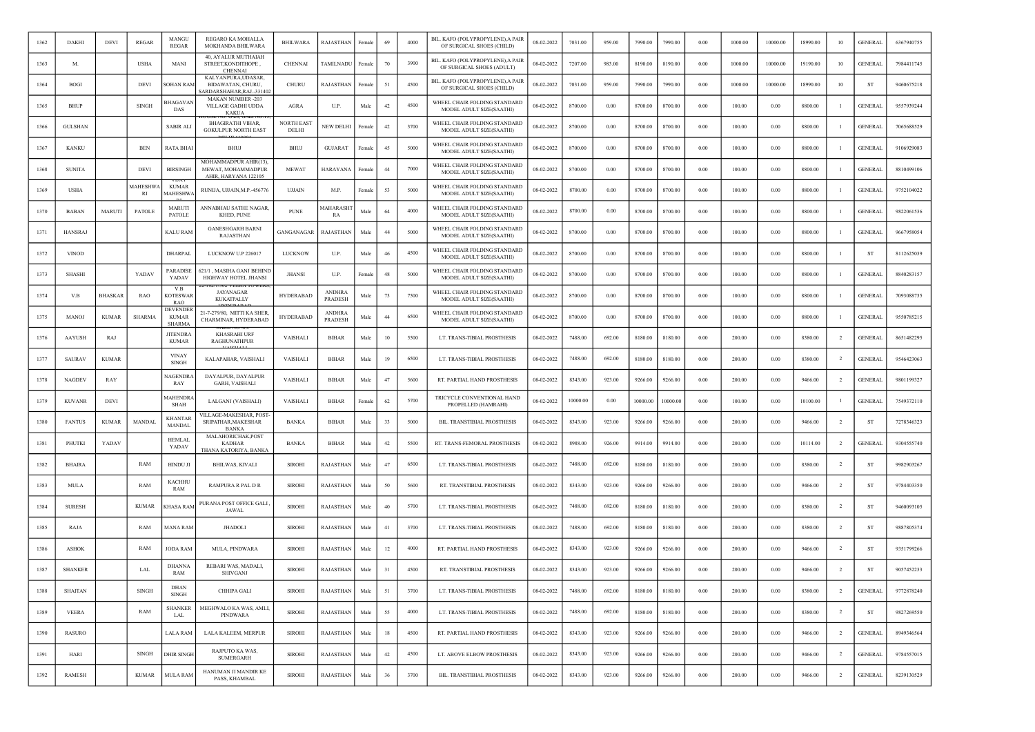| 1362 | <b>DAKHI</b>   | <b>DEVI</b>    | <b>REGAR</b>          | MANGU<br><b>REGAR</b>                     | REGARO KA MOHALLA<br>MOKHANDA BHILWARA                                     | <b>BHILWARA</b>            | RAJASTHAN                       | Female | 69     | 4000 | BIL. KAFO (POLYPROPYLENE), A PAIR<br>OF SURGICAL SHOES (CHILD) | 08-02-2022 | 7031.00  | 959.00 | 7990.00  | 7990.00  | 0.00       | 1000.00 | 10000.00   | 18990.00 | 10             | <b>GENERAL</b> | 6367940755 |
|------|----------------|----------------|-----------------------|-------------------------------------------|----------------------------------------------------------------------------|----------------------------|---------------------------------|--------|--------|------|----------------------------------------------------------------|------------|----------|--------|----------|----------|------------|---------|------------|----------|----------------|----------------|------------|
| 1363 | M.             |                | USHA                  | MANI                                      | 40, AYALUR MUTHAIAH<br>STREET, KONDITHOPE,<br><b>CHENNAI</b>               | CHENNAI                    | TAMILNADU                       | Femal  | 70     | 3900 | BIL. KAFO (POLYPROPYLENE),A PAIR<br>OF SURGICAL SHOES (ADULT)  | 08-02-2022 | 7207.00  | 983.00 | 8190.00  | 8190.00  | 0.00       | 1000.00 | 10000.00   | 19190.00 | 10             | <b>GENERAL</b> | 7984411745 |
| 1364 | <b>BOGI</b>    |                | DEVI                  | <b>SOHAN RAM</b>                          | KALYANPURA, UDASAR,<br><b>BIDAWATAN, CHURU,</b><br>ARDARSHAHAR.RAJ.-331402 | CHURU                      | RAJASTHAN                       | Female | 51     | 4500 | BIL. KAFO (POLYPROPYLENE), A PAIR<br>OF SURGICAL SHOES (CHILD) | 08-02-2022 | 7031.00  | 959.00 | 7990.00  | 7990.00  | 0.00       | 1000.00 | 10000.00   | 18990.00 | 10             | ST             | 9460675218 |
| 1365 | BHUP           |                | <b>SINGH</b>          | BHAGAVAN<br>DAS                           | <b>MAKAN NUMBER -203</b><br>VILLAGE GADHI UDDA<br>KAKUA                    | <b>AGRA</b>                | U.P.                            | Male   | 42     | 4500 | WHEEL CHAIR FOLDING STANDARD<br>MODEL ADULT SIZE(SAATHI)       | 08-02-2022 | 8700.00  | 0.00   | 8700.00  | 8700.00  | 0.00       | 100.00  | 0.00       | 8800.00  |                | <b>GENERAL</b> | 9557939244 |
| 1366 | <b>GULSHAN</b> |                |                       | SABIR ALI                                 | <b>BHAGIRATHI VIHAR.</b><br><b>GOKULPUR NORTH EAST</b>                     | <b>NORTH EAST</b><br>DELHI | NEW DELHI                       | Female | 42     | 3700 | WHEEL CHAIR FOLDING STANDARD<br>MODEL ADULT SIZE(SAATHI)       | 08-02-2022 | 8700.00  | 0.00   | 8700.00  | 8700.00  | 0.00       | 100.00  | 0.00       | 8800.00  |                | <b>GENERAL</b> | 7065688529 |
| 1367 | <b>KANKU</b>   |                | <b>BEN</b>            | RATA BHAI                                 | BHUJ                                                                       | <b>BHUJ</b>                | <b>GUJARAT</b>                  | Femal  | 45     | 5000 | WHEEL CHAIR FOLDING STANDARD<br>MODEL ADULT SIZE(SAATHI)       | 08-02-2022 | 8700.00  | 0.00   | 8700.00  | 8700.00  | 0.00       | 100.00  | 0.00       | 8800.00  |                | <b>GENERAL</b> | 9106929083 |
| 1368 | <b>SUNITA</b>  |                | <b>DEVI</b>           | <b>BIRSINGH</b>                           | MOHAMMADPUR AHIR(13)<br>MEWAT, MOHAMMADPUR<br>AHIR, HARYANA 122105         | <b>MEWAT</b>               | HARAYANA                        | Femalo | 44     | 7000 | WHEEL CHAIR FOLDING STANDARD<br>MODEL ADULT SIZE(SAATHI)       | 08-02-2022 | 8700.00  | 0.00   | 8700.00  | 8700.00  | 0.00       | 100.00  | 0.00       | 8800.00  |                | <b>GENERAL</b> | 8810499106 |
| 1369 | <b>USHA</b>    |                | MAHESHW/<br><b>RI</b> | <b>KUMAR</b><br><b>MAHESHW.</b>           | RUNIJA, UJJAIN, M.P.-456776                                                | <b>UJJAIN</b>              | M.P.                            | Female | 53     | 5000 | WHEEL CHAIR FOLDING STANDARD<br>MODEL ADULT SIZE(SAATHI)       | 08-02-2022 | 8700.00  | 0.00   | 8700.00  | 8700.00  | 0.00       | 100.00  | 0.00       | 8800.00  | -1             | <b>GENERAL</b> | 9752104022 |
| 1370 | BABAN          | MARUTI         | PATOLE                | MARUTI<br>PATOLE                          | ANNABHAU SATHE NAGAR,<br>KHED, PUNE                                        | <b>PUNE</b>                | <b>MAHARASH</b><br>RA           | Male   | 64     | 4000 | WHEEL CHAIR FOLDING STANDARD<br>MODEL ADULT SIZE(SAATHI)       | 08-02-2022 | 8700.00  | 0.00   | 8700.00  | 8700.00  | 0.00       | 100.00  | 0.00       | 8800.00  |                | <b>GENERAL</b> | 9822061536 |
| 1371 | <b>HANSRAJ</b> |                |                       | KALU RAM                                  | <b>GANESHGARH BARNI</b><br>RAJASTHAN                                       | GANGANAGAR                 | RAJASTHAN                       | Male   | 44     | 5000 | WHEEL CHAIR FOLDING STANDARD<br>MODEL ADULT SIZE(SAATHI)       | 08-02-2022 | 8700.00  | 0.00   | 8700.00  | 8700.00  | 0.00       | 100.00  | 0.00       | 8800.00  |                | <b>GENERAL</b> | 9667958054 |
| 1372 | <b>VINOD</b>   |                |                       | DHARPAL                                   | LUCKNOW U.P 226017                                                         | LUCKNOW                    | U.P.                            | Male   | 46     | 4500 | WHEEL CHAIR FOLDING STANDARD<br>MODEL ADULT SIZE(SAATHI)       | 08-02-2022 | 8700.00  | 0.00   | 8700.00  | 8700.00  | 0.00       | 100.00  | 0.00       | 8800.00  |                | ST             | 8112625039 |
| 1373 | <b>SHASHI</b>  |                | YADAV                 | <b>PARADISE</b><br>YADAV                  | 621/1, MASIHA GANJ BEHIND<br>HIGHWAY HOTEL JHANSI                          | <b>JHANSI</b>              | U.P.                            | Female | $48\,$ | 5000 | WHEEL CHAIR FOLDING STANDARD<br>MODEL ADULT SIZE(SAATHI)       | 08-02-2022 | 8700.00  | 0.00   | 8700.00  | 8700.00  | 0.00       | 100.00  | 0.00       | 8800.00  |                | <b>GENERAL</b> | 8840283157 |
| 1374 | V.B            | <b>BHASKAF</b> | RAO                   | V.B<br>KOTESWAR<br><b>RAO</b>             | <b>1/302 VEEKA TOWERS</b><br><b>JAYANAGAR</b><br>KUKATPALLY                | <b>HYDERABAD</b>           | <b>ANDHRA</b><br>PRADESH        | Male   | 73     | 7500 | WHEEL CHAIR FOLDING STANDARD<br>MODEL ADULT SIZE(SAATHI)       | 08-02-2022 | 8700.00  | 0.00   | 8700.00  | 8700.00  | 0.00       | 100.00  | 0.00       | 8800.00  |                | <b>GENERAL</b> | 7093088735 |
| 1375 | <b>MANOJ</b>   | <b>KUMAR</b>   | <b>SHARMA</b>         | DEVENDER<br><b>KUMAR</b><br><b>SHARMA</b> | 21-7-279/80, MITTI KA SHER.<br>CHARMINAR, HYDERABAD                        | <b>HYDERABAD</b>           | <b>ANDHRA</b><br><b>PRADESH</b> | Male   | 44     | 6500 | WHEEL CHAIR FOLDING STANDARD<br>MODEL ADULT SIZE(SAATHI)       | 08-02-2022 | 8700.00  | 0.00   | 8700.00  | 8700.00  | 0.00       | 100.00  | 0.00       | 8800.00  | -1             | <b>GENERAL</b> | 9550785215 |
| 1376 | <b>AAYUSH</b>  | RAJ            |                       | <b>JITENDRA</b><br><b>KUMAR</b>           | <b>KHASRAHI URF</b><br><b>RAGHUNATHPUR</b>                                 | VAISHALI                   | <b>BIHAR</b>                    | Male   | 10     | 5500 | LT. TRANS-TIBIAL PROSTHESIS                                    | 08-02-2022 | 7488.00  | 692.00 | 8180.00  | 8180.00  | 0.00       | 200.00  | 0.00       | 8380.00  | $\overline{2}$ | <b>GENERAL</b> | 8651482295 |
| 1377 | <b>SAURAV</b>  | <b>KUMAR</b>   |                       | <b>VINAY</b><br><b>SINGH</b>              | KALAPAHAR, VAISHALI                                                        | VAISHALI                   | <b>BIHAR</b>                    | Male   | 19     | 6500 | LT. TRANS-TIBIAL PROSTHESIS                                    | 08-02-2022 | 7488.00  | 692.00 | 8180.00  | 8180.00  | 0.00       | 200.00  | 0.00       | 8380.00  | $\overline{2}$ | <b>GENERAL</b> | 9546423063 |
| 1378 | <b>NAGDEV</b>  | RAY            |                       | NAGENDRA<br>RAY                           | DAYALPUR, DAYALPUR<br><b>GARH, VAISHALI</b>                                | VAISHALI                   | <b>BIHAR</b>                    | Male   | 47     | 5600 | RT. PARTIAL HAND PROSTHESIS                                    | 08-02-2022 | 8343.00  | 923.00 | 9266.00  | 9266.00  | 0.00       | 200.00  | 0.00       | 9466.00  | $\overline{2}$ | <b>GENERAL</b> | 9801199327 |
| 1379 | <b>KUVANR</b>  | DEVI           |                       | <b>MAHENDRA</b><br>SHAH                   | LALGANJ (VAISHALI)                                                         | VAISHALI                   | <b>BIHAR</b>                    | Female | 62     | 5700 | TRICYCLE CONVENTIONAL HAND<br>PROPELLED (HAMRAHI)              | 08-02-2022 | 10000.00 | 0.00   | 10000.00 | 10000.00 | 0.00       | 100.00  | 0.00       | 10100.00 |                | <b>GENERAL</b> | 7549372110 |
| 1380 | <b>FANTUS</b>  | <b>KUMAR</b>   | MANDAL                | <b>KHANTAR</b><br><b>MANDAL</b>           | VILLAGE-MAKESHAR, POST-<br>SRIPATHAR, MAKESHAR<br><b>BANKA</b>             | <b>BANKA</b>               | <b>BIHAR</b>                    | Male   | 33     | 5000 | BIL. TRANSTIBIAL PROSTHESIS                                    | 08-02-2022 | 8343.00  | 923.00 | 9266.00  | 9266.00  | 0.00       | 200.00  | 0.00       | 9466.00  | $\overline{2}$ | ST             | 7278346323 |
| 1381 | PHUTKI         | YADAV          |                       | HEMLAL<br>YADAV                           | MALAHORICHAK, POST<br><b>KADHAR</b><br>THANA KATORIYA, BANKA               | <b>BANKA</b>               | <b>BIHAR</b>                    | Male   | 42     | 5500 | RT. TRANS-FEMORAL PROSTHESIS                                   | 08-02-2022 | 8988.00  | 926.00 | 9914.00  | 9914.00  | 0.00       | 200.00  | 0.00       | 10114.00 | $\overline{2}$ | <b>GENERAL</b> | 9304555740 |
| 1382 | <b>BHAIRA</b>  |                | RAM                   | HINDU JI                                  | <b>BHILWAS, KIVALI</b>                                                     | <b>SIROHI</b>              | RAJASTHAN                       | Male   | 47     | 6500 | LT. TRANS-TIBIAL PROSTHESIS                                    | 08-02-2022 | 7488.00  | 692.00 | 8180.00  | 8180.00  | 0.00       | 200.00  | 0.00       | 8380.00  | <sup>2</sup>   | <b>ST</b>      | 9982903267 |
| 1383 | MULA           |                | RAM                   | KACHHU<br>RAM                             | RAMPURA R PAL D R                                                          | <b>SIROHI</b>              | RAJASTHAN                       | Male   | 50     | 5600 | RT. TRANSTIBIAL PROSTHESIS                                     | 08-02-2022 | 8343.00  | 923.00 | 9266.00  | 9266.00  | 0.00       | 200.00  | 0.00       | 9466.00  | $\overline{2}$ | ST             | 9784403350 |
| 1384 | <b>SURESH</b>  |                | <b>KUMAR</b>          | <b>KHASA RAM</b>                          | PURANA POST OFFICE GALI<br><b>JAWAL</b>                                    | <b>SIROHI</b>              | RAJASTHAN                       | Male   | 40     | 5700 | LT. TRANS-TIBIAL PROSTHESIS                                    | 08-02-2022 | 7488.00  | 692.00 | 8180.00  | 8180.00  | 0.00       | 200.00  | 0.00       | 8380.00  | $\overline{2}$ | <b>ST</b>      | 9460093105 |
| 1385 | RAJA           |                | RAM                   | MANA RAM                                  | <b>JHADOLI</b>                                                             | <b>SIROHI</b>              | RAJASTHAN                       | Male   | 41     | 3700 | LT. TRANS-TIBIAL PROSTHESIS                                    | 08-02-2022 | 7488.00  | 692.00 | 8180.00  | 8180.00  | 0.00       | 200.00  | 0.00       | 8380.00  | $\overline{2}$ | ST             | 9887805374 |
| 1386 | <b>ASHOK</b>   |                | RAM                   | <b>JODA RAM</b>                           | MULA, PINDWARA                                                             | <b>SIROHI</b>              | RAJASTHAN                       | Male   | 12     | 4000 | RT. PARTIAL HAND PROSTHESIS                                    | 08-02-2022 | 8343.00  | 923.00 | 9266.00  | 9266.00  | 0.00       | 200.00  | 0.00       | 9466.00  | <sup>2</sup>   | ST             | 9351799266 |
| 1387 | <b>SHANKER</b> |                | LAL                   | DHANNA<br>RAM                             | REBARI WAS, MADALI,<br>SHIVGANJ                                            | <b>SIROHI</b>              | RAJASTHAN                       | Male   | 31     | 4500 | RT. TRANSTIBIAL PROSTHESIS                                     | 08-02-2022 | 8343.00  | 923.00 | 9266.00  | 9266.00  | 0.00       | 200.00  | 0.00       | 9466.00  | $\overline{2}$ | ST             | 9057452233 |
| 1388 | <b>SHAITAN</b> |                | $\mathbf{SINGH}$      | DHAN<br><b>SINGH</b>                      | CHHIPA GALI                                                                | <b>SIROHI</b>              | RAJASTHAN                       | Male   | 51     | 3700 | LT. TRANS-TIBIAL PROSTHESIS                                    | 08-02-2022 | 7488.00  | 692.00 | 8180.00  | 8180.00  | $\rm 0.00$ | 200.00  | $\rm 0.00$ | 8380.00  | $\overline{2}$ | <b>GENERAL</b> | 9772878240 |
| 1389 | <b>VEERA</b>   |                | RAM                   | <b>SHANKER</b><br><b>LAL</b>              | MEGHWALO KA WAS, AMLI,<br><b>PINDWARA</b>                                  | <b>SIROHI</b>              | <b>RAJASTHAN</b>                | Male   | 55     | 4000 | LT. TRANS-TIBIAL PROSTHESIS                                    | 08-02-2022 | 7488.00  | 692.00 | 8180.00  | 8180.00  | $\rm 0.00$ | 200.00  | $0.00\,$   | 8380.00  | $\overline{2}$ | ST             | 9827269550 |
| 1390 | RASURO         |                |                       | <b>LALA RAM</b>                           | LALA KALEEM, MERPUR                                                        | <b>SIROHI</b>              | <b>RAJASTHAN</b>                | Male   | $18\,$ | 4500 | RT. PARTIAL HAND PROSTHESIS                                    | 08-02-2022 | 8343.00  | 923.00 | 9266.00  | 9266.00  | $0.00\,$   | 200.00  | $0.00\,$   | 9466.00  | $\overline{2}$ | <b>GENERAL</b> | 8949346564 |
| 1391 | HARI           |                | SINGH                 | <b>DHIR SINGH</b>                         | RAJPUTO KA WAS.<br><b>SUMERGARH</b>                                        | <b>SIROHI</b>              | <b>RAJASTHAN</b>                | Male   | 42     | 4500 | LT. ABOVE ELBOW PROSTHESIS                                     | 08-02-2022 | 8343.00  | 923.00 | 9266.00  | 9266.00  | 0.00       | 200.00  | 0.00       | 9466.00  | $\overline{2}$ | <b>GENERAL</b> | 9784557015 |
| 1392 | <b>RAMESH</b>  |                | <b>KUMAR</b>          | <b>MULA RAM</b>                           | HANUMAN JI MANDIR KE<br>PASS, KHAMBAL                                      | <b>SIROHI</b>              | <b>RAJASTHAN</b>                | Male   | 36     | 3700 | BIL. TRANSTIBIAL PROSTHESIS                                    | 08-02-2022 | 8343.00  | 923.00 | 9266.00  | 9266.00  | 0.00       | 200.00  | 0.00       | 9466.00  | $\overline{2}$ | <b>GENERAL</b> | 8239130529 |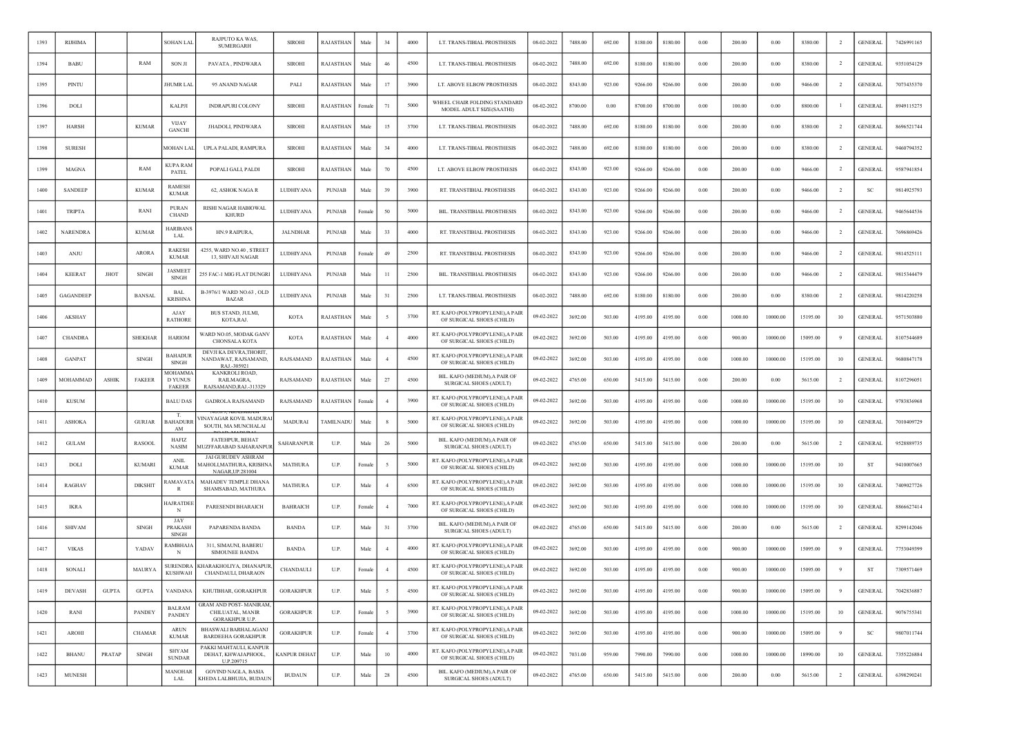| 1393 | <b>RIJHIMA</b>   |              |                | SOHAN LAL                                 | RAJPUTO KA WAS,<br><b>SUMERGARH</b>                                        | <b>SIROHI</b>       | RAJASTHAN     | Male   | 34             | 4000 | LT. TRANS-TIBIAL PROSTHESIS                                    | 08-02-2022 | 7488.00 | 692.00 | 8180.00 | 8180.00 | 0.00     | 200.00  | 0.00     | 8380.00  |                | <b>GENERAI</b> | 7426991165 |
|------|------------------|--------------|----------------|-------------------------------------------|----------------------------------------------------------------------------|---------------------|---------------|--------|----------------|------|----------------------------------------------------------------|------------|---------|--------|---------|---------|----------|---------|----------|----------|----------------|----------------|------------|
| 1394 | <b>BABU</b>      |              | RAM            | <b>SON JI</b>                             | PAVATA, PINDWARA                                                           | <b>SIROHI</b>       | RAJASTHAN     | Male   | 46             | 4500 | LT. TRANS-TIBIAL PROSTHESIS                                    | 08-02-2022 | 7488.00 | 692.00 | 8180.00 | 8180.00 | 0.00     | 200.00  | 0.00     | 8380.00  | $\overline{2}$ | <b>GENERAL</b> | 9351054129 |
| 1395 | PINTL            |              |                | JHUMR LAL                                 | 95 ANAND NAGAR                                                             | PALI                | RAJASTHAN     | Male   | 17             | 3900 | LT. ABOVE ELBOW PROSTHESIS                                     | 08-02-2022 | 8343.00 | 923.00 | 9266.00 | 9266.00 | 0.00     | 200.00  | 0.00     | 9466.00  | $\overline{2}$ | <b>GENERAL</b> | 7073435370 |
| 1396 | <b>DOLI</b>      |              |                | <b>KALPJ</b>                              | <b>INDRAPURECOLONY</b>                                                     | <b>SIROHI</b>       | RAJASTHAN     | Female | 71             | 5000 | WHEEL CHAIR FOLDING STANDARD<br>MODEL ADULT SIZE(SAATHI)       | 08-02-2022 | 8700.00 | 0.00   | 8700.00 | 8700.00 | 0.00     | 100.00  | 0.00     | 8800.00  |                | <b>GENERAL</b> | 8949115275 |
| 1397 | <b>HARSH</b>     |              | <b>KUMAR</b>   | <b>VIJAY</b><br><b>GANCHI</b>             | JHADOLI, PINDWARA                                                          | <b>SIROHI</b>       | RAJASTHAN     | Mak    | 15             | 3700 | LT. TRANS-TIBIAL PROSTHESIS                                    | 08-02-2022 | 7488.00 | 692.00 | 8180.00 | 8180.00 | 0.00     | 200.00  | 0.00     | 8380.00  | $\overline{2}$ | <b>GENERAL</b> | 8696521744 |
| 1398 | <b>SURESH</b>    |              |                | MOHAN LAL                                 | UPLA PALADI, RAMPURA                                                       | <b>SIROHI</b>       | RAJASTHAN     | Male   | 34             | 4000 | LT. TRANS-TIBIAL PROSTHESIS                                    | 08-02-2022 | 7488.00 | 692.00 | 8180.00 | 8180.00 | 0.00     | 200.00  | 0.00     | 8380.00  | <sup>2</sup>   | <b>GENERAL</b> | 9460794352 |
| 1399 | <b>MAGNA</b>     |              | RAM            | KUPA RAM<br>PATEL                         | POPALI GALI, PALDI                                                         | <b>SIROHI</b>       | RAJASTHAN     | Male   | 70             | 4500 | LT. ABOVE ELBOW PROSTHESIS                                     | 08-02-2022 | 8343.00 | 923.00 | 9266.00 | 9266.00 | 0.00     | 200.00  | 0.00     | 9466.00  | $\overline{2}$ | GENERAL        | 9587941854 |
| 1400 | <b>SANDEEP</b>   |              | <b>KUMAR</b>   | RAMESH<br><b>KUMAR</b>                    | 62, ASHOK NAGA R                                                           | LUDHIYANA           | PUNJAB        | Male   | 39             | 3900 | RT. TRANSTIBIAL PROSTHESIS                                     | 08-02-2022 | 8343.00 | 923.00 | 9266.00 | 9266.00 | 0.00     | 200.00  | 0.00     | 9466.00  | $\overline{2}$ | <sub>SC</sub>  | 9814925793 |
| 1401 | <b>TRIPTA</b>    |              | <b>RAN</b>     | <b>PURAN</b><br><b>CHAND</b>              | RISHI NAGAR HABIOWAL<br><b>KHURD</b>                                       | LUDHIYANA           | <b>PUNJAB</b> | Female | 50             | 5000 | BIL. TRANSTIBIAL PROSTHESIS                                    | 08-02-2022 | 8343.00 | 923.00 | 9266.00 | 9266.00 | 0.00     | 200.00  | 0.00     | 9466.00  | $\overline{2}$ | <b>GENERAL</b> | 9465644536 |
| 1402 | <b>NARENDRA</b>  |              | <b>KUMAR</b>   | HARIBANS<br>LAL                           | HN.9 RAIPURA,                                                              | <b>JALNDHAR</b>     | <b>PUNJAB</b> | Male   | 33             | 4000 | RT. TRANSTIBIAL PROSTHESIS                                     | 08-02-2022 | 8343.00 | 923.00 | 9266.00 | 9266.00 | 0.00     | 200.00  | 0.00     | 9466.00  | $\overline{2}$ | <b>GENERAL</b> | 7696869426 |
| 1403 | <b>ANJU</b>      |              | <b>ARORA</b>   | <b>RAKESH</b><br><b>KUMAR</b>             | 4255, WARD NO.40, STREET<br>13, SHIVAJI NAGAR                              | LUDHIYANA           | PUNJAB        | Female | 49             | 2500 | RT. TRANSTIBIAL PROSTHESIS                                     | 08-02-2022 | 8343.00 | 923.00 | 9266.00 | 9266.00 | 0.00     | 200.00  | 0.00     | 9466.00  | -2             | <b>GENERAL</b> | 9814525111 |
| 1404 | <b>KEERAT</b>    | ЛЮТ          | <b>SINGH</b>   | <b>JASMEET</b><br><b>SINGH</b>            | 255 FAC-1 MIG FLAT DUNGRI                                                  | LUDHIYANA           | <b>PUNJAB</b> | Mak    | 11             | 2500 | BIL. TRANSTIBIAL PROSTHESIS                                    | 08-02-2022 | 8343.00 | 923.00 | 9266.00 | 9266.00 | 0.00     | 200.00  | 0.00     | 9466.00  |                | <b>GENERAL</b> | 9815344479 |
| 1405 | <b>GAGANDEEP</b> |              | <b>BANSAL</b>  | BAL<br><b>KRISHNA</b>                     | B-3976/1 WARD NO.63, OLD<br><b>BAZAR</b>                                   | LUDHIYANA           | PUNJAB        | Male   | 31             | 2500 | LT. TRANS-TIBIAL PROSTHESIS                                    | 08-02-2022 | 7488.00 | 692.00 | 8180.00 | 8180.00 | 0.00     | 200.00  | 0.00     | 8380.00  | <sup>2</sup>   | <b>GENERAL</b> | 9814220258 |
| 1406 | AKSHAY           |              |                | AJAY<br><b>RATHORE</b>                    | BUS STAND, JULMI,<br>KOTA,RAJ.                                             | <b>KOTA</b>         | RAJASTHAN     | Male   |                | 3700 | RT. KAFO (POLYPROPYLENE), A PAIR<br>OF SURGICAL SHOES (CHILD)  | 09-02-2022 | 3692.00 | 503.00 | 4195.00 | 4195.00 | 0.00     | 1000.00 | 10000.00 | 15195.00 | 10             | <b>GENERAL</b> | 9571503880 |
| 1407 | <b>CHANDRA</b>   |              | <b>SHEKHAR</b> | <b>HARIOM</b>                             | WARD NO.05, MODAK GANV<br><b>CHONSALA KOTA</b>                             | <b>KOTA</b>         | RAJASTHAN     | Male   |                | 4000 | RT. KAFO (POLYPROPYLENE), A PAIR<br>OF SURGICAL SHOES (CHILD)  | 09-02-2022 | 3692.00 | 503.00 | 4195.00 | 4195.00 | 0.00     | 900.00  | 10000.00 | 15095.00 | -9             | <b>GENERAL</b> | 8107544689 |
| 1408 | <b>GANPAT</b>    |              | <b>SINGH</b>   | BAHADUR<br>SINGH                          | DEVJI KA DEVRA, THORIT,<br>NANDAWAT, RAJSAMAND,<br>RAJ.-305921             | RAJSAMAND           | RAJASTHAN     | Male   | $\overline{4}$ | 4500 | RT. KAFO (POLYPROPYLENE), A PAIR<br>OF SURGICAL SHOES (CHILD)  | 09-02-2022 | 3692.00 | 503.00 | 4195.00 | 4195.00 | 0.00     | 1000.00 | 10000.00 | 15195.00 | 10             | <b>GENERAL</b> | 9680847178 |
| 1409 | MOHAMMAD         | <b>ASHIK</b> | <b>FAKEER</b>  | <b>MOHAMMA</b><br><b>DYUNUS</b><br>FAKEER | KANKROLI ROAD,<br>RAILMAGRA.<br>RAJSAMAND, RAJ.-313329                     | RAJSAMAND           | RAJASTHAN     | Male   | 27             | 4500 | BIL. KAFO (MEDIUM), A PAIR OF<br>SURGICAL SHOES (ADULT)        | 09-02-2022 | 4765.00 | 650.00 | 5415.00 | 5415.00 | 0.00     | 200.00  | 0.00     | 5615.00  | $\overline{2}$ | <b>GENERAL</b> | 8107296051 |
| 1410 | <b>KUSUM</b>     |              |                | <b>BALU DAS</b>                           | <b>GADROLA RAJSAMAND</b>                                                   | RAJSAMAND           | RAJASTHAN     | Femal  | $\overline{4}$ | 3900 | RT. KAFO (POLYPROPYLENE), A PAIR<br>OF SURGICAL SHOES (CHILD)  | 09-02-2022 | 3692.00 | 503.00 | 4195.00 | 4195.00 | 0.00     | 1000.00 | 10000.00 | 15195.00 | 10             | GENERAL        | 9783836968 |
| 1411 | <b>ASHOKA</b>    |              | <b>GURJAR</b>  | H.<br><b>BAHADURR</b><br>AM               | /INAYAGAR KOVIL MADURAI<br>SOUTH, MA MUNCHALAI                             | MADURAI             | TAMILNADU     | Mak    |                | 5000 | RT. KAFO (POLYPROPYLENE), A PAIR<br>OF SURGICAL SHOES (CHILD)  | 09-02-2022 | 3692.00 | 503.00 | 4195.00 | 4195.00 | 0.00     | 1000.00 | 10000.00 | 15195.00 | 10             | <b>GENERAL</b> | 7010409729 |
| 1412 | <b>GULAM</b>     |              | <b>RASOOI</b>  | <b>HAFIZ</b><br><b>NASIM</b>              | <b>FATEHPUR, BEHAT</b><br>MUZFFARABAD SAHARANPUR                           | SAHARANPUR          | U.P.          | Male   | 26             | 5000 | BIL. KAFO (MEDIUM), A PAIR OF<br><b>SURGICAL SHOES (ADULT)</b> | 09-02-2022 | 4765.00 | 650.00 | 5415.00 | 5415.00 | 0.00     | 200.00  | 0.00     | 5615.00  | $\overline{2}$ | <b>GENERAL</b> | 9528889735 |
| 1413 | DOLI             |              | <b>KUMARI</b>  | <b>ANIL</b><br><b>KUMAR</b>               | JAI GURUDEV ASHRAM<br>MAHOLI,MATHURA, KRISHNA<br>NAGAR, UP.281004          | <b>MATHURA</b>      | U.P.          | Female |                | 5000 | RT. KAFO (POLYPROPYLENE), A PAIR<br>OF SURGICAL SHOES (CHILD)  | 09-02-2022 | 3692.00 | 503.00 | 4195.00 | 4195.00 | 0.00     | 1000.00 | 10000.00 | 15195.00 | 10             | ST             | 9410007665 |
| 1414 | <b>RAGHAV</b>    |              | <b>DIKSHIT</b> | AMAVATA<br>R                              | MAHADEV TEMPLE DHANA<br>SHAMSABAD, MATHURA                                 | <b>MATHURA</b>      | U.P.          | Male   |                | 6500 | RT. KAFO (POLYPROPYLENE), A PAIR<br>OF SURGICAL SHOES (CHILD)  | 09-02-2022 | 3692.00 | 503.00 | 4195.00 | 4195.00 | 0.00     | 1000.00 | 10000.00 | 15195.00 | 10             | <b>GENERAL</b> | 7409027726 |
| 1415 | <b>IKRA</b>      |              |                | IAJRATDEE<br>N                            | PARESENDI BHARAICH                                                         | <b>BAHRAICH</b>     | U.P.          | Femal  | $\overline{4}$ | 7000 | RT. KAFO (POLYPROPYLENE), A PAIR<br>OF SURGICAL SHOES (CHILD)  | 09-02-2022 | 3692.00 | 503.00 | 4195.00 | 4195.00 | 0.00     | 1000.00 | 10000.00 | 15195.00 | 10             | <b>GENERAL</b> | 8866627414 |
| 1416 | <b>SHIVAM</b>    |              | <b>SINGH</b>   | JAY<br>PRAKASH<br><b>SINGH</b>            | PAPARENDA BANDA                                                            | <b>BANDA</b>        | U.P.          | Male   | 31             | 3700 | BIL. KAFO (MEDIUM) A PAIR OF<br>SURGICAL SHOES (ADULT)         | 09-02-2022 | 4765.00 | 650.00 | 5415.00 | 5415.00 | 0.00     | 200.00  | 0.00     | 5615.00  | $\overline{2}$ | <b>GENERAL</b> | 8299142046 |
| 1417 | <b>VIKAS</b>     |              | YADAV          | :AMBHAJA<br>N                             | 311, SIMAUNI, BABERU<br><b>SIMOUNEE BANDA</b>                              | <b>BANDA</b>        | U.P.          | Male   | $\overline{4}$ | 4000 | RT. KAFO (POLYPROPYLENE), A PAIR<br>OF SURGICAL SHOES (CHILD)  | 09-02-2022 | 3692.00 | 503.00 | 4195.00 | 4195.00 | 0.00     | 900.00  | 10000.00 | 15095.00 |                | GENERAI        | 7753049399 |
| 1418 | SONALI           |              | MAURYA         | <b>SURENDRA</b><br><b>KUSHWAH</b>         | KHARAKHOLIYA, DHANAPUR<br>CHANDAULI, DHARAON                               | CHANDAULI           | U.P.          | Female | $\overline{4}$ | 4500 | RT. KAFO (POLYPROPYLENE), A PAIR<br>OF SURGICAL SHOES (CHILD)  | 09-02-2022 | 3692.00 | 503.00 | 4195.00 | 4195.00 | $0.00\,$ | 900.00  | 10000.00 | 15095.00 | 9              | ST             | 7309571469 |
| 1419 | <b>DEVASH</b>    | <b>GUPTA</b> | <b>GUPTA</b>   | VANDANA                                   | KHUTBHAR, GORAKHPUR                                                        | <b>GORAKHPUR</b>    | U.P.          | Male   | -5             | 4500 | RT. KAFO (POLYPROPYLENE), A PAIR<br>OF SURGICAL SHOES (CHILD)  | 09-02-2022 | 3692.00 | 503.00 | 4195.00 | 4195.00 | 0.00     | 900.00  | 10000.00 | 15095.00 | -9             | <b>GENERAL</b> | 7042836887 |
| 1420 | RANI             |              | PANDEY         | <b>BALRAM</b><br>PANDEY                   | <b>GRAM AND POST-MANIRAM,</b><br>CHILUATAL, MANIR<br><b>GORAKHPUR U.P.</b> | <b>GORAKHPUR</b>    | U.P.          | Female | 5              | 3900 | RT. KAFO (POLYPROPYLENE), A PAIR<br>OF SURGICAL SHOES (CHILD)  | 09-02-2022 | 3692.00 | 503.00 | 4195.00 | 4195.00 | 0.00     | 1000.00 | 10000.00 | 15195.00 | 10             | <b>GENERAL</b> | 9076755341 |
| 1421 | AROHI            |              | <b>CHAMAR</b>  | <b>ARUN</b><br><b>KUMAR</b>               | BHASWALI BARHALAGANJ<br><b>BARDEEHA GORAKHPUR</b>                          | <b>GORAKHPUR</b>    | U.P.          | Female | $\overline{4}$ | 3700 | RT. KAFO (POLYPROPYLENE), A PAIR<br>OF SURGICAL SHOES (CHILD)  | 09-02-2022 | 3692.00 | 503.00 | 4195.00 | 4195.00 | 0.00     | 900.00  | 10000.00 | 15095.00 | 9              | <b>SC</b>      | 9807011744 |
| 1422 | <b>BHANU</b>     | PRATAP       | <b>SINGH</b>   | <b>SHYAM</b><br><b>SUNDAR</b>             | PAKKI MAHTAULI, KANPUR<br>DEHAT, KHWAJAPHOOL,<br>U.P.209715                | <b>KANPUR DEHAT</b> | U.P.          | Male   | 10             | 4000 | RT. KAFO (POLYPROPYLENE), A PAIR<br>OF SURGICAL SHOES (CHILD)  | 09-02-2022 | 7031.00 | 959.00 | 7990.00 | 7990.00 | 0.00     | 1000.00 | 10000.00 | 18990.00 | 10             | <b>GENERAL</b> | 7355226884 |
| 1423 | <b>MUNESH</b>    |              |                | <b>MANOHAR</b><br>LAL                     | <b>GOVIND NAGLA, BASIA</b><br>KHEDA LALBHUJIA, BUDAUN                      | <b>BUDAUN</b>       | U.P.          | Male   | 28             | 4500 | BIL. KAFO (MEDIUM), A PAIR OF<br>SURGICAL SHOES (ADULT)        | 09-02-2022 | 4765.00 | 650.00 | 5415.00 | 5415.00 | 0.00     | 200.00  | 0.00     | 5615.00  | $\overline{2}$ | <b>GENERAL</b> | 6398290241 |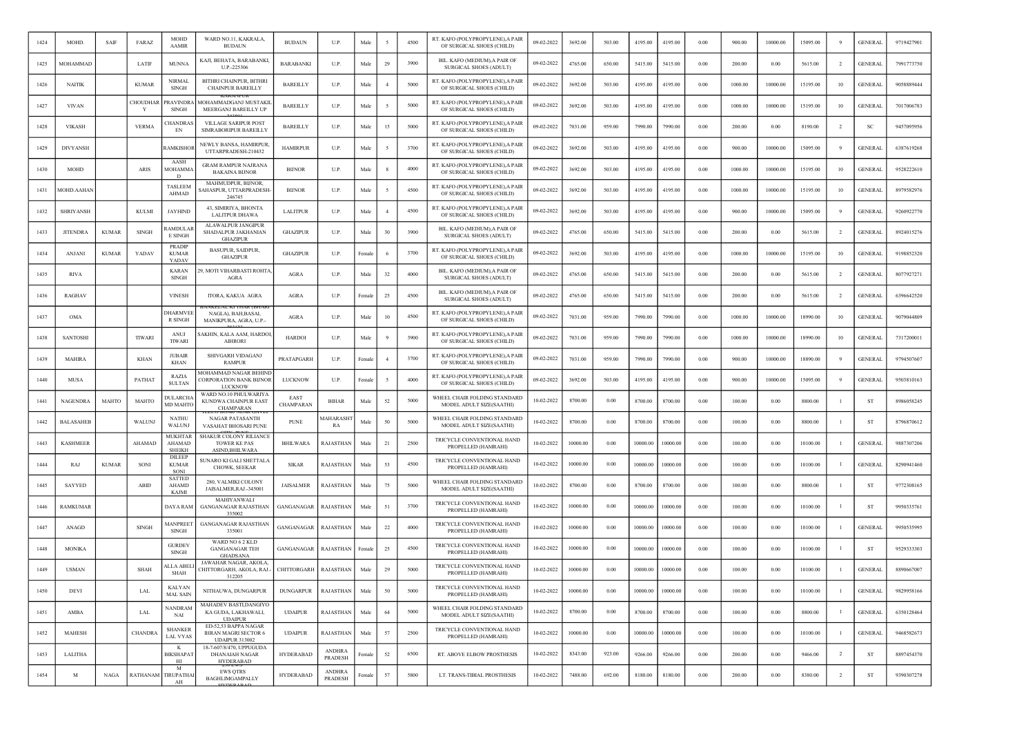| 1424 | MOHD.            | <b>SAIF</b>  | FARAZ          | <b>MOHD</b><br><b>AAMIR</b>               | WARD NO.11, KAKRALA,<br><b>BUDAUN</b>                                        | <b>BUDAUN</b>     | U.P.                     | Male   |                | 4500 | RT. KAFO (POLYPROPYLENE), A PAIR<br>OF SURGICAL SHOES (CHILD) | 09-02-2022 | 3692.00  | 503.00 | 4195.00  | 4195.00  | 0.00     | 900.00  | 10000.00 | 15095.00 |                | <b>GENERAL</b> | 9719427901 |
|------|------------------|--------------|----------------|-------------------------------------------|------------------------------------------------------------------------------|-------------------|--------------------------|--------|----------------|------|---------------------------------------------------------------|------------|----------|--------|----------|----------|----------|---------|----------|----------|----------------|----------------|------------|
| 1425 | MOHAMMAD         |              | LATIF          | <b>MUNNA</b>                              | KAJI, BEHATA, BARABANKI,<br>U.P.-225306                                      | <b>BARABANKI</b>  | U.P.                     | Male   | 29             | 3900 | BIL. KAFO (MEDIUM), A PAIR OF<br>SURGICAL SHOES (ADULT)       | 09-02-2022 | 4765.00  | 650.00 | 5415.00  | 5415.00  | 0.00     | 200.00  | 0.00     | 5615.00  | $\overline{2}$ | <b>GENERAL</b> | 7991773750 |
| 1426 | <b>NAITIK</b>    |              | <b>KUMAR</b>   | <b>NIRMAI</b><br><b>SINGH</b>             | BITHRI CHAINPUR, BITHRI<br><b>CHAINPUR BAREILLY</b>                          | <b>BAREILLY</b>   | U.P.                     | Male   | $\overline{4}$ | 5000 | RT. KAFO (POLYPROPYLENE), A PAIR<br>OF SURGICAL SHOES (CHILD) | 09-02-2022 | 3692.00  | 503.00 | 4195.00  | 4195.00  | 0.00     | 1000.00 | 10000.00 | 15195.00 | 10             | <b>GENERAL</b> | 9058889444 |
| 1427 | <b>VIVAN</b>     |              | CHOUDHAI<br>Y  | PRAVINDR/<br>SINGH                        | MOHAMMADGANJ MUSTAKIL<br>MEERGANJ BAREILLY UP                                | <b>BAREILLY</b>   | U.P.                     | Male   |                | 5000 | RT. KAFO (POLYPROPYLENE), A PAIR<br>OF SURGICAL SHOES (CHILD) | 09-02-2022 | 3692.00  | 503.00 | 4195.00  | 4195.00  | 0.00     | 1000.00 | 10000.00 | 15195.00 | 10             | <b>GENERAL</b> | 7017006783 |
| 1428 | <b>VIKASH</b>    |              | <b>VERMA</b>   | <b>HANDRA</b><br>EN                       | VILLAGE SARIPUR POST<br>SIMRABORIPUR BAREILLY                                | <b>BAREILLY</b>   | U.P.                     | Male   | 15             | 5000 | RT. KAFO (POLYPROPYLENE), A PAIR<br>OF SURGICAL SHOES (CHILD) | 09-02-2022 | 7031.00  | 959.00 | 7990.00  | 7990.00  | 0.00     | 200.00  | 0.00     | 8190.00  | 2              | -SC            | 9457095956 |
| 1429 | <b>DIVYANSH</b>  |              |                | <b>AMKISHOI</b>                           | NEWLY BANSA, HAMIRPUR<br>UTTARPRADESH-210432                                 | <b>HAMIRPUR</b>   | U.P.                     | Male   |                | 3700 | RT. KAFO (POLYPROPYLENE), A PAIR<br>OF SURGICAL SHOES (CHILD) | 09-02-2022 | 3692.00  | 503.00 | 4195.00  | 4195.00  | 0.00     | 900.00  | 10000.00 | 15095.00 | 9              | <b>GENERAL</b> | 6387619268 |
| 1430 | MOHD             |              | ARIS           | AASH<br>MOHAMMA<br>D                      | <b>GRAM RAMPUR NAJRANA</b><br><b>BAKAINA BIJNOR</b>                          | <b>BUNOR</b>      | U.P.                     | Male   |                | 4000 | RT. KAFO (POLYPROPYLENE), A PAIR<br>OF SURGICAL SHOES (CHILD) | 09-02-2022 | 3692.00  | 503.00 | 4195.00  | 4195.00  | 0.00     | 1000.00 | 10000.00 | 15195.00 | 10             | <b>GENERAL</b> | 9528222610 |
| 1431 | MOHD.AAHAN       |              |                | <b>TASLEEM</b><br><b>AHMAD</b>            | MAHMUDPUR, BIJNOR,<br>AHASPUR, UTTARPRADESH<br>246745                        | <b>BUNOR</b>      | U.P.                     | Male   |                | 4500 | RT. KAFO (POLYPROPYLENE), A PAIR<br>OF SURGICAL SHOES (CHILD) | 09-02-2022 | 3692.00  | 503.00 | 4195.00  | 4195.00  | 0.00     | 1000.00 | 10000.00 | 15195.00 | 10             | <b>GENERAL</b> | 8979582976 |
| 1432 | <b>SHRIYANSH</b> |              | <b>KULMI</b>   | <b>JAYHIND</b>                            | 43, SIMIRIYA, BHONTA<br><b>LALITPUR DHAWA</b>                                | LALITPUR          | U.P.                     | Male   |                | 4500 | RT. KAFO (POLYPROPYLENE), A PAIR<br>OF SURGICAL SHOES (CHILD) | 09-02-2022 | 3692.00  | 503.00 | 4195.00  | 4195.00  | 0.00     | 900.00  | 10000.00 | 15095.00 |                | <b>GENERAL</b> | 9260922770 |
| 1433 | <b>JITENDRA</b>  | <b>KUMAR</b> | <b>SINGH</b>   | <b>AMDULA</b><br><b>E SINGH</b>           | ALAWALPUR JANGIPUR<br>SHADALPUR JAKHANIAN<br><b>GHAZIPUR</b>                 | <b>GHAZIPUR</b>   | U.P.                     | Male   | $30\,$         | 3900 | BIL. KAFO (MEDIUM), A PAIR OF<br>SURGICAL SHOES (ADULT)       | 09-02-2022 | 4765.00  | 650.00 | 5415.00  | 5415.00  | 0.00     | 200.00  | 0.00     | 5615.00  | $\overline{2}$ | <b>GENERAL</b> | 8924015276 |
| 1434 | ANJANI           | <b>KUMAR</b> | YADAV          | PRADIP<br><b>KUMAR</b><br>YADAV           | <b>BASUPUR, SAIDPUR,</b><br><b>GHAZIPUR</b>                                  | <b>GHAZIPUR</b>   | U.P.                     | Femal  |                | 3700 | RT. KAFO (POLYPROPYLENE), A PAIR<br>OF SURGICAL SHOES (CHILD) | 09-02-2022 | 3692.00  | 503.00 | 4195.00  | 4195.00  | 0.00     | 1000.00 | 10000.00 | 15195.00 | 10             | <b>GENERAL</b> | 9198852320 |
| 1435 | <b>RIVA</b>      |              |                | <b>KARAN</b><br><b>SINGH</b>              | 9, MOTI VIHARBASTI ROHTA<br><b>AGRA</b>                                      | <b>AGRA</b>       | U.P.                     | Male   | 32             | 4000 | BIL. KAFO (MEDIUM), A PAIR OF<br>SURGICAL SHOES (ADULT)       | 09-02-2022 | 4765.00  | 650.00 | 5415.00  | 5415.00  | 0.00     | 200.00  | 0.00     | 5615.00  | $\overline{2}$ | <b>GENERAL</b> | 8077927271 |
| 1436 | <b>RAGHAV</b>    |              |                | <b>VINESH</b>                             | ITORA, KAKUA AGRA                                                            | <b>AGRA</b>       | U.P.                     | Femal  | 25             | 4500 | BIL. KAFO (MEDIUM), A PAIR OF<br>SURGICAL SHOES (ADULT)       | 09-02-2022 | 4765.00  | 650.00 | 5415.00  | 5415.00  | 0.00     | 200.00  | 0.00     | 5615.00  | $\overline{2}$ | <b>GENERAL</b> | 6396642520 |
| 1437 | <b>OMA</b>       |              |                | DHARMVEE<br><b>R SINGH</b>                | NAGLA), BAH, BASAI,<br>MANIKPURA, AGRA, U.P.-                                | <b>AGRA</b>       | U.P.                     | Male   | 10             | 4500 | RT. KAFO (POLYPROPYLENE), A PAIR<br>OF SURGICAL SHOES (CHILD) | 09-02-2022 | 7031.00  | 959.00 | 7990.00  | 7990.00  | 0.00     | 1000.00 | 10000.00 | 18990.00 | 10             | <b>GENERAL</b> | 9079044809 |
| 1438 | <b>SANTOSHI</b>  |              | <b>TIWARI</b>  | ANUJ<br><b>TIWARI</b>                     | AKHIN, KALA AAM, HARDOI<br><b>AIHRORI</b>                                    | <b>HARDOI</b>     | U.P.                     | Male   |                | 3900 | RT. KAFO (POLYPROPYLENE), A PAIR<br>OF SURGICAL SHOES (CHILD) | 09-02-2022 | 7031.00  | 959.00 | 7990.00  | 7990.00  | 0.00     | 1000.00 | 10000.00 | 18990.00 | 10             | <b>GENERAL</b> | 7317200011 |
| 1439 | <b>MAHIRA</b>    |              | <b>KHAN</b>    | <b>JUBAIR</b><br><b>KHAN</b>              | SHIVGARH VIDAGANJ<br><b>RAMPUR</b>                                           | PRATAPGARH        | U.P.                     | Femalo |                | 3700 | RT. KAFO (POLYPROPYLENE), A PAIR<br>OF SURGICAL SHOES (CHILD) | 09-02-2022 | 7031.00  | 959.00 | 7990.00  | 7990.00  | 0.00     | 900.00  | 10000.00 | 18890.00 | 9              | <b>GENERAL</b> | 9794507607 |
| 1440 | <b>MUSA</b>      |              | PATHAT         | <b>RAZIA</b><br><b>SULTAN</b>             | MOHAMMAD NAGAR BEHIN<br><b>CORPORATION BANK BIJNOR</b><br><b>LUCKNOW</b>     | LUCKNOW           | U.P.                     | Femal  |                | 4000 | RT. KAFO (POLYPROPYLENE), A PAIR<br>OF SURGICAL SHOES (CHILD) | 09-02-2022 | 3692.00  | 503.00 | 4195.00  | 4195.00  | 0.00     | 900.00  | 10000.00 | 15095.00 |                | <b>GENERAL</b> | 9503810163 |
| 1441 | NAGENDRA         | MAHTO        | MAHTO          | DULARCHA<br><b>MD MAHTO</b>               | WARD NO.10 PHULWARIYA<br>KUNDWA CHAINPUR EAST<br>CHAMPARAN                   | EAST<br>CHAMPARAN | <b>BIHAR</b>             | Male   | 52             | 5000 | WHEEL CHAIR FOLDING STANDARD<br>MODEL ADULT SIZE(SAATHI)      | 10-02-2022 | 8700.00  | 0.00   | 8700.00  | 8700.00  | 0.00     | 100.00  | 0.00     | 8800.00  |                | ST             | 8986058245 |
| 1442 | <b>BALASAHEE</b> |              | WALUNJ         | <b>NATHU</b><br>WALUNJ                    | NAGAR PATASANTH<br>VASAHAT BHOSARI PUNE                                      | <b>PUNE</b>       | <b>MAHARASH</b><br>RA    | Male   | 50             | 5000 | WHEEL CHAIR FOLDING STANDARD<br>MODEL ADULT SIZE(SAATHI)      | 10-02-2022 | 8700.00  | 0.00   | 8700.00  | 8700.00  | 0.00     | 100.00  | 0.00     | 8800.00  |                | ST             | 8796870612 |
| 1443 | <b>KASHMEER</b>  |              | AHAMAD         | <b>MUKHTAR</b><br>AHAMAD<br><b>SHEIKH</b> | SHAKUR COLONY RILIANCE<br><b>TOWER KE PAS</b><br><b>ASIND, BHILWARA</b>      | <b>BHILWARA</b>   | RAJASTHAN                | Male   | 21             | 2500 | TRICYCLE CONVENTIONAL HAND<br>PROPELLED (HAMRAHI)             | 10-02-2022 | 10000.00 | 0.00   | 10000.00 | 10000.00 | 0.00     | 100.00  | 0.00     | 10100.00 |                | <b>GENERAL</b> | 9887307206 |
| 1444 | RAJ              | <b>KUMAR</b> | SON            | DILEEP<br><b>KUMAR</b><br>SONI            | SUNARO KI GALI SHETTALA<br>CHOWK, SEEKAR                                     | <b>SIKAR</b>      | RAJASTHAN                | Male   | 53             | 4500 | TRICYCLE CONVENTIONAL HAND<br>PROPELLED (HAMRAHI)             | 10-02-2022 | 10000.00 | 0.00   | 10000.00 | 10000.00 | 0.00     | 100.00  | 0.00     | 10100.00 |                | <b>GENERAL</b> | 8290941460 |
| 1445 | SAYYED           |              | ABID           | <b>SATTED</b><br><b>AHAMD</b><br>KAJMI    | 280, VALMIKI COLONY<br>JAISALMER, RAJ.-345001                                | JAISALMER         | RAJASTHAN                | Male   | 75             | 5000 | WHEEL CHAIR FOLDING STANDARD<br>MODEL ADULT SIZE(SAATHI)      | 10-02-2022 | 8700.00  | 0.00   | 8700.00  | 8700.00  | 0.00     | 100.00  | 0.00     | 8800.00  | $\mathbf{1}$   | ST             | 9772308165 |
| 1446 | <b>RAMKUMAR</b>  |              |                | DAYA RAM                                  | MAHIYANWALI<br><b>GANGANAGAR RAJASTHAN</b><br>335002                         | GANGANAGAR        | RAJASTHAN                | Male   | 51             | 3700 | TRICYCLE CONVENTIONAL HAND<br>PROPELLED (HAMRAHI)             | 10-02-2022 | 10000.00 | 0.00   | 10000.00 | 10000.00 | 0.00     | 100.00  | 0.00     | 10100.00 |                | <b>ST</b>      | 9950335761 |
| 1447 | ANAGD            |              | <b>SINGH</b>   | <b>MANPREET</b><br><b>SINGH</b>           | <b>GANGANAGAR RAJASTHAN</b><br>335001                                        | GANGANAGAR        | <b>RAJASTHAN</b>         | Male   | 22             | 4000 | TRICYCLE CONVENTIONAL HAND<br>PROPELLED (HAMRAHI)             | 10-02-2022 | 10000.00 | 0.00   | 10000.00 | 10000.00 | 0.00     | 100.00  | 0.00     | 10100.00 |                | <b>GENERAL</b> | 9950535995 |
| 1448 | <b>MONIKA</b>    |              |                | <b>GURDEV</b><br><b>SINGH</b>             | WARD NO 6 2 KLD<br><b>GANGANAGAR TEH</b><br><b>GHADSANA</b>                  | GANGANAGAR        | RAJASTHAN                | Femalo | 25             | 4500 | TRICYCLE CONVENTIONAL HAND<br>PROPELLED (HAMRAHI)             | 10-02-2022 | 10000.00 | 0.00   | 10000.00 | 10000.00 | 0.00     | 100.00  | 0.00     | 10100.00 |                | ST             | 9529333303 |
| 1449 | <b>USMAN</b>     |              | <b>SHAH</b>    | <b>ALLA ABEI</b><br>SHAH                  | JAWAHAR NAGAR, AKOLA<br>CHITTORGARH, AKOLA, RAJ.-<br>312205                  | CHITTORGARH       | RAJASTHAN                | Male   | 29             | 5000 | TRICYCLE CONVENTIONAL HAND<br>PROPELLED (HAMRAHI)             | 10-02-2022 | 10000.00 | 0.00   | 10000.00 | 10000.00 | 0.00     | 100.00  | 0.00     | 10100.00 |                | <b>GENERAL</b> | 8890667007 |
| 1450 | DEVI             |              | LAL            | <b>KALYAN</b><br><b>MAL SAIN</b>          | NITHAUWA, DUNGARPUR                                                          | <b>DUNGARPUR</b>  | <b>RAJASTHAN</b>         | Male   | 50             | 5000 | TRICYCLE CONVENTIONAL HAND<br>PROPELLED (HAMRAHI)             | 10-02-2022 | 10000.00 | 0.00   | 10000.00 | 10000.00 | 0.00     | 100.00  | 0.00     | 10100.00 |                | <b>GENERAL</b> | 9829958166 |
| 1451 | AMBA             |              | LAL            | <b>NANDRAM</b><br>NAI                     | MAHADEV BASTI, DANGIYO<br>KA GUDA, LAKHAWALI,<br><b>UDAIPUR</b>              | <b>UDAIPUR</b>    | <b>RAJASTHAN</b>         | Male   | 64             | 5000 | WHEEL CHAIR FOLDING STANDARD<br>MODEL ADULT SIZE(SAATHI)      | 10-02-2022 | 8700.00  | 0.00   | 8700.00  | 8700.00  | 0.00     | 100.00  | 0.00     | 8800.00  | $\mathbf{1}$   | <b>GENERAL</b> | 6350128464 |
| 1452 | MAHESH           |              | <b>CHANDRA</b> | <b>SHANKER</b><br><b>LAL VYAS</b>         | ED-52,53 BAPPA NAGAR<br><b>IHRAN MAGRI SECTOR 6</b><br><b>UDAIPUR 313002</b> | <b>UDAIPUR</b>    | <b>RAJASTHAN</b>         | Male   | 57             | 2500 | TRICYCLE CONVENTIONAL HAND<br>PROPELLED (HAMRAHI)             | 10-02-2022 | 10000.00 | 0.00   | 10000.00 | 10000.00 | 0.00     | 100.00  | $0.00\,$ | 10100.00 | -1             | <b>GENERAL</b> | 9468582673 |
| 1453 | <b>LALITHA</b>   |              |                | K<br><b>BIKSHAPAT</b><br>HI               | 18-7-607/8/470, UPPUGUDA<br><b>DHANAIAH NAGAR</b><br>HYDERABAD               | HYDERABAD         | <b>ANDHRA</b><br>PRADESH | Female | 52             | 6500 | RT. ABOVE ELBOW PROSTHESIS                                    | 10-02-2022 | 8343.00  | 923.00 | 9266.00  | 9266.00  | $0.00\,$ | 200.00  | 0.00     | 9466.00  | $\overline{2}$ | ST             | 8897454370 |
| 1454 | M                | NAGA         | RATHANAM       | M<br><b>TIRUPATHA</b><br>AH               | <b>EWS QTRS</b><br><b>BAGHLIMGAMPALLY</b>                                    | <b>HYDERABAD</b>  | <b>ANDHRA</b><br>PRADESH | Female | 57             | 5800 | LT. TRANS-TIBIAL PROSTHESIS                                   | 10-02-2022 | 7488.00  | 692.00 | 8180.00  | 8180.00  | 0.00     | 200.00  | 0.00     | 8380.00  | $\overline{2}$ | ST             | 9390307278 |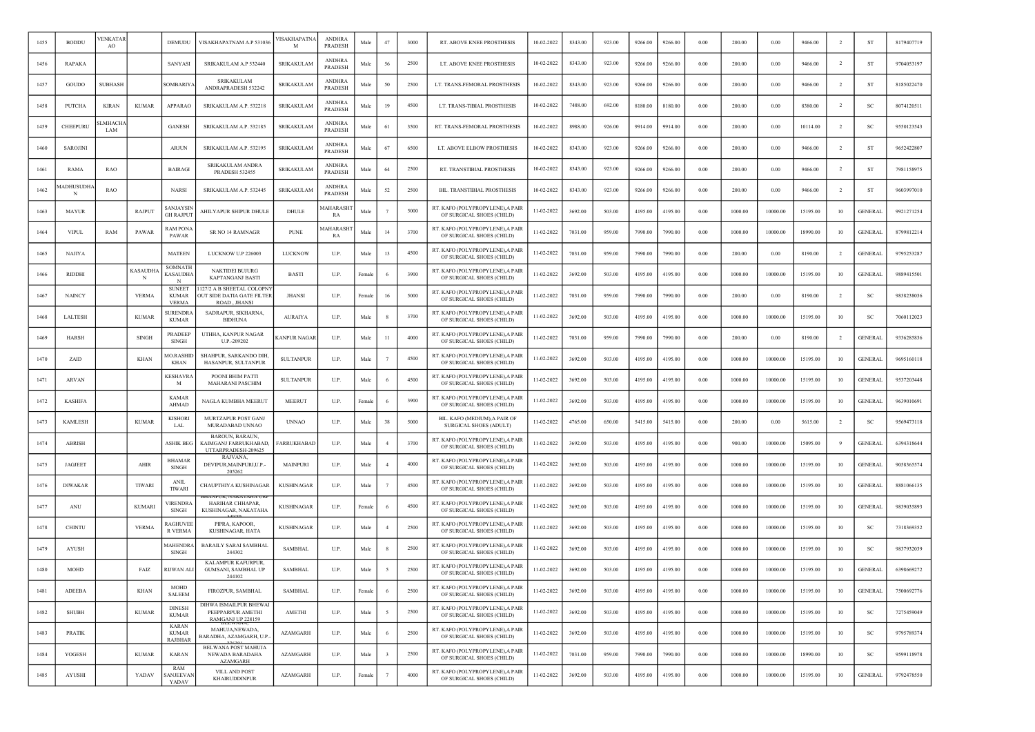| 1455 | <b>BODDU</b>   | 'ENKATAF<br>AO        |                      | DEMUDU                                         | VISAKHAPATNAM A.P 531036                                                | VISAKHAPATNA<br>м   | <b>ANDHRA</b><br>PRADESH        | Male   | 47                      | 3000 | RT. ABOVE KNEE PROSTHESIS                                     | 10-02-2022 | 8343.00 | 923.00 | 9266.00 | 9266.00 | 0.00 | 200.00  | 0.00     | 9466.00  | $\overline{2}$ | ST             | 8179407719 |
|------|----------------|-----------------------|----------------------|------------------------------------------------|-------------------------------------------------------------------------|---------------------|---------------------------------|--------|-------------------------|------|---------------------------------------------------------------|------------|---------|--------|---------|---------|------|---------|----------|----------|----------------|----------------|------------|
| 1456 | <b>RAPAKA</b>  |                       |                      | SANYASI                                        | SRIKAKULAM A.P 532440                                                   | <b>SRIKAKULAM</b>   | <b>ANDHRA</b><br>PRADESH        | Male   | 56                      | 2500 | LT. ABOVE KNEE PROSTHESIS                                     | 10-02-2022 | 8343.00 | 923.00 | 9266.00 | 9266.00 | 0.00 | 200.00  | 0.00     | 9466.00  | $\overline{2}$ | ST             | 9704053197 |
| 1457 | GOUDO          | <b>SUBHASH</b>        |                      | SOMBARIYA                                      | SRIKAKULAM<br>ANDRAPRADESH 532242                                       | <b>SRIKAKULAM</b>   | <b>ANDHRA</b><br>PRADESH        | Male   | 50                      | 2500 | LT. TRANS-FEMORAL PROSTHESIS                                  | 10-02-2022 | 8343.00 | 923.00 | 9266.00 | 9266.00 | 0.00 | 200.00  | 0.00     | 9466.00  | $\overline{2}$ | <b>ST</b>      | 8185022470 |
| 1458 | PUTCHA         | <b>KIRAN</b>          | <b>KUMAR</b>         | APPARAO                                        | SRIKAKULAM A.P. 532218                                                  | SRIKAKULAM          | <b>ANDHRA</b><br>PRADESH        | Male   | 19                      | 4500 | LT. TRANS-TIBIAL PROSTHESIS                                   | 10-02-2022 | 7488.00 | 692.00 | 8180.00 | 8180.00 | 0.00 | 200.00  | 0.00     | 8380.00  | $\overline{2}$ | <sub>SC</sub>  | 8074120511 |
| 1459 | CHEEPURL       | <b>LMHACHA</b><br>LAM |                      | <b>GANESH</b>                                  | SRIKAKULAM A.P. 532185                                                  | <b>SRIKAKULAM</b>   | <b>ANDHRA</b><br><b>PRADESH</b> | Male   | 61                      | 3500 | RT. TRANS-FEMORAL PROSTHESIS                                  | 10-02-2022 | 8988.00 | 926.00 | 9914.00 | 9914.00 | 0.00 | 200.00  | 0.00     | 10114.00 |                | <b>SC</b>      | 9550123543 |
| 1460 | SAROJINI       |                       |                      | <b>ARJUN</b>                                   | SRIKAKULAM A.P. 532195                                                  | <b>SRIKAKULAM</b>   | <b>ANDHR</b><br>PRADESH         | Male   | 67                      | 6500 | LT. ABOVE ELBOW PROSTHESIS                                    | 10-02-2022 | 8343.00 | 923.00 | 9266.00 | 9266.00 | 0.00 | 200.00  | 0.00     | 9466.00  | $\overline{2}$ | ST             | 9652422807 |
| 1461 | RAMA           | <b>RAO</b>            |                      | <b>BAIRAGI</b>                                 | SRIKAKULAM ANDRA<br><b>PRADESH 532455</b>                               | <b>SRIKAKULAM</b>   | <b>ANDHRA</b><br><b>PRADESH</b> | Male   | 64                      | 2500 | RT. TRANSTIBIAL PROSTHESIS                                    | 10-02-2022 | 8343.00 | 923.00 | 9266.00 | 9266.00 | 0.00 | 200.00  | 0.00     | 9466.00  | $\overline{2}$ | <b>ST</b>      | 7981158975 |
| 1462 | 1ADHUSUDH/     | <b>RAO</b>            |                      | <b>NARSI</b>                                   | SRIKAKULAM A.P. 532445                                                  | <b>SRIKAKULAM</b>   | <b>ANDHRA</b><br>PRADESH        | Male   | 52                      | 2500 | BIL. TRANSTIBIAL PROSTHESIS                                   | 10-02-2022 | 8343.00 | 923.00 | 9266.00 | 9266.00 | 0.00 | 200.00  | 0.00     | 9466.00  | $\overline{2}$ | ST             | 9603997010 |
| 1463 | <b>MAYUR</b>   |                       | RAJPUT               | <b>SANJAYSIN</b><br>GH RAJPUT                  | AHILYAPUR SHIPUR DHULE                                                  | DHULE               | <b>IAHARASH</b><br>RA           | Male   |                         | 5000 | RT. KAFO (POLYPROPYLENE), A PAIR<br>OF SURGICAL SHOES (CHILD) | 11-02-2022 | 3692.00 | 503.00 | 4195.00 | 4195.00 | 0.00 | 1000.00 | 10000.00 | 15195.00 | 10             | <b>GENERAL</b> | 9921271254 |
| 1464 | <b>VIPUI</b>   | RAM                   | PAWAR                | RAM PONA<br>PAWAR                              | SR NO 14 RAMNAGR                                                        | <b>PUNE</b>         | <b>AAHARASH</b><br>RA           | Mak    | 14                      | 3700 | RT. KAFO (POLYPROPYLENE), A PAIR<br>OF SURGICAL SHOES (CHILD) | 11-02-2022 | 7031.00 | 959.00 | 7990.00 | 7990.00 | 0.00 | 1000.00 | 10000.00 | 18990.00 | 10             | <b>GENERAL</b> | 8799812214 |
| 1465 | <b>NAJIYA</b>  |                       |                      | <b>MATEEN</b>                                  | LUCKNOW U.P 226003                                                      | LUCKNOW             | U.P.                            | Male   | 13                      | 4500 | RT. KAFO (POLYPROPYLENE), A PAIR<br>OF SURGICAL SHOES (CHILD) | 11-02-2022 | 7031.00 | 959.00 | 7990.00 | 7990.00 | 0.00 | 200.00  | 0.00     | 8190.00  | $\overline{2}$ | <b>GENERAL</b> | 9795253287 |
| 1466 | <b>RIDDHI</b>  |                       | <b>KASAUDHA</b><br>N | SOMNATH<br><b>KASAUDHA</b>                     | <b>NAKTIDEI BUJURG</b><br><b>KAPTANGANJ BASTI</b>                       | <b>BASTI</b>        | U.P.                            | Female |                         | 3900 | RT. KAFO (POLYPROPYLENE), A PAIR<br>OF SURGICAL SHOES (CHILD) | 11-02-2022 | 3692.00 | 503.00 | 4195.00 | 4195.00 | 0.00 | 1000.00 | 10000.00 | 15195.00 | 10             | <b>GENERAL</b> | 9889415501 |
| 1467 | <b>NAINCY</b>  |                       | <b>VERMA</b>         | <b>SUNEET</b><br><b>KUMAR</b><br><b>VERMA</b>  | 127/2 A B SHEETAL COLOPNY<br>OUT SIDE DATIA GATE FILTER<br>ROAD JHANSI  | <b>JHANSI</b>       | U.P.                            | Femal  | 16                      | 5000 | RT. KAFO (POLYPROPYLENE), A PAIR<br>OF SURGICAL SHOES (CHILD) | 11-02-2022 | 7031.00 | 959.00 | 7990.00 | 7990.00 | 0.00 | 200.00  | 0.00     | 8190.00  | $\overline{2}$ | -SC            | 9838238036 |
| 1468 | <b>LALTESH</b> |                       | <b>KUMAR</b>         | <b>SURENDR</b><br><b>KUMAR</b>                 | SADRAPUR, SIKHARNA.<br><b>BIDHUNA</b>                                   | <b>AURAIYA</b>      | U.P.                            | Male   |                         | 3700 | RT. KAFO (POLYPROPYLENE), A PAIR<br>OF SURGICAL SHOES (CHILD) | 11-02-2022 | 3692.00 | 503.00 | 4195.00 | 4195.00 | 0.00 | 1000.00 | 10000.00 | 15195.00 | 10             | <b>SC</b>      | 7060112023 |
| 1469 | <b>HARSH</b>   |                       | <b>SINGH</b>         | PRADEEP<br><b>SINGH</b>                        | UTHHA, KANPUR NAGAR<br>U.P.-209202                                      | <b>KANPUR NAGAR</b> | U.P.                            | Male   | 11                      | 4000 | RT. KAFO (POLYPROPYLENE), A PAIR<br>OF SURGICAL SHOES (CHILD) | 11-02-2022 | 7031.00 | 959.00 | 7990.00 | 7990.00 | 0.00 | 200.00  | 0.00     | 8190.00  | $\overline{2}$ | <b>GENERAL</b> | 9336285836 |
| 1470 | ZAID           |                       | <b>KHAN</b>          | <b>MO.RASHID</b><br><b>KHAN</b>                | SHAHPUR, SARKANDO DIH,<br>HASANPUR, SULTANPUR                           | <b>SULTANPUR</b>    | U.P.                            | Male   |                         | 4500 | RT. KAFO (POLYPROPYLENE), A PAIR<br>OF SURGICAL SHOES (CHILD) | 11-02-2022 | 3692.00 | 503.00 | 4195.00 | 4195.00 | 0.00 | 1000.00 | 10000.00 | 15195.00 | 10             | <b>GENERAL</b> | 9695160118 |
| 1471 | <b>ARVAN</b>   |                       |                      | <b>KESHAVR</b><br>M                            | POONI BHIM PATTI<br>MAHARANI PASCHIM                                    | <b>SULTANPUR</b>    | U.P.                            | Male   |                         | 4500 | RT. KAFO (POLYPROPYLENE), A PAIR<br>OF SURGICAL SHOES (CHILD) | 11-02-2022 | 3692.00 | 503.00 | 4195.00 | 4195.00 | 0.00 | 1000.00 | 10000.00 | 15195.00 | 10             | <b>GENERAL</b> | 9537203448 |
| 1472 | <b>KASHIFA</b> |                       |                      | <b>KAMAR</b><br>AHMAD                          | NAGLA KUMBHA MEERUT                                                     | <b>MEERUT</b>       | U.P.                            | Female |                         | 3900 | RT. KAFO (POLYPROPYLENE), A PAIR<br>OF SURGICAL SHOES (CHILD) | 11-02-2022 | 3692.00 | 503.00 | 4195.00 | 4195.00 | 0.00 | 1000.00 | 10000.00 | 15195.00 | 10             | <b>GENERAL</b> | 9639010691 |
| 1473 | <b>KAMLESH</b> |                       | <b>KUMAR</b>         | <b>KISHORI</b><br><b>LAL</b>                   | MURTZAPUR POST GANJ<br>MURADABAD UNNAO                                  | <b>UNNAO</b>        | U.P.                            | Male   | 38                      | 5000 | BIL. KAFO (MEDIUM), A PAIR OF<br>SURGICAL SHOES (ADULT)       | 11-02-2022 | 4765.00 | 650.00 | 5415.00 | 5415.00 | 0.00 | 200.00  | 0.00     | 5615.00  | $\overline{2}$ | -SC            | 9569473118 |
| 1474 | <b>ABRISH</b>  |                       |                      | <b>ASHIK BEG</b>                               | BAROUN, BARAUN,<br>KAIMGANJ FARRUKHABAD,<br>UTTARPRADESH-209625         | FARRUKHABAD         | U.P.                            | Mak    |                         | 3700 | RT. KAFO (POLYPROPYLENE), A PAIR<br>OF SURGICAL SHOES (CHILD) | 11-02-2022 | 3692.00 | 503.00 | 4195.00 | 4195.00 | 0.00 | 900.00  | 10000.00 | 15095.00 |                | <b>GENERAL</b> | 6394318644 |
| 1475 | <b>JAGJEET</b> |                       | AHIR                 | <b>BHAMAR</b><br><b>SINGH</b>                  | RAJVANA.<br>DEVIPUR, MAINPURI, U.P.-<br>205262                          | MAINPURI            | U.P.                            | Male   |                         | 4000 | RT. KAFO (POLYPROPYLENE), A PAIR<br>OF SURGICAL SHOES (CHILD) | 11-02-2022 | 3692.00 | 503.00 | 4195.00 | 4195.00 | 0.00 | 1000.00 | 10000.00 | 15195.00 | 10             | <b>GENERAL</b> | 9058365574 |
| 1476 | <b>DIWAKAR</b> |                       | <b>TIWARI</b>        | <b>ANIL</b><br><b>TIWARI</b>                   | CHAUPTHIYA KUSHINAGAR                                                   | <b>KUSHINAGAR</b>   | U.P.                            | Male   |                         | 4500 | RT. KAFO (POLYPROPYLENE), A PAIR<br>OF SURGICAL SHOES (CHILD) | 11-02-2022 | 3692.00 | 503.00 | 4195.00 | 4195.00 | 0.00 | 1000.00 | 10000.00 | 15195.00 | 10             | <b>GENERAL</b> | 8881066135 |
| 1477 | ANU            |                       | <b>KUMARI</b>        | <b>/IRENDRA</b><br><b>SINGH</b>                | HARIHAR CHHAPAR.<br>KUSHINAGAR, NAKATAHA                                | <b>KUSHINAGAR</b>   | U.P.                            | Female |                         | 4500 | RT. KAFO (POLYPROPYLENE), A PAIR<br>OF SURGICAL SHOES (CHILD) | 11-02-2022 | 3692.00 | 503.00 | 4195.00 | 4195.00 | 0.00 | 1000.00 | 10000.00 | 15195.00 | 10             | <b>GENERAL</b> | 9839035893 |
| 1478 | <b>CHINTU</b>  |                       | <b>VERMA</b>         | RAGHUVEI<br>R VERMA                            | PIPRA, KAPOOR,<br>KUSHINAGAR, HATA                                      | <b>KUSHINAGAR</b>   | U.P.                            | Male   | $\overline{4}$          | 2500 | RT. KAFO (POLYPROPYLENE), A PAIR<br>OF SURGICAL SHOES (CHILD) | 11-02-2022 | 3692.00 | 503.00 | 4195.00 | 4195.00 | 0.00 | 1000.00 | 10000.00 | 15195.00 | 10             | -SC            | 7318369352 |
| 1479 | <b>AYUSH</b>   |                       |                      | <b>MAHENDRA</b><br><b>SINGH</b>                | <b>BARAILY SARAI SAMBHAL</b><br>244302                                  | <b>SAMBHAL</b>      | U.P.                            | Male   |                         | 2500 | RT. KAFO (POLYPROPYLENE), A PAIR<br>OF SURGICAL SHOES (CHILD) | 11-02-2022 | 3692.00 | 503.00 | 4195.00 | 4195.00 | 0.00 | 1000.00 | 10000.00 | 15195.00 | 10             | SC             | 9837932039 |
| 1480 | MOHD           |                       | FAIZ                 | RIJWAN ALI                                     | KALAMPUR KAFURPUR<br>GUMSANI, SAMBHAL UP<br>244102                      | <b>SAMBHAL</b>      | U.P.                            | Male   | - 5                     | 2500 | RT. KAFO (POLYPROPYLENE), A PAIR<br>OF SURGICAL SHOES (CHILD) | 11-02-2022 | 3692.00 | 503.00 | 4195.00 | 4195.00 | 0.00 | 1000.00 | 10000.00 | 15195.00 | 10             | <b>GENERAL</b> | 6398669272 |
| 1481 | <b>ADEEBA</b>  |                       | <b>KHAN</b>          | <b>MOHD</b><br>SALEEM                          | FIROZPUR, SAMBHAL                                                       | <b>SAMBHAL</b>      | U.P.                            | Female | - 6                     | 2500 | RT. KAFO (POLYPROPYLENE), A PAIR<br>OF SURGICAL SHOES (CHILD) | 11-02-2022 | 3692.00 | 503.00 | 4195.00 | 4195.00 | 0.00 | 1000.00 | 10000.00 | 15195.00 | 10             | <b>GENERAL</b> | 7500692776 |
| 1482 | <b>SHUBH</b>   |                       | <b>KUMAR</b>         | <b>DINESH</b><br><b>KUMAR</b>                  | <b>DIHWA ISMAILPUR BHEWAI</b><br>PEEPPARPUR AMETHI<br>RAMGANJ UP 228159 | AMETHI              | U.P.                            | Male   | $\sim$                  | 2500 | RT. KAFO (POLYPROPYLENE), A PAIR<br>OF SURGICAL SHOES (CHILD) | 11-02-2022 | 3692.00 | 503.00 | 4195.00 | 4195.00 | 0.00 | 1000.00 | 10000.00 | 15195.00 | 10             | SC             | 7275459049 |
| 1483 | PRATIK         |                       |                      | <b>KARAN</b><br><b>KUMAR</b><br><b>RAJBHAR</b> | MAHUJA, NEWADA,<br>BARADHA, AZAMGARH, U.P.                              | <b>AZAMGARH</b>     | U.P.                            | Male   | -6                      | 2500 | RT. KAFO (POLYPROPYLENE), A PAIR<br>OF SURGICAL SHOES (CHILD) | 11-02-2022 | 3692.00 | 503.00 | 4195.00 | 4195.00 | 0.00 | 1000.00 | 10000.00 | 15195.00 | 10             | SC             | 9795789374 |
| 1484 | YOGESH         |                       | <b>KUMAR</b>         | <b>KARAN</b>                                   | BELWANA POST MAHUJA<br>NEWADA BARADAHA<br>AZAMGARH                      | <b>AZAMGARH</b>     | U.P.                            | Male   | $\overline{\mathbf{3}}$ | 2500 | RT. KAFO (POLYPROPYLENE), A PAIR<br>OF SURGICAL SHOES (CHILD) | 11-02-2022 | 7031.00 | 959.00 | 7990.00 | 7990.00 | 0.00 | 1000.00 | 10000.00 | 18990.00 | 10             | <b>SC</b>      | 9599118978 |
| 1485 | AYUSHI         |                       | YADAV                | RAM<br>SANJEEVAN<br><b>YADAV</b>               | VILL AND POST<br><b>KHAIRUDDINPUR</b>                                   | AZAMGARH            | U.P.                            | Female | 7                       | 4000 | RT. KAFO (POLYPROPYLENE), A PAIR<br>OF SURGICAL SHOES (CHILD) | 11-02-2022 | 3692.00 | 503.00 | 4195.00 | 4195.00 | 0.00 | 1000.00 | 10000.00 | 15195.00 | 10             | <b>GENERAL</b> | 9792478550 |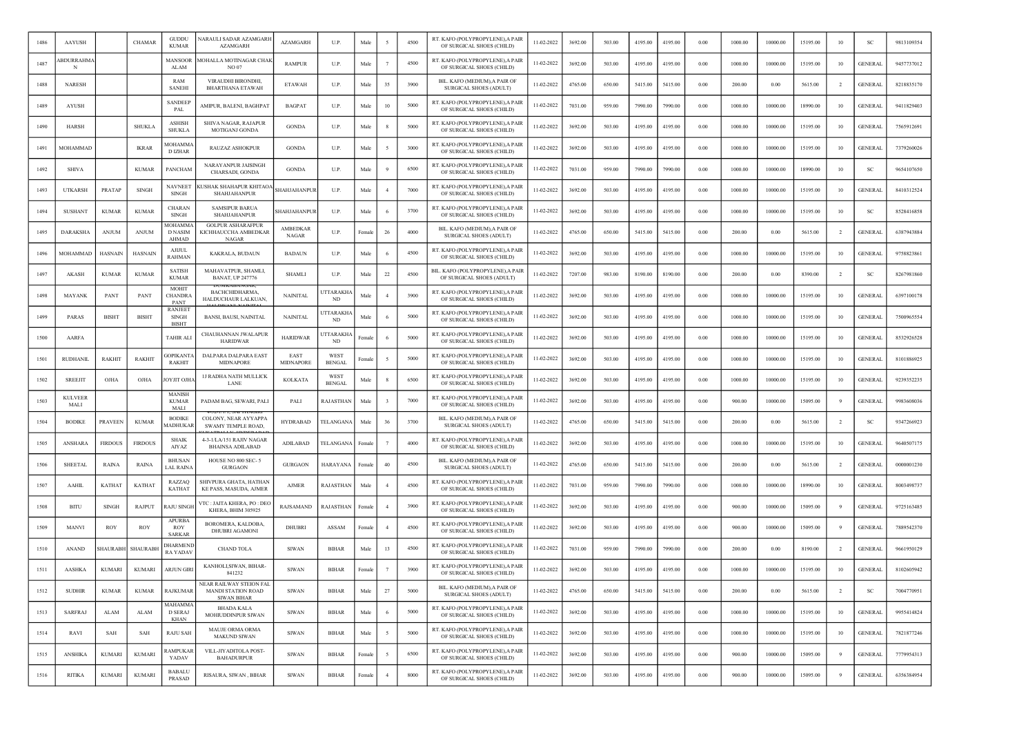| 1486 | AAYUSH                 |                | <b>CHAMAR</b>  | <b>GUDDU</b><br><b>KUMAR</b>                        | <b>NARAULI SADAR AZAMGARH</b><br><b>AZAMGARH</b>                           | <b>AZAMGARH</b>                 | U.P.                         | Male              |                | 4500 | RT. KAFO (POLYPROPYLENE), A PAIR<br>OF SURGICAL SHOES (CHILD)  | 11-02-2022 | 3692.00 | 503.00 | 4195.00 | 4195.00 | 0.00     | 1000.00 | 10000.00 | 15195.00 | 10             | <b>SC</b>      | 9813109354 |
|------|------------------------|----------------|----------------|-----------------------------------------------------|----------------------------------------------------------------------------|---------------------------------|------------------------------|-------------------|----------------|------|----------------------------------------------------------------|------------|---------|--------|---------|---------|----------|---------|----------|----------|----------------|----------------|------------|
| 1487 | BDURRAHMA              |                |                | MANSOOR<br>ALAM                                     | MOHALLA MOTINAGAR CHAK<br>NO 07                                            | <b>RAMPUR</b>                   | U.P.                         | Male              |                | 4500 | RT. KAFO (POLYPROPYLENE), A PAIR<br>OF SURGICAL SHOES (CHILD)  | 11-02-2022 | 3692.00 | 503.00 | 4195.00 | 4195.00 | $0.00\,$ | 1000.00 | 10000.00 | 15195.00 | 10             | <b>GENERAL</b> | 9457737012 |
| 1488 | <b>NARESH</b>          |                |                | RAM<br><b>SANEHI</b>                                | <b>VIRAUDHI BIRONDHI</b><br><b>BHARTHANA ETAWAH</b>                        | <b>ETAWAH</b>                   | U.P.                         | Male              | 35             | 3900 | BIL. KAFO (MEDIUM), A PAIR OI<br><b>SURGICAL SHOES (ADULT)</b> | 11-02-2022 | 4765.00 | 650.00 | 5415.00 | 5415.00 | 0.00     | 200.00  | 0.00     | 5615.00  | <sup>2</sup>   | <b>GENERAL</b> | 8218835170 |
| 1489 | AYUSH                  |                |                | <b>SANDEEP</b><br>PAL                               | AMIPUR, BALENI, BAGHPAT                                                    | <b>BAGPAT</b>                   | U.P.                         | Male              | 10             | 5000 | RT. KAFO (POLYPROPYLENE), A PAIR<br>OF SURGICAL SHOES (CHILD)  | 11-02-2022 | 7031.00 | 959.00 | 7990.00 | 7990.00 | 0.00     | 1000.00 | 10000.00 | 18990.00 | 10             | <b>GENERAL</b> | 9411829403 |
| 1490 | <b>HARSH</b>           |                | <b>SHUKLA</b>  | <b>ASHISH</b><br><b>SHUKLA</b>                      | SHIVA NAGAR, RAJAPUR<br>MOTIGANJ GONDA                                     | <b>GONDA</b>                    | U.P.                         | Male              |                | 5000 | RT. KAFO (POLYPROPYLENE), A PAIR<br>OF SURGICAL SHOES (CHILD)  | 11-02-2022 | 3692.00 | 503.00 | 4195.00 | 4195.00 | 0.00     | 1000.00 | 10000.00 | 15195.00 | 10             | <b>GENERAL</b> | 7565912691 |
| 1491 | MOHAMMAD               |                | <b>IKRAR</b>   | MOHAMM<br>D IZHAR                                   | RAUZAZ ASHOKPUR                                                            | <b>GONDA</b>                    | U.P.                         | Male              |                | 3000 | RT. KAFO (POLYPROPYLENE), A PAIR<br>OF SURGICAL SHOES (CHILD)  | 11-02-2022 | 3692.00 | 503.00 | 4195.00 | 4195.00 | 0.00     | 1000.00 | 10000.00 | 15195.00 | 10             | <b>GENERAL</b> | 7379260026 |
| 1492 | <b>SHIVA</b>           |                | <b>KUMAR</b>   | PANCHAM                                             | <b>NARAYANPUR JAISINGH</b><br>CHARSADI, GONDA                              | <b>GONDA</b>                    | U.P.                         | Male              |                | 6500 | RT. KAFO (POLYPROPYLENE), A PAIR<br>OF SURGICAL SHOES (CHILD)  | 11-02-2022 | 7031.00 | 959.00 | 7990.00 | 7990.00 | 0.00     | 1000.00 | 10000.00 | 18990.00 | 10             | SC             | 9654107650 |
| 1493 | <b>UTKARSH</b>         | PRATAP         | <b>SINGH</b>   | <b>NAVNEET</b><br><b>SINGH</b>                      | KUSHAK SHAHAPUR KHITAO.<br><b>SHAHJAHANPUR</b>                             | SHAHJAHANPUR                    | U.P.                         | Male              |                | 7000 | RT. KAFO (POLYPROPYLENE),A PAIR<br>OF SURGICAL SHOES (CHILD)   | 11-02-2022 | 3692.00 | 503.00 | 4195.00 | 4195.00 | 0.00     | 1000.00 | 10000.00 | 15195.00 | 10             | <b>GENERAL</b> | 8410312524 |
| 1494 | SUSHANT                | <b>KUMAR</b>   | <b>KUMAR</b>   | CHARAN<br>SINGH                                     | <b>SAMSIPUR BARUA</b><br>SHAHJAHANPUR                                      | SHAHJAHANPUR                    | U.P.                         | Male              |                | 3700 | RT. KAFO (POLYPROPYLENE), A PAIR<br>OF SURGICAL SHOES (CHILD)  | 11-02-2022 | 3692.00 | 503.00 | 4195.00 | 4195.00 | 0.00     | 1000.00 | 10000.00 | 15195.00 | 10             | <sub>SC</sub>  | 8528416858 |
| 1495 | DARAKSHA               | <b>ANJUM</b>   | <b>ANJUM</b>   | <b>MOHAMMA</b><br><b>D NASIM</b><br><b>AHMAD</b>    | <b>GOLPUR ASHARAFPUR</b><br>KICHHAUCCHA AMBEDKAR<br><b>NAGAR</b>           | <b>AMBEDKAR</b><br><b>NAGAR</b> | U.P.                         | Female            | 26             | 4000 | BIL. KAFO (MEDIUM), A PAIR OI<br><b>SURGICAL SHOES (ADULT)</b> | 11-02-2022 | 4765.00 | 650.00 | 5415.00 | 5415.00 | 0.00     | 200.00  | 0.00     | 5615.00  | $\overline{2}$ | <b>GENERAL</b> | 6387943884 |
| 1496 | MOHAMMAD               | <b>HASNAIN</b> | <b>HASNAIN</b> | <b>AJIJUL</b><br><b>RAHMAN</b>                      | KAKRALA, BUDAUN                                                            | <b>BADAUN</b>                   | U.P.                         | Male              |                | 4500 | RT. KAFO (POLYPROPYLENE), A PAIR<br>OF SURGICAL SHOES (CHILD)  | 11-02-2022 | 3692.00 | 503.00 | 4195.00 | 4195.00 | 0.00     | 1000.00 | 10000.00 | 15195.00 | 10             | <b>GENERAL</b> | 9758823861 |
| 1497 | <b>AKASH</b>           | <b>KUMAR</b>   | <b>KUMAR</b>   | <b>SATISH</b><br><b>KUMAR</b>                       | MAHAVATPUR, SHAMLI,<br><b>BANAT, UP 247776</b>                             | <b>SHAMLI</b>                   | U.P.                         | Male              | 22             | 4500 | BIL. KAFO (POLYPROPYLENE).A PAIF<br>OF SURGICAL SHOES (ADULT)  | 11-02-2022 | 7207.00 | 983.00 | 8190.00 | 8190.00 | 0.00     | 200.00  | 0.00     | 8390.00  | $\overline{2}$ | <sub>SC</sub>  | 8267981860 |
| 1498 | MAYANK                 | PANT           | PANT           | <b>MOHIT</b><br>CHANDR/<br><b>PANT</b>              | BACHCHIDHARMA,<br>HALDUCHAUR LALKUAN,                                      | <b>NAINITAL</b>                 | <b>JTTARAKH</b><br>ND        | Male              |                | 3900 | RT. KAFO (POLYPROPYLENE), A PAIR<br>OF SURGICAL SHOES (CHILD)  | 11-02-2022 | 3692.00 | 503.00 | 4195.00 | 4195.00 | 0.00     | 1000.00 | 10000.00 | 15195.00 | 10             | <b>GENERAL</b> | 6397100178 |
| 1499 | <b>PARAS</b>           | <b>BISHT</b>   | <b>BISHT</b>   | RANJEE <sup>®</sup><br><b>SINGH</b><br><b>BISHT</b> | BANSI, BAUSI, NAINITAL                                                     | <b>NAINITAL</b>                 | <b>JTTARAKH</b><br>ND        | Male              |                | 5000 | RT. KAFO (POLYPROPYLENE), A PAIR<br>OF SURGICAL SHOES (CHILD)  | 11-02-2022 | 3692.00 | 503.00 | 4195.00 | 4195.00 | 0.00     | 1000.00 | 10000.00 | 15195.00 | 10             | <b>GENERAL</b> | 7500965554 |
| 1500 | AARFA                  |                |                | <b>TAHIR ALI</b>                                    | CHAUHANNAN JWALAPUR<br><b>HARIDWAR</b>                                     | <b>HARIDWAR</b>                 | TTARAKH.<br>ND.              | <sup>:</sup> emal |                | 5000 | RT. KAFO (POLYPROPYLENE), A PAIR<br>OF SURGICAL SHOES (CHILD)  | 11-02-2022 | 3692.00 | 503.00 | 4195.00 | 4195.00 | 0.00     | 1000.00 | 10000.00 | 15195.00 | 10             | <b>GENERAL</b> | 8532926528 |
| 1501 | <b>RUDHANIL</b>        | RAKHIT         | <b>RAKHIT</b>  | <b>GOPIKANT</b><br><b>RAKHIT</b>                    | <b>DALPARA DALPARA EAST</b><br>MIDNAPORI                                   | EAST<br>MIDNAPORE               | WEST<br><b>BENGAL</b>        | Female            |                | 5000 | RT. KAFO (POLYPROPYLENE), A PAIR<br>OF SURGICAL SHOES (CHILD)  | 11-02-2022 | 3692.00 | 503.00 | 4195.00 | 4195.00 | 0.00     | 1000.00 | 10000.00 | 15195.00 | 10             | <b>GENERAL</b> | 8101886925 |
| 1502 | <b>SREEJIT</b>         | OJHA           | OJHA           | ОУЛТ ОЛЬ                                            | <b>IJ RADHA NATH MULLICK</b><br>LANE                                       | KOLKATA                         | <b>WEST</b><br><b>BENGAL</b> | Male              |                | 6500 | RT. KAFO (POLYPROPYLENE). A PAIF<br>OF SURGICAL SHOES (CHILD)  | 11-02-2022 | 3692.00 | 503.00 | 4195.00 | 4195.00 | 0.00     | 1000.00 | 10000.00 | 15195.00 | 10             | <b>GENERAL</b> | 9239352235 |
| 1503 | <b>KULVEER</b><br>MALI |                |                | <b>MANISH</b><br><b>KUMAR</b><br>MALI               | PADAM BAG, SEWARI, PALI                                                    | PALI                            | RAJASTHAN                    | Male              |                | 7000 | RT. KAFO (POLYPROPYLENE), A PAIR<br>OF SURGICAL SHOES (CHILD)  | 11-02-2022 | 3692.00 | 503.00 | 4195.00 | 4195.00 | 0.00     | 900.00  | 10000.00 | 15095.00 |                | <b>GENERAL</b> | 9983608036 |
| 1504 | <b>BODIKE</b>          | PRAVEEN        | <b>KUMAR</b>   | <b>BODIKE</b><br><b>MADHUKA</b>                     | COLONY, NEAR AYYAPPA<br><b>SWAMY TEMPLE ROAD,</b>                          | HYDRABAD                        | TELANGAN/                    | Male              | 36             | 3700 | BIL. KAFO (MEDIUM), A PAIR OF<br><b>SURGICAL SHOES (ADULT)</b> | 11-02-2022 | 4765.00 | 650.00 | 5415.00 | 5415.00 | 0.00     | 200.00  | 0.00     | 5615.00  | $\overline{2}$ | <b>SC</b>      | 9347266923 |
| 1505 | ANSHARA                | <b>FIRDOUS</b> | <b>FIRDOUS</b> | <b>SHAIK</b><br>AIYAZ                               | 4-3-1/LA/151 RAJIV NAGAR<br><b>BHAINSA ADILABAD</b>                        | ADILABAD                        | TELANGAN/                    | Femal             |                | 4000 | RT. KAFO (POLYPROPYLENE), A PAIR<br>OF SURGICAL SHOES (CHILD)  | 11-02-2022 | 3692.00 | 503.00 | 4195.00 | 4195.00 | 0.00     | 1000.00 | 10000.00 | 15195.00 | 10             | <b>GENERAL</b> | 9640507175 |
| 1506 | <b>SHEETAL</b>         | RAINA          | RAINA          | <b>BHUSAN</b><br>LAL RAINA                          | HOUSE NO 800 SEC-5<br><b>GURGAON</b>                                       | <b>GURGAON</b>                  | <b>HARAYANA</b>              | Female            | 40             | 4500 | BIL. KAFO (MEDIUM).A PAIR OF<br>SURGICAL SHOES (ADULT)         | 11-02-2022 | 4765.00 | 650.00 | 5415.00 | 5415.00 | 0.00     | 200.00  | 0.00     | 5615.00  | <sup>2</sup>   | <b>GENERAL</b> | 0000001230 |
| 1507 | <b>AAHIL</b>           | <b>KATHAT</b>  | <b>KATHAT</b>  | RAZZAQ<br><b>KATHAT</b>                             | SHIVPURA GHATA, HATHAN<br>KE PASS, MASUDA, AJMER                           | <b>AJMER</b>                    | RAJASTHAN                    | Male              |                | 4500 | RT. KAFO (POLYPROPYLENE), A PAIR<br>OF SURGICAL SHOES (CHILD)  | 11-02-2022 | 7031.00 | 959.00 | 7990.00 | 7990.00 | 0.00     | 1000.00 | 10000.00 | 18990.00 | 10             | <b>GENERAL</b> | 8003498737 |
| 1508 | <b>BITU</b>            | <b>SINGH</b>   | <b>RAJPUT</b>  | <b>RAJU SINGE</b>                                   | VTC: JAITA KHERA, PO: DEO<br>KHERA, BHIM 305925                            | <b>RAJSAMAND</b>                | <b>RAJASTHAN</b>             | Female            |                | 3900 | RT. KAFO (POLYPROPYLENE), A PAIR<br>OF SURGICAL SHOES (CHILD)  | 11-02-2022 | 3692.00 | 503.00 | 4195.00 | 4195.00 | 0.00     | 900.00  | 10000.00 | 15095.00 | 9              | <b>GENERAL</b> | 9725163485 |
| 1509 | <b>MANVI</b>           | ROY            | ROY            | APURB/<br><b>ROY</b><br><b>SARKAR</b>               | BOROMERA, KALDOBA,<br>DHUBRI AGAMONI                                       | <b>DHUBRI</b>                   | ASSAM                        | Female            |                | 4500 | RT. KAFO (POLYPROPYLENE), A PAIR<br>OF SURGICAL SHOES (CHILD)  | 11-02-2022 | 3692.00 | 503.00 | 4195.00 | 4195.00 | 0.00     | 900.00  | 10000.00 | 15095.00 |                | <b>GENERAL</b> | 7889542370 |
| 1510 | <b>ANAND</b>           | <b>SHAURAB</b> | SHAURABH       | DHARMEND<br>RA YADAV                                | <b>CHAND TOLA</b>                                                          | <b>SIWAN</b>                    | <b>BIHAR</b>                 | Male              | 13             | 4500 | RT. KAFO (POLYPROPYLENE) A PAIR<br>OF SURGICAL SHOES (CHILD)   | 11-02-2022 | 7031.00 | 959.00 | 7990.00 | 7990.00 | 0.00     | 200.00  | 0.00     | 8190.00  | $\overline{2}$ | <b>GENERAL</b> | 9661950129 |
| 1511 | AASHKA                 | <b>KUMARI</b>  | <b>KUMARI</b>  | ARJUN GIRI                                          | KANHOLI, SIWAN, BIHAR-<br>841232                                           | <b>SIWAN</b>                    | <b>BIHAR</b>                 | Female            |                | 3900 | RT. KAFO (POLYPROPYLENE), A PAIR<br>OF SURGICAL SHOES (CHILD)  | 11-02-2022 | 3692.00 | 503.00 | 4195.00 | 4195.00 | 0.00     | 1000.00 | 10000.00 | 15195.00 | 10             | <b>GENERAL</b> | 8102605942 |
| 1512 | <b>SUDHIR</b>          | <b>KUMAR</b>   | <b>KUMAR</b>   | <b>RAJKUMAR</b>                                     | VEAR RAILWAY STEION FAL<br><b>MANDI STATION ROAD</b><br><b>SIWAN BIHAR</b> | SIWAN                           | <b>BIHAR</b>                 | Male              | 27             | 5000 | BIL. KAFO (MEDIUM), A PAIR OF<br>SURGICAL SHOES (ADULT)        | 11-02-2022 | 4765.00 | 650.00 | 5415.00 | 5415.00 | 0.00     | 200.00  | 0.00     | 5615.00  | $\overline{2}$ | <b>SC</b>      | 7004770951 |
| 1513 | <b>SARFRAJ</b>         | ALAM           | ALAM           | MAHAMMA<br>D SERAJ<br>KHAN                          | <b>BHADA KALA</b><br>MOHIUDDINPUR SIWAN                                    | <b>SIWAN</b>                    | <b>BIHAR</b>                 | Male              | -6             | 5000 | RT. KAFO (POLYPROPYLENE), A PAIR<br>OF SURGICAL SHOES (CHILD)  | 11-02-2022 | 3692.00 | 503.00 | 4195.00 | 4195.00 | 0.00     | 1000.00 | 10000.00 | 15195.00 | 10             | <b>GENERAL</b> | 9955414824 |
| 1514 | RAVI                   | SAH            | SAH            | <b>RAJU SAH</b>                                     | MAUJE ORMA ORMA<br><b>MAKUND SIWAN</b>                                     | <b>SIWAN</b>                    | BIHAR                        | Male              | -5             | 5000 | RT. KAFO (POLYPROPYLENE), A PAIR<br>OF SURGICAL SHOES (CHILD)  | 11-02-2022 | 3692.00 | 503.00 | 4195.00 | 4195.00 | $0.00\,$ | 1000.00 | 10000.00 | 15195.00 | 10             | <b>GENERAL</b> | 7821877246 |
| 1515 | <b>ANSHIKA</b>         | <b>KUMARI</b>  | <b>KUMARI</b>  | RAMPUKAR<br>YADAV                                   | VILL-JIYADITOLA POST-<br><b>BAHADURPUR</b>                                 | <b>SIWAN</b>                    | <b>BIHAR</b>                 | Female            | $\sim$         | 6500 | RT. KAFO (POLYPROPYLENE), A PAIR<br>OF SURGICAL SHOES (CHILD)  | 11-02-2022 | 3692.00 | 503.00 | 4195.00 | 4195.00 | 0.00     | 900.00  | 10000.00 | 15095.00 | 9              | <b>GENERAL</b> | 7779954313 |
| 1516 | <b>RITIKA</b>          | <b>KUMARI</b>  | <b>KUMARI</b>  | <b>BABALU</b><br>PRASAD                             | RISAURA, SIWAN, BIHAR                                                      | <b>SIWAN</b>                    | BIHAR                        | Female            | $\overline{4}$ | 8000 | RT. KAFO (POLYPROPYLENE), A PAIR<br>OF SURGICAL SHOES (CHILD)  | 11-02-2022 | 3692.00 | 503.00 | 4195.00 | 4195.00 | 0.00     | 900.00  | 10000.00 | 15095.00 | -9             | <b>GENERAL</b> | 6356384954 |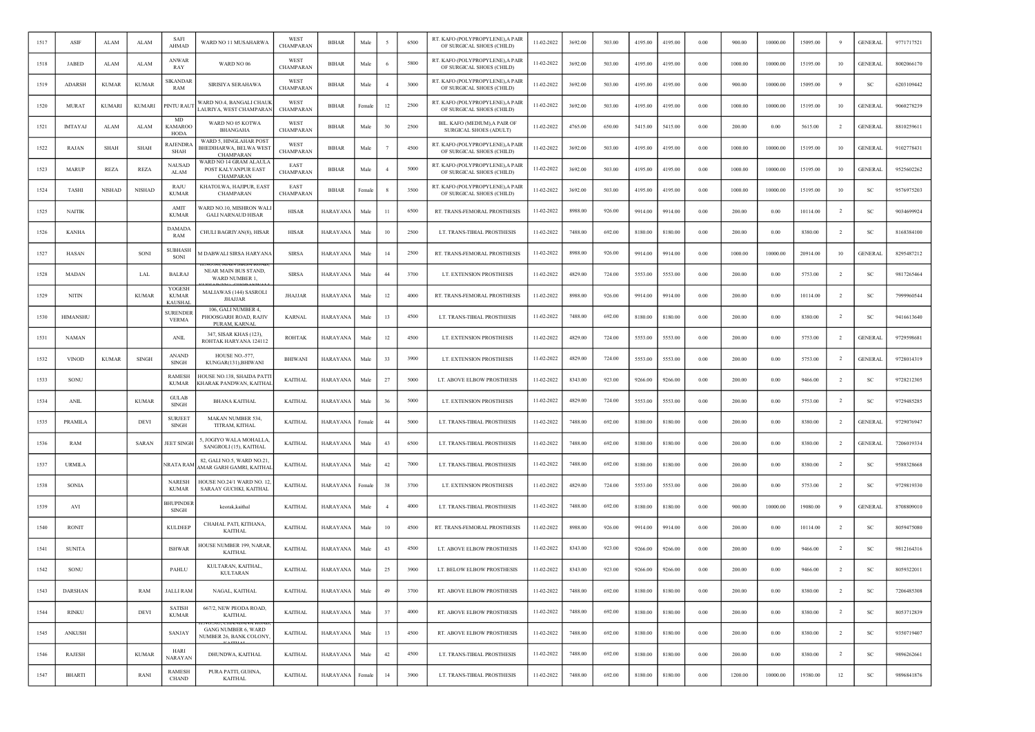| 1517 | ASIF            | ALAM          | ALAM          | SAFI<br>AHMAD                            | WARD NO 11 MUSAHARWA                                                 | WEST<br>CHAMPARAN        | <b>BIHAR</b>    | Male   |                | 6500 | RT. KAFO (POLYPROPYLENE), A PAIR<br>OF SURGICAL SHOES (CHILD) | 11-02-2022 | 3692.00 | 503.00 | 4195.00 | 4195.00 | 0.00       | 900.00  | 10000.00 | 15095.00 | -9             | <b>GENERAL</b> | 9771717521 |
|------|-----------------|---------------|---------------|------------------------------------------|----------------------------------------------------------------------|--------------------------|-----------------|--------|----------------|------|---------------------------------------------------------------|------------|---------|--------|---------|---------|------------|---------|----------|----------|----------------|----------------|------------|
| 1518 | <b>JABED</b>    | ALAM          | ALAM          | ANWAR<br>RAY                             | WARD NO 06                                                           | WEST<br>CHAMPARAN        | <b>BIHAR</b>    | Male   |                | 5800 | RT. KAFO (POLYPROPYLENE), A PAIR<br>OF SURGICAL SHOES (CHILD) | 11-02-2022 | 3692.00 | 503.00 | 4195.00 | 4195.00 | $0.00\,$   | 1000.00 | 10000.00 | 15195.00 | 10             | <b>GENERAL</b> | 8002066170 |
| 1519 | <b>ADARSH</b>   | <b>KUMAR</b>  | <b>KUMAR</b>  | <b>SIKANDAR</b><br>RAM                   | SIRISIYA SERAHAWA                                                    | WEST<br><b>CHAMPARAN</b> | <b>BIHAR</b>    | Male   | $\overline{4}$ | 3000 | RT. KAFO (POLYPROPYLENE), A PAIR<br>OF SURGICAL SHOES (CHILD) | 11-02-2022 | 3692.00 | 503.00 | 4195.00 | 4195.00 | 0.00       | 900.00  | 10000.00 | 15095.00 |                | <b>SC</b>      | 6203109442 |
| 1520 | <b>MURAT</b>    | <b>KUMARI</b> | <b>KUMARI</b> | PINTU RAUT                               | WARD NO.4, BANGALI CHAUK<br>LAURIYA, WEST CHAMPARAN                  | WEST<br>CHAMPARAN        | <b>BIHAR</b>    | Female | 12             | 2500 | RT. KAFO (POLYPROPYLENE), A PAIR<br>OF SURGICAL SHOES (CHILD) | 11-02-2022 | 3692.00 | 503.00 | 4195.00 | 4195.00 | 0.00       | 1000.00 | 10000.00 | 15195.00 | 10             | <b>GENERAL</b> | 9060278239 |
| 1521 | <b>IMTAYAJ</b>  | ALAM          | ALAM          | <b>MD</b><br><b>KAMAROO</b><br>HODA      | WARD NO 05 KOTWA<br><b>BHANGAHA</b>                                  | WEST<br>CHAMPARAN        | <b>BIHAR</b>    | Male   | 30             | 2500 | BIL. KAFO (MEDIUM), A PAIR OF<br>SURGICAL SHOES (ADULT)       | 11-02-2022 | 4765.00 | 650.00 | 5415.00 | 5415.00 | 0.00       | 200.00  | 0.00     | 5615.00  | 2              | <b>GENERAL</b> | 8810259611 |
| 1522 | RAJAN           | <b>SHAH</b>   | SHAH          | RAJENDRA<br>SHAH                         | WARD 5, HINGLAHAR POST<br>BHEDIHARWA, BELWA WEST<br><b>CHAMPARAN</b> | WEST<br>CHAMPARAN        | <b>BIHAR</b>    | Male   |                | 4500 | RT. KAFO (POLYPROPYLENE), A PAIR<br>OF SURGICAL SHOES (CHILD) | 11-02-2022 | 3692.00 | 503.00 | 4195.00 | 4195.00 | 0.00       | 1000.00 | 10000.00 | 15195.00 | 10             | <b>GENERAL</b> | 9102778431 |
| 1523 | <b>MARUP</b>    | <b>REZA</b>   | REZA          | <b>NAUSAD</b><br>ALAM                    | WARD NO 14 GRAM ALAULA<br>POST KALYANPUR EAST<br><b>CHAMPARAN</b>    | EAST<br>CHAMPARAN        | <b>BIHAR</b>    | Male   |                | 5000 | RT. KAFO (POLYPROPYLENE), A PAIR<br>OF SURGICAL SHOES (CHILD) | 11-02-2022 | 3692.00 | 503.00 | 4195.00 | 4195.00 | 0.00       | 1000.00 | 10000.00 | 15195.00 | 10             | <b>GENERAL</b> | 9525602262 |
| 1524 | TASHI           | <b>NISHAD</b> | <b>NISHAD</b> | RAJU<br><b>KUMAR</b>                     | KHATOLWA, HAJIPUR, EAST<br><b>CHAMPARAN</b>                          | EAST<br>CHAMPARAN        | BIHAR           | Female |                | 3500 | RT. KAFO (POLYPROPYLENE), A PAIR<br>OF SURGICAL SHOES (CHILD) | 11-02-2022 | 3692.00 | 503.00 | 4195.00 | 4195.00 | 0.00       | 1000.00 | 10000.00 | 15195.00 | 10             | SC             | 9576975203 |
| 1525 | <b>NAITIK</b>   |               |               | AMIT<br><b>KUMAR</b>                     | WARD NO.10, MISHRON WALI<br><b>GALI NARNAUD HISAR</b>                | HISAR                    | HARAYANA        | Male   | 11             | 6500 | RT. TRANS-FEMORAL PROSTHESIS                                  | 11-02-2022 | 8988.00 | 926.00 | 9914.00 | 9914.00 | $0.00\,$   | 200.00  | 0.00     | 10114.00 | $\overline{2}$ | SC             | 9034699924 |
| 1526 | <b>KANHA</b>    |               |               | <b>DAMADA</b><br>RAM                     | CHULI BAGRIYAN(8), HISAR                                             | HISAR                    | HARAYANA        | Male   | 10             | 2500 | LT. TRANS-TIBIAL PROSTHESIS                                   | 11-02-2022 | 7488.00 | 692.00 | 8180.00 | 8180.00 | 0.00       | 200.00  | 0.00     | 8380.00  | $\overline{2}$ | SC             | 8168384100 |
| 1527 | HASAN           |               | SONI          | <b>SUBHASH</b><br>SONI                   | M DABWALI SIRSA HARYANA                                              | <b>SIRSA</b>             | HARAYANA        | Male   | 14             | 2500 | RT. TRANS-FEMORAL PROSTHESIS                                  | 11-02-2022 | 8988.00 | 926.00 | 9914.00 | 9914.00 | 0.00       | 1000.00 | 10000.00 | 20914.00 | 10             | <b>GENERAL</b> | 8295487212 |
| 1528 | <b>MADAN</b>    |               | <b>LAL</b>    | <b>BALRAJ</b>                            | NEAR MAIN BUS STAND,<br>WARD NUMBER 1,                               | <b>SIRSA</b>             | HARAYANA        | Male   | 44             | 3700 | LT. EXTENSION PROSTHESIS                                      | 11-02-2022 | 4829.00 | 724.00 | 5553.00 | 5553.00 | 0.00       | 200.00  | 0.00     | 5753.00  | $\overline{2}$ | <b>SC</b>      | 9817265464 |
| 1529 | <b>NITIN</b>    |               | <b>KUMAR</b>  | YOGESH<br><b>KUMAR</b><br><b>KAUSHAI</b> | MALIAWAS (144) SASROLI<br><b>JHAJJAR</b>                             | <b>JHAJJAR</b>           | HARAYANA        | Male   | 12             | 4000 | RT. TRANS-FEMORAL PROSTHESIS                                  | 11-02-2022 | 8988.00 | 926.00 | 9914.00 | 9914.00 | 0.00       | 200.00  | 0.00     | 10114.00 | $\overline{2}$ | -SC            | 7999960544 |
| 1530 | <b>HIMANSHU</b> |               |               | <b>SURENDER</b><br><b>VERMA</b>          | 106, GALI NUMBER 4.<br>PHOOSGARH ROAD, RAJIV<br>PURAM, KARNAL        | <b>KARNAL</b>            | <b>HARAYANA</b> | Male   | 13             | 4500 | LT. TRANS-TIBIAL PROSTHESIS                                   | 11-02-2022 | 7488.00 | 692.00 | 8180.00 | 8180.00 | 0.00       | 200.00  | 0.00     | 8380.00  | <sup>2</sup>   | <b>SC</b>      | 9416613640 |
| 1531 | <b>NAMAN</b>    |               |               | <b>ANIL</b>                              | 347, SISAR KHAS (123),<br>ROHTAK HARYANA 124112                      | <b>ROHTAK</b>            | HARAYANA        | Male   | 12             | 4500 | LT. EXTENSION PROSTHESIS                                      | 11-02-2022 | 4829.00 | 724.00 | 5553.00 | 5553.00 | 0.00       | 200.00  | 0.00     | 5753.00  | $\overline{2}$ | <b>GENERAL</b> | 9729598681 |
| 1532 | <b>VINOD</b>    | <b>KUMAR</b>  | <b>SINGH</b>  | <b>ANAND</b><br><b>SINGH</b>             | HOUSE NO.-577.<br>KUNGAR(131), BHIWANI                               | BHIWANI                  | HARAYANA        | Male   | 33             | 3900 | LT. EXTENSION PROSTHESIS                                      | 11-02-2022 | 4829.00 | 724.00 | 5553.00 | 5553.00 | $0.00\,$   | 200.00  | 0.00     | 5753.00  | $\overline{2}$ | <b>GENERAL</b> | 9728014319 |
| 1533 | SONU            |               |               | <b>RAMESH</b><br><b>KUMAR</b>            | HOUSE NO.138, SHAIDA PATT<br>KHARAK PANDWAN, KAITHAL                 | <b>KAITHAL</b>           | HARAYANA        | Male   | 27             | 5000 | LT. ABOVE ELBOW PROSTHESIS                                    | 11-02-2022 | 8343.00 | 923.00 | 9266.00 | 9266.00 | 0.00       | 200.00  | 0.00     | 9466.00  | $\overline{2}$ | -SC            | 9728212305 |
| 1534 | <b>ANIL</b>     |               | <b>KUMAR</b>  | <b>GULAB</b><br><b>SINGH</b>             | <b>BHANA KAITHAL</b>                                                 | <b>KAITHAL</b>           | HARAYANA        | Male   | 36             | 5000 | LT. EXTENSION PROSTHESIS                                      | 11-02-2022 | 4829.00 | 724.00 | 5553.00 | 5553.00 | 0.00       | 200.00  | 0.00     | 5753.00  | $\overline{2}$ | SC             | 9729485285 |
| 1535 | PRAMILA         |               | DEVI          | <b>SURJEET</b><br><b>SINGH</b>           | MAKAN NUMBER 534,<br>TITRAM, KITHAL                                  | <b>KAITHAL</b>           | HARAYANA        | Female | 44             | 5000 | LT. TRANS-TIBIAL PROSTHESIS                                   | 11-02-2022 | 7488.00 | 692.00 | 8180.00 | 8180.00 | 0.00       | 200.00  | 0.00     | 8380.00  | -2             | <b>GENERAL</b> | 9729076947 |
| 1536 | RAM             |               | SARAN         | JEET SINGH                               | 5, JOGIYO WALA MOHALLA<br>SANGROLI (15), KAITHAL                     | <b>KAITHAL</b>           | HARAYANA        | Mak    | 43             | 6500 | LT. TRANS-TIBIAL PROSTHESIS                                   | 11-02-2022 | 7488.00 | 692.00 | 8180.00 | 8180.00 | 0.00       | 200.00  | 0.00     | 8380.00  | $\overline{2}$ | <b>GENERAL</b> | 7206019334 |
| 1537 | <b>URMILA</b>   |               |               | NRATA RAM                                | 82, GALI NO.5, WARD NO.21.<br>AMAR GARH GAMRI, KAITHAI               | <b>KAITHAL</b>           | HARAYANA        | Male   | 42             | 7000 | LT. TRANS-TIBIAL PROSTHESIS                                   | 11-02-2022 | 7488.00 | 692.00 | 8180.00 | 8180.00 | 0.00       | 200.00  | 0.00     | 8380.00  | $\overline{2}$ | $_{\rm SC}$    | 9588328668 |
| 1538 | SONIA           |               |               | <b>NARESH</b><br><b>KUMAR</b>            | HOUSE NO.24/1 WARD NO. 12<br>SARAAY GUCHKI, KAITHAL                  | <b>KAITHAL</b>           | HARAYANA        | Female | 38             | 3700 | LT. EXTENSION PROSTHESIS                                      | 11-02-2022 | 4829.00 | 724.00 | 5553.00 | 5553.00 | 0.00       | 200.00  | 0.00     | 5753.00  | $\overline{2}$ | SC             | 9729819330 |
| 1539 | AVI             |               |               | <b>HUPINDER</b><br><b>SINGH</b>          | keorak, kaithal                                                      | <b>KAITHAL</b>           | HARAYANA        | Male   | $\overline{4}$ | 4000 | LT. TRANS-TIBIAL PROSTHESIS                                   | 11-02-2022 | 7488.00 | 692.00 | 8180.00 | 8180.00 | 0.00       | 900.00  | 10000.00 | 19080.00 | 9              | <b>GENERAL</b> | 8708809010 |
| 1540 | <b>RONIT</b>    |               |               | <b>KULDEEP</b>                           | CHAHAL PATI, KITHANA,<br><b>KAITHAL</b>                              | <b>KAITHAL</b>           | HARAYANA        | Male   | 10             | 4500 | RT. TRANS-FEMORAL PROSTHESIS                                  | 11-02-2022 | 8988.00 | 926.00 | 9914.00 | 9914.00 | 0.00       | 200.00  | 0.00     | 10114.00 | $\overline{2}$ | -SC            | 8059475080 |
| 1541 | <b>SUNITA</b>   |               |               | <b>ISHWAR</b>                            | HOUSE NUMBER 199, NARAR<br>KAITHAL                                   | <b>KAITHAL</b>           | HARAYANA        | Male   | 43             | 4500 | LT. ABOVE ELBOW PROSTHESIS                                    | 11-02-2022 | 8343.00 | 923.00 | 9266.00 | 9266.00 | 0.00       | 200.00  | 0.00     | 9466.00  | $\overline{2}$ | SC             | 9812164316 |
| 1542 | SONU            |               |               | PAHLU                                    | KULTARAN, KAITHAL,<br><b>KULTARAN</b>                                | <b>KAITHAL</b>           | HARAYANA        | Male   | 25             | 3900 | LT. BELOW ELBOW PROSTHESIS                                    | 11-02-2022 | 8343.00 | 923.00 | 9266.00 | 9266.00 | 0.00       | 200.00  | 0.00     | 9466.00  | $\overline{2}$ | <sub>SC</sub>  | 8059322011 |
| 1543 | <b>DARSHAN</b>  |               | RAM           | <b>JALLI RAM</b>                         | NAGAL, KAITHAL                                                       | <b>KAITHAL</b>           | <b>HARAYANA</b> | Male   | 49             | 3700 | RT. ABOVE ELBOW PROSTHESIS                                    | 11-02-2022 | 7488.00 | 692.00 | 8180.00 | 8180.00 | $\rm 0.00$ | 200.00  | $0.00\,$ | 8380.00  | $\overline{2}$ | <b>SC</b>      | 7206485308 |
| 1544 | <b>RINKU</b>    |               | DEVI          | SATISH<br><b>KUMAR</b>                   | 667/2, NEW PEODA ROAD,<br><b>KAITHAL</b>                             | <b>KAITHAL</b>           | HARAYANA        | Male   | 37             | 4000 | RT. ABOVE ELBOW PROSTHESIS                                    | 11-02-2022 | 7488.00 | 692.00 | 8180.00 | 8180.00 | 0.00       | 200.00  | 0.00     | 8380.00  | $\overline{2}$ | <b>SC</b>      | 8053712839 |
| 1545 | ANKUSH          |               |               | SANJAY                                   | <b>GANG NUMBER 6, WARD</b><br>NUMBER 26, BANK COLONY                 | <b>KAITHAL</b>           | <b>HARAYANA</b> | Male   | 13             | 4500 | RT. ABOVE ELBOW PROSTHESIS                                    | 11-02-2022 | 7488.00 | 692.00 | 8180.00 | 8180.00 | 0.00       | 200.00  | 0.00     | 8380.00  | $\overline{2}$ | SC             | 9350719407 |
| 1546 | RAJESH          |               | <b>KUMAR</b>  | HARI<br>NARAYAN                          | DHUNDWA, KAITHAL                                                     | <b>KAITHAL</b>           | <b>HARAYANA</b> | Male   | 42             | 4500 | LT. TRANS-TIBIAL PROSTHESIS                                   | 11-02-2022 | 7488.00 | 692.00 | 8180.00 | 8180.00 | 0.00       | 200.00  | 0.00     | 8380.00  | $\overline{2}$ | <b>SC</b>      | 9896262661 |
| 1547 | <b>BHARTI</b>   |               | RANI          | <b>RAMESH</b><br><b>CHAND</b>            | PURA PATTI, GUHNA,<br>KAITHAL                                        | <b>KAITHAL</b>           | <b>HARAYANA</b> | Female | 14             | 3900 | LT. TRANS-TIBIAL PROSTHESIS                                   | 11-02-2022 | 7488.00 | 692.00 | 8180.00 | 8180.00 | $\rm 0.00$ | 1200.00 | 10000.00 | 19380.00 | 12             | SC             | 9896841876 |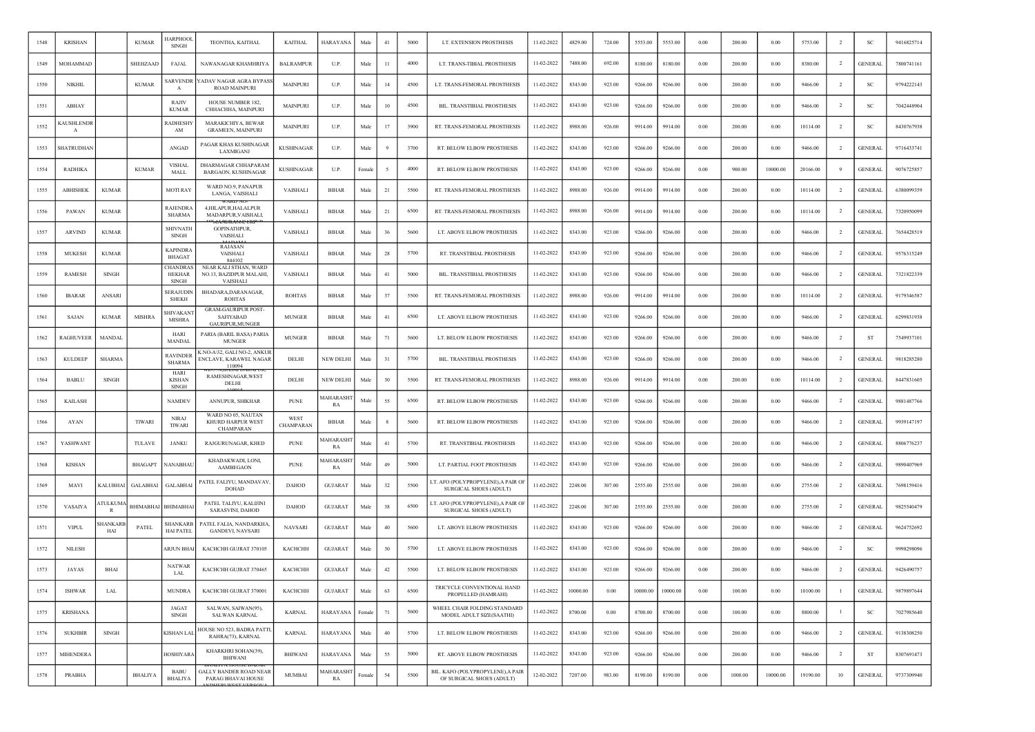| 1548 | <b>KRISHAN</b>                      |                                | <b>KUMAR</b>    | IARPHOO<br><b>SINGH</b>                          | TEONTHA, KAITHAL                                                                | <b>KAITHAL</b>    | <b>HARAYANA</b>       | Male   | 41  | 5000 | LT. EXTENSION PROSTHESIS                                       | 11-02-2022 | 4829.00  | 724.00 | 5553.00  | 5553.00  | 0.00       | 200.00  | 0.00     | 5753.00  | $\overline{2}$ | <b>SC</b>      | 9416825714 |
|------|-------------------------------------|--------------------------------|-----------------|--------------------------------------------------|---------------------------------------------------------------------------------|-------------------|-----------------------|--------|-----|------|----------------------------------------------------------------|------------|----------|--------|----------|----------|------------|---------|----------|----------|----------------|----------------|------------|
| 1549 | MOHAMMAD                            |                                | SHEHZAAD        | <b>FAJAL</b>                                     | NAWANAGAR KHAMHRIYA                                                             | <b>BALRAMPUR</b>  | U.P.                  | Male   | -11 | 4000 | LT. TRANS-TIBIAL PROSTHESIS                                    | 11-02-2022 | 7488.00  | 692.00 | 8180.00  | 8180.00  | 0.00       | 200.00  | 0.00     | 8380.00  | $\overline{2}$ | <b>GENERAL</b> | 7800741161 |
| 1550 | <b>NIKHIL</b>                       |                                | <b>KUMAR</b>    | SARVENDR<br>$\mathbf{A}$                         | YADAV NAGAR AGRA BYPAS:<br><b>ROAD MAINPURI</b>                                 | <b>MAINPURI</b>   | U.P.                  | Male   | 14  | 4500 | LT. TRANS-FEMORAL PROSTHESIS                                   | 11-02-2022 | 8343.00  | 923.00 | 9266.00  | 9266.00  | 0.00       | 200.00  | 0.00     | 9466.00  | $\overline{2}$ | <b>SC</b>      | 9794222143 |
| 1551 | ABHAY                               |                                |                 | RAJIV<br><b>KUMAR</b>                            | HOUSE NUMBER 182,<br>CHHACHHA, MAINPURI                                         | MAINPURI          | U.P.                  | Male   | 10  | 4500 | BIL. TRANSTIBIAL PROSTHESIS                                    | 11-02-2022 | 8343.00  | 923.00 | 9266.00  | 9266.00  | 0.00       | 200.00  | 0.00     | 9466.00  | $\overline{2}$ | SC             | 7042448904 |
| 1552 | <b><i><u>AUSHLENDR</u></i></b><br>A |                                |                 | <b>RADHESHY</b><br>AM                            | MARAKICHIYA, BEWAR<br><b>GRAMEEN, MAINPURI</b>                                  | <b>MAINPURI</b>   | U.P.                  | Male   | 17  | 3900 | RT. TRANS-FEMORAL PROSTHESIS                                   | 11-02-2022 | 8988.00  | 926.00 | 9914.00  | 9914.00  | 0.00       | 200.00  | 0.00     | 10114.00 |                | <sub>SC</sub>  | 8430767938 |
| 1553 | SHATRUDHAN                          |                                |                 | ANGAD                                            | PAGAR KHAS KUSHINAGAR<br>LAXMIGANJ                                              | <b>KUSHINAGAR</b> | U.P.                  | Male   |     | 3700 | RT. BELOW ELBOW PROSTHESIS                                     | 11-02-2022 | 8343.00  | 923.00 | 9266.00  | 9266.00  | 0.00       | 200.00  | 0.00     | 9466.00  | $\overline{2}$ | <b>GENERAL</b> | 9716433741 |
| 1554 | <b>RADHIKA</b>                      |                                | <b>KUMAR</b>    | <b>VISHAL</b><br>MALL                            | DHARMAGAR CHHAPARAM<br>BARGAON, KUSHINAGAR                                      | <b>KUSHINAGAR</b> | U.P.                  | Female |     | 4000 | RT. BELOW ELBOW PROSTHESIS                                     | 11-02-2022 | 8343.00  | 923.00 | 9266.00  | 9266.00  | 0.00       | 900.00  | 10000.00 | 20166.00 | 9              | <b>GENERAL</b> | 9076725857 |
| 1555 | <b>ABHISHEK</b>                     | <b>KUMAR</b>                   |                 | <b>MOTIRAY</b>                                   | WARD NO.9, PANAPUR<br>LANGA, VAISHALI                                           | VAISHALI          | <b>BIHAR</b>          | Male   | 21  | 5500 | RT. TRANS-FEMORAL PROSTHESIS                                   | 11-02-2022 | 8988.00  | 926.00 | 9914.00  | 9914.00  | 0.00       | 200.00  | 0.00     | 10114.00 | $\overline{2}$ | <b>GENERAL</b> | 6380099359 |
| 1556 | PAWAN                               | <b>KUMAR</b>                   |                 | RAJENDRA<br><b>SHARMA</b>                        | 4,HILAPUR,HALALPUR<br>MADARPUR, VAISHALI,                                       | VAISHALI          | <b>BIHAR</b>          | Male   | 21  | 6500 | RT. TRANS-FEMORAL PROSTHESIS                                   | 11-02-2022 | 8988.00  | 926.00 | 9914.00  | 9914.00  | 0.00       | 200.00  | 0.00     | 10114.00 | $\overline{2}$ | <b>GENERAL</b> | 7320950099 |
| 1557 | <b>ARVIND</b>                       | <b>KUMAR</b>                   |                 | <b>SHIVNATH</b><br>SINGH                         | <b>GOPINATHPUR</b><br>VAISHALI                                                  | VAISHALI          | BIHAR                 | Male   | 36  | 5600 | LT. ABOVE ELBOW PROSTHESIS                                     | 11-02-2022 | 8343.00  | 923.00 | 9266.00  | 9266.00  | 0.00       | 200.00  | 0.00     | 9466.00  | $\overline{2}$ | <b>GENERAL</b> | 7654428519 |
| 1558 | <b>MUKESH</b>                       | <b>KUMAR</b>                   |                 | KAPINDRA<br>BHAGAT                               | RAJASAN<br>VAISHALI<br>844102                                                   | VAISHALI          | <b>BIHAR</b>          | Male   | 28  | 5700 | RT. TRANSTIBIAL PROSTHESIS                                     | 11-02-2022 | 8343.00  | 923.00 | 9266.00  | 9266.00  | 0.00       | 200.00  | 0.00     | 9466.00  | $\overline{2}$ | <b>GENERAL</b> | 9576315249 |
| 1559 | <b>RAMESH</b>                       | SINGH                          |                 | <b>CHANDRAS</b><br><b>HEKHAR</b><br><b>SINGH</b> | NEAR KALI STHAN, WARD<br>NO.13, BAZIDPUR MALAHI<br><b>VAISHALI</b>              | VAISHALI          | <b>BIHAR</b>          | Male   | 41  | 5000 | BIL. TRANSTIBIAL PROSTHESIS                                    | 11-02-2022 | 8343.00  | 923.00 | 9266.00  | 9266.00  | 0.00       | 200.00  | 0.00     | 9466.00  | $\overline{2}$ | <b>GENERAL</b> | 7321822339 |
| 1560 | <b>IBARAR</b>                       | ANSARI                         |                 | SERAJUDIN<br><b>SHEKH</b>                        | BHADARA, DARANAGAR,<br><b>ROHTAS</b>                                            | <b>ROHTAS</b>     | <b>BIHAR</b>          | Male   | 37  | 5500 | RT. TRANS-FEMORAL PROSTHESIS                                   | 11-02-2022 | 8988.00  | 926.00 | 9914.00  | 9914.00  | 0.00       | 200.00  | 0.00     | 10114.00 | $\overline{2}$ | <b>GENERAL</b> | 9179346587 |
| 1561 | SAJAN                               | <b>KUMAR</b>                   | <b>MISHRA</b>   | <b>SHIVAKAN</b><br><b>MISHRA</b>                 | <b>GRAM-GAURIPUR POST-</b><br><b>SAFIYABAD</b><br>GAURIPUR, MUNGER              | <b>MUNGER</b>     | <b>BIHAR</b>          | Male   | 41  | 6500 | LT. ABOVE ELBOW PROSTHESIS                                     | 11-02-2022 | 8343.00  | 923.00 | 9266.00  | 9266.00  | 0.00       | 200.00  | 0.00     | 9466.00  | <sup>2</sup>   | <b>GENERAL</b> | 6299831938 |
| 1562 | RAGHUVEER                           | MANDAI                         |                 | HARI<br>MANDAI                                   | PARIA (BARIL BASA) PARIA<br><b>MUNGER</b>                                       | <b>MUNGER</b>     | BIHAR                 | Male   | 71  | 5600 | LT. BELOW ELBOW PROSTHESIS                                     | 11-02-2022 | 8343.00  | 923.00 | 9266.00  | 9266.00  | 0.00       | 200.00  | 0.00     | 9466.00  | $\overline{2}$ | ST             | 7549937101 |
| 1563 | <b>KULDEEP</b>                      | <b>SHARMA</b>                  |                 | <b>RAVINDER</b><br><b>SHARMA</b>                 | <b>CNO-A\32, GALI NO-2, ANKUF</b><br><b>ENCLAVE, KARAWEL NAGAR</b><br>110094    | DELHI             | <b>NEW DELHI</b>      | Male   | 31  | 5700 | BIL. TRANSTIBIAL PROSTHESIS                                    | 11-02-2022 | 8343.00  | 923.00 | 9266.00  | 9266.00  | 0.00       | 200.00  | 0.00     | 9466.00  | $\overline{2}$ | <b>GENERAL</b> | 9818285280 |
| 1564 | <b>BABLU</b>                        | <b>SINGH</b>                   |                 | HARI<br><b>KISHAN</b><br><b>SINGH</b>            | DASAI L<br>RAMESHNAGAR, WEST<br>DELHI                                           | DELHI             | <b>NEW DELHI</b>      | Male   | 30  | 5500 | RT. TRANS-FEMORAL PROSTHESIS                                   | 11-02-2022 | 8988.00  | 926.00 | 9914.00  | 9914.00  | 0.00       | 200.00  | 0.00     | 10114.00 | $\overline{2}$ | <b>GENERAL</b> | 8447831605 |
| 1565 | <b>KAILASH</b>                      |                                |                 | <b>NAMDEV</b>                                    | ANNUPUR, SHIKHAR                                                                | <b>PUNE</b>       | MAHARASHT<br>RA       | Male   | 55  | 6500 | RT. BELOW ELBOW PROSTHESIS                                     | 11-02-2022 | 8343.00  | 923.00 | 9266.00  | 9266.00  | 0.00       | 200.00  | 0.00     | 9466.00  | $\overline{2}$ | <b>GENERAL</b> | 9881487766 |
| 1566 | AYAN                                |                                | <b>TIWARI</b>   | <b>NIRAJ</b><br><b>TIWARI</b>                    | WARD NO 05, NAUTAN<br>KHURD HARPUR WEST<br>CHAMPARAN                            | WEST<br>CHAMPARAN | <b>BIHAR</b>          | Male   |     | 5600 | RT. BELOW ELBOW PROSTHESIS                                     | 11-02-2022 | 8343.00  | 923.00 | 9266.00  | 9266.00  | 0.00       | 200.00  | 0.00     | 9466.00  | $\overline{2}$ | <b>GENERAL</b> | 9939147197 |
| 1567 | YASHWANT                            |                                | TULAVE          | JANKU                                            | RAJGURUNAGAR, KHED                                                              | <b>PUNE</b>       | MAHARASH<br>RA        | Male   | 41  | 5700 | RT. TRANSTIBIAL PROSTHESIS                                     | 11-02-2022 | 8343.00  | 923.00 | 9266.00  | 9266.00  | 0.00       | 200.00  | 0.00     | 9466.00  | $\overline{2}$ | <b>GENERAL</b> | 8806776237 |
| 1568 | <b>KISHAN</b>                       |                                | <b>BHAGAPT</b>  | NANABHAL                                         | KHADAKWADI, LONI,<br><b>AAMBEGAON</b>                                           | <b>PUNE</b>       | <b>MAHARASH</b><br>RA | Male   | 49  | 5000 | LT. PARTIAL FOOT PROSTHESIS                                    | 11-02-2022 | 8343.00  | 923.00 | 9266.00  | 9266.00  | 0.00       | 200.00  | 0.00     | 9466.00  | -2             | <b>GENERAL</b> | 9890407969 |
| 1569 | MAVI                                | KALUBHAI                       | <b>GALABHAI</b> | <b>GALABHAI</b>                                  | PATEL FALIYU, MANDAVAV<br><b>DOHAD</b>                                          | <b>DAHOD</b>      | <b>GUJARAT</b>        | Male   | 32  | 5500 | LT. AFO (POLYPROPYLENE), A PAIR OF<br>SURGICAL SHOES (ADULT)   | 11-02-2022 | 2248.00  | 307.00 | 2555.00  | 2555.00  | 0.00       | 200.00  | 0.00     | 2755.00  | $\overline{2}$ | <b>GENERAL</b> | 7698159416 |
| 1570 | VASAIYA                             | <b>ATULKUM</b><br>$\mathbb{R}$ | BHIMABHAI       | <b>BHIMABHA</b>                                  | PATEL TALIYU, KALIJINI<br>SARASVINI, DAHOD                                      | <b>DAHOD</b>      | <b>GUJARAT</b>        | Male   | 38  | 6500 | LT. AFO (POLYPROPYLENE), A PAIR OF<br>SURGICAL SHOES (ADULT)   | 11-02-2022 | 2248.00  | 307.00 | 2555.00  | 2555.00  | 0.00       | 200.00  | 0.00     | 2755.00  | $\overline{2}$ | <b>GENERAL</b> | 9825540479 |
| 1571 | <b>VIPUL</b>                        | SHANKARI<br>HAI                | PATEL           | SHANKARE<br><b>HAI PATEL</b>                     | PATEL FALIA, NANDARKHA,<br>GANDEVI, NAVSARI                                     | <b>NAVSARI</b>    | <b>GUJARAT</b>        | Male   | 40  | 5600 | LT. ABOVE ELBOW PROSTHESIS                                     | 11-02-2022 | 8343.00  | 923.00 | 9266.00  | 9266.00  | 0.00       | 200.00  | 0.00     | 9466.00  | $\overline{2}$ | <b>GENERAL</b> | 9624752692 |
| 1572 | <b>NILESH</b>                       |                                |                 | ARJUN BHAI                                       | KACHCHH GUJRAT 370105                                                           | КАСНСНН           | <b>GUJARAT</b>        | Male   | 30  | 5700 | LT. ABOVE ELBOW PROSTHESIS                                     | 11-02-2022 | 8343.00  | 923.00 | 9266.00  | 9266.00  | 0.00       | 200.00  | 0.00     | 9466.00  | $\overline{2}$ | <sub>SC</sub>  | 9998298096 |
| 1573 | JAYAS                               | <b>BHAI</b>                    |                 | <b>NATWAR</b><br>LAL                             | KACHCHH GUJRAT 370465                                                           | <b>KACHCHH</b>    | <b>GUJARAT</b>        | Male   | 42  | 5500 | LT. BELOW ELBOW PROSTHESIS                                     | 11-02-2022 | 8343.00  | 923.00 | 9266.00  | 9266.00  | 0.00       | 200.00  | 0.00     | 9466.00  | $\overline{2}$ | <b>GENERAL</b> | 9426490757 |
| 1574 | <b>ISHWAR</b>                       | LAL                            |                 | <b>MUNDRA</b>                                    | KACHCHH GUJRAT 370001                                                           | КАСНСНН           | <b>GUJARAT</b>        | Male   | 63  | 6500 | TRICYCLE CONVENTIONAL HAND<br>PROPELLED (HAMRAHI)              | 11-02-2022 | 10000.00 | 0.00   | 10000.00 | 10000.00 | $\rm 0.00$ | 100.00  | 0.00     | 10100.00 |                | <b>GENERAL</b> | 9879897644 |
| 1575 | <b>KRISHANA</b>                     |                                |                 | JAGAT<br>SINGH                                   | SALWAN, SAIWAN(95),<br><b>SALWAN KARNAL</b>                                     | <b>KARNAL</b>     | <b>HARAYANA</b>       | Female | 71  | 5600 | WHEEL CHAIR FOLDING STANDARD<br>MODEL ADULT SIZE(SAATHI)       | 11-02-2022 | 8700.00  | 0.00   | 8700.00  | 8700.00  | 0.00       | 100.00  | 0.00     | 8800.00  | -1             | SC             | 7027985640 |
| 1576 | <b>SUKHBIR</b>                      | <b>SINGH</b>                   |                 | <b>KISHAN LAL</b>                                | <b>IOUSE NO 523, BADRA PATTI</b><br>RAHRA(73), KARNAL                           | <b>KARNAL</b>     | HARAYANA              | Male   | 40  | 5700 | LT. BELOW ELBOW PROSTHESIS                                     | 11-02-2022 | 8343.00  | 923.00 | 9266.00  | 9266.00  | 0.00       | 200.00  | 0.00     | 9466.00  | $\overline{2}$ | <b>GENERAL</b> | 9138308250 |
| 1577 | <b>MIHENDERA</b>                    |                                |                 | <b>HOSHIYARA</b>                                 | KHARKHRI SOHAN(39),<br><b>BHIWANI</b>                                           | <b>BHIWANI</b>    | <b>HARAYANA</b>       | Male   | 55  | 5000 | RT. ABOVE ELBOW PROSTHESIS                                     | 11-02-2022 | 8343.00  | 923.00 | 9266.00  | 9266.00  | 0.00       | 200.00  | 0.00     | 9466.00  | $\overline{2}$ | ST             | 8307691473 |
| 1578 | PRABHA                              |                                | BHALIYA         | <b>BABU</b><br><b>BHALIYA</b>                    | <b>HALITA HOUSE BAZA</b><br><b>GALLY BANDER ROAD NEAR</b><br>PARAG BHAVAI HOUSE | MUMBAI            | MAHARASHT<br>RA       | Female | 54  | 5500 | BIL. KAFO (POLYPROPYLENE), A PAIR<br>OF SURGICAL SHOES (ADULT) | 12-02-2022 | 7207.00  | 983.00 | 8190.00  | 8190.00  | 0.00       | 1000.00 | 10000.00 | 19190.00 | 10             | <b>GENERAL</b> | 9737309940 |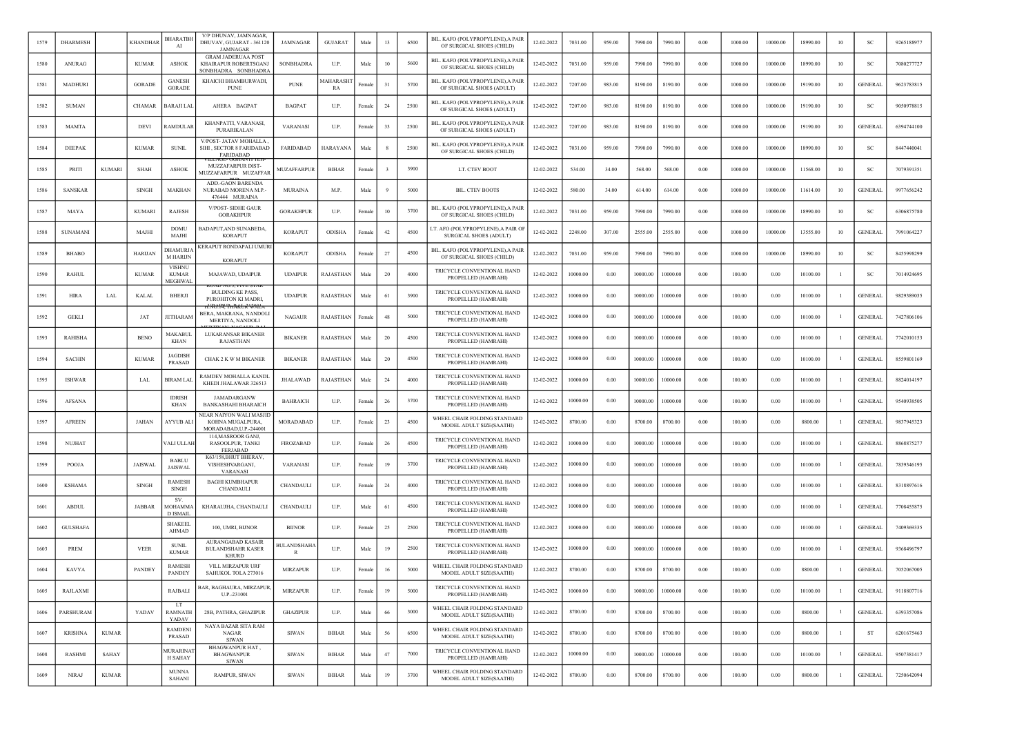|      | <b>DHARMESH</b> |               | <b>KHANDHAI</b> | BHARATBH<br>AI                           | V/P DHUNAV, JAMNAGAR<br>DHUVAV, GUJARAT - 361120<br><b>JAMNAGAR</b>          | <b>JAMNAGAR</b>                   | <b>GUJARAT</b>         | Male   | 13 | 6500 | BIL. KAFO (POLYPROPYLENE), A PAIR<br>OF SURGICAL SHOES (CHILD)    | 12-02-2022 | 7031.00  | 959.00 | 7990.00  | 7990.00  | 0.00 | 1000.00 | 10000.00 | 18990.00 | 10             | <sub>SC</sub>  | 9265188977 |
|------|-----------------|---------------|-----------------|------------------------------------------|------------------------------------------------------------------------------|-----------------------------------|------------------------|--------|----|------|-------------------------------------------------------------------|------------|----------|--------|----------|----------|------|---------|----------|----------|----------------|----------------|------------|
| 1580 | ANURAG          |               | <b>KUMAR</b>    | <b>ASHOK</b>                             | <b>GRAM JADERUAA POST</b><br>KHAIRAPUR ROBERTSGANJ<br>SONBHADRA SONBHADRA    | SONBHADRA                         | U.P.                   | Male   | 10 | 5600 | BIL. KAFO (POLYPROPYLENE), A PAIR<br>OF SURGICAL SHOES (CHILD)    | 12-02-2022 | 7031.00  | 959.00 | 7990.00  | 7990.00  | 0.00 | 1000.00 | 10000.00 | 18990.00 | 10             | SC             | 7080277727 |
| 1581 | MADHURI         |               | <b>GORADE</b>   | <b>GANESH</b><br><b>GORADE</b>           | KHAICHI BHAMBURWADI<br><b>PUNE</b>                                           | <b>PUNE</b>                       | <b>AAHARASHT</b><br>RA | Female | 31 | 5700 | BIL. KAFO (POLYPROPYLENE), A PAIR<br>OF SURGICAL SHOES (ADULT)    | 12-02-2022 | 7207.00  | 983.00 | 8190.00  | 8190.00  | 0.00 | 1000.00 | 10000.00 | 19190.00 | 10             | <b>GENERAL</b> | 9623783815 |
| 1582 | <b>SUMAN</b>    |               | <b>CHAMAR</b>   | BARAJI LAL                               | AHERA BAGPAT                                                                 | <b>BAGPAT</b>                     | U.P.                   | Female | 24 | 2500 | BIL. KAFO (POLYPROPYLENE),A PAIR<br>OF SURGICAL SHOES (ADULT)     | 12-02-2022 | 7207.00  | 983.00 | 8190.00  | 8190.00  | 0.00 | 1000.00 | 10000.00 | 19190.00 | 10             | -SC            | 9050978815 |
| 1583 | <b>MAMTA</b>    |               | DEVI            | RAMDULAR                                 | KHANPATTI, VARANASI,<br>PURARIKALAN                                          | <b>VARANASI</b>                   | U.P.                   | Female | 33 | 2500 | BIL. KAFO (POLYPROPYLENE), A PAIR<br>OF SURGICAL SHOES (ADULT)    | 12-02-2022 | 7207.00  | 983.00 | 8190.00  | 8190.00  | 0.00 | 1000.00 | 10000.00 | 19190.00 | 10             | <b>GENERAL</b> | 6394744100 |
| 1584 | <b>DEEPAK</b>   |               | <b>KUMAR</b>    | <b>SUNIL</b>                             | V/POST- JATAV MOHALLA,<br>SIHI, SECTOR 8 FARIDABAD<br><b>FARIDARAD</b>       | <b>FARIDABAD</b>                  | HARAYANA               | Male   |    | 2500 | BIL. KAFO (POLYPROPYLENE), A PAIR<br>OF SURGICAL SHOES (CHILD)    | 12-02-2022 | 7031.00  | 959.00 | 7990.00  | 7990.00  | 0.00 | 1000.00 | 10000.00 | 18990.00 | 10             | -SC            | 8447440041 |
| 1585 | PRIT            | <b>KUMARI</b> | SHAH            | <b>ASHOK</b>                             | MUZZAFARPUR DIST-<br>MUZZAFARPUR MUZAFFAR                                    | MUZAFFARPUR                       | <b>BIHAR</b>           | Femal  |    | 3900 | LT. CTEV BOOT                                                     | 12-02-2022 | 534.00   | 34.00  | 568.00   | 568.00   | 0.00 | 1000.00 | 10000.00 | 11568.00 | 10             | SC             | 7079391351 |
| 1586 | <b>SANSKAR</b>  |               | <b>SINGH</b>    | MAKHAN                                   | ADD.-GAON BARENDA<br>NURABAD MORENA M.P.-<br>476444 MURAINA                  | <b>MURAINA</b>                    | M.P.                   | Male   |    | 5000 | <b>BIL. CTEV BOOTS</b>                                            | 12-02-2022 | 580.00   | 34.00  | 614.00   | 614.00   | 0.00 | 1000.00 | 10000.00 | 11614.00 | 10             | <b>GENERAL</b> | 9977656242 |
| 1587 | MAYA            |               | <b>KUMARI</b>   | RAJESH                                   | V/POST- SIDHE GAUR<br><b>GORAKHPUR</b>                                       | <b>GORAKHPUR</b>                  | U.P.                   | Femal  | 10 | 3700 | BIL. KAFO (POLYPROPYLENE), A PAIR<br>OF SURGICAL SHOES (CHILD)    | 12-02-2022 | 7031.00  | 959.00 | 7990.00  | 7990.00  | 0.00 | 1000.00 | 10000.00 | 18990.00 | 10             | <sub>SC</sub>  | 6306875780 |
| 1588 | SUNAMANI        |               | MAJHI           | <b>DOMU</b><br>MAJHI                     | BADAPUT, AND SUNABEDA,<br><b>KORAPUT</b>                                     | <b>KORAPUT</b>                    | <b>ODISHA</b>          | Female | 42 | 4500 | LT. AFO (POLYPROPYLENE),A PAIR O<br><b>SURGICAL SHOES (ADULT)</b> | 12-02-2022 | 2248.00  | 307.00 | 2555.00  | 2555.00  | 0.00 | 1000.00 | 10000.00 | 13555.00 | 10             | <b>GENERAL</b> | 7991064227 |
| 1589 | <b>BHABO</b>    |               | <b>HARIJAN</b>  | <b>DHAMURJA</b><br><b>M HARIJN</b>       | KERAPUT RONDAPALI UMURI<br><b>KORAPUT</b>                                    | <b>KORAPUT</b>                    | ODISHA                 | Female | 27 | 4500 | BIL. KAFO (POLYPROPYLENE), A PAIR<br>OF SURGICAL SHOES (CHILD)    | 12-02-2022 | 7031.00  | 959.00 | 7990.00  | 7990.00  | 0.00 | 1000.00 | 10000.00 | 18990.00 | 10             | <sub>SC</sub>  | 8455998299 |
| 1590 | <b>RAHUL</b>    |               | <b>KUMAR</b>    | <b>VISHNU</b><br><b>KUMAR</b><br>MEGHWAI | MAJAWAD, UDAIPUR                                                             | <b>UDAIPUR</b>                    | RAJASTHAN              | Male   | 20 | 4000 | TRICYCLE CONVENTIONAL HAND<br>PROPELLED (HAMRAHI)                 | 12-02-2022 | 10000.00 | 0.00   | 10000.00 | 10000.00 | 0.00 | 100.00  | 0.00     | 10100.00 |                | <sub>SC</sub>  | 7014924695 |
| 1591 | <b>HIRA</b>     | LAL           | <b>KALAL</b>    | <b>BHERJI</b>                            | NU.3, FIVE STA<br><b>BULDING KE PASS,</b><br>PUROHITON KI MADRI,             | <b>UDAIPUR</b>                    | RAJASTHAN              | Male   | 61 | 3900 | TRICYCLE CONVENTIONAL HAND<br>PROPELLED (HAMRAHI)                 | 12-02-2022 | 10000.00 | 0.00   | 10000.00 | 10000.00 | 0.00 | 100.00  | 0.00     | 10100.00 |                | <b>GENERAL</b> | 9829389035 |
| 1592 | <b>GEKLI</b>    |               | JAT             | <b>JETHARAM</b>                          | BERA, MAKRANA, NANDOL<br>MERTIYA, NANDOLI                                    | <b>NAGAUR</b>                     | RAJASTHAN              | Femal  | 48 | 5000 | TRICYCLE CONVENTIONAL HAND<br>PROPELLED (HAMRAHI)                 | 12-02-2022 | 10000.00 | 0.00   | 10000.00 | 10000.00 | 0.00 | 100.00  | 0.00     | 10100.00 |                | <b>GENERAL</b> | 7427806106 |
| 1593 | <b>RAHISHA</b>  |               | <b>BENO</b>     | MAKABUI<br>KHAN                          | LUKARANSAR BIKANER<br>RAJASTHAN                                              | <b>BIKANER</b>                    | RAJASTHAN              | Male   | 20 | 4500 | TRICYCLE CONVENTIONAL HAND<br>PROPELLED (HAMRAHI)                 | 12-02-2022 | 10000.00 | 0.00   | 10000.00 | 10000.00 | 0.00 | 100.00  | 0.00     | 10100.00 | -1             | <b>GENERAL</b> | 7742010153 |
| 1594 | <b>SACHIN</b>   |               | <b>KUMAR</b>    | JAGDISH<br>PRASAD                        | CHAK 2 K W M BIKANER                                                         | <b>BIKANER</b>                    | RAJASTHAN              | Male   | 20 | 4500 | TRICYCLE CONVENTIONAL HAND<br>PROPELLED (HAMRAHI)                 | 12-02-2022 | 10000.00 | 0.00   | 10000.00 | 10000.00 | 0.00 | 100.00  | 0.00     | 10100.00 |                | <b>GENERAL</b> | 8559801169 |
| 1595 | <b>ISHWAR</b>   |               | LAI             | BIRAM LAL                                | RAMDEV MOHALLA KANDL<br>KHEDI JHALAWAR 326513                                | JHALAWAD                          | RAJASTHAN              | Male   | 24 | 4000 | TRICYCLE CONVENTIONAL HAND<br>PROPELLED (HAMRAHI)                 | 12-02-2022 | 10000.00 | 0.00   | 10000.00 | 10000.00 | 0.00 | 100.00  | 0.00     | 10100.00 |                | <b>GENERAL</b> | 8824014197 |
| 1596 | <b>AFSANA</b>   |               |                 | <b>IDRISH</b><br>KHAN                    | JAMADARGANW<br><b>BANKASHAHI BHARAICH</b>                                    | <b>BAHRAICH</b>                   | U.P.                   | Female | 26 | 3700 | TRICYCLE CONVENTIONAL HAND<br>PROPELLED (HAMRAHI)                 | 12-02-2022 | 10000.00 | 0.00   | 10000.00 | 10000.00 | 0.00 | 100.00  | 0.00     | 10100.00 |                | <b>GENERAL</b> | 9540938505 |
| 1597 | <b>AFREEN</b>   |               | JAHAN           | AYYUB ALI                                | <b>NEAR NAIYON WALI MASJID</b><br>KOHNA MUGALPURA,<br>MORADABAD, U.P.-244001 | MORADABAD                         | U.P.                   | Female | 23 | 4500 | WHEEL CHAIR FOLDING STANDARD<br>MODEL ADULT SIZE(SAATHI)          | 12-02-2022 | 8700.00  | 0.00   | 8700.00  | 8700.00  | 0.00 | 100.00  | 0.00     | 8800.00  |                | GENERAI        | 9837945323 |
| 1598 | <b>NUJHAT</b>   |               |                 | /ALI ULLAH                               | 114, MASROOR GANJ,<br>RASOOLPUR, TANKI<br><b>FERJABAD</b>                    | <b>FIROZABAD</b>                  | U.P.                   | Femal  | 26 | 4500 | TRICYCLE CONVENTIONAL HAND<br>PROPELLED (HAMRAHI)                 | 12-02-2022 | 10000.00 | 0.00   | 10000.00 | 10000.00 | 0.00 | 100.00  | 0.00     | 10100.00 |                | <b>GENERAL</b> | 8868875277 |
| 1599 | <b>POOJA</b>    |               | <b>JAISWAL</b>  | <b>BABLU</b><br><b>JAISWAL</b>           | K63/158, BHUT BHERAV,<br><b>VISHESHVARGANJ</b><br><b>VARANAS</b>             | VARANASI                          | U.P.                   | Female | 19 | 3700 | TRICYCLE CONVENTIONAL HAND<br>PROPELLED (HAMRAHI)                 | 12-02-2022 | 10000.00 | 0.00   | 10000.00 | 10000.00 | 0.00 | 100.00  | 0.00     | 10100.00 |                | <b>GENERAL</b> | 7839346195 |
| 1600 | <b>KSHAMA</b>   |               | <b>SINGH</b>    | <b>RAMESH</b><br><b>SINGH</b>            | <b>BAGHI KUMBHAPUR</b><br>CHANDAULI                                          | CHANDAULI                         | U.P.                   | Female | 24 | 4000 | TRICYCLE CONVENTIONAL HAND<br>PROPELLED (HAMRAHI)                 | 12-02-2022 | 10000.00 | 0.00   | 10000.00 | 10000.00 | 0.00 | 100.00  | 0.00     | 10100.00 | -1             | <b>GENERAL</b> | 8318897616 |
| 1601 | <b>ABDUL</b>    |               | <b>JABBAR</b>   | SV.<br><b>MOHAMMA</b><br><b>D ISMAIL</b> | KHARAUJHA, CHANDAULI                                                         | <b>CHANDAULI</b>                  | U.P.                   | Male   | 61 | 4500 | TRICYCLE CONVENTIONAL HAND<br>PROPELLED (HAMRAHI)                 | 12-02-2022 | 10000.00 | 0.00   | 10000.00 | 10000.00 | 0.00 | 100.00  | 0.00     | 10100.00 |                | <b>GENERAL</b> | 7708455875 |
| 1602 | <b>GULSHAFA</b> |               |                 | <b>SHAKEEL</b><br><b>AHMAD</b>           | 100, UMRI, BIJNOR                                                            | <b>BUNOR</b>                      | U.P.                   | Female | 25 | 2500 | TRICYCLE CONVENTIONAL HAND<br>PROPELLED (HAMRAHI)                 | 12-02-2022 | 10000.00 | 0.00   | 10000.00 | 10000.00 | 0.00 | 100.00  | 0.00     | 10100.00 |                | <b>GENERAL</b> | 7409369335 |
| 1603 | PREM            |               | <b>VEER</b>     | <b>SUNIL</b><br><b>KUMAR</b>             | <b>AURANGABAD KASAIR</b><br><b>BULANDSHAHR KASER</b><br><b>KHURD</b>         | <b>BULANDSHAH</b><br>$\mathbb{R}$ | U.P.                   | Male   | 19 | 2500 | TRICYCLE CONVENTIONAL HAND<br>PROPELLED (HAMRAHI)                 | 12-02-2022 | 10000.00 | 0.00   | 10000.00 | 10000.00 | 0.00 | 100.00  | 0.00     | 10100.00 |                | <b>GENERAL</b> | 9368496797 |
| 1604 | <b>KAVYA</b>    |               | <b>PANDEY</b>   | <b>RAMESH</b><br><b>PANDEY</b>           | <b>VILL MIRZAPUR URF</b><br>SAHUKOL TOLA 273016                              | <b>MIRZAPUR</b>                   | U.P.                   | Female | 16 | 5000 | WHEEL CHAIR FOLDING STANDARD<br>MODEL ADULT SIZE(SAATHI)          | 12-02-2022 | 8700.00  | 0.00   | 8700.00  | 8700.00  | 0.00 | 100.00  | 0.00     | 8800.00  |                | <b>GENERAL</b> | 7052067005 |
| 1605 | RAJLAXMI        |               |                 | <b>RAJBALI</b>                           | BAR, BAGHAURA, MIRZAPUR,<br>U.P.-231001                                      | <b>MIRZAPUR</b>                   | U.P.                   | Female | 19 | 5000 | TRICYCLE CONVENTIONAL HAND<br>PROPELLED (HAMRAHI)                 | 12-02-2022 | 10000.00 | 0.00   | 10000.00 | 10000.00 | 0.00 | 100.00  | 0.00     | 10100.00 |                | <b>GENERAL</b> | 9118807716 |
| 1606 | PARSHURAM       |               | YADAV           | LT<br><b>RAMNATH</b><br>YADAV            | 28B, PATHRA, GHAZIPUR                                                        | <b>GHAZIPUR</b>                   | U.P.                   | Male   | 66 | 3000 | WHEEL CHAIR FOLDING STANDARD<br>MODEL ADULT SIZE(SAATHI)          | 12-02-2022 | 8700.00  | 0.00   | 8700.00  | 8700.00  | 0.00 | 100.00  | 0.00     | 8800.00  | $\overline{1}$ | <b>GENERAL</b> | 6393357086 |
| 1607 | <b>KRISHNA</b>  | <b>KUMAR</b>  |                 | <b>RAMDENI</b><br>PRASAD                 | NAYA BAZAR SITA RAM<br>NAGAR<br><b>SIWAN</b>                                 | <b>SIWAN</b>                      | <b>BIHAR</b>           | Male   | 56 | 6500 | WHEEL CHAIR FOLDING STANDARD<br>MODEL ADULT SIZE(SAATHI)          | 12-02-2022 | 8700.00  | 0.00   | 8700.00  | 8700.00  | 0.00 | 100.00  | 0.00     | 8800.00  | -1             | ST             | 6201675463 |
| 1608 | <b>RASHMI</b>   | SAHAY         |                 | <b>MURARINAT</b><br><b>H SAHAY</b>       | <b>BHAGWANPUR HAT.</b><br><b>BHAGWANPUR</b><br><b>SIWAN</b>                  | <b>SIWAN</b>                      | <b>BIHAR</b>           | Male   | 47 | 7000 | TRICYCLE CONVENTIONAL HAND<br>PROPELLED (HAMRAHI)                 | 12-02-2022 | 10000.00 | 0.00   | 10000.00 | 10000.00 | 0.00 | 100.00  | 0.00     | 10100.00 | -1             | <b>GENERAL</b> | 9507381417 |
| 1609 | <b>NIRAJ</b>    | <b>KUMAR</b>  |                 | <b>MUNNA</b><br><b>SAHANI</b>            | RAMPUR, SIWAN                                                                | <b>SIWAN</b>                      | BIHAR                  | Male   | 19 | 3700 | WHEEL CHAIR FOLDING STANDARD<br>MODEL ADULT SIZE(SAATHI)          | 12-02-2022 | 8700.00  | 0.00   | 8700.00  | 8700.00  | 0.00 | 100.00  | 0.00     | 8800.00  | $\mathbf{1}$   | <b>GENERAL</b> | 7250642094 |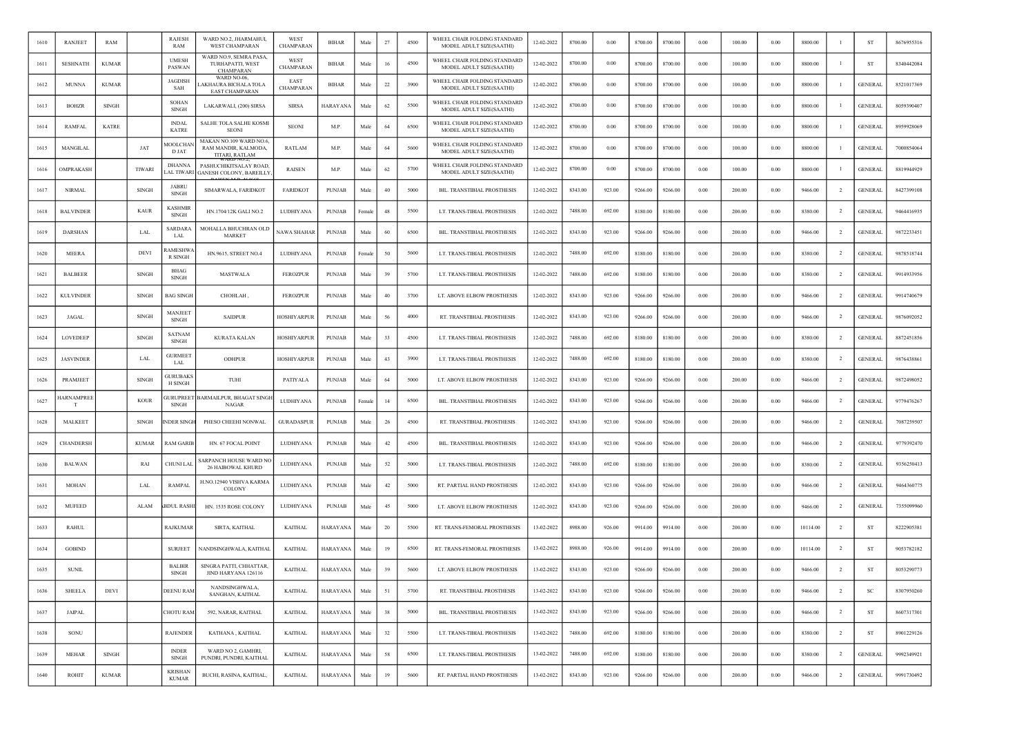| 1610 | RANJEET          | <b>RAM</b>   |               | RAJESH<br>RAM                     | WARD NO.2, JHARMAHUI,<br><b>WEST CHAMPARAN</b>                           | WEST<br>CHAMPARAN        | <b>BIHAR</b>    | Male       | 27 | 4500 | WHEEL CHAIR FOLDING STANDARD<br>MODEL ADULT SIZE(SAATHI) | 12-02-2022 | 8700.00 | 0.00   | 8700.00 | 8700.00 | 0.00       | 100.00 | 0.00     | 8800.00  |                | <b>ST</b>      | 8676955316 |
|------|------------------|--------------|---------------|-----------------------------------|--------------------------------------------------------------------------|--------------------------|-----------------|------------|----|------|----------------------------------------------------------|------------|---------|--------|---------|---------|------------|--------|----------|----------|----------------|----------------|------------|
| 1611 | <b>SESHNATH</b>  | <b>KUMAR</b> |               | <b>UMESH</b><br>PASWAN            | WARD NO.9, SEMRA PASA,<br>TURHAPATTI, WEST<br><b>CHAMPARAN</b>           | WEST<br>CHAMPARAN        | <b>BIHAR</b>    | Male       | 16 | 4500 | WHEEL CHAIR FOLDING STANDARD<br>MODEL ADULT SIZE(SAATHI) | 12-02-2022 | 8700.00 | 0.00   | 8700.00 | 8700.00 | 0.00       | 100.00 | 0.00     | 8800.00  |                | ST             | 8340442084 |
| 1612 | <b>MUNNA</b>     | <b>KUMAR</b> |               | <b>JAGDISH</b><br>SAH             | WARD NO-06,<br>AKHAURA BICHALA TOLA<br>EAST CHAMPARAN                    | EAST<br><b>CHAMPARAN</b> | BIHAR           | Male       | 22 | 3900 | WHEEL CHAIR FOLDING STANDARD<br>MODEL ADULT SIZE(SAATHI) | 12-02-2022 | 8700.00 | 0.00   | 8700.00 | 8700.00 | 0.00       | 100.00 | 0.00     | 8800.00  |                | <b>GENERAL</b> | 8521017369 |
| 1613 | <b>BOHZR</b>     | <b>SINGH</b> |               | SOHAN<br>SINGH                    | LAKARWALI, (200) SIRSA                                                   | <b>SIRSA</b>             | <b>HARAYANA</b> | Male       | 62 | 5500 | WHEEL CHAIR FOLDING STANDARD<br>MODEL ADULT SIZE(SAATHI) | 12-02-2022 | 8700.00 | 0.00   | 8700.00 | 8700.00 | 0.00       | 100.00 | 0.00     | 8800.00  | -1             | <b>GENERAL</b> | 8059390407 |
| 1614 | <b>RAMFAL</b>    | <b>KATRE</b> |               | <b>INDAL</b><br><b>KATRE</b>      | SALHE TOLA SALHE KOSMI<br><b>SEON</b>                                    | <b>SEONI</b>             | M.P.            | Male       | 64 | 6500 | WHEEL CHAIR FOLDING STANDARD<br>MODEL ADULT SIZE(SAATHI) | 12-02-2022 | 8700.00 | 0.00   | 8700.00 | 8700.00 | 0.00       | 100.00 | 0.00     | 8800.00  |                | <b>GENERAL</b> | 8959928069 |
| 1615 | MANGILAL         |              | JAT           | <b>MOOLCHAN</b><br>D JAT          | MAKAN NO.109 WARD NO.6,<br>RAM MANDIR, KALMODA,<br><b>TITARI, RATLAM</b> | RATLAM                   | M.P.            | Male       | 64 | 5600 | WHEEL CHAIR FOLDING STANDARD<br>MODEL ADULT SIZE(SAATHI) | 12-02-2022 | 8700.00 | 0.00   | 8700.00 | 8700.00 | 0.00       | 100.00 | 0.00     | 8800.00  | - 1            | <b>GENERAL</b> | 7000854064 |
| 1616 | OMPRAKASH        |              | <b>TIWARI</b> | <b>DHANNA</b><br>AL TIWARI        | PASHUCHIKITSALAY ROAD.<br><b>GANESH COLONY, BAREILLY</b>                 | <b>RAISEN</b>            | M.P.            | Male       | 62 | 5700 | WHEEL CHAIR FOLDING STANDARD<br>MODEL ADULT SIZE(SAATHI) | 12-02-2022 | 8700.00 | 0.00   | 8700.00 | 8700.00 | 0.00       | 100.00 | 0.00     | 8800.00  |                | <b>GENERAL</b> | 8819944929 |
| 1617 | <b>NIRMAL</b>    |              | <b>SINGH</b>  | <b>JABRU</b><br><b>SINGH</b>      | SIMARWALA, FARIDKOT                                                      | <b>FARIDKOT</b>          | PUNJAB          | Male       | 40 | 5000 | BIL. TRANSTIBIAL PROSTHESIS                              | 12-02-2022 | 8343.00 | 923.00 | 9266.00 | 9266.00 | 0.00       | 200.00 | 0.00     | 9466.00  | $\overline{2}$ | <b>GENERAL</b> | 8427399108 |
| 1618 | <b>BALVINDER</b> |              | KAUR          | KASHMIR<br>SINGH                  | HN.1704/12K GALI NO.2                                                    | LUDHIYANA                | <b>PUNJAB</b>   | Female     | 48 | 5500 | LT. TRANS-TIBIAL PROSTHESIS                              | 12-02-2022 | 7488.00 | 692.00 | 8180.00 | 8180.00 | 0.00       | 200.00 | 0.00     | 8380.00  | $\overline{2}$ | <b>GENERAL</b> | 9464416935 |
| 1619 | <b>DARSHAN</b>   |              | LAL           | <b>SARDARA</b><br>LAL             | MOHALLA BHUCHRAN OLD<br><b>MARKET</b>                                    | <b>NAWA SHAHAR</b>       | PUNJAB          | Male       | 60 | 6500 | BIL. TRANSTIBIAL PROSTHESIS                              | 12-02-2022 | 8343.00 | 923.00 | 9266.00 | 9266.00 | 0.00       | 200.00 | 0.00     | 9466.00  | $\overline{2}$ | <b>GENERAL</b> | 9872233451 |
| 1620 | <b>MEERA</b>     |              | DEVI          | <b>AMESHW</b><br>R SINGH          | HN.9615, STREET NO.4                                                     | LUDHIYANA                | <b>PUNJAB</b>   | Female     | 50 | 5600 | LT. TRANS-TIBIAL PROSTHESIS                              | 12-02-2022 | 7488.00 | 692.00 | 8180.00 | 8180.00 | 0.00       | 200.00 | 0.00     | 8380.00  | $\overline{2}$ | <b>GENERAL</b> | 9878518744 |
| 1621 | <b>BALBEER</b>   |              | <b>SINGH</b>  | BHAG<br><b>SINGH</b>              | <b>MASTWALA</b>                                                          | <b>FEROZPUR</b>          | <b>PUNJAB</b>   | Male       | 39 | 5700 | LT. TRANS-TIBIAL PROSTHESIS                              | 12-02-2022 | 7488.00 | 692.00 | 8180.00 | 8180.00 | 0.00       | 200.00 | 0.00     | 8380.00  | $\overline{2}$ | <b>GENERAL</b> | 9914933956 |
| 1622 | <b>KULVINDER</b> |              | <b>SINGH</b>  | <b>BAG SINGH</b>                  | CHOHLAH,                                                                 | <b>FEROZPUR</b>          | <b>PUNJAB</b>   | Male       | 40 | 3700 | LT. ABOVE ELBOW PROSTHESIS                               | 12-02-2022 | 8343.00 | 923.00 | 9266.00 | 9266.00 | 0.00       | 200.00 | 0.00     | 9466.00  | $\overline{2}$ | <b>GENERAL</b> | 9914740679 |
| 1623 | <b>JAGAL</b>     |              | <b>SINGH</b>  | <b>MANJEET</b><br><b>SINGH</b>    | <b>SAIDPUR</b>                                                           | <b>HOSHIYARPUR</b>       | <b>PUNJAB</b>   | Male       | 56 | 4000 | RT. TRANSTIBIAL PROSTHESIS                               | 12-02-2022 | 8343.00 | 923.00 | 9266.00 | 9266.00 | 0.00       | 200.00 | 0.00     | 9466.00  | <sup>2</sup>   | <b>GENERAL</b> | 9876092052 |
| 1624 | LOVEDEEP         |              | <b>SINGH</b>  | SATNAM<br>SINGH                   | <b>KURATA KALAN</b>                                                      | <b>HOSHIYARPUR</b>       | PUNJAB          | Male       | 33 | 4500 | LT. TRANS-TIBIAL PROSTHESIS                              | 12-02-2022 | 7488.00 | 692.00 | 8180.00 | 8180.00 | 0.00       | 200.00 | 0.00     | 8380.00  | $\overline{2}$ | <b>GENERAL</b> | 8872451856 |
| 1625 | <b>JASVINDER</b> |              | LAL           | <b>GURMEET</b><br>LAL             | ODHPUR                                                                   | HOSHIYARPUR              | <b>PUNJAB</b>   | Male       | 43 | 3900 | LT. TRANS-TIBIAL PROSTHESIS                              | 12-02-2022 | 7488.00 | 692.00 | 8180.00 | 8180.00 | 0.00       | 200.00 | 0.00     | 8380.00  | $\overline{2}$ | <b>GENERAL</b> | 9876438861 |
| 1626 | PRAMJEET         |              | <b>SINGH</b>  | <b>GURUBAKS</b><br><b>H SINGH</b> | TUHI                                                                     | PATIYALA                 | PUNJAB          | Male       | 64 | 5000 | LT. ABOVE ELBOW PROSTHESIS                               | 12-02-2022 | 8343.00 | 923.00 | 9266.00 | 9266.00 | 0.00       | 200.00 | 0.00     | 9466.00  | $\overline{2}$ | <b>GENERAL</b> | 9872498052 |
| 1627 | IARNAMPREE<br>T  |              | <b>KOUR</b>   | <b>JURUPREET</b><br>SINGH         | <b>BARMAILPUR, BHAGAT SINGI</b><br>NAGAR                                 | LUDHIYANA                | PUNJAB          | Female     | 14 | 6500 | BIL. TRANSTIBIAL PROSTHESIS                              | 12-02-2022 | 8343.00 | 923.00 | 9266.00 | 9266.00 | 0.00       | 200.00 | 0.00     | 9466.00  | $\overline{2}$ | <b>GENERAL</b> | 9779476267 |
| 1628 | <b>MALKEET</b>   |              | SINGH         | <b>NDER SINGH</b>                 | PHESO CHEEHI NONWAL                                                      | <b>GURADASPUR</b>        | <b>PUNJAB</b>   | Male       | 26 | 4500 | RT. TRANSTIBIAL PROSTHESIS                               | 12-02-2022 | 8343.00 | 923.00 | 9266.00 | 9266.00 | 0.00       | 200.00 | 0.00     | 9466.00  | $\overline{2}$ | <b>GENERAL</b> | 7087259507 |
| 1629 | CHANDERSH        |              | <b>KUMAR</b>  | RAM GARIE                         | HN. 67 FOCAL POINT                                                       | LUDHIYANA                | <b>PUNJAB</b>   | Male       | 42 | 4500 | BIL. TRANSTIBIAL PROSTHESIS                              | 12-02-2022 | 8343.00 | 923.00 | 9266.00 | 9266.00 | 0.00       | 200.00 | 0.00     | 9466.00  | $\overline{2}$ | <b>GENERAL</b> | 9779392470 |
| 1630 | <b>BALWAN</b>    |              | RAI           | <b>CHUNI LAL</b>                  | <b>SARPANCH HOUSE WARD NO</b><br><b>26 HAIBOWAL KHURD</b>                | LUDHIYANA                | PUNJAB          | Male       | 52 | 5000 | LT. TRANS-TIBIAL PROSTHESIS                              | 12-02-2022 | 7488.00 | 692.00 | 8180.00 | 8180.00 | 0.00       | 200.00 | 0.00     | 8380.00  | -2             | <b>GENERAL</b> | 9356250413 |
| 1631 | <b>MOHAN</b>     |              | LAL           | <b>RAMPAL</b>                     | H.NO.12940 VISHVA KARMA<br>COLONY                                        | LUDHIYANA                | <b>PUNJAB</b>   | Male       | 42 | 5000 | RT. PARTIAL HAND PROSTHESIS                              | 12-02-2022 | 8343.00 | 923.00 | 9266.00 | 9266.00 | 0.00       | 200.00 | 0.00     | 9466.00  | $\overline{2}$ | <b>GENERAL</b> | 9464360775 |
| 1632 | <b>MUFEED</b>    |              | ALAM          | BDUL RASH                         | HN. 1535 ROSE COLONY                                                     | LUDHIYANA                | <b>PUNJAB</b>   | Male       | 45 | 5000 | LT. ABOVE ELBOW PROSTHESIS                               | 12-02-2022 | 8343.00 | 923.00 | 9266.00 | 9266.00 | 0.00       | 200.00 | 0.00     | 9466.00  | $\overline{2}$ | <b>GENERAL</b> | 7355099960 |
| 1633 | <b>RAHUL</b>     |              |               | <b>RAJKUMAF</b>                   | SIRTA, KAITHAL                                                           | <b>KAITHAL</b>           | <b>HARAYANA</b> | Male       | 20 | 5500 | RT. TRANS-FEMORAL PROSTHESIS                             | 13-02-2022 | 8988.00 | 926.00 | 9914.00 | 9914.00 | 0.00       | 200.00 | 0.00     | 10114.00 | $\overline{2}$ | ST             | 8222905381 |
| 1634 | <b>GOBIND</b>    |              |               | <b>SURJEET</b>                    | NANDSINGHWALA, KAITHAL                                                   | <b>KAITHAL</b>           | <b>HARAYANA</b> | Male       | 19 | 6500 | RT. TRANS-FEMORAL PROSTHESIS                             | 13-02-2022 | 8988.00 | 926.00 | 9914.00 | 9914.00 | 0.00       | 200.00 | 0.00     | 10114.00 | <sup>2</sup>   | ST             | 9053782182 |
| 1635 | <b>SUNIL</b>     |              |               | <b>BALBIR</b><br>SINGH            | SINGRA PATTL CHHATTAR<br>JIND HARY ANA 126116                            | <b>KAITHAL</b>           | HARAYANA        | Male       | 39 | 5600 | LT. ABOVE ELBOW PROSTHESIS                               | 13-02-2022 | 8343.00 | 923.00 | 9266.00 | 9266.00 | 0.00       | 200.00 | 0.00     | 9466.00  | $\overline{2}$ | ST             | 8053290773 |
| 1636 | <b>SHEELA</b>    | <b>DEVI</b>  |               | <b>DEENU RAM</b>                  | NANDSINGHWALA,<br>SANGHAN, KAITHAL                                       | <b>KAITHAL</b>           | <b>HARAYANA</b> | Male       | 51 | 5700 | RT. TRANSTIBIAL PROSTHESIS                               | 13-02-2022 | 8343.00 | 923.00 | 9266.00 | 9266.00 | $\rm 0.00$ | 200.00 | $0.00\,$ | 9466.00  | $\overline{2}$ | <b>SC</b>      | 8307950260 |
| 1637 | JAIPAL           |              |               | <b>CHOTU RAM</b>                  | 592, NARAR, KAITHAL                                                      | <b>KAITHAL</b>           | <b>HARAYANA</b> | Male       | 38 | 5000 | BIL. TRANSTIBIAL PROSTHESIS                              | 13-02-2022 | 8343.00 | 923.00 | 9266.00 | 9266.00 | $0.00\,$   | 200.00 | 0.00     | 9466.00  | $\overline{2}$ | ST             | 8607317301 |
| 1638 | SONU             |              |               | <b>RAJENDER</b>                   | KATHANA, KAITHAL                                                         | <b>KAITHAL</b>           | HARAYANA        | Male       | 32 | 5500 | LT. TRANS-TIBIAL PROSTHESIS                              | 13-02-2022 | 7488.00 | 692.00 | 8180.00 | 8180.00 | $0.00\,$   | 200.00 | 0.00     | 8380.00  | $\overline{2}$ | ST             | 8901229126 |
| 1639 | <b>MEHAR</b>     | SINGH        |               | <b>INDER</b><br><b>SINGH</b>      | WARD NO 2, GAMHRI,<br>PUNDRI, PUNDRI, KAITHAL                            | <b>KAITHAL</b>           | <b>HARAYANA</b> | Male       | 58 | 6500 | LT. TRANS-TIBIAL PROSTHESIS                              | 13-02-2022 | 7488.00 | 692.00 | 8180.00 | 8180.00 | 0.00       | 200.00 | 0.00     | 8380.00  | $\overline{2}$ | <b>GENERAL</b> | 9992349921 |
| 1640 | ROHIT            | <b>KUMAR</b> |               | <b>KRISHAN</b><br><b>KUMAR</b>    | BUCHI, RASINA, KAITHAL,                                                  | <b>KAITHAL</b>           | <b>HARAYANA</b> | $\rm Male$ | 19 | 5600 | RT. PARTIAL HAND PROSTHESIS                              | 13-02-2022 | 8343.00 | 923.00 | 9266.00 | 9266.00 | 0.00       | 200.00 | 0.00     | 9466.00  | $\overline{2}$ | <b>GENERAL</b> | 9991730492 |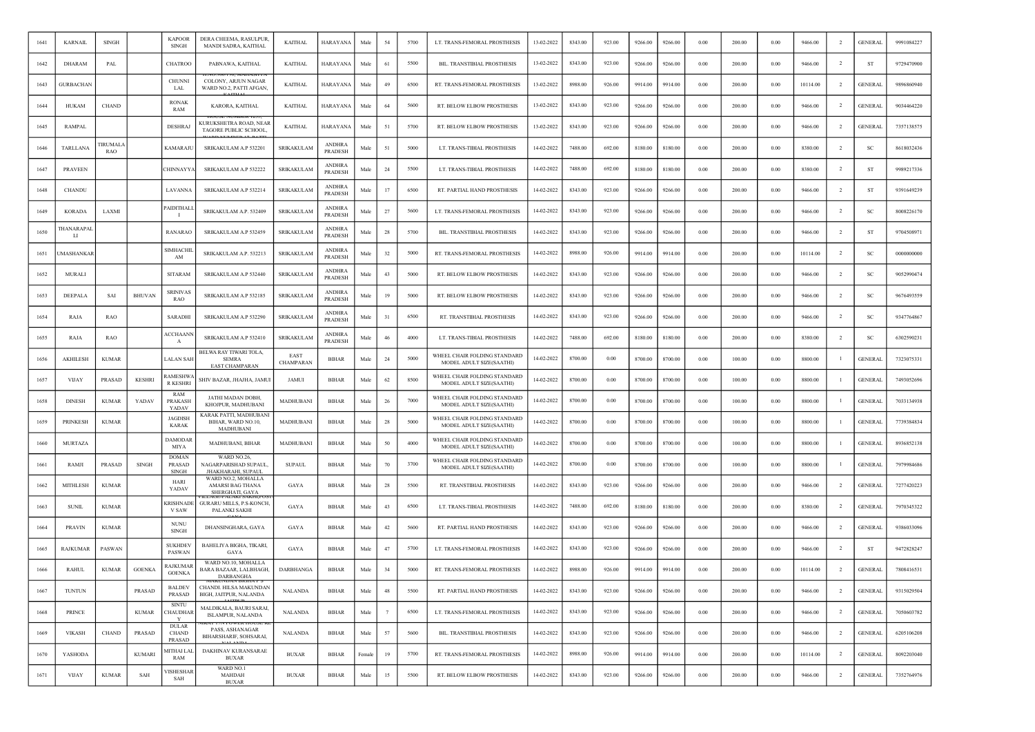| 1641 | <b>KARNAIL</b>   | <b>SINGH</b>          |               | <b>KAPOOR</b><br><b>SINGH</b>                 | DERA CHEEMA, RASULPUR<br>MANDI SADRA, KAITHAL                     | <b>KAITHAL</b>    | <b>HARAYANA</b>                 | Male   | 54             | 5700 | LT. TRANS-FEMORAL PROSTHESIS                             | 13-02-2022 | 8343.00 | 923.00 | 9266.00 | 9266.00 | 0.00       | 200.00 | 0.00     | 9466.00  | $\overline{2}$ | <b>GENERAL</b> | 9991084227 |
|------|------------------|-----------------------|---------------|-----------------------------------------------|-------------------------------------------------------------------|-------------------|---------------------------------|--------|----------------|------|----------------------------------------------------------|------------|---------|--------|---------|---------|------------|--------|----------|----------|----------------|----------------|------------|
| 1642 | <b>DHARAM</b>    | PAL                   |               | <b>CHATROO</b>                                | PABNAWA, KAITHAL                                                  | <b>KAITHAL</b>    | <b>HARAYANA</b>                 | Male   | 61             | 5500 | BIL. TRANSTIBIAL PROSTHESIS                              | 13-02-2022 | 8343.00 | 923.00 | 9266.00 | 9266.00 | 0.00       | 200.00 | 0.00     | 9466.00  | $\overline{2}$ | ST             | 9729470900 |
| 1643 | <b>GURBACHAN</b> |                       |               | <b>CHUNN</b><br><b>LAL</b>                    | COLONY, ARJUN NAGAR<br>WARD NO.2, PATTI AFGAN,                    | <b>KAITHAL</b>    | <b>HARAYANA</b>                 | Male   | 49             | 6500 | RT. TRANS-FEMORAL PROSTHESIS                             | 13-02-2022 | 8988.00 | 926.00 | 9914.00 | 9914.00 | 0.00       | 200.00 | 0.00     | 10114.00 | $\overline{2}$ | <b>GENERAL</b> | 9896860940 |
| 1644 | HUKAM            | <b>CHAND</b>          |               | <b>RONAK</b><br>RAM                           | KARORA, KAITHAL                                                   | <b>KAITHAL</b>    | HARAYANA                        | Male   | 64             | 5600 | RT. BELOW ELBOW PROSTHESIS                               | 13-02-2022 | 8343.00 | 923.00 | 9266.00 | 9266.00 | 0.00       | 200.00 | 0.00     | 9466.00  | $\overline{2}$ | <b>GENERAL</b> | 9034464220 |
| 1645 | <b>RAMPAL</b>    |                       |               | <b>DESHRAJ</b>                                | KURUKSHETRA ROAD, NEAF<br>TAGORE PUBLIC SCHOOL,                   | <b>KAITHAL</b>    | <b>HARAYANA</b>                 | Male   | 51             | 5700 | RT. BELOW ELBOW PROSTHESIS                               | 13-02-2022 | 8343.00 | 923.00 | 9266.00 | 9266.00 | 0.00       | 200.00 | 0.00     | 9466.00  | $\overline{2}$ | <b>GENERAL</b> | 7357138575 |
| 1646 | TARLLANA         | <b>TIRUMAL</b><br>RAO |               | KAMARAJL                                      | SRIKAKULAM A.P 532201                                             | SRIKAKULAM        | <b>ANDHRA</b><br><b>PRADESH</b> | Male   | 51             | 5000 | LT. TRANS-TIBIAL PROSTHESIS                              | 14-02-2022 | 7488.00 | 692.00 | 8180.00 | 8180.00 | 0.00       | 200.00 | 0.00     | 8380.00  | $\overline{2}$ | SC             | 8618032436 |
| 1647 | <b>PRAVEEN</b>   |                       |               | CHINNAYYA                                     | SRIKAKULAM A.P 532222                                             | SRIKAKULAM        | <b>ANDHRA</b><br><b>PRADESH</b> | Male   | 24             | 5500 | LT. TRANS-TIBIAL PROSTHESIS                              | 14-02-2022 | 7488.00 | 692.00 | 8180.00 | 8180.00 | 0.00       | 200.00 | 0.00     | 8380.00  | -2             | ST             | 9989217336 |
| 1648 | <b>CHANDU</b>    |                       |               | LAVANNA                                       | SRIKAKULAM A.P 532214                                             | SRIKAKULAM        | ANDHRA<br><b>PRADESH</b>        | Male   | 17             | 6500 | RT. PARTIAL HAND PROSTHESIS                              | 14-02-2022 | 8343.00 | 923.00 | 9266.00 | 9266.00 | 0.00       | 200.00 | 0.00     | 9466.00  | $\overline{2}$ | ST             | 9391649239 |
| 1649 | KORADA           | LAXMI                 |               | PAIDITHALI                                    | SRIKAKULAM A.P. 532409                                            | SRIKAKULAM        | <b>ANDHRA</b><br>PRADESH        | Male   | 27             | 5600 | LT. TRANS-FEMORAL PROSTHESIS                             | 14-02-2022 | 8343.00 | 923.00 | 9266.00 | 9266.00 | 0.00       | 200.00 | 0.00     | 9466.00  | $\overline{2}$ | SC             | 8008226170 |
| 1650 | THANARAPAI<br>LI |                       |               | <b>RANARAO</b>                                | SRIKAKULAM A.P 532459                                             | SRIKAKULAM        | <b>ANDHRA</b><br>PRADESH        | Male   | 28             | 5700 | BIL. TRANSTIBIAL PROSTHESIS                              | 14-02-2022 | 8343.00 | 923.00 | 9266.00 | 9266.00 | 0.00       | 200.00 | 0.00     | 9466.00  | $\overline{2}$ | ST             | 9704508971 |
| 1651 | MASHANKAR        |                       |               | <b>SIMHACHI</b><br>AM                         | SRIKAKULAM A.P. 532213                                            | SRIKAKULAM        | <b>ANDHRA</b><br>PRADESH        | Male   | 32             | 5000 | RT. TRANS-FEMORAL PROSTHESIS                             | 14-02-2022 | 8988.00 | 926.00 | 9914.00 | 9914.00 | 0.00       | 200.00 | 0.00     | 10114.00 | $\overline{2}$ | SC             | 0000000000 |
| 1652 | <b>MURALI</b>    |                       |               | <b>SITARAM</b>                                | SRIKAKULAM A.P 532440                                             | <b>SRIKAKULAM</b> | <b>ANDHRA</b><br><b>PRADESH</b> | Male   | 43             | 5000 | RT. BELOW ELBOW PROSTHESIS                               | 14-02-2022 | 8343.00 | 923.00 | 9266.00 | 9266.00 | 0.00       | 200.00 | 0.00     | 9466.00  | <sup>2</sup>   | <b>SC</b>      | 9052990474 |
| 1653 | DEEPALA          | SAI                   | <b>BHUVAN</b> | <b>SRINIVAS</b><br>RAO                        | SRIKAKULAM A.P 532185                                             | SRIKAKULAM        | ANDHRA<br>PRADESH               | Male   | 19             | 5000 | RT. BELOW ELBOW PROSTHESIS                               | 14-02-2022 | 8343.00 | 923.00 | 9266.00 | 9266.00 | 0.00       | 200.00 | 0.00     | 9466.00  | $\overline{2}$ | SC             | 9676493559 |
| 1654 | RAJA             | <b>RAO</b>            |               | SARADHI                                       | SRIKAKULAM A.P 532290                                             | <b>SRIKAKULAM</b> | <b>ANDHRA</b><br><b>PRADESH</b> | Male   | 31             | 6500 | RT. TRANSTIBIAL PROSTHESIS                               | 14-02-2022 | 8343.00 | 923.00 | 9266.00 | 9266.00 | 0.00       | 200.00 | 0.00     | 9466.00  | <sup>2</sup>   | <b>SC</b>      | 9347764867 |
| 1655 | RAJA             | RAO                   |               | ACCHAANN<br>A                                 | SRIKAKULAM A.P 532410                                             | <b>SRIKAKULAM</b> | ANDHRA<br><b>PRADESH</b>        | Male   | 46             | 4000 | LT. TRANS-TIBIAL PROSTHESIS                              | 14-02-2022 | 7488.00 | 692.00 | 8180.00 | 8180.00 | 0.00       | 200.00 | 0.00     | 8380.00  | $\overline{2}$ | SC             | 6302590231 |
| 1656 | <b>AKHILESH</b>  | <b>KUMAR</b>          |               | LALAN SAH                                     | BELWA RAY TIWARI TOLA,<br><b>SEMRA</b><br><b>EAST CHAMPARAN</b>   | EAST<br>CHAMPARAN | <b>BIHAR</b>                    | Male   | 24             | 5000 | WHEEL CHAIR FOLDING STANDARD<br>MODEL ADULT SIZE(SAATHI) | 14-02-2022 | 8700.00 | 0.00   | 8700.00 | 8700.00 | 0.00       | 100.00 | 0.00     | 8800.00  |                | <b>GENERAL</b> | 7323075331 |
| 1657 | <b>VIJAY</b>     | <b>PRASAD</b>         | <b>KESHRI</b> | <b>RAMESHW</b><br><b>R KESHRI</b>             | SHIV BAZAR, JHAJHA, JAMUI                                         | JAMUI             | BIHAR                           | Male   | 62             | 8500 | WHEEL CHAIR FOLDING STANDARD<br>MODEL ADULT SIZE(SAATHI) | 14-02-2022 | 8700.00 | 0.00   | 8700.00 | 8700.00 | 0.00       | 100.00 | 0.00     | 8800.00  |                | <b>GENERAL</b> | 7493052696 |
| 1658 | <b>DINESH</b>    | <b>KUMAR</b>          | YADAV         | RAM<br>PRAKASH<br>YADAV                       | JATHI MADAN DOBH,<br>KHOJPUR, MADHUBANI                           | MADHUBANI         | <b>BIHAR</b>                    | Male   | 26             | 7000 | WHEEL CHAIR FOLDING STANDARD<br>MODEL ADULT SIZE(SAATHI) | 14-02-2022 | 8700.00 | 0.00   | 8700.00 | 8700.00 | 0.00       | 100.00 | 0.00     | 8800.00  |                | <b>GENERAL</b> | 7033134938 |
| 1659 | <b>PRINKESH</b>  | <b>KUMAR</b>          |               | <b>JAGDISH</b><br><b>KARAK</b>                | KARAK PATTI, MADHUBANI<br>BIHAR, WARD NO.10,<br>MADHUBANI         | MADHUBANI         | BIHAR                           | Male   | 28             | 5000 | WHEEL CHAIR FOLDING STANDARD<br>MODEL ADULT SIZE(SAATHI) | 14-02-2022 | 8700.00 | 0.00   | 8700.00 | 8700.00 | 0.00       | 100.00 | 0.00     | 8800.00  |                | <b>GENERAL</b> | 7739384834 |
| 1660 | <b>MURTAZA</b>   |                       |               | DAMODAR<br>MIYA                               | MADHUBANI, BIHAR                                                  | MADHUBANI         | <b>BIHAR</b>                    | Male   | 50             | 4000 | WHEEL CHAIR FOLDING STANDARD<br>MODEL ADULT SIZE(SAATHI) | 14-02-2022 | 8700.00 | 0.00   | 8700.00 | 8700.00 | 0.00       | 100.00 | 0.00     | 8800.00  |                | <b>GENERAL</b> | 8936852138 |
| 1661 | RAMJI            | PRASAD                | <b>SINGH</b>  | <b>DOMAN</b><br><b>PRASAD</b><br><b>SINGH</b> | WARD NO.26,<br>NAGARPARISHAD SUPAUL.<br><b>JHAKHARAHI, SUPAUL</b> | <b>SUPAUL</b>     | <b>BIHAR</b>                    | Male   | 70             | 3700 | WHEEL CHAIR FOLDING STANDARD<br>MODEL ADULT SIZE(SAATHI) | 14-02-2022 | 8700.00 | 0.00   | 8700.00 | 8700.00 | 0.00       | 100.00 | 0.00     | 8800.00  |                | <b>GENERAL</b> | 7979984686 |
| 1662 | MITHLESH         | <b>KUMAR</b>          |               | HARI<br>YADAV                                 | WARD NO.2, MOHALLA<br>AMARSI BAG THANA<br>SHERGHATI, GAYA         | GAYA              | <b>BIHAR</b>                    | Male   | 28             | 5500 | RT. TRANSTIBIAL PROSTHESIS                               | 14-02-2022 | 8343.00 | 923.00 | 9266.00 | 9266.00 | 0.00       | 200.00 | 0.00     | 9466.00  | $\overline{2}$ | <b>GENERAL</b> | 7277420223 |
| 1663 | <b>SUNIL</b>     | <b>KUMAR</b>          |               | <b>KRISHNADE</b><br>V SAW                     | GURARU MILLS, P.S-KONCH,<br>PALANKI SAKHI                         | GAYA              | <b>BIHAR</b>                    | Male   | 43             | 6500 | LT. TRANS-TIBIAL PROSTHESIS                              | 14-02-2022 | 7488.00 | 692.00 | 8180.00 | 8180.00 | 0.00       | 200.00 | 0.00     | 8380.00  | $\overline{2}$ | <b>GENERAL</b> | 7970345322 |
| 1664 | <b>PRAVIN</b>    | <b>KUMAR</b>          |               | <b>NUNU</b><br>SINGH                          | DHANSINGHARA, GAYA                                                | GAYA              | <b>BIHAR</b>                    | Male   | 42             | 5600 | RT. PARTIAL HAND PROSTHESIS                              | 14-02-2022 | 8343.00 | 923.00 | 9266.00 | 9266.00 | 0.00       | 200.00 | 0.00     | 9466.00  | $\overline{2}$ | <b>GENERAL</b> | 9386033096 |
| 1665 | <b>RAJKUMAR</b>  | PASWAN                |               | <b>SUKHDEV</b><br>PASWAN                      | BAHELIYA BIGHA, TIKARI,<br>GAYA                                   | GAYA              | <b>BIHAR</b>                    | Male   | 47             | 5700 | LT. TRANS-FEMORAL PROSTHESIS                             | 14-02-2022 | 8343.00 | 923.00 | 9266.00 | 9266.00 | 0.00       | 200.00 | 0.00     | 9466.00  | $\overline{2}$ | ST             | 9472828247 |
| 1666 | <b>RAHUL</b>     | <b>KUMAR</b>          | <b>GOENKA</b> | RAJKUMAI<br><b>GOENKA</b>                     | WARD NO.10, MOHALLA<br>BARA BAZAAR, LALBHAGH,<br><b>DARBANGHA</b> | DARBHANGA         | <b>BIHAR</b>                    | Male   | 34             | 5000 | RT. TRANS-FEMORAL PROSTHESIS                             | 14-02-2022 | 8988.00 | 926.00 | 9914.00 | 9914.00 | 0.00       | 200.00 | 0.00     | 10114.00 | $\overline{2}$ | <b>GENERAL</b> | 7808416531 |
| 1667 | <b>TUNTUN</b>    |                       | PRASAD        | <b>BALDEV</b><br>PRASAD                       | CHANDI. HILSA MAKUNDAN<br>BIGH, JAITPUR, NALANDA                  | <b>NALANDA</b>    | <b>BIHAR</b>                    | Male   | 48             | 5500 | RT. PARTIAL HAND PROSTHESIS                              | 14-02-2022 | 8343.00 | 923.00 | 9266.00 | 9266.00 | $\rm 0.00$ | 200.00 | $0.00\,$ | 9466.00  | $\overline{2}$ | <b>GENERAL</b> | 9315029504 |
| 1668 | <b>PRINCE</b>    |                       | <b>KUMAR</b>  | <b>SINTU</b><br><b>CHAUDHAR</b><br>Y          | MALDIKALA, BAURI SARAI,<br>ISLAMPUR, NALANDA                      | <b>NALANDA</b>    | <b>BIHAR</b>                    | Male   | $\overline{7}$ | 6500 | LT. TRANS-FEMORAL PROSTHESIS                             | 14-02-2022 | 8343.00 | 923.00 | 9266.00 | 9266.00 | 0.00       | 200.00 | 0.00     | 9466.00  | $\overline{2}$ | <b>GENERAL</b> | 7050603782 |
| 1669 | <b>VIKASH</b>    | CHAND                 | PRASAD        | <b>DULAR</b><br><b>CHAND</b><br>PRASAD        | PASS, ASHANAGAR<br>BIHARSHARIF, SOHSARAI,                         | <b>NALANDA</b>    | BIHAR                           | Male   | 57             | 5600 | BIL. TRANSTIBIAL PROSTHESIS                              | 14-02-2022 | 8343.00 | 923.00 | 9266.00 | 9266.00 | $0.00\,$   | 200.00 | $0.00\,$ | 9466.00  | $\overline{2}$ | <b>GENERAL</b> | 6205106208 |
| 1670 | YASHODA          |                       | <b>KUMARI</b> | MITHAI LAL<br>RAM                             | DAKHINAV KURANSARAE<br><b>BUXAR</b>                               | <b>BUXAR</b>      | <b>BIHAR</b>                    | Female | 19             | 5700 | RT. TRANS-FEMORAL PROSTHESIS                             | 14-02-2022 | 8988.00 | 926.00 | 9914.00 | 9914.00 | 0.00       | 200.00 | 0.00     | 10114.00 | $\overline{2}$ | <b>GENERAL</b> | 8092203040 |
| 1671 | VIJAY            | <b>KUMAR</b>          | SAH           | VISHESHAR<br>SAH                              | WARD NO.1<br>MAHDAH<br><b>BUXAR</b>                               | <b>BUXAR</b>      | BIHAR                           | Male   | 15             | 5500 | RT. BELOW ELBOW PROSTHESIS                               | 14-02-2022 | 8343.00 | 923.00 | 9266.00 | 9266.00 | 0.00       | 200.00 | 0.00     | 9466.00  | $\overline{2}$ | <b>GENERAL</b> | 7352764976 |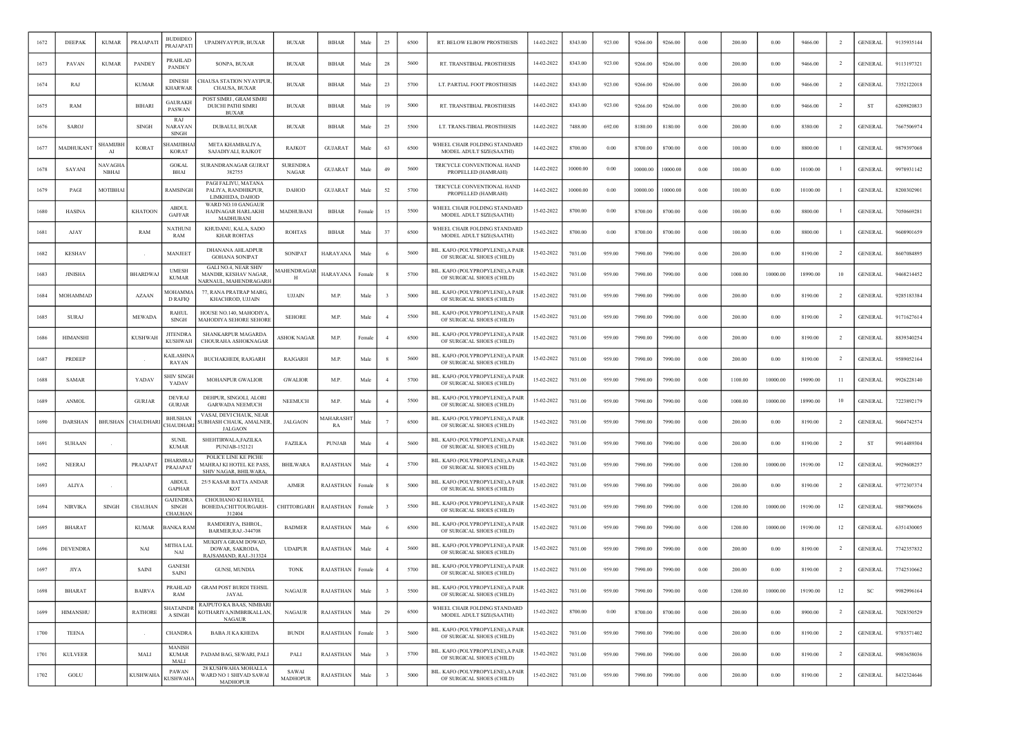| 1672 | DEEPAK          | <b>KUMAR</b>            | PRAJAPATI       | <b>BUDHDEO</b><br>PRAJAPATI                | UPADHYAYPUR, BUXAR                                                             | <b>BUXAR</b>             | <b>BIHAR</b>          | Male   | 25                      | 6500 | RT. BELOW ELBOW PROSTHESIS                                     | 14-02-2022 | 8343.00  | 923.00 | 9266.00  | 9266.00  | 0.00 | 200.00  | 0.00     | 9466.00  | $\overline{2}$ | <b>GENERAL</b> | 9135935144 |
|------|-----------------|-------------------------|-----------------|--------------------------------------------|--------------------------------------------------------------------------------|--------------------------|-----------------------|--------|-------------------------|------|----------------------------------------------------------------|------------|----------|--------|----------|----------|------|---------|----------|----------|----------------|----------------|------------|
| 1673 | PAVAN           | <b>KUMAR</b>            | PANDEY          | PRAHLAD<br><b>PANDEY</b>                   | SONPA, BUXAR                                                                   | <b>BUXAR</b>             | <b>BIHAR</b>          | Male   | 28                      | 5600 | RT. TRANSTIBIAL PROSTHESIS                                     | 14-02-2022 | 8343.00  | 923.00 | 9266.00  | 9266.00  | 0.00 | 200.00  | 0.00     | 9466.00  | $\overline{2}$ | <b>GENERAL</b> | 9113197321 |
| 1674 | RAJ             |                         | <b>KUMAR</b>    | <b>DINESH</b><br><b>KHARWAR</b>            | HAUSA STATION NYAYIPUR<br><b>CHAUSA, BUXAR</b>                                 | <b>BUXAR</b>             | <b>BIHAR</b>          | Male   | 23                      | 5700 | LT. PARTIAL FOOT PROSTHESIS                                    | 14-02-2022 | 8343.00  | 923.00 | 9266.00  | 9266.00  | 0.00 | 200.00  | 0.00     | 9466.00  | $\overline{2}$ | <b>GENERAL</b> | 7352122018 |
| 1675 | RAM             |                         | <b>BIHARI</b>   | <b>GAURAKH</b><br>PASWAN                   | POST SIMRI, GRAM SIMRI<br><b>DUICHI PATHI SIMRI</b><br><b>BUXAR</b>            | <b>BUXAR</b>             | <b>BIHAR</b>          | Male   | 19                      | 5000 | RT. TRANSTIBIAL PROSTHESIS                                     | 14-02-2022 | 8343.00  | 923.00 | 9266.00  | 9266.00  | 0.00 | 200.00  | 0.00     | 9466.00  | $\overline{2}$ | ST             | 6209820833 |
| 1676 | <b>SAROJ</b>    |                         | <b>SINGH</b>    | <b>RAI</b><br>NARAYAN<br><b>SINGH</b>      | DUBAULI, BUXAR                                                                 | <b>BUXAR</b>             | <b>BIHAR</b>          | Male   | 25                      | 5500 | LT. TRANS-TIBIAL PROSTHESIS                                    | 14-02-2022 | 7488.00  | 692.00 | 8180.00  | 8180.00  | 0.00 | 200.00  | 0.00     | 8380.00  |                | <b>GENERAL</b> | 7667506974 |
| 1677 | MADHUKAN        | SHAMIJBI<br>AI          | <b>KORAT</b>    | HAMJIBHA<br><b>KORAT</b>                   | META KHAMBALIYA<br>SAJADIYALI, RAJKOT                                          | RAJKOT                   | <b>GUJARAT</b>        | Male   | 63                      | 6500 | WHEEL CHAIR FOLDING STANDARD<br>MODEL ADULT SIZE(SAATHI)       | 14-02-2022 | 8700.00  | 0.00   | 8700.00  | 8700.00  | 0.00 | 100.00  | 0.00     | 8800.00  |                | <b>GENERAL</b> | 9879397068 |
| 1678 | SAYANI          | <b>NAVAGHA</b><br>NBHAI |                 | <b>GOKAL</b><br><b>BHAI</b>                | SURANDRANAGAR GUJRAT<br>382755                                                 | <b>SURENDRA</b><br>NAGAR | <b>GUJARAT</b>        | Male   | 49                      | 5600 | TRICYCLE CONVENTIONAL HAND<br>PROPELLED (HAMRAHI)              | 14-02-2022 | 10000.00 | 0.00   | 10000.00 | 10000.00 | 0.00 | 100.00  | 0.00     | 10100.00 |                | <b>GENERAI</b> | 9978931142 |
| 1679 | PAGI            | MOTIBHAI                |                 | RAMSINGH                                   | PAGI FALIYU, MATANA<br>PALIYA, RANDHIKPUR.<br>LIMKHEDA, DAHOD                  | <b>DAHOD</b>             | GUJARAT               | Male   | 52                      | 5700 | TRICYCLE CONVENTIONAL HAND<br>PROPELLED (HAMRAHI)              | 14-02-2022 | 10000.00 | 0.00   | 10000.00 | 10000.00 | 0.00 | 100.00  | 0.00     | 10100.00 |                | <b>GENERAL</b> | 8200302901 |
| 1680 | <b>HASINA</b>   |                         | <b>KHATOON</b>  | <b>ABDUL</b><br><b>GAFFAR</b>              | WARD NO.10 GANGAUR<br>HAJINAGAR HARLAKHI<br>MADHUBANI                          | MADHUBANI                | <b>BIHAR</b>          | Femal  | 15                      | 5500 | WHEEL CHAIR FOLDING STANDARD<br>MODEL ADULT SIZE(SAATHI)       | 15-02-2022 | 8700.00  | 0.00   | 8700.00  | 8700.00  | 0.00 | 100.00  | 0.00     | 8800.00  |                | <b>GENERAL</b> | 7050669281 |
| 1681 | AJAY            |                         | RAM             | NATHUNI<br>RAM                             | KHUDANU, KALA, SADO<br><b>KHAR ROHTAS</b>                                      | <b>ROHTAS</b>            | <b>BIHAR</b>          | Male   | 37                      | 6500 | WHEEL CHAIR FOLDING STANDARD<br>MODEL ADULT SIZE(SAATHI)       | 15-02-2022 | 8700.00  | 0.00   | 8700.00  | 8700.00  | 0.00 | 100.00  | 0.00     | 8800.00  |                | <b>GENERAL</b> | 9608901659 |
| 1682 | <b>KESHAV</b>   |                         |                 | MANJEET                                    | DHANANA AHLADPUR<br><b>GOHANA SONIPAT</b>                                      | SONIPAT                  | HARAYAN⊅              | Male   |                         | 5600 | BIL. KAFO (POLYPROPYLENE), A PAIR<br>OF SURGICAL SHOES (CHILD) | 15-02-2022 | 7031.00  | 959.00 | 7990.00  | 7990.00  | 0.00 | 200.00  | 0.00     | 8190.00  | $\overline{2}$ | <b>GENERAL</b> | 8607084895 |
| 1683 | <b>JINISHA</b>  |                         | <b>BHARDWA</b>  | <b>UMESH</b><br><b>KUMAR</b>               | <b>GALI NO.4, NEAR SHIV</b><br>MANDIR, KESHAV NAGAR.<br>ARNAUL. MAHENDRAGARI   | MAHENDRAGAF<br>н         | HARAYANA              | Femal  |                         | 5700 | BIL. KAFO (POLYPROPYLENE), A PAIR<br>OF SURGICAL SHOES (CHILD) | 15-02-2022 | 7031.00  | 959.00 | 7990.00  | 7990.00  | 0.00 | 1000.00 | 10000.00 | 18990.00 | 10             | <b>GENERAL</b> | 9468214452 |
| 1684 | MOHAMMAD        |                         | AZAAN           | <b>MOHAMMA</b><br>D RAFIQ                  | 77, RANA PRATRAP MARG<br>KHACHROD, UJJAIN                                      | <b>UJJAIN</b>            | M.P                   | Mak    |                         | 5000 | BIL. KAFO (POLYPROPYLENE), A PAIR<br>OF SURGICAL SHOES (CHILD) | 15-02-2022 | 7031.00  | 959.00 | 7990.00  | 7990.00  | 0.00 | 200.00  | 0.00     | 8190.00  | $\overline{2}$ | <b>GENERAL</b> | 9285183384 |
| 1685 | <b>SURAJ</b>    |                         | <b>MEWADA</b>   | <b>RAHUL</b><br><b>SINGH</b>               | HOUSE NO.140, MAHODIYA.<br>MAHODIYA SEHORE SEHORE                              | <b>SEHORE</b>            | M.P.                  | Male   |                         | 5500 | BIL. KAFO (POLYPROPYLENE), A PAIR<br>OF SURGICAL SHOES (CHILD) | 15-02-2022 | 7031.00  | 959.00 | 7990.00  | 7990.00  | 0.00 | 200.00  | 0.00     | 8190.00  | $\overline{2}$ | <b>GENERAL</b> | 9171627614 |
| 1686 | <b>HIMANSHI</b> |                         | KUSHWAH         | JITENDRA<br><b>KUSHWAH</b>                 | SHANKARPUR MAGARDA<br>CHOURAHA ASHOKNAGAR                                      | ASHOK NAGAR              | M.P.                  | Female | $\overline{4}$          | 6500 | BIL. KAFO (POLYPROPYLENE), A PAIR<br>OF SURGICAL SHOES (CHILD) | 15-02-2022 | 7031.00  | 959.00 | 7990.00  | 7990.00  | 0.00 | 200.00  | 0.00     | 8190.00  | $\overline{2}$ | <b>GENERAL</b> | 8839340254 |
| 1687 | <b>PRDEEF</b>   |                         |                 | <b>AILASHNA</b><br>RAYAN                   | <b>BUCHAKHEDI, RAJGARH</b>                                                     | RAJGARH                  | M.P.                  | Male   |                         | 5600 | BIL. KAFO (POLYPROPYLENE), A PAIR<br>OF SURGICAL SHOES (CHILD) | 15-02-2022 | 7031.00  | 959.00 | 7990.00  | 7990.00  | 0.00 | 200.00  | 0.00     | 8190.00  |                | <b>GENERAL</b> | 9589052164 |
| 1688 | <b>SAMAR</b>    |                         | <b>YADAV</b>    | SHIV SINGH<br>YADAV                        | <b>MOHANPUR GWALIOR</b>                                                        | <b>GWALIOR</b>           | M.P.                  | Male   | $\overline{4}$          | 5700 | BIL. KAFO (POLYPROPYLENE),A PAIR<br>OF SURGICAL SHOES (CHILD)  | 15-02-2022 | 7031.00  | 959.00 | 7990.00  | 7990.00  | 0.00 | 1100.00 | 10000.00 | 19090.00 | 11             | <b>GENERAL</b> | 9926228140 |
| 1689 | <b>ANMOL</b>    |                         | <b>GURJAR</b>   | <b>DEVRAJ</b><br><b>GURJAR</b>             | DEHPUR, SINGOLI, ALORI<br><b>GARWADA NEEMUCH</b>                               | <b>NEEMUCH</b>           | M.P                   | Male   | $\overline{4}$          | 5500 | BIL. KAFO (POLYPROPYLENE), A PAIR<br>OF SURGICAL SHOES (CHILD) | 15-02-2022 | 7031.00  | 959.00 | 7990.00  | 7990.00  | 0.00 | 1000.00 | 10000.00 | 18990.00 | 10             | <b>GENERAL</b> | 7223892179 |
| 1690 | DARSHAN         | <b>BHUSHAN</b>          | CHAUDHAR        | <b>BHUSHAN</b><br><b>HAUDHARI</b>          | VASAI, DEVI CHAUK, NEAR<br>SUBHASH CHAUK, AMALNER,<br><b>JALGAON</b>           | <b>JALGAON</b>           | <b>AAHARASH</b><br>RA | Male   |                         | 6500 | BIL. KAFO (POLYPROPYLENE), A PAIR<br>OF SURGICAL SHOES (CHILD) | 15-02-2022 | 7031.00  | 959.00 | 7990.00  | 7990.00  | 0.00 | 200.00  | 0.00     | 8190.00  | -2             | GENERAI        | 9604742574 |
| 1691 | <b>SUHAAN</b>   |                         |                 | <b>SUNIL</b><br><b>KUMAR</b>               | SHEHTIRWALA, FAZILKA<br>PUNJAB-152121                                          | <b>FAZILKA</b>           | <b>PUNJAB</b>         | Mal    |                         | 5600 | BIL. KAFO (POLYPROPYLENE), A PAIR<br>OF SURGICAL SHOES (CHILD) | 15-02-2022 | 7031.00  | 959.00 | 7990.00  | 7990.00  | 0.00 | 200.00  | 0.00     | 8190.00  | -2             | S <sub>1</sub> | 9914489304 |
| 1692 | <b>NEERAJ</b>   |                         | PRAJAPAT        | DHARMRAJ<br>PRAJAPAT                       | POLICE LINE KE PICHE<br><b>MAHRAJ KI HOTEL KE PASS</b><br>SHIV NAGAR, BHILWARA | <b>BHILWARA</b>          | RAJASTHAN             | Male   |                         | 5700 | BIL. KAFO (POLYPROPYLENE), A PAIR<br>OF SURGICAL SHOES (CHILD) | 15-02-2022 | 7031.00  | 959.00 | 7990.00  | 7990.00  | 0.00 | 1200.00 | 10000.00 | 19190.00 | 12             | <b>GENERAL</b> | 9929608257 |
| 1693 | ALIYA           |                         |                 | <b>ABDUL</b><br><b>GAPHAR</b>              | 25/5 KASAR BATTA ANDAR<br>KOT                                                  | <b>AJMER</b>             | RAJASTHAN             | Female |                         | 5000 | BIL. KAFO (POLYPROPYLENE), A PAIR<br>OF SURGICAL SHOES (CHILD) | 15-02-2022 | 7031.00  | 959.00 | 7990.00  | 7990.00  | 0.00 | 200.00  | 0.00     | 8190.00  | $\overline{2}$ | <b>GENERAL</b> | 9772307374 |
| 1694 | <b>NIRVIKA</b>  | <b>SINGH</b>            | <b>CHAUHAN</b>  | <b>GAJENDRA</b><br><b>SINGH</b><br>CHAUHAN | CHOUHANO KI HAVELI,<br>BOHEDA.CHITTOURGARH-<br>312404                          | CHITTORGARH              | RAJASTHAN             | Female |                         | 5500 | BIL. KAFO (POLYPROPYLENE), A PAIR<br>OF SURGICAL SHOES (CHILD) | 15-02-2022 | 7031.00  | 959.00 | 7990.00  | 7990.00  | 0.00 | 1200.00 | 10000.00 | 19190.00 | 12             | <b>GENERAL</b> | 9887906056 |
| 1695 | <b>BHARAT</b>   |                         | <b>KUMAR</b>    | <b>BANKA RAM</b>                           | RAMDERIYA, ISHROL,<br><b>BARMER, RAJ.-344708</b>                               | <b>BADMER</b>            | RAJASTHAN             | Male   |                         | 6500 | BIL. KAFO (POLYPROPYLENE), A PAIR<br>OF SURGICAL SHOES (CHILD) | 15-02-2022 | 7031.00  | 959.00 | 7990.00  | 7990.00  | 0.00 | 1200.00 | 10000.00 | 19190.00 | 12             | <b>GENERAL</b> | 6351430005 |
| 1696 | <b>DEVENDRA</b> |                         | <b>NAI</b>      | MITHA LAL<br>NAI                           | <b>MUKHYA GRAM DOWAD</b><br>DOWAR, SAKRODA,<br>RAJSAMAND, RAJ.-313324          | <b>UDAIPUR</b>           | RAJASTHAN             | Male   |                         | 5600 | BIL. KAFO (POLYPROPYLENE) A PAIR<br>OF SURGICAL SHOES (CHILD)  | 15-02-2022 | 7031.00  | 959.00 | 7990.00  | 7990.00  | 0.00 | 200.00  | 0.00     | 8190.00  | $\overline{2}$ | <b>GENERAL</b> | 7742357832 |
| 1697 | <b>JIYA</b>     |                         | SAIN            | GANESI<br><b>SAINI</b>                     | <b>GUNSI, MUNDIA</b>                                                           | <b>TONK</b>              | RAJASTHAN             | Female | $\overline{4}$          | 5700 | BIL. KAFO (POLYPROPYLENE), A PAIR<br>OF SURGICAL SHOES (CHILD) | 15-02-2022 | 7031.00  | 959.00 | 7990.00  | 7990.00  | 0.00 | 200.00  | 0.00     | 8190.00  | $\overline{2}$ | <b>GENERAL</b> | 7742510662 |
| 1698 | <b>BHARAT</b>   |                         | <b>BAIRVA</b>   | PRAHLAD<br>RAM                             | <b>GRAM POST BURDI TEHSIL</b><br>JAYAL                                         | <b>NAGAUR</b>            | RAJASTHAN             | Male   |                         | 5500 | BIL. KAFO (POLYPROPYLENE), A PAIR<br>OF SURGICAL SHOES (CHILD) | 15-02-2022 | 7031.00  | 959.00 | 7990.00  | 7990.00  | 0.00 | 1200.00 | 10000.00 | 19190.00 | 12             | <b>SC</b>      | 9982996164 |
| 1699 | <b>HIMANSHU</b> |                         | <b>RATHORE</b>  | <b>SHATAINDR</b><br>A SINGH                | RAJPUTO KA BAAS, NIMBARI<br>KOTHARIYA, NIMBRIKALLAN,<br><b>NAGAUR</b>          | <b>NAGAUR</b>            | RAJASTHAN             | Male   | 29                      | 6500 | WHEEL CHAIR FOLDING STANDARD<br>MODEL ADULT SIZE(SAATHI)       | 15-02-2022 | 8700.00  | 0.00   | 8700.00  | 8700.00  | 0.00 | 200.00  | 0.00     | 8900.00  | $\overline{2}$ | <b>GENERAL</b> | 7028350529 |
| 1700 | <b>TEENA</b>    |                         |                 | <b>CHANDRA</b>                             | <b>BABA JI KA KHEDA</b>                                                        | <b>BUNDI</b>             | <b>RAJASTHAN</b>      | Female | $\overline{\mathbf{3}}$ | 5600 | BIL. KAFO (POLYPROPYLENE), A PAIR<br>OF SURGICAL SHOES (CHILD) | 15-02-2022 | 7031.00  | 959.00 | 7990.00  | 7990.00  | 0.00 | 200.00  | 0.00     | 8190.00  | $\overline{2}$ | <b>GENERAL</b> | 9783571402 |
| 1701 | <b>KULVEER</b>  |                         | MALI            | <b>MANISH</b><br><b>KUMAR</b><br>MALI      | PADAM BAG, SEWARI, PALI                                                        | PALI                     | RAJASTHAN             | Male   | $\overline{\mathbf{3}}$ | 5700 | BIL. KAFO (POLYPROPYLENE), A PAIR<br>OF SURGICAL SHOES (CHILD) | 15-02-2022 | 7031.00  | 959.00 | 7990.00  | 7990.00  | 0.00 | 200.00  | 0.00     | 8190.00  | $\overline{2}$ | <b>GENERAL</b> | 9983658036 |
| 1702 | GOLU            |                         | <b>KUSHWAHA</b> | PAWAN<br><b>KUSHWAHA</b>                   | 28 KUSHWAHA MOHALLA<br>WARD NO 1 SHIVAD SAWAI<br><b>MADHOPUR</b>               | SAWAI<br><b>MADHOPUR</b> | RAJASTHAN             | Male   | $\overline{\mathbf{3}}$ | 5000 | BIL. KAFO (POLYPROPYLENE), A PAIR<br>OF SURGICAL SHOES (CHILD) | 15-02-2022 | 7031.00  | 959.00 | 7990.00  | 7990.00  | 0.00 | 200.00  | 0.00     | 8190.00  | $\overline{2}$ | <b>GENERAL</b> | 8432324646 |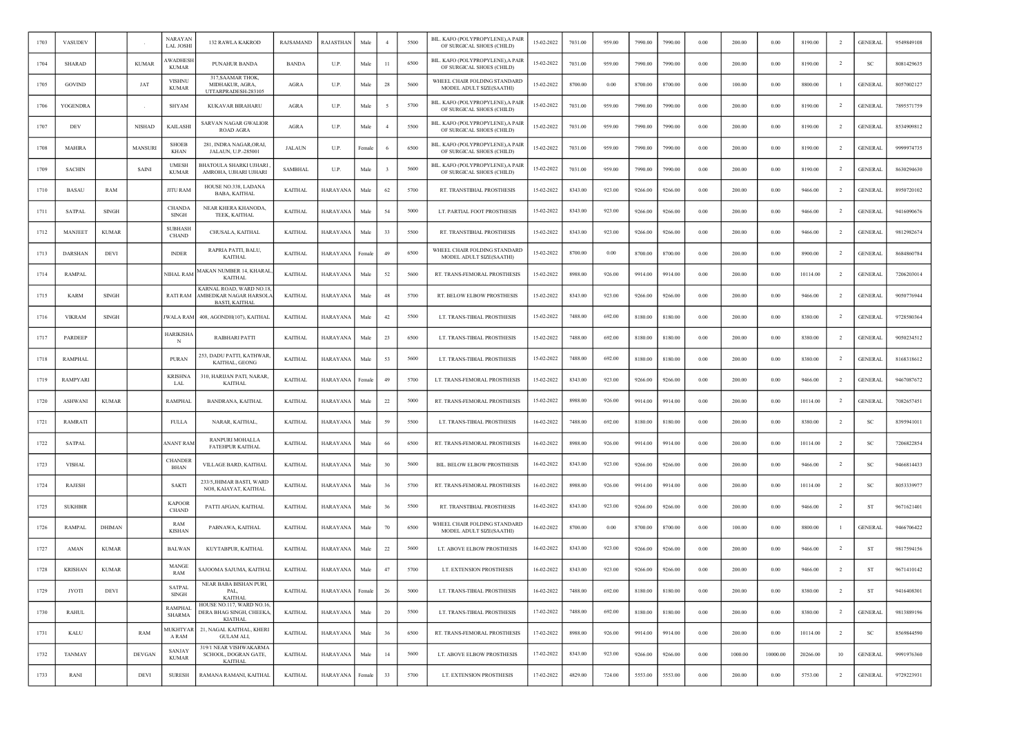| 1703 | VASUDEV        |              |               | <b>NARAYAN</b><br><b>LAL JOSHI</b> | 132 RAWLA KAKROD                                                           | RAJSAMAND      | RAJASTHAN       | Male   | $\overline{4}$ | 5500 | BIL. KAFO (POLYPROPYLENE), A PAIR<br>OF SURGICAL SHOES (CHILD) | 15-02-2022 | 7031.00 | 959.00 | 7990.00 | 7990.00 | $0.00\,$   | 200.00  | 0.00     | 8190.00  | $\overline{2}$ | <b>GENERAL</b> | 9549849108 |
|------|----------------|--------------|---------------|------------------------------------|----------------------------------------------------------------------------|----------------|-----------------|--------|----------------|------|----------------------------------------------------------------|------------|---------|--------|---------|---------|------------|---------|----------|----------|----------------|----------------|------------|
| 1704 | <b>SHARAD</b>  |              | <b>KUMAR</b>  | <b>WADHESH</b><br><b>KUMAR</b>     | PUNAHUR BANDA                                                              | <b>BANDA</b>   | U.P.            | Male   | $^{11}$        | 6500 | BIL. KAFO (POLYPROPYLENE), A PAIR<br>OF SURGICAL SHOES (CHILD) | 15-02-2022 | 7031.00 | 959.00 | 7990.00 | 7990.00 | $0.00\,$   | 200.00  | 0.00     | 8190.00  | $\overline{2}$ | SC             | 8081429635 |
| 1705 | <b>GOVIND</b>  |              | JAT           | <b>VISHNU</b><br><b>KUMAR</b>      | 317, SAAMAR THOK,<br>MIDHAKUR, AGRA.<br>UTTARPRADESH-283105                | AGRA           | U.P.            | Male   | 28             | 5600 | WHEEL CHAIR FOLDING STANDARD<br>MODEL ADULT SIZE(SAATHI)       | 15-02-2022 | 8700.00 | 0.00   | 8700.00 | 8700.00 | 0.00       | 100.00  | 0.00     | 8800.00  |                | <b>GENERAL</b> | 8057002127 |
| 1706 | YOGENDRA       |              |               | <b>SHYAM</b>                       | KUKAVAR BIRAHARU                                                           | AGRA           | U.P.            | Male   | - 5            | 5700 | BIL. KAFO (POLYPROPYLENE), A PAIR<br>OF SURGICAL SHOES (CHILD) | 15-02-2022 | 7031.00 | 959.00 | 7990.00 | 7990.00 | 0.00       | 200.00  | 0.00     | 8190.00  | $\overline{2}$ | <b>GENERAL</b> | 7895571759 |
| 1707 | DEV            |              | <b>NISHAD</b> | <b>KAILASHI</b>                    | SARVAN NAGAR GWALIOR<br>ROAD AGRA                                          | AGRA           | U.P.            | Male   | $\overline{4}$ | 5500 | BIL. KAFO (POLYPROPYLENE), A PAIR<br>OF SURGICAL SHOES (CHILD) | 15-02-2022 | 7031.00 | 959.00 | 7990.00 | 7990.00 | 0.00       | 200.00  | 0.00     | 8190.00  | $\overline{2}$ | <b>GENERAL</b> | 8534909812 |
| 1708 | <b>MAHIRA</b>  |              | MANSURI       | <b>SHOEB</b><br>KHAN               | 281, INDRA NAGAR, ORAI,<br>JALAUN, U.P.-285001                             | <b>JALAUN</b>  | U.P.            | Femal  |                | 6500 | BIL. KAFO (POLYPROPYLENE), A PAIR<br>OF SURGICAL SHOES (CHILD) | 15-02-2022 | 7031.00 | 959.00 | 7990.00 | 7990.00 | 0.00       | 200.00  | 0.00     | 8190.00  | $\overline{2}$ | <b>GENERAL</b> | 9999974735 |
| 1709 | <b>SACHIN</b>  |              | <b>SAIN</b>   | <b>UMESH</b><br><b>KUMAR</b>       | BHATOULA SHARKI UJHARI<br>AMROHA, UJHARI UJHARI                            | <b>SAMBHAL</b> | U.P.            | Male   | -3             | 5600 | BIL. KAFO (POLYPROPYLENE), A PAIR<br>OF SURGICAL SHOES (CHILD) | 15-02-2022 | 7031.00 | 959.00 | 7990.00 | 7990.00 | 0.00       | 200.00  | 0.00     | 8190.00  | -2             | <b>GENERAL</b> | 8630294630 |
| 1710 | <b>BASAU</b>   | RAM          |               | <b>JITU RAM</b>                    | HOUSE NO.338, LADANA<br><b>BABA, KAITHAL</b>                               | <b>KAITHAL</b> | HARAYANA        | Male   | 62             | 5700 | RT. TRANSTIBIAL PROSTHESIS                                     | 15-02-2022 | 8343.00 | 923.00 | 9266.00 | 9266.00 | 0.00       | 200.00  | 0.00     | 9466.00  | $\overline{2}$ | <b>GENERAL</b> | 8950720102 |
| 1711 | <b>SATPAL</b>  | SINGH        |               | <b>CHANDA</b><br><b>SINGH</b>      | NEAR KHERA KHANODA.<br>TEEK, KAITHAL                                       | <b>KAITHAL</b> | HARAYANA        | Male   | 54             | 5000 | LT. PARTIAL FOOT PROSTHESIS                                    | 15-02-2022 | 8343.00 | 923.00 | 9266.00 | 9266.00 | 0.00       | 200.00  | 0.00     | 9466.00  | $\overline{2}$ | <b>GENERAL</b> | 9416090676 |
| 1712 | MANJEET        | <b>KUMAR</b> |               | <b>SUBHASH</b><br><b>CHAND</b>     | CHUSALA, KAITHAL                                                           | <b>KAITHAL</b> | HARAYANA        | Male   | 33             | 5500 | RT. TRANSTIBIAL PROSTHESIS                                     | 15-02-2022 | 8343.00 | 923.00 | 9266.00 | 9266.00 | $0.00\,$   | 200.00  | 0.00     | 9466.00  | $\overline{2}$ | <b>GENERAL</b> | 9812982674 |
| 1713 | DARSHAN        | DEVI         |               | <b>INDER</b>                       | RAPRIA PATTI, BALU,<br>KAITHAL                                             | <b>KAITHAL</b> | HARAYANA        | Female | 49             | 6500 | WHEEL CHAIR FOLDING STANDARD<br>MODEL ADULT SIZE(SAATHI)       | 15-02-2022 | 8700.00 | 0.00   | 8700.00 | 8700.00 | 0.00       | 200.00  | 0.00     | 8900.00  | <sup>2</sup>   | <b>GENERAL</b> | 8684860784 |
| 1714 | RAMPAI         |              |               | NIHAL RAM                          | MAKAN NUMBER 14, KHARAL<br><b>KAITHAL</b>                                  | <b>KAITHAL</b> | HARAYANA        | Male   | 52             | 5600 | RT. TRANS-FEMORAL PROSTHESIS                                   | 15-02-2022 | 8988.00 | 926.00 | 9914.00 | 9914.00 | 0.00       | 200.00  | 0.00     | 10114.00 | $\overline{2}$ | GENERAL        | 7206203014 |
| 1715 | <b>KARM</b>    | <b>SINGH</b> |               | <b>RATI RAM</b>                    | KARNAL ROAD, WARD NO.18<br>AMBEDKAR NAGAR HARSOLA<br><b>BASTI, KAITHAL</b> | <b>KAITHAL</b> | HARAYANA        | Male   | 48             | 5700 | RT. BELOW ELBOW PROSTHESIS                                     | 15-02-2022 | 8343.00 | 923.00 | 9266.00 | 9266.00 | 0.00       | 200.00  | 0.00     | 9466.00  | $\overline{2}$ | <b>GENERAL</b> | 9050776944 |
| 1716 | <b>VIKRAM</b>  | SINGH        |               | <b>JWALA RAM</b>                   | 408, AGONDH(107), KAITHAL                                                  | <b>KAITHAL</b> | HARAYANA        | Male   | 42             | 5500 | LT. TRANS-TIBIAL PROSTHESIS                                    | 15-02-2022 | 7488.00 | 692.00 | 8180.00 | 8180.00 | 0.00       | 200.00  | 0.00     | 8380.00  | -2             | <b>GENERAL</b> | 9728580364 |
| 1717 | PARDEEP        |              |               | HARIKISHA<br>N                     | RAIBHARI PATTI                                                             | <b>KAITHAL</b> | HARAYANA        | Male   | 23             | 6500 | LT. TRANS-TIBIAL PROSTHESIS                                    | 15-02-2022 | 7488.00 | 692.00 | 8180.00 | 8180.00 | 0.00       | 200.00  | 0.00     | 8380.00  | $\overline{2}$ | <b>GENERAL</b> | 9050234512 |
| 1718 | <b>RAMPHAL</b> |              |               | <b>PURAN</b>                       | 253, DADU PATTI, KATHWAR<br>KAITHAL, GEONG                                 | <b>KAITHAL</b> | HARAYANA        | Male   | 53             | 5600 | LT. TRANS-TIBIAL PROSTHESIS                                    | 15-02-2022 | 7488.00 | 692.00 | 8180.00 | 8180.00 | 0.00       | 200.00  | 0.00     | 8380.00  | -2             | <b>GENERAL</b> | 8168318612 |
| 1719 | RAMPYARI       |              |               | <b>KRISHNA</b><br>LAL              | 310, HARIJAN PATI, NARAR,<br><b>KAITHAL</b>                                | <b>KAITHAL</b> | HARAYANA        | Female | 49             | 5700 | LT. TRANS-FEMORAL PROSTHESIS                                   | 15-02-2022 | 8343.00 | 923.00 | 9266.00 | 9266.00 | 0.00       | 200.00  | 0.00     | 9466.00  | $\overline{2}$ | <b>GENERAL</b> | 9467087672 |
| 1720 | <b>ASHWANI</b> | <b>KUMAR</b> |               | <b>RAMPHAL</b>                     | BANDRANA, KAITHAL                                                          | <b>KAITHAL</b> | HARAYANA        | Male   | 22             | 5000 | RT. TRANS-FEMORAL PROSTHESIS                                   | 15-02-2022 | 8988.00 | 926.00 | 9914.00 | 9914.00 | 0.00       | 200.00  | 0.00     | 10114.00 | <sup>2</sup>   | <b>GENERAL</b> | 7082657451 |
| 1721 | RAMRATI        |              |               | <b>FULLA</b>                       | NARAR, KAITHAL,                                                            | <b>KAITHAL</b> | HARAYANA        | Male   | 59             | 5500 | LT. TRANS-TIBIAL PROSTHESIS                                    | 16-02-2022 | 7488.00 | 692.00 | 8180.00 | 8180.00 | 0.00       | 200.00  | 0.00     | 8380.00  | $\overline{2}$ | SC             | 8395941011 |
| 1722 | <b>SATPAL</b>  |              |               | ANANT RAM                          | <b>RANPURI MOHALLA</b><br>FATEHPUR KAITHAL                                 | <b>KAITHAL</b> | HARAYANA        | Male   | 66             | 6500 | RT. TRANS-FEMORAL PROSTHESIS                                   | 16-02-2022 | 8988.00 | 926.00 | 9914.00 | 9914.00 | 0.00       | 200.00  | 0.00     | 10114.00 |                | <sub>SC</sub>  | 7206822854 |
| 1723 | <b>VISHAL</b>  |              |               | <b>CHANDER</b><br>BHAN             | VILLAGE BARD, KAITHAL                                                      | <b>KAITHAL</b> | HARAYANA        | Male   | 30             | 5600 | BIL. BELOW ELBOW PROSTHESIS                                    | 16-02-2022 | 8343.00 | 923.00 | 9266.00 | 9266.00 | 0.00       | 200.00  | 0.00     | 9466.00  | $\overline{2}$ | SC             | 9466814433 |
| 1724 | <b>RAJESH</b>  |              |               | SAKTI                              | 233/5, JHIMAR BASTI, WARD<br>NO8, KAIAYAT, KAITHAL                         | <b>KAITHAL</b> | HARAYANA        | Male   | 36             | 5700 | RT. TRANS-FEMORAL PROSTHESIS                                   | 16-02-2022 | 8988.00 | 926.00 | 9914.00 | 9914.00 | 0.00       | 200.00  | 0.00     | 10114.00 | $\overline{2}$ | <sub>SC</sub>  | 8053339977 |
| 1725 | <b>SUKHBIR</b> |              |               | <b>KAPOOR</b><br><b>CHAND</b>      | PATTI AFGAN, KAITHAL                                                       | KAITHAL        | HARAYANA        | Male   | 36             | 5500 | RT. TRANSTIBIAL PROSTHESIS                                     | 16-02-2022 | 8343.00 | 923.00 | 9266.00 | 9266.00 | 0.00       | 200.00  | 0.00     | 9466.00  | $\overline{2}$ | ST             | 9671621401 |
| 1726 | <b>RAMPAL</b>  | DHIMAN       |               | RAM<br><b>KISHAN</b>               | PABNAWA, KAITHAL                                                           | <b>KAITHAL</b> | HARAYANA        | Male   | 70             | 6500 | WHEEL CHAIR FOLDING STANDARD<br>MODEL ADULT SIZE(SAATHI)       | 16-02-2022 | 8700.00 | 0.00   | 8700.00 | 8700.00 | $0.00\,$   | 100.00  | 0.00     | 8800.00  |                | <b>GENERAL</b> | 9466706422 |
| 1727 | AMAN           | <b>KUMAR</b> |               | <b>BALWAN</b>                      | KUYTABPUR, KAITHAL                                                         | <b>KAITHAL</b> | HARAYANA        | Male   | 22             | 5600 | LT. ABOVE ELBOW PROSTHESIS                                     | 16-02-2022 | 8343.00 | 923.00 | 9266.00 | 9266.00 | 0.00       | 200.00  | 0.00     | 9466.00  | $\overline{2}$ | ST             | 9817594156 |
| 1728 | <b>KRISHAN</b> | <b>KUMAR</b> |               | MANGE<br>RAM                       | SAJOOMA SAJUMA, KAITHAL                                                    | <b>KAITHAL</b> | HARAYANA        | Male   | 47             | 5700 | LT. EXTENSION PROSTHESIS                                       | 16-02-2022 | 8343.00 | 923.00 | 9266.00 | 9266.00 | 0.00       | 200.00  | 0.00     | 9466.00  | $\overline{2}$ | ST             | 9671410142 |
| 1729 | <b>JYOTI</b>   | DEVI         |               | <b>SATPAL</b><br>SINGH             | NEAR BABA BISHAN PURI,<br>PAL.<br><b>KAITHAL</b>                           | <b>KAITHAL</b> | HARAYANA        | Female | 26             | 5000 | LT. TRANS-TIBIAL PROSTHESIS                                    | 16-02-2022 | 7488.00 | 692.00 | 8180.00 | 8180.00 | 0.00       | 200.00  | 0.00     | 8380.00  | $\overline{2}$ | ST             | 9416408301 |
| 1730 | <b>RAHUL</b>   |              |               | RAMPHAL<br><b>SHARMA</b>           | HOUSE NO.117, WARD NO.16,<br>DERA BHAG SINGH, CHEEKA,<br><b>KIATHAL</b>    | <b>KAITHAL</b> | HARAYANA        | Male   | 20             | 5500 | LT. TRANS-TIBIAL PROSTHESIS                                    | 17-02-2022 | 7488.00 | 692.00 | 8180.00 | 8180.00 | 0.00       | 200.00  | 0.00     | 8380.00  | $\overline{2}$ | <b>GENERAL</b> | 9813889196 |
| 1731 | KALU           |              | RAM           | <b>MUKHTYAR</b><br>A RAM           | 21, NAGAL KAITHAL, KHERI<br>GULAM ALI,                                     | <b>KAITHAL</b> | <b>HARAYANA</b> | Male   | 36             | 6500 | RT. TRANS-FEMORAL PROSTHESIS                                   | 17-02-2022 | 8988.00 | 926.00 | 9914.00 | 9914.00 | 0.00       | 200.00  | $0.00\,$ | 10114.00 | $\overline{2}$ | SC             | 8569844590 |
| 1732 | <b>TANMAY</b>  |              | <b>DEVGAN</b> | <b>SANJAY</b><br><b>KUMAR</b>      | 319/1 NEAR VISHWAKARMA<br>SCHOOL, DOGRAN GATE,<br>KAITHAL                  | <b>KAITHAL</b> | <b>HARAYANA</b> | Male   | 14             | 5600 | LT. ABOVE ELBOW PROSTHESIS                                     | 17-02-2022 | 8343.00 | 923.00 | 9266.00 | 9266.00 | $0.00\,$   | 1000.00 | 10000.00 | 20266.00 | 10             | <b>GENERAL</b> | 9991976360 |
| 1733 | RANI           |              | DEVI          | <b>SURESH</b>                      | RAMANA RAMANI, KAITHAL                                                     | <b>KAITHAL</b> | <b>HARAYANA</b> | Female | 33             | 5700 | LT. EXTENSION PROSTHESIS                                       | 17-02-2022 | 4829.00 | 724.00 | 5553.00 | 5553.00 | $\rm 0.00$ | 200.00  | $0.00\,$ | 5753.00  | $\overline{2}$ | <b>GENERAL</b> | 9729223931 |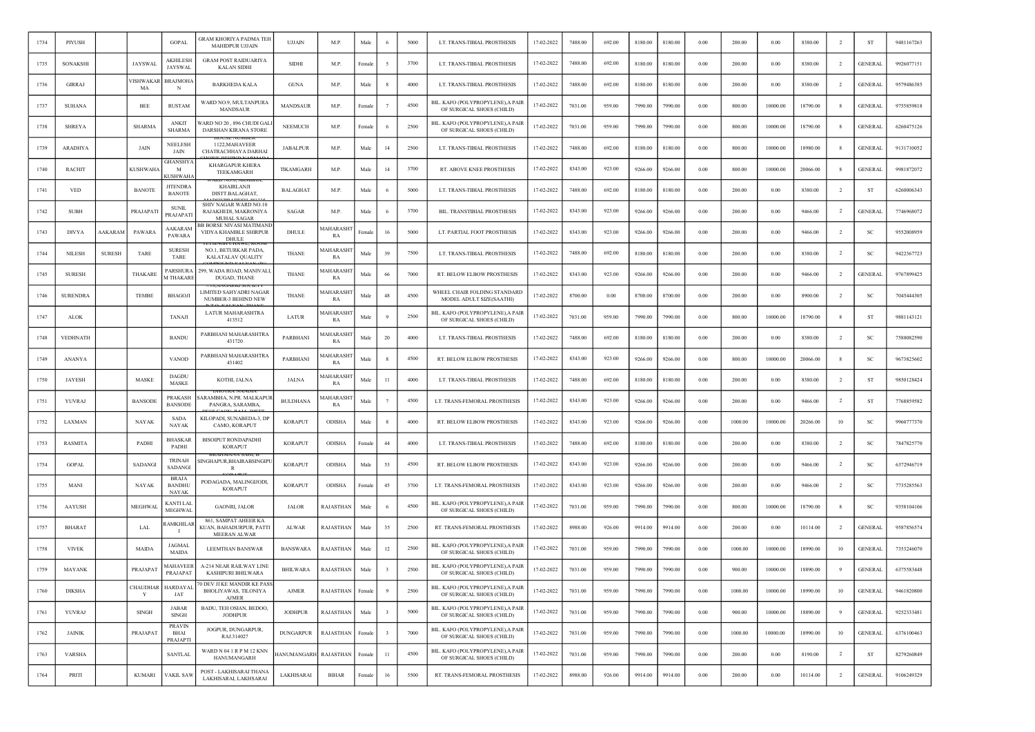| 1734 | PIYUSH          |               |                 | <b>GOPAL</b>                                  | GRAM KHORIYA PADMA TEH<br>MAHIDPUR UJJAIN                                   | <b>UJJAIN</b>      | M.P.                   | Male   |                         | 5000 | LT. TRANS-TIBIAL PROSTHESIS                                    | 17-02-2022 | 7488.00 | 692.00 | 8180.00 | 8180.00 | 0.00       | 200.00  | 0.00     | 8380.00  | $\overline{2}$ | <b>ST</b>      | 9481167263 |
|------|-----------------|---------------|-----------------|-----------------------------------------------|-----------------------------------------------------------------------------|--------------------|------------------------|--------|-------------------------|------|----------------------------------------------------------------|------------|---------|--------|---------|---------|------------|---------|----------|----------|----------------|----------------|------------|
| 1735 | SONAKSHI        |               | <b>JAYSWAL</b>  | AKHILESH<br><b>JAYSWAL</b>                    | <b>GRAM POST RAIDUARIYA</b><br><b>KALAN SIDHI</b>                           | <b>SIDHI</b>       | M.P.                   | Female |                         | 3700 | LT. TRANS-TIBIAL PROSTHESIS                                    | 17-02-2022 | 7488.00 | 692.00 | 8180.00 | 8180.00 | $0.00\,$   | 200.00  | 0.00     | 8380.00  | $\overline{2}$ | <b>GENERAL</b> | 9926077151 |
| 1736 | <b>GIRRAJ</b>   |               | VISHWAKAR<br>MA | <b>BRAJMOHA</b><br>N                          | <b>BARKHEDA KALA</b>                                                        | <b>GUNA</b>        | M.P.                   | Male   | -8                      | 4000 | LT. TRANS-TIBIAL PROSTHESIS                                    | 17-02-2022 | 7488.00 | 692.00 | 8180.00 | 8180.00 | 0.00       | 200.00  | 0.00     | 8380.00  | $\overline{2}$ | <b>GENERAL</b> | 9579486385 |
| 1737 | <b>SUHANA</b>   |               | BEE             | <b>RUSTAM</b>                                 | WARD NO.9, MULTANPURA<br>MANDSAUR                                           | <b>MANDSAUR</b>    | M.P.                   | Female |                         | 4500 | BIL. KAFO (POLYPROPYLENE), A PAIR<br>OF SURGICAL SHOES (CHILD) | 17-02-2022 | 7031.00 | 959.00 | 7990.00 | 7990.00 | 0.00       | 800.00  | 10000.00 | 18790.00 |                | <b>GENERAL</b> | 9755859818 |
| 1738 | <b>SHREYA</b>   |               | <b>SHARMA</b>   | <b>ANKIT</b><br><b>SHARMA</b>                 | VARD NO 20, 896 CHUDI GALI<br>DARSHAN KIRANA STORE                          | <b>NEEMUCH</b>     | M.P.                   | Female |                         | 2500 | BIL. KAFO (POLYPROPYLENE), A PAIR<br>OF SURGICAL SHOES (CHILD) | 17-02-2022 | 7031.00 | 959.00 | 7990.00 | 7990.00 | 0.00       | 800.00  | 10000.00 | 18790.00 |                | <b>GENERAL</b> | 6260475126 |
| 1739 | <b>ARADHYA</b>  |               | JAIN            | <b>NEELESE</b><br>JAIN                        | 1122, MAHAVEER<br>CHATRACHHAYA DARHAI                                       | <b>JABALPUR</b>    | M.P.                   | Male   | 14                      | 2500 | LT. TRANS-TIBIAL PROSTHESIS                                    | 17-02-2022 | 7488.00 | 692.00 | 8180.00 | 8180.00 | 0.00       | 800.00  | 10000.00 | 18980.00 |                | <b>GENERAL</b> | 9131710052 |
| 1740 | <b>RACHIT</b>   |               | <b>KUSHWAH</b>  | <b>GHANSHY</b><br>M<br><b>CUSHWAHA</b>        | <b>KHARGAPUR KHERA</b><br>TEEKAMGARH                                        | TIKAMGARH          | M.P                    | Male   | 14                      | 3700 | RT. ABOVE KNEE PROSTHESIS                                      | 17-02-2022 | 8343.00 | 923.00 | 9266.00 | 9266.00 | 0.00       | 800.00  | 10000.00 | 20066.00 | 8              | <b>GENERAL</b> | 9981872072 |
| 1741 | <b>VED</b>      |               | <b>BANOTE</b>   | <b>JITENDRA</b><br><b>BANOTE</b>              | KHAIRLANJI<br>DISTT.BALAGHAT                                                | <b>BALAGHAT</b>    | M.P.                   | Male   | - 6                     | 5000 | LT. TRANS-TIBIAL PROSTHESIS                                    | 17-02-2022 | 7488.00 | 692.00 | 8180.00 | 8180.00 | 0.00       | 200.00  | 0.00     | 8380.00  | $\overline{2}$ | ST             | 6260006343 |
| 1742 | <b>SUBH</b>     |               | PRAJAPATI       | <b>SUNIL</b><br>PRAJAPATI                     | SHIV NAGAR WARD NO.10<br>RAJAKHEDI, MAKRONIYA<br><b>MUHAL SAGAR</b>         | SAGAR              | M.P.                   | Male   |                         | 3700 | BIL. TRANSTIBIAL PROSTHESIS                                    | 17-02-2022 | 8343.00 | 923.00 | 9266.00 | 9266.00 | $0.00\,$   | 200.00  | 0.00     | 9466.00  | $\overline{2}$ | <b>GENERAL</b> | 7746968072 |
| 1743 | <b>DIVYA</b>    | AAKARAM       | PAWARA          | AAKARAM<br>PAWARA                             | <b>3B BORSE NIVASI MATIMANI</b><br>VIDYA KHAMBLE SHIRPUR<br>DHUL!           | DHULE              | <b>AAHARASH</b><br>RA  | Femalo | 16                      | 5000 | LT. PARTIAL FOOT PROSTHESIS                                    | 17-02-2022 | 8343.00 | 923.00 | 9266.00 | 9266.00 | 0.00       | 200.00  | 0.00     | 9466.00  | $\overline{2}$ | SC             | 9552008959 |
| 1744 | <b>NILESH</b>   | <b>SURESH</b> | TARE            | <b>SURESH</b><br>TARE                         | NO.1, BETURKAR PADA,<br>KALATALAV QUALITY                                   | <b>THANE</b>       | <b>AAHARASH</b><br>RA  | Male   | 39                      | 7500 | LT. TRANS-TIBIAL PROSTHESIS                                    | 17-02-2022 | 7488.00 | 692.00 | 8180.00 | 8180.00 | 0.00       | 200.00  | 0.00     | 8380.00  | $\overline{2}$ | SC             | 9422367723 |
| 1745 | <b>SURESH</b>   |               | THAKARE         | PARSHURA<br><b>MTHAKARE</b>                   | 299, WADA ROAD, MANIVALI,<br><b>DUGAD, THANE</b>                            | <b>THANE</b>       | <b>AAHARASH</b><br>RA  | Male   | 66                      | 7000 | RT. BELOW ELBOW PROSTHESIS                                     | 17-02-2022 | 8343.00 | 923.00 | 9266.00 | 9266.00 | 0.00       | 200.00  | 0.00     | 9466.00  | -2             | <b>GENERAL</b> | 9767899425 |
| 1746 | <b>SURENDRA</b> |               | <b>TEMBE</b>    | <b>BHAGOJI</b>                                | <b>18.AINGARKI SUCIETT</b><br>LIMITED SAHYADRI NAGAR<br>NUMBER-3 BEHIND NEW | THANE              | <b>AAHARASH</b><br>RA  | Male   | 48                      | 4500 | WHEEL CHAIR FOLDING STANDARD<br>MODEL ADULT SIZE(SAATHI)       | 17-02-2022 | 8700.00 | 0.00   | 8700.00 | 8700.00 | 0.00       | 200.00  | 0.00     | 8900.00  | $\overline{2}$ | -SC            | 7045444305 |
| 1747 | <b>ALOK</b>     |               |                 | TANAJI                                        | <b>LATUR MAHARASHTRA</b><br>413512                                          | LATUR              | <b>AAHARASH</b><br>RA  | Male   |                         | 2500 | BIL. KAFO (POLYPROPYLENE), A PAIR<br>OF SURGICAL SHOES (CHILD) | 17-02-2022 | 7031.00 | 959.00 | 7990.00 | 7990.00 | 0.00       | 800.00  | 10000.00 | 18790.00 | -8             | <b>ST</b>      | 9881143121 |
| 1748 | VEDHNATH        |               |                 | <b>BANDU</b>                                  | PARBHANI MAHARASHTRA<br>431720                                              | PARBHANI           | <b>AAHARASH</b><br>RA  | Male   | 20                      | 4000 | LT. TRANS-TIBIAL PROSTHESIS                                    | 17-02-2022 | 7488.00 | 692.00 | 8180.00 | 8180.00 | $0.00\,$   | 200.00  | 0.00     | 8380.00  | $\overline{2}$ | SC             | 7588082590 |
| 1749 | <b>ANANYA</b>   |               |                 | VANOD                                         | PARBHANI MAHARASHTRA<br>431402                                              | PARBHANI           | <b>AAHARASH</b><br>RA  | Male   |                         | 4500 | RT. BELOW ELBOW PROSTHESIS                                     | 17-02-2022 | 8343.00 | 923.00 | 9266.00 | 9266.00 | $0.00\,$   | 800.00  | 10000.00 | 20066.00 | 8              | SC             | 9673825602 |
| 1750 | <b>JAYESH</b>   |               | <b>MASKE</b>    | <b>DAGDU</b><br>MASKE                         | KOTHI, JALNA                                                                | <b>JALNA</b>       | <b>AAHARASHT</b><br>RA | Male   | $_{11}$                 | 4000 | LT. TRANS-TIBIAL PROSTHESIS                                    | 17-02-2022 | 7488.00 | 692.00 | 8180.00 | 8180.00 | 0.00       | 200.00  | 0.00     | 8380.00  | $\overline{2}$ | ST             | 9850128424 |
| 1751 | YUVRAJ          |               | <b>BANSODE</b>  | PRAKASH<br><b>BANSODE</b>                     | SARAMBHA, N.PR. MALKAPUR<br>PANGRA, SARAMBA,                                | <b>BULDHANA</b>    | <b>AAHARASH</b><br>RA  | Male   | -7                      | 4500 | LT. TRANS-FEMORAL PROSTHESIS                                   | 17-02-2022 | 8343.00 | 923.00 | 9266.00 | 9266.00 | 0.00       | 200.00  | 0.00     | 9466.00  | $\overline{2}$ | ST             | 7768859582 |
| 1752 | LAXMAN          |               | NAYAK           | <b>SADA</b><br><b>NAYAK</b>                   | KILOPADI, SUNABEDA-3, DP<br>CAMO, KORAPUT                                   | <b>KORAPUT</b>     | <b>ODISHA</b>          | Male   |                         | 4000 | RT. BELOW ELBOW PROSTHESIS                                     | 17-02-2022 | 8343.00 | 923.00 | 9266.00 | 9266.00 | 0.00       | 1000.00 | 10000.00 | 20266.00 | 10             | -SC            | 9960777370 |
| 1753 | RASMITA         |               | PADHI           | <b>BHASKAR</b><br>PADHI                       | <b>BISOIPUT RONDAPADHI</b><br><b>KORAPUT</b>                                | <b>KORAPUT</b>     | ODISHA                 | Femal  | 44                      | 4000 | LT. TRANS-TIBIAL PROSTHESIS                                    | 17-02-2022 | 7488.00 | 692.00 | 8180.00 | 8180.00 | 0.00       | 200.00  | 0.00     | 8380.00  | $\overline{2}$ | -SC            | 7847825770 |
| 1754 | <b>GOPAL</b>    |               | SADANGI         | <b>TRINAH</b><br>SADANGI                      | SINGHAPUR,BHAIRABSINGIPU                                                    | <b>KORAPUT</b>     | <b>ODISHA</b>          | Male   | 53                      | 4500 | RT. BELOW ELBOW PROSTHESIS                                     | 17-02-2022 | 8343.00 | 923.00 | 9266.00 | 9266.00 | 0.00       | 200.00  | 0.00     | 9466.00  | $\overline{2}$ | <b>SC</b>      | 6372946719 |
| 1755 | MANI            |               | <b>NAYAK</b>    | <b>BRAJA</b><br><b>BANDHU</b><br><b>NAYAK</b> | PODAGADA, MALINGIJODI,<br><b>KORAPUT</b>                                    | <b>KORAPUT</b>     | ODISHA                 | Female | 45                      | 3700 | LT. TRANS-FEMORAL PROSTHESIS                                   | 17-02-2022 | 8343.00 | 923.00 | 9266.00 | 9266.00 | $0.00\,$   | 200.00  | 0.00     | 9466.00  | $\overline{2}$ | SC             | 7735285563 |
| 1756 | <b>AAYUSH</b>   |               | <b>MEGHWAL</b>  | KANTI LAL<br>MEGHWAI                          | <b>GAONRI, JALOR</b>                                                        | <b>JALOR</b>       | RAJASTHAN              | Male   |                         | 4500 | BIL. KAFO (POLYPROPYLENE), A PAIR<br>OF SURGICAL SHOES (CHILD) | 17-02-2022 | 7031.00 | 959.00 | 7990.00 | 7990.00 | 0.00       | 800.00  | 10000.00 | 18790.00 | $\mathbf{g}$   | <sub>SC</sub>  | 9358104106 |
| 1757 | <b>BHARAT</b>   |               | LAL             | RAMKHILAR<br>- 1                              | 861, SAMPAT AHEER KA<br>KUAN, BAHADURPUR, PATTI<br>MEERAN ALWAR             | <b>ALWAR</b>       | RAJASTHAN              | Male   | 35                      | 2500 | RT. TRANS-FEMORAL PROSTHESIS                                   | 17-02-2022 | 8988.00 | 926.00 | 9914.00 | 9914.00 | 0.00       | 200.00  | 0.00     | 10114.00 | $\overline{2}$ | <b>GENERAL</b> | 9587856574 |
| 1758 | <b>VIVEK</b>    |               | MAIDA           | <b>JAGMAI</b><br><b>MAIDA</b>                 | <b>LEEMTHAN BANSWAR</b>                                                     | <b>BANSWARA</b>    | RAJASTHAN              | Male   | 12                      | 2500 | BIL. KAFO (POLYPROPYLENE).A PAIR<br>OF SURGICAL SHOES (CHILD)  | 17-02-2022 | 7031.00 | 959.00 | 7990.00 | 7990.00 | 0.00       | 1000.00 | 10000.00 | 18990.00 | 10             | <b>GENERAL</b> | 7353246070 |
| 1759 | MAYANK          |               | PRAJAPAT        | <b>AAHAVEER</b><br>PRAJAPAT                   | A-214 NEAR RAILWAY LINE<br>KASHIPURI BHILWARA                               | <b>BHILWARA</b>    | RAJASTHAN              | Male   | 3                       | 2500 | BIL. KAFO (POLYPROPYLENE), A PAIR<br>OF SURGICAL SHOES (CHILD) | 17-02-2022 | 7031.00 | 959.00 | 7990.00 | 7990.00 | 0.00       | 900.00  | 10000.00 | 18890.00 | -9             | <b>GENERAL</b> | 6375583448 |
| 1760 | <b>DIKSHA</b>   |               | Y               | CHAUDHAR HARDAYAL<br>JAT                      | '0 DEV JI KE MANDIR KE PASS<br>BHOLIYAWAS, TILONIYA<br><b>AJMER</b>         | <b>AJMER</b>       | RAJASTHAN              | Female | - 9                     | 2500 | BIL. KAFO (POLYPROPYLENE), A PAIR<br>OF SURGICAL SHOES (CHILD) | 17-02-2022 | 7031.00 | 959.00 | 7990.00 | 7990.00 | 0.00       | 1000.00 | 10000.00 | 18990.00 | 10             | <b>GENERAL</b> | 9461820800 |
| 1761 | YUVRAJ          |               | <b>SINGH</b>    | JABAR<br><b>SINGH</b>                         | BADU, TEH OSIAN, BEDOO,<br><b>JODHPUR</b>                                   | <b>JODHPUR</b>     | <b>RAJASTHAN</b>       | Male   | $\ddot{3}$              | 5000 | BIL. KAFO (POLYPROPYLENE), A PAIR<br>OF SURGICAL SHOES (CHILD) | 17-02-2022 | 7031.00 | 959.00 | 7990.00 | 7990.00 | 0.00       | 900.00  | 10000.00 | 18890.00 | $\mathbf{q}$   | <b>GENERAL</b> | 9252333481 |
| 1762 | <b>JAINIK</b>   |               | PRAJAPAT        | PRAVIN<br>BHAI<br>PRAJAPTI                    | JOGPUR, DUNGARPUR,<br>RAJ.314027                                            | <b>DUNGARPUR</b>   | <b>RAJASTHAN</b>       | Female | $\overline{\mathbf{3}}$ | 7000 | BIL. KAFO (POLYPROPYLENE), A PAIR<br>OF SURGICAL SHOES (CHILD) | 17-02-2022 | 7031.00 | 959.00 | 7990.00 | 7990.00 | $\rm 0.00$ | 1000.00 | 10000.00 | 18990.00 | 10             | <b>GENERAL</b> | 6376100463 |
| 1763 | <b>VARSHA</b>   |               |                 | <b>SANTLAL</b>                                | WARD N 04 1 R P M 12 KNN<br>HANUMANGARH                                     | <b>HANUMANGARH</b> | <b>RAJASTHAN</b>       | Female | 11                      | 4500 | BIL. KAFO (POLYPROPYLENE), A PAIR<br>OF SURGICAL SHOES (CHILD) | 17-02-2022 | 7031.00 | 959.00 | 7990.00 | 7990.00 | 0.00       | 200.00  | 0.00     | 8190.00  | $\overline{2}$ | ST             | 8279260849 |
| 1764 | PRITI           |               | <b>KUMARI</b>   | <b>VAKIL SAW</b>                              | POST - LAKHISARAI THANA<br>LAKHISARAI, LAKHSARAI                            | LAKHISARAI         | <b>BIHAR</b>           | Female | 16                      | 5500 | RT. TRANS-FEMORAL PROSTHESIS                                   | 17-02-2022 | 8988.00 | 926.00 | 9914.00 | 9914.00 | 0.00       | 200.00  | 0.00     | 10114.00 | $\overline{2}$ | <b>GENERAL</b> | 9106249329 |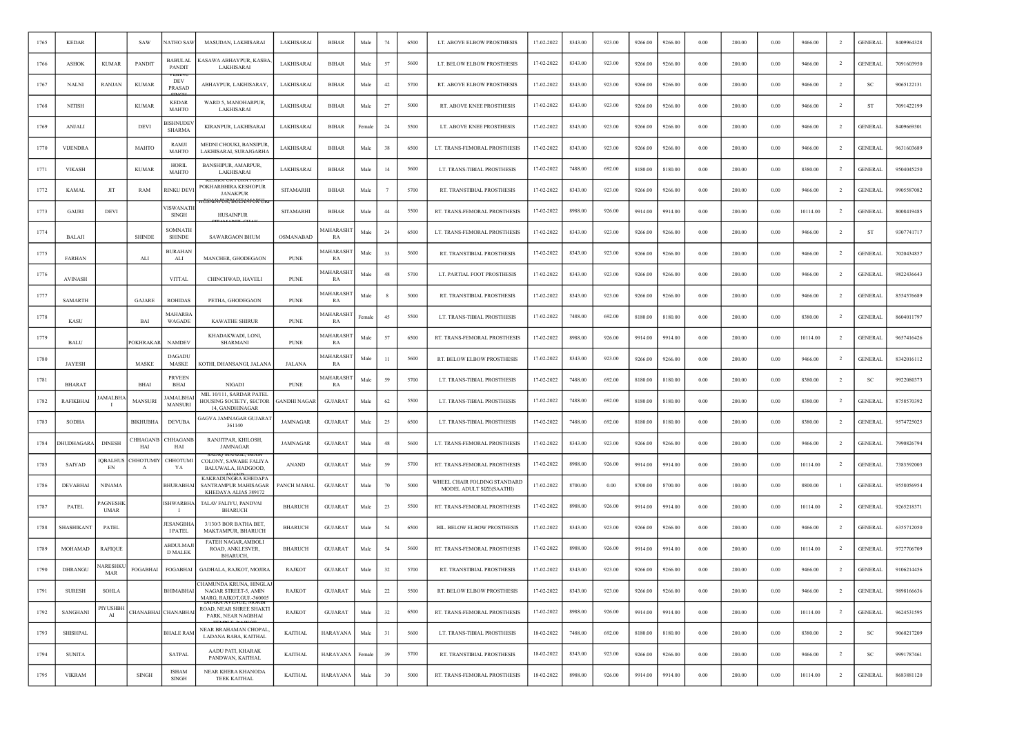| 1765 | <b>KEDAR</b>     |                               | SAW                   | NATHO SAW                         | MASUDAN, LAKHISARAI                                                                 | LAKHISARAI       | <b>BIHAR</b>           | Male   | 74      | 6500 | LT. ABOVE ELBOW PROSTHESIS                               | 17-02-2022 | 8343.00 | 923.00 | 9266.00 | 9266.00 | 0.00       | 200.00 | 0.00     | 9466.00  | $\overline{2}$ | <b>GENERAL</b> | 8409964328 |
|------|------------------|-------------------------------|-----------------------|-----------------------------------|-------------------------------------------------------------------------------------|------------------|------------------------|--------|---------|------|----------------------------------------------------------|------------|---------|--------|---------|---------|------------|--------|----------|----------|----------------|----------------|------------|
| 1766 | <b>ASHOK</b>     | <b>KUMAR</b>                  | PANDIT                | <b>BABULAL</b><br>PANDIT          | KASAWA ABHAYPUR, KASBA<br>LAKHISARAI                                                | LAKHISARAI       | BIHAR                  | Male   | 57      | 5600 | LT. BELOW ELBOW PROSTHESIS                               | 17-02-2022 | 8343.00 | 923.00 | 9266.00 | 9266.00 | $0.00\,$   | 200.00 | 0.00     | 9466.00  | $\overline{2}$ | <b>GENERAL</b> | 7091603950 |
| 1767 | <b>NALNI</b>     | <b>RANJAN</b>                 | <b>KUMAR</b>          | DEV<br><b>PRASAD</b>              | ABHAYPUR, LAKHISARAY,                                                               | LAKHISARAI       | <b>BIHAR</b>           | Male   | 42      | 5700 | RT. ABOVE ELBOW PROSTHESIS                               | 17-02-2022 | 8343.00 | 923.00 | 9266.00 | 9266.00 | 0.00       | 200.00 | 0.00     | 9466.00  | $\overline{2}$ | <b>SC</b>      | 9065122131 |
| 1768 | <b>NITISH</b>    |                               | <b>KUMAR</b>          | <b>KEDAR</b><br><b>MAHTO</b>      | WARD 5, MANOHARPUR<br>LAKHISARAI                                                    | LAKHISARAI       | BIHAR                  | Male   | 27      | 5000 | RT. ABOVE KNEE PROSTHESIS                                | 17-02-2022 | 8343.00 | 923.00 | 9266.00 | 9266.00 | 0.00       | 200.00 | 0.00     | 9466.00  | $\overline{2}$ | ST             | 7091422199 |
| 1769 | <b>ANJALI</b>    |                               | DEVI                  | <b>BISHNUDE</b><br><b>SHARMA</b>  | KIRANPUR, LAKHISARAI                                                                | LAKHISARAI       | <b>BIHAR</b>           | Female | 24      | 5500 | LT. ABOVE KNEE PROSTHESIS                                | 17-02-2022 | 8343.00 | 923.00 | 9266.00 | 9266.00 | 0.00       | 200.00 | 0.00     | 9466.00  |                | <b>GENERAL</b> | 8409669301 |
| 1770 | <b>VIJENDRA</b>  |                               | MAHTO                 | RAMJI<br>MAHTO                    | MEDNI CHOUKI, BANSIPUR<br>LAKHISARAI, SURAJGARHA                                    | LAKHISARAI       | BIHAR                  | Male   | 38      | 6500 | LT. TRANS-FEMORAL PROSTHESIS                             | 17-02-2022 | 8343.00 | 923.00 | 9266.00 | 9266.00 | 0.00       | 200.00 | 0.00     | 9466.00  | $\overline{2}$ | <b>GENERAL</b> | 9631603689 |
| 1771 | <b>VIKASH</b>    |                               | <b>KUMAR</b>          | HORIL<br>MAHTO                    | <b>BANSHIPUR, AMARPUR,</b><br>LAKHISARAI                                            | LAKHISARAI       | <b>BIHAR</b>           | Male   | 14      | 5600 | LT. TRANS-TIBIAL PROSTHESIS                              | 17-02-2022 | 7488.00 | 692.00 | 8180.00 | 8180.00 | 0.00       | 200.00 | 0.00     | 8380.00  | <sup>2</sup>   | <b>GENERAL</b> | 9504045250 |
| 1772 | <b>KAMAL</b>     | JIT                           | RAM                   | RINKU DEV                         | POKHARBHIRA KESHOPUR<br>JANAKPUR                                                    | SITAMARHI        | <b>BIHAR</b>           | Male   |         | 5700 | RT. TRANSTIBIAL PROSTHESIS                               | 17-02-2022 | 8343.00 | 923.00 | 9266.00 | 9266.00 | 0.00       | 200.00 | 0.00     | 9466.00  | $\overline{2}$ | <b>GENERAL</b> | 9905587082 |
| 1773 | GAURI            | DEVI                          |                       | /ISWANATI<br>SINGH                | <b>HUSAINPUR</b>                                                                    | <b>SITAMARHI</b> | <b>BIHAR</b>           | Male   | 44      | 5500 | RT. TRANS-FEMORAL PROSTHESIS                             | 17-02-2022 | 8988.00 | 926.00 | 9914.00 | 9914.00 | 0.00       | 200.00 | 0.00     | 10114.00 | $\overline{2}$ | <b>GENERAL</b> | 8008419485 |
| 1774 | <b>BALAJI</b>    |                               | <b>SHINDE</b>         | SOMNATI<br><b>SHINDE</b>          | <b>SAWARGAON BHUM</b>                                                               | OSMANABAD        | <b>MAHARASH</b><br>RA  | Male   | 24      | 6500 | LT. TRANS-FEMORAL PROSTHESIS                             | 17-02-2022 | 8343.00 | 923.00 | 9266.00 | 9266.00 | 0.00       | 200.00 | 0.00     | 9466.00  | $\overline{2}$ | ST             | 9307741717 |
| 1775 | <b>FARHAN</b>    |                               | ALI                   | <b>BURAHAN</b><br>ALI             | MANCHER, GHODEGAON                                                                  | <b>PUNE</b>      | MAHARASH<br>RA         | Male   | 33      | 5600 | RT. TRANSTIBIAL PROSTHESIS                               | 17-02-2022 | 8343.00 | 923.00 | 9266.00 | 9266.00 | 0.00       | 200.00 | 0.00     | 9466.00  | $\overline{2}$ | <b>GENERAL</b> | 7020434857 |
| 1776 | <b>AVINASH</b>   |                               |                       | <b>VITTAL</b>                     | CHINCHWAD, HAVELI                                                                   | <b>PUNE</b>      | MAHARASH<br>RA         | Male   | 48      | 5700 | LT. PARTIAL FOOT PROSTHESIS                              | 17-02-2022 | 8343.00 | 923.00 | 9266.00 | 9266.00 | 0.00       | 200.00 | 0.00     | 9466.00  | <sup>2</sup>   | <b>GENERAL</b> | 9822436643 |
| 1777 | <b>SAMARTH</b>   |                               | GAJARE                | <b>ROHIDAS</b>                    | PETHA, GHODEGAON                                                                    | <b>PUNE</b>      | MAHARASHT<br>RA        | Male   |         | 5000 | RT. TRANSTIBIAL PROSTHESIS                               | 17-02-2022 | 8343.00 | 923.00 | 9266.00 | 9266.00 | 0.00       | 200.00 | 0.00     | 9466.00  | $\overline{2}$ | <b>GENERAL</b> | 8554576689 |
| 1778 | KASU             |                               | BAI                   | <b>MAHARB</b><br>WAGADE           | <b>KAWATHE SHIRUR</b>                                                               | <b>PUNE</b>      | <b>AAHARASHT</b><br>RA | Female | 45      | 5500 | LT. TRANS-TIBIAL PROSTHESIS                              | 17-02-2022 | 7488.00 | 692.00 | 8180.00 | 8180.00 | 0.00       | 200.00 | 0.00     | 8380.00  | <sup>2</sup>   | <b>GENERAL</b> | 8604011797 |
| 1779 | <b>BALU</b>      |                               | <b>POKHRAKA</b>       | <b>NAMDEV</b>                     | KHADAKWADI, LONI,<br><b>SHARMANI</b>                                                | <b>PUNE</b>      | MAHARASH<br>RA         | Male   | 57      | 6500 | RT. TRANS-FEMORAL PROSTHESIS                             | 17-02-2022 | 8988.00 | 926.00 | 9914.00 | 9914.00 | 0.00       | 200.00 | 0.00     | 10114.00 | $\overline{2}$ | <b>GENERAL</b> | 9657416426 |
| 1780 | <b>JAYESH</b>    |                               | MASKE                 | DAGADU<br>MASKE                   | KOTHI, DHANSANGI, JALANA                                                            | <b>JALANA</b>    | MAHARASHT<br>RA        | Male   | $_{11}$ | 5600 | RT. BELOW ELBOW PROSTHESIS                               | 17-02-2022 | 8343.00 | 923.00 | 9266.00 | 9266.00 | 0.00       | 200.00 | 0.00     | 9466.00  | $\overline{2}$ | <b>GENERAL</b> | 8342016112 |
| 1781 | <b>BHARAT</b>    |                               | <b>BHAI</b>           | <b>PRVEEN</b><br><b>BHAI</b>      | <b>NIGADI</b>                                                                       | <b>PUNE</b>      | <b>MAHARASH</b><br>RA  | Male   | 59      | 5700 | LT. TRANS-TIBIAL PROSTHESIS                              | 17-02-2022 | 7488.00 | 692.00 | 8180.00 | 8180.00 | 0.00       | 200.00 | 0.00     | 8380.00  | $\overline{2}$ | -SC            | 9922080373 |
| 1782 | <b>RAFIKBHAI</b> | <b>AMALBH</b>                 | MANSURI               | AMALBHA<br>MANSURI                | MIL 10/111, SARDAR PATEL<br>HOUSING SOCIETY, SECTOR GANDHI NAGAR<br>14, GANDHINAGAR |                  | <b>GUJARAT</b>         | Male   | 62      | 5500 | LT. TRANS-TIBIAL PROSTHESIS                              | 17-02-2022 | 7488.00 | 692.00 | 8180.00 | 8180.00 | 0.00       | 200.00 | 0.00     | 8380.00  | $\overline{2}$ | <b>GENERAL</b> | 8758570392 |
| 1783 | <b>SODHA</b>     |                               | <b>BIKHUBHA</b>       | <b>DEVUBA</b>                     | AGVA JAMNAGAR GUJARAT<br>361140                                                     | JAMNAGAR         | <b>GUJARAT</b>         | Male   | 25      | 6500 | LT. TRANS-TIBIAL PROSTHESIS                              | 17-02-2022 | 7488.00 | 692.00 | 8180.00 | 8180.00 | 0.00       | 200.00 | 0.00     | 8380.00  | $\overline{2}$ | <b>GENERAL</b> | 9574725025 |
| 1784 | <b>HUDHAGAR</b>  | <b>DINESH</b>                 | <b>HHAGANE</b><br>HAI | <b>HHAGANI</b><br>HAI             | RANJITPAR, KHILOSH,<br><b>JAMNAGAR</b>                                              | <b>JAMNAGAR</b>  | <b>GUJARAT</b>         | Male   | 48      | 5600 | LT. TRANS-FEMORAL PROSTHESIS                             | 17-02-2022 | 8343.00 | 923.00 | 9266.00 | 9266.00 | 0.00       | 200.00 | 0.00     | 9466.00  | $\overline{2}$ | <b>GENERAL</b> | 7990826794 |
| 1785 | <b>SAIYAD</b>    | <b>IOBALHUS</b><br>EN         | <b>HHOTUMIY</b><br>A  | <b>CHHOTUM</b><br>YA              | COLONY, SAWABE FALIYA<br>BALUWALA, HADGOOD,                                         | ANAND            | <b>GUJARAT</b>         | Male   | 59      | 5700 | RT. TRANS-FEMORAL PROSTHESIS                             | 17-02-2022 | 8988.00 | 926.00 | 9914.00 | 9914.00 | 0.00       | 200.00 | 0.00     | 10114.00 | -2             | <b>GENERAL</b> | 7383592003 |
| 1786 | DEVABHAI         | <b>NINAMA</b>                 |                       | <b>BHURABHA</b>                   | KAKRADUNGRA KHEDAPA<br>SANTRAMPUR MAHISAGAR<br>KHEDAYA ALIAS 389172                 | PANCH MAHAL      | <b>GUJARAT</b>         | Male   | 70      | 5000 | WHEEL CHAIR FOLDING STANDARD<br>MODEL ADULT SIZE(SAATHI) | 17-02-2022 | 8700.00 | 0.00   | 8700.00 | 8700.00 | 0.00       | 100.00 | 0.00     | 8800.00  | -1             | <b>GENERAL</b> | 9558056954 |
| 1787 | PATEL            | <b>AGNESHI</b><br><b>UMAR</b> |                       | <b>ISHWARBHA</b>                  | TALAV FALIYU, PANDVAI<br><b>BHARUCH</b>                                             | <b>BHARUCH</b>   | <b>GUJARAT</b>         | Male   | 23      | 5500 | RT. TRANS-FEMORAL PROSTHESIS                             | 17-02-2022 | 8988.00 | 926.00 | 9914.00 | 9914.00 | 0.00       | 200.00 | 0.00     | 10114.00 | $\overline{2}$ | <b>GENERAL</b> | 9265218371 |
| 1788 | SHASHIKANT       | PATEL                         |                       | JESANGBH<br><b>I PATEL</b>        | 3/130/3 BOR BATHA BET,<br>MAKTAMPUR, BHARUCH                                        | <b>BHARUCH</b>   | <b>GUJARAT</b>         | Male   | 54      | 6500 | BIL. BELOW ELBOW PROSTHESIS                              | 17-02-2022 | 8343.00 | 923.00 | 9266.00 | 9266.00 | 0.00       | 200.00 | 0.00     | 9466.00  | $\overline{2}$ | <b>GENERAL</b> | 6355712050 |
| 1789 | MOHAMAD          | <b>RAFIQUE</b>                |                       | <b>ABDULMAJ</b><br><b>D MALEK</b> | <b>FATEH NAGAR, AMBOLI</b><br>ROAD, ANKLESVER,<br><b>BHARUCH</b> ,                  | <b>BHARUCH</b>   | <b>GUJARAT</b>         | Male   | 54      | 5600 | RT. TRANS-FEMORAL PROSTHESIS                             | 17-02-2022 | 8988.00 | 926.00 | 9914.00 | 9914.00 | 0.00       | 200.00 | 0.00     | 10114.00 | <sup>2</sup>   | <b>GENERAL</b> | 9727706709 |
| 1790 | DHRANGU          | ARESHK<br>MAR                 | FOGABHAI              | FOGABHAI                          | GADHALA, RAJKOT, MOJIRA                                                             | <b>RAJKOT</b>    | <b>GUJARAT</b>         | Male   | 32      | 5700 | RT. TRANSTIBIAL PROSTHESIS                               | 17-02-2022 | 8343.00 | 923.00 | 9266.00 | 9266.00 | 0.00       | 200.00 | 0.00     | 9466.00  | $\overline{2}$ | <b>GENERAL</b> | 9106214456 |
| 1791 | <b>SURESH</b>    | <b>SOHLA</b>                  |                       | <b>BHIMABHAI</b>                  | :HAMUNDA KRUNA. HINGLA<br>NAGAR STREET-5, AMIN<br>MARG, RAJKOT, GUJ.-360005         | RAJKOT           | <b>GUJARAT</b>         | Male   | 22      | 5500 | RT. BELOW ELBOW PROSTHESIS                               | 17-02-2022 | 8343.00 | 923.00 | 9266.00 | 9266.00 | $\rm 0.00$ | 200.00 | $0.00\,$ | 9466.00  | $\overline{2}$ | <b>GENERAL</b> | 9898166636 |
| 1792 | SANGHANI         | PIYUSHBH<br>AI                | CHANABHAI CHANABHAI   |                                   | ROAD, NEAR SHREE SHAKTI<br>PARK, NEAR NAGBHAI                                       | <b>RAJKOT</b>    | GUJARAT                | Male   | $32\,$  | 6500 | RT. TRANS-FEMORAL PROSTHESIS                             | 17-02-2022 | 8988.00 | 926.00 | 9914.00 | 9914.00 | $0.00\,$   | 200.00 | 0.00     | 10114.00 | $\overline{2}$ | <b>GENERAL</b> | 9624531595 |
| 1793 | SHISHPAL         |                               |                       | <b>BHALE RAM</b>                  | NEAR BRAHAMAN CHOPAL,<br>LADANA BABA, KAITHAL                                       | <b>KAITHAL</b>   | HARAYANA               | Male   | 31      | 5600 | LT. TRANS-TIBIAL PROSTHESIS                              | 18-02-2022 | 7488.00 | 692.00 | 8180.00 | 8180.00 | 0.00       | 200.00 | 0.00     | 8380.00  | $\overline{2}$ | SC             | 9068217209 |
| 1794 | <b>SUNITA</b>    |                               |                       | SATPAL                            | AADU PATI, KHARAK<br>PANDWAN, KAITHAL                                               | <b>KAITHAL</b>   | <b>HARAYANA</b>        | Female | 39      | 5700 | RT. TRANSTIBIAL PROSTHESIS                               | 18-02-2022 | 8343.00 | 923.00 | 9266.00 | 9266.00 | 0.00       | 200.00 | 0.00     | 9466.00  | $\overline{2}$ | <b>SC</b>      | 9991787461 |
| 1795 | <b>VIKRAM</b>    |                               | SINGH                 | <b>ISHAM</b><br><b>SINGH</b>      | NEAR KHERA KHANODA<br><b>TEEK KAITHAL</b>                                           | <b>KAITHAL</b>   | HARAYANA               | Male   | 30      | 5000 | RT. TRANS-FEMORAL PROSTHESIS                             | 18-02-2022 | 8988.00 | 926.00 | 9914.00 | 9914.00 | 0.00       | 200.00 | 0.00     | 10114.00 | $\overline{2}$ | <b>GENERAL</b> | 8683881120 |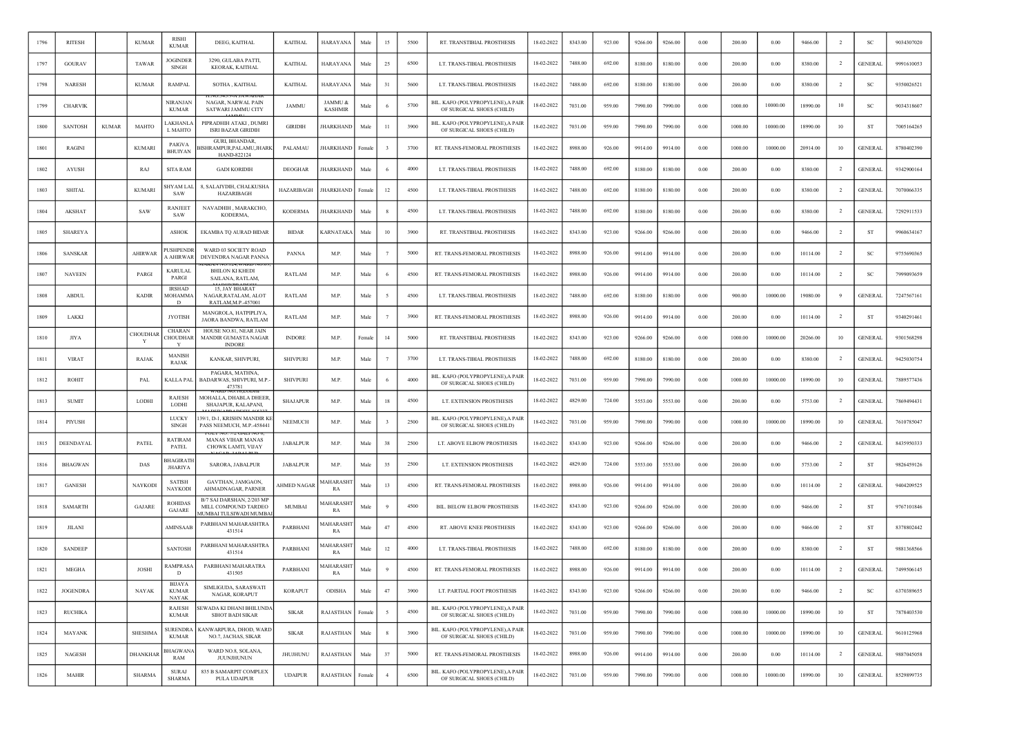| 1796 | <b>RITESH</b>   |              | <b>KUMAR</b>    | <b>RISHI</b><br><b>KUMAR</b>         | DEEG, KAITHAL                                                                             | <b>KAITHAL</b>    | <b>HARAYANA</b>           | Male   | 15             | 5500 | RT. TRANSTIBIAL PROSTHESIS                                     | 18-02-2022 | 8343.00 | 923.00 | 9266.00 | 9266.00 | 0.00 | 200.00  | 0.00     | 9466.00  | -2             | -SC            | 9034307020 |
|------|-----------------|--------------|-----------------|--------------------------------------|-------------------------------------------------------------------------------------------|-------------------|---------------------------|--------|----------------|------|----------------------------------------------------------------|------------|---------|--------|---------|---------|------|---------|----------|----------|----------------|----------------|------------|
| 1797 | <b>GOURAV</b>   |              | TAWAR           | JOGINDEF<br>SINGH                    | 3290, GULABA PATTI,<br>KEORAK, KAITHAL                                                    | <b>KAITHAL</b>    | <b>HARAYANA</b>           | Male   | 25             | 6500 | LT. TRANS-TIBIAL PROSTHESIS                                    | 18-02-2022 | 7488.00 | 692.00 | 8180.00 | 8180.00 | 0.00 | 200.00  | 0.00     | 8380.00  | $\overline{2}$ | <b>GENERAL</b> | 9991610053 |
| 1798 | <b>NARESH</b>   |              | <b>KUMAR</b>    | <b>RAMPAL</b>                        | SOTHA, KAITHAL                                                                            | <b>KAITHAL</b>    | <b>HARAYANA</b>           | Male   | 31             | 5600 | LT. TRANS-TIBIAL PROSTHESIS                                    | 18-02-2022 | 7488.00 | 692.00 | 8180.00 | 8180.00 | 0.00 | 200.00  | 0.00     | 8380.00  | $\overline{2}$ | <b>SC</b>      | 9350026521 |
| 1799 | <b>CHARVIK</b>  |              |                 | NIRANJAN<br><b>KUMAR</b>             | NAGAR, NARWAL PAIN<br>SATWARI JAMMU CITY                                                  | <b>JAMMU</b>      | JAMMU &<br><b>KASHMIR</b> | Male   |                | 5700 | BIL. KAFO (POLYPROPYLENE), A PAIR<br>OF SURGICAL SHOES (CHILD) | 18-02-2022 | 7031.00 | 959.00 | 7990.00 | 7990.00 | 0.00 | 1000.00 | 10000.00 | 18990.00 | 10             | SC             | 9034318607 |
| 1800 | <b>SANTOSH</b>  | <b>KUMAR</b> | MAHTO           | <b>AKHANLA</b><br>L MAHTO            | PIPRADHIH ATAKI, DUMRI<br><b>ISRI BAZAR GIRIDIH</b>                                       | <b>GIRIDIH</b>    | <b>JHARKHAND</b>          | Male   | 11             | 3900 | BIL. KAFO (POLYPROPYLENE), A PAIR<br>OF SURGICAL SHOES (CHILD) | 18-02-2022 | 7031.00 | 959.00 | 7990.00 | 7990.00 | 0.00 | 1000.00 | 10000.00 | 18990.00 | 10             | <b>ST</b>      | 7005164265 |
| 1801 | RAGINI          |              | <b>KUMARI</b>   | PAIGVA<br><b>BHUIYAN</b>             | GURI, BHANDAR,<br>SHRAMPUR, PALAMU, JHARK<br>HAND-822124                                  | PALAMAU           | HARKHAND                  | Femal  |                | 3700 | RT. TRANS-FEMORAL PROSTHESIS                                   | 18-02-2022 | 8988.00 | 926.00 | 9914.00 | 9914.00 | 0.00 | 1000.00 | 10000.00 | 20914.00 | 10             | <b>GENERAL</b> | 8780402390 |
| 1802 | <b>AYUSH</b>    |              | RAJ             | <b>SITA RAM</b>                      | <b>GADI KORIDIH</b>                                                                       | <b>DEOGHAR</b>    | <b>HARKHAND</b>           | Male   |                | 4000 | LT. TRANS-TIBIAL PROSTHESIS                                    | 18-02-2022 | 7488.00 | 692.00 | 8180.00 | 8180.00 | 0.00 | 200.00  | 0.00     | 8380.00  | <sup>2</sup>   | <b>GENERAL</b> | 9342900164 |
| 1803 | <b>SHITAL</b>   |              | <b>KUMARI</b>   | SHYAM LAL<br>SAW                     | 8, SALAIYDIH, CHALKUSHA<br><b>HAZARIBAGH</b>                                              | <b>HAZARIBAGH</b> | <b>JHARKHAND</b>          | Female | 12             | 4500 | LT. TRANS-TIBIAL PROSTHESIS                                    | 18-02-2022 | 7488.00 | 692.00 | 8180.00 | 8180.00 | 0.00 | 200.00  | 0.00     | 8380.00  | $\overline{2}$ | <b>GENERAL</b> | 7070066335 |
| 1804 | AKSHAT          |              | <b>SAW</b>      | <b>RANJEET</b><br>SAW                | NAVADHIH, MARAKCHO,<br>KODERMA,                                                           | <b>KODERMA</b>    | <b>JHARKHAND</b>          | Male   |                | 4500 | LT. TRANS-TIBIAL PROSTHESIS                                    | 18-02-2022 | 7488.00 | 692.00 | 8180.00 | 8180.00 | 0.00 | 200.00  | 0.00     | 8380.00  | $\overline{2}$ | <b>GENERAL</b> | 7292911533 |
| 1805 | <b>SHAREYA</b>  |              |                 | <b>ASHOK</b>                         | EKAMBA TQ AURAD BIDAR                                                                     | <b>BIDAR</b>      | <b>KARNATAKA</b>          | Male   | 10             | 3900 | RT. TRANSTIBIAL PROSTHESIS                                     | 18-02-2022 | 8343.00 | 923.00 | 9266.00 | 9266.00 | 0.00 | 200.00  | 0.00     | 9466.00  | $\overline{2}$ | ST             | 9960634167 |
| 1806 | SANSKAR         |              | AHIR WAR        | <b>USHPENDR</b><br>A AHIRWAR         | WARD 03 SOCIETY ROAD<br>DEVENDRA NAGAR PANNA                                              | PANNA             | M.P.                      | Male   |                | 5000 | RT. TRANS-FEMORAL PROSTHESIS                                   | 18-02-2022 | 8988.00 | 926.00 | 9914.00 | 9914.00 | 0.00 | 200.00  | 0.00     | 10114.00 | $\overline{2}$ | SC             | 9755690365 |
| 1807 | <b>NAVEEN</b>   |              | PARGI           | <b>KARULAL</b><br>PARGI              | BHILON KI KHEDI<br><b>SAILANA, RATLAM</b>                                                 | <b>RATLAM</b>     | M.P.                      | Male   |                | 4500 | RT. TRANS-FEMORAL PROSTHESIS                                   | 18-02-2022 | 8988.00 | 926.00 | 9914.00 | 9914.00 | 0.00 | 200.00  | 0.00     | 10114.00 | $\overline{2}$ | <sub>SC</sub>  | 7999093659 |
| 1808 | <b>ABDUL</b>    |              | <b>KADIR</b>    | <b>IRSHAD</b><br><b>MOHAMMA</b><br>D | 15, JAY BHARAT<br>NAGAR, RATALAM, ALOT<br>RATLAM.M.P.-457001                              | RATLAM            | M.P.                      | Male   |                | 4500 | LT. TRANS-TIBIAL PROSTHESIS                                    | 18-02-2022 | 7488.00 | 692.00 | 8180.00 | 8180.00 | 0.00 | 900.00  | 10000.00 | 19080.00 | 9              | <b>GENERAL</b> | 7247567161 |
| 1809 | LAKKI           |              |                 | <b>JYOTISH</b>                       | MANGROLA, HATPIPLIYA<br>JAORA BANDWA, RATLAM                                              | <b>RATLAM</b>     | M.P.                      | Male   |                | 3900 | RT. TRANS-FEMORAL PROSTHESIS                                   | 18-02-2022 | 8988.00 | 926.00 | 9914.00 | 9914.00 | 0.00 | 200.00  | 0.00     | 10114.00 | <sup>2</sup>   | <b>ST</b>      | 9340291461 |
| 1810 | <b>JIYA</b>     |              | CHOUDHAF<br>Y   | CHARAN<br>CHOUDHAR<br>- Y            | HOUSE NO.81, NEAR JAIN<br>MANDIR GUMASTA NAGAR<br><b>INDORE</b>                           | <b>INDORE</b>     | M.P.                      | Female | 14             | 5000 | RT. TRANSTIBIAL PROSTHESIS                                     | 18-02-2022 | 8343.00 | 923.00 | 9266.00 | 9266.00 | 0.00 | 1000.00 | 10000.00 | 20266.00 | 10             | <b>GENERAL</b> | 9301568298 |
| 1811 | <b>VIRAT</b>    |              | RAJAK           | MANISH<br><b>RAJAK</b>               | KANKAR, SHIVPURI,                                                                         | <b>SHIVPURI</b>   | M.P.                      | Male   |                | 3700 | LT. TRANS-TIBIAL PROSTHESIS                                    | 18-02-2022 | 7488.00 | 692.00 | 8180.00 | 8180.00 | 0.00 | 200.00  | 0.00     | 8380.00  | $\overline{2}$ | <b>GENERAL</b> | 9425030754 |
| 1812 | <b>ROHIT</b>    |              | PAL             | KALLA PAL                            | PAGARA, MATHNA,<br>BADARWAS, SHIVPURI, M.P.-<br>473781                                    | <b>SHIVPURI</b>   | M.P.                      | Male   |                | 4000 | BIL. KAFO (POLYPROPYLENE), A PAIR<br>OF SURGICAL SHOES (CHILD) | 18-02-2022 | 7031.00 | 959.00 | 7990.00 | 7990.00 | 0.00 | 1000.00 | 10000.00 | 18990.00 | 10             | <b>GENERAL</b> | 7889577436 |
| 1813 | <b>SUMIT</b>    |              | LODHI           | RAJESH<br>LODHI                      | MOHALLA, DHABLA DHEER<br>SHAJAPUR, KALAPANI,                                              | <b>SHAJAPUR</b>   | M.P.                      | Male   | 18             | 4500 | LT. EXTENSION PROSTHESIS                                       | 18-02-2022 | 4829.00 | 724.00 | 5553.00 | 5553.00 | 0.00 | 200.00  | 0.00     | 5753.00  | $\overline{2}$ | <b>GENERAL</b> | 7869494431 |
| 1814 | PIYUSH          |              |                 | <b>LUCKY</b><br>SINGH                | 39/1, D-1, KRISHN MANDIR K<br>PASS NEEMUCH, M.P.-458441                                   | <b>NEEMUCH</b>    | M.P.                      | Male   |                | 2500 | BIL. KAFO (POLYPROPYLENE), A PAIR<br>OF SURGICAL SHOES (CHILD) | 18-02-2022 | 7031.00 | 959.00 | 7990.00 | 7990.00 | 0.00 | 1000.00 | 10000.00 | 18990.00 | 10             | GENERAI        | 7610785047 |
| 1815 | DEENDAYAL       |              | PATEL           | RATIRAM<br>PATEL                     | <b>MANAS VIHAR MANAS</b><br>CHOWK LAMTI, VIJAY                                            | <b>JABALPUR</b>   | M.P.                      | Male   | 38             | 2500 | LT. ABOVE ELBOW PROSTHESIS                                     | 18-02-2022 | 8343.00 | 923.00 | 9266.00 | 9266.00 | 0.00 | 200.00  | 0.00     | 9466.00  | $\overline{2}$ | <b>GENERAL</b> | 8435950333 |
| 1816 | <b>BHAGWAN</b>  |              | DAS             | <b>BHAGIRATI</b><br><b>JHARIYA</b>   | SARORA, JABALPUR                                                                          | <b>JABALPUR</b>   | M.P.                      | Male   | 35             | 2500 | LT. EXTENSION PROSTHESIS                                       | 18-02-2022 | 4829.00 | 724.00 | 5553.00 | 5553.00 | 0.00 | 200.00  | 0.00     | 5753.00  | $\overline{2}$ | <b>ST</b>      | 9826459126 |
| 1817 | <b>GANESH</b>   |              | NAYKODI         | <b>SATISH</b><br><b>NAYKOD</b>       | GAVTHAN, JAMGAON,<br>AHMADNAGAR, PARNER                                                   | AHMED NAGAR       | MAHARASH<br>RA            | Male   | 13             | 4500 | RT. TRANS-FEMORAL PROSTHESIS                                   | 18-02-2022 | 8988.00 | 926.00 | 9914.00 | 9914.00 | 0.00 | 200.00  | 0.00     | 10114.00 | $\overline{2}$ | <b>GENERAL</b> | 9404209525 |
| 1818 | <b>SAMARTH</b>  |              | GAJARE          | <b>ROHIDAS</b><br>GAJARE             | B/7 SAI DARSHAN, 2/203 MP<br>MILL COMPOUND TARDEO<br><b><i>AUMBAI TULSIWADI MUMBA</i></b> | MUMBAI            | <b>MAHARASH</b><br>RA     | Male   |                | 4500 | BIL. BELOW ELBOW PROSTHESIS                                    | 18-02-2022 | 8343.00 | 923.00 | 9266.00 | 9266.00 | 0.00 | 200.00  | 0.00     | 9466.00  | $\overline{2}$ | <b>ST</b>      | 9767101846 |
| 1819 | <b>JILANI</b>   |              |                 | AMINSAAF                             | PARBHANI MAHARASHTRA<br>431514                                                            | <b>PARBHAN</b>    | <b>AAHARASH</b><br>RA     | Male   | 47             | 4500 | <b>RT. ABOVE KNEE PROSTHESIS</b>                               | 18-02-2022 | 8343.00 | 923.00 | 9266.00 | 9266.00 | 0.00 | 200.00  | 0.00     | 9466.00  | $\overline{2}$ | ST             | 8378802442 |
| 1820 | <b>SANDEEP</b>  |              |                 | <b>SANTOSH</b>                       | PARBHANI MAHARASHTRA<br>431514                                                            | PARBHANI          | MAHARASH<br>RA            | Male   | 12             | 4000 | LT. TRANS-TIBIAL PROSTHESIS                                    | 18-02-2022 | 7488.00 | 692.00 | 8180.00 | 8180.00 | 0.00 | 200.00  | 0.00     | 8380.00  | $\overline{2}$ | ST             | 9881368566 |
| 1821 | <b>MEGHA</b>    |              | <b>JOSHI</b>    | RAMPRASA<br>D                        | PARBHANI MAHARATRA<br>431505                                                              | PARBHANI          | MAHARASHT<br>RA           | Male   |                | 4500 | RT. TRANS-FEMORAL PROSTHESIS                                   | 18-02-2022 | 8988.00 | 926.00 | 9914.00 | 9914.00 | 0.00 | 200.00  | 0.00     | 10114.00 | $\overline{2}$ | <b>GENERAL</b> | 7499506145 |
| 1822 | <b>JOGENDRA</b> |              | NAYAK           | BIJAYA<br><b>KUMAR</b><br>NAYAK      | SIMLIGUDA, SARASWATI<br>NAGAR, KORAPUT                                                    | <b>KORAPUT</b>    | ODISHA                    | Male   | 47             | 3900 | LT. PARTIAL FOOT PROSTHESIS                                    | 18-02-2022 | 8343.00 | 923.00 | 9266.00 | 9266.00 | 0.00 | 200.00  | $0.00\,$ | 9466.00  | $\overline{2}$ | SC             | 6370389655 |
| 1823 | <b>RUCHIKA</b>  |              |                 | <b>RAJESH</b><br><b>KUMAR</b>        | SEWADA KI DHANI BHILUNDA<br>SIHOT BADI SIKAR                                              | <b>SIKAR</b>      | RAJASTHAN                 | Female |                | 4500 | BIL. KAFO (POLYPROPYLENE), A PAIR<br>OF SURGICAL SHOES (CHILD) | 18-02-2022 | 7031.00 | 959.00 | 7990.00 | 7990.00 | 0.00 | 1000.00 | 10000.00 | 18990.00 | 10             | <b>ST</b>      | 7878403530 |
| 1824 | <b>MAYANK</b>   |              | <b>SHESHMA</b>  | <b>SURENDRA</b><br><b>KUMAR</b>      | KANWARPURA, DHOD, WARD<br>NO.7, JACHAS, SIKAR                                             | <b>SIKAR</b>      | RAJASTHAN                 | Male   |                | 3900 | BIL. KAFO (POLYPROPYLENE), A PAIR<br>OF SURGICAL SHOES (CHILD) | 18-02-2022 | 7031.00 | 959.00 | 7990.00 | 7990.00 | 0.00 | 1000.00 | 10000.00 | 18990.00 | 10             | <b>GENERAL</b> | 9610125968 |
| 1825 | NAGESH          |              | <b>DHANKHAR</b> | <b>BHAGWANA</b><br>RAM               | WARD NO.8, SOLANA,<br><b>JUUNJHUNUN</b>                                                   | <b>JHUJHUNU</b>   | <b>RAJASTHAN</b>          | Male   | 37             | 5000 | RT. TRANS-FEMORAL PROSTHESIS                                   | 18-02-2022 | 8988.00 | 926.00 | 9914.00 | 9914.00 | 0.00 | 200.00  | 0.00     | 10114.00 | $\overline{2}$ | <b>GENERAL</b> | 9887045058 |
| 1826 | MAHIR           |              | SHARMA          | SURAJ<br><b>SHARMA</b>               | 835 B SAMARPIT COMPLEX<br>PULA UDAIPUR                                                    | <b>UDAIPUR</b>    | RAJASTHAN                 | Female | $\overline{4}$ | 6500 | BIL. KAFO (POLYPROPYLENE), A PAIR<br>OF SURGICAL SHOES (CHILD) | 18-02-2022 | 7031.00 | 959.00 | 7990.00 | 7990.00 | 0.00 | 1000.00 | 10000.00 | 18990.00 | 10             | <b>GENERAL</b> | 8529899735 |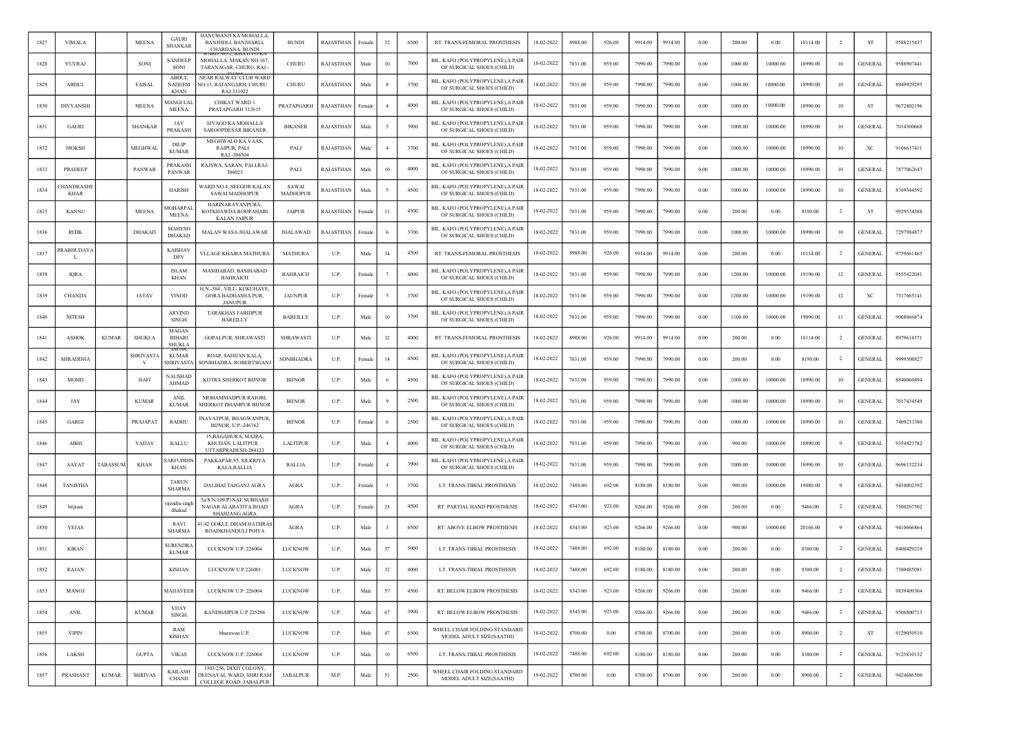| 1827 | <b>VIMALA</b>                   |              | <b>MEENA</b>     | <b>GAURI</b><br><b>SHANKAR</b>               | HANUMANJI KA MOHALLA<br>BANJHDLI, BANJHARLI,<br>CHARDANA, BUNDI              | <b>BUNDI</b>             | RAJASTHAN | Female | 32             | 6500 | RT. TRANS-FEMORAL PROSTHESIS                                   | 18-02-2022 | 8988.00 | 926.00 | 9914.00 | 9914.00 | 0.00       | 200.00  | 0.00     | 10114.00 | $\overline{2}$ | ST             | 9588215437 |
|------|---------------------------------|--------------|------------------|----------------------------------------------|------------------------------------------------------------------------------|--------------------------|-----------|--------|----------------|------|----------------------------------------------------------------|------------|---------|--------|---------|---------|------------|---------|----------|----------|----------------|----------------|------------|
| 1828 | YUVRAJ                          |              | SONI             | SANDEEP<br>SONI                              | MOHALLA, MAKAN NO.167,<br>TARANAGAR, CHURU, RAJ.-                            | CHURU                    | RAJASTHAN | Male   | 10             | 7000 | BIL. KAFO (POLYPROPYLENE), A PAIR<br>OF SURGICAL SHOES (CHILD) | 18-02-2022 | 7031.00 | 959.00 | 7990.00 | 7990.00 | 0.00       | 1000.00 | 10000.00 | 18990.00 | 10             | <b>GENERAL</b> | 9588907441 |
| 1829 | <b>ABDUL</b>                    |              | <b>FAISAL</b>    | <b>ABDUL</b><br><b>NADEEM</b><br><b>KHAN</b> | <b>NEAR RALWAY CLUB WARD</b><br>NO.13, RATANGARH, CHURU<br>RAJ.331022        | CHURU                    | RAJASTHAN | Male   | -8             | 3700 | BIL. KAFO (POLYPROPYLENE), A PAIR<br>OF SURGICAL SHOES (CHILD) | 18-02-2022 | 7031.00 | 959.00 | 7990.00 | 7990.00 | 0.00       | 1000.00 | 10000.00 | 18990.00 | 10             | <b>GENERAL</b> | 8949929295 |
| 1830 | <b>DIVYANSHI</b>                |              | <b>MEENA</b>     | MANGI LAL<br><b>MEENA</b>                    | CHIKAT WARD I<br>PRATAPGARH 312615                                           | PRATAPGARH               | RAJASTHAN | Female | $\overline{4}$ | 4000 | BIL. KAFO (POLYPROPYLENE),A PAIR<br>OF SURGICAL SHOES (CHILD)  | 18-02-2022 | 7031.00 | 959.00 | 7990.00 | 7990.00 | 0.00       | 1000.00 | 10000.00 | 18990.00 | 10             | <b>ST</b>      | 9672802196 |
| 1831 | <b>GAURI</b>                    |              | <b>SHANKAR</b>   | JAY<br>PRAKASH                               | SIYAGO KA MOHALLA<br><b>SAROOPDESAR BIKANER</b>                              | <b>BIKANER</b>           | RAJASTHAN | Male   |                | 3900 | BIL. KAFO (POLYPROPYLENE), A PAIR<br>OF SURGICAL SHOES (CHILD) | 8-02-2022  | 7031.00 | 959.00 | 7990.00 | 7990.00 | 0.00       | 1000.00 | 10000.00 | 18990.00 | 10             | <b>GENERAL</b> | 7014300668 |
| 1832 | <b>MOKSH</b>                    |              | MEGHWAL          | DILIP<br><b>KUMAR</b>                        | MEGHWALO KA VAAS,<br>RAIPUR, PALI<br>RAJ-306304                              | PALI                     | RAJASTHAN | Mak    |                | 3700 | BIL. KAFO (POLYPROPYLENE), A PAIR<br>OF SURGICAL SHOES (CHILD) | 18-02-2022 | 7031.00 | 959.00 | 7990.00 | 7990.00 | 0.00       | 1000.00 | 10000.00 | 18990.00 | 10             | -SC            | 9166617411 |
| 1833 | PRADEEP                         |              | PANWAR           | PRAKASH<br>PANWAR                            | RAJSWA, SARAN, PALI,RAJ-<br>306023                                           | PALI                     | RAJASTHAN | Male   | 10             | 4000 | BIL. KAFO (POLYPROPYLENE), A PAIR<br>OF SURGICAL SHOES (CHILD) | 18-02-2022 | 7031.00 | 959.00 | 7990.00 | 7990.00 | 0.00       | 1000.00 | 10000.00 | 18990.00 | 10             | <b>GENERAL</b> | 7877062647 |
| 1834 | <b>HANDRASHI</b><br><b>KHAR</b> |              |                  | <b>HARISH</b>                                | WARD NO.4, SEEGOR KALAN<br><b>SAWAI MADHOPUR</b>                             | SAWAI<br><b>MADHOPUR</b> | RAJASTHAN | Male   |                | 4500 | BIL. KAFO (POLYPROPYLENE).A PAIR<br>OF SURGICAL SHOES (CHILD)  | 18-02-2022 | 7031.00 | 959.00 | 7990.00 | 7990.00 | 0.00       | 1000.00 | 10000.00 | 18990.00 | 10             | <b>GENERAL</b> | 8769344592 |
| 1835 | <b>KANNU</b>                    |              | <b>MEENA</b>     | <b>IOHARPAI</b><br><b>MEENA</b>              | HARINARAYANPURA.<br>KOTKHAWDA ROOPAHARI<br><b>KALAN JAIPUR</b>               | <b>JAIPUR</b>            | RAJASTHAN | Female | 11             | 4500 | BIL. KAFO (POLYPROPYLENE), A PAIR<br>OF SURGICAL SHOES (CHILD) | 18-02-2022 | 7031.00 | 959.00 | 7990.00 | 7990.00 | 0.00       | 200.00  | 0.00     | 8190.00  | $\overline{2}$ | <b>ST</b>      | 9929534388 |
| 1836 | <b>RITIK</b>                    |              | DHAKAD           | <b>MAHESH</b><br><b>DHAKAD</b>               | MALAN WASA JHALAWAR                                                          | JHALAWAD                 | RAJASTHAN | Female | - 6            | 3700 | BIL. KAFO (POLYPROPYLENE),A PAIR<br>OF SURGICAL SHOES (CHILD)  | 18-02-2022 | 7031.00 | 959.00 | 7990.00 | 7990.00 | 0.00       | 1000.00 | 10000.00 | 18990.00 | 10             | <b>GENERAL</b> | 7297984877 |
| 1837 | RABHUDAY.<br>L                  |              |                  | <b>KAISHAV</b><br>DEV                        | VLLAGE KHAIRA MATHURA                                                        | <b>MATHURA</b>           | U.P.      | Male   | 34             | 4500 | RT. TRANS-FEMORAL PROSTHESIS                                   | 18-02-2022 | 8988.00 | 926.00 | 9914.00 | 9914.00 | 0.00       | 200.00  | 0.00     | 10114.00 | $\overline{2}$ | <b>GENERAL</b> | 9759661465 |
| 1838 | <b>IORA</b>                     |              |                  | <b>ISLAM</b><br><b>KHAN</b>                  | MASIHABAD, BASIHABAD<br><b>BAHRAICH</b>                                      | <b>BAHRAICH</b>          | U.P.      | Female |                | 4000 | BIL. KAFO (POLYPROPYLENE), A PAIR<br>OF SURGICAL SHOES (CHILD) | 18-02-2022 | 7031.00 | 959.00 | 7990.00 | 7990.00 | 0.00       | 1200.00 | 10000.00 | 19190.00 | 12             | <b>GENERAL</b> | 9555422041 |
| 1839 | <b>CHANDA</b>                   |              | JATAV            | <b>VINOD</b>                                 | H.N.-384, VILL-KUKUHAYE,<br>GORA BADHASHA PUR,<br><b>JANUPUR</b>             | <b>JAUNPUR</b>           | U.P.      | Femal  |                | 3700 | BIL. KAFO (POLYPROPYLENE), A PAIR<br>OF SURGICAL SHOES (CHILD) | 18-02-2022 | 7031.00 | 959.00 | 7990.00 | 7990.00 | 0.00       | 1200.00 | 10000.00 | 19190.00 | 12             | -SC            | 7317665141 |
| 1840 | <b>NITESH</b>                   |              |                  | <b>ARVIND</b><br><b>SINGH</b>                | <b>TARAKHAS FARIDPUR</b><br><b>BAREILLY</b>                                  | <b>BAREILLY</b>          | U.P.      | Male   | 10             | 3700 | BIL. KAFO (POLYPROPYLENE), A PAIR<br>OF SURGICAL SHOES (CHILD) | 18-02-2022 | 7031.00 | 959.00 | 7990.00 | 7990.00 | 0.00       | 1100.00 | 10000.00 | 19090.00 | $_{11}$        | <b>GENERAL</b> | 9068066874 |
| 1841 | <b>ASHOK</b>                    | <b>KUMAR</b> | <b>SHUKLA</b>    | MAGAN<br><b>BIHARI</b><br>SHUKLA             | GOPALPUR, SHRAWASTI                                                          | SHRAWASTI                | U.P.      | Male   | 32             | 4000 | RT. TRANS-FEMORAL PROSTHESIS                                   | 18-02-2022 | 8988.00 | 926.00 | 9914.00 | 9914.00 | 0.00       | 200.00  | 0.00     | 10114.00 | $\overline{2}$ | <b>GENERAL</b> | 8979614371 |
| 1842 | <b>SHRADDHA</b>                 |              | <b>SHRIVASTA</b> | <b>KUMAR</b><br>SHRIVASTA                    | ROAP, SAHIJAN KALA,<br>SONBHADRA, ROBERTSGANJ                                | SONBHADRA                | U.P.      | Femal  | 14             | 4500 | BIL. KAFO (POLYPROPYLENE), A PAIR<br>OF SURGICAL SHOES (CHILD) | 18-02-2022 | 7031.00 | 959.00 | 7990.00 | 7990.00 | 0.00       | 200.00  | 0.00     | 8190.00  |                | <b>GENERAL</b> | 9999508827 |
| 1843 | <b>MOHD</b>                     |              | HAFI             | NAUSHAD<br>AHMAD                             | KOTRA SHERKOT BIJNOR                                                         | <b>BIJNOR</b>            | U.P.      | Male   |                | 4500 | BIL. KAFO (POLYPROPYLENE),A PAIR<br>OF SURGICAL SHOES (CHILD)  | 18-02-2022 | 7031.00 | 959.00 | 7990.00 | 7990.00 | 0.00       | 1000.00 | 10000.00 | 18990.00 | 10             | <b>GENERAL</b> | 8840060494 |
| 1844 | JAY                             |              | <b>KUMAR</b>     | <b>ANIL</b><br><b>KUMAR</b>                  | MOHAMMADPUR RAJORI,<br>SHERKOT DHAMPUR BIJNOR                                | <b>BUNOR</b>             | U.P.      | Male   |                | 2500 | BIL. KAFO (POLYPROPYLENE), A PAIR<br>OF SURGICAL SHOES (CHILD) | 18-02-2022 | 7031.00 | 959.00 | 7990.00 | 7990.00 | 0.00       | 1000.00 | 10000.00 | 18990.00 | 10             | <b>GENERAL</b> | 7017434549 |
| 1845 | GARGI                           |              | PRAJAPAT         | <b>RADHU</b>                                 | INAYATPUR, BHAGWANPUR,<br>BIJNOR, U.P.-246762                                | <b>BUNOR</b>             | U.P.      | Female | - 6            | 2500 | BIL. KAFO (POLYPROPYLENE), A PAIR<br>OF SURGICAL SHOES (CHILD) | 18-02-2022 | 7031.00 | 959.00 | 7990.00 | 7990.00 | 0.00       | 1000.00 | 10000.00 | 18990.00 | 10             | GENERAI        | 7409231380 |
| 1846 | ABH                             |              | YADAV            | KALLU                                        | 15, BAGAHURA, MAJRA,<br>KHUDAN, LALITPUR<br>UTTARPRADESH-284123              | <b>LALITPUR</b>          | U.P.      | Male   |                | 4000 | BIL. KAFO (POLYPROPYLENE), A PAIR<br>OF SURGICAL SHOES (CHILD) | 18-02-2022 | 7031.00 | 959.00 | 7990.00 | 7990.00 | 0.00       | 900.00  | 10000.00 | 18890.00 |                | <b>GENERAL</b> | 9354821782 |
| 1847 | AAYAT                           | TABASSUM     | <b>KHAN</b>      | <b>ARFUDDIN</b><br><b>KHAN</b>               | PAKKAPAR.95, SILKRIYA<br><b>KALA, BALLIA</b>                                 | <b>BALLIA</b>            | U.P.      | Female |                | 3900 | BIL. KAFO (POLYPROPYLENE), A PAIR<br>OF SURGICAL SHOES (CHILD) | 18-02-2022 | 7031.00 | 959.00 | 7990.00 | 7990.00 | 0.00       | 1000.00 | 10000.00 | 18990.00 | 10             | <b>GENERAL</b> | 9696152234 |
| 1848 | <b>TANISTHA</b>                 |              |                  | <b>TARUN</b><br><b>SHARMA</b>                | DALIHAI TAJGANJ AGRA                                                         | <b>AGRA</b>              | U.P.      | Female |                | 3700 | LT. TRANS-TIBIAL PROSTHESIS                                    | 18-02-2022 | 7488.00 | 692.00 | 8180.00 | 8180.00 | 0.00       | 900.00  | 10000.00 | 19080.00 | -9             | <b>GENERAL</b> | 9410002392 |
| 1849 | brijrani                        |              |                  | iiendra singl<br>dhakad                      | 5a/S N/109/P1NAE SUBHASH<br>NAGAR ALABATIYA ROAD<br><b>SHAHJANG AGRA</b>     | <b>AGRA</b>              | U.P.      | Female | 25             | 4500 | RT. PARTIAL HAND PROSTHESIS                                    | 18-02-2022 | 8343.00 | 923.00 | 9266.00 | 9266.00 | 0.00       | 200.00  | 0.00     | 9466.00  | $\overline{2}$ | <b>GENERAL</b> | 7500267502 |
| 1850 | YEJAS                           |              |                  | RAVI<br><b>SHARMA</b>                        | 1/42 GOKUL DHAM HATHRAS<br>ROADKHANDULI POIYA                                | AGRA                     | U.P.      | Male   |                | 6500 | RT. ABOVE ELBOW PROSTHESIS                                     | 18-02-2022 | 8343.00 | 923.00 | 9266.00 | 9266.00 | 0.00       | 900.00  | 10000.00 | 20166.00 |                | <b>GENERAL</b> | 9410666864 |
| 1851 | <b>KIRAN</b>                    |              |                  | <b>SURENDR</b><br><b>KUMAR</b>               | LUCKNOW U.P. 226004                                                          | LUCKNOW                  | U.P.      | Male   | 37             | 5000 | LT. TRANS-TIBIAL PROSTHESIS                                    | 18-02-2022 | 7488.00 | 692.00 | 8180.00 | 8180.00 | 0.00       | 200.00  | 0.00     | 8380.00  | $\overline{2}$ | <b>GENERAL</b> | 8400429219 |
| 1852 | RAJAN                           |              |                  | <b>KISHAN</b>                                | LUCKNOW U.P 226001                                                           | LUCKNOW                  | U.P.      | Male   | 32             | 4000 | LT. TRANS-TIBIAL PROSTHESIS                                    | 18-02-2022 | 7488.00 | 692.00 | 8180.00 | 8180.00 | 0.00       | 200.00  | 0.00     | 8380.00  | $\overline{2}$ | <b>GENERAL</b> | 7380485081 |
| 1853 | MANOJ                           |              |                  | MAHAVEER                                     | LUCKNOW U.P. 226004                                                          | <b>LUCKNOW</b>           | U.P.      | Male   | 57             | 4500 | RT. BELOW ELBOW PROSTHESIS                                     | 18-02-2022 | 8343.00 | 923.00 | 9266.00 | 9266.00 | 0.00       | 200.00  | $0.00\,$ | 9466.00  | $\overline{2}$ | <b>GENERAL</b> | 9839409304 |
| 1854 | $\operatorname{ANIL}$           |              | <b>KUMAR</b>     | <b>VIJAY</b><br><b>SINGH</b>                 | KANDHAIPUR U.P 225206                                                        | <b>LUCKNOW</b>           | U.P.      | Male   | 67             | 3900 | RT. BELOW ELBOW PROSTHESIS                                     | 18-02-2022 | 8343.00 | 923.00 | 9266.00 | 9266.00 | 0.00       | 200.00  | 0.00     | 9466.00  | $\overline{2}$ | <b>GENERAL</b> | 9506800713 |
| 1855 | <b>VIPIN</b>                    |              |                  | RAM<br>KISHAN                                | bharawan U.P.                                                                | <b>LUCKNOW</b>           | U.P.      | Male   | 47             | 6500 | WHEEL CHAIR FOLDING STANDARD<br>MODEL ADULT SIZE(SAATHI)       | 18-02-2022 | 8700.00 | 0.00   | 8700.00 | 8700.00 | $\rm 0.00$ | 200.00  | $0.00\,$ | 8900.00  | $\overline{2}$ | ST             | 9129050510 |
| 1856 | LAKSH                           |              | <b>GUPTA</b>     | <b>VIKAS</b>                                 | LUCKNOW U.P. 226004                                                          | <b>LUCKNOW</b>           | U.P.      | Male   | 10             | 6500 | LT. TRANS-TIBIAL PROSTHESIS                                    | 18-02-2022 | 7488.00 | 692.00 | 8180.00 | 8180.00 | 0.00       | 200.00  | 0.00     | 8380.00  | $\overline{2}$ | <b>GENERAL</b> | 9125810132 |
| 1857 | PRASHANT                        | <b>KUMAR</b> | <b>SHRIVAS</b>   | <b>KAILASH</b><br><b>CHAND</b>               | 3303/256, DIXIT COLONY,<br>DEENAYAL WARD, SHRI RAM<br>COLLEGE ROAD, JABALPUR | <b>JABALPUR</b>          | M.P.      | Male   | 51             | 2500 | WHEEL CHAIR FOLDING STANDARD<br>MODEL ADULT SIZE(SAATHI)       | 19-02-2022 | 8700.00 | 0.00   | 8700.00 | 8700.00 | 0.00       | 200.00  | 0.00     | 8900.00  | $\overline{2}$ | <b>GENERAL</b> | 9424686500 |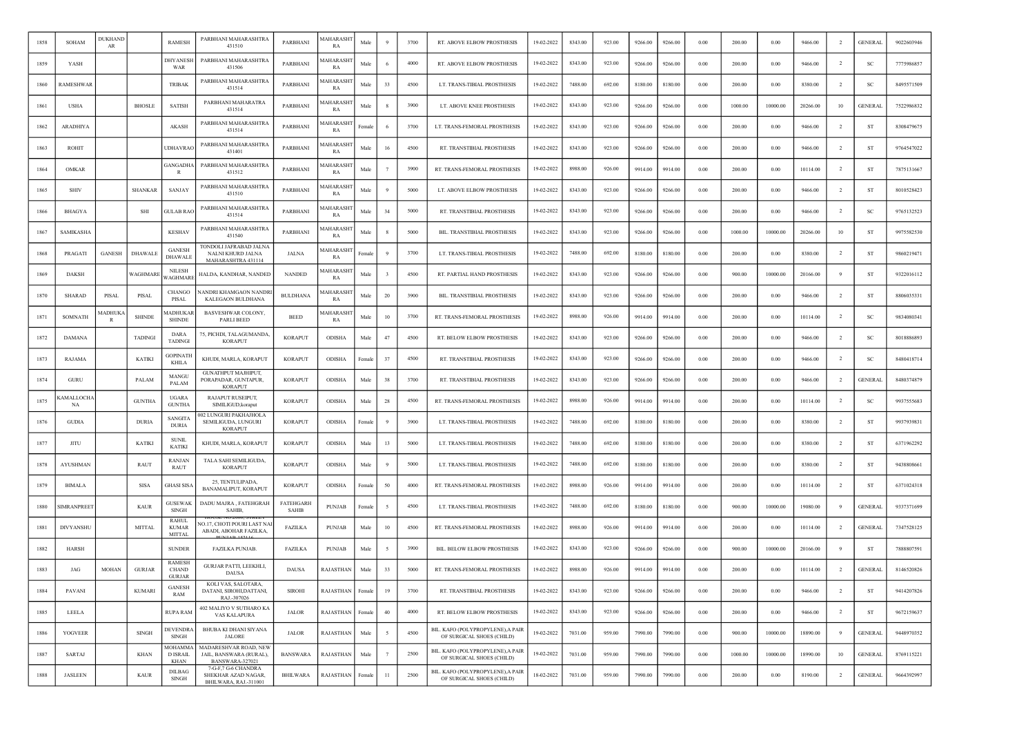| 1858 | SOHAM              | <b>DUKHAND</b><br>AR |                | <b>RAMESH</b>                             | PARBHANI MAHARASHTRA<br>431510                                      | PARBHANI                  | MAHARASH <sub>1</sub><br>RA | Male   |        | 3700 | RT. ABOVE ELBOW PROSTHESIS                                     | 19-02-2022 | 8343.00 | 923.00 | 9266.00 | 9266.00 | 0.00 | 200.00  | 0.00     | 9466.00  | $\overline{2}$ | <b>GENERAL</b> | 9022603946 |
|------|--------------------|----------------------|----------------|-------------------------------------------|---------------------------------------------------------------------|---------------------------|-----------------------------|--------|--------|------|----------------------------------------------------------------|------------|---------|--------|---------|---------|------|---------|----------|----------|----------------|----------------|------------|
| 1859 | YASH               |                      |                | <b>DHYANESE</b><br>WAR                    | PARBHANI MAHARASHTRA<br>431506                                      | PARBHANI                  | <b>MAHARASH</b><br>RA       | Male   | -6     | 4000 | <b>RT. ABOVE ELBOW PROSTHESIS</b>                              | 19-02-2022 | 8343.00 | 923.00 | 9266.00 | 9266.00 | 0.00 | 200.00  | 0.00     | 9466.00  | $\overline{2}$ | <b>SC</b>      | 7775986857 |
| 1860 | RAMESHWAF          |                      |                | <b>TRIBAK</b>                             | PARBHANI MAHARASHTRA<br>431514                                      | PARBHANI                  | MAHARASH<br>RA              | Male   | 33     | 4500 | LT. TRANS-TIBIAL PROSTHESIS                                    | 19-02-2022 | 7488.00 | 692.00 | 8180.00 | 8180.00 | 0.00 | 200.00  | 0.00     | 8380.00  | <sup>2</sup>   | SC             | 8495571509 |
| 1861 | <b>USHA</b>        |                      | <b>BHOSLE</b>  | <b>SATISH</b>                             | PARBHANI MAHARATRA<br>431514                                        | PARBHANI                  | MAHARASHT<br>RA             | Male   |        | 3900 | LT. ABOVE KNEE PROSTHESIS                                      | 19-02-2022 | 8343.00 | 923.00 | 9266.00 | 9266.00 | 0.00 | 1000.00 | 10000.00 | 20266.00 | 10             | <b>GENERAL</b> | 7522986832 |
| 1862 | ARADHIYA           |                      |                | AKASH                                     | PARBHANI MAHARASHTRA<br>431514                                      | PARBHANI                  | <b>MAHARASH</b><br>RA       | ∵emal  |        | 3700 | LT. TRANS-FEMORAL PROSTHESIS                                   | 19-02-2022 | 8343.00 | 923.00 | 9266.00 | 9266.00 | 0.00 | 200.00  | 0.00     | 9466.00  | -2             | ST             | 8308479675 |
| 1863 | <b>ROHIT</b>       |                      |                | UDHAVRAC                                  | PARBHANI MAHARASHTRA<br>431401                                      | PARBHANI                  | MAHARASH<br>RA              | Male   | 16     | 4500 | RT. TRANSTIBIAL PROSTHESIS                                     | 19-02-2022 | 8343.00 | 923.00 | 9266.00 | 9266.00 | 0.00 | 200.00  | 0.00     | 9466.00  | -2             | ST             | 9764547022 |
| 1864 | OMKAR              |                      |                | GANGADHA<br>R                             | PARBHANI MAHARASHTRA<br>431512                                      | PARBHANI                  | <b>MAHARASH</b><br>RA       | Male   |        | 3900 | RT. TRANS-FEMORAL PROSTHESIS                                   | 19-02-2022 | 8988.00 | 926.00 | 9914.00 | 9914.00 | 0.00 | 200.00  | 0.00     | 10114.00 | $\overline{2}$ | ST             | 7875131667 |
| 1865 | <b>SHIV</b>        |                      | <b>SHANKAR</b> | SANJAY                                    | PARBHANI MAHARASHTRA<br>431510                                      | PARBHANI                  | <b>MAHARASH</b><br>RA       | Male   |        | 5000 | LT. ABOVE ELBOW PROSTHESIS                                     | 19-02-2022 | 8343.00 | 923.00 | 9266.00 | 9266.00 | 0.00 | 200.00  | 0.00     | 9466.00  | $\overline{2}$ | <b>ST</b>      | 8010528423 |
| 1866 | <b>BHAGYA</b>      |                      | SHI            | GULAB RAC                                 | PARBHANI MAHARASHTRA<br>431514                                      | PARBHANI                  | <b>MAHARASH</b><br>RA       | Male   | 34     | 5000 | RT. TRANSTIBIAL PROSTHESIS                                     | 19-02-2022 | 8343.00 | 923.00 | 9266.00 | 9266.00 | 0.00 | 200.00  | 0.00     | 9466.00  | -2             | SC             | 9765132523 |
| 1867 | <b>SAMIKASHA</b>   |                      |                | <b>KESHAV</b>                             | PARBHANI MAHARASHTRA<br>431540                                      | PARBHANI                  | MAHARASHT<br>RA             | Male   |        | 5000 | BIL. TRANSTIBIAL PROSTHESIS                                    | 19-02-2022 | 8343.00 | 923.00 | 9266.00 | 9266.00 | 0.00 | 1000.00 | 10000.00 | 20266.00 | 10             | ST             | 9975582530 |
| 1868 | PRAGATI            | <b>GANESH</b>        | <b>DHAWALE</b> | <b>GANESH</b><br><b>DHAWALE</b>           | TONDOLI JAFRABAD JALNA<br>NALNI KHURD JALNA<br>MAHARASHTRA 431114   | JALNA                     | <b>MAHARASH</b><br>RA       | Female |        | 3700 | LT. TRANS-TIBIAL PROSTHESIS                                    | 19-02-2022 | 7488.00 | 692.00 | 8180.00 | 8180.00 | 0.00 | 200.00  | 0.00     | 8380.00  | $\overline{2}$ | ST             | 9860219471 |
| 1869 | <b>DAKSH</b>       |                      | WAGHMARI       | <b>NILESH</b><br><b>AGHMARI</b>           | IALDA, KANDHAR, NANDED                                              | NANDED                    | <b>MAHARASH</b><br>RA       | Male   |        | 4500 | RT. PARTIAL HAND PROSTHESIS                                    | 19-02-2022 | 8343.00 | 923.00 | 9266.00 | 9266.00 | 0.00 | 900.00  | 10000.00 | 20166.00 |                | <b>ST</b>      | 9322016112 |
| 1870 | <b>SHARAD</b>      | PISAL                | PISAL          | CHANGO<br>PISAL                           | IANDRI KHAMGAON NANDI<br><b>KALEGAON BULDHANA</b>                   | <b>BULDHANA</b>           | MAHARASH<br>RA              | Male   | 20     | 3900 | BIL. TRANSTIBIAL PROSTHESIS                                    | 19-02-2022 | 8343.00 | 923.00 | 9266.00 | 9266.00 | 0.00 | 200.00  | 0.00     | 9466.00  | $\overline{2}$ | ST             | 8806035331 |
| 1871 | SOMNATH            | <b>MADHUK</b><br>R   | <b>SHINDE</b>  | <b>AADHUKAF</b><br><b>SHINDE</b>          | BASVESHWAR COLONY,<br>PARLI BEED                                    | <b>BEED</b>               | <b>MAHARASH</b><br>RA       | Male   | 10     | 3700 | RT. TRANS-FEMORAL PROSTHESIS                                   | 19-02-2022 | 8988.00 | 926.00 | 9914.00 | 9914.00 | 0.00 | 200.00  | 0.00     | 10114.00 | $\overline{2}$ | SC             | 9834080341 |
| 1872 | <b>DAMANA</b>      |                      | <b>TADINGI</b> | <b>DARA</b><br><b>TADINGI</b>             | 75, PICHDI, TALAGUMANDA,<br><b>KORAPUT</b>                          | <b>KORAPUT</b>            | ODISHA                      | Male   | 47     | 4500 | RT. BELOW ELBOW PROSTHESIS                                     | 19-02-2022 | 8343.00 | 923.00 | 9266.00 | 9266.00 | 0.00 | 200.00  | 0.00     | 9466.00  | $\overline{2}$ | SC             | 8018886893 |
| 1873 | RAJAMA             |                      | <b>KATIKI</b>  | GOPINATH<br>KHILA                         | KHUDI, MARLA, KORAPUT                                               | <b>KORAPUT</b>            | ODISHA                      | Female | 37     | 4500 | RT. TRANSTIBIAL PROSTHESIS                                     | 19-02-2022 | 8343.00 | 923.00 | 9266.00 | 9266.00 | 0.00 | 200.00  | 0.00     | 9466.00  | $\overline{2}$ | SC             | 8480418714 |
| 1874 | <b>GURU</b>        |                      | PALAM          | MANGU<br>PALAM                            | GUNATHPUT MAJHIPUT,<br>PORAPADAR, GUNTAPUR,<br><b>KORAPUT</b>       | <b>KORAPUT</b>            | ODISHA                      | Male   | 38     | 3700 | RT. TRANSTIBIAL PROSTHESIS                                     | 19-02-2022 | 8343.00 | 923.00 | 9266.00 | 9266.00 | 0.00 | 200.00  | 0.00     | 9466.00  | <sup>2</sup>   | <b>GENERAL</b> | 8480374879 |
| 1875 | AMALLOCHA<br>NA    |                      | <b>GUNTHA</b>  | <b>UGARA</b><br><b>GUNTHA</b>             | RAJAPUT RUSEIPUT,<br>SIMILIGUD, koraput                             | <b>KORAPUT</b>            | ODISHA                      | Male   | 28     | 4500 | RT. TRANS-FEMORAL PROSTHESIS                                   | 19-02-2022 | 8988.00 | 926.00 | 9914.00 | 9914.00 | 0.00 | 200.00  | 0.00     | 10114.00 | $\overline{2}$ | SC             | 9937555683 |
| 1876 | <b>GUDIA</b>       |                      | <b>DURIA</b>   | <b>SANGITA</b><br><b>DURIA</b>            | 002 LUNGURI PAKHAJHOLA<br>SEMILIGUDA, LUNGURI<br><b>KORAPUT</b>     | <b>KORAPUT</b>            | ODISHA                      | Female |        | 3900 | LT. TRANS-TIBIAL PROSTHESIS                                    | 19-02-2022 | 7488.00 | 692.00 | 8180.00 | 8180.00 | 0.00 | 200.00  | 0.00     | 8380.00  | $\overline{2}$ | ST             | 9937939831 |
| 1877 | <b>JITU</b>        |                      | KATIKI         | <b>SUNIL</b><br>KATIKI                    | KHUDI, MARLA, KORAPUT                                               | <b>KORAPUT</b>            | <b>ODISHA</b>               | Male   | 13     | 5000 | LT. TRANS-TIBIAL PROSTHESIS                                    | 19-02-2022 | 7488.00 | 692.00 | 8180.00 | 8180.00 | 0.00 | 200.00  | 0.00     | 8380.00  | -2             | ST             | 6371962292 |
| 1878 | <b>AYUSHMAN</b>    |                      | RAUT           | <b>RANJAN</b><br>RAUT                     | TALA SAHI SEMILIGUDA,<br><b>KORAPUT</b>                             | <b>KORAPUT</b>            | ODISHA                      | Male   |        | 5000 | LT. TRANS-TIBIAL PROSTHESIS                                    | 19-02-2022 | 7488.00 | 692.00 | 8180.00 | 8180.00 | 0.00 | 200.00  | 0.00     | 8380.00  | -2             | ST             | 9438808661 |
| 1879 | <b>BIMALA</b>      |                      | SISA           | GHASI SISA                                | 25, TENTULIPADA,<br>BANAMALIPUT, KORAPUT                            | <b>KORAPUT</b>            | ODISHA                      | Female | 50     | 4000 | RT. TRANS-FEMORAL PROSTHESIS                                   | 19-02-2022 | 8988.00 | 926.00 | 9914.00 | 9914.00 | 0.00 | 200.00  | 0.00     | 10114.00 | $\overline{2}$ | ST             | 6371024318 |
| 1880 | <b>SIMRANPREET</b> |                      | <b>KAUR</b>    | <b>GUSEWAK</b><br><b>SINGH</b>            | DADU MAJRA, FATEHGRAH<br>SAHIB,                                     | <b>FATEHGARH</b><br>SAHIB | <b>PUNJAB</b>               | Female |        | 4500 | LT. TRANS-TIBIAL PROSTHESIS                                    | 19-02-2022 | 7488.00 | 692.00 | 8180.00 | 8180.00 | 0.00 | 900.00  | 10000.00 | 19080.00 | 9              | <b>GENERAL</b> | 9337371699 |
| 1881 | <b>DIVYANSHU</b>   |                      | <b>MITTAL</b>  | RAHUL<br><b>KUMAR</b><br><b>MITTAL</b>    | √O.17. CHOTI POURI LAST NA<br>ABADI, ABOHAR FAZILKA,                | FAZILKA                   | <b>PUNJAB</b>               | Male   | $10\,$ | 4500 | RT. TRANS-FEMORAL PROSTHESIS                                   | 19-02-2022 | 8988.00 | 926.00 | 9914.00 | 9914.00 | 0.00 | 200.00  | 0.00     | 10114.00 | $\overline{2}$ | <b>GENERAL</b> | 7347528125 |
| 1882 | <b>HARSH</b>       |                      |                | <b>SUNDER</b>                             | FAZILKA PUNJAB.                                                     | FAZILKA                   | <b>PUNJAB</b>               | Male   |        | 3900 | BIL. BELOW ELBOW PROSTHESIS                                    | 19-02-2022 | 8343.00 | 923.00 | 9266.00 | 9266.00 | 0.00 | 900.00  | 10000.00 | 20166.00 | -9             | <b>ST</b>      | 7888807591 |
| 1883 | JAG                | <b>MOHAN</b>         | GURJAR         | RAMESH<br><b>CHAND</b><br><b>GURJAR</b>   | <b>GURJAR PATTI, LEEKHLI,</b><br><b>DAUSA</b>                       | <b>DAUSA</b>              | RAJASTHAN                   | Male   | 33     | 5000 | RT. TRANS-FEMORAL PROSTHESIS                                   | 19-02-2022 | 8988.00 | 926.00 | 9914.00 | 9914.00 | 0.00 | 200.00  | 0.00     | 10114.00 | $\overline{2}$ | <b>GENERAL</b> | 8146520826 |
| 1884 | PAVANI             |                      | <b>KUMARI</b>  | <b>GANESH</b><br>RAM                      | KOLI VAS, SALOTARA,<br>DATANI, SIROHI, DATTANI,<br>RAJ .- 307026    | <b>SIROHI</b>             | <b>RAJASTHAN</b>            | Female | 19     | 3700 | RT. TRANSTIBIAL PROSTHESIS                                     | 19-02-2022 | 8343.00 | 923.00 | 9266.00 | 9266.00 | 0.00 | 200.00  | 0.00     | 9466.00  | $\overline{2}$ | ST             | 9414207826 |
| 1885 | LEELA              |                      |                | <b>RUPA RAM</b>                           | 402 MALIYO V SUTHARO KA<br>VAS KALAPURA                             | <b>JALOR</b>              | <b>RAJASTHAN</b>            | Female | 40     | 4000 | RT. BELOW ELBOW PROSTHESIS                                     | 19-02-2022 | 8343.00 | 923.00 | 9266.00 | 9266.00 | 0.00 | 200.00  | 0.00     | 9466.00  | $\overline{2}$ | ST             | 9672159637 |
| 1886 | YOGVEER            |                      | <b>SINGH</b>   | <b>DEVENDRA</b><br><b>SINGH</b>           | BHUBA KI DHANI SIYANA<br><b>JALORE</b>                              | <b>JALOR</b>              | <b>RAJASTHAN</b>            | Male   | $\sim$ | 4500 | BIL. KAFO (POLYPROPYLENE), A PAIR<br>OF SURGICAL SHOES (CHILD) | 19-02-2022 | 7031.00 | 959.00 | 7990.00 | 7990.00 | 0.00 | 900.00  | 10000.00 | 18890.00 | $\mathbf{Q}$   | <b>GENERAL</b> | 9448970352 |
| 1887 | SARTAJ             |                      | <b>KHAN</b>    | <b>MOHAMMA</b><br><b>D ISRAIL</b><br>KHAN | MADARESHVAR ROAD, NEW<br>JAIL, BANSWARA (RURAL),<br>BANSWARA-327021 | <b>BANSWARA</b>           | <b>RAJASTHAN</b>            | Male   | 7      | 2500 | BIL. KAFO (POLYPROPYLENE), A PAIR<br>OF SURGICAL SHOES (CHILD) | 19-02-2022 | 7031.00 | 959.00 | 7990.00 | 7990.00 | 0.00 | 1000.00 | 10000.00 | 18990.00 | 10             | <b>GENERAL</b> | 8769115221 |
| 1888 | <b>JASLEEN</b>     |                      | <b>KAUR</b>    | <b>DILBAG</b><br>SINGH                    | 7-G-F,7 G-6 CHANDRA<br>SHEKHAR AZAD NAGAR,<br>BHILWARA, RAJ.-311001 | <b>BHILWARA</b>           | <b>RAJASTHAN</b>            | Female | 11     | 2500 | BIL. KAFO (POLYPROPYLENE), A PAIR<br>OF SURGICAL SHOES (CHILD) | 18-02-2022 | 7031.00 | 959.00 | 7990.00 | 7990.00 | 0.00 | 200.00  | 0.00     | 8190.00  | $\overline{2}$ | <b>GENERAL</b> | 9664392997 |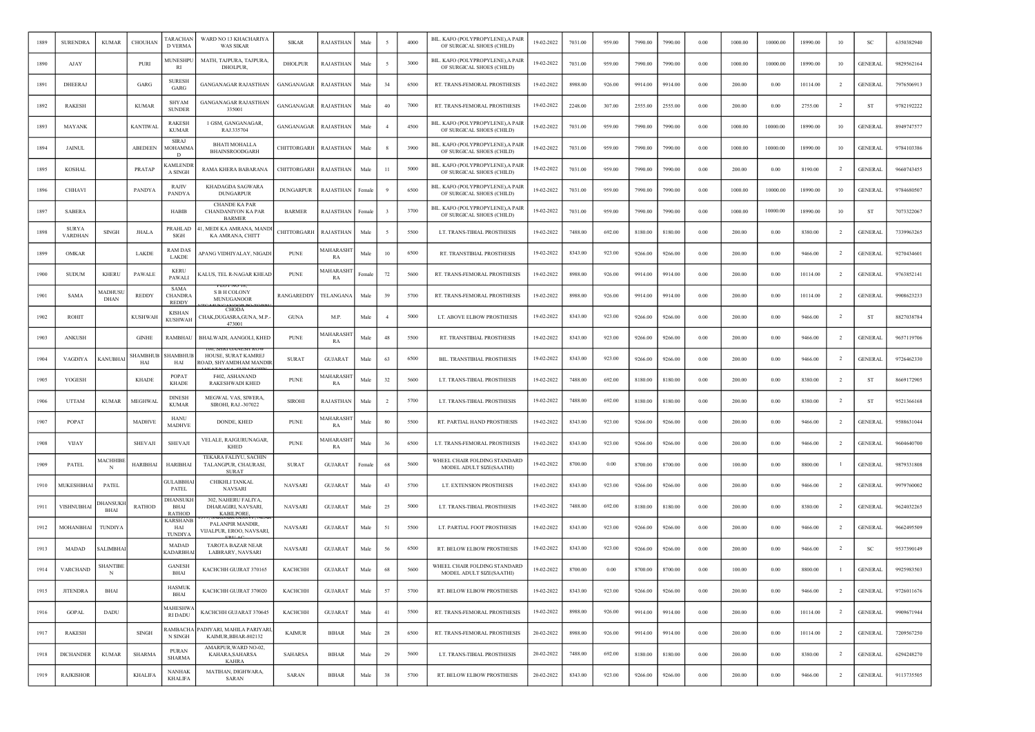| 1889 | <b>SURENDRA</b>                | <b>KUMAR</b>                   | CHOUHAN         | TARACHAN<br><b>D VERMA</b>                    | WARD NO 13 KHACHARIYA<br><b>WAS SIKAR</b>                     | <b>SIKAR</b>     | <b>RAJASTHAN</b> | Male       |         | 4000 | BIL. KAFO (POLYPROPYLENE), A PAIR<br>OF SURGICAL SHOES (CHILD) | 19-02-2022 | 7031.00 | 959.00 | 7990.00 | 7990.00 | 0.00     | 1000.00 | 10000.00 | 18990.00 | 10             | <b>SC</b>      | 6350382940 |
|------|--------------------------------|--------------------------------|-----------------|-----------------------------------------------|---------------------------------------------------------------|------------------|------------------|------------|---------|------|----------------------------------------------------------------|------------|---------|--------|---------|---------|----------|---------|----------|----------|----------------|----------------|------------|
| 1890 | AJAY                           |                                | PURI            | <b>AUNESHP</b><br>RI                          | MATH, TAJPURA, TAJPURA,<br>DHOLPUR,                           | <b>DHOLPUR</b>   | RAJASTHAN        | Male       |         | 3000 | BIL. KAFO (POLYPROPYLENE),A PAIR<br>OF SURGICAL SHOES (CHILD)  | 19-02-2022 | 7031.00 | 959.00 | 7990.00 | 7990.00 | 0.00     | 1000.00 | 10000.00 | 18990.00 | 10             | <b>GENERAL</b> | 9829562164 |
| 1891 | <b>DHEERAJ</b>                 |                                | GARG            | <b>SURESI</b><br>GARG                         | <b>GANGANAGAR RAJASTHAN</b>                                   | GANGANAGAR       | <b>RAJASTHAN</b> | Male       | 34      | 6500 | RT. TRANS-FEMORAL PROSTHESIS                                   | 19-02-2022 | 8988.00 | 926.00 | 9914.00 | 9914.00 | 0.00     | 200.00  | 0.00     | 10114.00 | $\overline{2}$ | <b>GENERAL</b> | 7976506913 |
| 1892 | <b>RAKESH</b>                  |                                | <b>KUMAR</b>    | <b>SHYAM</b><br><b>SUNDER</b>                 | <b>GANGANAGAR RAJASTHAN</b><br>335001                         | GANGANAGAR       | RAJASTHAN        | Male       | 40      | 7000 | RT. TRANS-FEMORAL PROSTHESIS                                   | 19-02-2022 | 2248.00 | 307.00 | 2555.00 | 2555.00 | 0.00     | 200.00  | 0.00     | 2755.00  | $\overline{2}$ | ST             | 9782192222 |
| 1893 | <b>MAYANK</b>                  |                                | <b>KANTIWAL</b> | <b>RAKESH</b><br><b>KUMAR</b>                 | 1 GSM, GANGANAGAR,<br>RAJ.335704                              | GANGANAGAR       | RAJASTHAN        | Male       |         | 4500 | BIL. KAFO (POLYPROPYLENE), A PAIR<br>OF SURGICAL SHOES (CHILD) | 19-02-2022 | 7031.00 | 959.00 | 7990.00 | 7990.00 | 0.00     | 1000.00 | 10000.00 | 18990.00 | 10             | <b>GENERAL</b> | 8949747577 |
| 1894 | <b>JAINUL</b>                  |                                | ABEDEEN         | <b>SIRAJ</b><br><b>MOHAMM</b><br><sup>D</sup> | <b>BHATI MOHALLA</b><br><b>BHAINSROODGARH</b>                 | CHITTORGARH      | RAJASTHAN        | Male       |         | 3900 | BIL. KAFO (POLYPROPYLENE), A PAIR<br>OF SURGICAL SHOES (CHILD) | 19-02-2022 | 7031.00 | 959.00 | 7990.00 | 7990.00 | 0.00     | 1000.00 | 10000.00 | 18990.00 | 10             | <b>GENERAL</b> | 9784103386 |
| 1895 | <b>KOSHAL</b>                  |                                | PRATAP          | <b>CAMLENDR</b><br>A SINGH                    | RAMA KHERA BABARANA                                           | CHITTORGARH      | RAJASTHAN        | Male       | $_{11}$ | 5000 | BIL. KAFO (POLYPROPYLENE), A PAIR<br>OF SURGICAL SHOES (CHILD) | 19-02-2022 | 7031.00 | 959.00 | 7990.00 | 7990.00 | 0.00     | 200.00  | 0.00     | 8190.00  | <sup>2</sup>   | <b>GENERAL</b> | 9660743455 |
| 1896 | CHHAVI                         |                                | PANDYA          | RAJIV<br><b>PANDYA</b>                        | KHADAGDA SAGWARA<br><b>DUNGARPUR</b>                          | <b>DUNGARPUR</b> | RAJASTHAN        | Female     |         | 6500 | BIL. KAFO (POLYPROPYLENE), A PAIR<br>OF SURGICAL SHOES (CHILD) | 19-02-2022 | 7031.00 | 959.00 | 7990.00 | 7990.00 | 0.00     | 1000.00 | 10000.00 | 18990.00 | 10             | <b>GENERAL</b> | 9784680507 |
| 1897 | <b>SABERA</b>                  |                                |                 | HABIB                                         | <b>CHANDE KA PAR</b><br>CHANDANIYON KA PAR<br><b>BARMER</b>   | <b>BARMER</b>    | RAJASTHAN        | Female     |         | 3700 | BIL. KAFO (POLYPROPYLENE),A PAIR<br>OF SURGICAL SHOES (CHILD)  | 19-02-2022 | 7031.00 | 959.00 | 7990.00 | 7990.00 | 0.00     | 1000.00 | 10000.00 | 18990.00 | 10             | ST             | 7073322067 |
| 1898 | <b>SURYA</b><br><b>VARDHAN</b> | <b>SINGH</b>                   | JHALA           | PRAHLAD<br><b>SIGH</b>                        | I, MEDI KA AMRANA, MAND<br>KA AMRANA, CHITT                   | CHITTORGARH      | RAJASTHAN        | Male       |         | 5500 | LT. TRANS-TIBIAL PROSTHESIS                                    | 19-02-2022 | 7488.00 | 692.00 | 8180.00 | 8180.00 | 0.00     | 200.00  | 0.00     | 8380.00  | $\overline{2}$ | <b>GENERAL</b> | 7339963265 |
| 1899 | OMKAR                          |                                | LAKDE           | <b>RAM DAS</b><br>LAKDE                       | APANG VIDHIYALAY, NIGADI                                      | <b>PUNE</b>      | MAHARASHT<br>RA  | Male       | 10      | 6500 | RT. TRANSTIBIAL PROSTHESIS                                     | 19-02-2022 | 8343.00 | 923.00 | 9266.00 | 9266.00 | 0.00     | 200.00  | 0.00     | 9466.00  | $\overline{2}$ | <b>GENERAL</b> | 9270434601 |
| 1900 | <b>SUDUM</b>                   | <b>KHERU</b>                   | PAWALE          | <b>KERU</b><br>PAWALI                         | <b>CALUS, TEL R-NAGAR KHEAD</b>                               | <b>PUNE</b>      | MAHARASHT<br>RA  | Female     | 72      | 5600 | RT. TRANS-FEMORAL PROSTHESIS                                   | 19-02-2022 | 8988.00 | 926.00 | 9914.00 | 9914.00 | 0.00     | 200.00  | 0.00     | 10114.00 | <sup>2</sup>   | <b>GENERAL</b> | 9763852141 |
| 1901 | SAMA                           | MADHUS<br><b>DHAN</b>          | <b>REDDY</b>    | <b>SAMA</b><br><b>CHANDRA</b><br><b>REDDY</b> | <b>S B H COLONY</b><br><b>MUNUGANOOR</b>                      | RANGAREDDY       | TELANGAN/        | Male       | 39      | 5700 | RT. TRANS-FEMORAL PROSTHESIS                                   | 19-02-2022 | 8988.00 | 926.00 | 9914.00 | 9914.00 | 0.00     | 200.00  | 0.00     | 10114.00 | $\overline{2}$ | <b>GENERAL</b> | 9908623233 |
| 1902 | <b>ROHIT</b>                   |                                | <b>KUSHWAH</b>  | <b>KISHAN</b><br><b>KUSHWAH</b>               | CHODA<br>CHAK,DUGASRA,GUNA, M.P.<br>473001                    | <b>GUNA</b>      | M.P.             | Male       |         | 5000 | LT. ABOVE ELBOW PROSTHESIS                                     | 19-02-2022 | 8343.00 | 923.00 | 9266.00 | 9266.00 | 0.00     | 200.00  | 0.00     | 9466.00  | <sup>2</sup>   | <b>ST</b>      | 8827038784 |
| 1903 | ANKUSH                         |                                | <b>GINHE</b>    | RAMBHAU                                       | BHALWADI, AANGOLI, KHED                                       | <b>PUNE</b>      | MAHARASH<br>RA   | Male       | 48      | 5500 | RT. TRANSTIBIAL PROSTHESIS                                     | 19-02-2022 | 8343.00 | 923.00 | 9266.00 | 9266.00 | 0.00     | 200.00  | 0.00     | 9466.00  | $\overline{2}$ | <b>GENERAL</b> | 9657119706 |
| 1904 | VAGDIYA                        | <b>KANUBHA</b>                 | SHAMBHUE<br>HAI | <b>SHAMBHUE</b><br>HAI                        | HOUSE, SURAT KAMREJ<br><b>ROAD, SHYAMDHAM MANDIR</b>          | <b>SURAT</b>     | <b>GUJARAT</b>   | Male       | 63      | 6500 | BIL. TRANSTIBIAL PROSTHESIS                                    | 19-02-2022 | 8343.00 | 923.00 | 9266.00 | 9266.00 | 0.00     | 200.00  | 0.00     | 9466.00  | $\overline{2}$ | <b>GENERAL</b> | 9726462330 |
| 1905 | YOGESH                         |                                | <b>KHADE</b>    | POPAT<br><b>KHADE</b>                         | F402, ASHANAND<br>RAKESHWADI KHED                             | <b>PUNE</b>      | MAHARASH<br>RA   | Male       | 32      | 5600 | LT. TRANS-TIBIAL PROSTHESIS                                    | 19-02-2022 | 7488.00 | 692.00 | 8180.00 | 8180.00 | 0.00     | 200.00  | 0.00     | 8380.00  | $\overline{2}$ | ST             | 8669172905 |
| 1906 | <b>UTTAM</b>                   | <b>KUMAR</b>                   | MEGHWAL         | <b>DINESH</b><br><b>KUMAR</b>                 | MEGWAL VAS, SIWERA,<br>SIROHI, RAJ.-307022                    | <b>SIROHI</b>    | RAJASTHAN        | Male       | 2       | 5700 | LT. TRANS-TIBIAL PROSTHESIS                                    | 19-02-2022 | 7488.00 | 692.00 | 8180.00 | 8180.00 | 0.00     | 200.00  | 0.00     | 8380.00  | $\overline{2}$ | ST             | 9521366168 |
| 1907 | POPAT                          |                                | MADHVE          | <b>HANU</b><br><b>MADHVE</b>                  | DONDE, KHED                                                   | <b>PUNE</b>      | MAHARASHT<br>RA  | Male       | 80      | 5500 | RT. PARTIAL HAND PROSTHESIS                                    | 19-02-2022 | 8343.00 | 923.00 | 9266.00 | 9266.00 | 0.00     | 200.00  | 0.00     | 9466.00  | -2             | GENERAL        | 9588631044 |
| 1908 | <b>VIJAY</b>                   |                                | <b>SHEVAJI</b>  | SHEVAJI                                       | VELALE, RAJGURUNAGAR,<br><b>KHED</b>                          | <b>PUNE</b>      | MAHARASHT<br>RA  | Male       | 36      | 6500 | LT. TRANS-FEMORAL PROSTHESIS                                   | 19-02-2022 | 8343.00 | 923.00 | 9266.00 | 9266.00 | 0.00     | 200.00  | 0.00     | 9466.00  | $\overline{2}$ | <b>GENERAL</b> | 9604640700 |
| 1909 | PATEL                          | <b>MACHHIB</b><br>N            | <b>HARIBHAI</b> | <b>HARIBHAI</b>                               | TEKARA FALIYU, SACHIN<br>TALANGPUR, CHAURASI,<br><b>SURAT</b> | <b>SURAT</b>     | <b>GUJARAT</b>   | Female     | 68      | 5600 | WHEEL CHAIR FOLDING STANDARD<br>MODEL ADULT SIZE(SAATHI)       | 19-02-2022 | 8700.00 | 0.00   | 8700.00 | 8700.00 | 0.00     | 100.00  | 0.00     | 8800.00  |                | <b>GENERAL</b> | 9879331808 |
| 1910 | <b>MUKESHBHA</b>               | PATEL                          |                 | <b>GULABBHAI</b><br>PATEL                     | CHIKHLI TANKAL<br><b>NAVSARI</b>                              | <b>NAVSARI</b>   | <b>GUJARAT</b>   | Male       | 43      | 5700 | LT. EXTENSION PROSTHESIS                                       | 19-02-2022 | 8343.00 | 923.00 | 9266.00 | 9266.00 | 0.00     | 200.00  | 0.00     | 9466.00  | $\overline{2}$ | <b>GENERAL</b> | 9979760002 |
| 1911 | VISHNUBHAI                     | <b>DHANSUKI</b><br><b>BHAI</b> | RATHOD          | <b>DHANSUKI</b><br>BHAI<br><b>RATHOD</b>      | 302, NAHERU FALIYA,<br><b>DHARAGIRL NAVSARL</b><br>KABILPORE  | <b>NAVSARI</b>   | <b>GUJARAT</b>   | Male       | 25      | 5000 | LT. TRANS-TIBIAL PROSTHESIS                                    | 19-02-2022 | 7488.00 | 692.00 | 8180.00 | 8180.00 | 0.00     | 200.00  | 0.00     | 8380.00  | $\overline{2}$ | <b>GENERAL</b> | 9624032265 |
| 1912 | MOHANBHAI                      | TUNDIYA                        |                 | KARSHANE<br>HAI<br>TUNDIY.                    | PALANPIR MANDIR<br>VIJALPUR, EROO, NAVSARI,                   | NAVSARI          | <b>GUJARAT</b>   | Male       | 51      | 5500 | LT. PARTIAL FOOT PROSTHESIS                                    | 19-02-2022 | 8343.00 | 923.00 | 9266.00 | 9266.00 | 0.00     | 200.00  | 0.00     | 9466.00  | $\overline{2}$ | <b>GENERAL</b> | 9662495509 |
| 1913 | MADAD                          | <b>SALIMBHA</b>                |                 | <b>MADAD</b><br><b>KADARBHA</b>               | <b>TAROTA BAZAR NEAR</b><br>LAIBRARY, NAVSARI                 | <b>NAVSARI</b>   | <b>GUJARAT</b>   | Male       | 56      | 6500 | RT. BELOW ELBOW PROSTHESIS                                     | 19-02-2022 | 8343.00 | 923.00 | 9266.00 | 9266.00 | 0.00     | 200.00  | 0.00     | 9466.00  | $\overline{2}$ | <sub>SC</sub>  | 9537390149 |
| 1914 | VARCHAND                       | <b>SHANTIBE</b><br>N           |                 | <b>GANESH</b><br>BHAI                         | KACHCHH GUJRAT 370165                                         | КАСНСНН          | <b>GUJARAT</b>   | Male       | 68      | 5600 | WHEEL CHAIR FOLDING STANDARD<br>MODEL ADULT SIZE(SAATHI)       | 19-02-2022 | 8700.00 | 0.00   | 8700.00 | 8700.00 | 0.00     | 100.00  | 0.00     | 8800.00  |                | <b>GENERAL</b> | 9925983503 |
| 1915 | <b>JITENDRA</b>                | BHAI                           |                 | <b>HASMUK</b><br>BHAI                         | KACHCHH GUJRAT 370020                                         | КАСНСНН          | <b>GUJARAT</b>   | Male       | 57      | 5700 | RT. BELOW ELBOW PROSTHESIS                                     | 19-02-2022 | 8343.00 | 923.00 | 9266.00 | 9266.00 | 0.00     | 200.00  | $0.00\,$ | 9466.00  | $\overline{2}$ | <b>GENERAL</b> | 9726011676 |
| 1916 | <b>GOPAL</b>                   | DADU                           |                 | <b>MAHESHWA</b><br><b>RI DADU</b>             | KACHCHH GUJARAT 370645                                        | КАСНСНН          | <b>GUJARAT</b>   | Male       | 41      | 5500 | RT. TRANS-FEMORAL PROSTHESIS                                   | 19-02-2022 | 8988.00 | 926.00 | 9914.00 | 9914.00 | 0.00     | 200.00  | 0.00     | 10114.00 | $\overline{2}$ | <b>GENERAL</b> | 9909671944 |
| 1917 | <b>RAKESH</b>                  |                                | SINGH           | RAMBACHA<br>N SINGH                           | PADIYARI, MAHILA PARIYARI,<br>KAIMUR, BIHAR-802132            | <b>KAIMUR</b>    | BIHAR            | Male       | 28      | 6500 | RT. TRANS-FEMORAL PROSTHESIS                                   | 20-02-2022 | 8988.00 | 926.00 | 9914.00 | 9914.00 | $0.00\,$ | 200.00  | $0.00\,$ | 10114.00 | $\overline{2}$ | <b>GENERAL</b> | 7209567250 |
| 1918 | <b>DICHANDER</b>               | <b>KUMAR</b>                   | <b>SHARMA</b>   | <b>PURAN</b><br><b>SHARMA</b>                 | AMARPUR, WARD NO-02,<br>KAHARA, SAHARSA<br><b>KAHRA</b>       | SAHARSA          | <b>BIHAR</b>     | Male       | 29      | 5600 | LT. TRANS-TIBIAL PROSTHESIS                                    | 20-02-2022 | 7488.00 | 692.00 | 8180.00 | 8180.00 | 0.00     | 200.00  | 0.00     | 8380.00  | $\overline{2}$ | <b>GENERAL</b> | 6294248270 |
| 1919 | RAJKISHOR                      |                                | <b>KHALIFA</b>  | <b>NANHAK</b><br><b>KHALIFA</b>               | MATIHAN, DIGHWARA,<br><b>SARAN</b>                            | SARAN            | BIHAR            | $\rm Male$ | 38      | 5700 | RT. BELOW ELBOW PROSTHESIS                                     | 20-02-2022 | 8343.00 | 923.00 | 9266.00 | 9266.00 | 0.00     | 200.00  | 0.00     | 9466.00  | $\overline{2}$ | <b>GENERAL</b> | 9113735505 |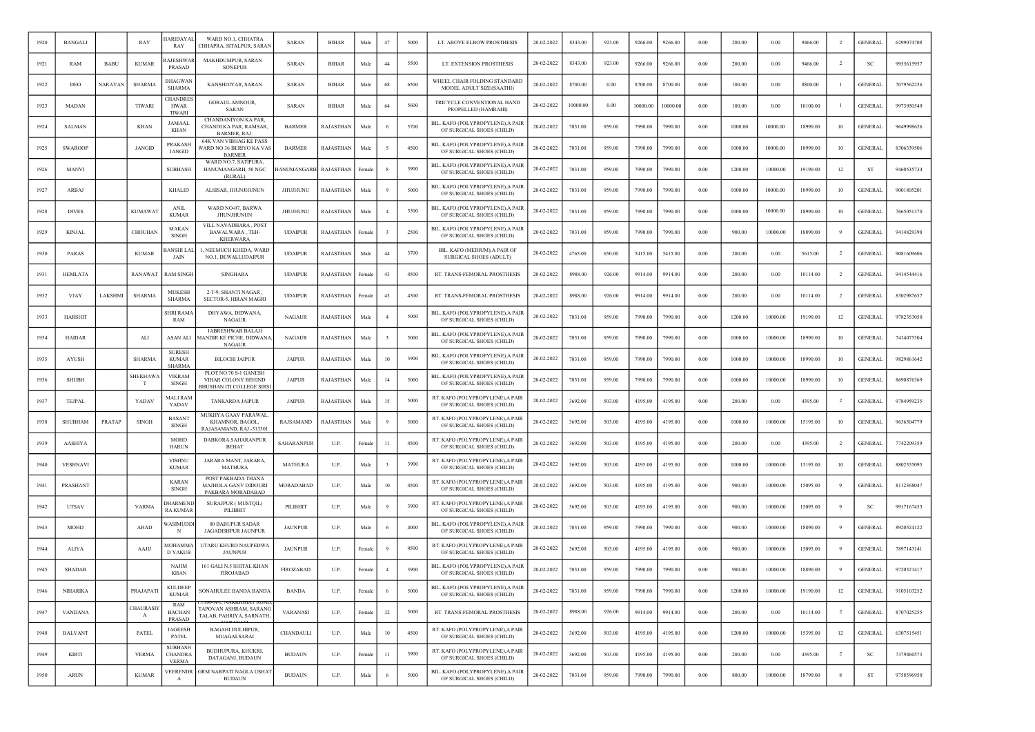| 1920 | <b>BANGALI</b>        |             | RAY                       | IARIDAYAL<br>RAY                                 | WARD NO.1, CHHATRA<br>CHHAPRA, SITALPUR, SARAN                               | SARAN              | <b>BIHAR</b>     | Male   | 47             | 5000 | LT. ABOVE ELBOW PROSTHESIS                                     | 20-02-2022 | 8343.00  | 923.00 | 9266.00  | 9266.00  | 0.00     | 200.00  | 0.00     | 9466.00  | $\overline{2}$ | <b>GENERAL</b>      | 6299074708 |
|------|-----------------------|-------------|---------------------------|--------------------------------------------------|------------------------------------------------------------------------------|--------------------|------------------|--------|----------------|------|----------------------------------------------------------------|------------|----------|--------|----------|----------|----------|---------|----------|----------|----------------|---------------------|------------|
| 1921 | RAM                   | <b>BABU</b> | <b>KUMAR</b>              | <b>AJESHWAR</b><br><b>PRASAD</b>                 | MAKHDUMPUR, SARAN<br><b>SONEPUR</b>                                          | SARAN              | <b>BIHAR</b>     | Male   | 44             | 5500 | LT. EXTENSION PROSTHESIS                                       | 20-02-2022 | 8343.00  | 923.00 | 9266.00  | 9266.00  | 0.00     | 200.00  | 0.00     | 9466.00  | $\overline{2}$ | SC                  | 9955615957 |
| 1922 | DEO                   | NARAYAN     | <b>SHARMA</b>             | <b>BHAGWAN</b><br>SHARMA                         | KANSHDIYAR, SARAN                                                            | SARAN              | <b>BIHAR</b>     | Male   | 68             | 6500 | WHEEL CHAIR FOLDING STANDARD<br>MODEL ADULT SIZE(SAATHI)       | 20-02-2022 | 8700.00  | 0.00   | 8700.00  | 8700.00  | 0.00     | 100.00  | 0.00     | 8800.00  |                | <b>GENERAI</b>      | 7079562256 |
| 1923 | <b>MADAN</b>          |             | TIWARI                    | <b>HANDRE</b><br><b>HWAR</b><br>TIWARI           | <b>GORAUL AMNOUR</b><br>SARAN                                                | SARAN              | <b>BIHAR</b>     | Male   | 64             | 5600 | TRICYCLE CONVENTIONAL HAND<br>PROPELLED (HAMRAHI)              | 20-02-2022 | 10000.00 | 0.00   | 10000.00 | 10000.00 | 0.00     | 100.00  | $0.00\,$ | 10100.00 |                | <b>GENERAL</b>      | 9973950549 |
| 1924 | <b>SALMAN</b>         |             | <b>KHAN</b>               | JAMAAI<br>KHAN                                   | CHANDANIYON KA PAR<br>CHANDI KA PAR, RAMSAR<br>BARMER, RAJ.                  | <b>BARMER</b>      | RAJASTHAN        | Male   |                | 5700 | BIL. KAFO (POLYPROPYLENE), A PAIR<br>OF SURGICAL SHOES (CHILD) | 20-02-2022 | 7031.00  | 959.00 | 7990.00  | 7990.00  | 0.00     | 1000.00 | 10000.00 | 18990.00 | 10             | <b>GENERAI</b>      | 9649998626 |
| 1925 | <b>SWAROOP</b>        |             | <b>JANGID</b>             | PRAKASH<br><b>JANGID</b>                         | <b>64K VAN VIBHAG KE PASS</b><br>VARD NO 36 BERIYO KA VAS<br><b>BARMER</b>   | <b>BARMER</b>      | RAJASTHAN        | Male   |                | 4500 | BIL. KAFO (POLYPROPYLENE), A PAIR<br>OF SURGICAL SHOES (CHILD) | 20-02-2022 | 7031.00  | 959.00 | 7990.00  | 7990.00  | 0.00     | 1000.00 | 10000.00 | 18990.00 | 10             | <b>GENERAL</b>      | 8306339506 |
| 1926 | <b>MANVI</b>          |             |                           | <b>SUBHASH</b>                                   | WARD NO.7, SATIPURA.<br>HANUMANGARH, 50 NGC<br>(RURAL)                       | <b>HANUMANGARH</b> | <b>RAJASTHAN</b> | Femal  |                | 3900 | BIL. KAFO (POLYPROPYLENE), A PAIR<br>OF SURGICAL SHOES (CHILD) | 20-02-2022 | 7031.00  | 959.00 | 7990.00  | 7990.00  | 0.00     | 1200.00 | 10000.00 | 19190.00 | 12             | <b>ST</b>           | 9460535734 |
| 1927 | ARBAJ                 |             |                           | <b>KHALID</b>                                    | ALSISAR, JHUNJHUNUN                                                          | JHUJHUNU           | RAJASTHAN        | Male   |                | 5000 | BIL. KAFO (POLYPROPYLENE), A PAIR<br>OF SURGICAL SHOES (CHILD) | 20-02-2022 | 7031.00  | 959.00 | 7990.00  | 7990.00  | $0.00\,$ | 1000.00 | 10000.00 | 18990.00 | 10             | <b>GENERAL</b>      | 9001805201 |
| 1928 | <b>DIVES</b>          |             | <b>KUMAWAT</b>            | <b>ANIL</b><br><b>KUMAR</b>                      | WARD NO-07. BARWA<br>JHUNJHUNUN                                              | <b>JHUJHUNU</b>    | <b>RAJASTHAN</b> | Male   |                | 3500 | BIL. KAFO (POLYPROPYLENE), A PAIR<br>OF SURGICAL SHOES (CHILD) | 20-02-2022 | 7031.00  | 959.00 | 7990.00  | 7990.00  | 0.00     | 1000.00 | 10000.00 | 18990.00 | 10             | <b>GENERAL</b>      | 7665051370 |
| 1929 | <b>KINJAL</b>         |             | CHOUHAN                   | MAKAN<br><b>SINGH</b>                            | VILL NAVADHARA, POST<br>BAWALWARA, TEH-<br><b>KHERWARA</b>                   | <b>UDAIPUR</b>     | RAJASTHAN        | Female |                | 2500 | BIL. KAFO (POLYPROPYLENE), A PAIR<br>OF SURGICAL SHOES (CHILD) | 20-02-2022 | 7031.00  | 959.00 | 7990.00  | 7990.00  | $0.00\,$ | 900.00  | 10000.00 | 18890.00 |                | <b>GENERAL</b>      | 9414829398 |
| 1930 | PARAS                 |             | <b>KUMAR</b>              | <b>BANSHI LAI</b><br>JAIN                        | 1, NEEMUCH KHEDA, WARD<br>NO.1, DEWALI, UDAIPUR                              | <b>UDAIPUR</b>     | RAJASTHAN        | Male   | 44             | 3700 | BIL. KAFO (MEDIUM).A PAIR OF<br>SURGICAL SHOES (ADULT)         | 20-02-2022 | 4765.00  | 650.00 | 5415.00  | 5415.00  | 0.00     | 200.00  | 0.00     | 5615.00  | $\overline{2}$ | <b>GENERAL</b>      | 9081609606 |
| 1931 | HEMLATA               |             | RANAWAT                   | RAM SINGE                                        | <b>SINGHARA</b>                                                              | <b>UDAIPUR</b>     | RAJASTHAN        | Female | 43             | 4500 | RT. TRANS-FEMORAL PROSTHESIS                                   | 20-02-2022 | 8988.00  | 926.00 | 9914.00  | 9914.00  | 0.00     | 200.00  | 0.00     | 10114.00 | $\overline{2}$ | <b>GENERAI</b>      | 9414544416 |
| 1932 | VJAY                  | LAKSHMI     | SHARMA                    | MUKESH<br><b>SHARMA</b>                          | 2-T-9, SHANTI NAGAR,<br>SECTOR-5, HIRAN MAGRI                                | <b>UDAIPUR</b>     | RAJASTHAN        | Femal  | 43             | 4500 | RT. TRANS-FEMORAL PROSTHESIS                                   | 20-02-2022 | 8988.00  | 926.00 | 9914.00  | 9914.00  | 0.00     | 200.00  | 0.00     | 10114.00 |                | <b>GENERAL</b>      | 8302987637 |
| 1933 | <b>HARSHIT</b>        |             |                           | <b>SHRI RAM</b><br>RAM                           | DHYAWA, DIDWANA,<br><b>NAGAUR</b>                                            | <b>NAGAUR</b>      | RAJASTHAN        | Male   |                | 5000 | BIL. KAFO (POLYPROPYLENE), A PAIR<br>OF SURGICAL SHOES (CHILD) | 20-02-2022 | 7031.00  | 959.00 | 7990.00  | 7990.00  | 0.00     | 1200.00 | 10000.00 | 19190.00 | 12             | <b>GENERAL</b>      | 9782353050 |
| 1934 | <b>HAIDAR</b>         |             | ALI                       | <b>ASAN ALI</b>                                  | <b>JABRESHWAR BALAJI</b><br><b>MANDIR KE PICHE, DIDWANA</b><br><b>NAGAUR</b> | <b>NAGAUR</b>      | RAJASTHAN        | Male   |                | 5000 | BIL. KAFO (POLYPROPYLENE), A PAIR<br>OF SURGICAL SHOES (CHILD) | 20-02-2022 | 7031.00  | 959.00 | 7990.00  | 7990.00  | 0.00     | 1000.00 | 10000.00 | 18990.00 | 10             | <b>GENERAL</b>      | 7414075304 |
| 1935 | <b>AYUSH</b>          |             | <b>SHARMA</b>             | SURESH<br><b>KUMAR</b><br><b>SHARMA</b>          | <b>BILOCHI JAIPUR</b>                                                        | <b>JAIPUR</b>      | RAJASTHAN        | Male   | 10             | 3900 | BIL. KAFO (POLYPROPYLENE), A PAIR<br>OF SURGICAL SHOES (CHILD) | 20-02-2022 | 7031.00  | 959.00 | 7990.00  | 7990.00  | 0.00     | 1000.00 | 10000.00 | 18990.00 | 10             | <b>GENERAL</b>      | 9829861642 |
| 1936 | <b>SHUBH</b>          |             | <b>SHEKHAWA</b><br>т      | <b>VIKRAM</b><br>SINGH                           | PLOT NO 70 S-1 GANESH<br>VIHAR COLONY BEHIND<br>BHUSHAN ITI COLLEGE SIRS     | <b>JAIPUR</b>      | RAJASTHAN        | Male   | 14             | 5000 | BIL. KAFO (POLYPROPYLENE), A PAIR<br>OF SURGICAL SHOES (CHILD) | 20-02-2022 | 7031.00  | 959.00 | 7990.00  | 7990.00  | 0.00     | 1000.00 | 10000.00 | 18990.00 | 10             | <b>GENERAL</b>      | 8690876369 |
| 1937 | TEJPAL                |             | YADAV                     | <b>MALI RAM</b><br>YADAV                         | <b>TANKARDA JAIPUR</b>                                                       | <b>JAIPUR</b>      | <b>RAJASTHAN</b> | Male   | 15             | 5000 | RT. KAFO (POLYPROPYLENE), A PAIR<br>OF SURGICAL SHOES (CHILD)  | 20-02-2022 | 3692.00  | 503.00 | 4195.00  | 4195.00  | 0.00     | 200.00  | 0.00     | 4395.00  | $\overline{2}$ | <b>GENERAL</b>      | 9784959235 |
| 1938 | SHUBHAM               | PRATAP      | <b>SINGH</b>              | BASANT<br>SINGH                                  | MUKHYA GAAV PARAWAL<br>KHAMNOR, BAGOL,<br>RAJASAMAND, RAJ.-313301            | RAJSAMAND          | RAJASTHAN        | Male   |                | 5000 | RT. KAFO (POLYPROPYLENE), A PAIR<br>OF SURGICAL SHOES (CHILD)  | 20-02-2022 | 3692.00  | 503.00 | 4195.00  | 4195.00  | 0.00     | 1000.00 | 10000.00 | 15195.00 | 10             | <b>GENERAI</b>      | 9636504779 |
| 1939 | <b>AASHIYA</b>        |             |                           | <b>MOHD</b><br><b>HARUN</b>                      | DABKORA SAHARANPUR<br><b>BEHAT</b>                                           | SAHARANPUR         | U.P.             | Femal  | 11             | 4500 | RT. KAFO (POLYPROPYLENE), A PAIR<br>OF SURGICAL SHOES (CHILD)  | 20-02-2022 | 3692.00  | 503.00 | 4195.00  | 4195.00  | 0.00     | 200.00  | 0.00     | 4395.00  | $\overline{2}$ | <b>GENERAL</b>      | 7742209359 |
| 1940 | <b>VESHNAVI</b>       |             |                           | <b>VISHNU</b><br><b>KUMAR</b>                    | JARARA MANT, JARARA,<br><b>MATHURA</b>                                       | <b>MATHURA</b>     | U.P.             | Male   |                | 3900 | RT. KAFO (POLYPROPYLENE), A PAIR<br>OF SURGICAL SHOES (CHILD)  | 20-02-2022 | 3692.00  | 503.00 | 4195.00  | 4195.00  | 0.00     | 1000.00 | 10000.00 | 15195.00 | 10             | <b>GENERAI</b>      | 8802355095 |
| 1941 | PRASHANT              |             |                           | <b>KARAN</b><br><b>SINGH</b>                     | POST PAKBADA THANA<br>MAJHOLA GANV DIDOURI<br>PAKBARA MORADABAD              | MORADABAD          | U.P.             | Male   | 10             | 4500 | RT. KAFO (POLYPROPYLENE), A PAIR<br>OF SURGICAL SHOES (CHILD)  | 20-02-2022 | 3692.00  | 503.00 | 4195.00  | 4195.00  | 0.00     | 900.00  | 10000.00 | 15095.00 |                | <b>GENERAI</b>      | 8112368047 |
| 1942 | <b>UTSAV</b>          |             | <b>VARMA</b>              | OHARMENI<br>RA KUMAF                             | SURAJPUR (MUSTQIL)<br>PILIBHIT                                               | PILIBHIT           | U.P.             | Male   |                | 3900 | RT. KAFO (POLYPROPYLENE), A PAIR<br>OF SURGICAL SHOES (CHILD)  | 20-02-2022 | 3692.00  | 503.00 | 4195.00  | 4195.00  | 0.00     | 900.00  | 10000.00 | 15095.00 | -9             | SC                  | 9917167453 |
| 1943 | MOHD                  |             | AHAD                      | ASIMUDDI                                         | 00 BABUPUR SADAR<br>JAGADISHPUR JAUNPUR                                      | <b>JAUNPUR</b>     | U.P.             | Male   |                | 4000 | BIL. KAFO (POLYPROPYLENE), A PAIR<br>OF SURGICAL SHOES (CHILD) | 20-02-2022 | 7031.00  | 959.00 | 7990.00  | 7990.00  | 0.00     | 900.00  | 10000.00 | 18890.00 |                | <b>GENERAL</b>      | 8920524122 |
| 1944 | <b>ALIYA</b>          |             | AAJIJ                     | MOHAMM.<br><b>D YAKUB</b>                        | UTARU KHURD NAUPEDWA<br><b>JAUNPUR</b>                                       | <b>JAUNPUR</b>     | U.P.             | Female |                | 4500 | RT. KAFO (POLYPROPYLENE), A PAIR<br>OF SURGICAL SHOES (CHILD)  | 20-02-2022 | 3692.00  | 503.00 | 4195.00  | 4195.00  | 0.00     | 900.00  | 10000.00 | 15095.00 |                | <b>GENERAL</b>      | 7897143141 |
| 1945 | SHADAB                |             |                           | <b>NAJIM</b><br><b>KHAN</b>                      | 161 GALI N.5 SHITAL KHAN<br><b>FIROJABAD</b>                                 | FIROZABAD          | U.P.             | Female | $\overline{4}$ | 3900 | BIL. KAFO (POLYPROPYLENE), A PAIR<br>OF SURGICAL SHOES (CHILD) | 20-02-2022 | 7031.00  | 959.00 | 7990.00  | 7990.00  | 0.00     | 900.00  | 10000.00 | 18890.00 | -9             | <b>GENERAL</b>      | 9720321417 |
| 1946 | <b>NIHARIKA</b>       |             | PRAJAPATI                 | <b>KULDEEP</b><br><b>KUMAR</b>                   | SONAHULEE BANDA BANDA                                                        | <b>BANDA</b>       | U.P.             | Female | -6             | 5000 | BIL. KAFO (POLYPROPYLENE), A PAIR<br>OF SURGICAL SHOES (CHILD) | 20-02-2022 | 7031.00  | 959.00 | 7990.00  | 7990.00  | 0.00     | 1200.00 | 10000.00 | 19190.00 | 12             | <b>GENERAL</b>      | 9105103252 |
| 1947 | <b>VANDANA</b>        |             | CHAURASIY<br>$\mathbf{A}$ | RAM<br><b>BACHAN</b><br>PRASAD                   | TAPOVAN ASHRAM, SARANG<br>TALAB, PAHRIYA, SARNATH.                           | <b>VARANASI</b>    | U.P.             | Female | 32             | 5000 | RT. TRANS-FEMORAL PROSTHESIS                                   | 20-02-2022 | 8988.00  | 926.00 | 9914.00  | 9914.00  | 0.00     | 200.00  | 0.00     | 10114.00 | $\overline{2}$ | <b>GENERAL</b>      | 8707025255 |
| 1948 | <b>BALVANT</b>        |             | PATEL                     | <b>JAGEESH</b><br>PATEL                          | <b>BAGAHI DULHIPUR,</b><br>MUAGALSARAI                                       | CHANDAULI          | U.P.             | Male   | $10\,$         | 4500 | RT. KAFO (POLYPROPYLENE), A PAIR<br>OF SURGICAL SHOES (CHILD)  | 20-02-2022 | 3692.00  | 503.00 | 4195.00  | 4195.00  | 0.00     | 1200.00 | 10000.00 | 15395.00 | 12             | <b>GENERAL</b>      | 6307515451 |
| 1949 | <b>KIRTI</b>          |             | <b>VERMA</b>              | <b>SUBHASH</b><br><b>CHANDRA</b><br><b>VERMA</b> | BUDHUPURA, KHUKRI,<br>DATAGANJ, BUDAUN                                       | <b>BUDAUN</b>      | U.P.             | Female | 11             | 3900 | RT. KAFO (POLYPROPYLENE), A PAIR<br>OF SURGICAL SHOES (CHILD)  | 20-02-2022 | 3692.00  | 503.00 | 4195.00  | 4195.00  | 0.00     | 200.00  | 0.00     | 4395.00  | $\overline{2}$ | SC                  | 7379460573 |
| 1950 | $\operatorname{ARUN}$ |             | <b>KUMAR</b>              | VEERENDR<br>A                                    | GRM NARPATI NAGLA USHAT<br><b>BUDAUN</b>                                     | <b>BUDAUN</b>      | U.P.             | Male   |                | 5000 | BIL. KAFO (POLYPROPYLENE), A PAIR<br>OF SURGICAL SHOES (CHILD) | 20-02-2022 | 7031.00  | 959.00 | 7990.00  | 7990.00  | $0.00\,$ | 800.00  | 10000.00 | 18790.00 | 8              | $\operatorname{ST}$ | 9758596950 |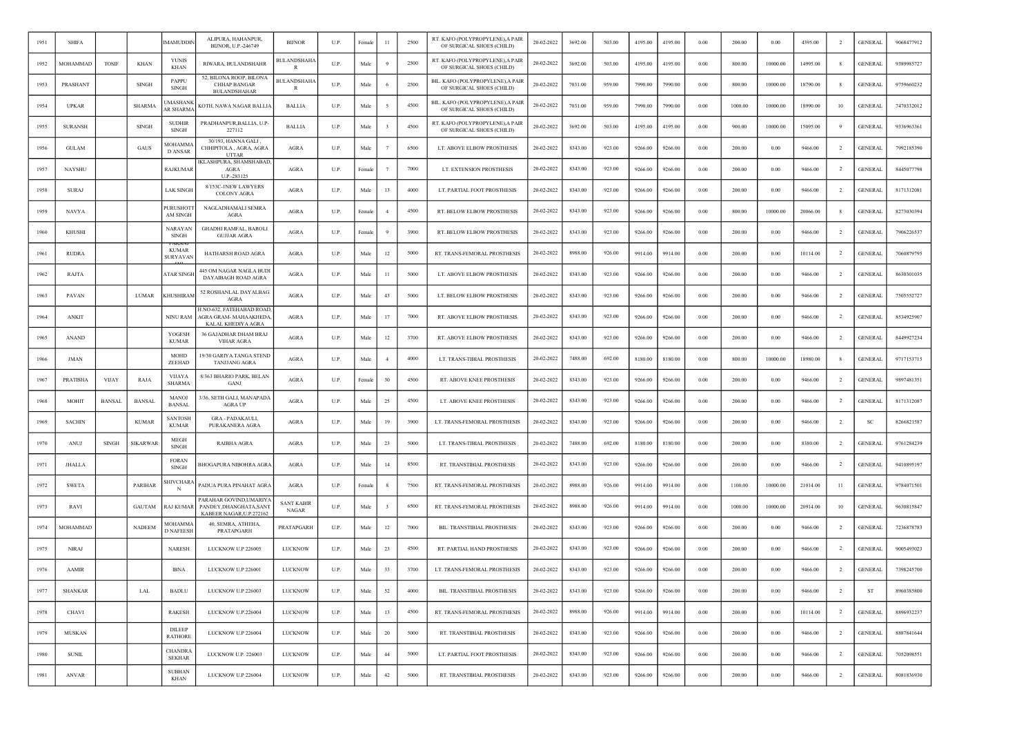| 1951 | <b>SHIFA</b>   |               |               | <b>IMAMUDDIN</b>                   | ALIPURA, HAHANPUR.<br>BIJNOR, U.P.-246749                                    | <b>BUNOR</b>               | U.P. | Female     | 11             | 2500 | RT. KAFO (POLYPROPYLENE), A PAIR<br>OF SURGICAL SHOES (CHILD)  | 20-02-2022 | 3692.00 | 503.00 | 4195.00 | 4195.00 | 0.00       | 200.00  | 0.00       | 4395.00  | -2             | <b>GENERAL</b> | 9068477912 |
|------|----------------|---------------|---------------|------------------------------------|------------------------------------------------------------------------------|----------------------------|------|------------|----------------|------|----------------------------------------------------------------|------------|---------|--------|---------|---------|------------|---------|------------|----------|----------------|----------------|------------|
| 1952 | MOHAMMAD       | <b>TOSIF</b>  | KHAN          | <b>YUNIS</b><br>KHAN               | RIWARA, BULANDSHAHR                                                          | BULANDSHAHA                | U.P. | Male       |                | 2500 | RT. KAFO (POLYPROPYLENE), A PAIR<br>OF SURGICAL SHOES (CHILD)  | 20-02-2022 | 3692.00 | 503.00 | 4195.00 | 4195.00 | 0.00       | 800.00  | 10000.00   | 14995.00 | -8             | <b>GENERAL</b> | 9389985727 |
| 1953 | PRASHANT       |               | SINGH         | PAPPU<br><b>SINGH</b>              | 52, BILONA ROOP, BILONA<br><b>CHHAP BANGAR</b><br><b>BULANDSHAHAR</b>        | <b>BULANDSHAHA</b><br>R    | U.P. | Male       |                | 2500 | BIL. KAFO (POLYPROPYLENE), A PAIR<br>OF SURGICAL SHOES (CHILD) | 20-02-2022 | 7031.00 | 959.00 | 7990.00 | 7990.00 | 0.00       | 800.00  | 10000.00   | 18790.00 |                | <b>GENERAL</b> | 9759660232 |
| 1954 | <b>UPKAR</b>   |               | <b>SHARMA</b> | MASHANK<br>AR SHARMA               | KOTH, NAWA NAGAR BALLIA                                                      | <b>BALLIA</b>              | U.P. | Male       |                | 4500 | BIL. KAFO (POLYPROPYLENE),A PAIR<br>OF SURGICAL SHOES (CHILD)  | 20-02-2022 | 7031.00 | 959.00 | 7990.00 | 7990.00 | 0.00       | 1000.00 | 10000.00   | 18990.00 | 10             | <b>GENERAL</b> | 7470332012 |
| 1955 | <b>SURANSH</b> |               | <b>SINGH</b>  | <b>SUDHIR</b><br><b>SINGH</b>      | PRADHANPUR, BALLIA, U.P-<br>227112                                           | <b>BALLIA</b>              | U.P. | Male       |                | 4500 | RT. KAFO (POLYPROPYLENE), A PAIR<br>OF SURGICAL SHOES (CHILD)  | 20-02-2022 | 3692.00 | 503.00 | 4195.00 | 4195.00 | 0.00       | 900.00  | 10000.00   | 15095.00 | -9             | <b>GENERAL</b> | 9336963361 |
| 1956 | <b>GULAM</b>   |               | GAUS          | <b>MOHAMMA</b><br>D ANSAR          | 30/193, HANNA GALI,<br>CHHIPITOLA, AGRA, AGRA<br><b>UTTAR</b>                | AGRA                       | U.P. | Male       |                | 6500 | LT. ABOVE ELBOW PROSTHESIS                                     | 20-02-2022 | 8343.00 | 923.00 | 9266.00 | 9266.00 | 0.00       | 200.00  | 0.00       | 9466.00  | $\overline{2}$ | <b>GENERAL</b> | 7992185390 |
| 1957 | <b>NAYSHU</b>  |               |               | RAJKUMAR                           | KLASHPURA, SHAMSHABAD,<br>AGRA<br>U.P.-283125                                | AGRA                       | U.P. | Female     |                | 7000 | LT. EXTENSION PROSTHESIS                                       | 20-02-2022 | 8343.00 | 923.00 | 9266.00 | 9266.00 | 0.00       | 200.00  | 0.00       | 9466.00  | <sup>2</sup>   | <b>GENERAL</b> | 8445077798 |
| 1958 | <b>SURAJ</b>   |               |               | <b>LAK SINGH</b>                   | 8/153C-INEW LAWYERS<br>COLONY AGRA                                           | <b>AGRA</b>                | U.P. | Male       | 13             | 4000 | LT. PARTIAL FOOT PROSTHESIS                                    | 20-02-2022 | 8343.00 | 923.00 | 9266.00 | 9266.00 | 0.00       | 200.00  | 0.00       | 9466.00  | $\overline{2}$ | <b>GENERAL</b> | 8171312081 |
| 1959 | NAVYA          |               |               | <b>PURUSHOT</b><br>AM SINGH        | NAGLADHAMALI SEMRA<br>AGRA                                                   | AGRA                       | U.P. | Femal      | $\overline{4}$ | 4500 | RT. BELOW ELBOW PROSTHESIS                                     | 20-02-2022 | 8343.00 | 923.00 | 9266.00 | 9266.00 | 0.00       | 800.00  | 10000.00   | 20066.00 | 8              | <b>GENERAL</b> | 8273030394 |
| 1960 | <b>KHUSHI</b>  |               |               | <b>NARAYAN</b><br><b>SINGH</b>     | <b>GHADHI RAMFAL, BAROLI</b><br><b>GUJJAR AGRA</b>                           | AGRA                       | U.P. | Female     |                | 3900 | RT. BELOW ELBOW PROSTHESIS                                     | 20-02-2022 | 8343.00 | 923.00 | 9266.00 | 9266.00 | 0.00       | 200.00  | 0.00       | 9466.00  | $\overline{2}$ | <b>GENERAL</b> | 7906226537 |
| 1961 | <b>RUDRA</b>   |               |               | <b>KUMAR</b><br><b>SURYAVAN</b>    | HATHARSH ROAD AGRA                                                           | <b>AGRA</b>                | U.P. | Male       | 12             | 5000 | RT. TRANS-FEMORAL PROSTHESIS                                   | 20-02-2022 | 8988.00 | 926.00 | 9914.00 | 9914.00 | 0.00       | 200.00  | 0.00       | 10114.00 | $\overline{2}$ | <b>GENERAL</b> | 7060879795 |
| 1962 | RAJTA          |               |               | <b>ATAR SINGH</b>                  | 445 OM NAGAR NAGLA BUDI<br>DAYAIBAGH ROAD AGRA                               | AGRA                       | U.P. | Male       | 11             | 5000 | LT. ABOVE ELBOW PROSTHESIS                                     | 20-02-2022 | 8343.00 | 923.00 | 9266.00 | 9266.00 | 0.00       | 200.00  | 0.00       | 9466.00  | $\overline{2}$ | <b>GENERAL</b> | 8630301035 |
| 1963 | PAVAN          |               | LUMAR         | KHUSHIRAM                          | 52 ROSHANLAL DAYALBAG<br>AGRA                                                | AGRA                       | U.P. | Male       | 43             | 5000 | LT. BELOW ELBOW PROSTHESIS                                     | 20-02-2022 | 8343.00 | 923.00 | 9266.00 | 9266.00 | 0.00       | 200.00  | 0.00       | 9466.00  | $\overline{2}$ | <b>GENERAL</b> | 7505552727 |
| 1964 | ANKIT          |               |               | <b>NINU RAM</b>                    | I.NO-632, FATEHABAD ROAD<br>AGRA GRAM- MAHAAKHEDA<br>KALAL KHEDIYA AGRA      | <b>AGRA</b>                | U.P. | Male       | 17             | 7000 | RT. ABOVE ELBOW PROSTHESIS                                     | 20-02-2022 | 8343.00 | 923.00 | 9266.00 | 9266.00 | 0.00       | 200.00  | 0.00       | 9466.00  | <sup>2</sup>   | <b>GENERAL</b> | 8534925907 |
| 1965 | ANAND          |               |               | YOGESH<br><b>KUMAR</b>             | 36 GAJADHAR DHAM BRAJ<br><b>VIHAR AGRA</b>                                   | <b>AGRA</b>                | U.P. | Male       | 12             | 3700 | RT. ABOVE ELBOW PROSTHESIS                                     | 20-02-2022 | 8343.00 | 923.00 | 9266.00 | 9266.00 | 0.00       | 200.00  | 0.00       | 9466.00  | $\overline{2}$ | <b>GENERAL</b> | 8449927234 |
| 1966 | JMAN           |               |               | <b>MOHD</b><br>ZEEHAD              | 19/30 GARIYA TANGA STEND<br>TANJJANG AGRA                                    | <b>AGRA</b>                | U.P. | Male       | $\overline{4}$ | 4000 | LT. TRANS-TIBIAL PROSTHESIS                                    | 20-02-2022 | 7488.00 | 692.00 | 8180.00 | 8180.00 | 0.00       | 800.00  | 10000.00   | 18980.00 | 8              | <b>GENERAL</b> | 9717153715 |
| 1967 | PRATISHA       | <b>VIJAY</b>  | RAJA          | <b>VIJAYA</b><br><b>SHARMA</b>     | 8/363 BHARIO PARK, BELAN<br>GANJ                                             | <b>AGRA</b>                | U.P. | Female     | $30\,$         | 4500 | RT. ABOVE KNEE PROSTHESIS                                      | 20-02-2022 | 8343.00 | 923.00 | 9266.00 | 9266.00 | 0.00       | 200.00  | 0.00       | 9466.00  | $\overline{2}$ | <b>GENERAL</b> | 9897481351 |
| 1968 | <b>MOHIT</b>   | <b>BANSAL</b> | <b>BANSAL</b> | <b>MANOJ</b><br><b>BANSAL</b>      | 3/36, SETH GALI, MANAPADA<br>AGRA UP                                         | <b>AGRA</b>                | U.P. | Male       | 25             | 4500 | LT. ABOVE KNEE PROSTHESIS                                      | 20-02-2022 | 8343.00 | 923.00 | 9266.00 | 9266.00 | 0.00       | 200.00  | 0.00       | 9466.00  | $\overline{2}$ | <b>GENERAL</b> | 8171312087 |
| 1969 | <b>SACHIN</b>  |               | <b>KUMAR</b>  | <b>SANTOSH</b><br><b>KUMAR</b>     | GRA - PADAKAULI,<br>PURAKANERA AGRA                                          | <b>AGRA</b>                | U.P. | Male       | 19             | 3900 | LT. TRANS-FEMORAL PROSTHESIS                                   | 20-02-2022 | 8343.00 | 923.00 | 9266.00 | 9266.00 | 0.00       | 200.00  | 0.00       | 9466.00  | $\overline{2}$ | SC             | 8266821587 |
| 1970 | ANUJ           | <b>SINGH</b>  | SIKARWAR      | <b>MEGH</b><br><b>SINGH</b>        | RAIBHA AGRA                                                                  | AGRA                       | U.P. | Male       | 23             | 5000 | LT. TRANS-TIBIAL PROSTHESIS                                    | 20-02-2022 | 7488.00 | 692.00 | 8180.00 | 8180.00 | 0.00       | 200.00  | 0.00       | 8380.00  | $\overline{2}$ | <b>GENERAL</b> | 9761284239 |
| 1971 | <b>JHALLA</b>  |               |               | <b>FORAN</b><br><b>SINGH</b>       | <b>BHOGAPURA NIBOHRA AGRA</b>                                                | <b>AGRA</b>                | U.P. | Male       | 14             | 8500 | RT. TRANSTIBIAL PROSTHESIS                                     | 20-02-2022 | 8343.00 | 923.00 | 9266.00 | 9266.00 | 0.00       | 200.00  | 0.00       | 9466.00  | -2             | <b>GENERAL</b> | 9410895197 |
| 1972 | <b>SWETA</b>   |               | PARIHAR       | SHIVCHARA<br>N                     | PADUA PURA PINAHAT AGRA                                                      | <b>AGRA</b>                | U.P. | Female     |                | 7500 | RT. TRANS-FEMORAL PROSTHESIS                                   | 20-02-2022 | 8988.00 | 926.00 | 9914.00 | 9914.00 | 0.00       | 1100.00 | 10000.00   | 21014.00 | $_{11}$        | <b>GENERAL</b> | 9784071501 |
| 1973 | RAVI           |               | <b>GAUTAM</b> | <b>RAJ KUMAR</b>                   | PARAHAR GOVIND,UMARIY<br>PANDEY, DHANGHATA, SANT<br>KABEER NAGAR, U.P.272162 | <b>SANT KABIR</b><br>NAGAR | U.P. | Male       |                | 6500 | RT. TRANS-FEMORAL PROSTHESIS                                   | 20-02-2022 | 8988.00 | 926.00 | 9914.00 | 9914.00 | 0.00       | 1000.00 | 10000.00   | 20914.00 | 10             | <b>GENERAL</b> | 9630815847 |
| 1974 | MOHAMMAD       |               | <b>NADEEM</b> | <b>MOHAMMA</b><br><b>D NAFEESH</b> | 40, SEMRA, ATHEHA,<br>PRATAPGARH                                             | PRATAPGARH                 | U.P. | Male       | 12             | 7000 | BIL. TRANSTIBIAL PROSTHESIS                                    | 20-02-2022 | 8343.00 | 923.00 | 9266.00 | 9266.00 | 0.00       | 200.00  | 0.00       | 9466.00  | $\overline{2}$ | <b>GENERAL</b> | 7236878783 |
| 1975 | <b>NIRAJ</b>   |               |               | <b>NARESH</b>                      | LUCKNOW U.P 226005                                                           | LUCKNOW                    | U.P. | Male       | 23             | 4500 | RT. PARTIAL HAND PROSTHESIS                                    | 20-02-2022 | 8343.00 | 923.00 | 9266.00 | 9266.00 | 0.00       | 200.00  | 0.00       | 9466.00  | <sup>2</sup>   | <b>GENERAL</b> | 9005493023 |
| 1976 | <b>AAMIR</b>   |               |               | <b>IBNA</b>                        | LUCKNOW U.P 226001                                                           | <b>LUCKNOW</b>             | U.P. | Male       | 33             | 3700 | LT. TRANS-FEMORAL PROSTHESIS                                   | 20-02-2022 | 8343.00 | 923.00 | 9266.00 | 9266.00 | 0.00       | 200.00  | 0.00       | 9466.00  | $\overline{2}$ | <b>GENERAL</b> | 7398245700 |
| 1977 | <b>SHANKAR</b> |               | LAL           | <b>BADLU</b>                       | LUCKNOW U.P 226003                                                           | <b>LUCKNOW</b>             | U.P. | Male       | 52             | 4000 | BIL. TRANSTIBIAL PROSTHESIS                                    | 20-02-2022 | 8343.00 | 923.00 | 9266.00 | 9266.00 | $\rm 0.00$ | 200.00  | $\rm 0.00$ | 9466.00  | $\overline{2}$ | ST             | 8960385800 |
| 1978 | <b>CHAVI</b>   |               |               | <b>RAKESH</b>                      | LUCKNOW U.P.226004                                                           | <b>LUCKNOW</b>             | U.P. | Male       | 13             | 4500 | RT. TRANS-FEMORAL PROSTHESIS                                   | 20-02-2022 | 8988.00 | 926.00 | 9914.00 | 9914.00 | $\rm 0.00$ | 200.00  | $0.00\,$   | 10114.00 | $\overline{2}$ | <b>GENERAL</b> | 8896932237 |
| 1979 | <b>MUSKAN</b>  |               |               | <b>DILEEP</b><br><b>RATHORE</b>    | LUCKNOW U.P 226004                                                           | <b>LUCKNOW</b>             | U.P. | Male       | 20             | 5000 | RT. TRANSTIBIAL PROSTHESIS                                     | 20-02-2022 | 8343.00 | 923.00 | 9266.00 | 9266.00 | $0.00\,$   | 200.00  | $0.00\,$   | 9466.00  | $\overline{2}$ | <b>GENERAL</b> | 8887841644 |
| 1980 | <b>SUNIL</b>   |               |               | <b>CHANDRA</b><br><b>SEKHAR</b>    | LUCKNOW U.P. 226003                                                          | <b>LUCKNOW</b>             | U.P. | Male       | 44             | 5000 | LT. PARTIAL FOOT PROSTHESIS                                    | 20-02-2022 | 8343.00 | 923.00 | 9266.00 | 9266.00 | $0.00\,$   | 200.00  | 0.00       | 9466.00  | $\overline{2}$ | <b>GENERAL</b> | 7052098551 |
| 1981 | <b>ANVAR</b>   |               |               | <b>SUBHAN</b><br><b>KHAN</b>       | LUCKNOW U.P 226004                                                           | <b>LUCKNOW</b>             | U.P. | $\rm Male$ | 42             | 5000 | RT. TRANSTIBIAL PROSTHESIS                                     | 20-02-2022 | 8343.00 | 923.00 | 9266.00 | 9266.00 | $0.00\,$   | 200.00  | 0.00       | 9466.00  | $\overline{2}$ | <b>GENERAL</b> | 8081836930 |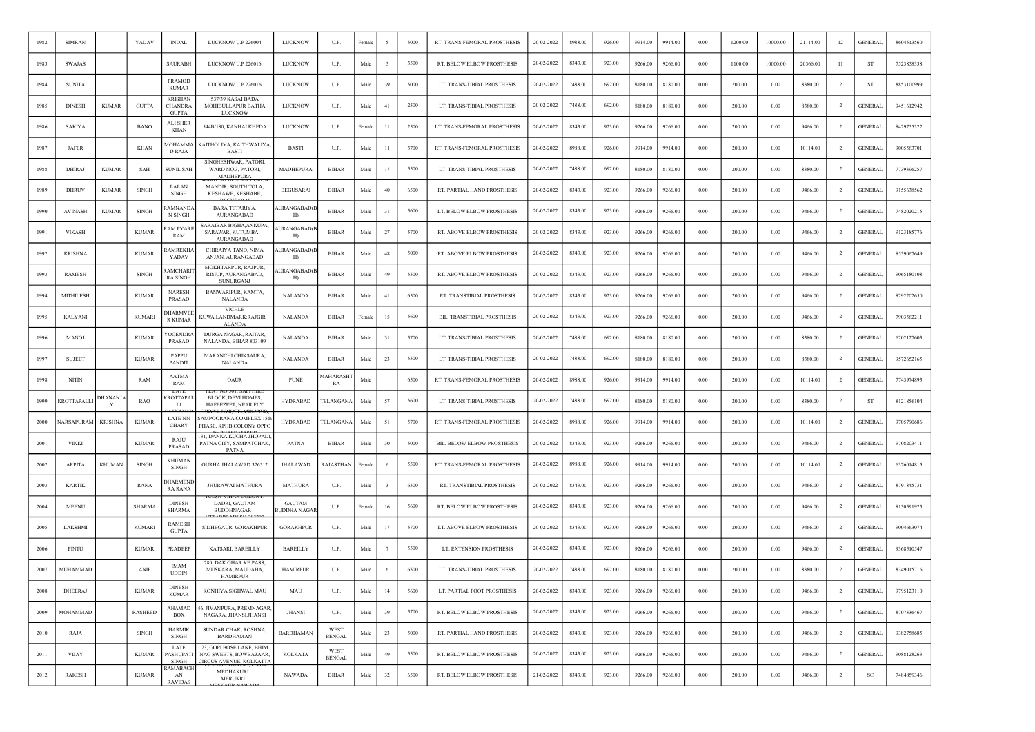| 1982 | <b>SIMRAN</b>    |                | YADAV          | <b>INDAL</b>                                     | LUCKNOW U.P 226004                                                            | <b>LUCKNOW</b>                | U.P.                   | Female | -5            | 5000 | RT. TRANS-FEMORAL PROSTHESIS       | 20-02-2022 | 8988.00 | 926.00 | 9914.00 | 9914.00 | 0.00       | 1200.00 | 10000.00 | 21114.00 | 12             | <b>GENERAL</b> | 8604513560 |
|------|------------------|----------------|----------------|--------------------------------------------------|-------------------------------------------------------------------------------|-------------------------------|------------------------|--------|---------------|------|------------------------------------|------------|---------|--------|---------|---------|------------|---------|----------|----------|----------------|----------------|------------|
| 1983 | <b>SWAJAS</b>    |                |                | <b>SAURABH</b>                                   | LUCKNOW U.P 226016                                                            | LUCKNOW                       | U.P.                   | Male   | -5            | 3500 | RT. BELOW ELBOW PROSTHESIS         | 20-02-2022 | 8343.00 | 923.00 | 9266.00 | 9266.00 | 0.00       | 1100.00 | 10000.00 | 20366.00 | $_{11}$        | <b>ST</b>      | 7523858338 |
| 1984 | <b>SUNITA</b>    |                |                | <b>PRAMOD</b><br><b>KUMAR</b>                    | LUCKNOW U.P 226016                                                            | LUCKNOW                       | U.P.                   | Male   | 39            | 5000 | LT. TRANS-TIBIAL PROSTHESIS        | 20-02-2022 | 7488.00 | 692.00 | 8180.00 | 8180.00 | 0.00       | 200.00  | 0.00     | 8380.00  | <sup>2</sup>   | ST             | 8853100999 |
| 1985 | <b>DINESH</b>    | <b>KUMAR</b>   | <b>GUPTA</b>   | <b>KRISHAN</b><br><b>CHANDRA</b><br><b>GUPTA</b> | 537/39 KASAI BADA<br>MOHIBULLAPUR BATHA<br>LUCKNOW                            | LUCKNOW                       | U.P.                   | Male   | 41            | 2500 | LT. TRANS-TIBIAL PROSTHESIS        | 20-02-2022 | 7488.00 | 692.00 | 8180.00 | 8180.00 | 0.00       | 200.00  | 0.00     | 8380.00  | $\overline{2}$ | <b>GENERAL</b> | 9451612942 |
| 1986 | <b>SAKIYA</b>    |                | <b>BANO</b>    | ALI SHER<br>KHAN                                 | 544B/180, KANHAI KHEDA                                                        | LUCKNOW                       | U.P.                   | Femal  | $^{11}$       | 2500 | LT. TRANS-FEMORAL PROSTHESIS       | 20-02-2022 | 8343.00 | 923.00 | 9266.00 | 9266.00 | 0.00       | 200.00  | 0.00     | 9466.00  | $\overline{2}$ | <b>GENERAL</b> | 8429755322 |
| 1987 | <b>JAFER</b>     |                | <b>KHAN</b>    | MOHAMMA<br><b>D RAJA</b>                         | KAITHOLIYA, KAITHWALIYA<br><b>BAST</b>                                        | <b>BASTI</b>                  | U.P.                   | Male   | 11            | 3700 | RT. TRANS-FEMORAL PROSTHESIS       | 20-02-2022 | 8988.00 | 926.00 | 9914.00 | 9914.00 | 0.00       | 200.00  | 0.00     | 10114.00 | -2             | <b>GENERAL</b> | 9005563701 |
| 1988 | DHIRAJ           | <b>KUMAR</b>   | SAH            | <b>SUNIL SAH</b>                                 | SINGHESHWAR, PATORI,<br>WARD NO.3, PATORI,<br><b>MADHEPURA</b>                | <b>MADHEPURA</b>              | <b>BIHAR</b>           | Male   | 17            | 5500 | LT. TRANS-TIBIAL PROSTHESIS        | 20-02-2022 | 7488.00 | 692.00 | 8180.00 | 8180.00 | $0.00\,$   | 200.00  | 0.00     | 8380.00  | $\overline{2}$ | <b>GENERAL</b> | 7739396257 |
| 1989 | DHRUV            | <b>KUMAR</b>   | <b>SINGH</b>   | LALAN<br>SINGH                                   | MANDIR, SOUTH TOLA,<br>KESHAWE, KESHABE,                                      | <b>BEGUSARAI</b>              | <b>BIHAR</b>           | Male   | $40\,$        | 6500 | RT. PARTIAL HAND PROSTHESIS        | 20-02-2022 | 8343.00 | 923.00 | 9266.00 | 9266.00 | 0.00       | 200.00  | 0.00     | 9466.00  | -2             | <b>GENERAL</b> | 9155638562 |
| 1990 | <b>AVINASH</b>   | <b>KUMAR</b>   | <b>SINGH</b>   | <b>AMNANDA</b><br>N SINGH                        | <b>BARA TETARIYA,</b><br>AURANGABAD                                           | AURANGABAD(I<br>H)            | <b>BIHAR</b>           | Male   | 31            | 5600 | LT. BELOW ELBOW PROSTHESIS         | 20-02-2022 | 8343.00 | 923.00 | 9266.00 | 9266.00 | $0.00\,$   | 200.00  | 0.00     | 9466.00  | -2             | <b>GENERAL</b> | 7482020215 |
| 1991 | <b>VIKASH</b>    |                | <b>KUMAR</b>   | <b>LAM PYARE</b><br>RAM                          | SARAIBAR BIGHA,ANKUPA.<br><b>SARAWAR, KUTUMBA</b><br><b>AURANGABAD</b>        | <b>AURANGABAD(B</b><br>H)     | <b>BIHAR</b>           | Male   | 27            | 5700 | RT. ABOVE ELBOW PROSTHESIS         | 20-02-2022 | 8343.00 | 923.00 | 9266.00 | 9266.00 | 0.00       | 200.00  | 0.00     | 9466.00  | <sup>2</sup>   | <b>GENERAL</b> | 9123185776 |
| 1992 | <b>KRISHNA</b>   |                | <b>KUMAR</b>   | AMREKHA<br>YADAV                                 | CHIRAIYA TAND, NIMA<br>ANJAN, AURANGABAD                                      | AURANGABAD(I<br>H)            | <b>BIHAR</b>           | Male   | 48            | 5000 | RT. ABOVE ELBOW PROSTHESIS         | 20-02-2022 | 8343.00 | 923.00 | 9266.00 | 9266.00 | 0.00       | 200.00  | 0.00     | 9466.00  | $\overline{2}$ | <b>GENERAL</b> | 8539067649 |
| 1993 | <b>RAMESH</b>    |                | <b>SINGH</b>   | <b>AMCHARI</b><br><b>RA SINGH</b>                | MOKHTARPUR, RAJPUR,<br>RISIUP, AURANGABAD,<br>SUNURGANJ                       | <b>AURANGABAD</b> (E<br>H)    | <b>BIHAR</b>           | Male   | 49            | 5500 | RT. ABOVE ELBOW PROSTHESIS         | 20-02-2022 | 8343.00 | 923.00 | 9266.00 | 9266.00 | 0.00       | 200.00  | 0.00     | 9466.00  | $\overline{2}$ | <b>GENERAL</b> | 9065180108 |
| 1994 | <b>MITHILESH</b> |                | <b>KUMAR</b>   | <b>NARESH</b><br><b>PRASAD</b>                   | BANWARIPUR, KAMTA,<br>NALANDA                                                 | <b>NALANDA</b>                | <b>BIHAR</b>           | Male   | 41            | 6500 | <b>RT. TRANSTIBIAL PROSTHESIS</b>  | 20-02-2022 | 8343.00 | 923.00 | 9266.00 | 9266.00 | 0.00       | 200.00  | 0.00     | 9466.00  | $\overline{2}$ | <b>GENERAL</b> | 8292202650 |
| 1995 | <b>KALYANI</b>   |                | <b>KUMARI</b>  | DHARMVEE<br><b>R KUMAR</b>                       | <b>VICHLE</b><br>KUWA,LANDMARK:RAJGIR<br><b>ALANDA</b>                        | <b>NALANDA</b>                | <b>BIHAR</b>           | Female | 15            | 5600 | BIL. TRANSTIBIAL PROSTHESIS        | 20-02-2022 | 8343.00 | 923.00 | 9266.00 | 9266.00 | 0.00       | 200.00  | 0.00     | 9466.00  | $\overline{2}$ | <b>GENERAL</b> | 7903562211 |
| 1996 | <b>MANOJ</b>     |                | <b>KUMAR</b>   | <b>/OGENDRA</b><br>PRASAD                        | DURGA NAGAR, RAITAR,<br>NALANDA, BIHAR 803109                                 | <b>NALANDA</b>                | <b>BIHAR</b>           | Male   | 31            | 5700 | LT. TRANS-TIBIAL PROSTHESIS        | 20-02-2022 | 7488.00 | 692.00 | 8180.00 | 8180.00 | 0.00       | 200.00  | 0.00     | 8380.00  | $\overline{2}$ | <b>GENERAL</b> | 6202127603 |
| 1997 | <b>SUJEET</b>    |                | <b>KUMAR</b>   | PAPPU<br>PANDIT                                  | MARANCHI CHIKSAURA,<br><b>NALANDA</b>                                         | <b>NALANDA</b>                | <b>BIHAR</b>           | Male   | 23            | 5500 | LT. TRANS-TIBIAL PROSTHESIS        | 20-02-2022 | 7488.00 | 692.00 | 8180.00 | 8180.00 | $0.00\,$   | 200.00  | 0.00     | 8380.00  | $\overline{2}$ | <b>GENERAL</b> | 9572652165 |
| 1998 | <b>NITIN</b>     |                | RAM            | <b>AATMA</b><br>RAM                              | OAUR                                                                          | <b>PUNE</b>                   | <b>AAHARASHT</b><br>RA | Male   |               | 6500 | RT. TRANS-FEMORAL PROSTHESIS       | 20-02-2022 | 8988.00 | 926.00 | 9914.00 | 9914.00 | 0.00       | 200.00  | 0.00     | 10114.00 | <sup>2</sup>   | <b>GENERAL</b> | 7743974893 |
| 1999 | KROTTAPALL       | DHANANJA<br>Y  | RAO            | LATI<br><b><i>KROTTAPAL</i></b><br>LI            | BLOCK, DEVI HOMES,<br>HAFEEZPET, NEAR FLY                                     | <b>HYDRABAD</b>               | <b>TELANGANA</b>       | Male   | 57            | 5600 | LT. TRANS-TIBIAL PROSTHESIS        | 20-02-2022 | 7488.00 | 692.00 | 8180.00 | 8180.00 | 0.00       | 200.00  | 0.00     | 8380.00  | $\overline{2}$ | ST             | 8121856104 |
| 2000 | VARSAPURAM       | <b>KRISHNA</b> | <b>KUMAR</b>   | <b>LATE NN</b><br><b>CHARY</b>                   | SAMPOORANA COMPLEX 15th<br>PHASE, KPHB COLONY OPPO                            | <b>HYDRABAD</b>               | <b>TELANGANA</b>       | Male   | 51            | 5700 | RT. TRANS-FEMORAL PROSTHESIS       | 20-02-2022 | 8988.00 | 926.00 | 9914.00 | 9914.00 | 0.00       | 200.00  | 0.00     | 10114.00 | $\overline{2}$ | <b>GENERAL</b> | 9705790686 |
| 2001 | <b>VIKKI</b>     |                | <b>KUMAR</b>   | RAJU<br>PRASAD                                   | 131, DANKA KUCHA JHOPADI,<br>PATNA CITY, SAMPATCHAK,<br><b>PATNA</b>          | <b>PATNA</b>                  | <b>BIHAR</b>           | Male   | 30            | 5000 | <b>BIL. BELOW ELBOW PROSTHESIS</b> | 20-02-2022 | 8343.00 | 923.00 | 9266.00 | 9266.00 | 0.00       | 200.00  | 0.00     | 9466.00  | -2             | <b>GENERAL</b> | 9708203411 |
| 2002 | ARPITA           | <b>KHUMAN</b>  | <b>SINGH</b>   | <b>KHUMAN</b><br><b>SINGH</b>                    | GURHA JHALAWAD 326512                                                         | <b>JHALAWAD</b>               | RAJASTHAN              | Female |               | 5500 | RT. TRANS-FEMORAL PROSTHESIS       | 20-02-2022 | 8988.00 | 926.00 | 9914.00 | 9914.00 | 0.00       | 200.00  | 0.00     | 10114.00 | -2             | <b>GENERAL</b> | 6376014815 |
| 2003 | <b>KARTIK</b>    |                | RANA           | DHARMENE<br><b>RA RANA</b>                       | JHURAWAI MATHURA                                                              | <b>MATHURA</b>                | U.P.                   | Male   | $\mathcal{Z}$ | 6500 | RT. TRANSTIBIAL PROSTHESIS         | 20-02-2022 | 8343.00 | 923.00 | 9266.00 | 9266.00 | 0.00       | 200.00  | 0.00     | 9466.00  | $\overline{2}$ | <b>GENERAL</b> | 8791845731 |
| 2004 | <b>MEENU</b>     |                | <b>SHARMA</b>  | <b>DINESH</b><br><b>SHARMA</b>                   | DADRI, GAUTAM<br><b>BUDDHNAGAR</b>                                            | <b>GAUTAM</b><br>BUDDHA NAGAF | U.P.                   | Female | 16            | 5600 | RT. BELOW ELBOW PROSTHESIS         | 20-02-2022 | 8343.00 | 923.00 | 9266.00 | 9266.00 | $0.00\,$   | 200.00  | 0.00     | 9466.00  | $\overline{2}$ | <b>GENERAL</b> | 8130591925 |
| 2005 | LAKSHMI          |                | <b>KUMARI</b>  | <b>RAMESH</b><br><b>GUPTA</b>                    | SIDHEGAUR, GORAKHPUR                                                          | <b>GORAKHPUR</b>              | U.P.                   | Male   | 17            | 5700 | LT. ABOVE ELBOW PROSTHESIS         | 20-02-2022 | 8343.00 | 923.00 | 9266.00 | 9266.00 | 0.00       | 200.00  | 0.00     | 9466.00  | $\overline{2}$ | <b>GENERAL</b> | 9004663074 |
| 2006 | PINTU            |                | <b>KUMAR</b>   | PRADEEP                                          | KATSARI, BAREILLY                                                             | <b>BAREILLY</b>               | U.P.                   | Male   |               | 5500 | LT. EXTENSION PROSTHESIS           | 20-02-2022 | 8343.00 | 923.00 | 9266.00 | 9266.00 | 0.00       | 200.00  | 0.00     | 9466.00  | $\overline{2}$ | <b>GENERAL</b> | 9368510547 |
| 2007 | MUHAMMAD         |                | ANIF           | <b>IMAM</b><br><b>UDDIN</b>                      | 280, DAK GHAR KE PASS.<br>MUSKARA, MAUDAHA,<br><b>HAMIRPUR</b>                | <b>HAMIRPUR</b>               | U.P.                   | Male   | - 6           | 6500 | LT. TRANS-TIBIAL PROSTHESIS        | 20-02-2022 | 7488.00 | 692.00 | 8180.00 | 8180.00 | 0.00       | 200.00  | 0.00     | 8380.00  | $\overline{2}$ | <b>GENERAL</b> | 8349015716 |
| 2008 | DHEERAJ          |                | <b>KUMAR</b>   | <b>DINESH</b><br><b>KUMAR</b>                    | KONHIYA SIGHWAL MAU                                                           | $\rm MAU$                     | U.P.                   | Male   | 14            | 5600 | LT. PARTIAL FOOT PROSTHESIS        | 20-02-2022 | 8343.00 | 923.00 | 9266.00 | 9266.00 | 0.00       | 200.00  | 0.00     | 9466.00  | $\overline{2}$ | <b>GENERAL</b> | 9795123110 |
| 2009 | MOHAMMAD         |                | <b>RASHEED</b> | AHAMAD<br><b>BOX</b>                             | 46. JIVANPURA, PREMNAGAR,<br>NAGARA, JHANSI, JHANSI                           | <b>JHANSI</b>                 | U.P.                   | Male   | $39\,$        | 5700 | RT. BELOW ELBOW PROSTHESIS         | 20-02-2022 | 8343.00 | 923.00 | 9266.00 | 9266.00 | 0.00       | 200.00  | 0.00     | 9466.00  | $\overline{2}$ | <b>GENERAL</b> | 8707336467 |
| 2010 | RAJA             |                | SINGH          | <b>HARMIK</b><br><b>SINGH</b>                    | SUNDAR CHAK, ROSHNA,<br>BARDHAMAN                                             | <b>BARDHAMAN</b>              | WEST<br><b>BENGAL</b>  | Male   | 23            | 5000 | RT. PARTIAL HAND PROSTHESIS        | 20-02-2022 | 8343.00 | 923.00 | 9266.00 | 9266.00 | 0.00       | 200.00  | 0.00     | 9466.00  | $\overline{2}$ | <b>GENERAL</b> | 9382758685 |
| 2011 | <b>VIJAY</b>     |                | <b>KUMAR</b>   | LATE<br>PASHUPATI<br>SINGH                       | 23, GOPI BOSE LANE, BHIM<br>NAG SWEETS, BOWBAZAAR,<br>CIRCUS AVENUE, KOLKATTA | <b>KOLKATA</b>                | WEST<br><b>BENGAL</b>  | Male   | 49            | 5500 | RT. BELOW ELBOW PROSTHESIS         | 20-02-2022 | 8343.00 | 923.00 | 9266.00 | 9266.00 | $\rm 0.00$ | 200.00  | 0.00     | 9466.00  | $\overline{2}$ | <b>GENERAL</b> | 9088128263 |
| 2012 | <b>RAKESH</b>    |                | <b>KUMAR</b>   | RAMABACH<br>AN<br><b>RAVIDAS</b>                 | MEDHAKURI<br><b>MERUKRI</b>                                                   | <b>NAWADA</b>                 | <b>BIHAR</b>           | Male   | 32            | 6500 | RT. BELOW ELBOW PROSTHESIS         | 21-02-2022 | 8343.00 | 923.00 | 9266.00 | 9266.00 | 0.00       | 200.00  | 0.00     | 9466.00  | $\overline{2}$ | SC             | 7484859346 |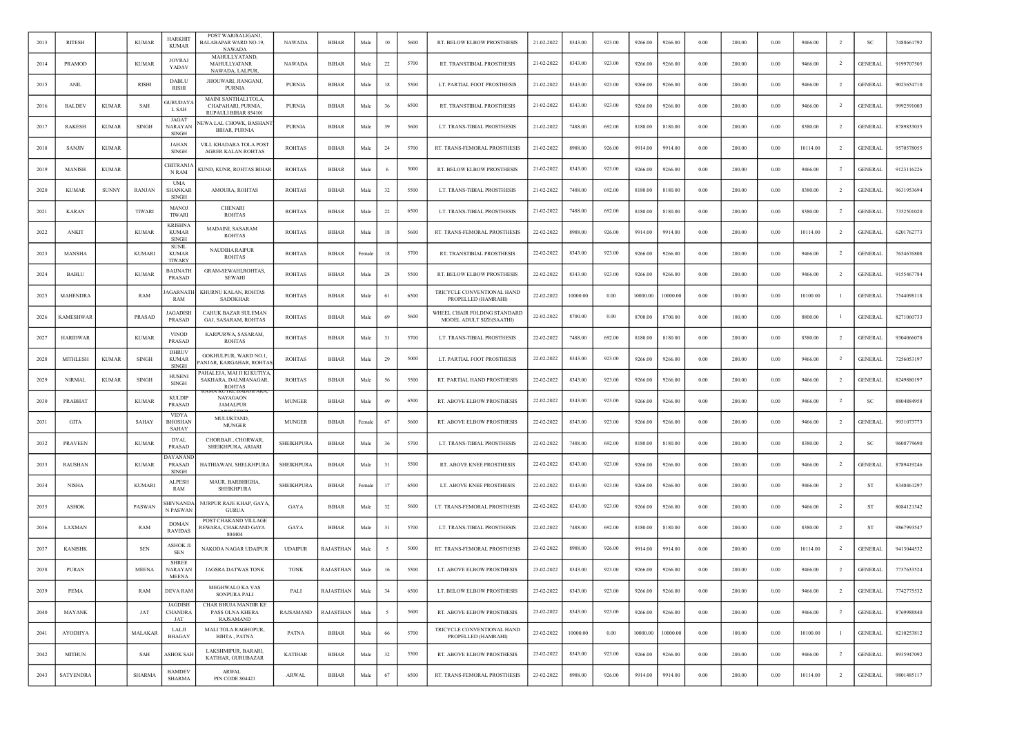| 2013 | <b>RITESH</b>    |              | <b>KUMAR</b>  | HARKHIT<br><b>KUMAR</b>                        | POST WARISALIGANJ.<br>BALABAPAR WARD NO.19,<br><b>NAWADA</b>         | <b>NAWADA</b>     | <b>BIHAR</b> | Male   | 10     | 5600 | RT. BELOW ELBOW PROSTHESIS                               | 21-02-2022 | 8343.00  | 923.00 | 9266.00  | 9266.00  | 0.00       | 200.00 | 0.00     | 9466.00  | -2             | <b>SC</b>      | 7488661792 |
|------|------------------|--------------|---------------|------------------------------------------------|----------------------------------------------------------------------|-------------------|--------------|--------|--------|------|----------------------------------------------------------|------------|----------|--------|----------|----------|------------|--------|----------|----------|----------------|----------------|------------|
| 2014 | PRAMOD           |              | <b>KUMAR</b>  | <b>JOVRAJ</b><br>YADAV                         | MAHULLYATAND,<br>MAHULLYATANR<br>NAWADA, LALPUR                      | NAWADA            | <b>BIHAR</b> | Male   | 22     | 5700 | RT. TRANSTIBIAL PROSTHESIS                               | 21-02-2022 | 8343.00  | 923.00 | 9266.00  | 9266.00  | $0.00\,$   | 200.00 | 0.00     | 9466.00  | $\overline{2}$ | <b>GENERAL</b> | 9199707505 |
| 2015 | <b>ANIL</b>      |              | <b>RISHI</b>  | <b>DABLU</b><br>RISHI                          | JHOUWARI, JIANGANJ,<br><b>PURNIA</b>                                 | <b>PURNIA</b>     | <b>BIHAR</b> | Male   | 18     | 5500 | LT. PARTIAL FOOT PROSTHESIS                              | 21-02-2022 | 8343.00  | 923.00 | 9266.00  | 9266.00  | 0.00       | 200.00 | 0.00     | 9466.00  | $\overline{2}$ | <b>GENERAL</b> | 9023654710 |
| 2016 | <b>BALDEV</b>    | <b>KUMAR</b> | SAH           | <b>GURUDAYA</b><br>L SAH                       | MAINI SANTHALI TOLA,<br>CHAPAHARI, PURNIA,<br>RUPAULI BIHAR 854101   | <b>PURNIA</b>     | <b>BIHAR</b> | Male   | 36     | 6500 | RT. TRANSTIBIAL PROSTHESIS                               | 21-02-2022 | 8343.00  | 923.00 | 9266.00  | 9266.00  | 0.00       | 200.00 | 0.00     | 9466.00  | $\overline{2}$ | <b>GENERAL</b> | 9992591003 |
| 2017 | <b>RAKESH</b>    | <b>KUMAR</b> | <b>SINGH</b>  | JAGAT<br>NARAYAN<br><b>SINGH</b>               | NEWA LAL CHOWK, BASHANT<br><b>BIHAR, PURNIA</b>                      | <b>PURNIA</b>     | <b>BIHAR</b> | Male   | 39     | 5600 | LT. TRANS-TIBIAL PROSTHESIS                              | 21-02-2022 | 7488.00  | 692.00 | 8180.00  | 8180.00  | 0.00       | 200.00 | 0.00     | 8380.00  | $\overline{2}$ | <b>GENERAL</b> | 8789833035 |
| 2018 | <b>SANJIV</b>    | <b>KUMAR</b> |               | <b>JAHAN</b><br>SINGH                          | VILL KHADARA TOLA POST<br><b>AGRER KALAN ROHTAS</b>                  | <b>ROHTAS</b>     | <b>BIHAR</b> | Male   | 24     | 5700 | RT. TRANS-FEMORAL PROSTHESIS                             | 21-02-2022 | 8988.00  | 926.00 | 9914.00  | 9914.00  | 0.00       | 200.00 | 0.00     | 10114.00 | $\overline{2}$ | <b>GENERAL</b> | 9570578055 |
| 2019 | <b>MANISH</b>    | <b>KUMAR</b> |               | <b>CHITRANJA</b><br>N RAM                      | KUND, KUNR, ROHTAS BIHAR                                             | <b>ROHTAS</b>     | <b>BIHAR</b> | Male   |        | 5000 | RT. BELOW ELBOW PROSTHESIS                               | 21-02-2022 | 8343.00  | 923.00 | 9266.00  | 9266.00  | 0.00       | 200.00 | 0.00     | 9466.00  | <sup>2</sup>   | <b>GENERAL</b> | 9123116226 |
| 2020 | <b>KUMAR</b>     | <b>SUNNY</b> | <b>RANJAN</b> | <b>UMA</b><br><b>SHANKAR</b><br>SINGH          | AMOURA, ROHTAS                                                       | <b>ROHTAS</b>     | <b>BIHAR</b> | Male   | 32     | 5500 | LT. TRANS-TIBIAL PROSTHESIS                              | 21-02-2022 | 7488.00  | 692.00 | 8180.00  | 8180.00  | 0.00       | 200.00 | 0.00     | 8380.00  | $\overline{2}$ | <b>GENERAL</b> | 9631953694 |
| 2021 | <b>KARAN</b>     |              | <b>TIWARI</b> | <b>MANOJ</b><br><b>TIWARI</b>                  | <b>CHENARI</b><br><b>ROHTAS</b>                                      | <b>ROHTAS</b>     | <b>BIHAR</b> | Male   | 22     | 6500 | LT. TRANS-TIBIAL PROSTHESIS                              | 21-02-2022 | 7488.00  | 692.00 | 8180.00  | 8180.00  | $0.00\,$   | 200.00 | 0.00     | 8380.00  | $\overline{2}$ | <b>GENERAL</b> | 7352501020 |
| 2022 | ANKIT            |              | <b>KUMAR</b>  | <b>KRISHNA</b><br><b>KUMAR</b><br>SINGH        | MADAINI, SASARAM<br><b>ROHTAS</b>                                    | <b>ROHTAS</b>     | <b>BIHAR</b> | Male   | 18     | 5600 | RT. TRANS-FEMORAL PROSTHESIS                             | 22-02-2022 | 8988.00  | 926.00 | 9914.00  | 9914.00  | 0.00       | 200.00 | 0.00     | 10114.00 | $\overline{2}$ | <b>GENERAL</b> | 6201762773 |
| 2023 | MANSHA           |              | <b>KUMARI</b> | <b>SUNIL</b><br><b>KUMAR</b><br><b>TIWARY</b>  | <b>NAUDIHA RAIPUR</b><br><b>ROHTAS</b>                               | <b>ROHTAS</b>     | <b>BIHAR</b> | Female | 18     | 5700 | RT. TRANSTIBIAL PROSTHESIS                               | 22-02-2022 | 8343.00  | 923.00 | 9266.00  | 9266.00  | 0.00       | 200.00 | 0.00     | 9466.00  | $\overline{2}$ | <b>GENERAL</b> | 7654676808 |
| 2024 | <b>BABLU</b>     |              | <b>KUMAR</b>  | <b>BAIJNATH</b><br><b>PRASAD</b>               | GRAM-SEWAHI, ROHTAS,<br><b>SEWAHI</b>                                | <b>ROHTAS</b>     | <b>BIHAR</b> | Male   | 28     | 5500 | RT. BELOW ELBOW PROSTHESIS                               | 22-02-2022 | 8343.00  | 923.00 | 9266.00  | 9266.00  | 0.00       | 200.00 | 0.00     | 9466.00  | $\overline{2}$ | <b>GENERAL</b> | 9155467784 |
| 2025 | MAHENDRA         |              | RAM           | <b>AGARNATI</b><br>RAM                         | KHURNU KALAN, ROHTAS<br><b>SADOKHAR</b>                              | <b>ROHTAS</b>     | <b>BIHAR</b> | Male   | 61     | 6500 | TRICYCLE CONVENTIONAL HAND<br>PROPELLED (HAMRAHI)        | 22-02-2022 | 10000.00 | 0.00   | 10000.00 | 10000.00 | 0.00       | 100.00 | 0.00     | 10100.00 |                | <b>GENERAL</b> | 7544098118 |
| 2026 | <b>KAMESHWAR</b> |              | PRASAD        | <b>JAGADISH</b><br>PRASAD                      | CAHUK BAZAR SULEMAN<br>GAJ, SASARAM, ROHTAS                          | <b>ROHTAS</b>     | <b>BIHAR</b> | Male   | 69     | 5600 | WHEEL CHAIR FOLDING STANDARD<br>MODEL ADULT SIZE(SAATHI) | 22-02-2022 | 8700.00  | 0.00   | 8700.00  | 8700.00  | 0.00       | 100.00 | 0.00     | 8800.00  |                | <b>GENERAL</b> | 8271060733 |
| 2027 | <b>HARIDWAR</b>  |              | <b>KUMAR</b>  | <b>VINOD</b><br>PRASAD                         | KARPURWA, SASARAM,<br><b>ROHTAS</b>                                  | <b>ROHTAS</b>     | <b>BIHAR</b> | Male   | 31     | 5700 | LT. TRANS-TIBIAL PROSTHESIS                              | 22-02-2022 | 7488.00  | 692.00 | 8180.00  | 8180.00  | $0.00\,$   | 200.00 | 0.00     | 8380.00  | $\overline{2}$ | <b>GENERAL</b> | 9304066078 |
| 2028 | MITHLESH         | <b>KUMAR</b> | <b>SINGH</b>  | <b>DHRUV</b><br><b>KUMAR</b><br><b>SINGH</b>   | <b>GOKHULPUR, WARD NO.1.</b><br>ANJAR, KARGAHAR, ROHTAS              | ROHTAS            | <b>BIHAR</b> | Male   | 29     | 5000 | LT. PARTIAL FOOT PROSTHESIS                              | 22-02-2022 | 8343.00  | 923.00 | 9266.00  | 9266.00  | $0.00\,$   | 200.00 | 0.00     | 9466.00  | $\overline{2}$ | <b>GENERAL</b> | 7256053197 |
| 2029 | <b>NIRMAL</b>    | <b>KUMAR</b> | <b>SINGH</b>  | <b>HUSEN</b><br>SINGH                          | PAHALEJA, MAI JI KI KUTIYA<br>SAKHARA, DALMIANAGAR,<br><b>ROHTAS</b> | <b>ROHTAS</b>     | <b>BIHAR</b> | Male   | 56     | 5500 | RT. PARTIAL HAND PROSTHESIS                              | 22-02-2022 | 8343.00  | 923.00 | 9266.00  | 9266.00  | 0.00       | 200.00 | 0.00     | 9466.00  | $\overline{2}$ | <b>GENERAL</b> | 8249880197 |
| 2030 | PRABHAT          |              | <b>KUMAR</b>  | <b>KULDIP</b><br>PRASAD                        | <b>NAYAGAON</b><br><b>JAMALPUR</b>                                   | <b>MUNGER</b>     | <b>BIHAR</b> | Male   | 49     | 6500 | RT. ABOVE ELBOW PROSTHESIS                               | 22-02-2022 | 8343.00  | 923.00 | 9266.00  | 9266.00  | 0.00       | 200.00 | 0.00     | 9466.00  | $\overline{2}$ | SC             | 8804884958 |
| 2031 | <b>GITA</b>      |              | <b>SAHAY</b>  | <b>VIDYA</b><br><b>BHOSHAN</b><br><b>SAHAY</b> | MULUKTAND,<br><b>MUNGER</b>                                          | <b>MUNGER</b>     | BIHAR        | Female | 67     | 5600 | RT. ABOVE ELBOW PROSTHESIS                               | 22-02-2022 | 8343.00  | 923.00 | 9266.00  | 9266.00  | 0.00       | 200.00 | 0.00     | 9466.00  | -2             | <b>GENERAL</b> | 9931073773 |
| 2032 | <b>PRAVEEN</b>   |              | <b>KUMAR</b>  | <b>DYAL</b><br>PRASAD                          | CHORBAR, CHORWAR,<br>SHEIKHPURA, ARIARI                              | <b>SHEIKHPURA</b> | <b>BIHAR</b> | Male   | 36     | 5700 | LT. TRANS-TIBIAL PROSTHESIS                              | 22-02-2022 | 7488.00  | 692.00 | 8180.00  | 8180.00  | 0.00       | 200.00 | 0.00     | 8380.00  | $\overline{2}$ | -SC            | 9608779690 |
| 2033 | <b>RAUSHAN</b>   |              | <b>KUMAR</b>  | <b>JAYANAND</b><br>PRASAD<br><b>SINGH</b>      | HATHIAWAN, SHELKHPURA                                                | <b>SHEIKHPURA</b> | <b>BIHAR</b> | Male   | 31     | 5500 | RT. ABOVE KNEE PROSTHESIS                                | 22-02-2022 | 8343.00  | 923.00 | 9266.00  | 9266.00  | 0.00       | 200.00 | 0.00     | 9466.00  | -2             | <b>GENERAL</b> | 8789419246 |
| 2034 | <b>NISHA</b>     |              | <b>KUMARI</b> | <b>ALPESH</b><br>RAM                           | MAUR, BARBHIGHA,<br><b>SHEIKHPURA</b>                                | <b>SHEIKHPURA</b> | <b>BIHAR</b> | Female | 17     | 6500 | LT. ABOVE KNEE PROSTHESIS                                | 22-02-2022 | 8343.00  | 923.00 | 9266.00  | 9266.00  | $0.00\,$   | 200.00 | 0.00     | 9466.00  | $\overline{2}$ | ST             | 8340461297 |
| 2035 | <b>ASHOK</b>     |              | PASWAN        | <b>SHIVNANDA</b><br>N PASWAN                   | NURPUR RAJE KHAP, GAYA,<br><b>GURUA</b>                              | GAYA              | <b>BIHAR</b> | Male   | 32     | 5600 | LT. TRANS-FEMORAL PROSTHESIS                             | 22-02-2022 | 8343.00  | 923.00 | 9266.00  | 9266.00  | 0.00       | 200.00 | 0.00     | 9466.00  | $\overline{2}$ | <b>ST</b>      | 8084121342 |
| 2036 | LAXMAN           |              | RAM           | $\rm{DOMAN}$<br>RAVIDAS                        | POST CHAKAND VILLAGE<br>REWARA, CHAKAND GAYA<br>804404               | GAYA              | <b>BIHAR</b> | Male   | 31     | 5700 | LT. TRANS-TIBIAL PROSTHESIS                              | 22-02-2022 | 7488.00  | 692.00 | 8180.00  | 8180.00  | 0.00       | 200.00 | 0.00     | 8380.00  | $\overline{2}$ | ST             | 9867993547 |
| 2037 | <b>KANISHK</b>   |              | <b>SEN</b>    | <b>ASHOK JI</b><br><b>SEN</b>                  | NAKODA NAGAR UDAIPUR                                                 | <b>UDAIPUR</b>    | RAJASTHAN    | Male   |        | 5000 | RT. TRANS-FEMORAL PROSTHESIS                             | 23-02-2022 | 8988.00  | 926.00 | 9914.00  | 9914.00  | 0.00       | 200.00 | 0.00     | 10114.00 | <sup>2</sup>   | <b>GENERAL</b> | 9413044532 |
| 2038 | <b>PURAN</b>     |              | <b>MEENA</b>  | <b>SHREE</b><br>NARAYAN<br><b>MEENA</b>        | JAGSRA DATWAS TONK                                                   | <b>TONK</b>       | RAJASTHAN    | Male   | 16     | 5500 | LT. ABOVE ELBOW PROSTHESIS                               | 23-02-2022 | 8343.00  | 923.00 | 9266.00  | 9266.00  | 0.00       | 200.00 | 0.00     | 9466.00  | $\overline{2}$ | <b>GENERAL</b> | 7737633524 |
| 2039 | PEMA             |              | RAM           | DEVA RAM                                       | <b>MEGHWALO KA VAS</b><br><b>SONPURA PALI</b>                        | PALI              | RAJASTHAN    | Male   | 34     | 6500 | LT. BELOW ELBOW PROSTHESIS                               | 23-02-2022 | 8343.00  | 923.00 | 9266.00  | 9266.00  | $\rm 0.00$ | 200.00 | $0.00\,$ | 9466.00  | $\overline{2}$ | <b>GENERAL</b> | 7742775532 |
| 2040 | <b>MAYANK</b>    |              | JAT           | JAGDISH<br><b>CHANDRA</b><br>JAT               | CHAR BHUJA MANDIR KE<br>PASS OLNA KHERA<br>RAJSAMAND                 | RAJSAMAND         | RAJASTHAN    | Male   | $\sim$ | 5600 | RT. ABOVE ELBOW PROSTHESIS                               | 23-02-2022 | 8343.00  | 923.00 | 9266.00  | 9266.00  | 0.00       | 200.00 | 0.00     | 9466.00  | $\overline{2}$ | <b>GENERAL</b> | 8769988840 |
| 2041 | AYODHYA          |              | MALAKAR       | LALJI<br><b>BHAGAY</b>                         | MALI TOLA RAGHOPUR,<br>BIHTA, PATNA                                  | PATNA             | BIHAR        | Male   | 66     | 5700 | TRICYCLE CONVENTIONAL HAND<br>PROPELLED (HAMRAHI)        | 23-02-2022 | 10000.00 | 0.00   | 10000.00 | 10000.00 | 0.00       | 100.00 | 0.00     | 10100.00 | -1             | <b>GENERAL</b> | 8210253812 |
| 2042 | <b>MITHUN</b>    |              | SAH           | <b>ASHOK SAH</b>                               | LAKSHMIPUR, BARARI,<br>KATIHAR, GURUBAZAR                            | <b>KATIHAR</b>    | <b>BIHAR</b> | Male   | 32     | 5500 | RT. ABOVE ELBOW PROSTHESIS                               | 23-02-2022 | 8343.00  | 923.00 | 9266.00  | 9266.00  | 0.00       | 200.00 | 0.00     | 9466.00  | $\overline{2}$ | <b>GENERAL</b> | 8935947092 |
| 2043 | <b>SATYENDRA</b> |              | <b>SHARMA</b> | <b>BAMDEV</b><br><b>SHARMA</b>                 | ARWAL<br>PIN CODE 804421                                             | ARWAL             | BIHAR        | Male   | 67     | 6500 | RT. TRANS-FEMORAL PROSTHESIS                             | 23-02-2022 | 8988.00  | 926.00 | 9914.00  | 9914.00  | 0.00       | 200.00 | 0.00     | 10114.00 | $\overline{2}$ | <b>GENERAL</b> | 9801485117 |